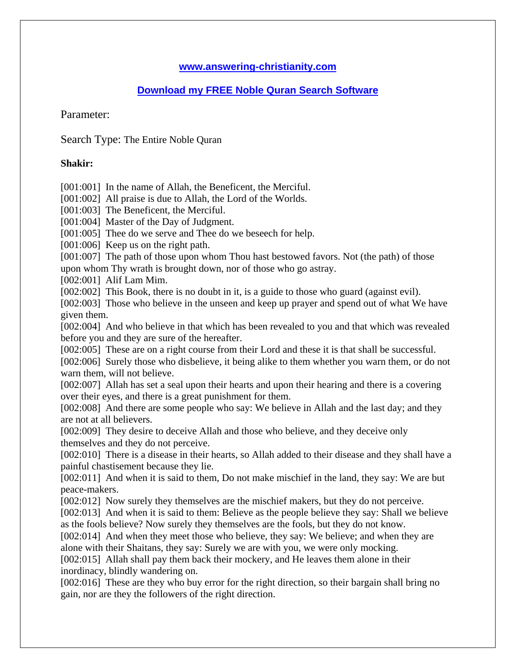## **www.answering-christianity.com**

## **Download my FREE Noble Quran Search Software**

Parameter:

Search Type: The Entire Noble Quran

## **Shakir:**

[001:001] In the name of Allah, the Beneficent, the Merciful.

[001:002] All praise is due to Allah, the Lord of the Worlds.

[001:003] The Beneficent, the Merciful.

[001:004] Master of the Day of Judgment.

[001:005] Thee do we serve and Thee do we beseech for help.

[001:006] Keep us on the right path.

[001:007] The path of those upon whom Thou hast bestowed favors. Not (the path) of those upon whom Thy wrath is brought down, nor of those who go astray.

[002:001] Alif Lam Mim.

[002:002] This Book, there is no doubt in it, is a guide to those who guard (against evil).

[002:003] Those who believe in the unseen and keep up prayer and spend out of what We have given them.

[002:004] And who believe in that which has been revealed to you and that which was revealed before you and they are sure of the hereafter.

[002:005] These are on a right course from their Lord and these it is that shall be successful.

[002:006] Surely those who disbelieve, it being alike to them whether you warn them, or do not warn them, will not believe.

[002:007] Allah has set a seal upon their hearts and upon their hearing and there is a covering over their eyes, and there is a great punishment for them.

[002:008] And there are some people who say: We believe in Allah and the last day; and they are not at all believers.

[002:009] They desire to deceive Allah and those who believe, and they deceive only themselves and they do not perceive.

[002:010] There is a disease in their hearts, so Allah added to their disease and they shall have a painful chastisement because they lie.

[002:011] And when it is said to them, Do not make mischief in the land, they say: We are but peace-makers.

[002:012] Now surely they themselves are the mischief makers, but they do not perceive.

[002:013] And when it is said to them: Believe as the people believe they say: Shall we believe as the fools believe? Now surely they themselves are the fools, but they do not know.

[002:014] And when they meet those who believe, they say: We believe; and when they are alone with their Shaitans, they say: Surely we are with you, we were only mocking.

[002:015] Allah shall pay them back their mockery, and He leaves them alone in their inordinacy, blindly wandering on.

[002:016] These are they who buy error for the right direction, so their bargain shall bring no gain, nor are they the followers of the right direction.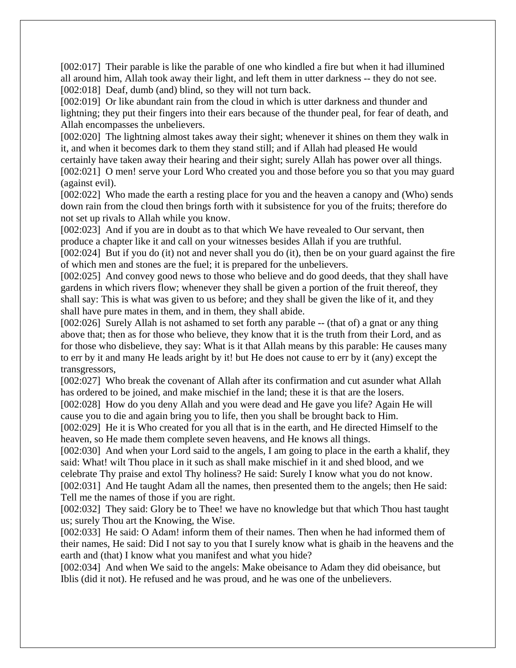[002:017] Their parable is like the parable of one who kindled a fire but when it had illumined all around him, Allah took away their light, and left them in utter darkness -- they do not see. [002:018] Deaf, dumb (and) blind, so they will not turn back.

[002:019] Or like abundant rain from the cloud in which is utter darkness and thunder and lightning; they put their fingers into their ears because of the thunder peal, for fear of death, and Allah encompasses the unbelievers.

[002:020] The lightning almost takes away their sight; whenever it shines on them they walk in it, and when it becomes dark to them they stand still; and if Allah had pleased He would certainly have taken away their hearing and their sight; surely Allah has power over all things. [002:021] O men! serve your Lord Who created you and those before you so that you may guard (against evil).

[002:022] Who made the earth a resting place for you and the heaven a canopy and (Who) sends down rain from the cloud then brings forth with it subsistence for you of the fruits; therefore do not set up rivals to Allah while you know.

[002:023] And if you are in doubt as to that which We have revealed to Our servant, then produce a chapter like it and call on your witnesses besides Allah if you are truthful.

[002:024] But if you do (it) not and never shall you do (it), then be on your guard against the fire of which men and stones are the fuel; it is prepared for the unbelievers.

[002:025] And convey good news to those who believe and do good deeds, that they shall have gardens in which rivers flow; whenever they shall be given a portion of the fruit thereof, they shall say: This is what was given to us before; and they shall be given the like of it, and they shall have pure mates in them, and in them, they shall abide.

[002:026] Surely Allah is not ashamed to set forth any parable -- (that of) a gnat or any thing above that; then as for those who believe, they know that it is the truth from their Lord, and as for those who disbelieve, they say: What is it that Allah means by this parable: He causes many to err by it and many He leads aright by it! but He does not cause to err by it (any) except the transgressors,

[002:027] Who break the covenant of Allah after its confirmation and cut asunder what Allah has ordered to be joined, and make mischief in the land; these it is that are the losers.

[002:028] How do you deny Allah and you were dead and He gave you life? Again He will cause you to die and again bring you to life, then you shall be brought back to Him.

[002:029] He it is Who created for you all that is in the earth, and He directed Himself to the heaven, so He made them complete seven heavens, and He knows all things.

[002:030] And when your Lord said to the angels, I am going to place in the earth a khalif, they said: What! wilt Thou place in it such as shall make mischief in it and shed blood, and we celebrate Thy praise and extol Thy holiness? He said: Surely I know what you do not know.

[002:031] And He taught Adam all the names, then presented them to the angels; then He said: Tell me the names of those if you are right.

[002:032] They said: Glory be to Thee! we have no knowledge but that which Thou hast taught us; surely Thou art the Knowing, the Wise.

[002:033] He said: O Adam! inform them of their names. Then when he had informed them of their names, He said: Did I not say to you that I surely know what is ghaib in the heavens and the earth and (that) I know what you manifest and what you hide?

[002:034] And when We said to the angels: Make obeisance to Adam they did obeisance, but Iblis (did it not). He refused and he was proud, and he was one of the unbelievers.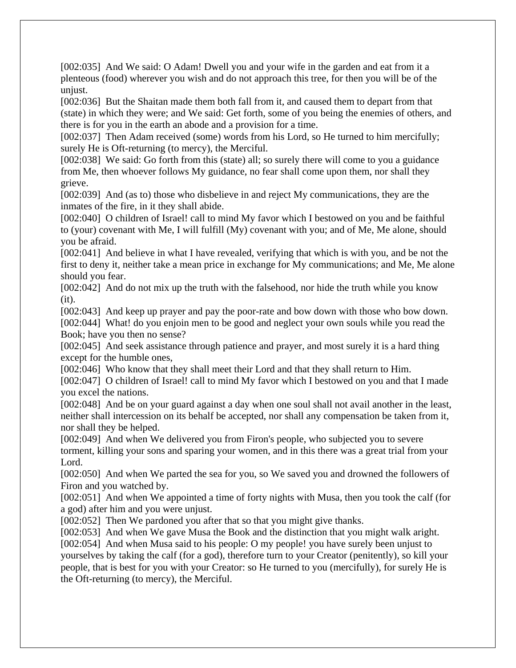[002:035] And We said: O Adam! Dwell you and your wife in the garden and eat from it a plenteous (food) wherever you wish and do not approach this tree, for then you will be of the unjust.

[002:036] But the Shaitan made them both fall from it, and caused them to depart from that (state) in which they were; and We said: Get forth, some of you being the enemies of others, and there is for you in the earth an abode and a provision for a time.

[002:037] Then Adam received (some) words from his Lord, so He turned to him mercifully; surely He is Oft-returning (to mercy), the Merciful.

[002:038] We said: Go forth from this (state) all; so surely there will come to you a guidance from Me, then whoever follows My guidance, no fear shall come upon them, nor shall they grieve.

[002:039] And (as to) those who disbelieve in and reject My communications, they are the inmates of the fire, in it they shall abide.

[002:040] O children of Israel! call to mind My favor which I bestowed on you and be faithful to (your) covenant with Me, I will fulfill (My) covenant with you; and of Me, Me alone, should you be afraid.

[002:041] And believe in what I have revealed, verifying that which is with you, and be not the first to deny it, neither take a mean price in exchange for My communications; and Me, Me alone should you fear.

[002:042] And do not mix up the truth with the falsehood, nor hide the truth while you know (it).

[002:043] And keep up prayer and pay the poor-rate and bow down with those who bow down. [002:044] What! do you enjoin men to be good and neglect your own souls while you read the Book; have you then no sense?

[002:045] And seek assistance through patience and prayer, and most surely it is a hard thing except for the humble ones,

[002:046] Who know that they shall meet their Lord and that they shall return to Him.

[002:047] O children of Israel! call to mind My favor which I bestowed on you and that I made you excel the nations.

[002:048] And be on your guard against a day when one soul shall not avail another in the least, neither shall intercession on its behalf be accepted, nor shall any compensation be taken from it, nor shall they be helped.

[002:049] And when We delivered you from Firon's people, who subjected you to severe torment, killing your sons and sparing your women, and in this there was a great trial from your Lord.

[002:050] And when We parted the sea for you, so We saved you and drowned the followers of Firon and you watched by.

[002:051] And when We appointed a time of forty nights with Musa, then you took the calf (for a god) after him and you were unjust.

[002:052] Then We pardoned you after that so that you might give thanks.

[002:053] And when We gave Musa the Book and the distinction that you might walk aright.

[002:054] And when Musa said to his people: O my people! you have surely been unjust to yourselves by taking the calf (for a god), therefore turn to your Creator (penitently), so kill your people, that is best for you with your Creator: so He turned to you (mercifully), for surely He is the Oft-returning (to mercy), the Merciful.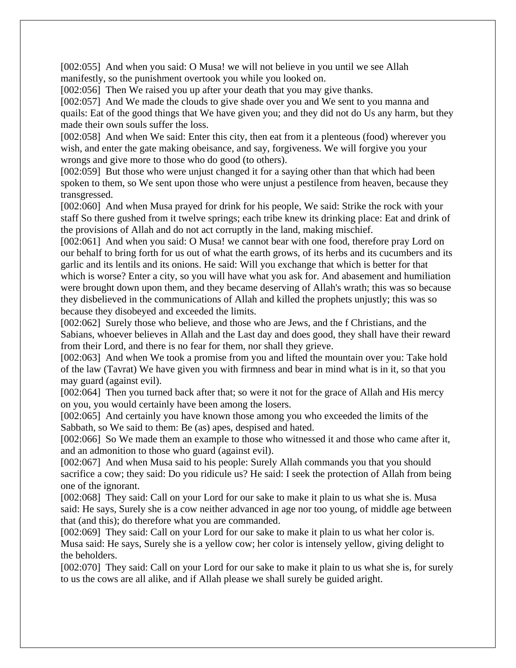[002:055] And when you said: O Musa! we will not believe in you until we see Allah manifestly, so the punishment overtook you while you looked on.

[002:056] Then We raised you up after your death that you may give thanks.

[002:057] And We made the clouds to give shade over you and We sent to you manna and quails: Eat of the good things that We have given you; and they did not do Us any harm, but they made their own souls suffer the loss.

[002:058] And when We said: Enter this city, then eat from it a plenteous (food) wherever you wish, and enter the gate making obeisance, and say, forgiveness. We will forgive you your wrongs and give more to those who do good (to others).

[002:059] But those who were unjust changed it for a saying other than that which had been spoken to them, so We sent upon those who were unjust a pestilence from heaven, because they transgressed.

[002:060] And when Musa prayed for drink for his people, We said: Strike the rock with your staff So there gushed from it twelve springs; each tribe knew its drinking place: Eat and drink of the provisions of Allah and do not act corruptly in the land, making mischief.

[002:061] And when you said: O Musa! we cannot bear with one food, therefore pray Lord on our behalf to bring forth for us out of what the earth grows, of its herbs and its cucumbers and its garlic and its lentils and its onions. He said: Will you exchange that which is better for that which is worse? Enter a city, so you will have what you ask for. And abasement and humiliation were brought down upon them, and they became deserving of Allah's wrath; this was so because they disbelieved in the communications of Allah and killed the prophets unjustly; this was so because they disobeyed and exceeded the limits.

[002:062] Surely those who believe, and those who are Jews, and the f Christians, and the Sabians, whoever believes in Allah and the Last day and does good, they shall have their reward from their Lord, and there is no fear for them, nor shall they grieve.

[002:063] And when We took a promise from you and lifted the mountain over you: Take hold of the law (Tavrat) We have given you with firmness and bear in mind what is in it, so that you may guard (against evil).

[002:064] Then you turned back after that; so were it not for the grace of Allah and His mercy on you, you would certainly have been among the losers.

[002:065] And certainly you have known those among you who exceeded the limits of the Sabbath, so We said to them: Be (as) apes, despised and hated.

[002:066] So We made them an example to those who witnessed it and those who came after it, and an admonition to those who guard (against evil).

[002:067] And when Musa said to his people: Surely Allah commands you that you should sacrifice a cow; they said: Do you ridicule us? He said: I seek the protection of Allah from being one of the ignorant.

[002:068] They said: Call on your Lord for our sake to make it plain to us what she is. Musa said: He says, Surely she is a cow neither advanced in age nor too young, of middle age between that (and this); do therefore what you are commanded.

[002:069] They said: Call on your Lord for our sake to make it plain to us what her color is. Musa said: He says, Surely she is a yellow cow; her color is intensely yellow, giving delight to the beholders.

[002:070] They said: Call on your Lord for our sake to make it plain to us what she is, for surely to us the cows are all alike, and if Allah please we shall surely be guided aright.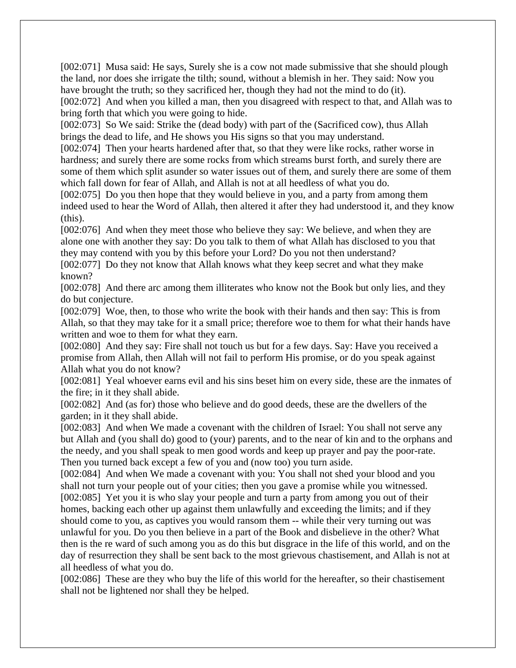[002:071] Musa said: He says, Surely she is a cow not made submissive that she should plough the land, nor does she irrigate the tilth; sound, without a blemish in her. They said: Now you have brought the truth; so they sacrificed her, though they had not the mind to do (it). [002:072] And when you killed a man, then you disagreed with respect to that, and Allah was to bring forth that which you were going to hide.

[002:073] So We said: Strike the (dead body) with part of the (Sacrificed cow), thus Allah brings the dead to life, and He shows you His signs so that you may understand.

[002:074] Then your hearts hardened after that, so that they were like rocks, rather worse in hardness; and surely there are some rocks from which streams burst forth, and surely there are some of them which split asunder so water issues out of them, and surely there are some of them which fall down for fear of Allah, and Allah is not at all heedless of what you do.

[002:075] Do you then hope that they would believe in you, and a party from among them indeed used to hear the Word of Allah, then altered it after they had understood it, and they know (this).

[002:076] And when they meet those who believe they say: We believe, and when they are alone one with another they say: Do you talk to them of what Allah has disclosed to you that they may contend with you by this before your Lord? Do you not then understand?

[002:077] Do they not know that Allah knows what they keep secret and what they make known?

[002:078] And there arc among them illiterates who know not the Book but only lies, and they do but conjecture.

[002:079] Woe, then, to those who write the book with their hands and then say: This is from Allah, so that they may take for it a small price; therefore woe to them for what their hands have written and woe to them for what they earn.

[002:080] And they say: Fire shall not touch us but for a few days. Say: Have you received a promise from Allah, then Allah will not fail to perform His promise, or do you speak against Allah what you do not know?

[002:081] Yeal whoever earns evil and his sins beset him on every side, these are the inmates of the fire; in it they shall abide.

[002:082] And (as for) those who believe and do good deeds, these are the dwellers of the garden; in it they shall abide.

[002:083] And when We made a covenant with the children of Israel: You shall not serve any but Allah and (you shall do) good to (your) parents, and to the near of kin and to the orphans and the needy, and you shall speak to men good words and keep up prayer and pay the poor-rate. Then you turned back except a few of you and (now too) you turn aside.

[002:084] And when We made a covenant with you: You shall not shed your blood and you shall not turn your people out of your cities; then you gave a promise while you witnessed. [002:085] Yet you it is who slay your people and turn a party from among you out of their homes, backing each other up against them unlawfully and exceeding the limits; and if they should come to you, as captives you would ransom them -- while their very turning out was unlawful for you. Do you then believe in a part of the Book and disbelieve in the other? What then is the re ward of such among you as do this but disgrace in the life of this world, and on the day of resurrection they shall be sent back to the most grievous chastisement, and Allah is not at all heedless of what you do.

[002:086] These are they who buy the life of this world for the hereafter, so their chastisement shall not be lightened nor shall they be helped.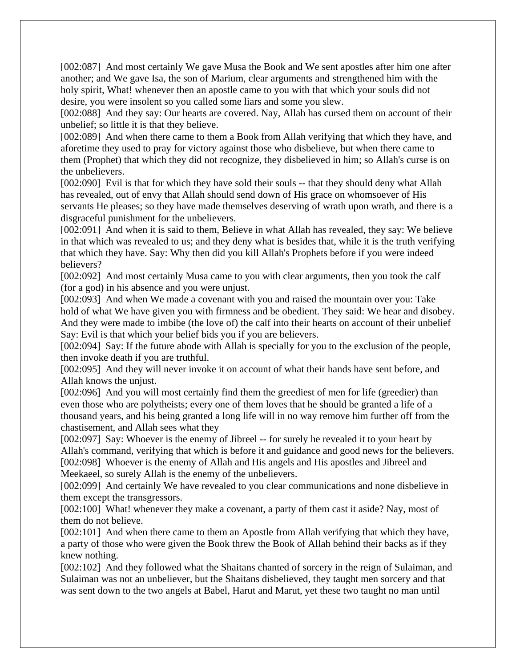[002:087] And most certainly We gave Musa the Book and We sent apostles after him one after another; and We gave Isa, the son of Marium, clear arguments and strengthened him with the holy spirit, What! whenever then an apostle came to you with that which your souls did not desire, you were insolent so you called some liars and some you slew.

[002:088] And they say: Our hearts are covered. Nay, Allah has cursed them on account of their unbelief; so little it is that they believe.

[002:089] And when there came to them a Book from Allah verifying that which they have, and aforetime they used to pray for victory against those who disbelieve, but when there came to them (Prophet) that which they did not recognize, they disbelieved in him; so Allah's curse is on the unbelievers.

[002:090] Evil is that for which they have sold their souls -- that they should deny what Allah has revealed, out of envy that Allah should send down of His grace on whomsoever of His servants He pleases; so they have made themselves deserving of wrath upon wrath, and there is a disgraceful punishment for the unbelievers.

[002:091] And when it is said to them, Believe in what Allah has revealed, they say: We believe in that which was revealed to us; and they deny what is besides that, while it is the truth verifying that which they have. Say: Why then did you kill Allah's Prophets before if you were indeed believers?

[002:092] And most certainly Musa came to you with clear arguments, then you took the calf (for a god) in his absence and you were unjust.

[002:093] And when We made a covenant with you and raised the mountain over you: Take hold of what We have given you with firmness and be obedient. They said: We hear and disobey. And they were made to imbibe (the love of) the calf into their hearts on account of their unbelief Say: Evil is that which your belief bids you if you are believers.

[002:094] Say: If the future abode with Allah is specially for you to the exclusion of the people, then invoke death if you are truthful.

[002:095] And they will never invoke it on account of what their hands have sent before, and Allah knows the unjust.

[002:096] And you will most certainly find them the greediest of men for life (greedier) than even those who are polytheists; every one of them loves that he should be granted a life of a thousand years, and his being granted a long life will in no way remove him further off from the chastisement, and Allah sees what they

[002:097] Say: Whoever is the enemy of Jibreel -- for surely he revealed it to your heart by Allah's command, verifying that which is before it and guidance and good news for the believers. [002:098] Whoever is the enemy of Allah and His angels and His apostles and Jibreel and Meekaeel, so surely Allah is the enemy of the unbelievers.

[002:099] And certainly We have revealed to you clear communications and none disbelieve in them except the transgressors.

[002:100] What! whenever they make a covenant, a party of them cast it aside? Nay, most of them do not believe.

[002:101] And when there came to them an Apostle from Allah verifying that which they have, a party of those who were given the Book threw the Book of Allah behind their backs as if they knew nothing.

[002:102] And they followed what the Shaitans chanted of sorcery in the reign of Sulaiman, and Sulaiman was not an unbeliever, but the Shaitans disbelieved, they taught men sorcery and that was sent down to the two angels at Babel, Harut and Marut, yet these two taught no man until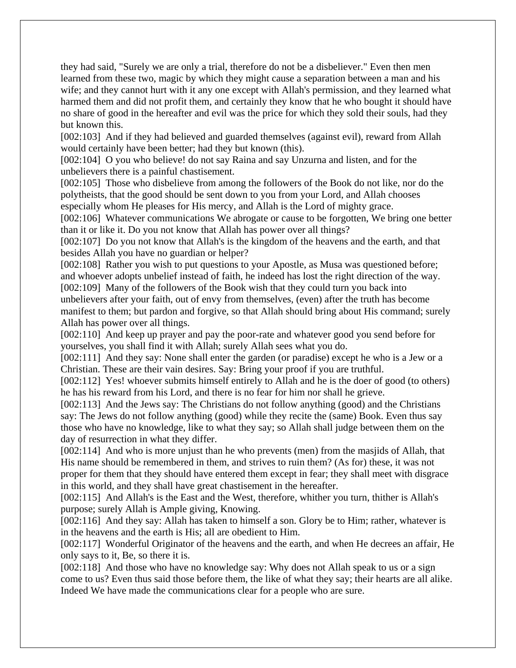they had said, "Surely we are only a trial, therefore do not be a disbeliever." Even then men learned from these two, magic by which they might cause a separation between a man and his wife; and they cannot hurt with it any one except with Allah's permission, and they learned what harmed them and did not profit them, and certainly they know that he who bought it should have no share of good in the hereafter and evil was the price for which they sold their souls, had they but known this.

[002:103] And if they had believed and guarded themselves (against evil), reward from Allah would certainly have been better; had they but known (this).

[002:104] O you who believe! do not say Raina and say Unzurna and listen, and for the unbelievers there is a painful chastisement.

[002:105] Those who disbelieve from among the followers of the Book do not like, nor do the polytheists, that the good should be sent down to you from your Lord, and Allah chooses especially whom He pleases for His mercy, and Allah is the Lord of mighty grace.

[002:106] Whatever communications We abrogate or cause to be forgotten, We bring one better than it or like it. Do you not know that Allah has power over all things?

[002:107] Do you not know that Allah's is the kingdom of the heavens and the earth, and that besides Allah you have no guardian or helper?

[002:108] Rather you wish to put questions to your Apostle, as Musa was questioned before; and whoever adopts unbelief instead of faith, he indeed has lost the right direction of the way. [002:109] Many of the followers of the Book wish that they could turn you back into unbelievers after your faith, out of envy from themselves, (even) after the truth has become

manifest to them; but pardon and forgive, so that Allah should bring about His command; surely Allah has power over all things.

[002:110] And keep up prayer and pay the poor-rate and whatever good you send before for yourselves, you shall find it with Allah; surely Allah sees what you do.

[002:111] And they say: None shall enter the garden (or paradise) except he who is a Jew or a Christian. These are their vain desires. Say: Bring your proof if you are truthful.

[002:112] Yes! whoever submits himself entirely to Allah and he is the doer of good (to others) he has his reward from his Lord, and there is no fear for him nor shall he grieve.

[002:113] And the Jews say: The Christians do not follow anything (good) and the Christians say: The Jews do not follow anything (good) while they recite the (same) Book. Even thus say those who have no knowledge, like to what they say; so Allah shall judge between them on the day of resurrection in what they differ.

[002:114] And who is more unjust than he who prevents (men) from the masjids of Allah, that His name should be remembered in them, and strives to ruin them? (As for) these, it was not proper for them that they should have entered them except in fear; they shall meet with disgrace in this world, and they shall have great chastisement in the hereafter.

[002:115] And Allah's is the East and the West, therefore, whither you turn, thither is Allah's purpose; surely Allah is Ample giving, Knowing.

[002:116] And they say: Allah has taken to himself a son. Glory be to Him; rather, whatever is in the heavens and the earth is His; all are obedient to Him.

[002:117] Wonderful Originator of the heavens and the earth, and when He decrees an affair, He only says to it, Be, so there it is.

[002:118] And those who have no knowledge say: Why does not Allah speak to us or a sign come to us? Even thus said those before them, the like of what they say; their hearts are all alike. Indeed We have made the communications clear for a people who are sure.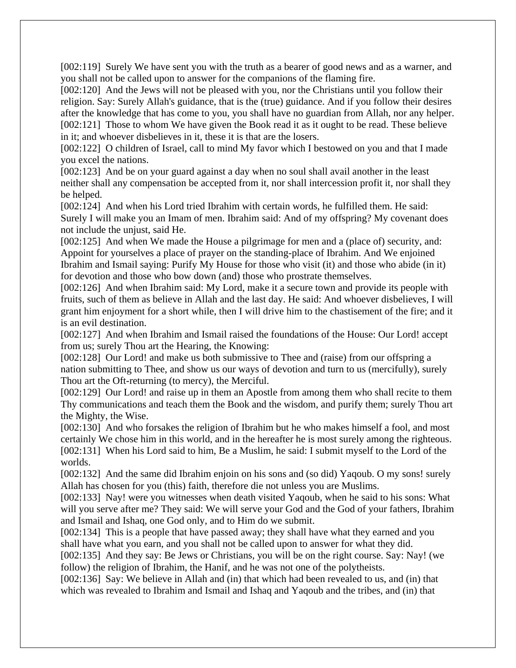[002:119] Surely We have sent you with the truth as a bearer of good news and as a warner, and you shall not be called upon to answer for the companions of the flaming fire.

[002:120] And the Jews will not be pleased with you, nor the Christians until you follow their religion. Say: Surely Allah's guidance, that is the (true) guidance. And if you follow their desires after the knowledge that has come to you, you shall have no guardian from Allah, nor any helper. [002:121] Those to whom We have given the Book read it as it ought to be read. These believe in it; and whoever disbelieves in it, these it is that are the losers.

[002:122] O children of Israel, call to mind My favor which I bestowed on you and that I made you excel the nations.

[002:123] And be on your guard against a day when no soul shall avail another in the least neither shall any compensation be accepted from it, nor shall intercession profit it, nor shall they be helped.

[002:124] And when his Lord tried Ibrahim with certain words, he fulfilled them. He said: Surely I will make you an Imam of men. Ibrahim said: And of my offspring? My covenant does not include the unjust, said He.

[002:125] And when We made the House a pilgrimage for men and a (place of) security, and: Appoint for yourselves a place of prayer on the standing-place of Ibrahim. And We enjoined Ibrahim and Ismail saying: Purify My House for those who visit (it) and those who abide (in it) for devotion and those who bow down (and) those who prostrate themselves.

[002:126] And when Ibrahim said: My Lord, make it a secure town and provide its people with fruits, such of them as believe in Allah and the last day. He said: And whoever disbelieves, I will grant him enjoyment for a short while, then I will drive him to the chastisement of the fire; and it is an evil destination.

[002:127] And when Ibrahim and Ismail raised the foundations of the House: Our Lord! accept from us; surely Thou art the Hearing, the Knowing:

[002:128] Our Lord! and make us both submissive to Thee and (raise) from our offspring a nation submitting to Thee, and show us our ways of devotion and turn to us (mercifully), surely Thou art the Oft-returning (to mercy), the Merciful.

[002:129] Our Lord! and raise up in them an Apostle from among them who shall recite to them Thy communications and teach them the Book and the wisdom, and purify them; surely Thou art the Mighty, the Wise.

[002:130] And who forsakes the religion of Ibrahim but he who makes himself a fool, and most certainly We chose him in this world, and in the hereafter he is most surely among the righteous. [002:131] When his Lord said to him, Be a Muslim, he said: I submit myself to the Lord of the worlds.

[002:132] And the same did Ibrahim enjoin on his sons and (so did) Yaqoub. O my sons! surely Allah has chosen for you (this) faith, therefore die not unless you are Muslims.

[002:133] Nay! were you witnesses when death visited Yaqoub, when he said to his sons: What will you serve after me? They said: We will serve your God and the God of your fathers, Ibrahim and Ismail and Ishaq, one God only, and to Him do we submit.

[002:134] This is a people that have passed away; they shall have what they earned and you shall have what you earn, and you shall not be called upon to answer for what they did.

[002:135] And they say: Be Jews or Christians, you will be on the right course. Say: Nay! (we follow) the religion of Ibrahim, the Hanif, and he was not one of the polytheists.

[002:136] Say: We believe in Allah and (in) that which had been revealed to us, and (in) that which was revealed to Ibrahim and Ismail and Ishaq and Yaqoub and the tribes, and (in) that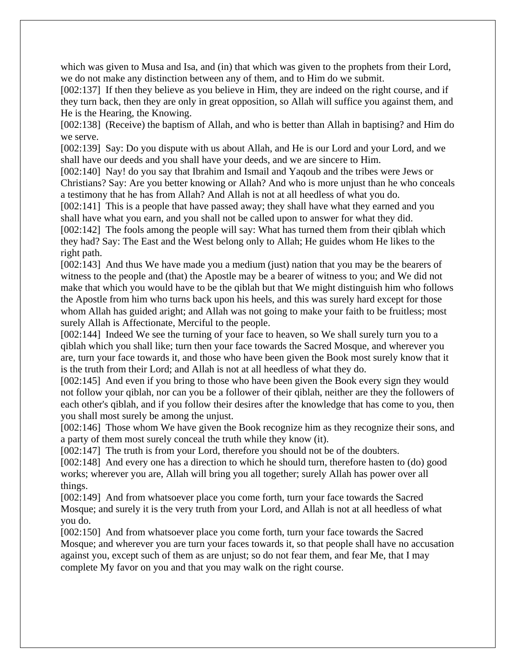which was given to Musa and Isa, and (in) that which was given to the prophets from their Lord, we do not make any distinction between any of them, and to Him do we submit.

[002:137] If then they believe as you believe in Him, they are indeed on the right course, and if they turn back, then they are only in great opposition, so Allah will suffice you against them, and He is the Hearing, the Knowing.

[002:138] (Receive) the baptism of Allah, and who is better than Allah in baptising? and Him do we serve.

[002:139] Say: Do you dispute with us about Allah, and He is our Lord and your Lord, and we shall have our deeds and you shall have your deeds, and we are sincere to Him.

[002:140] Nay! do you say that Ibrahim and Ismail and Yaqoub and the tribes were Jews or Christians? Say: Are you better knowing or Allah? And who is more unjust than he who conceals a testimony that he has from Allah? And Allah is not at all heedless of what you do.

[002:141] This is a people that have passed away; they shall have what they earned and you shall have what you earn, and you shall not be called upon to answer for what they did.

[002:142] The fools among the people will say: What has turned them from their qiblah which they had? Say: The East and the West belong only to Allah; He guides whom He likes to the right path.

[002:143] And thus We have made you a medium (just) nation that you may be the bearers of witness to the people and (that) the Apostle may be a bearer of witness to you; and We did not make that which you would have to be the qiblah but that We might distinguish him who follows the Apostle from him who turns back upon his heels, and this was surely hard except for those whom Allah has guided aright; and Allah was not going to make your faith to be fruitless; most surely Allah is Affectionate, Merciful to the people.

[002:144] Indeed We see the turning of your face to heaven, so We shall surely turn you to a qiblah which you shall like; turn then your face towards the Sacred Mosque, and wherever you are, turn your face towards it, and those who have been given the Book most surely know that it is the truth from their Lord; and Allah is not at all heedless of what they do.

[002:145] And even if you bring to those who have been given the Book every sign they would not follow your qiblah, nor can you be a follower of their qiblah, neither are they the followers of each other's qiblah, and if you follow their desires after the knowledge that has come to you, then you shall most surely be among the unjust.

[002:146] Those whom We have given the Book recognize him as they recognize their sons, and a party of them most surely conceal the truth while they know (it).

[002:147] The truth is from your Lord, therefore you should not be of the doubters.

[002:148] And every one has a direction to which he should turn, therefore hasten to (do) good works; wherever you are, Allah will bring you all together; surely Allah has power over all things.

[002:149] And from whatsoever place you come forth, turn your face towards the Sacred Mosque; and surely it is the very truth from your Lord, and Allah is not at all heedless of what you do.

[002:150] And from whatsoever place you come forth, turn your face towards the Sacred Mosque; and wherever you are turn your faces towards it, so that people shall have no accusation against you, except such of them as are unjust; so do not fear them, and fear Me, that I may complete My favor on you and that you may walk on the right course.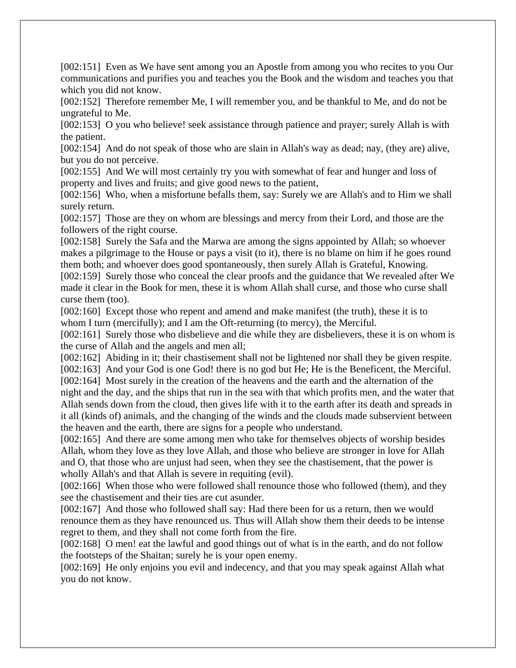[002:151] Even as We have sent among you an Apostle from among you who recites to you Our communications and purifies you and teaches you the Book and the wisdom and teaches you that which you did not know.

[002:152] Therefore remember Me, I will remember you, and be thankful to Me, and do not be ungrateful to Me.

[002:153] O you who believe! seek assistance through patience and prayer; surely Allah is with the patient.

[002:154] And do not speak of those who are slain in Allah's way as dead; nay, (they are) alive, but you do not perceive.

[002:155] And We will most certainly try you with somewhat of fear and hunger and loss of property and lives and fruits; and give good news to the patient,

[002:156] Who, when a misfortune befalls them, say: Surely we are Allah's and to Him we shall surely return.

[002:157] Those are they on whom are blessings and mercy from their Lord, and those are the followers of the right course.

[002:158] Surely the Safa and the Marwa are among the signs appointed by Allah; so whoever makes a pilgrimage to the House or pays a visit (to it), there is no blame on him if he goes round them both; and whoever does good spontaneously, then surely Allah is Grateful, Knowing.

[002:159] Surely those who conceal the clear proofs and the guidance that We revealed after We made it clear in the Book for men, these it is whom Allah shall curse, and those who curse shall curse them (too).

[002:160] Except those who repent and amend and make manifest (the truth), these it is to whom I turn (mercifully); and I am the Oft-returning (to mercy), the Merciful.

[002:161] Surely those who disbelieve and die while they are disbelievers, these it is on whom is the curse of Allah and the angels and men all;

[002:162] Abiding in it; their chastisement shall not be lightened nor shall they be given respite.

[002:163] And your God is one God! there is no god but He; He is the Beneficent, the Merciful.

[002:164] Most surely in the creation of the heavens and the earth and the alternation of the night and the day, and the ships that run in the sea with that which profits men, and the water that Allah sends down from the cloud, then gives life with it to the earth after its death and spreads in it all (kinds of) animals, and the changing of the winds and the clouds made subservient between the heaven and the earth, there are signs for a people who understand.

[002:165] And there are some among men who take for themselves objects of worship besides Allah, whom they love as they love Allah, and those who believe are stronger in love for Allah and O, that those who are unjust had seen, when they see the chastisement, that the power is wholly Allah's and that Allah is severe in requiting (evil).

[002:166] When those who were followed shall renounce those who followed (them), and they see the chastisement and their ties are cut asunder.

[002:167] And those who followed shall say: Had there been for us a return, then we would renounce them as they have renounced us. Thus will Allah show them their deeds to be intense regret to them, and they shall not come forth from the fire.

[002:168] O men! eat the lawful and good things out of what is in the earth, and do not follow the footsteps of the Shaitan; surely he is your open enemy.

[002:169] He only enjoins you evil and indecency, and that you may speak against Allah what you do not know.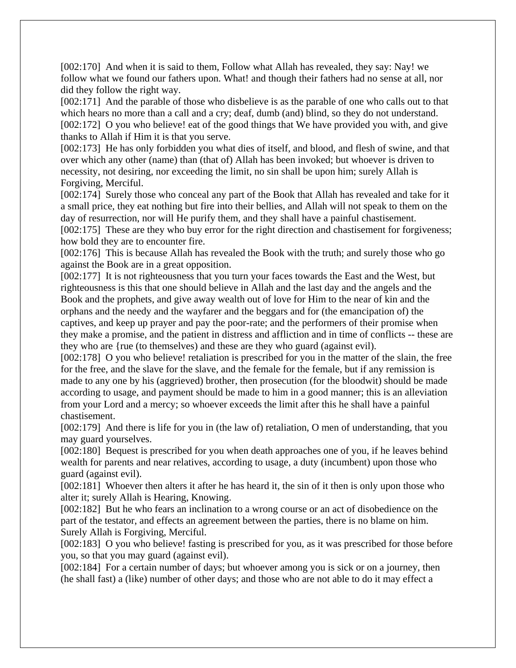[002:170] And when it is said to them, Follow what Allah has revealed, they say: Nay! we follow what we found our fathers upon. What! and though their fathers had no sense at all, nor did they follow the right way.

[002:171] And the parable of those who disbelieve is as the parable of one who calls out to that which hears no more than a call and a cry; deaf, dumb (and) blind, so they do not understand. [002:172] O you who believe! eat of the good things that We have provided you with, and give thanks to Allah if Him it is that you serve.

[002:173] He has only forbidden you what dies of itself, and blood, and flesh of swine, and that over which any other (name) than (that of) Allah has been invoked; but whoever is driven to necessity, not desiring, nor exceeding the limit, no sin shall be upon him; surely Allah is Forgiving, Merciful.

[002:174] Surely those who conceal any part of the Book that Allah has revealed and take for it a small price, they eat nothing but fire into their bellies, and Allah will not speak to them on the day of resurrection, nor will He purify them, and they shall have a painful chastisement.

[002:175] These are they who buy error for the right direction and chastisement for forgiveness; how bold they are to encounter fire.

[002:176] This is because Allah has revealed the Book with the truth; and surely those who go against the Book are in a great opposition.

[002:177] It is not righteousness that you turn your faces towards the East and the West, but righteousness is this that one should believe in Allah and the last day and the angels and the Book and the prophets, and give away wealth out of love for Him to the near of kin and the orphans and the needy and the wayfarer and the beggars and for (the emancipation of) the captives, and keep up prayer and pay the poor-rate; and the performers of their promise when they make a promise, and the patient in distress and affliction and in time of conflicts -- these are they who are {rue (to themselves) and these are they who guard (against evil).

[002:178] O you who believe! retaliation is prescribed for you in the matter of the slain, the free for the free, and the slave for the slave, and the female for the female, but if any remission is made to any one by his (aggrieved) brother, then prosecution (for the bloodwit) should be made according to usage, and payment should be made to him in a good manner; this is an alleviation from your Lord and a mercy; so whoever exceeds the limit after this he shall have a painful chastisement.

[002:179] And there is life for you in (the law of) retaliation, O men of understanding, that you may guard yourselves.

[002:180] Bequest is prescribed for you when death approaches one of you, if he leaves behind wealth for parents and near relatives, according to usage, a duty (incumbent) upon those who guard (against evil).

[002:181] Whoever then alters it after he has heard it, the sin of it then is only upon those who alter it; surely Allah is Hearing, Knowing.

[002:182] But he who fears an inclination to a wrong course or an act of disobedience on the part of the testator, and effects an agreement between the parties, there is no blame on him. Surely Allah is Forgiving, Merciful.

[002:183] O you who believe! fasting is prescribed for you, as it was prescribed for those before you, so that you may guard (against evil).

[002:184] For a certain number of days; but whoever among you is sick or on a journey, then (he shall fast) a (like) number of other days; and those who are not able to do it may effect a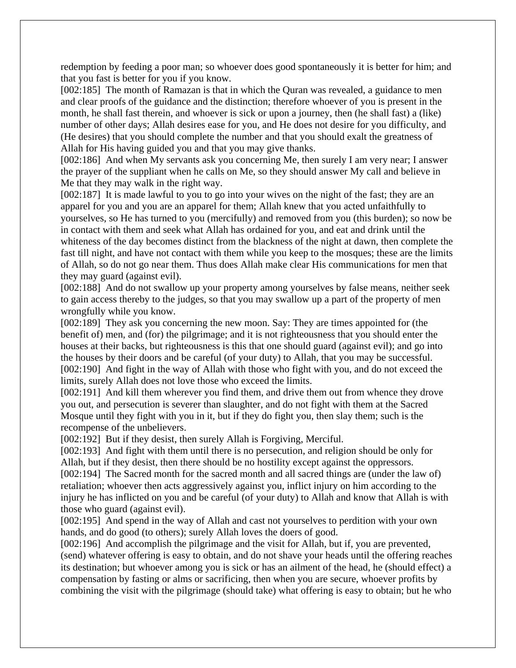redemption by feeding a poor man; so whoever does good spontaneously it is better for him; and that you fast is better for you if you know.

[002:185] The month of Ramazan is that in which the Quran was revealed, a guidance to men and clear proofs of the guidance and the distinction; therefore whoever of you is present in the month, he shall fast therein, and whoever is sick or upon a journey, then (he shall fast) a (like) number of other days; Allah desires ease for you, and He does not desire for you difficulty, and (He desires) that you should complete the number and that you should exalt the greatness of Allah for His having guided you and that you may give thanks.

[002:186] And when My servants ask you concerning Me, then surely I am very near; I answer the prayer of the suppliant when he calls on Me, so they should answer My call and believe in Me that they may walk in the right way.

[002:187] It is made lawful to you to go into your wives on the night of the fast; they are an apparel for you and you are an apparel for them; Allah knew that you acted unfaithfully to yourselves, so He has turned to you (mercifully) and removed from you (this burden); so now be in contact with them and seek what Allah has ordained for you, and eat and drink until the whiteness of the day becomes distinct from the blackness of the night at dawn, then complete the fast till night, and have not contact with them while you keep to the mosques; these are the limits of Allah, so do not go near them. Thus does Allah make clear His communications for men that they may guard (against evil).

[002:188] And do not swallow up your property among yourselves by false means, neither seek to gain access thereby to the judges, so that you may swallow up a part of the property of men wrongfully while you know.

[002:189] They ask you concerning the new moon. Say: They are times appointed for (the benefit of) men, and (for) the pilgrimage; and it is not righteousness that you should enter the houses at their backs, but righteousness is this that one should guard (against evil); and go into the houses by their doors and be careful (of your duty) to Allah, that you may be successful. [002:190] And fight in the way of Allah with those who fight with you, and do not exceed the limits, surely Allah does not love those who exceed the limits.

[002:191] And kill them wherever you find them, and drive them out from whence they drove you out, and persecution is severer than slaughter, and do not fight with them at the Sacred Mosque until they fight with you in it, but if they do fight you, then slay them; such is the recompense of the unbelievers.

[002:192] But if they desist, then surely Allah is Forgiving, Merciful.

[002:193] And fight with them until there is no persecution, and religion should be only for Allah, but if they desist, then there should be no hostility except against the oppressors.

[002:194] The Sacred month for the sacred month and all sacred things are (under the law of) retaliation; whoever then acts aggressively against you, inflict injury on him according to the injury he has inflicted on you and be careful (of your duty) to Allah and know that Allah is with those who guard (against evil).

[002:195] And spend in the way of Allah and cast not yourselves to perdition with your own hands, and do good (to others); surely Allah loves the doers of good.

[002:196] And accomplish the pilgrimage and the visit for Allah, but if, you are prevented, (send) whatever offering is easy to obtain, and do not shave your heads until the offering reaches its destination; but whoever among you is sick or has an ailment of the head, he (should effect) a compensation by fasting or alms or sacrificing, then when you are secure, whoever profits by combining the visit with the pilgrimage (should take) what offering is easy to obtain; but he who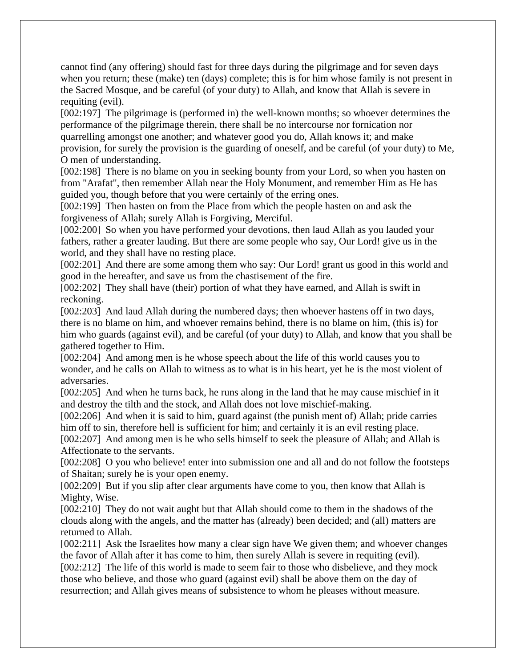cannot find (any offering) should fast for three days during the pilgrimage and for seven days when you return; these (make) ten (days) complete; this is for him whose family is not present in the Sacred Mosque, and be careful (of your duty) to Allah, and know that Allah is severe in requiting (evil).

[002:197] The pilgrimage is (performed in) the well-known months; so whoever determines the performance of the pilgrimage therein, there shall be no intercourse nor fornication nor quarrelling amongst one another; and whatever good you do, Allah knows it; and make provision, for surely the provision is the guarding of oneself, and be careful (of your duty) to Me, O men of understanding.

[002:198] There is no blame on you in seeking bounty from your Lord, so when you hasten on from "Arafat", then remember Allah near the Holy Monument, and remember Him as He has guided you, though before that you were certainly of the erring ones.

[002:199] Then hasten on from the Place from which the people hasten on and ask the forgiveness of Allah; surely Allah is Forgiving, Merciful.

[002:200] So when you have performed your devotions, then laud Allah as you lauded your fathers, rather a greater lauding. But there are some people who say, Our Lord! give us in the world, and they shall have no resting place.

[002:201] And there are some among them who say: Our Lord! grant us good in this world and good in the hereafter, and save us from the chastisement of the fire.

[002:202] They shall have (their) portion of what they have earned, and Allah is swift in reckoning.

[002:203] And laud Allah during the numbered days; then whoever hastens off in two days, there is no blame on him, and whoever remains behind, there is no blame on him, (this is) for him who guards (against evil), and be careful (of your duty) to Allah, and know that you shall be gathered together to Him.

[002:204] And among men is he whose speech about the life of this world causes you to wonder, and he calls on Allah to witness as to what is in his heart, yet he is the most violent of adversaries.

[002:205] And when he turns back, he runs along in the land that he may cause mischief in it and destroy the tilth and the stock, and Allah does not love mischief-making.

[002:206] And when it is said to him, guard against (the punish ment of) Allah; pride carries him off to sin, therefore hell is sufficient for him; and certainly it is an evil resting place.

[002:207] And among men is he who sells himself to seek the pleasure of Allah; and Allah is Affectionate to the servants.

[002:208] O you who believe! enter into submission one and all and do not follow the footsteps of Shaitan; surely he is your open enemy.

[002:209] But if you slip after clear arguments have come to you, then know that Allah is Mighty, Wise.

[002:210] They do not wait aught but that Allah should come to them in the shadows of the clouds along with the angels, and the matter has (already) been decided; and (all) matters are returned to Allah.

[002:211] Ask the Israelites how many a clear sign have We given them; and whoever changes the favor of Allah after it has come to him, then surely Allah is severe in requiting (evil). [002:212] The life of this world is made to seem fair to those who disbelieve, and they mock those who believe, and those who guard (against evil) shall be above them on the day of resurrection; and Allah gives means of subsistence to whom he pleases without measure.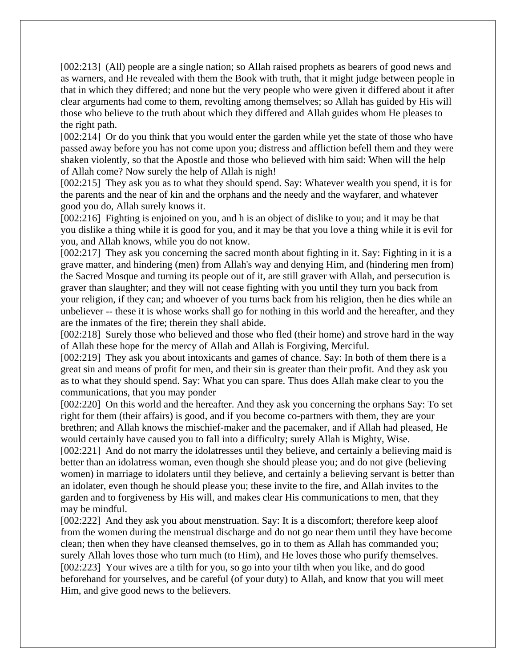[002:213] (All) people are a single nation; so Allah raised prophets as bearers of good news and as warners, and He revealed with them the Book with truth, that it might judge between people in that in which they differed; and none but the very people who were given it differed about it after clear arguments had come to them, revolting among themselves; so Allah has guided by His will those who believe to the truth about which they differed and Allah guides whom He pleases to the right path.

[002:214] Or do you think that you would enter the garden while yet the state of those who have passed away before you has not come upon you; distress and affliction befell them and they were shaken violently, so that the Apostle and those who believed with him said: When will the help of Allah come? Now surely the help of Allah is nigh!

[002:215] They ask you as to what they should spend. Say: Whatever wealth you spend, it is for the parents and the near of kin and the orphans and the needy and the wayfarer, and whatever good you do, Allah surely knows it.

[002:216] Fighting is enjoined on you, and h is an object of dislike to you; and it may be that you dislike a thing while it is good for you, and it may be that you love a thing while it is evil for you, and Allah knows, while you do not know.

[002:217] They ask you concerning the sacred month about fighting in it. Say: Fighting in it is a grave matter, and hindering (men) from Allah's way and denying Him, and (hindering men from) the Sacred Mosque and turning its people out of it, are still graver with Allah, and persecution is graver than slaughter; and they will not cease fighting with you until they turn you back from your religion, if they can; and whoever of you turns back from his religion, then he dies while an unbeliever -- these it is whose works shall go for nothing in this world and the hereafter, and they are the inmates of the fire; therein they shall abide.

[002:218] Surely those who believed and those who fled (their home) and strove hard in the way of Allah these hope for the mercy of Allah and Allah is Forgiving, Merciful.

[002:219] They ask you about intoxicants and games of chance. Say: In both of them there is a great sin and means of profit for men, and their sin is greater than their profit. And they ask you as to what they should spend. Say: What you can spare. Thus does Allah make clear to you the communications, that you may ponder

[002:220] On this world and the hereafter. And they ask you concerning the orphans Say: To set right for them (their affairs) is good, and if you become co-partners with them, they are your brethren; and Allah knows the mischief-maker and the pacemaker, and if Allah had pleased, He would certainly have caused you to fall into a difficulty; surely Allah is Mighty, Wise.

[002:221] And do not marry the idolatenesses until they believe, and certainly a believing maid is better than an idolatress woman, even though she should please you; and do not give (believing women) in marriage to idolaters until they believe, and certainly a believing servant is better than an idolater, even though he should please you; these invite to the fire, and Allah invites to the garden and to forgiveness by His will, and makes clear His communications to men, that they may be mindful.

[002:222] And they ask you about menstruation. Say: It is a discomfort; therefore keep aloof from the women during the menstrual discharge and do not go near them until they have become clean; then when they have cleansed themselves, go in to them as Allah has commanded you; surely Allah loves those who turn much (to Him), and He loves those who purify themselves. [002:223] Your wives are a tilth for you, so go into your tilth when you like, and do good beforehand for yourselves, and be careful (of your duty) to Allah, and know that you will meet Him, and give good news to the believers.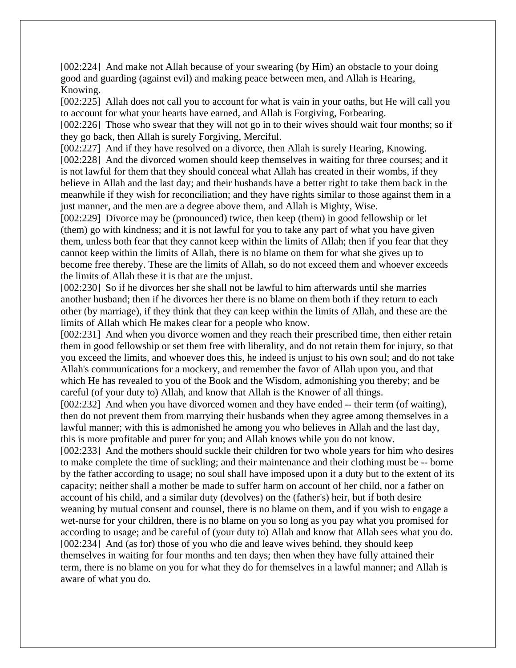[002:224] And make not Allah because of your swearing (by Him) an obstacle to your doing good and guarding (against evil) and making peace between men, and Allah is Hearing, Knowing.

[002:225] Allah does not call you to account for what is vain in your oaths, but He will call you to account for what your hearts have earned, and Allah is Forgiving, Forbearing.

[002:226] Those who swear that they will not go in to their wives should wait four months; so if they go back, then Allah is surely Forgiving, Merciful.

[002:227] And if they have resolved on a divorce, then Allah is surely Hearing, Knowing. [002:228] And the divorced women should keep themselves in waiting for three courses; and it is not lawful for them that they should conceal what Allah has created in their wombs, if they believe in Allah and the last day; and their husbands have a better right to take them back in the meanwhile if they wish for reconciliation; and they have rights similar to those against them in a just manner, and the men are a degree above them, and Allah is Mighty, Wise.

[002:229] Divorce may be (pronounced) twice, then keep (them) in good fellowship or let (them) go with kindness; and it is not lawful for you to take any part of what you have given them, unless both fear that they cannot keep within the limits of Allah; then if you fear that they cannot keep within the limits of Allah, there is no blame on them for what she gives up to become free thereby. These are the limits of Allah, so do not exceed them and whoever exceeds the limits of Allah these it is that are the unjust.

[002:230] So if he divorces her she shall not be lawful to him afterwards until she marries another husband; then if he divorces her there is no blame on them both if they return to each other (by marriage), if they think that they can keep within the limits of Allah, and these are the limits of Allah which He makes clear for a people who know.

[002:231] And when you divorce women and they reach their prescribed time, then either retain them in good fellowship or set them free with liberality, and do not retain them for injury, so that you exceed the limits, and whoever does this, he indeed is unjust to his own soul; and do not take Allah's communications for a mockery, and remember the favor of Allah upon you, and that which He has revealed to you of the Book and the Wisdom, admonishing you thereby; and be careful (of your duty to) Allah, and know that Allah is the Knower of all things.

[002:232] And when you have divorced women and they have ended -- their term (of waiting), then do not prevent them from marrying their husbands when they agree among themselves in a lawful manner; with this is admonished he among you who believes in Allah and the last day, this is more profitable and purer for you; and Allah knows while you do not know.

[002:233] And the mothers should suckle their children for two whole years for him who desires to make complete the time of suckling; and their maintenance and their clothing must be -- borne by the father according to usage; no soul shall have imposed upon it a duty but to the extent of its capacity; neither shall a mother be made to suffer harm on account of her child, nor a father on account of his child, and a similar duty (devolves) on the (father's) heir, but if both desire weaning by mutual consent and counsel, there is no blame on them, and if you wish to engage a wet-nurse for your children, there is no blame on you so long as you pay what you promised for according to usage; and be careful of (your duty to) Allah and know that Allah sees what you do. [002:234] And (as for) those of you who die and leave wives behind, they should keep themselves in waiting for four months and ten days; then when they have fully attained their term, there is no blame on you for what they do for themselves in a lawful manner; and Allah is aware of what you do.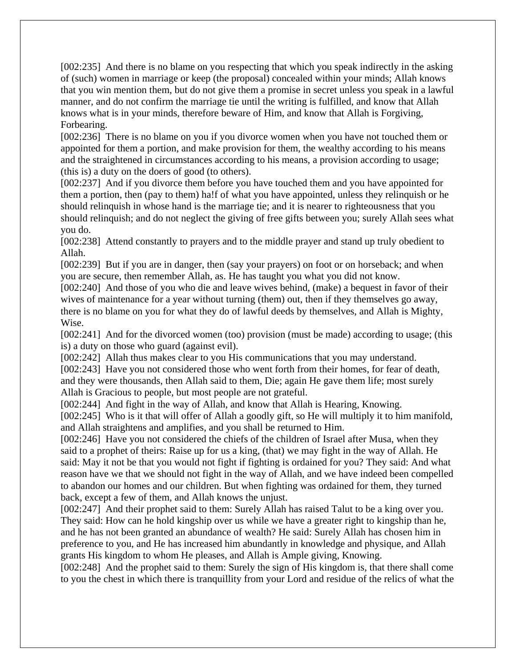[002:235] And there is no blame on you respecting that which you speak indirectly in the asking of (such) women in marriage or keep (the proposal) concealed within your minds; Allah knows that you win mention them, but do not give them a promise in secret unless you speak in a lawful manner, and do not confirm the marriage tie until the writing is fulfilled, and know that Allah knows what is in your minds, therefore beware of Him, and know that Allah is Forgiving, Forbearing.

[002:236] There is no blame on you if you divorce women when you have not touched them or appointed for them a portion, and make provision for them, the wealthy according to his means and the straightened in circumstances according to his means, a provision according to usage; (this is) a duty on the doers of good (to others).

[002:237] And if you divorce them before you have touched them and you have appointed for them a portion, then (pay to them) ha!f of what you have appointed, unless they relinquish or he should relinquish in whose hand is the marriage tie; and it is nearer to righteousness that you should relinquish; and do not neglect the giving of free gifts between you; surely Allah sees what you do.

[002:238] Attend constantly to prayers and to the middle prayer and stand up truly obedient to Allah.

[002:239] But if you are in danger, then (say your prayers) on foot or on horseback; and when you are secure, then remember Allah, as. He has taught you what you did not know.

[002:240] And those of you who die and leave wives behind, (make) a bequest in favor of their wives of maintenance for a year without turning (them) out, then if they themselves go away, there is no blame on you for what they do of lawful deeds by themselves, and Allah is Mighty, Wise.

[002:241] And for the divorced women (too) provision (must be made) according to usage; (this is) a duty on those who guard (against evil).

[002:242] Allah thus makes clear to you His communications that you may understand. [002:243] Have you not considered those who went forth from their homes, for fear of death, and they were thousands, then Allah said to them, Die; again He gave them life; most surely Allah is Gracious to people, but most people are not grateful.

[002:244] And fight in the way of Allah, and know that Allah is Hearing, Knowing.

[002:245] Who is it that will offer of Allah a goodly gift, so He will multiply it to him manifold, and Allah straightens and amplifies, and you shall be returned to Him.

[002:246] Have you not considered the chiefs of the children of Israel after Musa, when they said to a prophet of theirs: Raise up for us a king, (that) we may fight in the way of Allah. He said: May it not be that you would not fight if fighting is ordained for you? They said: And what reason have we that we should not fight in the way of Allah, and we have indeed been compelled to abandon our homes and our children. But when fighting was ordained for them, they turned back, except a few of them, and Allah knows the unjust.

[002:247] And their prophet said to them: Surely Allah has raised Talut to be a king over you. They said: How can he hold kingship over us while we have a greater right to kingship than he, and he has not been granted an abundance of wealth? He said: Surely Allah has chosen him in preference to you, and He has increased him abundantly in knowledge and physique, and Allah grants His kingdom to whom He pleases, and Allah is Ample giving, Knowing.

[002:248] And the prophet said to them: Surely the sign of His kingdom is, that there shall come to you the chest in which there is tranquillity from your Lord and residue of the relics of what the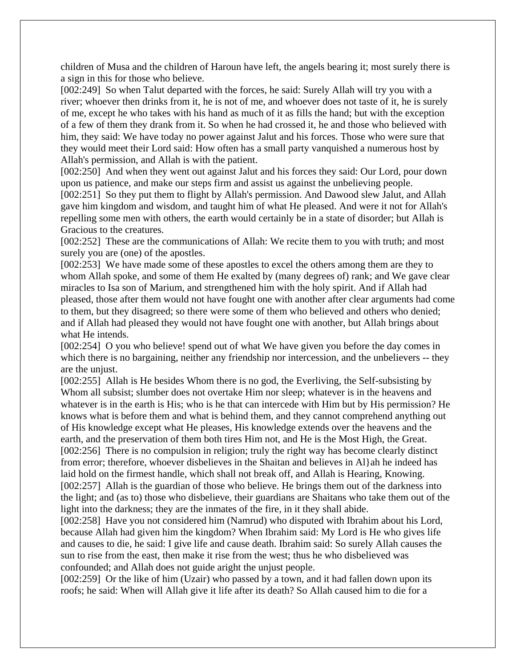children of Musa and the children of Haroun have left, the angels bearing it; most surely there is a sign in this for those who believe.

[002:249] So when Talut departed with the forces, he said: Surely Allah will try you with a river; whoever then drinks from it, he is not of me, and whoever does not taste of it, he is surely of me, except he who takes with his hand as much of it as fills the hand; but with the exception of a few of them they drank from it. So when he had crossed it, he and those who believed with him, they said: We have today no power against Jalut and his forces. Those who were sure that they would meet their Lord said: How often has a small party vanquished a numerous host by Allah's permission, and Allah is with the patient.

[002:250] And when they went out against Jalut and his forces they said: Our Lord, pour down upon us patience, and make our steps firm and assist us against the unbelieving people.

[002:251] So they put them to flight by Allah's permission. And Dawood slew Jalut, and Allah gave him kingdom and wisdom, and taught him of what He pleased. And were it not for Allah's repelling some men with others, the earth would certainly be in a state of disorder; but Allah is Gracious to the creatures.

[002:252] These are the communications of Allah: We recite them to you with truth; and most surely you are (one) of the apostles.

[002:253] We have made some of these apostles to excel the others among them are they to whom Allah spoke, and some of them He exalted by (many degrees of) rank; and We gave clear miracles to Isa son of Marium, and strengthened him with the holy spirit. And if Allah had pleased, those after them would not have fought one with another after clear arguments had come to them, but they disagreed; so there were some of them who believed and others who denied; and if Allah had pleased they would not have fought one with another, but Allah brings about what He intends.

[002:254] O you who believe! spend out of what We have given you before the day comes in which there is no bargaining, neither any friendship nor intercession, and the unbelievers -- they are the unjust.

[002:255] Allah is He besides Whom there is no god, the Everliving, the Self-subsisting by Whom all subsist; slumber does not overtake Him nor sleep; whatever is in the heavens and whatever is in the earth is His; who is he that can intercede with Him but by His permission? He knows what is before them and what is behind them, and they cannot comprehend anything out of His knowledge except what He pleases, His knowledge extends over the heavens and the earth, and the preservation of them both tires Him not, and He is the Most High, the Great. [002:256] There is no compulsion in religion; truly the right way has become clearly distinct from error; therefore, whoever disbelieves in the Shaitan and believes in Al}ah he indeed has laid hold on the firmest handle, which shall not break off, and Allah is Hearing, Knowing. [002:257] Allah is the guardian of those who believe. He brings them out of the darkness into the light; and (as to) those who disbelieve, their guardians are Shaitans who take them out of the light into the darkness; they are the inmates of the fire, in it they shall abide.

[002:258] Have you not considered him (Namrud) who disputed with Ibrahim about his Lord, because Allah had given him the kingdom? When Ibrahim said: My Lord is He who gives life and causes to die, he said: I give life and cause death. Ibrahim said: So surely Allah causes the sun to rise from the east, then make it rise from the west; thus he who disbelieved was confounded; and Allah does not guide aright the unjust people.

[002:259] Or the like of him (Uzair) who passed by a town, and it had fallen down upon its roofs; he said: When will Allah give it life after its death? So Allah caused him to die for a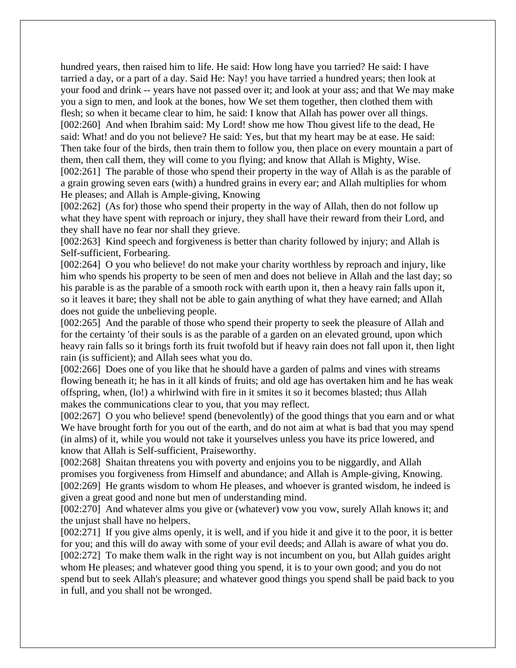hundred years, then raised him to life. He said: How long have you tarried? He said: I have tarried a day, or a part of a day. Said He: Nay! you have tarried a hundred years; then look at your food and drink -- years have not passed over it; and look at your ass; and that We may make you a sign to men, and look at the bones, how We set them together, then clothed them with flesh; so when it became clear to him, he said: I know that Allah has power over all things. [002:260] And when Ibrahim said: My Lord! show me how Thou givest life to the dead, He said: What! and do you not believe? He said: Yes, but that my heart may be at ease. He said: Then take four of the birds, then train them to follow you, then place on every mountain a part of them, then call them, they will come to you flying; and know that Allah is Mighty, Wise.

[002:261] The parable of those who spend their property in the way of Allah is as the parable of a grain growing seven ears (with) a hundred grains in every ear; and Allah multiplies for whom He pleases; and Allah is Ample-giving, Knowing

[002:262] (As for) those who spend their property in the way of Allah, then do not follow up what they have spent with reproach or injury, they shall have their reward from their Lord, and they shall have no fear nor shall they grieve.

[002:263] Kind speech and forgiveness is better than charity followed by injury; and Allah is Self-sufficient, Forbearing.

[002:264] O you who believe! do not make your charity worthless by reproach and injury, like him who spends his property to be seen of men and does not believe in Allah and the last day; so his parable is as the parable of a smooth rock with earth upon it, then a heavy rain falls upon it, so it leaves it bare; they shall not be able to gain anything of what they have earned; and Allah does not guide the unbelieving people.

[002:265] And the parable of those who spend their property to seek the pleasure of Allah and for the certainty 'of their souls is as the parable of a garden on an elevated ground, upon which heavy rain falls so it brings forth its fruit twofold but if heavy rain does not fall upon it, then light rain (is sufficient); and Allah sees what you do.

[002:266] Does one of you like that he should have a garden of palms and vines with streams flowing beneath it; he has in it all kinds of fruits; and old age has overtaken him and he has weak offspring, when, (lo!) a whirlwind with fire in it smites it so it becomes blasted; thus Allah makes the communications clear to you, that you may reflect.

[002:267] O you who believe! spend (benevolently) of the good things that you earn and or what We have brought forth for you out of the earth, and do not aim at what is bad that you may spend (in alms) of it, while you would not take it yourselves unless you have its price lowered, and know that Allah is Self-sufficient, Praiseworthy.

[002:268] Shaitan threatens you with poverty and enjoins you to be niggardly, and Allah promises you forgiveness from Himself and abundance; and Allah is Ample-giving, Knowing. [002:269] He grants wisdom to whom He pleases, and whoever is granted wisdom, he indeed is given a great good and none but men of understanding mind.

[002:270] And whatever alms you give or (whatever) vow you vow, surely Allah knows it; and the unjust shall have no helpers.

[002:271] If you give alms openly, it is well, and if you hide it and give it to the poor, it is better for you; and this will do away with some of your evil deeds; and Allah is aware of what you do. [002:272] To make them walk in the right way is not incumbent on you, but Allah guides aright whom He pleases; and whatever good thing you spend, it is to your own good; and you do not spend but to seek Allah's pleasure; and whatever good things you spend shall be paid back to you in full, and you shall not be wronged.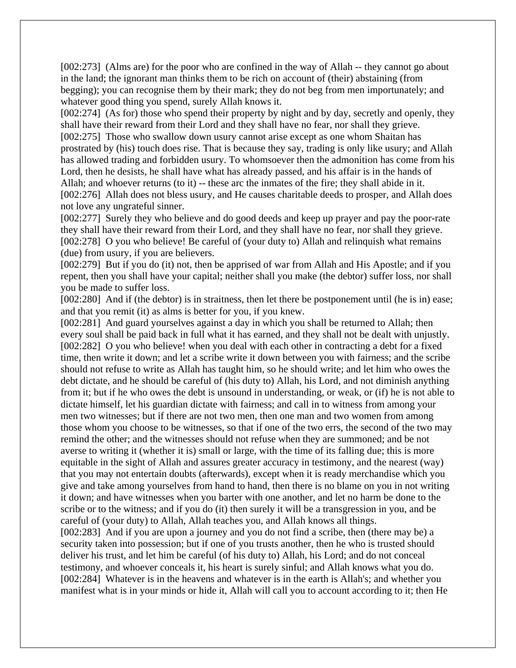[002:273] (Alms are) for the poor who are confined in the way of Allah -- they cannot go about in the land; the ignorant man thinks them to be rich on account of (their) abstaining (from begging); you can recognise them by their mark; they do not beg from men importunately; and whatever good thing you spend, surely Allah knows it.

[002:274] (As for) those who spend their property by night and by day, secretly and openly, they shall have their reward from their Lord and they shall have no fear, nor shall they grieve. [002:275] Those who swallow down usury cannot arise except as one whom Shaitan has prostrated by (his) touch does rise. That is because they say, trading is only like usury; and Allah has allowed trading and forbidden usury. To whomsoever then the admonition has come from his Lord, then he desists, he shall have what has already passed, and his affair is in the hands of Allah; and whoever returns (to it) -- these arc the inmates of the fire; they shall abide in it. [002:276] Allah does not bless usury, and He causes charitable deeds to prosper, and Allah does not love any ungrateful sinner.

[002:277] Surely they who believe and do good deeds and keep up prayer and pay the poor-rate they shall have their reward from their Lord, and they shall have no fear, nor shall they grieve. [002:278] O you who believe! Be careful of (your duty to) Allah and relinquish what remains (due) from usury, if you are believers.

[002:279] But if you do (it) not, then be apprised of war from Allah and His Apostle; and if you repent, then you shall have your capital; neither shall you make (the debtor) suffer loss, nor shall you be made to suffer loss.

[002:280] And if (the debtor) is in straitness, then let there be postponement until (he is in) ease; and that you remit (it) as alms is better for you, if you knew.

[002:281] And guard yourselves against a day in which you shall be returned to Allah; then every soul shall be paid back in full what it has earned, and they shall not be dealt with unjustly. [002:282] O you who believe! when you deal with each other in contracting a debt for a fixed time, then write it down; and let a scribe write it down between you with fairness; and the scribe should not refuse to write as Allah has taught him, so he should write; and let him who owes the debt dictate, and he should be careful of (his duty to) Allah, his Lord, and not diminish anything from it; but if he who owes the debt is unsound in understanding, or weak, or (if) he is not able to dictate himself, let his guardian dictate with fairness; and call in to witness from among your men two witnesses; but if there are not two men, then one man and two women from among those whom you choose to be witnesses, so that if one of the two errs, the second of the two may remind the other; and the witnesses should not refuse when they are summoned; and be not averse to writing it (whether it is) small or large, with the time of its falling due; this is more equitable in the sight of Allah and assures greater accuracy in testimony, and the nearest (way) that you may not entertain doubts (afterwards), except when it is ready merchandise which you give and take among yourselves from hand to hand, then there is no blame on you in not writing it down; and have witnesses when you barter with one another, and let no harm be done to the scribe or to the witness; and if you do (it) then surely it will be a transgression in you, and be careful of (your duty) to Allah, Allah teaches you, and Allah knows all things.

[002:283] And if you are upon a journey and you do not find a scribe, then (there may be) a security taken into possession; but if one of you trusts another, then he who is trusted should deliver his trust, and let him be careful (of his duty to) Allah, his Lord; and do not conceal testimony, and whoever conceals it, his heart is surely sinful; and Allah knows what you do. [002:284] Whatever is in the heavens and whatever is in the earth is Allah's; and whether you manifest what is in your minds or hide it, Allah will call you to account according to it; then He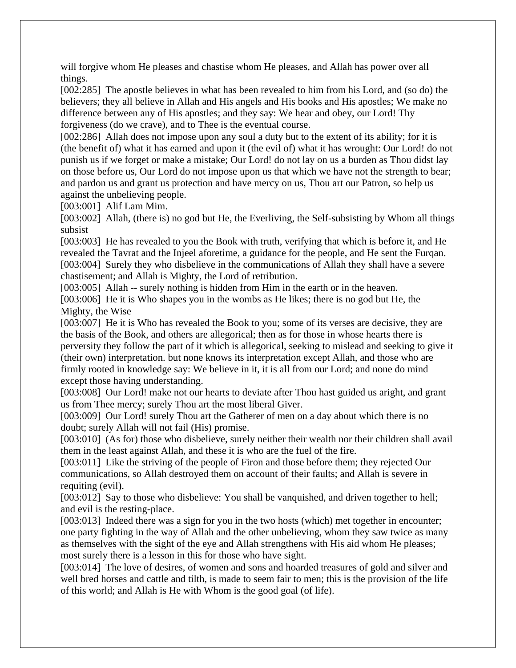will forgive whom He pleases and chastise whom He pleases, and Allah has power over all things.

[002:285] The apostle believes in what has been revealed to him from his Lord, and (so do) the believers; they all believe in Allah and His angels and His books and His apostles; We make no difference between any of His apostles; and they say: We hear and obey, our Lord! Thy forgiveness (do we crave), and to Thee is the eventual course.

[002:286] Allah does not impose upon any soul a duty but to the extent of its ability; for it is (the benefit of) what it has earned and upon it (the evil of) what it has wrought: Our Lord! do not punish us if we forget or make a mistake; Our Lord! do not lay on us a burden as Thou didst lay on those before us, Our Lord do not impose upon us that which we have not the strength to bear; and pardon us and grant us protection and have mercy on us, Thou art our Patron, so help us against the unbelieving people.

[003:001] Alif Lam Mim.

[003:002] Allah, (there is) no god but He, the Everliving, the Self-subsisting by Whom all things subsist

[003:003] He has revealed to you the Book with truth, verifying that which is before it, and He revealed the Tavrat and the Injeel aforetime, a guidance for the people, and He sent the Furqan. [003:004] Surely they who disbelieve in the communications of Allah they shall have a severe chastisement; and Allah is Mighty, the Lord of retribution.

[003:005] Allah -- surely nothing is hidden from Him in the earth or in the heaven.

[003:006] He it is Who shapes you in the wombs as He likes; there is no god but He, the Mighty, the Wise

[003:007] He it is Who has revealed the Book to you; some of its verses are decisive, they are the basis of the Book, and others are allegorical; then as for those in whose hearts there is perversity they follow the part of it which is allegorical, seeking to mislead and seeking to give it (their own) interpretation. but none knows its interpretation except Allah, and those who are firmly rooted in knowledge say: We believe in it, it is all from our Lord; and none do mind except those having understanding.

[003:008] Our Lord! make not our hearts to deviate after Thou hast guided us aright, and grant us from Thee mercy; surely Thou art the most liberal Giver.

[003:009] Our Lord! surely Thou art the Gatherer of men on a day about which there is no doubt; surely Allah will not fail (His) promise.

[003:010] (As for) those who disbelieve, surely neither their wealth nor their children shall avail them in the least against Allah, and these it is who are the fuel of the fire.

[003:011] Like the striving of the people of Firon and those before them; they rejected Our communications, so Allah destroyed them on account of their faults; and Allah is severe in requiting (evil).

[003:012] Say to those who disbelieve: You shall be vanquished, and driven together to hell; and evil is the resting-place.

[003:013] Indeed there was a sign for you in the two hosts (which) met together in encounter; one party fighting in the way of Allah and the other unbelieving, whom they saw twice as many as themselves with the sight of the eye and Allah strengthens with His aid whom He pleases; most surely there is a lesson in this for those who have sight.

[003:014] The love of desires, of women and sons and hoarded treasures of gold and silver and well bred horses and cattle and tilth, is made to seem fair to men; this is the provision of the life of this world; and Allah is He with Whom is the good goal (of life).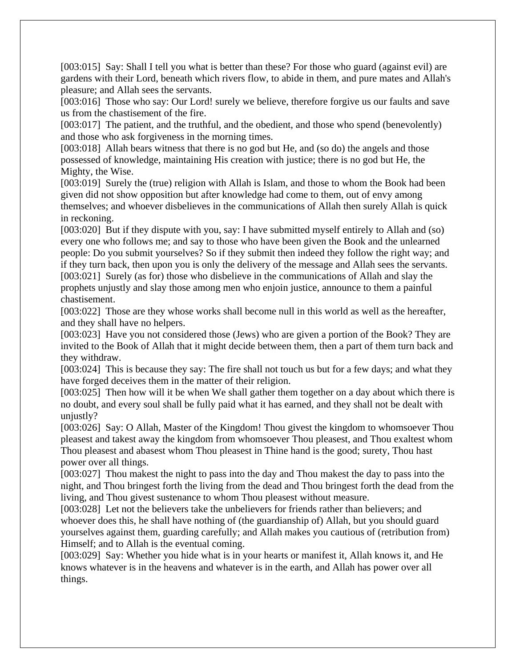[003:015] Say: Shall I tell you what is better than these? For those who guard (against evil) are gardens with their Lord, beneath which rivers flow, to abide in them, and pure mates and Allah's pleasure; and Allah sees the servants.

[003:016] Those who say: Our Lord! surely we believe, therefore forgive us our faults and save us from the chastisement of the fire.

[003:017] The patient, and the truthful, and the obedient, and those who spend (benevolently) and those who ask forgiveness in the morning times.

[003:018] Allah bears witness that there is no god but He, and (so do) the angels and those possessed of knowledge, maintaining His creation with justice; there is no god but He, the Mighty, the Wise.

[003:019] Surely the (true) religion with Allah is Islam, and those to whom the Book had been given did not show opposition but after knowledge had come to them, out of envy among themselves; and whoever disbelieves in the communications of Allah then surely Allah is quick in reckoning.

[003:020] But if they dispute with you, say: I have submitted myself entirely to Allah and (so) every one who follows me; and say to those who have been given the Book and the unlearned people: Do you submit yourselves? So if they submit then indeed they follow the right way; and if they turn back, then upon you is only the delivery of the message and Allah sees the servants. [003:021] Surely (as for) those who disbelieve in the communications of Allah and slay the prophets unjustly and slay those among men who enjoin justice, announce to them a painful chastisement.

[003:022] Those are they whose works shall become null in this world as well as the hereafter, and they shall have no helpers.

[003:023] Have you not considered those (Jews) who are given a portion of the Book? They are invited to the Book of Allah that it might decide between them, then a part of them turn back and they withdraw.

[003:024] This is because they say: The fire shall not touch us but for a few days; and what they have forged deceives them in the matter of their religion.

[003:025] Then how will it be when We shall gather them together on a day about which there is no doubt, and every soul shall be fully paid what it has earned, and they shall not be dealt with unjustly?

[003:026] Say: O Allah, Master of the Kingdom! Thou givest the kingdom to whomsoever Thou pleasest and takest away the kingdom from whomsoever Thou pleasest, and Thou exaltest whom Thou pleasest and abasest whom Thou pleasest in Thine hand is the good; surety, Thou hast power over all things.

[003:027] Thou makest the night to pass into the day and Thou makest the day to pass into the night, and Thou bringest forth the living from the dead and Thou bringest forth the dead from the living, and Thou givest sustenance to whom Thou pleasest without measure.

[003:028] Let not the believers take the unbelievers for friends rather than believers; and whoever does this, he shall have nothing of (the guardianship of) Allah, but you should guard yourselves against them, guarding carefully; and Allah makes you cautious of (retribution from) Himself; and to Allah is the eventual coming.

[003:029] Say: Whether you hide what is in your hearts or manifest it, Allah knows it, and He knows whatever is in the heavens and whatever is in the earth, and Allah has power over all things.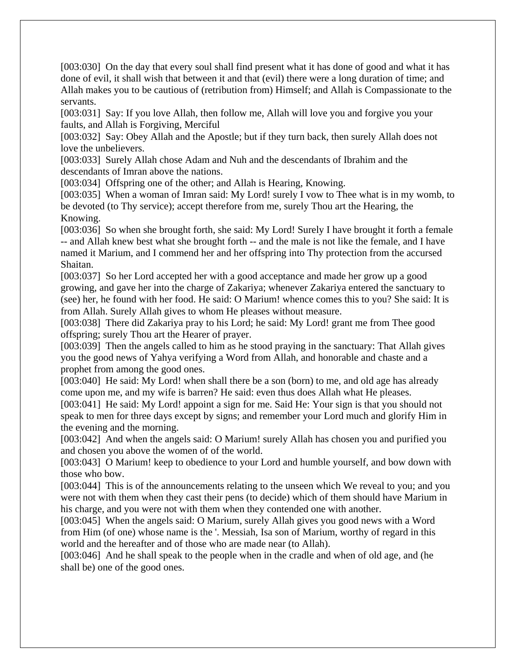[003:030] On the day that every soul shall find present what it has done of good and what it has done of evil, it shall wish that between it and that (evil) there were a long duration of time; and Allah makes you to be cautious of (retribution from) Himself; and Allah is Compassionate to the servants.

[003:031] Say: If you love Allah, then follow me, Allah will love you and forgive you your faults, and Allah is Forgiving, Merciful

[003:032] Say: Obey Allah and the Apostle; but if they turn back, then surely Allah does not love the unbelievers.

[003:033] Surely Allah chose Adam and Nuh and the descendants of Ibrahim and the descendants of Imran above the nations.

[003:034] Offspring one of the other; and Allah is Hearing, Knowing.

[003:035] When a woman of Imran said: My Lord! surely I vow to Thee what is in my womb, to be devoted (to Thy service); accept therefore from me, surely Thou art the Hearing, the Knowing.

[003:036] So when she brought forth, she said: My Lord! Surely I have brought it forth a female -- and Allah knew best what she brought forth -- and the male is not like the female, and I have named it Marium, and I commend her and her offspring into Thy protection from the accursed Shaitan.

[003:037] So her Lord accepted her with a good acceptance and made her grow up a good growing, and gave her into the charge of Zakariya; whenever Zakariya entered the sanctuary to (see) her, he found with her food. He said: O Marium! whence comes this to you? She said: It is from Allah. Surely Allah gives to whom He pleases without measure.

[003:038] There did Zakariya pray to his Lord; he said: My Lord! grant me from Thee good offspring; surely Thou art the Hearer of prayer.

[003:039] Then the angels called to him as he stood praying in the sanctuary: That Allah gives you the good news of Yahya verifying a Word from Allah, and honorable and chaste and a prophet from among the good ones.

[003:040] He said: My Lord! when shall there be a son (born) to me, and old age has already come upon me, and my wife is barren? He said: even thus does Allah what He pleases.

[003:041] He said: My Lord! appoint a sign for me. Said He: Your sign is that you should not speak to men for three days except by signs; and remember your Lord much and glorify Him in the evening and the morning.

[003:042] And when the angels said: O Marium! surely Allah has chosen you and purified you and chosen you above the women of of the world.

[003:043] O Marium! keep to obedience to your Lord and humble yourself, and bow down with those who bow.

[003:044] This is of the announcements relating to the unseen which We reveal to you; and you were not with them when they cast their pens (to decide) which of them should have Marium in his charge, and you were not with them when they contended one with another.

[003:045] When the angels said: O Marium, surely Allah gives you good news with a Word from Him (of one) whose name is the '. Messiah, Isa son of Marium, worthy of regard in this world and the hereafter and of those who are made near (to Allah).

[003:046] And he shall speak to the people when in the cradle and when of old age, and (he shall be) one of the good ones.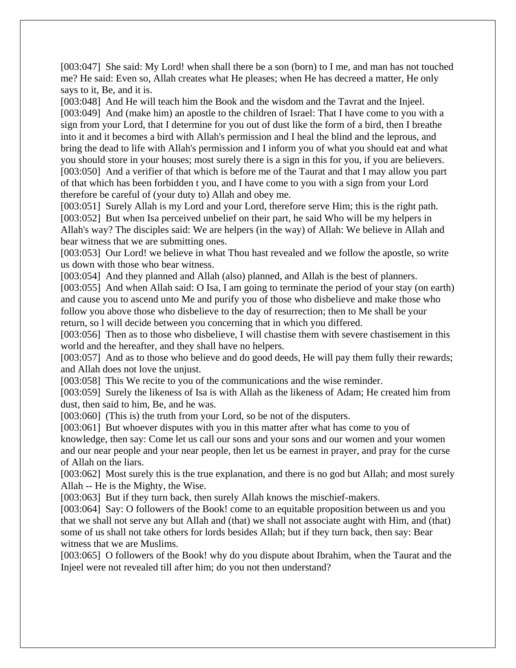[003:047] She said: My Lord! when shall there be a son (born) to I me, and man has not touched me? He said: Even so, Allah creates what He pleases; when He has decreed a matter, He only says to it, Be, and it is.

[003:048] And He will teach him the Book and the wisdom and the Tavrat and the Injeel. [003:049] And (make him) an apostle to the children of Israel: That I have come to you with a sign from your Lord, that I determine for you out of dust like the form of a bird, then I breathe into it and it becomes a bird with Allah's permission and I heal the blind and the leprous, and bring the dead to life with Allah's permission and I inform you of what you should eat and what you should store in your houses; most surely there is a sign in this for you, if you are believers. [003:050] And a verifier of that which is before me of the Taurat and that I may allow you part of that which has been forbidden t you, and I have come to you with a sign from your Lord therefore be careful of (your duty to) Allah and obey me.

[003:051] Surely Allah is my Lord and your Lord, therefore serve Him; this is the right path. [003:052] But when Isa perceived unbelief on their part, he said Who will be my helpers in Allah's way? The disciples said: We are helpers (in the way) of Allah: We believe in Allah and bear witness that we are submitting ones.

[003:053] Our Lord! we believe in what Thou hast revealed and we follow the apostle, so write us down with those who bear witness.

[003:054] And they planned and Allah (also) planned, and Allah is the best of planners.

[003:055] And when Allah said: O Isa, I am going to terminate the period of your stay (on earth) and cause you to ascend unto Me and purify you of those who disbelieve and make those who follow you above those who disbelieve to the day of resurrection; then to Me shall be your return, so l will decide between you concerning that in which you differed.

[003:056] Then as to those who disbelieve, I will chastise them with severe chastisement in this world and the hereafter, and they shall have no helpers.

[003:057] And as to those who believe and do good deeds, He will pay them fully their rewards; and Allah does not love the unjust.

[003:058] This We recite to you of the communications and the wise reminder.

[003:059] Surely the likeness of Isa is with Allah as the likeness of Adam; He created him from dust, then said to him, Be, and he was.

[003:060] (This is) the truth from your Lord, so be not of the disputers.

[003:061] But whoever disputes with you in this matter after what has come to you of knowledge, then say: Come let us call our sons and your sons and our women and your women and our near people and your near people, then let us be earnest in prayer, and pray for the curse of Allah on the liars.

[003:062] Most surely this is the true explanation, and there is no god but Allah; and most surely Allah -- He is the Mighty, the Wise.

[003:063] But if they turn back, then surely Allah knows the mischief-makers.

[003:064] Say: O followers of the Book! come to an equitable proposition between us and you that we shall not serve any but Allah and (that) we shall not associate aught with Him, and (that) some of us shall not take others for lords besides Allah; but if they turn back, then say: Bear witness that we are Muslims.

[003:065] O followers of the Book! why do you dispute about Ibrahim, when the Taurat and the Injeel were not revealed till after him; do you not then understand?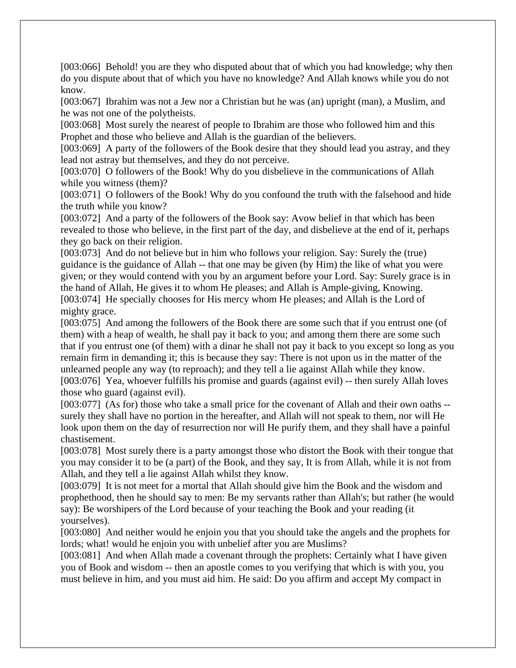[003:066] Behold! you are they who disputed about that of which you had knowledge; why then do you dispute about that of which you have no knowledge? And Allah knows while you do not know.

[003:067] Ibrahim was not a Jew nor a Christian but he was (an) upright (man), a Muslim, and he was not one of the polytheists.

[003:068] Most surely the nearest of people to Ibrahim are those who followed him and this Prophet and those who believe and Allah is the guardian of the believers.

[003:069] A party of the followers of the Book desire that they should lead you astray, and they lead not astray but themselves, and they do not perceive.

[003:070] O followers of the Book! Why do you disbelieve in the communications of Allah while you witness (them)?

[003:071] O followers of the Book! Why do you confound the truth with the falsehood and hide the truth while you know?

[003:072] And a party of the followers of the Book say: Avow belief in that which has been revealed to those who believe, in the first part of the day, and disbelieve at the end of it, perhaps they go back on their religion.

[003:073] And do not believe but in him who follows your religion. Say: Surely the (true) guidance is the guidance of Allah -- that one may be given (by Him) the like of what you were given; or they would contend with you by an argument before your Lord. Say: Surely grace is in the hand of Allah, He gives it to whom He pleases; and Allah is Ample-giving, Knowing. [003:074] He specially chooses for His mercy whom He pleases; and Allah is the Lord of mighty grace.

[003:075] And among the followers of the Book there are some such that if you entrust one (of them) with a heap of wealth, he shall pay it back to you; and among them there are some such that if you entrust one (of them) with a dinar he shall not pay it back to you except so long as you remain firm in demanding it; this is because they say: There is not upon us in the matter of the unlearned people any way (to reproach); and they tell a lie against Allah while they know. [003:076] Yea, whoever fulfills his promise and guards (against evil) -- then surely Allah loves those who guard (against evil).

[003:077] (As for) those who take a small price for the covenant of Allah and their own oaths -surely they shall have no portion in the hereafter, and Allah will not speak to them, nor will He look upon them on the day of resurrection nor will He purify them, and they shall have a painful chastisement.

[003:078] Most surely there is a party amongst those who distort the Book with their tongue that you may consider it to be (a part) of the Book, and they say, It is from Allah, while it is not from Allah, and they tell a lie against Allah whilst they know.

[003:079] It is not meet for a mortal that Allah should give him the Book and the wisdom and prophethood, then he should say to men: Be my servants rather than Allah's; but rather (he would say): Be worshipers of the Lord because of your teaching the Book and your reading (it yourselves).

[003:080] And neither would he enjoin you that you should take the angels and the prophets for lords; what! would he enjoin you with unbelief after you are Muslims?

[003:081] And when Allah made a covenant through the prophets: Certainly what I have given you of Book and wisdom -- then an apostle comes to you verifying that which is with you, you must believe in him, and you must aid him. He said: Do you affirm and accept My compact in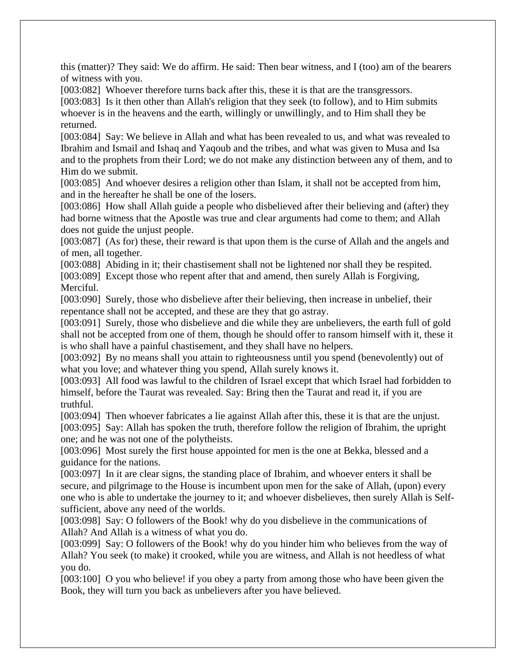this (matter)? They said: We do affirm. He said: Then bear witness, and I (too) am of the bearers of witness with you.

[003:082] Whoever therefore turns back after this, these it is that are the transgressors.

[003:083] Is it then other than Allah's religion that they seek (to follow), and to Him submits whoever is in the heavens and the earth, willingly or unwillingly, and to Him shall they be returned.

[003:084] Say: We believe in Allah and what has been revealed to us, and what was revealed to Ibrahim and Ismail and Ishaq and Yaqoub and the tribes, and what was given to Musa and Isa and to the prophets from their Lord; we do not make any distinction between any of them, and to Him do we submit.

[003:085] And whoever desires a religion other than Islam, it shall not be accepted from him, and in the hereafter he shall be one of the losers.

[003:086] How shall Allah guide a people who disbelieved after their believing and (after) they had borne witness that the Apostle was true and clear arguments had come to them; and Allah does not guide the unjust people.

[003:087] (As for) these, their reward is that upon them is the curse of Allah and the angels and of men, all together.

[003:088] Abiding in it; their chastisement shall not be lightened nor shall they be respited. [003:089] Except those who repent after that and amend, then surely Allah is Forgiving,

Merciful.

[003:090] Surely, those who disbelieve after their believing, then increase in unbelief, their repentance shall not be accepted, and these are they that go astray.

[003:091] Surely, those who disbelieve and die while they are unbelievers, the earth full of gold shall not be accepted from one of them, though he should offer to ransom himself with it, these it is who shall have a painful chastisement, and they shall have no helpers.

[003:092] By no means shall you attain to righteousness until you spend (benevolently) out of what you love; and whatever thing you spend, Allah surely knows it.

[003:093] All food was lawful to the children of Israel except that which Israel had forbidden to himself, before the Taurat was revealed. Say: Bring then the Taurat and read it, if you are truthful.

[003:094] Then whoever fabricates a lie against Allah after this, these it is that are the unjust. [003:095] Say: Allah has spoken the truth, therefore follow the religion of Ibrahim, the upright one; and he was not one of the polytheists.

[003:096] Most surely the first house appointed for men is the one at Bekka, blessed and a guidance for the nations.

[003:097] In it are clear signs, the standing place of Ibrahim, and whoever enters it shall be secure, and pilgrimage to the House is incumbent upon men for the sake of Allah, (upon) every one who is able to undertake the journey to it; and whoever disbelieves, then surely Allah is Selfsufficient, above any need of the worlds.

[003:098] Say: O followers of the Book! why do you disbelieve in the communications of Allah? And Allah is a witness of what you do.

[003:099] Say: O followers of the Book! why do you hinder him who believes from the way of Allah? You seek (to make) it crooked, while you are witness, and Allah is not heedless of what you do.

[003:100] O you who believe! if you obey a party from among those who have been given the Book, they will turn you back as unbelievers after you have believed.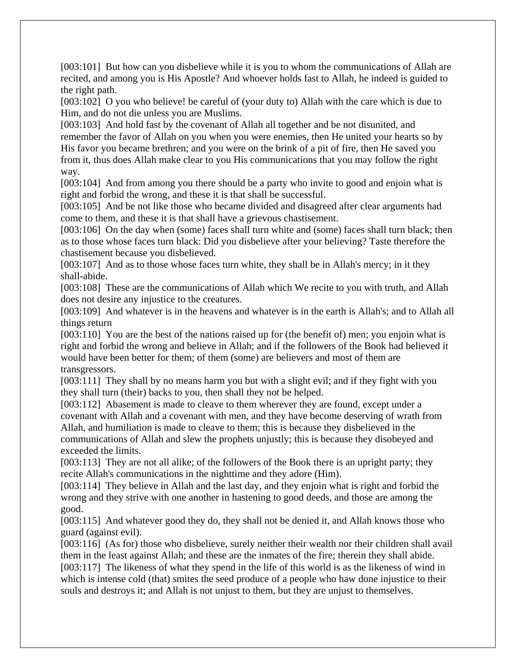[003:101] But how can you disbelieve while it is you to whom the communications of Allah are recited, and among you is His Apostle? And whoever holds fast to Allah, he indeed is guided to the right path.

[003:102] O you who believe! be careful of (your duty to) Allah with the care which is due to Him, and do not die unless you are Muslims.

[003:103] And hold fast by the covenant of Allah all together and be not disunited, and remember the favor of Allah on you when you were enemies, then He united your hearts so by His favor you became brethren; and you were on the brink of a pit of fire, then He saved you from it, thus does Allah make clear to you His communications that you may follow the right way.

[003:104] And from among you there should be a party who invite to good and enjoin what is right and forbid the wrong, and these it is that shall be successful.

[003:105] And be not like those who became divided and disagreed after clear arguments had come to them, and these it is that shall have a grievous chastisement.

[003:106] On the day when (some) faces shall turn white and (some) faces shall turn black; then as to those whose faces turn black: Did you disbelieve after your believing? Taste therefore the chastisement because you disbelieved.

[003:107] And as to those whose faces turn white, they shall be in Allah's mercy; in it they shall-abide.

[003:108] These are the communications of Allah which We recite to you with truth, and Allah does not desire any injustice to the creatures.

[003:109] And whatever is in the heavens and whatever is in the earth is Allah's; and to Allah all things return

[003:110] You are the best of the nations raised up for (the benefit of) men; you enjoin what is right and forbid the wrong and believe in Allah; and if the followers of the Book had believed it would have been better for them; of them (some) are believers and most of them are transgressors.

[003:111] They shall by no means harm you but with a slight evil; and if they fight with you they shall turn (their) backs to you, then shall they not be helped.

[003:112] Abasement is made to cleave to them wherever they are found, except under a covenant with Allah and a covenant with men, and they have become deserving of wrath from Allah, and humiliation is made to cleave to them; this is because they disbelieved in the communications of Allah and slew the prophets unjustly; this is because they disobeyed and exceeded the limits.

[003:113] They are not all alike; of the followers of the Book there is an upright party; they recite Allah's communications in the nighttime and they adore (Him).

[003:114] They believe in Allah and the last day, and they enjoin what is right and forbid the wrong and they strive with one another in hastening to good deeds, and those are among the good.

[003:115] And whatever good they do, they shall not be denied it, and Allah knows those who guard (against evil).

[003:116] (As for) those who disbelieve, surely neither their wealth nor their children shall avail them in the least against Allah; and these are the inmates of the fire; therein they shall abide. [003:117] The likeness of what they spend in the life of this world is as the likeness of wind in which is intense cold (that) smites the seed produce of a people who haw done injustice to their souls and destroys it; and Allah is not unjust to them, but they are unjust to themselves.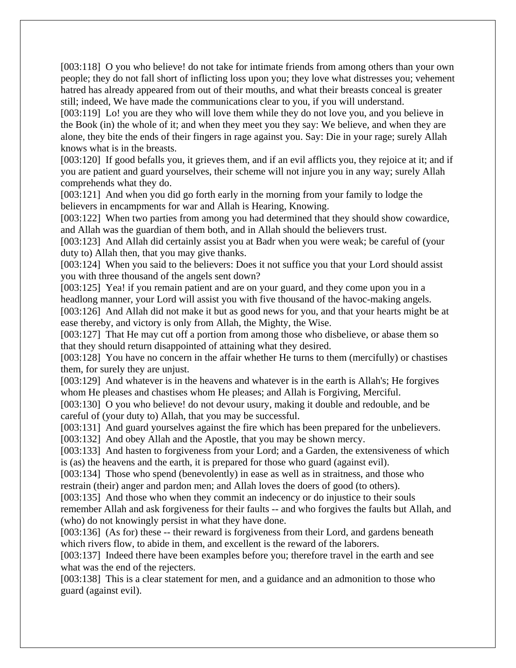[003:118] O you who believe! do not take for intimate friends from among others than your own people; they do not fall short of inflicting loss upon you; they love what distresses you; vehement hatred has already appeared from out of their mouths, and what their breasts conceal is greater still; indeed, We have made the communications clear to you, if you will understand.

[003:119] Lo! you are they who will love them while they do not love you, and you believe in the Book (in) the whole of it; and when they meet you they say: We believe, and when they are alone, they bite the ends of their fingers in rage against you. Say: Die in your rage; surely Allah knows what is in the breasts.

[003:120] If good befalls you, it grieves them, and if an evil afflicts you, they rejoice at it; and if you are patient and guard yourselves, their scheme will not injure you in any way; surely Allah comprehends what they do.

[003:121] And when you did go forth early in the morning from your family to lodge the believers in encampments for war and Allah is Hearing, Knowing.

[003:122] When two parties from among you had determined that they should show cowardice, and Allah was the guardian of them both, and in Allah should the believers trust.

[003:123] And Allah did certainly assist you at Badr when you were weak; be careful of (your duty to) Allah then, that you may give thanks.

[003:124] When you said to the believers: Does it not suffice you that your Lord should assist you with three thousand of the angels sent down?

[003:125] Yea! if you remain patient and are on your guard, and they come upon you in a headlong manner, your Lord will assist you with five thousand of the havoc-making angels. [003:126] And Allah did not make it but as good news for you, and that your hearts might be at ease thereby, and victory is only from Allah, the Mighty, the Wise.

[003:127] That He may cut off a portion from among those who disbelieve, or abase them so that they should return disappointed of attaining what they desired.

[003:128] You have no concern in the affair whether He turns to them (mercifully) or chastises them, for surely they are unjust.

[003:129] And whatever is in the heavens and whatever is in the earth is Allah's; He forgives whom He pleases and chastises whom He pleases; and Allah is Forgiving, Merciful.

[003:130] O you who believe! do not devour usury, making it double and redouble, and be careful of (your duty to) Allah, that you may be successful.

[003:131] And guard yourselves against the fire which has been prepared for the unbelievers.

[003:132] And obey Allah and the Apostle, that you may be shown mercy.

[003:133] And hasten to forgiveness from your Lord; and a Garden, the extensiveness of which is (as) the heavens and the earth, it is prepared for those who guard (against evil).

[003:134] Those who spend (benevolently) in ease as well as in straitness, and those who restrain (their) anger and pardon men; and Allah loves the doers of good (to others).

[003:135] And those who when they commit an indecency or do injustice to their souls remember Allah and ask forgiveness for their faults -- and who forgives the faults but Allah, and

(who) do not knowingly persist in what they have done.

[003:136] (As for) these -- their reward is forgiveness from their Lord, and gardens beneath which rivers flow, to abide in them, and excellent is the reward of the laborers.

[003:137] Indeed there have been examples before you; therefore travel in the earth and see what was the end of the rejecters.

[003:138] This is a clear statement for men, and a guidance and an admonition to those who guard (against evil).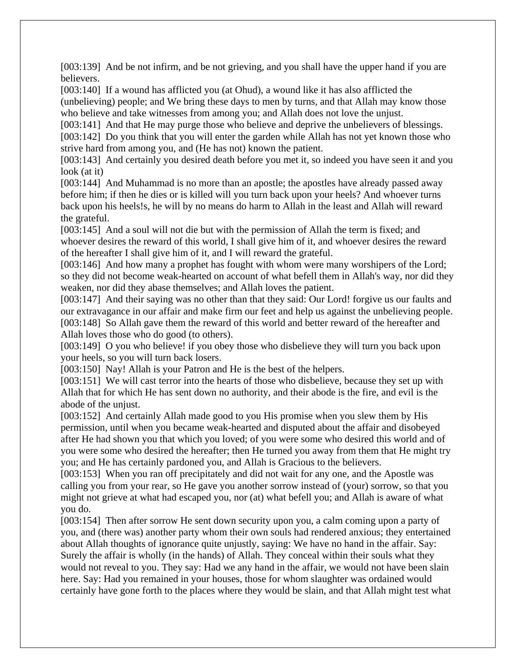[003:139] And be not infirm, and be not grieving, and you shall have the upper hand if you are believers.

[003:140] If a wound has afflicted you (at Ohud), a wound like it has also afflicted the (unbelieving) people; and We bring these days to men by turns, and that Allah may know those who believe and take witnesses from among you; and Allah does not love the unjust.

[003:141] And that He may purge those who believe and deprive the unbelievers of blessings.

[003:142] Do you think that you will enter the garden while Allah has not yet known those who strive hard from among you, and (He has not) known the patient.

[003:143] And certainly you desired death before you met it, so indeed you have seen it and you look (at it)

[003:144] And Muhammad is no more than an apostle; the apostles have already passed away before him; if then he dies or is killed will you turn back upon your heels? And whoever turns back upon his heels!s, he will by no means do harm to Allah in the least and Allah will reward the grateful.

[003:145] And a soul will not die but with the permission of Allah the term is fixed; and whoever desires the reward of this world, I shall give him of it, and whoever desires the reward of the hereafter I shall give him of it, and I will reward the grateful.

[003:146] And how many a prophet has fought with whom were many worshipers of the Lord; so they did not become weak-hearted on account of what befell them in Allah's way, nor did they weaken, nor did they abase themselves; and Allah loves the patient.

[003:147] And their saying was no other than that they said: Our Lord! forgive us our faults and our extravagance in our affair and make firm our feet and help us against the unbelieving people. [003:148] So Allah gave them the reward of this world and better reward of the hereafter and Allah loves those who do good (to others).

[003:149] O you who believe! if you obey those who disbelieve they will turn you back upon your heels, so you will turn back losers.

[003:150] Nay! Allah is your Patron and He is the best of the helpers.

[003:151] We will cast terror into the hearts of those who disbelieve, because they set up with Allah that for which He has sent down no authority, and their abode is the fire, and evil is the abode of the unjust.

[003:152] And certainly Allah made good to you His promise when you slew them by His permission, until when you became weak-hearted and disputed about the affair and disobeyed after He had shown you that which you loved; of you were some who desired this world and of you were some who desired the hereafter; then He turned you away from them that He might try you; and He has certainly pardoned you, and Allah is Gracious to the believers.

[003:153] When you ran off precipitately and did not wait for any one, and the Apostle was calling you from your rear, so He gave you another sorrow instead of (your) sorrow, so that you might not grieve at what had escaped you, nor (at) what befell you; and Allah is aware of what you do.

[003:154] Then after sorrow He sent down security upon you, a calm coming upon a party of you, and (there was) another party whom their own souls had rendered anxious; they entertained about Allah thoughts of ignorance quite unjustly, saying: We have no hand in the affair. Say: Surely the affair is wholly (in the hands) of Allah. They conceal within their souls what they would not reveal to you. They say: Had we any hand in the affair, we would not have been slain here. Say: Had you remained in your houses, those for whom slaughter was ordained would certainly have gone forth to the places where they would be slain, and that Allah might test what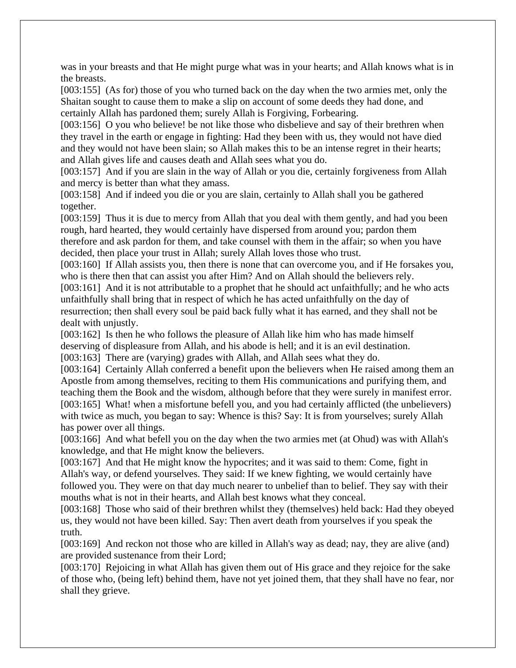was in your breasts and that He might purge what was in your hearts; and Allah knows what is in the breasts.

[003:155] (As for) those of you who turned back on the day when the two armies met, only the Shaitan sought to cause them to make a slip on account of some deeds they had done, and certainly Allah has pardoned them; surely Allah is Forgiving, Forbearing.

[003:156] O you who believe! be not like those who disbelieve and say of their brethren when they travel in the earth or engage in fighting: Had they been with us, they would not have died and they would not have been slain; so Allah makes this to be an intense regret in their hearts; and Allah gives life and causes death and Allah sees what you do.

[003:157] And if you are slain in the way of Allah or you die, certainly forgiveness from Allah and mercy is better than what they amass.

[003:158] And if indeed you die or you are slain, certainly to Allah shall you be gathered together.

[003:159] Thus it is due to mercy from Allah that you deal with them gently, and had you been rough, hard hearted, they would certainly have dispersed from around you; pardon them therefore and ask pardon for them, and take counsel with them in the affair; so when you have decided, then place your trust in Allah; surely Allah loves those who trust.

[003:160] If Allah assists you, then there is none that can overcome you, and if He forsakes you, who is there then that can assist you after Him? And on Allah should the believers rely.

[003:161] And it is not attributable to a prophet that he should act unfaithfully; and he who acts unfaithfully shall bring that in respect of which he has acted unfaithfully on the day of resurrection; then shall every soul be paid back fully what it has earned, and they shall not be dealt with unjustly.

[003:162] Is then he who follows the pleasure of Allah like him who has made himself deserving of displeasure from Allah, and his abode is hell; and it is an evil destination. [003:163] There are (varying) grades with Allah, and Allah sees what they do.

[003:164] Certainly Allah conferred a benefit upon the believers when He raised among them an Apostle from among themselves, reciting to them His communications and purifying them, and teaching them the Book and the wisdom, although before that they were surely in manifest error. [003:165] What! when a misfortune befell you, and you had certainly afflicted (the unbelievers) with twice as much, you began to say: Whence is this? Say: It is from yourselves; surely Allah has power over all things.

[003:166] And what befell you on the day when the two armies met (at Ohud) was with Allah's knowledge, and that He might know the believers.

[003:167] And that He might know the hypocrites; and it was said to them: Come, fight in Allah's way, or defend yourselves. They said: If we knew fighting, we would certainly have followed you. They were on that day much nearer to unbelief than to belief. They say with their mouths what is not in their hearts, and Allah best knows what they conceal.

[003:168] Those who said of their brethren whilst they (themselves) held back: Had they obeyed us, they would not have been killed. Say: Then avert death from yourselves if you speak the truth.

[003:169] And reckon not those who are killed in Allah's way as dead; nay, they are alive (and) are provided sustenance from their Lord;

[003:170] Rejoicing in what Allah has given them out of His grace and they rejoice for the sake of those who, (being left) behind them, have not yet joined them, that they shall have no fear, nor shall they grieve.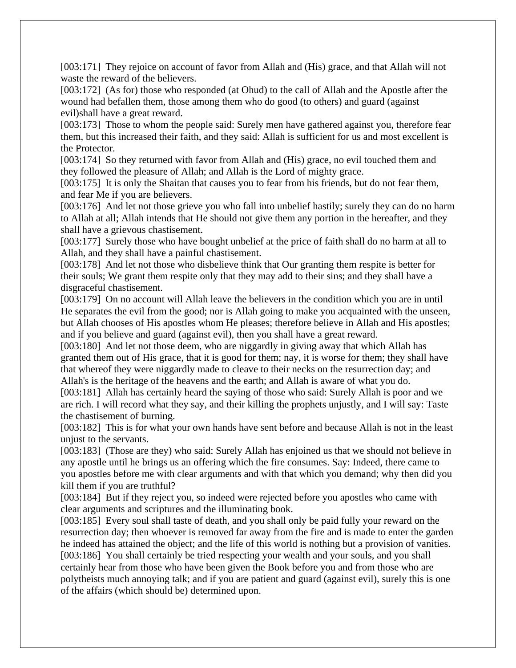[003:171] They rejoice on account of favor from Allah and (His) grace, and that Allah will not waste the reward of the believers.

[003:172] (As for) those who responded (at Ohud) to the call of Allah and the Apostle after the wound had befallen them, those among them who do good (to others) and guard (against evil)shall have a great reward.

[003:173] Those to whom the people said: Surely men have gathered against you, therefore fear them, but this increased their faith, and they said: Allah is sufficient for us and most excellent is the Protector.

[003:174] So they returned with favor from Allah and (His) grace, no evil touched them and they followed the pleasure of Allah; and Allah is the Lord of mighty grace.

[003:175] It is only the Shaitan that causes you to fear from his friends, but do not fear them, and fear Me if you are believers.

[003:176] And let not those grieve you who fall into unbelief hastily; surely they can do no harm to Allah at all; Allah intends that He should not give them any portion in the hereafter, and they shall have a grievous chastisement.

[003:177] Surely those who have bought unbelief at the price of faith shall do no harm at all to Allah, and they shall have a painful chastisement.

[003:178] And let not those who disbelieve think that Our granting them respite is better for their souls; We grant them respite only that they may add to their sins; and they shall have a disgraceful chastisement.

[003:179] On no account will Allah leave the believers in the condition which you are in until He separates the evil from the good; nor is Allah going to make you acquainted with the unseen, but Allah chooses of His apostles whom He pleases; therefore believe in Allah and His apostles; and if you believe and guard (against evil), then you shall have a great reward.

[003:180] And let not those deem, who are niggardly in giving away that which Allah has granted them out of His grace, that it is good for them; nay, it is worse for them; they shall have that whereof they were niggardly made to cleave to their necks on the resurrection day; and Allah's is the heritage of the heavens and the earth; and Allah is aware of what you do.

[003:181] Allah has certainly heard the saying of those who said: Surely Allah is poor and we are rich. I will record what they say, and their killing the prophets unjustly, and I will say: Taste the chastisement of burning.

[003:182] This is for what your own hands have sent before and because Allah is not in the least unjust to the servants.

[003:183] (Those are they) who said: Surely Allah has enjoined us that we should not believe in any apostle until he brings us an offering which the fire consumes. Say: Indeed, there came to you apostles before me with clear arguments and with that which you demand; why then did you kill them if you are truthful?

[003:184] But if they reject you, so indeed were rejected before you apostles who came with clear arguments and scriptures and the illuminating book.

[003:185] Every soul shall taste of death, and you shall only be paid fully your reward on the resurrection day; then whoever is removed far away from the fire and is made to enter the garden he indeed has attained the object; and the life of this world is nothing but a provision of vanities. [003:186] You shall certainly be tried respecting your wealth and your souls, and you shall certainly hear from those who have been given the Book before you and from those who are polytheists much annoying talk; and if you are patient and guard (against evil), surely this is one of the affairs (which should be) determined upon.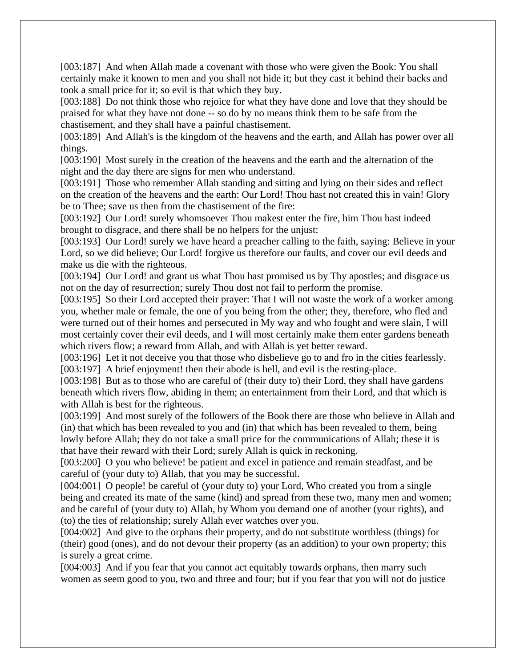[003:187] And when Allah made a covenant with those who were given the Book: You shall certainly make it known to men and you shall not hide it; but they cast it behind their backs and took a small price for it; so evil is that which they buy.

[003:188] Do not think those who rejoice for what they have done and love that they should be praised for what they have not done -- so do by no means think them to be safe from the chastisement, and they shall have a painful chastisement.

[003:189] And Allah's is the kingdom of the heavens and the earth, and Allah has power over all things.

[003:190] Most surely in the creation of the heavens and the earth and the alternation of the night and the day there are signs for men who understand.

[003:191] Those who remember Allah standing and sitting and lying on their sides and reflect on the creation of the heavens and the earth: Our Lord! Thou hast not created this in vain! Glory be to Thee; save us then from the chastisement of the fire:

[003:192] Our Lord! surely whomsoever Thou makest enter the fire, him Thou hast indeed brought to disgrace, and there shall be no helpers for the unjust:

[003:193] Our Lord! surely we have heard a preacher calling to the faith, saying: Believe in your Lord, so we did believe; Our Lord! forgive us therefore our faults, and cover our evil deeds and make us die with the righteous.

[003:194] Our Lord! and grant us what Thou hast promised us by Thy apostles; and disgrace us not on the day of resurrection; surely Thou dost not fail to perform the promise.

[003:195] So their Lord accepted their prayer: That I will not waste the work of a worker among you, whether male or female, the one of you being from the other; they, therefore, who fled and were turned out of their homes and persecuted in My way and who fought and were slain, I will most certainly cover their evil deeds, and I will most certainly make them enter gardens beneath which rivers flow; a reward from Allah, and with Allah is yet better reward.

[003:196] Let it not deceive you that those who disbelieve go to and fro in the cities fearlessly.

[003:197] A brief enjoyment! then their abode is hell, and evil is the resting-place.

[003:198] But as to those who are careful of (their duty to) their Lord, they shall have gardens beneath which rivers flow, abiding in them; an entertainment from their Lord, and that which is with Allah is best for the righteous.

[003:199] And most surely of the followers of the Book there are those who believe in Allah and (in) that which has been revealed to you and (in) that which has been revealed to them, being lowly before Allah; they do not take a small price for the communications of Allah; these it is that have their reward with their Lord; surely Allah is quick in reckoning.

[003:200] O you who believe! be patient and excel in patience and remain steadfast, and be careful of (your duty to) Allah, that you may be successful.

[004:001] O people! be careful of (your duty to) your Lord, Who created you from a single being and created its mate of the same (kind) and spread from these two, many men and women; and be careful of (your duty to) Allah, by Whom you demand one of another (your rights), and (to) the ties of relationship; surely Allah ever watches over you.

[004:002] And give to the orphans their property, and do not substitute worthless (things) for (their) good (ones), and do not devour their property (as an addition) to your own property; this is surely a great crime.

[004:003] And if you fear that you cannot act equitably towards orphans, then marry such women as seem good to you, two and three and four; but if you fear that you will not do justice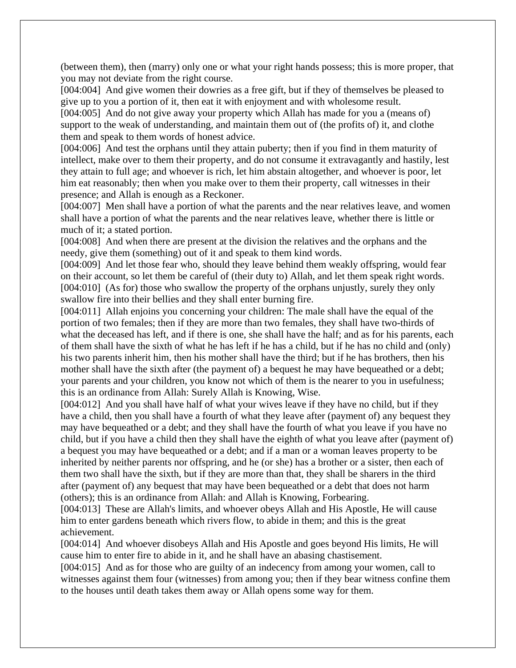(between them), then (marry) only one or what your right hands possess; this is more proper, that you may not deviate from the right course.

[004:004] And give women their dowries as a free gift, but if they of themselves be pleased to give up to you a portion of it, then eat it with enjoyment and with wholesome result.

[004:005] And do not give away your property which Allah has made for you a (means of) support to the weak of understanding, and maintain them out of (the profits of) it, and clothe them and speak to them words of honest advice.

[004:006] And test the orphans until they attain puberty; then if you find in them maturity of intellect, make over to them their property, and do not consume it extravagantly and hastily, lest they attain to full age; and whoever is rich, let him abstain altogether, and whoever is poor, let him eat reasonably; then when you make over to them their property, call witnesses in their presence; and Allah is enough as a Reckoner.

[004:007] Men shall have a portion of what the parents and the near relatives leave, and women shall have a portion of what the parents and the near relatives leave, whether there is little or much of it; a stated portion.

[004:008] And when there are present at the division the relatives and the orphans and the needy, give them (something) out of it and speak to them kind words.

[004:009] And let those fear who, should they leave behind them weakly offspring, would fear on their account, so let them be careful of (their duty to) Allah, and let them speak right words. [004:010] (As for) those who swallow the property of the orphans unjustly, surely they only swallow fire into their bellies and they shall enter burning fire.

[004:011] Allah enjoins you concerning your children: The male shall have the equal of the portion of two females; then if they are more than two females, they shall have two-thirds of what the deceased has left, and if there is one, she shall have the half; and as for his parents, each of them shall have the sixth of what he has left if he has a child, but if he has no child and (only) his two parents inherit him, then his mother shall have the third; but if he has brothers, then his mother shall have the sixth after (the payment of) a bequest he may have bequeathed or a debt; your parents and your children, you know not which of them is the nearer to you in usefulness; this is an ordinance from Allah: Surely Allah is Knowing, Wise.

[004:012] And you shall have half of what your wives leave if they have no child, but if they have a child, then you shall have a fourth of what they leave after (payment of) any bequest they may have bequeathed or a debt; and they shall have the fourth of what you leave if you have no child, but if you have a child then they shall have the eighth of what you leave after (payment of) a bequest you may have bequeathed or a debt; and if a man or a woman leaves property to be inherited by neither parents nor offspring, and he (or she) has a brother or a sister, then each of them two shall have the sixth, but if they are more than that, they shall be sharers in the third after (payment of) any bequest that may have been bequeathed or a debt that does not harm (others); this is an ordinance from Allah: and Allah is Knowing, Forbearing.

[004:013] These are Allah's limits, and whoever obeys Allah and His Apostle, He will cause him to enter gardens beneath which rivers flow, to abide in them; and this is the great achievement.

[004:014] And whoever disobeys Allah and His Apostle and goes beyond His limits, He will cause him to enter fire to abide in it, and he shall have an abasing chastisement.

[004:015] And as for those who are guilty of an indecency from among your women, call to witnesses against them four (witnesses) from among you; then if they bear witness confine them to the houses until death takes them away or Allah opens some way for them.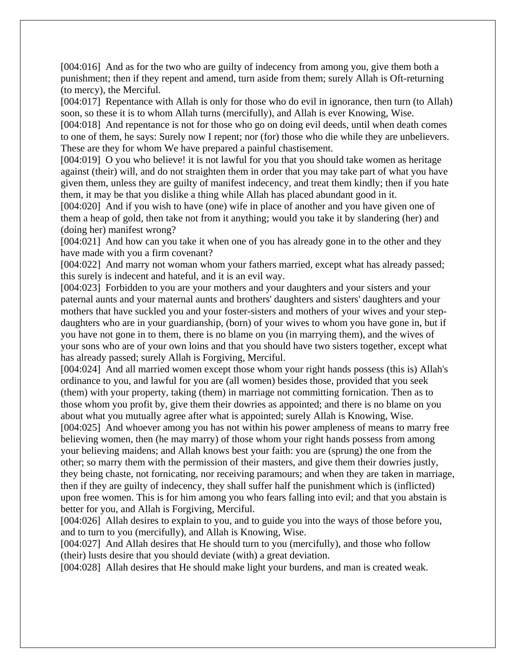[004:016] And as for the two who are guilty of indecency from among you, give them both a punishment; then if they repent and amend, turn aside from them; surely Allah is Oft-returning (to mercy), the Merciful.

[004:017] Repentance with Allah is only for those who do evil in ignorance, then turn (to Allah) soon, so these it is to whom Allah turns (mercifully), and Allah is ever Knowing, Wise.

[004:018] And repentance is not for those who go on doing evil deeds, until when death comes to one of them, he says: Surely now I repent; nor (for) those who die while they are unbelievers. These are they for whom We have prepared a painful chastisement.

[004:019] O you who believe! it is not lawful for you that you should take women as heritage against (their) will, and do not straighten them in order that you may take part of what you have given them, unless they are guilty of manifest indecency, and treat them kindly; then if you hate them, it may be that you dislike a thing while Allah has placed abundant good in it.

[004:020] And if you wish to have (one) wife in place of another and you have given one of them a heap of gold, then take not from it anything; would you take it by slandering (her) and (doing her) manifest wrong?

[004:021] And how can you take it when one of you has already gone in to the other and they have made with you a firm covenant?

[004:022] And marry not woman whom your fathers married, except what has already passed; this surely is indecent and hateful, and it is an evil way.

[004:023] Forbidden to you are your mothers and your daughters and your sisters and your paternal aunts and your maternal aunts and brothers' daughters and sisters' daughters and your mothers that have suckled you and your foster-sisters and mothers of your wives and your stepdaughters who are in your guardianship, (born) of your wives to whom you have gone in, but if you have not gone in to them, there is no blame on you (in marrying them), and the wives of your sons who are of your own loins and that you should have two sisters together, except what has already passed; surely Allah is Forgiving, Merciful.

[004:024] And all married women except those whom your right hands possess (this is) Allah's ordinance to you, and lawful for you are (all women) besides those, provided that you seek (them) with your property, taking (them) in marriage not committing fornication. Then as to those whom you profit by, give them their dowries as appointed; and there is no blame on you about what you mutually agree after what is appointed; surely Allah is Knowing, Wise.

[004:025] And whoever among you has not within his power ampleness of means to marry free believing women, then (he may marry) of those whom your right hands possess from among your believing maidens; and Allah knows best your faith: you are (sprung) the one from the other; so marry them with the permission of their masters, and give them their dowries justly, they being chaste, not fornicating, nor receiving paramours; and when they are taken in marriage, then if they are guilty of indecency, they shall suffer half the punishment which is (inflicted) upon free women. This is for him among you who fears falling into evil; and that you abstain is better for you, and Allah is Forgiving, Merciful.

[004:026] Allah desires to explain to you, and to guide you into the ways of those before you, and to turn to you (mercifully), and Allah is Knowing, Wise.

[004:027] And Allah desires that He should turn to you (mercifully), and those who follow (their) lusts desire that you should deviate (with) a great deviation.

[004:028] Allah desires that He should make light your burdens, and man is created weak.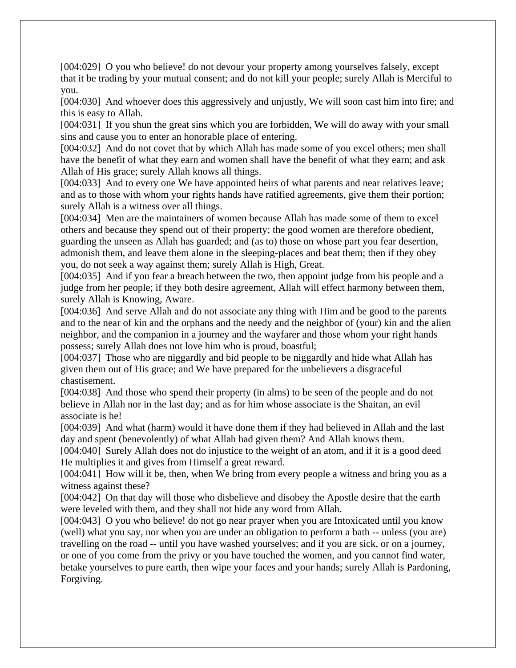[004:029] O you who believe! do not devour your property among yourselves falsely, except that it be trading by your mutual consent; and do not kill your people; surely Allah is Merciful to you.

[004:030] And whoever does this aggressively and unjustly, We will soon cast him into fire; and this is easy to Allah.

[004:031] If you shun the great sins which you are forbidden, We will do away with your small sins and cause you to enter an honorable place of entering.

[004:032] And do not covet that by which Allah has made some of you excel others; men shall have the benefit of what they earn and women shall have the benefit of what they earn; and ask Allah of His grace; surely Allah knows all things.

[004:033] And to every one We have appointed heirs of what parents and near relatives leave; and as to those with whom your rights hands have ratified agreements, give them their portion; surely Allah is a witness over all things.

[004:034] Men are the maintainers of women because Allah has made some of them to excel others and because they spend out of their property; the good women are therefore obedient, guarding the unseen as Allah has guarded; and (as to) those on whose part you fear desertion, admonish them, and leave them alone in the sleeping-places and beat them; then if they obey you, do not seek a way against them; surely Allah is High, Great.

[004:035] And if you fear a breach between the two, then appoint judge from his people and a judge from her people; if they both desire agreement, Allah will effect harmony between them, surely Allah is Knowing, Aware.

[004:036] And serve Allah and do not associate any thing with Him and be good to the parents and to the near of kin and the orphans and the needy and the neighbor of (your) kin and the alien neighbor, and the companion in a journey and the wayfarer and those whom your right hands possess; surely Allah does not love him who is proud, boastful;

[004:037] Those who are niggardly and bid people to be niggardly and hide what Allah has given them out of His grace; and We have prepared for the unbelievers a disgraceful chastisement.

[004:038] And those who spend their property (in alms) to be seen of the people and do not believe in Allah nor in the last day; and as for him whose associate is the Shaitan, an evil associate is he!

[004:039] And what (harm) would it have done them if they had believed in Allah and the last day and spent (benevolently) of what Allah had given them? And Allah knows them.

[004:040] Surely Allah does not do injustice to the weight of an atom, and if it is a good deed He multiplies it and gives from Himself a great reward.

[004:041] How will it be, then, when We bring from every people a witness and bring you as a witness against these?

[004:042] On that day will those who disbelieve and disobey the Apostle desire that the earth were leveled with them, and they shall not hide any word from Allah.

[004:043] O you who believe! do not go near prayer when you are Intoxicated until you know (well) what you say, nor when you are under an obligation to perform a bath -- unless (you are) travelling on the road -- until you have washed yourselves; and if you are sick, or on a journey, or one of you come from the privy or you have touched the women, and you cannot find water, betake yourselves to pure earth, then wipe your faces and your hands; surely Allah is Pardoning, Forgiving.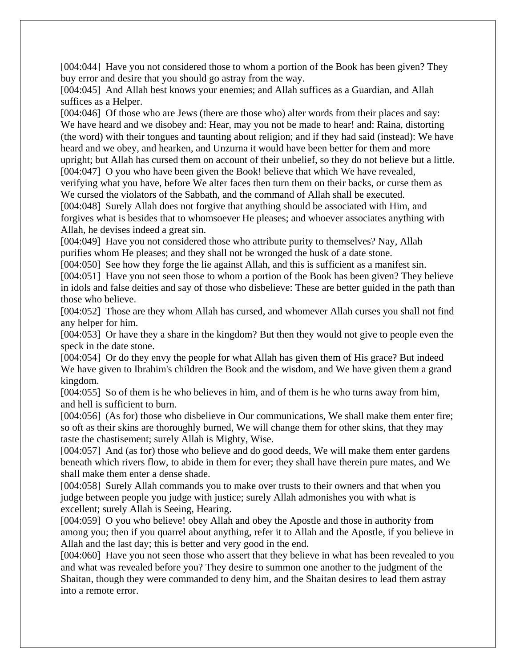[004:044] Have you not considered those to whom a portion of the Book has been given? They buy error and desire that you should go astray from the way.

[004:045] And Allah best knows your enemies; and Allah suffices as a Guardian, and Allah suffices as a Helper.

[004:046] Of those who are Jews (there are those who) alter words from their places and say: We have heard and we disobey and: Hear, may you not be made to hear! and: Raina, distorting (the word) with their tongues and taunting about religion; and if they had said (instead): We have heard and we obey, and hearken, and Unzurna it would have been better for them and more upright; but Allah has cursed them on account of their unbelief, so they do not believe but a little. [004:047] O you who have been given the Book! believe that which We have revealed,

verifying what you have, before We alter faces then turn them on their backs, or curse them as We cursed the violators of the Sabbath, and the command of Allah shall be executed.

[004:048] Surely Allah does not forgive that anything should be associated with Him, and forgives what is besides that to whomsoever He pleases; and whoever associates anything with Allah, he devises indeed a great sin.

[004:049] Have you not considered those who attribute purity to themselves? Nay, Allah purifies whom He pleases; and they shall not be wronged the husk of a date stone.

[004:050] See how they forge the lie against Allah, and this is sufficient as a manifest sin.

[004:051] Have you not seen those to whom a portion of the Book has been given? They believe in idols and false deities and say of those who disbelieve: These are better guided in the path than those who believe.

[004:052] Those are they whom Allah has cursed, and whomever Allah curses you shall not find any helper for him.

[004:053] Or have they a share in the kingdom? But then they would not give to people even the speck in the date stone.

[004:054] Or do they envy the people for what Allah has given them of His grace? But indeed We have given to Ibrahim's children the Book and the wisdom, and We have given them a grand kingdom.

[004:055] So of them is he who believes in him, and of them is he who turns away from him, and hell is sufficient to burn.

[004:056] (As for) those who disbelieve in Our communications, We shall make them enter fire; so oft as their skins are thoroughly burned, We will change them for other skins, that they may taste the chastisement; surely Allah is Mighty, Wise.

[004:057] And (as for) those who believe and do good deeds, We will make them enter gardens beneath which rivers flow, to abide in them for ever; they shall have therein pure mates, and We shall make them enter a dense shade.

[004:058] Surely Allah commands you to make over trusts to their owners and that when you judge between people you judge with justice; surely Allah admonishes you with what is excellent; surely Allah is Seeing, Hearing.

[004:059] O you who believe! obey Allah and obey the Apostle and those in authority from among you; then if you quarrel about anything, refer it to Allah and the Apostle, if you believe in Allah and the last day; this is better and very good in the end.

[004:060] Have you not seen those who assert that they believe in what has been revealed to you and what was revealed before you? They desire to summon one another to the judgment of the Shaitan, though they were commanded to deny him, and the Shaitan desires to lead them astray into a remote error.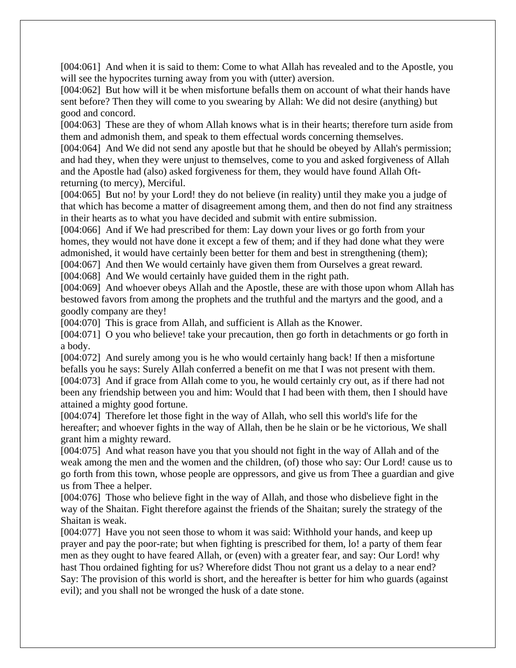[004:061] And when it is said to them: Come to what Allah has revealed and to the Apostle, you will see the hypocrites turning away from you with (utter) aversion.

[004:062] But how will it be when misfortune befalls them on account of what their hands have sent before? Then they will come to you swearing by Allah: We did not desire (anything) but good and concord.

[004:063] These are they of whom Allah knows what is in their hearts; therefore turn aside from them and admonish them, and speak to them effectual words concerning themselves.

[004:064] And We did not send any apostle but that he should be obeyed by Allah's permission; and had they, when they were unjust to themselves, come to you and asked forgiveness of Allah and the Apostle had (also) asked forgiveness for them, they would have found Allah Oftreturning (to mercy), Merciful.

[004:065] But no! by your Lord! they do not believe (in reality) until they make you a judge of that which has become a matter of disagreement among them, and then do not find any straitness in their hearts as to what you have decided and submit with entire submission.

[004:066] And if We had prescribed for them: Lay down your lives or go forth from your homes, they would not have done it except a few of them; and if they had done what they were admonished, it would have certainly been better for them and best in strengthening (them);

[004:067] And then We would certainly have given them from Ourselves a great reward.

[004:068] And We would certainly have guided them in the right path.

[004:069] And whoever obeys Allah and the Apostle, these are with those upon whom Allah has bestowed favors from among the prophets and the truthful and the martyrs and the good, and a goodly company are they!

[004:070] This is grace from Allah, and sufficient is Allah as the Knower.

[004:071] O you who believe! take your precaution, then go forth in detachments or go forth in a body.

[004:072] And surely among you is he who would certainly hang back! If then a misfortune befalls you he says: Surely Allah conferred a benefit on me that I was not present with them. [004:073] And if grace from Allah come to you, he would certainly cry out, as if there had not been any friendship between you and him: Would that I had been with them, then I should have attained a mighty good fortune.

[004:074] Therefore let those fight in the way of Allah, who sell this world's life for the hereafter; and whoever fights in the way of Allah, then be he slain or be he victorious, We shall grant him a mighty reward.

[004:075] And what reason have you that you should not fight in the way of Allah and of the weak among the men and the women and the children, (of) those who say: Our Lord! cause us to go forth from this town, whose people are oppressors, and give us from Thee a guardian and give us from Thee a helper.

[004:076] Those who believe fight in the way of Allah, and those who disbelieve fight in the way of the Shaitan. Fight therefore against the friends of the Shaitan; surely the strategy of the Shaitan is weak.

[004:077] Have you not seen those to whom it was said: Withhold your hands, and keep up prayer and pay the poor-rate; but when fighting is prescribed for them, lo! a party of them fear men as they ought to have feared Allah, or (even) with a greater fear, and say: Our Lord! why hast Thou ordained fighting for us? Wherefore didst Thou not grant us a delay to a near end? Say: The provision of this world is short, and the hereafter is better for him who guards (against evil); and you shall not be wronged the husk of a date stone.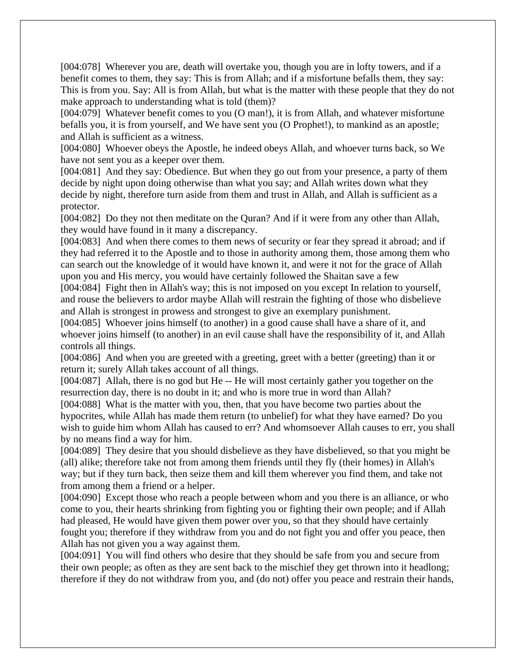[004:078] Wherever you are, death will overtake you, though you are in lofty towers, and if a benefit comes to them, they say: This is from Allah; and if a misfortune befalls them, they say: This is from you. Say: All is from Allah, but what is the matter with these people that they do not make approach to understanding what is told (them)?

[004:079] Whatever benefit comes to you (O man!), it is from Allah, and whatever misfortune befalls you, it is from yourself, and We have sent you (O Prophet!), to mankind as an apostle; and Allah is sufficient as a witness.

[004:080] Whoever obeys the Apostle, he indeed obeys Allah, and whoever turns back, so We have not sent you as a keeper over them.

[004:081] And they say: Obedience. But when they go out from your presence, a party of them decide by night upon doing otherwise than what you say; and Allah writes down what they decide by night, therefore turn aside from them and trust in Allah, and Allah is sufficient as a protector.

[004:082] Do they not then meditate on the Quran? And if it were from any other than Allah, they would have found in it many a discrepancy.

[004:083] And when there comes to them news of security or fear they spread it abroad; and if they had referred it to the Apostle and to those in authority among them, those among them who can search out the knowledge of it would have known it, and were it not for the grace of Allah upon you and His mercy, you would have certainly followed the Shaitan save a few

[004:084] Fight then in Allah's way; this is not imposed on you except In relation to yourself, and rouse the believers to ardor maybe Allah will restrain the fighting of those who disbelieve and Allah is strongest in prowess and strongest to give an exemplary punishment.

[004:085] Whoever joins himself (to another) in a good cause shall have a share of it, and whoever joins himself (to another) in an evil cause shall have the responsibility of it, and Allah controls all things.

[004:086] And when you are greeted with a greeting, greet with a better (greeting) than it or return it; surely Allah takes account of all things.

[004:087] Allah, there is no god but He -- He will most certainly gather you together on the resurrection day, there is no doubt in it; and who is more true in word than Allah?

[004:088] What is the matter with you, then, that you have become two parties about the hypocrites, while Allah has made them return (to unbelief) for what they have earned? Do you wish to guide him whom Allah has caused to err? And whomsoever Allah causes to err, you shall by no means find a way for him.

[004:089] They desire that you should disbelieve as they have disbelieved, so that you might be (all) alike; therefore take not from among them friends until they fly (their homes) in Allah's way; but if they turn back, then seize them and kill them wherever you find them, and take not from among them a friend or a helper.

[004:090] Except those who reach a people between whom and you there is an alliance, or who come to you, their hearts shrinking from fighting you or fighting their own people; and if Allah had pleased, He would have given them power over you, so that they should have certainly fought you; therefore if they withdraw from you and do not fight you and offer you peace, then Allah has not given you a way against them.

[004:091] You will find others who desire that they should be safe from you and secure from their own people; as often as they are sent back to the mischief they get thrown into it headlong; therefore if they do not withdraw from you, and (do not) offer you peace and restrain their hands,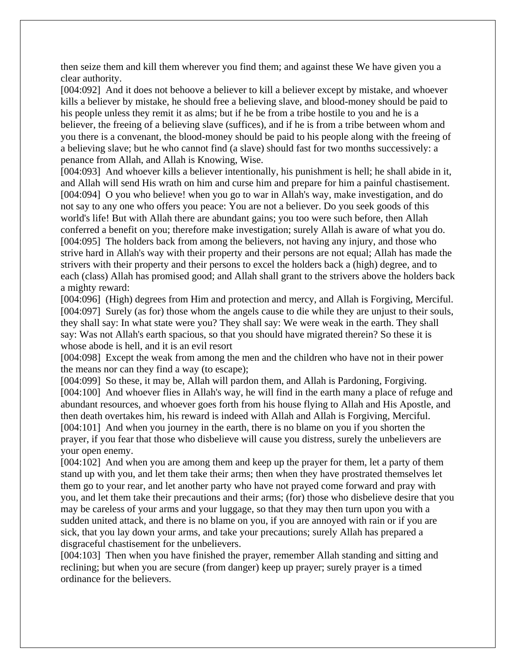then seize them and kill them wherever you find them; and against these We have given you a clear authority.

[004:092] And it does not behoove a believer to kill a believer except by mistake, and whoever kills a believer by mistake, he should free a believing slave, and blood-money should be paid to his people unless they remit it as alms; but if he be from a tribe hostile to you and he is a believer, the freeing of a believing slave (suffices), and if he is from a tribe between whom and you there is a convenant, the blood-money should be paid to his people along with the freeing of a believing slave; but he who cannot find (a slave) should fast for two months successively: a penance from Allah, and Allah is Knowing, Wise.

[004:093] And whoever kills a believer intentionally, his punishment is hell; he shall abide in it, and Allah will send His wrath on him and curse him and prepare for him a painful chastisement. [004:094] O you who believe! when you go to war in Allah's way, make investigation, and do not say to any one who offers you peace: You are not a believer. Do you seek goods of this world's life! But with Allah there are abundant gains; you too were such before, then Allah conferred a benefit on you; therefore make investigation; surely Allah is aware of what you do. [004:095] The holders back from among the believers, not having any injury, and those who strive hard in Allah's way with their property and their persons are not equal; Allah has made the strivers with their property and their persons to excel the holders back a (high) degree, and to each (class) Allah has promised good; and Allah shall grant to the strivers above the holders back a mighty reward:

[004:096] (High) degrees from Him and protection and mercy, and Allah is Forgiving, Merciful. [004:097] Surely (as for) those whom the angels cause to die while they are unjust to their souls, they shall say: In what state were you? They shall say: We were weak in the earth. They shall say: Was not Allah's earth spacious, so that you should have migrated therein? So these it is whose abode is hell, and it is an evil resort

[004:098] Except the weak from among the men and the children who have not in their power the means nor can they find a way (to escape);

[004:099] So these, it may be, Allah will pardon them, and Allah is Pardoning, Forgiving. [004:100] And whoever flies in Allah's way, he will find in the earth many a place of refuge and abundant resources, and whoever goes forth from his house flying to Allah and His Apostle, and then death overtakes him, his reward is indeed with Allah and Allah is Forgiving, Merciful. [004:101] And when you journey in the earth, there is no blame on you if you shorten the prayer, if you fear that those who disbelieve will cause you distress, surely the unbelievers are your open enemy.

[004:102] And when you are among them and keep up the prayer for them, let a party of them stand up with you, and let them take their arms; then when they have prostrated themselves let them go to your rear, and let another party who have not prayed come forward and pray with you, and let them take their precautions and their arms; (for) those who disbelieve desire that you may be careless of your arms and your luggage, so that they may then turn upon you with a sudden united attack, and there is no blame on you, if you are annoyed with rain or if you are sick, that you lay down your arms, and take your precautions; surely Allah has prepared a disgraceful chastisement for the unbelievers.

[004:103] Then when you have finished the prayer, remember Allah standing and sitting and reclining; but when you are secure (from danger) keep up prayer; surely prayer is a timed ordinance for the believers.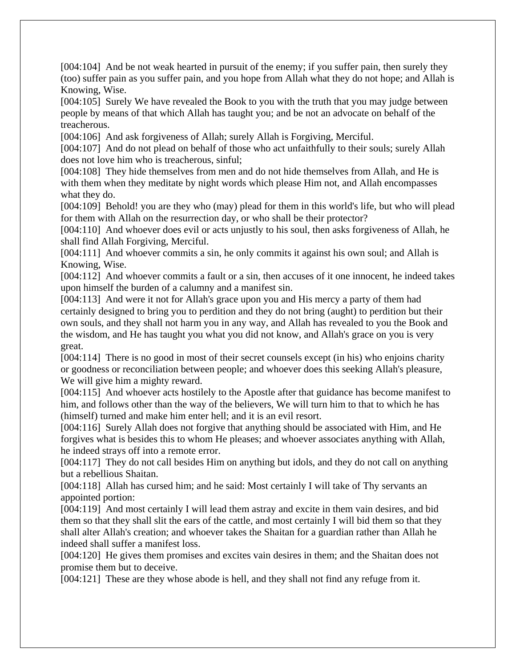[004:104] And be not weak hearted in pursuit of the enemy; if you suffer pain, then surely they (too) suffer pain as you suffer pain, and you hope from Allah what they do not hope; and Allah is Knowing, Wise.

[004:105] Surely We have revealed the Book to you with the truth that you may judge between people by means of that which Allah has taught you; and be not an advocate on behalf of the treacherous.

[004:106] And ask forgiveness of Allah; surely Allah is Forgiving, Merciful.

[004:107] And do not plead on behalf of those who act unfaithfully to their souls; surely Allah does not love him who is treacherous, sinful;

[004:108] They hide themselves from men and do not hide themselves from Allah, and He is with them when they meditate by night words which please Him not, and Allah encompasses what they do.

[004:109] Behold! you are they who (may) plead for them in this world's life, but who will plead for them with Allah on the resurrection day, or who shall be their protector?

[004:110] And whoever does evil or acts unjustly to his soul, then asks forgiveness of Allah, he shall find Allah Forgiving, Merciful.

[004:111] And whoever commits a sin, he only commits it against his own soul; and Allah is Knowing, Wise.

[004:112] And whoever commits a fault or a sin, then accuses of it one innocent, he indeed takes upon himself the burden of a calumny and a manifest sin.

[004:113] And were it not for Allah's grace upon you and His mercy a party of them had certainly designed to bring you to perdition and they do not bring (aught) to perdition but their own souls, and they shall not harm you in any way, and Allah has revealed to you the Book and the wisdom, and He has taught you what you did not know, and Allah's grace on you is very great.

[004:114] There is no good in most of their secret counsels except (in his) who enjoins charity or goodness or reconciliation between people; and whoever does this seeking Allah's pleasure, We will give him a mighty reward.

[004:115] And whoever acts hostilely to the Apostle after that guidance has become manifest to him, and follows other than the way of the believers, We will turn him to that to which he has (himself) turned and make him enter hell; and it is an evil resort.

[004:116] Surely Allah does not forgive that anything should be associated with Him, and He forgives what is besides this to whom He pleases; and whoever associates anything with Allah, he indeed strays off into a remote error.

[004:117] They do not call besides Him on anything but idols, and they do not call on anything but a rebellious Shaitan.

[004:118] Allah has cursed him; and he said: Most certainly I will take of Thy servants an appointed portion:

[004:119] And most certainly I will lead them astray and excite in them vain desires, and bid them so that they shall slit the ears of the cattle, and most certainly I will bid them so that they shall alter Allah's creation; and whoever takes the Shaitan for a guardian rather than Allah he indeed shall suffer a manifest loss.

[004:120] He gives them promises and excites vain desires in them; and the Shaitan does not promise them but to deceive.

[004:121] These are they whose abode is hell, and they shall not find any refuge from it.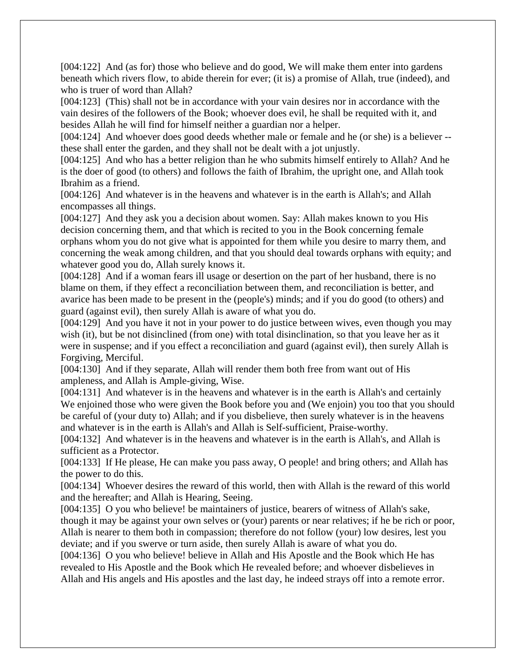[004:122] And (as for) those who believe and do good, We will make them enter into gardens beneath which rivers flow, to abide therein for ever; (it is) a promise of Allah, true (indeed), and who is truer of word than Allah?

[004:123] (This) shall not be in accordance with your vain desires nor in accordance with the vain desires of the followers of the Book; whoever does evil, he shall be requited with it, and besides Allah he will find for himself neither a guardian nor a helper.

[004:124] And whoever does good deeds whether male or female and he (or she) is a believer - these shall enter the garden, and they shall not be dealt with a jot unjustly.

[004:125] And who has a better religion than he who submits himself entirely to Allah? And he is the doer of good (to others) and follows the faith of Ibrahim, the upright one, and Allah took Ibrahim as a friend.

[004:126] And whatever is in the heavens and whatever is in the earth is Allah's; and Allah encompasses all things.

[004:127] And they ask you a decision about women. Say: Allah makes known to you His decision concerning them, and that which is recited to you in the Book concerning female orphans whom you do not give what is appointed for them while you desire to marry them, and concerning the weak among children, and that you should deal towards orphans with equity; and whatever good you do, Allah surely knows it.

[004:128] And if a woman fears ill usage or desertion on the part of her husband, there is no blame on them, if they effect a reconciliation between them, and reconciliation is better, and avarice has been made to be present in the (people's) minds; and if you do good (to others) and guard (against evil), then surely Allah is aware of what you do.

[004:129] And you have it not in your power to do justice between wives, even though you may wish (it), but be not disinclined (from one) with total disinclination, so that you leave her as it were in suspense; and if you effect a reconciliation and guard (against evil), then surely Allah is Forgiving, Merciful.

[004:130] And if they separate, Allah will render them both free from want out of His ampleness, and Allah is Ample-giving, Wise.

[004:131] And whatever is in the heavens and whatever is in the earth is Allah's and certainly We enjoined those who were given the Book before you and (We enjoin) you too that you should be careful of (your duty to) Allah; and if you disbelieve, then surely whatever is in the heavens and whatever is in the earth is Allah's and Allah is Self-sufficient, Praise-worthy.

[004:132] And whatever is in the heavens and whatever is in the earth is Allah's, and Allah is sufficient as a Protector.

[004:133] If He please, He can make you pass away, O people! and bring others; and Allah has the power to do this.

[004:134] Whoever desires the reward of this world, then with Allah is the reward of this world and the hereafter; and Allah is Hearing, Seeing.

[004:135] O you who believe! be maintainers of justice, bearers of witness of Allah's sake, though it may be against your own selves or (your) parents or near relatives; if he be rich or poor, Allah is nearer to them both in compassion; therefore do not follow (your) low desires, lest you deviate; and if you swerve or turn aside, then surely Allah is aware of what you do.

[004:136] O you who believe! believe in Allah and His Apostle and the Book which He has revealed to His Apostle and the Book which He revealed before; and whoever disbelieves in Allah and His angels and His apostles and the last day, he indeed strays off into a remote error.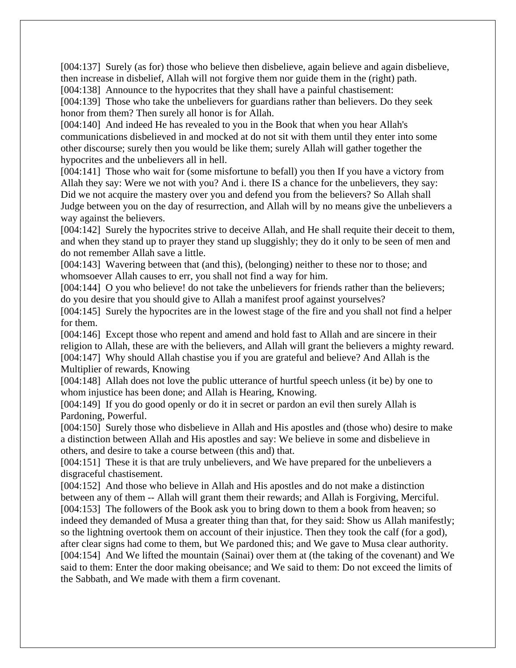[004:137] Surely (as for) those who believe then disbelieve, again believe and again disbelieve, then increase in disbelief, Allah will not forgive them nor guide them in the (right) path.

[004:138] Announce to the hypocrites that they shall have a painful chastisement:

[004:139] Those who take the unbelievers for guardians rather than believers. Do they seek honor from them? Then surely all honor is for Allah.

[004:140] And indeed He has revealed to you in the Book that when you hear Allah's communications disbelieved in and mocked at do not sit with them until they enter into some other discourse; surely then you would be like them; surely Allah will gather together the hypocrites and the unbelievers all in hell.

[004:141] Those who wait for (some misfortune to befall) you then If you have a victory from Allah they say: Were we not with you? And i. there IS a chance for the unbelievers, they say: Did we not acquire the mastery over you and defend you from the believers? So Allah shall Judge between you on the day of resurrection, and Allah will by no means give the unbelievers a way against the believers.

[004:142] Surely the hypocrites strive to deceive Allah, and He shall requite their deceit to them, and when they stand up to prayer they stand up sluggishly; they do it only to be seen of men and do not remember Allah save a little.

[004:143] Wavering between that (and this), (belonging) neither to these nor to those; and whomsoever Allah causes to err, you shall not find a way for him.

[004:144] O you who believe! do not take the unbelievers for friends rather than the believers; do you desire that you should give to Allah a manifest proof against yourselves?

[004:145] Surely the hypocrites are in the lowest stage of the fire and you shall not find a helper for them.

[004:146] Except those who repent and amend and hold fast to Allah and are sincere in their religion to Allah, these are with the believers, and Allah will grant the believers a mighty reward. [004:147] Why should Allah chastise you if you are grateful and believe? And Allah is the Multiplier of rewards, Knowing

[004:148] Allah does not love the public utterance of hurtful speech unless (it be) by one to whom injustice has been done; and Allah is Hearing, Knowing.

[004:149] If you do good openly or do it in secret or pardon an evil then surely Allah is Pardoning, Powerful.

[004:150] Surely those who disbelieve in Allah and His apostles and (those who) desire to make a distinction between Allah and His apostles and say: We believe in some and disbelieve in others, and desire to take a course between (this and) that.

[004:151] These it is that are truly unbelievers, and We have prepared for the unbelievers a disgraceful chastisement.

[004:152] And those who believe in Allah and His apostles and do not make a distinction between any of them -- Allah will grant them their rewards; and Allah is Forgiving, Merciful. [004:153] The followers of the Book ask you to bring down to them a book from heaven; so indeed they demanded of Musa a greater thing than that, for they said: Show us Allah manifestly; so the lightning overtook them on account of their injustice. Then they took the calf (for a god), after clear signs had come to them, but We pardoned this; and We gave to Musa clear authority. [004:154] And We lifted the mountain (Sainai) over them at (the taking of the covenant) and We said to them: Enter the door making obeisance; and We said to them: Do not exceed the limits of the Sabbath, and We made with them a firm covenant.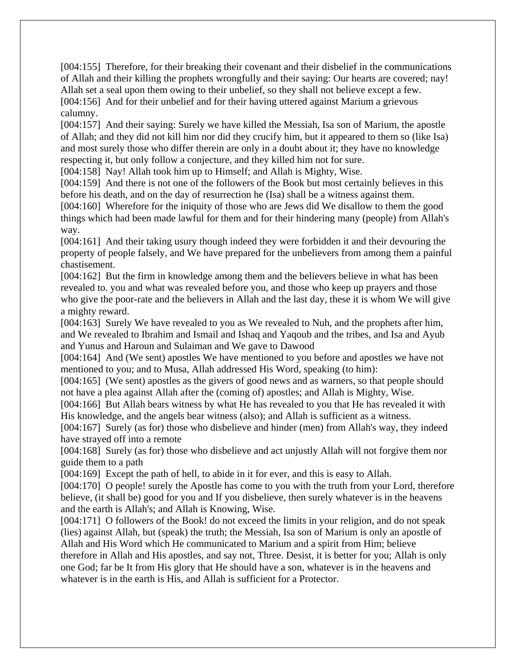[004:155] Therefore, for their breaking their covenant and their disbelief in the communications of Allah and their killing the prophets wrongfully and their saying: Our hearts are covered; nay! Allah set a seal upon them owing to their unbelief, so they shall not believe except a few. [004:156] And for their unbelief and for their having uttered against Marium a grievous calumny.

[004:157] And their saying: Surely we have killed the Messiah, Isa son of Marium, the apostle of Allah; and they did not kill him nor did they crucify him, but it appeared to them so (like Isa) and most surely those who differ therein are only in a doubt about it; they have no knowledge respecting it, but only follow a conjecture, and they killed him not for sure.

[004:158] Nay! Allah took him up to Himself; and Allah is Mighty, Wise.

[004:159] And there is not one of the followers of the Book but most certainly believes in this before his death, and on the day of resurrection he (Isa) shall be a witness against them.

[004:160] Wherefore for the iniquity of those who are Jews did We disallow to them the good things which had been made lawful for them and for their hindering many (people) from Allah's way.

[004:161] And their taking usury though indeed they were forbidden it and their devouring the property of people falsely, and We have prepared for the unbelievers from among them a painful chastisement.

[004:162] But the firm in knowledge among them and the believers believe in what has been revealed to. you and what was revealed before you, and those who keep up prayers and those who give the poor-rate and the believers in Allah and the last day, these it is whom We will give a mighty reward.

[004:163] Surely We have revealed to you as We revealed to Nuh, and the prophets after him, and We revealed to Ibrahim and Ismail and Ishaq and Yaqoub and the tribes, and Isa and Ayub and Yunus and Haroun and Sulaiman and We gave to Dawood

[004:164] And (We sent) apostles We have mentioned to you before and apostles we have not mentioned to you; and to Musa, Allah addressed His Word, speaking (to him):

[004:165] (We sent) apostles as the givers of good news and as warners, so that people should not have a plea against Allah after the (coming of) apostles; and Allah is Mighty, Wise.

[004:166] But Allah bears witness by what He has revealed to you that He has revealed it with His knowledge, and the angels bear witness (also); and Allah is sufficient as a witness.

[004:167] Surely (as for) those who disbelieve and hinder (men) from Allah's way, they indeed have strayed off into a remote

[004:168] Surely (as for) those who disbelieve and act unjustly Allah will not forgive them nor guide them to a path

[004:169] Except the path of hell, to abide in it for ever, and this is easy to Allah.

[004:170] O people! surely the Apostle has come to you with the truth from your Lord, therefore believe, (it shall be) good for you and If you disbelieve, then surely whatever is in the heavens and the earth is Allah's; and Allah is Knowing, Wise.

[004:171] O followers of the Book! do not exceed the limits in your religion, and do not speak (lies) against Allah, but (speak) the truth; the Messiah, Isa son of Marium is only an apostle of Allah and His Word which He communicated to Marium and a spirit from Him; believe therefore in Allah and His apostles, and say not, Three. Desist, it is better for you; Allah is only one God; far be It from His glory that He should have a son, whatever is in the heavens and whatever is in the earth is His, and Allah is sufficient for a Protector.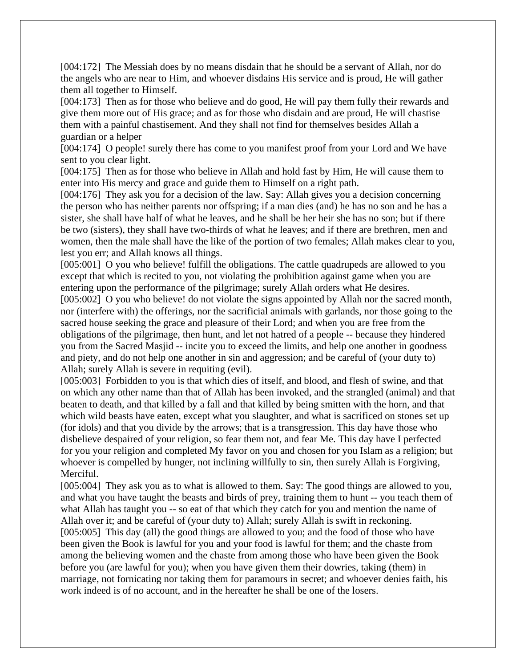[004:172] The Messiah does by no means disdain that he should be a servant of Allah, nor do the angels who are near to Him, and whoever disdains His service and is proud, He will gather them all together to Himself.

[004:173] Then as for those who believe and do good, He will pay them fully their rewards and give them more out of His grace; and as for those who disdain and are proud, He will chastise them with a painful chastisement. And they shall not find for themselves besides Allah a guardian or a helper

[004:174] O people! surely there has come to you manifest proof from your Lord and We have sent to you clear light.

[004:175] Then as for those who believe in Allah and hold fast by Him, He will cause them to enter into His mercy and grace and guide them to Himself on a right path.

[004:176] They ask you for a decision of the law. Say: Allah gives you a decision concerning the person who has neither parents nor offspring; if a man dies (and) he has no son and he has a sister, she shall have half of what he leaves, and he shall be her heir she has no son; but if there be two (sisters), they shall have two-thirds of what he leaves; and if there are brethren, men and women, then the male shall have the like of the portion of two females; Allah makes clear to you, lest you err; and Allah knows all things.

[005:001] O you who believe! fulfill the obligations. The cattle quadrupeds are allowed to you except that which is recited to you, not violating the prohibition against game when you are entering upon the performance of the pilgrimage; surely Allah orders what He desires.

[005:002] O you who believe! do not violate the signs appointed by Allah nor the sacred month, nor (interfere with) the offerings, nor the sacrificial animals with garlands, nor those going to the sacred house seeking the grace and pleasure of their Lord; and when you are free from the obligations of the pilgrimage, then hunt, and let not hatred of a people -- because they hindered you from the Sacred Masjid -- incite you to exceed the limits, and help one another in goodness and piety, and do not help one another in sin and aggression; and be careful of (your duty to) Allah; surely Allah is severe in requiting (evil).

[005:003] Forbidden to you is that which dies of itself, and blood, and flesh of swine, and that on which any other name than that of Allah has been invoked, and the strangled (animal) and that beaten to death, and that killed by a fall and that killed by being smitten with the horn, and that which wild beasts have eaten, except what you slaughter, and what is sacrificed on stones set up (for idols) and that you divide by the arrows; that is a transgression. This day have those who disbelieve despaired of your religion, so fear them not, and fear Me. This day have I perfected for you your religion and completed My favor on you and chosen for you Islam as a religion; but whoever is compelled by hunger, not inclining willfully to sin, then surely Allah is Forgiving, Merciful.

[005:004] They ask you as to what is allowed to them. Say: The good things are allowed to you, and what you have taught the beasts and birds of prey, training them to hunt -- you teach them of what Allah has taught you -- so eat of that which they catch for you and mention the name of Allah over it; and be careful of (your duty to) Allah; surely Allah is swift in reckoning. [005:005] This day (all) the good things are allowed to you; and the food of those who have been given the Book is lawful for you and your food is lawful for them; and the chaste from among the believing women and the chaste from among those who have been given the Book before you (are lawful for you); when you have given them their dowries, taking (them) in marriage, not fornicating nor taking them for paramours in secret; and whoever denies faith, his work indeed is of no account, and in the hereafter he shall be one of the losers.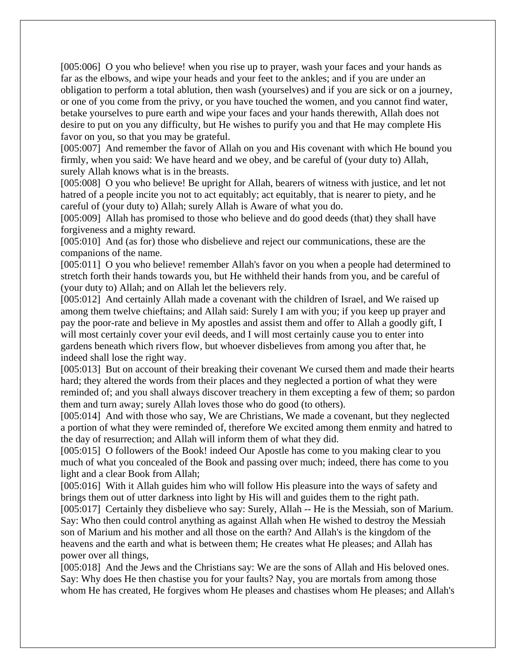[005:006] O you who believe! when you rise up to prayer, wash your faces and your hands as far as the elbows, and wipe your heads and your feet to the ankles; and if you are under an obligation to perform a total ablution, then wash (yourselves) and if you are sick or on a journey, or one of you come from the privy, or you have touched the women, and you cannot find water, betake yourselves to pure earth and wipe your faces and your hands therewith, Allah does not desire to put on you any difficulty, but He wishes to purify you and that He may complete His favor on you, so that you may be grateful.

[005:007] And remember the favor of Allah on you and His covenant with which He bound you firmly, when you said: We have heard and we obey, and be careful of (your duty to) Allah, surely Allah knows what is in the breasts.

[005:008] O you who believe! Be upright for Allah, bearers of witness with justice, and let not hatred of a people incite you not to act equitably; act equitably, that is nearer to piety, and he careful of (your duty to) Allah; surely Allah is Aware of what you do.

[005:009] Allah has promised to those who believe and do good deeds (that) they shall have forgiveness and a mighty reward.

[005:010] And (as for) those who disbelieve and reject our communications, these are the companions of the name.

[005:011] O you who believe! remember Allah's favor on you when a people had determined to stretch forth their hands towards you, but He withheld their hands from you, and be careful of (your duty to) Allah; and on Allah let the believers rely.

[005:012] And certainly Allah made a covenant with the children of Israel, and We raised up among them twelve chieftains; and Allah said: Surely I am with you; if you keep up prayer and pay the poor-rate and believe in My apostles and assist them and offer to Allah a goodly gift, I will most certainly cover your evil deeds, and I will most certainly cause you to enter into gardens beneath which rivers flow, but whoever disbelieves from among you after that, he indeed shall lose the right way.

[005:013] But on account of their breaking their covenant We cursed them and made their hearts hard; they altered the words from their places and they neglected a portion of what they were reminded of; and you shall always discover treachery in them excepting a few of them; so pardon them and turn away; surely Allah loves those who do good (to others).

[005:014] And with those who say, We are Christians, We made a covenant, but they neglected a portion of what they were reminded of, therefore We excited among them enmity and hatred to the day of resurrection; and Allah will inform them of what they did.

[005:015] O followers of the Book! indeed Our Apostle has come to you making clear to you much of what you concealed of the Book and passing over much; indeed, there has come to you light and a clear Book from Allah;

[005:016] With it Allah guides him who will follow His pleasure into the ways of safety and brings them out of utter darkness into light by His will and guides them to the right path.

[005:017] Certainly they disbelieve who say: Surely, Allah -- He is the Messiah, son of Marium. Say: Who then could control anything as against Allah when He wished to destroy the Messiah son of Marium and his mother and all those on the earth? And Allah's is the kingdom of the heavens and the earth and what is between them; He creates what He pleases; and Allah has power over all things,

[005:018] And the Jews and the Christians say: We are the sons of Allah and His beloved ones. Say: Why does He then chastise you for your faults? Nay, you are mortals from among those whom He has created, He forgives whom He pleases and chastises whom He pleases; and Allah's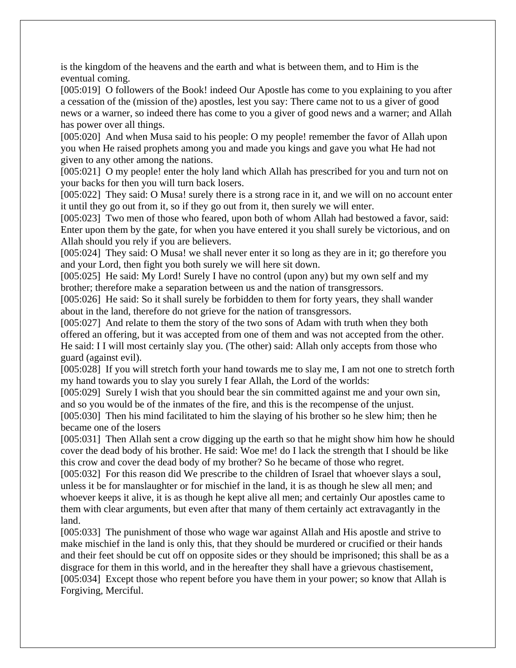is the kingdom of the heavens and the earth and what is between them, and to Him is the eventual coming.

[005:019] O followers of the Book! indeed Our Apostle has come to you explaining to you after a cessation of the (mission of the) apostles, lest you say: There came not to us a giver of good news or a warner, so indeed there has come to you a giver of good news and a warner; and Allah has power over all things.

[005:020] And when Musa said to his people: O my people! remember the favor of Allah upon you when He raised prophets among you and made you kings and gave you what He had not given to any other among the nations.

[005:021] O my people! enter the holy land which Allah has prescribed for you and turn not on your backs for then you will turn back losers.

[005:022] They said: O Musa! surely there is a strong race in it, and we will on no account enter it until they go out from it, so if they go out from it, then surely we will enter.

[005:023] Two men of those who feared, upon both of whom Allah had bestowed a favor, said: Enter upon them by the gate, for when you have entered it you shall surely be victorious, and on Allah should you rely if you are believers.

[005:024] They said: O Musa! we shall never enter it so long as they are in it; go therefore you and your Lord, then fight you both surely we will here sit down.

[005:025] He said: My Lord! Surely I have no control (upon any) but my own self and my brother; therefore make a separation between us and the nation of transgressors.

[005:026] He said: So it shall surely be forbidden to them for forty years, they shall wander about in the land, therefore do not grieve for the nation of transgressors.

[005:027] And relate to them the story of the two sons of Adam with truth when they both offered an offering, but it was accepted from one of them and was not accepted from the other. He said: I I will most certainly slay you. (The other) said: Allah only accepts from those who guard (against evil).

[005:028] If you will stretch forth your hand towards me to slay me, I am not one to stretch forth my hand towards you to slay you surely I fear Allah, the Lord of the worlds:

[005:029] Surely I wish that you should bear the sin committed against me and your own sin, and so you would be of the inmates of the fire, and this is the recompense of the unjust.

[005:030] Then his mind facilitated to him the slaying of his brother so he slew him; then he became one of the losers

[005:031] Then Allah sent a crow digging up the earth so that he might show him how he should cover the dead body of his brother. He said: Woe me! do I lack the strength that I should be like this crow and cover the dead body of my brother? So he became of those who regret.

[005:032] For this reason did We prescribe to the children of Israel that whoever slays a soul, unless it be for manslaughter or for mischief in the land, it is as though he slew all men; and whoever keeps it alive, it is as though he kept alive all men; and certainly Our apostles came to them with clear arguments, but even after that many of them certainly act extravagantly in the land.

[005:033] The punishment of those who wage war against Allah and His apostle and strive to make mischief in the land is only this, that they should be murdered or crucified or their hands and their feet should be cut off on opposite sides or they should be imprisoned; this shall be as a disgrace for them in this world, and in the hereafter they shall have a grievous chastisement, [005:034] Except those who repent before you have them in your power; so know that Allah is Forgiving, Merciful.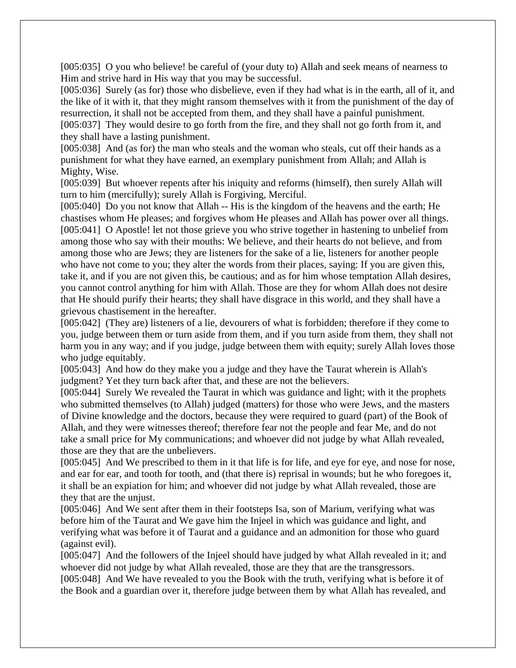[005:035] O you who believe! be careful of (your duty to) Allah and seek means of nearness to Him and strive hard in His way that you may be successful.

[005:036] Surely (as for) those who disbelieve, even if they had what is in the earth, all of it, and the like of it with it, that they might ransom themselves with it from the punishment of the day of resurrection, it shall not be accepted from them, and they shall have a painful punishment.

[005:037] They would desire to go forth from the fire, and they shall not go forth from it, and they shall have a lasting punishment.

[005:038] And (as for) the man who steals and the woman who steals, cut off their hands as a punishment for what they have earned, an exemplary punishment from Allah; and Allah is Mighty, Wise.

[005:039] But whoever repents after his iniquity and reforms (himself), then surely Allah will turn to him (mercifully); surely Allah is Forgiving, Merciful.

[005:040] Do you not know that Allah -- His is the kingdom of the heavens and the earth; He chastises whom He pleases; and forgives whom He pleases and Allah has power over all things. [005:041] O Apostle! let not those grieve you who strive together in hastening to unbelief from among those who say with their mouths: We believe, and their hearts do not believe, and from among those who are Jews; they are listeners for the sake of a lie, listeners for another people who have not come to you; they alter the words from their places, saying: If you are given this, take it, and if you are not given this, be cautious; and as for him whose temptation Allah desires, you cannot control anything for him with Allah. Those are they for whom Allah does not desire that He should purify their hearts; they shall have disgrace in this world, and they shall have a grievous chastisement in the hereafter.

[005:042] (They are) listeners of a lie, devourers of what is forbidden; therefore if they come to you, judge between them or turn aside from them, and if you turn aside from them, they shall not harm you in any way; and if you judge, judge between them with equity; surely Allah loves those who judge equitably.

[005:043] And how do they make you a judge and they have the Taurat wherein is Allah's judgment? Yet they turn back after that, and these are not the believers.

[005:044] Surely We revealed the Taurat in which was guidance and light; with it the prophets who submitted themselves (to Allah) judged (matters) for those who were Jews, and the masters of Divine knowledge and the doctors, because they were required to guard (part) of the Book of Allah, and they were witnesses thereof; therefore fear not the people and fear Me, and do not take a small price for My communications; and whoever did not judge by what Allah revealed, those are they that are the unbelievers.

[005:045] And We prescribed to them in it that life is for life, and eye for eye, and nose for nose, and ear for ear, and tooth for tooth, and (that there is) reprisal in wounds; but he who foregoes it, it shall be an expiation for him; and whoever did not judge by what Allah revealed, those are they that are the unjust.

[005:046] And We sent after them in their footsteps Isa, son of Marium, verifying what was before him of the Taurat and We gave him the Injeel in which was guidance and light, and verifying what was before it of Taurat and a guidance and an admonition for those who guard (against evil).

[005:047] And the followers of the Injeel should have judged by what Allah revealed in it; and whoever did not judge by what Allah revealed, those are they that are the transgressors.

[005:048] And We have revealed to you the Book with the truth, verifying what is before it of the Book and a guardian over it, therefore judge between them by what Allah has revealed, and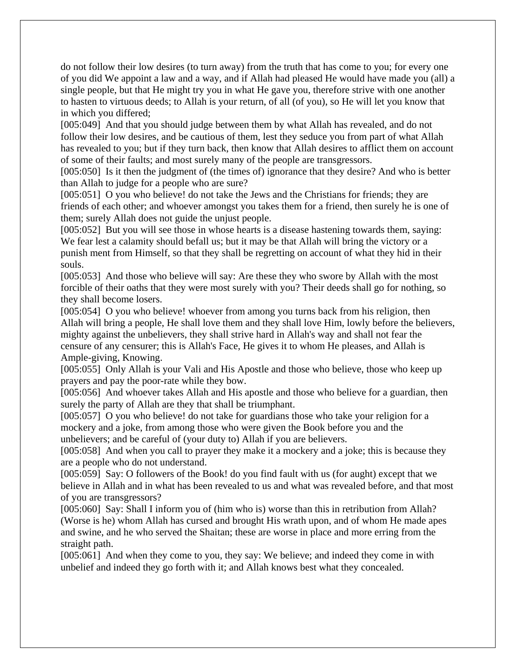do not follow their low desires (to turn away) from the truth that has come to you; for every one of you did We appoint a law and a way, and if Allah had pleased He would have made you (all) a single people, but that He might try you in what He gave you, therefore strive with one another to hasten to virtuous deeds; to Allah is your return, of all (of you), so He will let you know that in which you differed;

[005:049] And that you should judge between them by what Allah has revealed, and do not follow their low desires, and be cautious of them, lest they seduce you from part of what Allah has revealed to you; but if they turn back, then know that Allah desires to afflict them on account of some of their faults; and most surely many of the people are transgressors.

[005:050] Is it then the judgment of (the times of) ignorance that they desire? And who is better than Allah to judge for a people who are sure?

[005:051] O you who believe! do not take the Jews and the Christians for friends; they are friends of each other; and whoever amongst you takes them for a friend, then surely he is one of them; surely Allah does not guide the unjust people.

[005:052] But you will see those in whose hearts is a disease hastening towards them, saying: We fear lest a calamity should befall us; but it may be that Allah will bring the victory or a punish ment from Himself, so that they shall be regretting on account of what they hid in their souls.

[005:053] And those who believe will say: Are these they who swore by Allah with the most forcible of their oaths that they were most surely with you? Their deeds shall go for nothing, so they shall become losers.

[005:054] O you who believe! whoever from among you turns back from his religion, then Allah will bring a people, He shall love them and they shall love Him, lowly before the believers, mighty against the unbelievers, they shall strive hard in Allah's way and shall not fear the censure of any censurer; this is Allah's Face, He gives it to whom He pleases, and Allah is Ample-giving, Knowing.

[005:055] Only Allah is your Vali and His Apostle and those who believe, those who keep up prayers and pay the poor-rate while they bow.

[005:056] And whoever takes Allah and His apostle and those who believe for a guardian, then surely the party of Allah are they that shall be triumphant.

[005:057] O you who believe! do not take for guardians those who take your religion for a mockery and a joke, from among those who were given the Book before you and the unbelievers; and be careful of (your duty to) Allah if you are believers.

[005:058] And when you call to prayer they make it a mockery and a joke; this is because they are a people who do not understand.

[005:059] Say: O followers of the Book! do you find fault with us (for aught) except that we believe in Allah and in what has been revealed to us and what was revealed before, and that most of you are transgressors?

[005:060] Say: Shall I inform you of (him who is) worse than this in retribution from Allah? (Worse is he) whom Allah has cursed and brought His wrath upon, and of whom He made apes and swine, and he who served the Shaitan; these are worse in place and more erring from the straight path.

[005:061] And when they come to you, they say: We believe; and indeed they come in with unbelief and indeed they go forth with it; and Allah knows best what they concealed.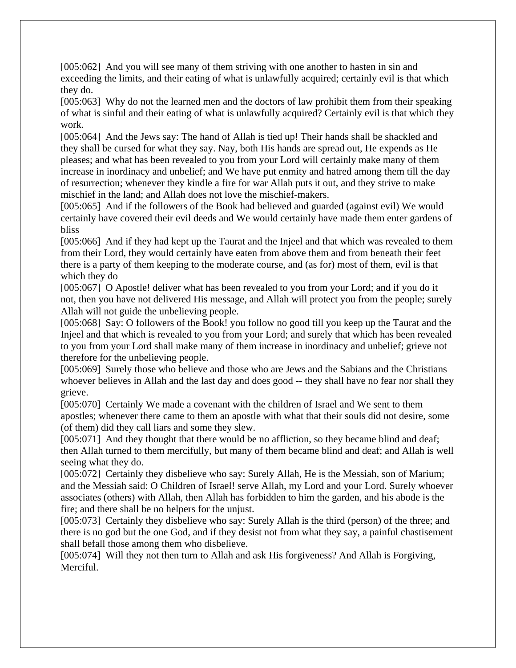[005:062] And you will see many of them striving with one another to hasten in sin and exceeding the limits, and their eating of what is unlawfully acquired; certainly evil is that which they do.

[005:063] Why do not the learned men and the doctors of law prohibit them from their speaking of what is sinful and their eating of what is unlawfully acquired? Certainly evil is that which they work.

[005:064] And the Jews say: The hand of Allah is tied up! Their hands shall be shackled and they shall be cursed for what they say. Nay, both His hands are spread out, He expends as He pleases; and what has been revealed to you from your Lord will certainly make many of them increase in inordinacy and unbelief; and We have put enmity and hatred among them till the day of resurrection; whenever they kindle a fire for war Allah puts it out, and they strive to make mischief in the land; and Allah does not love the mischief-makers.

[005:065] And if the followers of the Book had believed and guarded (against evil) We would certainly have covered their evil deeds and We would certainly have made them enter gardens of bliss

[005:066] And if they had kept up the Taurat and the Injeel and that which was revealed to them from their Lord, they would certainly have eaten from above them and from beneath their feet there is a party of them keeping to the moderate course, and (as for) most of them, evil is that which they do

[005:067] O Apostle! deliver what has been revealed to you from your Lord; and if you do it not, then you have not delivered His message, and Allah will protect you from the people; surely Allah will not guide the unbelieving people.

[005:068] Say: O followers of the Book! you follow no good till you keep up the Taurat and the Injeel and that which is revealed to you from your Lord; and surely that which has been revealed to you from your Lord shall make many of them increase in inordinacy and unbelief; grieve not therefore for the unbelieving people.

[005:069] Surely those who believe and those who are Jews and the Sabians and the Christians whoever believes in Allah and the last day and does good -- they shall have no fear nor shall they grieve.

[005:070] Certainly We made a covenant with the children of Israel and We sent to them apostles; whenever there came to them an apostle with what that their souls did not desire, some (of them) did they call liars and some they slew.

[005:071] And they thought that there would be no affliction, so they became blind and deaf; then Allah turned to them mercifully, but many of them became blind and deaf; and Allah is well seeing what they do.

[005:072] Certainly they disbelieve who say: Surely Allah, He is the Messiah, son of Marium; and the Messiah said: O Children of Israel! serve Allah, my Lord and your Lord. Surely whoever associates (others) with Allah, then Allah has forbidden to him the garden, and his abode is the fire; and there shall be no helpers for the unjust.

[005:073] Certainly they disbelieve who say: Surely Allah is the third (person) of the three; and there is no god but the one God, and if they desist not from what they say, a painful chastisement shall befall those among them who disbelieve.

[005:074] Will they not then turn to Allah and ask His forgiveness? And Allah is Forgiving, Merciful.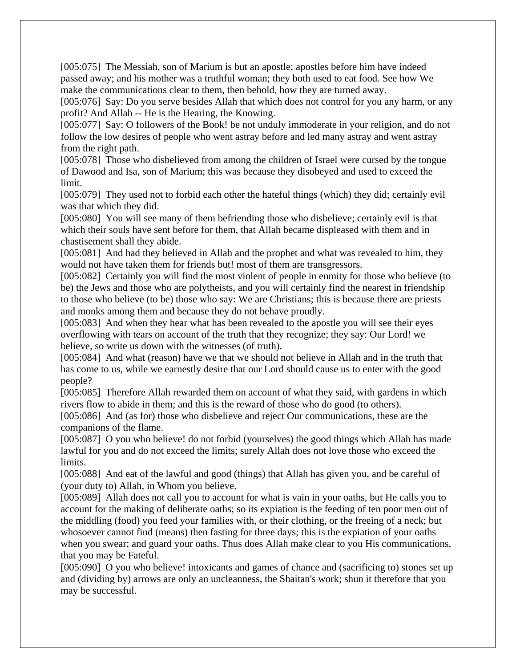[005:075] The Messiah, son of Marium is but an apostle; apostles before him have indeed passed away; and his mother was a truthful woman; they both used to eat food. See how We make the communications clear to them, then behold, how they are turned away.

[005:076] Say: Do you serve besides Allah that which does not control for you any harm, or any profit? And Allah -- He is the Hearing, the Knowing.

[005:077] Say: O followers of the Book! be not unduly immoderate in your religion, and do not follow the low desires of people who went astray before and led many astray and went astray from the right path.

[005:078] Those who disbelieved from among the children of Israel were cursed by the tongue of Dawood and Isa, son of Marium; this was because they disobeyed and used to exceed the limit.

[005:079] They used not to forbid each other the hateful things (which) they did; certainly evil was that which they did.

[005:080] You will see many of them befriending those who disbelieve; certainly evil is that which their souls have sent before for them, that Allah became displeased with them and in chastisement shall they abide.

[005:081] And had they believed in Allah and the prophet and what was revealed to him, they would not have taken them for friends but! most of them are transgressors.

[005:082] Certainly you will find the most violent of people in enmity for those who believe (to be) the Jews and those who are polytheists, and you will certainly find the nearest in friendship to those who believe (to be) those who say: We are Christians; this is because there are priests and monks among them and because they do not behave proudly.

[005:083] And when they hear what has been revealed to the apostle you will see their eyes overflowing with tears on account of the truth that they recognize; they say: Our Lord! we believe, so write us down with the witnesses (of truth).

[005:084] And what (reason) have we that we should not believe in Allah and in the truth that has come to us, while we earnestly desire that our Lord should cause us to enter with the good people?

[005:085] Therefore Allah rewarded them on account of what they said, with gardens in which rivers flow to abide in them; and this is the reward of those who do good (to others).

[005:086] And (as for) those who disbelieve and reject Our communications, these are the companions of the flame.

[005:087] O you who believe! do not forbid (yourselves) the good things which Allah has made lawful for you and do not exceed the limits; surely Allah does not love those who exceed the limits.

[005:088] And eat of the lawful and good (things) that Allah has given you, and be careful of (your duty to) Allah, in Whom you believe.

[005:089] Allah does not call you to account for what is vain in your oaths, but He calls you to account for the making of deliberate oaths; so its expiation is the feeding of ten poor men out of the middling (food) you feed your families with, or their clothing, or the freeing of a neck; but whosoever cannot find (means) then fasting for three days; this is the expiation of your oaths when you swear; and guard your oaths. Thus does Allah make clear to you His communications, that you may be Fateful.

[005:090] O you who believe! intoxicants and games of chance and (sacrificing to) stones set up and (dividing by) arrows are only an uncleanness, the Shaitan's work; shun it therefore that you may be successful.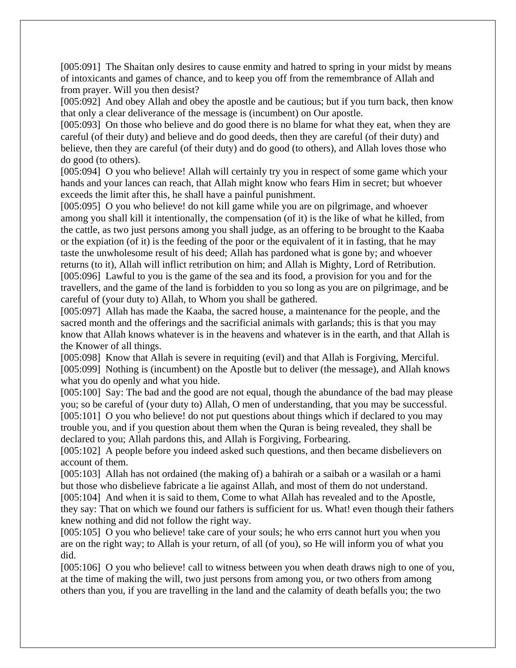[005:091] The Shaitan only desires to cause enmity and hatred to spring in your midst by means of intoxicants and games of chance, and to keep you off from the remembrance of Allah and from prayer. Will you then desist?

[005:092] And obey Allah and obey the apostle and be cautious; but if you turn back, then know that only a clear deliverance of the message is (incumbent) on Our apostle.

[005:093] On those who believe and do good there is no blame for what they eat, when they are careful (of their duty) and believe and do good deeds, then they are careful (of their duty) and believe, then they are careful (of their duty) and do good (to others), and Allah loves those who do good (to others).

[005:094] O you who believe! Allah will certainly try you in respect of some game which your hands and your lances can reach, that Allah might know who fears Him in secret; but whoever exceeds the limit after this, he shall have a painful punishment.

[005:095] O you who believe! do not kill game while you are on pilgrimage, and whoever among you shall kill it intentionally, the compensation (of it) is the like of what he killed, from the cattle, as two just persons among you shall judge, as an offering to be brought to the Kaaba or the expiation (of it) is the feeding of the poor or the equivalent of it in fasting, that he may taste the unwholesome result of his deed; Allah has pardoned what is gone by; and whoever returns (to it), Allah will inflict retribution on him; and Allah is Mighty, Lord of Retribution. [005:096] Lawful to you is the game of the sea and its food, a provision for you and for the travellers, and the game of the land is forbidden to you so long as you are on pilgrimage, and be careful of (your duty to) Allah, to Whom you shall be gathered.

[005:097] Allah has made the Kaaba, the sacred house, a maintenance for the people, and the sacred month and the offerings and the sacrificial animals with garlands; this is that you may know that Allah knows whatever is in the heavens and whatever is in the earth, and that Allah is the Knower of all things.

[005:098] Know that Allah is severe in requiting (evil) and that Allah is Forgiving, Merciful. [005:099] Nothing is (incumbent) on the Apostle but to deliver (the message), and Allah knows what you do openly and what you hide.

[005:100] Say: The bad and the good are not equal, though the abundance of the bad may please you; so be careful of (your duty to) Allah, O men of understanding, that you may be successful. [005:101] O you who believe! do not put questions about things which if declared to you may trouble you, and if you question about them when the Quran is being revealed, they shall be declared to you; Allah pardons this, and Allah is Forgiving, Forbearing.

[005:102] A people before you indeed asked such questions, and then became disbelievers on account of them.

[005:103] Allah has not ordained (the making of) a bahirah or a saibah or a wasilah or a hami but those who disbelieve fabricate a lie against Allah, and most of them do not understand. [005:104] And when it is said to them, Come to what Allah has revealed and to the Apostle, they say: That on which we found our fathers is sufficient for us. What! even though their fathers knew nothing and did not follow the right way.

[005:105] O you who believe! take care of your souls; he who errs cannot hurt you when you are on the right way; to Allah is your return, of all (of you), so He will inform you of what you did.

[005:106] O you who believe! call to witness between you when death draws nigh to one of you, at the time of making the will, two just persons from among you, or two others from among others than you, if you are travelling in the land and the calamity of death befalls you; the two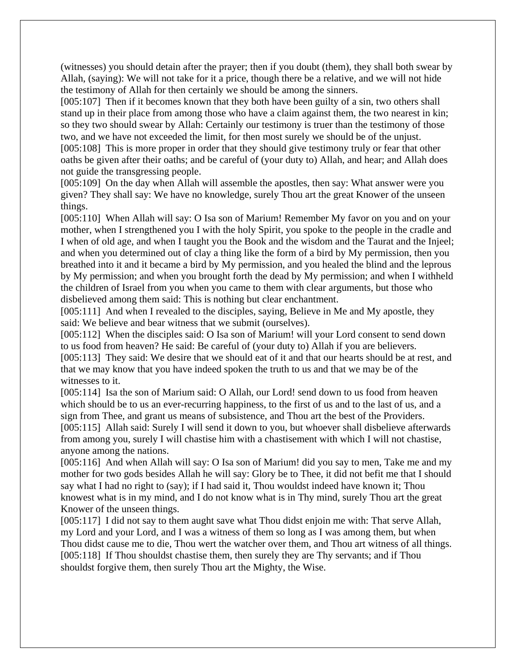(witnesses) you should detain after the prayer; then if you doubt (them), they shall both swear by Allah, (saying): We will not take for it a price, though there be a relative, and we will not hide the testimony of Allah for then certainly we should be among the sinners.

[005:107] Then if it becomes known that they both have been guilty of a sin, two others shall stand up in their place from among those who have a claim against them, the two nearest in kin; so they two should swear by Allah: Certainly our testimony is truer than the testimony of those two, and we have not exceeded the limit, for then most surely we should be of the unjust. [005:108] This is more proper in order that they should give testimony truly or fear that other oaths be given after their oaths; and be careful of (your duty to) Allah, and hear; and Allah does

not guide the transgressing people.

[005:109] On the day when Allah will assemble the apostles, then say: What answer were you given? They shall say: We have no knowledge, surely Thou art the great Knower of the unseen things.

[005:110] When Allah will say: O Isa son of Marium! Remember My favor on you and on your mother, when I strengthened you I with the holy Spirit, you spoke to the people in the cradle and I when of old age, and when I taught you the Book and the wisdom and the Taurat and the Injeel; and when you determined out of clay a thing like the form of a bird by My permission, then you breathed into it and it became a bird by My permission, and you healed the blind and the leprous by My permission; and when you brought forth the dead by My permission; and when I withheld the children of Israel from you when you came to them with clear arguments, but those who disbelieved among them said: This is nothing but clear enchantment.

[005:111] And when I revealed to the disciples, saying, Believe in Me and My apostle, they said: We believe and bear witness that we submit (ourselves).

[005:112] When the disciples said: O Isa son of Marium! will your Lord consent to send down to us food from heaven? He said: Be careful of (your duty to) Allah if you are believers. [005:113] They said: We desire that we should eat of it and that our hearts should be at rest, and that we may know that you have indeed spoken the truth to us and that we may be of the witnesses to it.

[005:114] Isa the son of Marium said: O Allah, our Lord! send down to us food from heaven which should be to us an ever-recurring happiness, to the first of us and to the last of us, and a sign from Thee, and grant us means of subsistence, and Thou art the best of the Providers. [005:115] Allah said: Surely I will send it down to you, but whoever shall disbelieve afterwards from among you, surely I will chastise him with a chastisement with which I will not chastise, anyone among the nations.

[005:116] And when Allah will say: O Isa son of Marium! did you say to men, Take me and my mother for two gods besides Allah he will say: Glory be to Thee, it did not befit me that I should say what I had no right to (say); if I had said it, Thou wouldst indeed have known it; Thou knowest what is in my mind, and I do not know what is in Thy mind, surely Thou art the great Knower of the unseen things.

[005:117] I did not say to them aught save what Thou didst enjoin me with: That serve Allah, my Lord and your Lord, and I was a witness of them so long as I was among them, but when Thou didst cause me to die, Thou wert the watcher over them, and Thou art witness of all things. [005:118] If Thou shouldst chastise them, then surely they are Thy servants; and if Thou shouldst forgive them, then surely Thou art the Mighty, the Wise.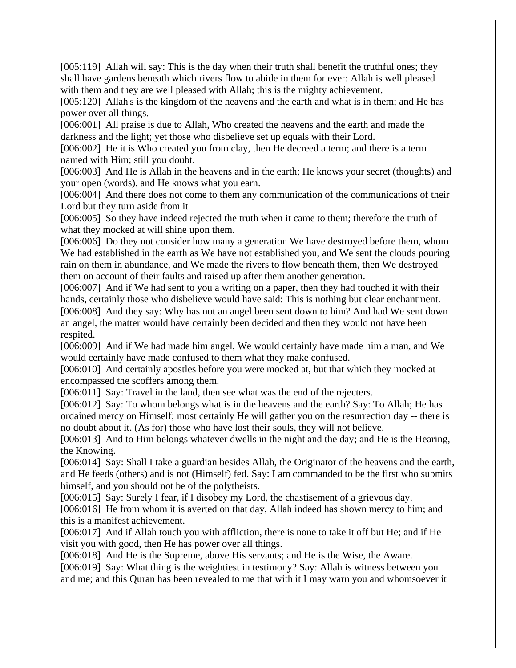[005:119] Allah will say: This is the day when their truth shall benefit the truthful ones; they shall have gardens beneath which rivers flow to abide in them for ever: Allah is well pleased with them and they are well pleased with Allah; this is the mighty achievement.

[005:120] Allah's is the kingdom of the heavens and the earth and what is in them; and He has power over all things.

[006:001] All praise is due to Allah, Who created the heavens and the earth and made the darkness and the light; yet those who disbelieve set up equals with their Lord.

[006:002] He it is Who created you from clay, then He decreed a term; and there is a term named with Him; still you doubt.

[006:003] And He is Allah in the heavens and in the earth; He knows your secret (thoughts) and your open (words), and He knows what you earn.

[006:004] And there does not come to them any communication of the communications of their Lord but they turn aside from it

[006:005] So they have indeed rejected the truth when it came to them; therefore the truth of what they mocked at will shine upon them.

[006:006] Do they not consider how many a generation We have destroyed before them, whom We had established in the earth as We have not established you, and We sent the clouds pouring rain on them in abundance, and We made the rivers to flow beneath them, then We destroyed them on account of their faults and raised up after them another generation.

[006:007] And if We had sent to you a writing on a paper, then they had touched it with their hands, certainly those who disbelieve would have said: This is nothing but clear enchantment. [006:008] And they say: Why has not an angel been sent down to him? And had We sent down an angel, the matter would have certainly been decided and then they would not have been respited.

[006:009] And if We had made him angel, We would certainly have made him a man, and We would certainly have made confused to them what they make confused.

[006:010] And certainly apostles before you were mocked at, but that which they mocked at encompassed the scoffers among them.

[006:011] Say: Travel in the land, then see what was the end of the rejecters.

[006:012] Say: To whom belongs what is in the heavens and the earth? Say: To Allah; He has ordained mercy on Himself; most certainly He will gather you on the resurrection day -- there is no doubt about it. (As for) those who have lost their souls, they will not believe.

[006:013] And to Him belongs whatever dwells in the night and the day; and He is the Hearing, the Knowing.

[006:014] Say: Shall I take a guardian besides Allah, the Originator of the heavens and the earth, and He feeds (others) and is not (Himself) fed. Say: I am commanded to be the first who submits himself, and you should not be of the polytheists.

[006:015] Say: Surely I fear, if I disobey my Lord, the chastisement of a grievous day.

[006:016] He from whom it is averted on that day, Allah indeed has shown mercy to him; and this is a manifest achievement.

[006:017] And if Allah touch you with affliction, there is none to take it off but He; and if He visit you with good, then He has power over all things.

[006:018] And He is the Supreme, above His servants; and He is the Wise, the Aware.

[006:019] Say: What thing is the weightiest in testimony? Say: Allah is witness between you and me; and this Quran has been revealed to me that with it I may warn you and whomsoever it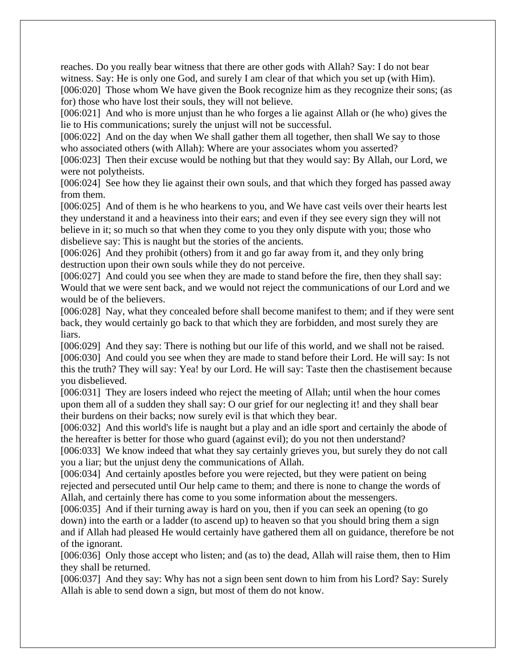reaches. Do you really bear witness that there are other gods with Allah? Say: I do not bear witness. Say: He is only one God, and surely I am clear of that which you set up (with Him). [006:020] Those whom We have given the Book recognize him as they recognize their sons; (as for) those who have lost their souls, they will not believe.

[006:021] And who is more unjust than he who forges a lie against Allah or (he who) gives the lie to His communications; surely the unjust will not be successful.

[006:022] And on the day when We shall gather them all together, then shall We say to those who associated others (with Allah): Where are your associates whom you asserted?

[006:023] Then their excuse would be nothing but that they would say: By Allah, our Lord, we were not polytheists.

[006:024] See how they lie against their own souls, and that which they forged has passed away from them.

[006:025] And of them is he who hearkens to you, and We have cast veils over their hearts lest they understand it and a heaviness into their ears; and even if they see every sign they will not believe in it; so much so that when they come to you they only dispute with you; those who disbelieve say: This is naught but the stories of the ancients.

[006:026] And they prohibit (others) from it and go far away from it, and they only bring destruction upon their own souls while they do not perceive.

[006:027] And could you see when they are made to stand before the fire, then they shall say: Would that we were sent back, and we would not reject the communications of our Lord and we would be of the believers.

[006:028] Nay, what they concealed before shall become manifest to them; and if they were sent back, they would certainly go back to that which they are forbidden, and most surely they are liars.

[006:029] And they say: There is nothing but our life of this world, and we shall not be raised. [006:030] And could you see when they are made to stand before their Lord. He will say: Is not this the truth? They will say: Yea! by our Lord. He will say: Taste then the chastisement because you disbelieved.

[006:031] They are losers indeed who reject the meeting of Allah; until when the hour comes upon them all of a sudden they shall say: O our grief for our neglecting it! and they shall bear their burdens on their backs; now surely evil is that which they bear.

[006:032] And this world's life is naught but a play and an idle sport and certainly the abode of the hereafter is better for those who guard (against evil); do you not then understand?

[006:033] We know indeed that what they say certainly grieves you, but surely they do not call you a liar; but the unjust deny the communications of Allah.

[006:034] And certainly apostles before you were rejected, but they were patient on being rejected and persecuted until Our help came to them; and there is none to change the words of Allah, and certainly there has come to you some information about the messengers.

[006:035] And if their turning away is hard on you, then if you can seek an opening (to go down) into the earth or a ladder (to ascend up) to heaven so that you should bring them a sign and if Allah had pleased He would certainly have gathered them all on guidance, therefore be not of the ignorant.

[006:036] Only those accept who listen; and (as to) the dead, Allah will raise them, then to Him they shall be returned.

[006:037] And they say: Why has not a sign been sent down to him from his Lord? Say: Surely Allah is able to send down a sign, but most of them do not know.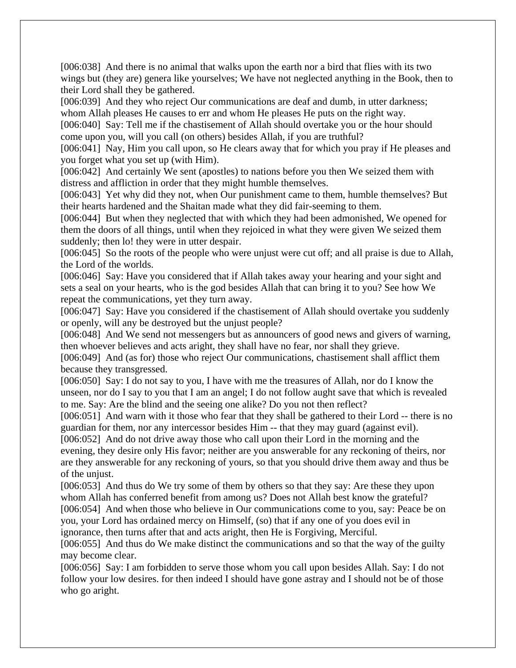[006:038] And there is no animal that walks upon the earth nor a bird that flies with its two wings but (they are) genera like yourselves; We have not neglected anything in the Book, then to their Lord shall they be gathered.

[006:039] And they who reject Our communications are deaf and dumb, in utter darkness; whom Allah pleases He causes to err and whom He pleases He puts on the right way.

[006:040] Say: Tell me if the chastisement of Allah should overtake you or the hour should come upon you, will you call (on others) besides Allah, if you are truthful?

[006:041] Nay, Him you call upon, so He clears away that for which you pray if He pleases and you forget what you set up (with Him).

[006:042] And certainly We sent (apostles) to nations before you then We seized them with distress and affliction in order that they might humble themselves.

[006:043] Yet why did they not, when Our punishment came to them, humble themselves? But their hearts hardened and the Shaitan made what they did fair-seeming to them.

[006:044] But when they neglected that with which they had been admonished, We opened for them the doors of all things, until when they rejoiced in what they were given We seized them suddenly; then lo! they were in utter despair.

[006:045] So the roots of the people who were unjust were cut off; and all praise is due to Allah, the Lord of the worlds.

[006:046] Say: Have you considered that if Allah takes away your hearing and your sight and sets a seal on your hearts, who is the god besides Allah that can bring it to you? See how We repeat the communications, yet they turn away.

[006:047] Say: Have you considered if the chastisement of Allah should overtake you suddenly or openly, will any be destroyed but the unjust people?

[006:048] And We send not messengers but as announcers of good news and givers of warning, then whoever believes and acts aright, they shall have no fear, nor shall they grieve.

[006:049] And (as for) those who reject Our communications, chastisement shall afflict them because they transgressed.

[006:050] Say: I do not say to you, I have with me the treasures of Allah, nor do I know the unseen, nor do I say to you that I am an angel; I do not follow aught save that which is revealed to me. Say: Are the blind and the seeing one alike? Do you not then reflect?

[006:051] And warn with it those who fear that they shall be gathered to their Lord -- there is no guardian for them, nor any intercessor besides Him -- that they may guard (against evil).

[006:052] And do not drive away those who call upon their Lord in the morning and the evening, they desire only His favor; neither are you answerable for any reckoning of theirs, nor are they answerable for any reckoning of yours, so that you should drive them away and thus be of the unjust.

[006:053] And thus do We try some of them by others so that they say: Are these they upon whom Allah has conferred benefit from among us? Does not Allah best know the grateful? [006:054] And when those who believe in Our communications come to you, say: Peace be on you, your Lord has ordained mercy on Himself, (so) that if any one of you does evil in ignorance, then turns after that and acts aright, then He is Forgiving, Merciful.

[006:055] And thus do We make distinct the communications and so that the way of the guilty may become clear.

[006:056] Say: I am forbidden to serve those whom you call upon besides Allah. Say: I do not follow your low desires. for then indeed I should have gone astray and I should not be of those who go aright.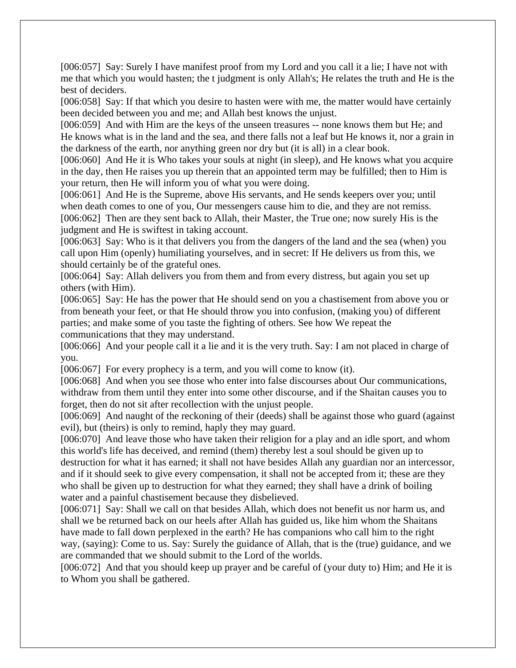[006:057] Say: Surely I have manifest proof from my Lord and you call it a lie; I have not with me that which you would hasten; the t judgment is only Allah's; He relates the truth and He is the best of deciders.

[006:058] Say: If that which you desire to hasten were with me, the matter would have certainly been decided between you and me; and Allah best knows the unjust.

[006:059] And with Him are the keys of the unseen treasures -- none knows them but He; and He knows what is in the land and the sea, and there falls not a leaf but He knows it, nor a grain in the darkness of the earth, nor anything green nor dry but (it is all) in a clear book.

[006:060] And He it is Who takes your souls at night (in sleep), and He knows what you acquire in the day, then He raises you up therein that an appointed term may be fulfilled; then to Him is your return, then He will inform you of what you were doing.

[006:061] And He is the Supreme, above His servants, and He sends keepers over you; until when death comes to one of you, Our messengers cause him to die, and they are not remiss. [006:062] Then are they sent back to Allah, their Master, the True one; now surely His is the judgment and He is swiftest in taking account.

[006:063] Say: Who is it that delivers you from the dangers of the land and the sea (when) you call upon Him (openly) humiliating yourselves, and in secret: If He delivers us from this, we should certainly be of the grateful ones.

[006:064] Say: Allah delivers you from them and from every distress, but again you set up others (with Him).

[006:065] Say: He has the power that He should send on you a chastisement from above you or from beneath your feet, or that He should throw you into confusion, (making you) of different parties; and make some of you taste the fighting of others. See how We repeat the communications that they may understand.

[006:066] And your people call it a lie and it is the very truth. Say: I am not placed in charge of you.

[006:067] For every prophecy is a term, and you will come to know (it).

[006:068] And when you see those who enter into false discourses about Our communications, withdraw from them until they enter into some other discourse, and if the Shaitan causes you to forget, then do not sit after recollection with the unjust people.

[006:069] And naught of the reckoning of their (deeds) shall be against those who guard (against evil), but (theirs) is only to remind, haply they may guard.

[006:070] And leave those who have taken their religion for a play and an idle sport, and whom this world's life has deceived, and remind (them) thereby lest a soul should be given up to destruction for what it has earned; it shall not have besides Allah any guardian nor an intercessor, and if it should seek to give every compensation, it shall not be accepted from it; these are they who shall be given up to destruction for what they earned; they shall have a drink of boiling water and a painful chastisement because they disbelieved.

[006:071] Say: Shall we call on that besides Allah, which does not benefit us nor harm us, and shall we be returned back on our heels after Allah has guided us, like him whom the Shaitans have made to fall down perplexed in the earth? He has companions who call him to the right way, (saying): Come to us. Say: Surely the guidance of Allah, that is the (true) guidance, and we are commanded that we should submit to the Lord of the worlds.

[006:072] And that you should keep up prayer and be careful of (your duty to) Him; and He it is to Whom you shall be gathered.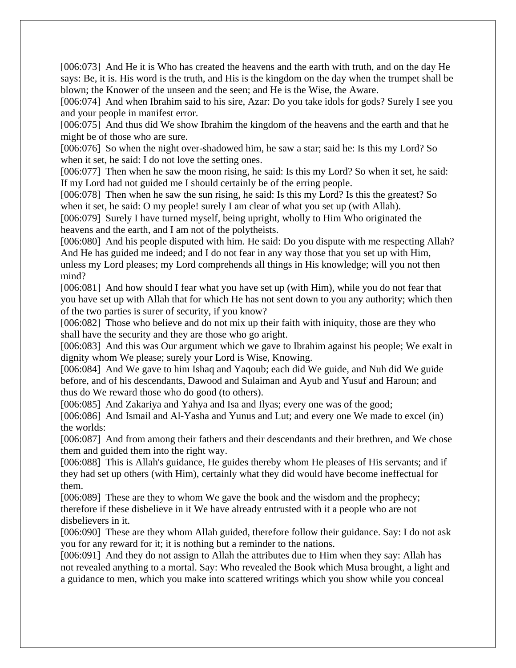[006:073] And He it is Who has created the heavens and the earth with truth, and on the day He says: Be, it is. His word is the truth, and His is the kingdom on the day when the trumpet shall be blown; the Knower of the unseen and the seen; and He is the Wise, the Aware.

[006:074] And when Ibrahim said to his sire, Azar: Do you take idols for gods? Surely I see you and your people in manifest error.

[006:075] And thus did We show Ibrahim the kingdom of the heavens and the earth and that he might be of those who are sure.

[006:076] So when the night over-shadowed him, he saw a star; said he: Is this my Lord? So when it set, he said: I do not love the setting ones.

[006:077] Then when he saw the moon rising, he said: Is this my Lord? So when it set, he said: If my Lord had not guided me I should certainly be of the erring people.

[006:078] Then when he saw the sun rising, he said: Is this my Lord? Is this the greatest? So when it set, he said: O my people! surely I am clear of what you set up (with Allah).

[006:079] Surely I have turned myself, being upright, wholly to Him Who originated the heavens and the earth, and I am not of the polytheists.

[006:080] And his people disputed with him. He said: Do you dispute with me respecting Allah? And He has guided me indeed; and I do not fear in any way those that you set up with Him, unless my Lord pleases; my Lord comprehends all things in His knowledge; will you not then mind?

[006:081] And how should I fear what you have set up (with Him), while you do not fear that you have set up with Allah that for which He has not sent down to you any authority; which then of the two parties is surer of security, if you know?

[006:082] Those who believe and do not mix up their faith with iniquity, those are they who shall have the security and they are those who go aright.

[006:083] And this was Our argument which we gave to Ibrahim against his people; We exalt in dignity whom We please; surely your Lord is Wise, Knowing.

[006:084] And We gave to him Ishaq and Yaqoub; each did We guide, and Nuh did We guide before, and of his descendants, Dawood and Sulaiman and Ayub and Yusuf and Haroun; and thus do We reward those who do good (to others).

[006:085] And Zakariya and Yahya and Isa and Ilyas; every one was of the good;

[006:086] And Ismail and Al-Yasha and Yunus and Lut; and every one We made to excel (in) the worlds:

[006:087] And from among their fathers and their descendants and their brethren, and We chose them and guided them into the right way.

[006:088] This is Allah's guidance, He guides thereby whom He pleases of His servants; and if they had set up others (with Him), certainly what they did would have become ineffectual for them.

[006:089] These are they to whom We gave the book and the wisdom and the prophecy; therefore if these disbelieve in it We have already entrusted with it a people who are not disbelievers in it.

[006:090] These are they whom Allah guided, therefore follow their guidance. Say: I do not ask you for any reward for it; it is nothing but a reminder to the nations.

[006:091] And they do not assign to Allah the attributes due to Him when they say: Allah has not revealed anything to a mortal. Say: Who revealed the Book which Musa brought, a light and a guidance to men, which you make into scattered writings which you show while you conceal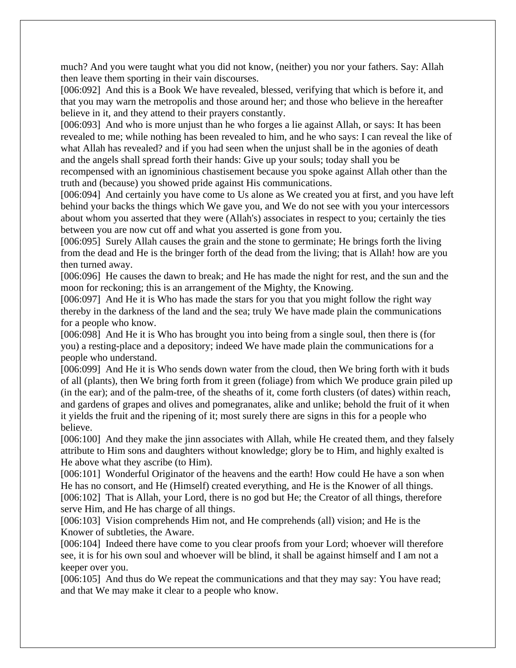much? And you were taught what you did not know, (neither) you nor your fathers. Say: Allah then leave them sporting in their vain discourses.

[006:092] And this is a Book We have revealed, blessed, verifying that which is before it, and that you may warn the metropolis and those around her; and those who believe in the hereafter believe in it, and they attend to their prayers constantly.

[006:093] And who is more unjust than he who forges a lie against Allah, or says: It has been revealed to me; while nothing has been revealed to him, and he who says: I can reveal the like of what Allah has revealed? and if you had seen when the unjust shall be in the agonies of death and the angels shall spread forth their hands: Give up your souls; today shall you be recompensed with an ignominious chastisement because you spoke against Allah other than the

truth and (because) you showed pride against His communications.

[006:094] And certainly you have come to Us alone as We created you at first, and you have left behind your backs the things which We gave you, and We do not see with you your intercessors about whom you asserted that they were (Allah's) associates in respect to you; certainly the ties between you are now cut off and what you asserted is gone from you.

[006:095] Surely Allah causes the grain and the stone to germinate; He brings forth the living from the dead and He is the bringer forth of the dead from the living; that is Allah! how are you then turned away.

[006:096] He causes the dawn to break; and He has made the night for rest, and the sun and the moon for reckoning; this is an arrangement of the Mighty, the Knowing.

[006:097] And He it is Who has made the stars for you that you might follow the right way thereby in the darkness of the land and the sea; truly We have made plain the communications for a people who know.

[006:098] And He it is Who has brought you into being from a single soul, then there is (for you) a resting-place and a depository; indeed We have made plain the communications for a people who understand.

[006:099] And He it is Who sends down water from the cloud, then We bring forth with it buds of all (plants), then We bring forth from it green (foliage) from which We produce grain piled up (in the ear); and of the palm-tree, of the sheaths of it, come forth clusters (of dates) within reach, and gardens of grapes and olives and pomegranates, alike and unlike; behold the fruit of it when it yields the fruit and the ripening of it; most surely there are signs in this for a people who believe.

[006:100] And they make the jinn associates with Allah, while He created them, and they falsely attribute to Him sons and daughters without knowledge; glory be to Him, and highly exalted is He above what they ascribe (to Him).

[006:101] Wonderful Originator of the heavens and the earth! How could He have a son when He has no consort, and He (Himself) created everything, and He is the Knower of all things. [006:102] That is Allah, your Lord, there is no god but He; the Creator of all things, therefore serve Him, and He has charge of all things.

[006:103] Vision comprehends Him not, and He comprehends (all) vision; and He is the Knower of subtleties, the Aware.

[006:104] Indeed there have come to you clear proofs from your Lord; whoever will therefore see, it is for his own soul and whoever will be blind, it shall be against himself and I am not a keeper over you.

[006:105] And thus do We repeat the communications and that they may say: You have read; and that We may make it clear to a people who know.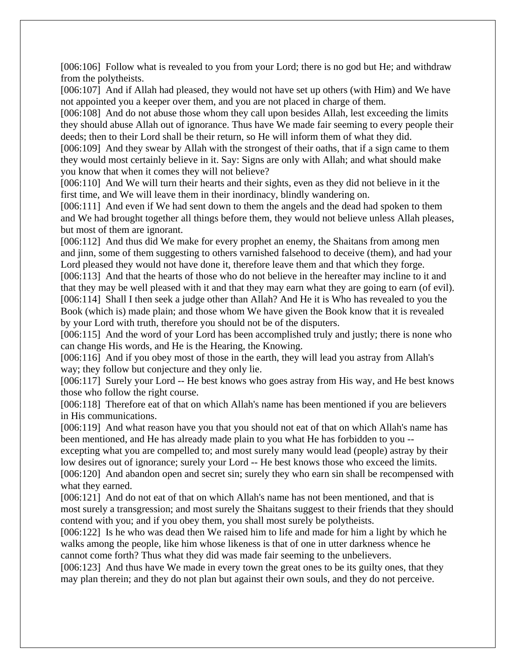[006:106] Follow what is revealed to you from your Lord; there is no god but He; and withdraw from the polytheists.

[006:107] And if Allah had pleased, they would not have set up others (with Him) and We have not appointed you a keeper over them, and you are not placed in charge of them.

[006:108] And do not abuse those whom they call upon besides Allah, lest exceeding the limits they should abuse Allah out of ignorance. Thus have We made fair seeming to every people their deeds; then to their Lord shall be their return, so He will inform them of what they did.

[006:109] And they swear by Allah with the strongest of their oaths, that if a sign came to them they would most certainly believe in it. Say: Signs are only with Allah; and what should make you know that when it comes they will not believe?

[006:110] And We will turn their hearts and their sights, even as they did not believe in it the first time, and We will leave them in their inordinacy, blindly wandering on.

[006:111] And even if We had sent down to them the angels and the dead had spoken to them and We had brought together all things before them, they would not believe unless Allah pleases, but most of them are ignorant.

[006:112] And thus did We make for every prophet an enemy, the Shaitans from among men and jinn, some of them suggesting to others varnished falsehood to deceive (them), and had your Lord pleased they would not have done it, therefore leave them and that which they forge.

[006:113] And that the hearts of those who do not believe in the hereafter may incline to it and that they may be well pleased with it and that they may earn what they are going to earn (of evil). [006:114] Shall I then seek a judge other than Allah? And He it is Who has revealed to you the Book (which is) made plain; and those whom We have given the Book know that it is revealed by your Lord with truth, therefore you should not be of the disputers.

[006:115] And the word of your Lord has been accomplished truly and justly; there is none who can change His words, and He is the Hearing, the Knowing.

[006:116] And if you obey most of those in the earth, they will lead you astray from Allah's way; they follow but conjecture and they only lie.

[006:117] Surely your Lord -- He best knows who goes astray from His way, and He best knows those who follow the right course.

[006:118] Therefore eat of that on which Allah's name has been mentioned if you are believers in His communications.

[006:119] And what reason have you that you should not eat of that on which Allah's name has been mentioned, and He has already made plain to you what He has forbidden to you --

excepting what you are compelled to; and most surely many would lead (people) astray by their low desires out of ignorance; surely your Lord -- He best knows those who exceed the limits. [006:120] And abandon open and secret sin; surely they who earn sin shall be recompensed with what they earned.

[006:121] And do not eat of that on which Allah's name has not been mentioned, and that is most surely a transgression; and most surely the Shaitans suggest to their friends that they should contend with you; and if you obey them, you shall most surely be polytheists.

[006:122] Is he who was dead then We raised him to life and made for him a light by which he walks among the people, like him whose likeness is that of one in utter darkness whence he cannot come forth? Thus what they did was made fair seeming to the unbelievers.

[006:123] And thus have We made in every town the great ones to be its guilty ones, that they may plan therein; and they do not plan but against their own souls, and they do not perceive.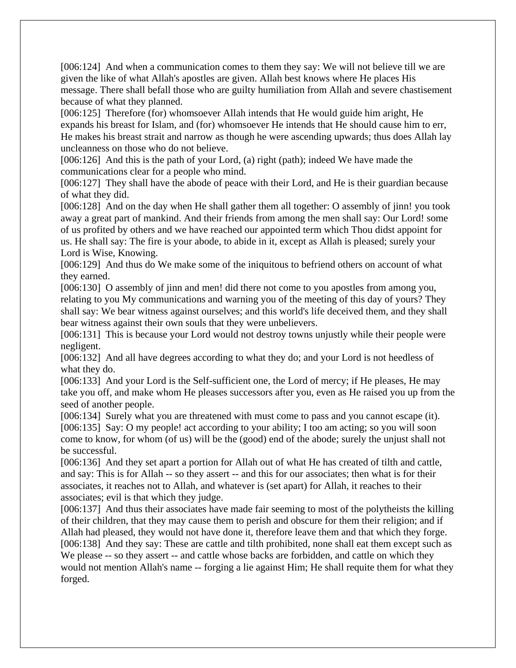[006:124] And when a communication comes to them they say: We will not believe till we are given the like of what Allah's apostles are given. Allah best knows where He places His message. There shall befall those who are guilty humiliation from Allah and severe chastisement because of what they planned.

[006:125] Therefore (for) whomsoever Allah intends that He would guide him aright, He expands his breast for Islam, and (for) whomsoever He intends that He should cause him to err, He makes his breast strait and narrow as though he were ascending upwards; thus does Allah lay uncleanness on those who do not believe.

[006:126] And this is the path of your Lord, (a) right (path); indeed We have made the communications clear for a people who mind.

[006:127] They shall have the abode of peace with their Lord, and He is their guardian because of what they did.

[006:128] And on the day when He shall gather them all together: O assembly of jinn! you took away a great part of mankind. And their friends from among the men shall say: Our Lord! some of us profited by others and we have reached our appointed term which Thou didst appoint for us. He shall say: The fire is your abode, to abide in it, except as Allah is pleased; surely your Lord is Wise, Knowing.

[006:129] And thus do We make some of the iniquitous to befriend others on account of what they earned.

[006:130] O assembly of jinn and men! did there not come to you apostles from among you, relating to you My communications and warning you of the meeting of this day of yours? They shall say: We bear witness against ourselves; and this world's life deceived them, and they shall bear witness against their own souls that they were unbelievers.

[006:131] This is because your Lord would not destroy towns unjustly while their people were negligent.

[006:132] And all have degrees according to what they do; and your Lord is not heedless of what they do.

[006:133] And your Lord is the Self-sufficient one, the Lord of mercy; if He pleases, He may take you off, and make whom He pleases successors after you, even as He raised you up from the seed of another people.

[006:134] Surely what you are threatened with must come to pass and you cannot escape (it). [006:135] Say: O my people! act according to your ability; I too am acting; so you will soon come to know, for whom (of us) will be the (good) end of the abode; surely the unjust shall not be successful.

[006:136] And they set apart a portion for Allah out of what He has created of tilth and cattle, and say: This is for Allah -- so they assert -- and this for our associates; then what is for their associates, it reaches not to Allah, and whatever is (set apart) for Allah, it reaches to their associates; evil is that which they judge.

[006:137] And thus their associates have made fair seeming to most of the polytheists the killing of their children, that they may cause them to perish and obscure for them their religion; and if Allah had pleased, they would not have done it, therefore leave them and that which they forge. [006:138] And they say: These are cattle and tilth prohibited, none shall eat them except such as We please -- so they assert -- and cattle whose backs are forbidden, and cattle on which they would not mention Allah's name -- forging a lie against Him; He shall requite them for what they forged.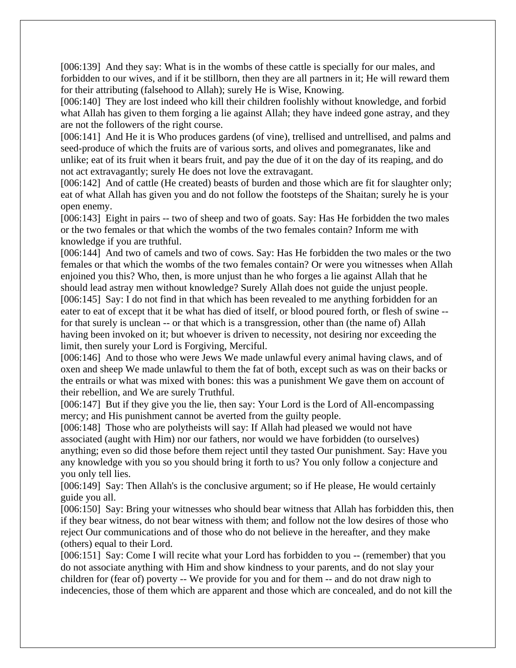[006:139] And they say: What is in the wombs of these cattle is specially for our males, and forbidden to our wives, and if it be stillborn, then they are all partners in it; He will reward them for their attributing (falsehood to Allah); surely He is Wise, Knowing.

[006:140] They are lost indeed who kill their children foolishly without knowledge, and forbid what Allah has given to them forging a lie against Allah; they have indeed gone astray, and they are not the followers of the right course.

[006:141] And He it is Who produces gardens (of vine), trellised and untrellised, and palms and seed-produce of which the fruits are of various sorts, and olives and pomegranates, like and unlike; eat of its fruit when it bears fruit, and pay the due of it on the day of its reaping, and do not act extravagantly; surely He does not love the extravagant.

[006:142] And of cattle (He created) beasts of burden and those which are fit for slaughter only; eat of what Allah has given you and do not follow the footsteps of the Shaitan; surely he is your open enemy.

[006:143] Eight in pairs -- two of sheep and two of goats. Say: Has He forbidden the two males or the two females or that which the wombs of the two females contain? Inform me with knowledge if you are truthful.

[006:144] And two of camels and two of cows. Say: Has He forbidden the two males or the two females or that which the wombs of the two females contain? Or were you witnesses when Allah enjoined you this? Who, then, is more unjust than he who forges a lie against Allah that he should lead astray men without knowledge? Surely Allah does not guide the unjust people. [006:145] Say: I do not find in that which has been revealed to me anything forbidden for an eater to eat of except that it be what has died of itself, or blood poured forth, or flesh of swine - for that surely is unclean -- or that which is a transgression, other than (the name of) Allah having been invoked on it; but whoever is driven to necessity, not desiring nor exceeding the limit, then surely your Lord is Forgiving, Merciful.

[006:146] And to those who were Jews We made unlawful every animal having claws, and of oxen and sheep We made unlawful to them the fat of both, except such as was on their backs or the entrails or what was mixed with bones: this was a punishment We gave them on account of their rebellion, and We are surely Truthful.

[006:147] But if they give you the lie, then say: Your Lord is the Lord of All-encompassing mercy; and His punishment cannot be averted from the guilty people.

[006:148] Those who are polytheists will say: If Allah had pleased we would not have associated (aught with Him) nor our fathers, nor would we have forbidden (to ourselves) anything; even so did those before them reject until they tasted Our punishment. Say: Have you any knowledge with you so you should bring it forth to us? You only follow a conjecture and you only tell lies.

[006:149] Say: Then Allah's is the conclusive argument; so if He please, He would certainly guide you all.

[006:150] Say: Bring your witnesses who should bear witness that Allah has forbidden this, then if they bear witness, do not bear witness with them; and follow not the low desires of those who reject Our communications and of those who do not believe in the hereafter, and they make (others) equal to their Lord.

[006:151] Say: Come I will recite what your Lord has forbidden to you -- (remember) that you do not associate anything with Him and show kindness to your parents, and do not slay your children for (fear of) poverty -- We provide for you and for them -- and do not draw nigh to indecencies, those of them which are apparent and those which are concealed, and do not kill the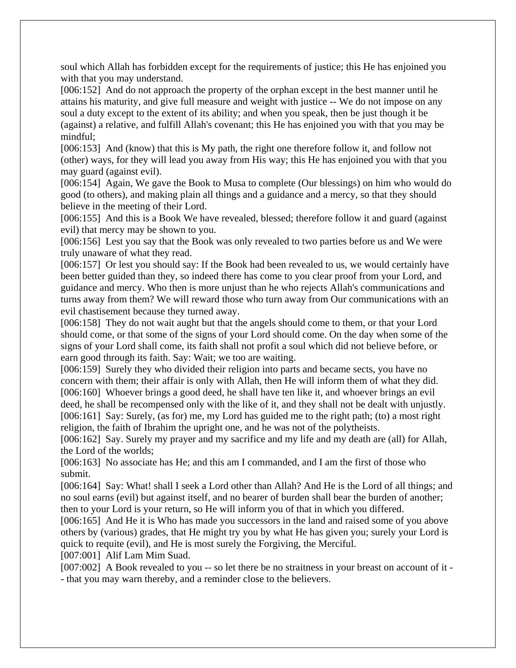soul which Allah has forbidden except for the requirements of justice; this He has enjoined you with that you may understand.

[006:152] And do not approach the property of the orphan except in the best manner until he attains his maturity, and give full measure and weight with justice -- We do not impose on any soul a duty except to the extent of its ability; and when you speak, then be just though it be (against) a relative, and fulfill Allah's covenant; this He has enjoined you with that you may be mindful;

[006:153] And (know) that this is My path, the right one therefore follow it, and follow not (other) ways, for they will lead you away from His way; this He has enjoined you with that you may guard (against evil).

[006:154] Again, We gave the Book to Musa to complete (Our blessings) on him who would do good (to others), and making plain all things and a guidance and a mercy, so that they should believe in the meeting of their Lord.

[006:155] And this is a Book We have revealed, blessed; therefore follow it and guard (against evil) that mercy may be shown to you.

[006:156] Lest you say that the Book was only revealed to two parties before us and We were truly unaware of what they read.

[006:157] Or lest you should say: If the Book had been revealed to us, we would certainly have been better guided than they, so indeed there has come to you clear proof from your Lord, and guidance and mercy. Who then is more unjust than he who rejects Allah's communications and turns away from them? We will reward those who turn away from Our communications with an evil chastisement because they turned away.

[006:158] They do not wait aught but that the angels should come to them, or that your Lord should come, or that some of the signs of your Lord should come. On the day when some of the signs of your Lord shall come, its faith shall not profit a soul which did not believe before, or earn good through its faith. Say: Wait; we too are waiting.

[006:159] Surely they who divided their religion into parts and became sects, you have no concern with them; their affair is only with Allah, then He will inform them of what they did. [006:160] Whoever brings a good deed, he shall have ten like it, and whoever brings an evil deed, he shall be recompensed only with the like of it, and they shall not be dealt with unjustly. [006:161] Say: Surely, (as for) me, my Lord has guided me to the right path; (to) a most right religion, the faith of Ibrahim the upright one, and he was not of the polytheists.

[006:162] Say. Surely my prayer and my sacrifice and my life and my death are (all) for Allah, the Lord of the worlds;

[006:163] No associate has He; and this am I commanded, and I am the first of those who submit.

[006:164] Say: What! shall I seek a Lord other than Allah? And He is the Lord of all things; and no soul earns (evil) but against itself, and no bearer of burden shall bear the burden of another; then to your Lord is your return, so He will inform you of that in which you differed.

[006:165] And He it is Who has made you successors in the land and raised some of you above others by (various) grades, that He might try you by what He has given you; surely your Lord is quick to requite (evil), and He is most surely the Forgiving, the Merciful.

[007:001] Alif Lam Mim Suad.

[007:002] A Book revealed to you -- so let there be no straitness in your breast on account of it -- that you may warn thereby, and a reminder close to the believers.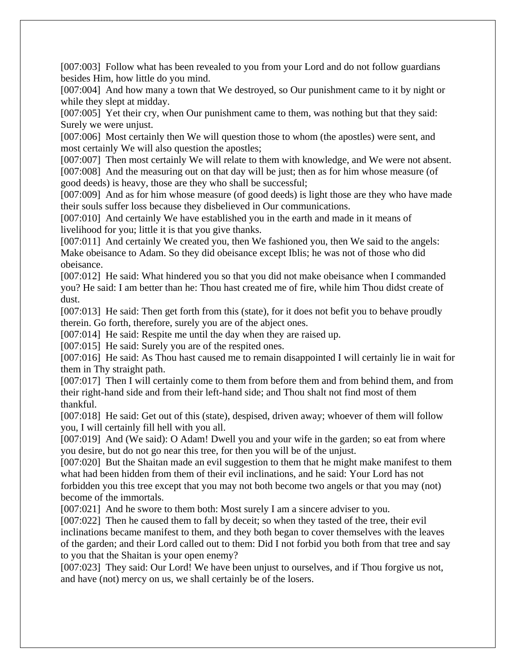[007:003] Follow what has been revealed to you from your Lord and do not follow guardians besides Him, how little do you mind.

[007:004] And how many a town that We destroyed, so Our punishment came to it by night or while they slept at midday.

[007:005] Yet their cry, when Our punishment came to them, was nothing but that they said: Surely we were unjust.

[007:006] Most certainly then We will question those to whom (the apostles) were sent, and most certainly We will also question the apostles;

[007:007] Then most certainly We will relate to them with knowledge, and We were not absent. [007:008] And the measuring out on that day will be just; then as for him whose measure (of good deeds) is heavy, those are they who shall be successful;

[007:009] And as for him whose measure (of good deeds) is light those are they who have made their souls suffer loss because they disbelieved in Our communications.

[007:010] And certainly We have established you in the earth and made in it means of livelihood for you; little it is that you give thanks.

[007:011] And certainly We created you, then We fashioned you, then We said to the angels: Make obeisance to Adam. So they did obeisance except Iblis; he was not of those who did obeisance.

[007:012] He said: What hindered you so that you did not make obeisance when I commanded you? He said: I am better than he: Thou hast created me of fire, while him Thou didst create of dust.

[007:013] He said: Then get forth from this (state), for it does not befit you to behave proudly therein. Go forth, therefore, surely you are of the abject ones.

[007:014] He said: Respite me until the day when they are raised up.

[007:015] He said: Surely you are of the respited ones.

[007:016] He said: As Thou hast caused me to remain disappointed I will certainly lie in wait for them in Thy straight path.

[007:017] Then I will certainly come to them from before them and from behind them, and from their right-hand side and from their left-hand side; and Thou shalt not find most of them thankful.

[007:018] He said: Get out of this (state), despised, driven away; whoever of them will follow you, I will certainly fill hell with you all.

[007:019] And (We said): O Adam! Dwell you and your wife in the garden; so eat from where you desire, but do not go near this tree, for then you will be of the unjust.

[007:020] But the Shaitan made an evil suggestion to them that he might make manifest to them what had been hidden from them of their evil inclinations, and he said: Your Lord has not forbidden you this tree except that you may not both become two angels or that you may (not) become of the immortals.

[007:021] And he swore to them both: Most surely I am a sincere adviser to you.

[007:022] Then he caused them to fall by deceit; so when they tasted of the tree, their evil inclinations became manifest to them, and they both began to cover themselves with the leaves of the garden; and their Lord called out to them: Did I not forbid you both from that tree and say to you that the Shaitan is your open enemy?

[007:023] They said: Our Lord! We have been unjust to ourselves, and if Thou forgive us not, and have (not) mercy on us, we shall certainly be of the losers.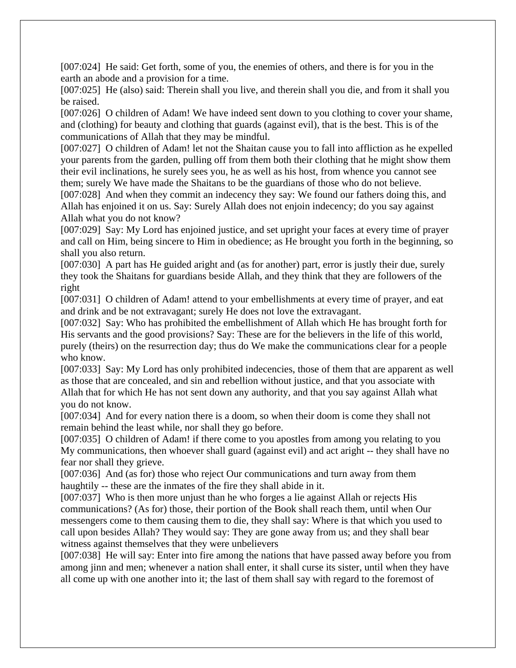[007:024] He said: Get forth, some of you, the enemies of others, and there is for you in the earth an abode and a provision for a time.

[007:025] He (also) said: Therein shall you live, and therein shall you die, and from it shall you be raised.

[007:026] O children of Adam! We have indeed sent down to you clothing to cover your shame, and (clothing) for beauty and clothing that guards (against evil), that is the best. This is of the communications of Allah that they may be mindful.

[007:027] O children of Adam! let not the Shaitan cause you to fall into affliction as he expelled your parents from the garden, pulling off from them both their clothing that he might show them their evil inclinations, he surely sees you, he as well as his host, from whence you cannot see them; surely We have made the Shaitans to be the guardians of those who do not believe.

[007:028] And when they commit an indecency they say: We found our fathers doing this, and Allah has enjoined it on us. Say: Surely Allah does not enjoin indecency; do you say against Allah what you do not know?

[007:029] Say: My Lord has enjoined justice, and set upright your faces at every time of prayer and call on Him, being sincere to Him in obedience; as He brought you forth in the beginning, so shall you also return.

[007:030] A part has He guided aright and (as for another) part, error is justly their due, surely they took the Shaitans for guardians beside Allah, and they think that they are followers of the right

[007:031] O children of Adam! attend to your embellishments at every time of prayer, and eat and drink and be not extravagant; surely He does not love the extravagant.

[007:032] Say: Who has prohibited the embellishment of Allah which He has brought forth for His servants and the good provisions? Say: These are for the believers in the life of this world, purely (theirs) on the resurrection day; thus do We make the communications clear for a people who know.

[007:033] Say: My Lord has only prohibited indecencies, those of them that are apparent as well as those that are concealed, and sin and rebellion without justice, and that you associate with Allah that for which He has not sent down any authority, and that you say against Allah what you do not know.

[007:034] And for every nation there is a doom, so when their doom is come they shall not remain behind the least while, nor shall they go before.

[007:035] O children of Adam! if there come to you apostles from among you relating to you My communications, then whoever shall guard (against evil) and act aright -- they shall have no fear nor shall they grieve.

[007:036] And (as for) those who reject Our communications and turn away from them haughtily -- these are the inmates of the fire they shall abide in it.

[007:037] Who is then more unjust than he who forges a lie against Allah or rejects His communications? (As for) those, their portion of the Book shall reach them, until when Our messengers come to them causing them to die, they shall say: Where is that which you used to call upon besides Allah? They would say: They are gone away from us; and they shall bear witness against themselves that they were unbelievers

[007:038] He will say: Enter into fire among the nations that have passed away before you from among jinn and men; whenever a nation shall enter, it shall curse its sister, until when they have all come up with one another into it; the last of them shall say with regard to the foremost of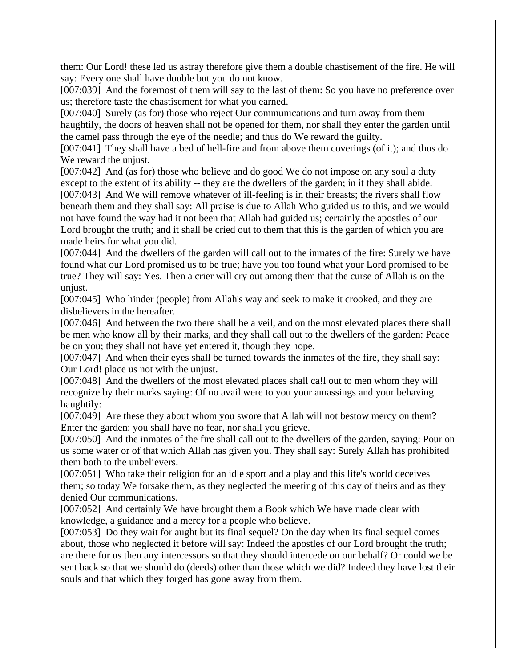them: Our Lord! these led us astray therefore give them a double chastisement of the fire. He will say: Every one shall have double but you do not know.

[007:039] And the foremost of them will say to the last of them: So you have no preference over us; therefore taste the chastisement for what you earned.

[007:040] Surely (as for) those who reject Our communications and turn away from them haughtily, the doors of heaven shall not be opened for them, nor shall they enter the garden until the camel pass through the eye of the needle; and thus do We reward the guilty.

[007:041] They shall have a bed of hell-fire and from above them coverings (of it); and thus do We reward the unjust.

[007:042] And (as for) those who believe and do good We do not impose on any soul a duty except to the extent of its ability -- they are the dwellers of the garden; in it they shall abide. [007:043] And We will remove whatever of ill-feeling is in their breasts; the rivers shall flow

beneath them and they shall say: All praise is due to Allah Who guided us to this, and we would not have found the way had it not been that Allah had guided us; certainly the apostles of our Lord brought the truth; and it shall be cried out to them that this is the garden of which you are made heirs for what you did.

[007:044] And the dwellers of the garden will call out to the inmates of the fire: Surely we have found what our Lord promised us to be true; have you too found what your Lord promised to be true? They will say: Yes. Then a crier will cry out among them that the curse of Allah is on the unjust.

[007:045] Who hinder (people) from Allah's way and seek to make it crooked, and they are disbelievers in the hereafter.

[007:046] And between the two there shall be a veil, and on the most elevated places there shall be men who know all by their marks, and they shall call out to the dwellers of the garden: Peace be on you; they shall not have yet entered it, though they hope.

[007:047] And when their eyes shall be turned towards the inmates of the fire, they shall say: Our Lord! place us not with the unjust.

[007:048] And the dwellers of the most elevated places shall ca! out to men whom they will recognize by their marks saying: Of no avail were to you your amassings and your behaving haughtily:

[007:049] Are these they about whom you swore that Allah will not bestow mercy on them? Enter the garden; you shall have no fear, nor shall you grieve.

[007:050] And the inmates of the fire shall call out to the dwellers of the garden, saying: Pour on us some water or of that which Allah has given you. They shall say: Surely Allah has prohibited them both to the unbelievers.

[007:051] Who take their religion for an idle sport and a play and this life's world deceives them; so today We forsake them, as they neglected the meeting of this day of theirs and as they denied Our communications.

[007:052] And certainly We have brought them a Book which We have made clear with knowledge, a guidance and a mercy for a people who believe.

[007:053] Do they wait for aught but its final sequel? On the day when its final sequel comes about, those who neglected it before will say: Indeed the apostles of our Lord brought the truth; are there for us then any intercessors so that they should intercede on our behalf? Or could we be sent back so that we should do (deeds) other than those which we did? Indeed they have lost their souls and that which they forged has gone away from them.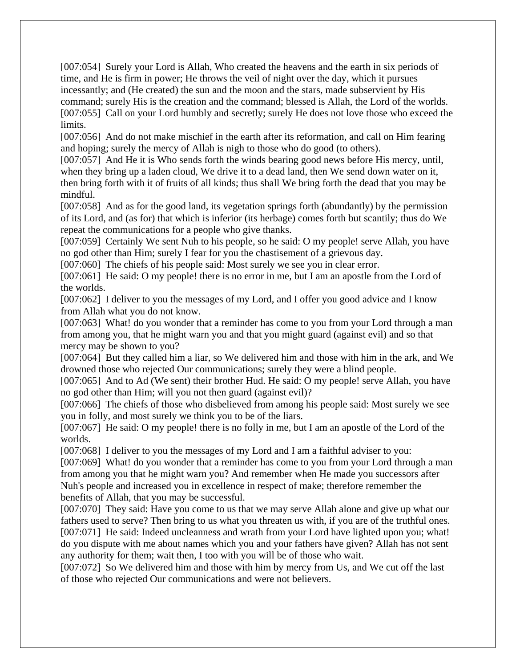[007:054] Surely your Lord is Allah, Who created the heavens and the earth in six periods of time, and He is firm in power; He throws the veil of night over the day, which it pursues incessantly; and (He created) the sun and the moon and the stars, made subservient by His command; surely His is the creation and the command; blessed is Allah, the Lord of the worlds. [007:055] Call on your Lord humbly and secretly; surely He does not love those who exceed the limits.

[007:056] And do not make mischief in the earth after its reformation, and call on Him fearing and hoping; surely the mercy of Allah is nigh to those who do good (to others).

[007:057] And He it is Who sends forth the winds bearing good news before His mercy, until, when they bring up a laden cloud, We drive it to a dead land, then We send down water on it, then bring forth with it of fruits of all kinds; thus shall We bring forth the dead that you may be mindful.

[007:058] And as for the good land, its vegetation springs forth (abundantly) by the permission of its Lord, and (as for) that which is inferior (its herbage) comes forth but scantily; thus do We repeat the communications for a people who give thanks.

[007:059] Certainly We sent Nuh to his people, so he said: O my people! serve Allah, you have no god other than Him; surely I fear for you the chastisement of a grievous day.

[007:060] The chiefs of his people said: Most surely we see you in clear error.

[007:061] He said: O my people! there is no error in me, but I am an apostle from the Lord of the worlds.

[007:062] I deliver to you the messages of my Lord, and I offer you good advice and I know from Allah what you do not know.

[007:063] What! do you wonder that a reminder has come to you from your Lord through a man from among you, that he might warn you and that you might guard (against evil) and so that mercy may be shown to you?

[007:064] But they called him a liar, so We delivered him and those with him in the ark, and We drowned those who rejected Our communications; surely they were a blind people.

[007:065] And to Ad (We sent) their brother Hud. He said: O my people! serve Allah, you have no god other than Him; will you not then guard (against evil)?

[007:066] The chiefs of those who disbelieved from among his people said: Most surely we see you in folly, and most surely we think you to be of the liars.

[007:067] He said: O my people! there is no folly in me, but I am an apostle of the Lord of the worlds.

[007:068] I deliver to you the messages of my Lord and I am a faithful adviser to you:

[007:069] What! do you wonder that a reminder has come to you from your Lord through a man from among you that he might warn you? And remember when He made you successors after Nuh's people and increased you in excellence in respect of make; therefore remember the benefits of Allah, that you may be successful.

[007:070] They said: Have you come to us that we may serve Allah alone and give up what our fathers used to serve? Then bring to us what you threaten us with, if you are of the truthful ones. [007:071] He said: Indeed uncleanness and wrath from your Lord have lighted upon you; what! do you dispute with me about names which you and your fathers have given? Allah has not sent any authority for them; wait then, I too with you will be of those who wait.

[007:072] So We delivered him and those with him by mercy from Us, and We cut off the last of those who rejected Our communications and were not believers.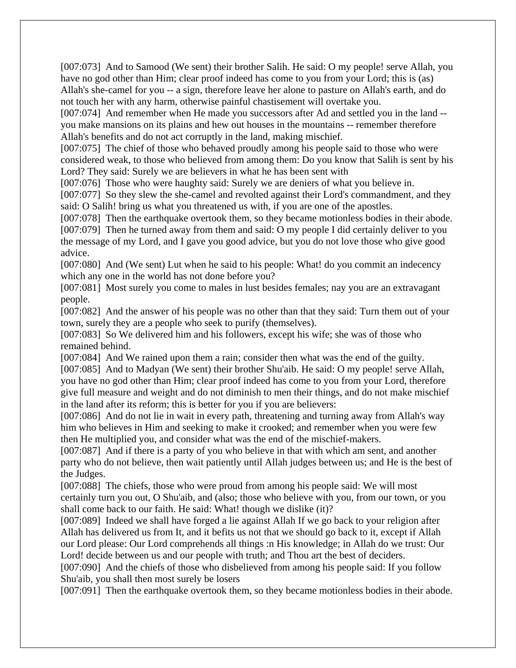[007:073] And to Samood (We sent) their brother Salih. He said: O my people! serve Allah, you have no god other than Him; clear proof indeed has come to you from your Lord; this is (as) Allah's she-camel for you -- a sign, therefore leave her alone to pasture on Allah's earth, and do not touch her with any harm, otherwise painful chastisement will overtake you.

[007:074] And remember when He made you successors after Ad and settled you in the land -you make mansions on its plains and hew out houses in the mountains -- remember therefore Allah's benefits and do not act corruptly in the land, making mischief.

[007:075] The chief of those who behaved proudly among his people said to those who were considered weak, to those who believed from among them: Do you know that Salih is sent by his Lord? They said: Surely we are believers in what he has been sent with

[007:076] Those who were haughty said: Surely we are deniers of what you believe in.

[007:077] So they slew the she-camel and revolted against their Lord's commandment, and they said: O Salih! bring us what you threatened us with, if you are one of the apostles.

[007:078] Then the earthquake overtook them, so they became motionless bodies in their abode. [007:079] Then he turned away from them and said: O my people I did certainly deliver to you the message of my Lord, and I gave you good advice, but you do not love those who give good advice.

[007:080] And (We sent) Lut when he said to his people: What! do you commit an indecency which any one in the world has not done before you?

[007:081] Most surely you come to males in lust besides females; nay you are an extravagant people.

[007:082] And the answer of his people was no other than that they said: Turn them out of your town, surely they are a people who seek to purify (themselves).

[007:083] So We delivered him and his followers, except his wife; she was of those who remained behind.

[007:084] And We rained upon them a rain; consider then what was the end of the guilty. [007:085] And to Madyan (We sent) their brother Shu'aib. He said: O my people! serve Allah, you have no god other than Him; clear proof indeed has come to you from your Lord, therefore give full measure and weight and do not diminish to men their things, and do not make mischief in the land after its reform; this is better for you if you are believers:

[007:086] And do not lie in wait in every path, threatening and turning away from Allah's way him who believes in Him and seeking to make it crooked; and remember when you were few then He multiplied you, and consider what was the end of the mischief-makers.

[007:087] And if there is a party of you who believe in that with which am sent, and another party who do not believe, then wait patiently until Allah judges between us; and He is the best of the Judges.

[007:088] The chiefs, those who were proud from among his people said: We will most certainly turn you out, O Shu'aib, and (also; those who believe with you, from our town, or you shall come back to our faith. He said: What! though we dislike (it)?

[007:089] Indeed we shall have forged a lie against Allah If we go back to your religion after Allah has delivered us from It, and it befits us not that we should go back to it, except if Allah our Lord please: Our Lord comprehends all things :n His knowledge; in Allah do we trust: Our Lord! decide between us and our people with truth; and Thou art the best of deciders.

[007:090] And the chiefs of those who disbelieved from among his people said: If you follow Shu'aib, you shall then most surely be losers

[007:091] Then the earthquake overtook them, so they became motionless bodies in their abode.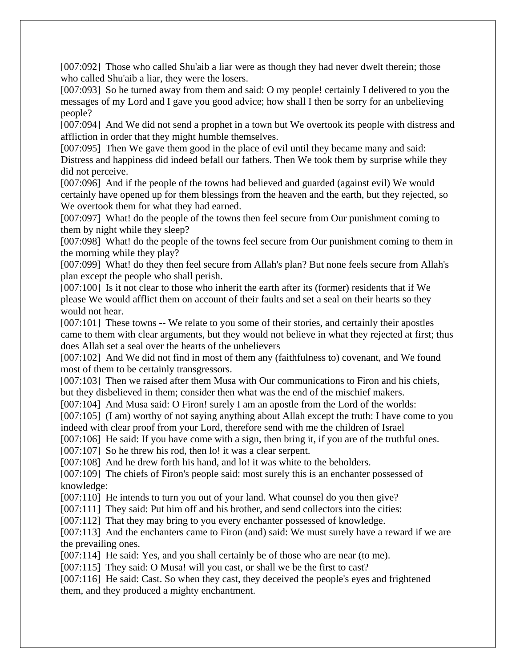[007:092] Those who called Shu'aib a liar were as though they had never dwelt therein; those who called Shu'aib a liar, they were the losers.

[007:093] So he turned away from them and said: O my people! certainly I delivered to you the messages of my Lord and I gave you good advice; how shall I then be sorry for an unbelieving people?

[007:094] And We did not send a prophet in a town but We overtook its people with distress and affliction in order that they might humble themselves.

[007:095] Then We gave them good in the place of evil until they became many and said: Distress and happiness did indeed befall our fathers. Then We took them by surprise while they did not perceive.

[007:096] And if the people of the towns had believed and guarded (against evil) We would certainly have opened up for them blessings from the heaven and the earth, but they rejected, so We overtook them for what they had earned.

[007:097] What! do the people of the towns then feel secure from Our punishment coming to them by night while they sleep?

[007:098] What! do the people of the towns feel secure from Our punishment coming to them in the morning while they play?

[007:099] What! do they then feel secure from Allah's plan? But none feels secure from Allah's plan except the people who shall perish.

[007:100] Is it not clear to those who inherit the earth after its (former) residents that if We please We would afflict them on account of their faults and set a seal on their hearts so they would not hear.

[007:101] These towns -- We relate to you some of their stories, and certainly their apostles came to them with clear arguments, but they would not believe in what they rejected at first; thus does Allah set a seal over the hearts of the unbelievers

[007:102] And We did not find in most of them any (faithfulness to) covenant, and We found most of them to be certainly transgressors.

[007:103] Then we raised after them Musa with Our communications to Firon and his chiefs, but they disbelieved in them; consider then what was the end of the mischief makers.

[007:104] And Musa said: O Firon! surely I am an apostle from the Lord of the worlds:

[007:105] (I am) worthy of not saying anything about Allah except the truth: I have come to you indeed with clear proof from your Lord, therefore send with me the children of Israel

[007:106] He said: If you have come with a sign, then bring it, if you are of the truthful ones.

[007:107] So he threw his rod, then lo! it was a clear serpent.

[007:108] And he drew forth his hand, and lo! it was white to the beholders.

[007:109] The chiefs of Firon's people said: most surely this is an enchanter possessed of knowledge:

[007:110] He intends to turn you out of your land. What counsel do you then give?

[007:111] They said: Put him off and his brother, and send collectors into the cities:

[007:112] That they may bring to you every enchanter possessed of knowledge.

[007:113] And the enchanters came to Firon (and) said: We must surely have a reward if we are the prevailing ones.

[007:114] He said: Yes, and you shall certainly be of those who are near (to me).

[007:115] They said: O Musa! will you cast, or shall we be the first to cast?

[007:116] He said: Cast. So when they cast, they deceived the people's eyes and frightened them, and they produced a mighty enchantment.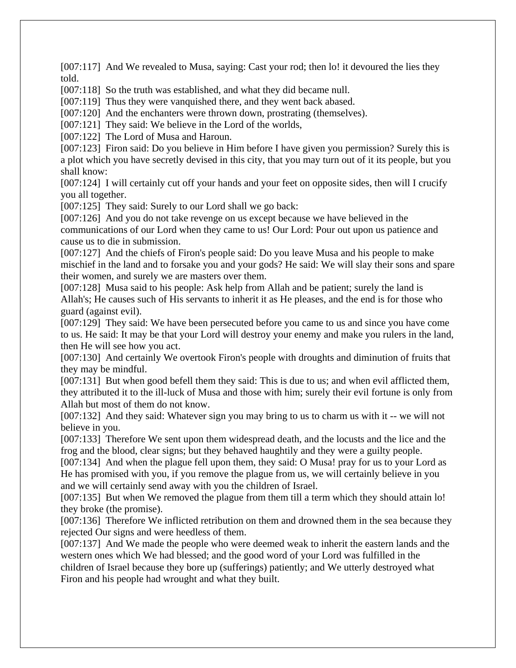[007:117] And We revealed to Musa, saying: Cast your rod; then lo! it devoured the lies they told.

[007:118] So the truth was established, and what they did became null.

[007:119] Thus they were vanquished there, and they went back abased.

[007:120] And the enchanters were thrown down, prostrating (themselves).

[007:121] They said: We believe in the Lord of the worlds,

[007:122] The Lord of Musa and Haroun.

[007:123] Firon said: Do you believe in Him before I have given you permission? Surely this is a plot which you have secretly devised in this city, that you may turn out of it its people, but you shall know:

[007:124] I will certainly cut off your hands and your feet on opposite sides, then will I crucify you all together.

[007:125] They said: Surely to our Lord shall we go back:

[007:126] And you do not take revenge on us except because we have believed in the communications of our Lord when they came to us! Our Lord: Pour out upon us patience and cause us to die in submission.

[007:127] And the chiefs of Firon's people said: Do you leave Musa and his people to make mischief in the land and to forsake you and your gods? He said: We will slay their sons and spare their women, and surely we are masters over them.

[007:128] Musa said to his people: Ask help from Allah and be patient; surely the land is Allah's; He causes such of His servants to inherit it as He pleases, and the end is for those who guard (against evil).

[007:129] They said: We have been persecuted before you came to us and since you have come to us. He said: It may be that your Lord will destroy your enemy and make you rulers in the land, then He will see how you act.

[007:130] And certainly We overtook Firon's people with droughts and diminution of fruits that they may be mindful.

[007:131] But when good befell them they said: This is due to us; and when evil afflicted them, they attributed it to the ill-luck of Musa and those with him; surely their evil fortune is only from Allah but most of them do not know.

[007:132] And they said: Whatever sign you may bring to us to charm us with it -- we will not believe in you.

[007:133] Therefore We sent upon them widespread death, and the locusts and the lice and the frog and the blood, clear signs; but they behaved haughtily and they were a guilty people.

[007:134] And when the plague fell upon them, they said: O Musa! pray for us to your Lord as He has promised with you, if you remove the plague from us, we will certainly believe in you and we will certainly send away with you the children of Israel.

[007:135] But when We removed the plague from them till a term which they should attain lo! they broke (the promise).

[007:136] Therefore We inflicted retribution on them and drowned them in the sea because they rejected Our signs and were heedless of them.

[007:137] And We made the people who were deemed weak to inherit the eastern lands and the western ones which We had blessed; and the good word of your Lord was fulfilled in the children of Israel because they bore up (sufferings) patiently; and We utterly destroyed what Firon and his people had wrought and what they built.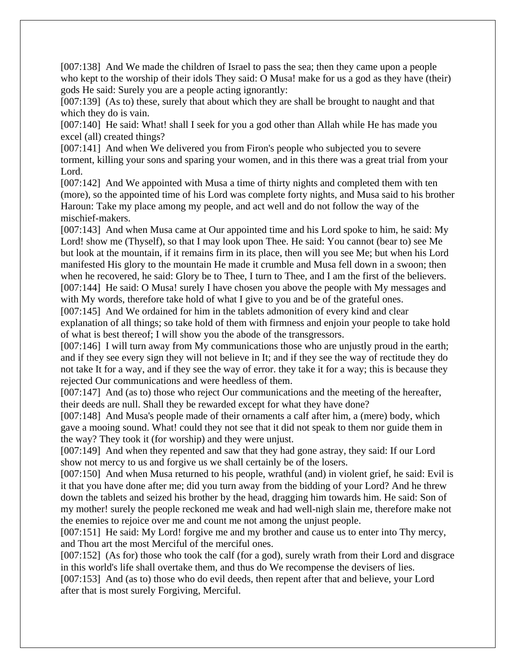[007:138] And We made the children of Israel to pass the sea; then they came upon a people who kept to the worship of their idols They said: O Musa! make for us a god as they have (their) gods He said: Surely you are a people acting ignorantly:

[007:139] (As to) these, surely that about which they are shall be brought to naught and that which they do is vain.

[007:140] He said: What! shall I seek for you a god other than Allah while He has made you excel (all) created things?

[007:141] And when We delivered you from Firon's people who subjected you to severe torment, killing your sons and sparing your women, and in this there was a great trial from your Lord.

[007:142] And We appointed with Musa a time of thirty nights and completed them with ten (more), so the appointed time of his Lord was complete forty nights, and Musa said to his brother Haroun: Take my place among my people, and act well and do not follow the way of the mischief-makers.

[007:143] And when Musa came at Our appointed time and his Lord spoke to him, he said: My Lord! show me (Thyself), so that I may look upon Thee. He said: You cannot (bear to) see Me but look at the mountain, if it remains firm in its place, then will you see Me; but when his Lord manifested His glory to the mountain He made it crumble and Musa fell down in a swoon; then when he recovered, he said: Glory be to Thee, I turn to Thee, and I am the first of the believers. [007:144] He said: O Musa! surely I have chosen you above the people with My messages and with My words, therefore take hold of what I give to you and be of the grateful ones.

[007:145] And We ordained for him in the tablets admonition of every kind and clear explanation of all things; so take hold of them with firmness and enjoin your people to take hold of what is best thereof; I will show you the abode of the transgressors.

[007:146] I will turn away from My communications those who are unjustly proud in the earth; and if they see every sign they will not believe in It; and if they see the way of rectitude they do not take It for a way, and if they see the way of error. they take it for a way; this is because they rejected Our communications and were heedless of them.

[007:147] And (as to) those who reject Our communications and the meeting of the hereafter, their deeds are null. Shall they be rewarded except for what they have done?

[007:148] And Musa's people made of their ornaments a calf after him, a (mere) body, which gave a mooing sound. What! could they not see that it did not speak to them nor guide them in the way? They took it (for worship) and they were unjust.

[007:149] And when they repented and saw that they had gone astray, they said: If our Lord show not mercy to us and forgive us we shall certainly be of the losers.

[007:150] And when Musa returned to his people, wrathful (and) in violent grief, he said: Evil is it that you have done after me; did you turn away from the bidding of your Lord? And he threw down the tablets and seized his brother by the head, dragging him towards him. He said: Son of my mother! surely the people reckoned me weak and had well-nigh slain me, therefore make not the enemies to rejoice over me and count me not among the unjust people.

[007:151] He said: My Lord! forgive me and my brother and cause us to enter into Thy mercy, and Thou art the most Merciful of the merciful ones.

[007:152] (As for) those who took the calf (for a god), surely wrath from their Lord and disgrace in this world's life shall overtake them, and thus do We recompense the devisers of lies.

[007:153] And (as to) those who do evil deeds, then repent after that and believe, your Lord after that is most surely Forgiving, Merciful.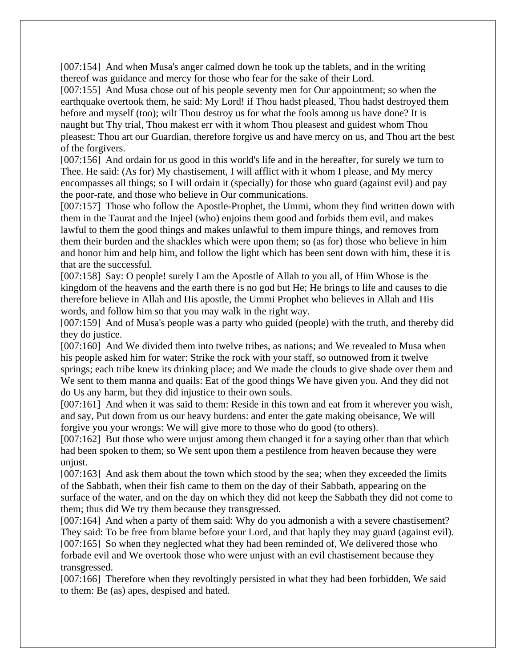[007:154] And when Musa's anger calmed down he took up the tablets, and in the writing thereof was guidance and mercy for those who fear for the sake of their Lord.

[007:155] And Musa chose out of his people seventy men for Our appointment; so when the earthquake overtook them, he said: My Lord! if Thou hadst pleased, Thou hadst destroyed them before and myself (too); wilt Thou destroy us for what the fools among us have done? It is naught but Thy trial, Thou makest err with it whom Thou pleasest and guidest whom Thou pleasest: Thou art our Guardian, therefore forgive us and have mercy on us, and Thou art the best of the forgivers.

[007:156] And ordain for us good in this world's life and in the hereafter, for surely we turn to Thee. He said: (As for) My chastisement, I will afflict with it whom I please, and My mercy encompasses all things; so I will ordain it (specially) for those who guard (against evil) and pay the poor-rate, and those who believe in Our communications.

[007:157] Those who follow the Apostle-Prophet, the Ummi, whom they find written down with them in the Taurat and the Injeel (who) enjoins them good and forbids them evil, and makes lawful to them the good things and makes unlawful to them impure things, and removes from them their burden and the shackles which were upon them; so (as for) those who believe in him and honor him and help him, and follow the light which has been sent down with him, these it is that are the successful.

[007:158] Say: O people! surely I am the Apostle of Allah to you all, of Him Whose is the kingdom of the heavens and the earth there is no god but He; He brings to life and causes to die therefore believe in Allah and His apostle, the Ummi Prophet who believes in Allah and His words, and follow him so that you may walk in the right way.

[007:159] And of Musa's people was a party who guided (people) with the truth, and thereby did they do justice.

[007:160] And We divided them into twelve tribes, as nations; and We revealed to Musa when his people asked him for water: Strike the rock with your staff, so outnowed from it twelve springs; each tribe knew its drinking place; and We made the clouds to give shade over them and We sent to them manna and quails: Eat of the good things We have given you. And they did not do Us any harm, but they did injustice to their own souls.

[007:161] And when it was said to them: Reside in this town and eat from it wherever you wish, and say, Put down from us our heavy burdens: and enter the gate making obeisance, We will forgive you your wrongs: We will give more to those who do good (to others).

[007:162] But those who were unjust among them changed it for a saying other than that which had been spoken to them; so We sent upon them a pestilence from heaven because they were unjust.

[007:163] And ask them about the town which stood by the sea; when they exceeded the limits of the Sabbath, when their fish came to them on the day of their Sabbath, appearing on the surface of the water, and on the day on which they did not keep the Sabbath they did not come to them; thus did We try them because they transgressed.

[007:164] And when a party of them said: Why do you admonish a with a severe chastisement? They said: To be free from blame before your Lord, and that haply they may guard (against evil). [007:165] So when they neglected what they had been reminded of, We delivered those who forbade evil and We overtook those who were unjust with an evil chastisement because they transgressed.

[007:166] Therefore when they revoltingly persisted in what they had been forbidden, We said to them: Be (as) apes, despised and hated.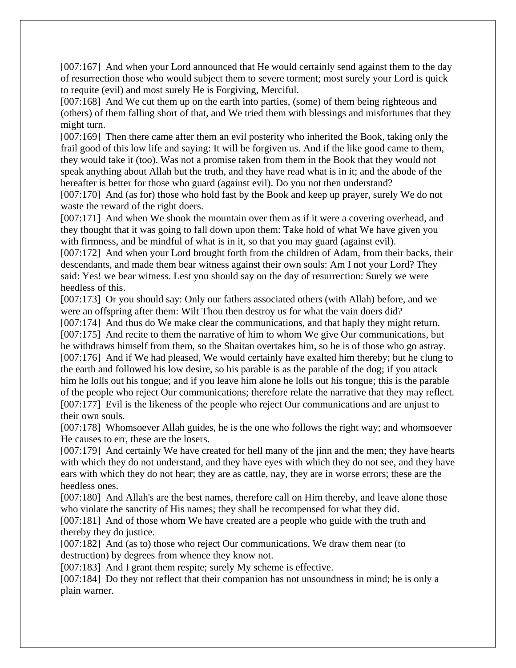[007:167] And when your Lord announced that He would certainly send against them to the day of resurrection those who would subject them to severe torment; most surely your Lord is quick to requite (evil) and most surely He is Forgiving, Merciful.

[007:168] And We cut them up on the earth into parties, (some) of them being righteous and (others) of them falling short of that, and We tried them with blessings and misfortunes that they might turn.

[007:169] Then there came after them an evil posterity who inherited the Book, taking only the frail good of this low life and saying: It will be forgiven us. And if the like good came to them, they would take it (too). Was not a promise taken from them in the Book that they would not speak anything about Allah but the truth, and they have read what is in it; and the abode of the hereafter is better for those who guard (against evil). Do you not then understand?

[007:170] And (as for) those who hold fast by the Book and keep up prayer, surely We do not waste the reward of the right doers.

[007:171] And when We shook the mountain over them as if it were a covering overhead, and they thought that it was going to fall down upon them: Take hold of what We have given you with firmness, and be mindful of what is in it, so that you may guard (against evil).

[007:172] And when your Lord brought forth from the children of Adam, from their backs, their descendants, and made them bear witness against their own souls: Am I not your Lord? They said: Yes! we bear witness. Lest you should say on the day of resurrection: Surely we were heedless of this.

[007:173] Or you should say: Only our fathers associated others (with Allah) before, and we were an offspring after them: Wilt Thou then destroy us for what the vain doers did?

[007:174] And thus do We make clear the communications, and that haply they might return. [007:175] And recite to them the narrative of him to whom We give Our communications, but he withdraws himself from them, so the Shaitan overtakes him, so he is of those who go astray. [007:176] And if We had pleased, We would certainly have exalted him thereby; but he clung to the earth and followed his low desire, so his parable is as the parable of the dog; if you attack him he lolls out his tongue; and if you leave him alone he lolls out his tongue; this is the parable of the people who reject Our communications; therefore relate the narrative that they may reflect. [007:177] Evil is the likeness of the people who reject Our communications and are unjust to their own souls.

[007:178] Whomsoever Allah guides, he is the one who follows the right way; and whomsoever He causes to err, these are the losers.

[007:179] And certainly We have created for hell many of the jinn and the men; they have hearts with which they do not understand, and they have eyes with which they do not see, and they have ears with which they do not hear; they are as cattle, nay, they are in worse errors; these are the heedless ones.

[007:180] And Allah's are the best names, therefore call on Him thereby, and leave alone those who violate the sanctity of His names; they shall be recompensed for what they did.

[007:181] And of those whom We have created are a people who guide with the truth and thereby they do justice.

[007:182] And (as to) those who reject Our communications, We draw them near (to destruction) by degrees from whence they know not.

[007:183] And I grant them respite; surely My scheme is effective.

[007:184] Do they not reflect that their companion has not unsoundness in mind; he is only a plain warner.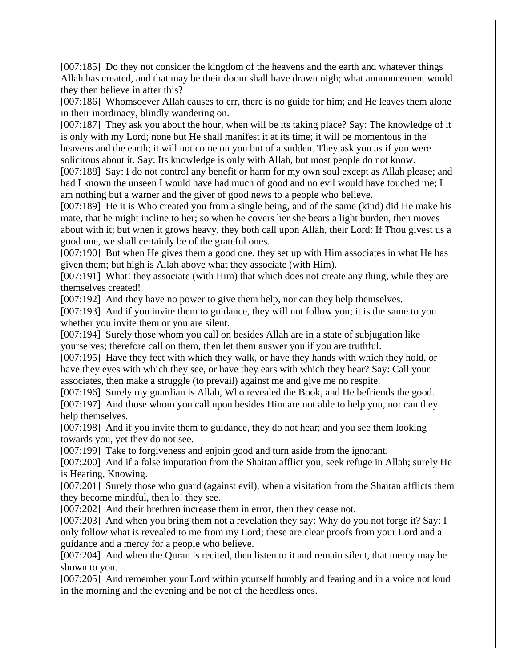[007:185] Do they not consider the kingdom of the heavens and the earth and whatever things Allah has created, and that may be their doom shall have drawn nigh; what announcement would they then believe in after this?

[007:186] Whomsoever Allah causes to err, there is no guide for him; and He leaves them alone in their inordinacy, blindly wandering on.

[007:187] They ask you about the hour, when will be its taking place? Say: The knowledge of it is only with my Lord; none but He shall manifest it at its time; it will be momentous in the heavens and the earth; it will not come on you but of a sudden. They ask you as if you were solicitous about it. Say: Its knowledge is only with Allah, but most people do not know.

[007:188] Say: I do not control any benefit or harm for my own soul except as Allah please; and had I known the unseen I would have had much of good and no evil would have touched me; I am nothing but a warner and the giver of good news to a people who believe.

[007:189] He it is Who created you from a single being, and of the same (kind) did He make his mate, that he might incline to her; so when he covers her she bears a light burden, then moves about with it; but when it grows heavy, they both call upon Allah, their Lord: If Thou givest us a good one, we shall certainly be of the grateful ones.

[007:190] But when He gives them a good one, they set up with Him associates in what He has given them; but high is Allah above what they associate (with Him).

[007:191] What! they associate (with Him) that which does not create any thing, while they are themselves created!

[007:192] And they have no power to give them help, nor can they help themselves.

[007:193] And if you invite them to guidance, they will not follow you; it is the same to you whether you invite them or you are silent.

[007:194] Surely those whom you call on besides Allah are in a state of subjugation like yourselves; therefore call on them, then let them answer you if you are truthful.

[007:195] Have they feet with which they walk, or have they hands with which they hold, or have they eyes with which they see, or have they ears with which they hear? Say: Call your associates, then make a struggle (to prevail) against me and give me no respite.

[007:196] Surely my guardian is Allah, Who revealed the Book, and He befriends the good. [007:197] And those whom you call upon besides Him are not able to help you, nor can they help themselves.

[007:198] And if you invite them to guidance, they do not hear; and you see them looking towards you, yet they do not see.

[007:199] Take to forgiveness and enjoin good and turn aside from the ignorant.

[007:200] And if a false imputation from the Shaitan afflict you, seek refuge in Allah; surely He is Hearing, Knowing.

[007:201] Surely those who guard (against evil), when a visitation from the Shaitan afflicts them they become mindful, then lo! they see.

[007:202] And their brethren increase them in error, then they cease not.

[007:203] And when you bring them not a revelation they say: Why do you not forge it? Say: I only follow what is revealed to me from my Lord; these are clear proofs from your Lord and a guidance and a mercy for a people who believe.

[007:204] And when the Quran is recited, then listen to it and remain silent, that mercy may be shown to you.

[007:205] And remember your Lord within yourself humbly and fearing and in a voice not loud in the morning and the evening and be not of the heedless ones.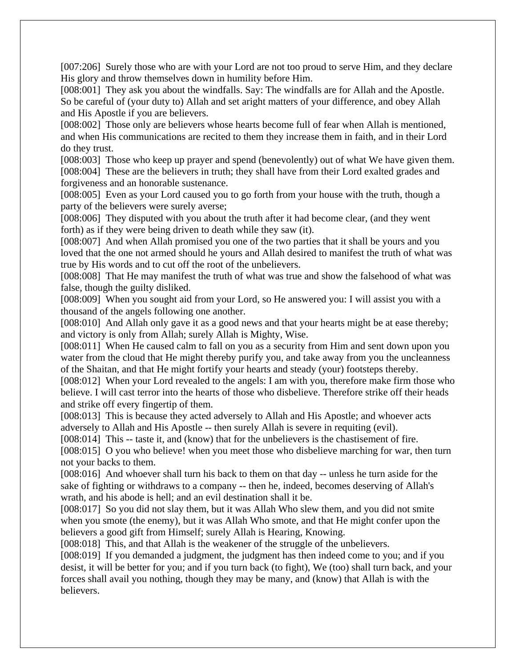[007:206] Surely those who are with your Lord are not too proud to serve Him, and they declare His glory and throw themselves down in humility before Him.

[008:001] They ask you about the windfalls. Say: The windfalls are for Allah and the Apostle. So be careful of (your duty to) Allah and set aright matters of your difference, and obey Allah and His Apostle if you are believers.

[008:002] Those only are believers whose hearts become full of fear when Allah is mentioned, and when His communications are recited to them they increase them in faith, and in their Lord do they trust.

[008:003] Those who keep up prayer and spend (benevolently) out of what We have given them. [008:004] These are the believers in truth; they shall have from their Lord exalted grades and forgiveness and an honorable sustenance.

[008:005] Even as your Lord caused you to go forth from your house with the truth, though a party of the believers were surely averse;

[008:006] They disputed with you about the truth after it had become clear, (and they went forth) as if they were being driven to death while they saw (it).

[008:007] And when Allah promised you one of the two parties that it shall be yours and you loved that the one not armed should he yours and Allah desired to manifest the truth of what was true by His words and to cut off the root of the unbelievers.

[008:008] That He may manifest the truth of what was true and show the falsehood of what was false, though the guilty disliked.

[008:009] When you sought aid from your Lord, so He answered you: I will assist you with a thousand of the angels following one another.

[008:010] And Allah only gave it as a good news and that your hearts might be at ease thereby; and victory is only from Allah; surely Allah is Mighty, Wise.

[008:011] When He caused calm to fall on you as a security from Him and sent down upon you water from the cloud that He might thereby purify you, and take away from you the uncleanness of the Shaitan, and that He might fortify your hearts and steady (your) footsteps thereby.

[008:012] When your Lord revealed to the angels: I am with you, therefore make firm those who believe. I will cast terror into the hearts of those who disbelieve. Therefore strike off their heads and strike off every fingertip of them.

[008:013] This is because they acted adversely to Allah and His Apostle; and whoever acts adversely to Allah and His Apostle -- then surely Allah is severe in requiting (evil).

[008:014] This -- taste it, and (know) that for the unbelievers is the chastisement of fire.

[008:015] O you who believe! when you meet those who disbelieve marching for war, then turn not your backs to them.

[008:016] And whoever shall turn his back to them on that day -- unless he turn aside for the sake of fighting or withdraws to a company -- then he, indeed, becomes deserving of Allah's wrath, and his abode is hell; and an evil destination shall it be.

[008:017] So you did not slay them, but it was Allah Who slew them, and you did not smite when you smote (the enemy), but it was Allah Who smote, and that He might confer upon the believers a good gift from Himself; surely Allah is Hearing, Knowing.

[008:018] This, and that Allah is the weakener of the struggle of the unbelievers.

[008:019] If you demanded a judgment, the judgment has then indeed come to you; and if you desist, it will be better for you; and if you turn back (to fight), We (too) shall turn back, and your forces shall avail you nothing, though they may be many, and (know) that Allah is with the believers.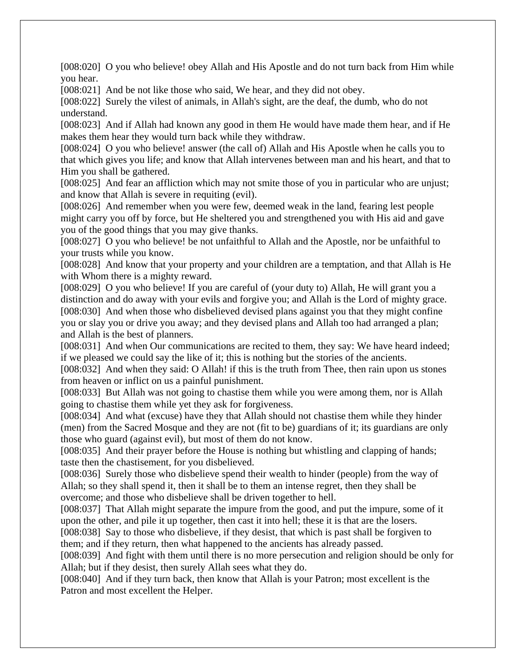[008:020] O you who believe! obey Allah and His Apostle and do not turn back from Him while you hear.

[008:021] And be not like those who said, We hear, and they did not obey.

[008:022] Surely the vilest of animals, in Allah's sight, are the deaf, the dumb, who do not understand.

[008:023] And if Allah had known any good in them He would have made them hear, and if He makes them hear they would turn back while they withdraw.

[008:024] O you who believe! answer (the call of) Allah and His Apostle when he calls you to that which gives you life; and know that Allah intervenes between man and his heart, and that to Him you shall be gathered.

[008:025] And fear an affliction which may not smite those of you in particular who are unjust; and know that Allah is severe in requiting (evil).

[008:026] And remember when you were few, deemed weak in the land, fearing lest people might carry you off by force, but He sheltered you and strengthened you with His aid and gave you of the good things that you may give thanks.

[008:027] O you who believe! be not unfaithful to Allah and the Apostle, nor be unfaithful to your trusts while you know.

[008:028] And know that your property and your children are a temptation, and that Allah is He with Whom there is a mighty reward.

[008:029] O you who believe! If you are careful of (your duty to) Allah, He will grant you a distinction and do away with your evils and forgive you; and Allah is the Lord of mighty grace. [008:030] And when those who disbelieved devised plans against you that they might confine you or slay you or drive you away; and they devised plans and Allah too had arranged a plan; and Allah is the best of planners.

[008:031] And when Our communications are recited to them, they say: We have heard indeed; if we pleased we could say the like of it; this is nothing but the stories of the ancients.

[008:032] And when they said: O Allah! if this is the truth from Thee, then rain upon us stones from heaven or inflict on us a painful punishment.

[008:033] But Allah was not going to chastise them while you were among them, nor is Allah going to chastise them while yet they ask for forgiveness.

[008:034] And what (excuse) have they that Allah should not chastise them while they hinder (men) from the Sacred Mosque and they are not (fit to be) guardians of it; its guardians are only those who guard (against evil), but most of them do not know.

[008:035] And their prayer before the House is nothing but whistling and clapping of hands; taste then the chastisement, for you disbelieved.

[008:036] Surely those who disbelieve spend their wealth to hinder (people) from the way of Allah; so they shall spend it, then it shall be to them an intense regret, then they shall be overcome; and those who disbelieve shall be driven together to hell.

[008:037] That Allah might separate the impure from the good, and put the impure, some of it upon the other, and pile it up together, then cast it into hell; these it is that are the losers.

[008:038] Say to those who disbelieve, if they desist, that which is past shall be forgiven to them; and if they return, then what happened to the ancients has already passed.

[008:039] And fight with them until there is no more persecution and religion should be only for Allah; but if they desist, then surely Allah sees what they do.

[008:040] And if they turn back, then know that Allah is your Patron; most excellent is the Patron and most excellent the Helper.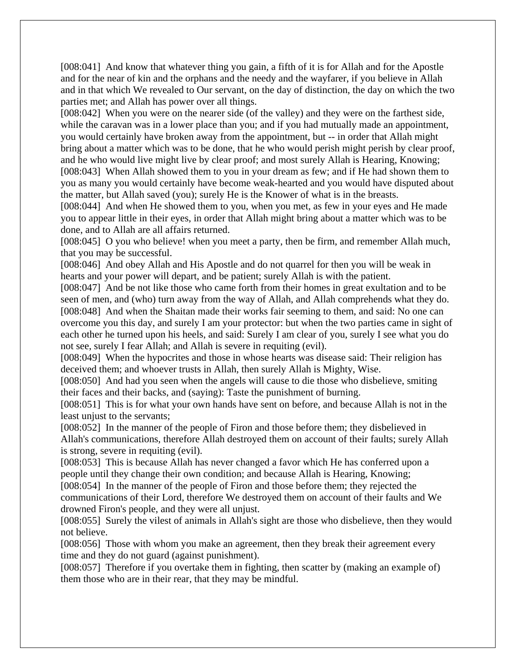[008:041] And know that whatever thing you gain, a fifth of it is for Allah and for the Apostle and for the near of kin and the orphans and the needy and the wayfarer, if you believe in Allah and in that which We revealed to Our servant, on the day of distinction, the day on which the two parties met; and Allah has power over all things.

[008:042] When you were on the nearer side (of the valley) and they were on the farthest side, while the caravan was in a lower place than you; and if you had mutually made an appointment, you would certainly have broken away from the appointment, but -- in order that Allah might bring about a matter which was to be done, that he who would perish might perish by clear proof, and he who would live might live by clear proof; and most surely Allah is Hearing, Knowing; [008:043] When Allah showed them to you in your dream as few; and if He had shown them to you as many you would certainly have become weak-hearted and you would have disputed about the matter, but Allah saved (you); surely He is the Knower of what is in the breasts.

[008:044] And when He showed them to you, when you met, as few in your eyes and He made you to appear little in their eyes, in order that Allah might bring about a matter which was to be done, and to Allah are all affairs returned.

[008:045] O you who believe! when you meet a party, then be firm, and remember Allah much, that you may be successful.

[008:046] And obey Allah and His Apostle and do not quarrel for then you will be weak in hearts and your power will depart, and be patient; surely Allah is with the patient.

[008:047] And be not like those who came forth from their homes in great exultation and to be seen of men, and (who) turn away from the way of Allah, and Allah comprehends what they do. [008:048] And when the Shaitan made their works fair seeming to them, and said: No one can overcome you this day, and surely I am your protector: but when the two parties came in sight of each other he turned upon his heels, and said: Surely I am clear of you, surely I see what you do not see, surely I fear Allah; and Allah is severe in requiting (evil).

[008:049] When the hypocrites and those in whose hearts was disease said: Their religion has deceived them; and whoever trusts in Allah, then surely Allah is Mighty, Wise.

[008:050] And had you seen when the angels will cause to die those who disbelieve, smiting their faces and their backs, and (saying): Taste the punishment of burning.

[008:051] This is for what your own hands have sent on before, and because Allah is not in the least unjust to the servants;

[008:052] In the manner of the people of Firon and those before them; they disbelieved in Allah's communications, therefore Allah destroyed them on account of their faults; surely Allah is strong, severe in requiting (evil).

[008:053] This is because Allah has never changed a favor which He has conferred upon a people until they change their own condition; and because Allah is Hearing, Knowing; [008:054] In the manner of the people of Firon and those before them; they rejected the communications of their Lord, therefore We destroyed them on account of their faults and We drowned Firon's people, and they were all unjust.

[008:055] Surely the vilest of animals in Allah's sight are those who disbelieve, then they would not believe.

[008:056] Those with whom you make an agreement, then they break their agreement every time and they do not guard (against punishment).

[008:057] Therefore if you overtake them in fighting, then scatter by (making an example of) them those who are in their rear, that they may be mindful.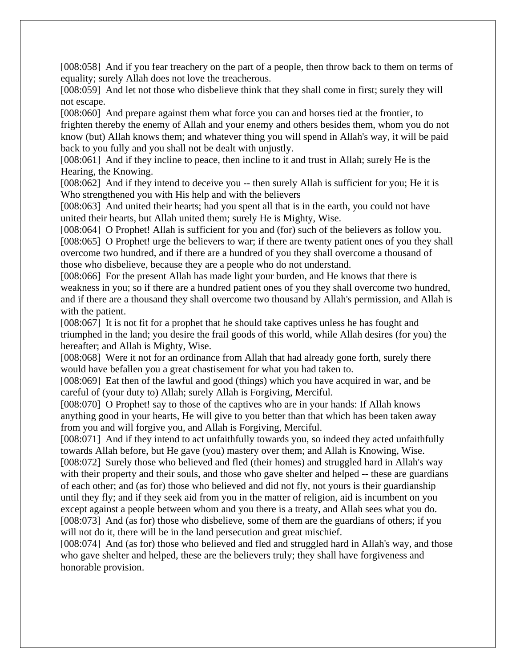[008:058] And if you fear treachery on the part of a people, then throw back to them on terms of equality; surely Allah does not love the treacherous.

[008:059] And let not those who disbelieve think that they shall come in first; surely they will not escape.

[008:060] And prepare against them what force you can and horses tied at the frontier, to frighten thereby the enemy of Allah and your enemy and others besides them, whom you do not know (but) Allah knows them; and whatever thing you will spend in Allah's way, it will be paid back to you fully and you shall not be dealt with unjustly.

[008:061] And if they incline to peace, then incline to it and trust in Allah; surely He is the Hearing, the Knowing.

[008:062] And if they intend to deceive you -- then surely Allah is sufficient for you; He it is Who strengthened you with His help and with the believers

[008:063] And united their hearts; had you spent all that is in the earth, you could not have united their hearts, but Allah united them; surely He is Mighty, Wise.

[008:064] O Prophet! Allah is sufficient for you and (for) such of the believers as follow you. [008:065] O Prophet! urge the believers to war; if there are twenty patient ones of you they shall overcome two hundred, and if there are a hundred of you they shall overcome a thousand of those who disbelieve, because they are a people who do not understand.

[008:066] For the present Allah has made light your burden, and He knows that there is weakness in you; so if there are a hundred patient ones of you they shall overcome two hundred, and if there are a thousand they shall overcome two thousand by Allah's permission, and Allah is with the patient.

[008:067] It is not fit for a prophet that he should take captives unless he has fought and triumphed in the land; you desire the frail goods of this world, while Allah desires (for you) the hereafter; and Allah is Mighty, Wise.

[008:068] Were it not for an ordinance from Allah that had already gone forth, surely there would have befallen you a great chastisement for what you had taken to.

[008:069] Eat then of the lawful and good (things) which you have acquired in war, and be careful of (your duty to) Allah; surely Allah is Forgiving, Merciful.

[008:070] O Prophet! say to those of the captives who are in your hands: If Allah knows anything good in your hearts, He will give to you better than that which has been taken away from you and will forgive you, and Allah is Forgiving, Merciful.

[008:071] And if they intend to act unfaithfully towards you, so indeed they acted unfaithfully towards Allah before, but He gave (you) mastery over them; and Allah is Knowing, Wise. [008:072] Surely those who believed and fled (their homes) and struggled hard in Allah's way with their property and their souls, and those who gave shelter and helped -- these are guardians of each other; and (as for) those who believed and did not fly, not yours is their guardianship until they fly; and if they seek aid from you in the matter of religion, aid is incumbent on you except against a people between whom and you there is a treaty, and Allah sees what you do. [008:073] And (as for) those who disbelieve, some of them are the guardians of others; if you will not do it, there will be in the land persecution and great mischief.

[008:074] And (as for) those who believed and fled and struggled hard in Allah's way, and those who gave shelter and helped, these are the believers truly; they shall have forgiveness and honorable provision.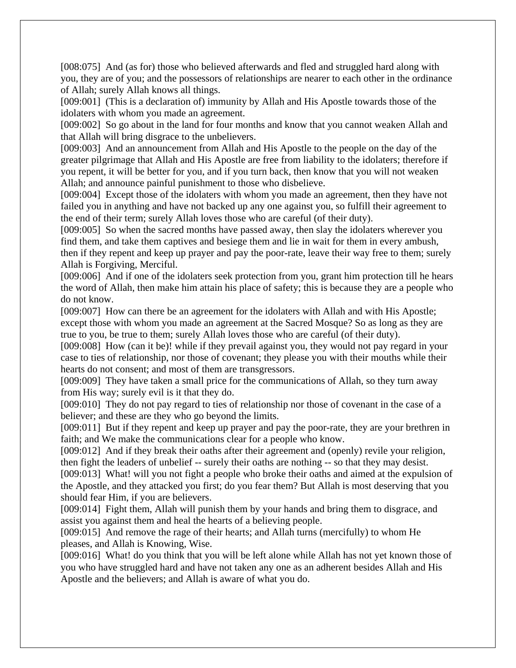[008:075] And (as for) those who believed afterwards and fled and struggled hard along with you, they are of you; and the possessors of relationships are nearer to each other in the ordinance of Allah; surely Allah knows all things.

[009:001] (This is a declaration of) immunity by Allah and His Apostle towards those of the idolaters with whom you made an agreement.

[009:002] So go about in the land for four months and know that you cannot weaken Allah and that Allah will bring disgrace to the unbelievers.

[009:003] And an announcement from Allah and His Apostle to the people on the day of the greater pilgrimage that Allah and His Apostle are free from liability to the idolaters; therefore if you repent, it will be better for you, and if you turn back, then know that you will not weaken Allah; and announce painful punishment to those who disbelieve.

[009:004] Except those of the idolaters with whom you made an agreement, then they have not failed you in anything and have not backed up any one against you, so fulfill their agreement to the end of their term; surely Allah loves those who are careful (of their duty).

[009:005] So when the sacred months have passed away, then slay the idolaters wherever you find them, and take them captives and besiege them and lie in wait for them in every ambush, then if they repent and keep up prayer and pay the poor-rate, leave their way free to them; surely Allah is Forgiving, Merciful.

[009:006] And if one of the idolaters seek protection from you, grant him protection till he hears the word of Allah, then make him attain his place of safety; this is because they are a people who do not know.

[009:007] How can there be an agreement for the idolaters with Allah and with His Apostle; except those with whom you made an agreement at the Sacred Mosque? So as long as they are true to you, be true to them; surely Allah loves those who are careful (of their duty).

[009:008] How (can it be)! while if they prevail against you, they would not pay regard in your case to ties of relationship, nor those of covenant; they please you with their mouths while their hearts do not consent; and most of them are transgressors.

[009:009] They have taken a small price for the communications of Allah, so they turn away from His way; surely evil is it that they do.

[009:010] They do not pay regard to ties of relationship nor those of covenant in the case of a believer; and these are they who go beyond the limits.

[009:011] But if they repent and keep up prayer and pay the poor-rate, they are your brethren in faith; and We make the communications clear for a people who know.

[009:012] And if they break their oaths after their agreement and (openly) revile your religion, then fight the leaders of unbelief -- surely their oaths are nothing -- so that they may desist.

[009:013] What! will you not fight a people who broke their oaths and aimed at the expulsion of the Apostle, and they attacked you first; do you fear them? But Allah is most deserving that you should fear Him, if you are believers.

[009:014] Fight them, Allah will punish them by your hands and bring them to disgrace, and assist you against them and heal the hearts of a believing people.

[009:015] And remove the rage of their hearts; and Allah turns (mercifully) to whom He pleases, and Allah is Knowing, Wise.

[009:016] What! do you think that you will be left alone while Allah has not yet known those of you who have struggled hard and have not taken any one as an adherent besides Allah and His Apostle and the believers; and Allah is aware of what you do.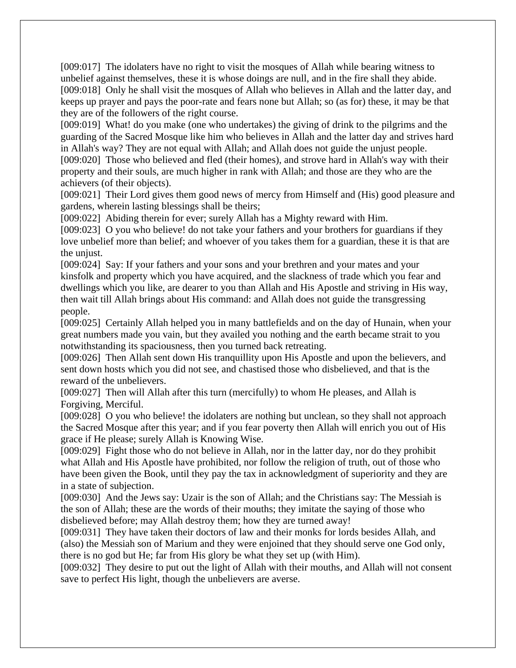[009:017] The idolaters have no right to visit the mosques of Allah while bearing witness to unbelief against themselves, these it is whose doings are null, and in the fire shall they abide. [009:018] Only he shall visit the mosques of Allah who believes in Allah and the latter day, and keeps up prayer and pays the poor-rate and fears none but Allah; so (as for) these, it may be that they are of the followers of the right course.

[009:019] What! do you make (one who undertakes) the giving of drink to the pilgrims and the guarding of the Sacred Mosque like him who believes in Allah and the latter day and strives hard in Allah's way? They are not equal with Allah; and Allah does not guide the unjust people. [009:020] Those who believed and fled (their homes), and strove hard in Allah's way with their property and their souls, are much higher in rank with Allah; and those are they who are the achievers (of their objects).

[009:021] Their Lord gives them good news of mercy from Himself and (His) good pleasure and gardens, wherein lasting blessings shall be theirs;

[009:022] Abiding therein for ever; surely Allah has a Mighty reward with Him.

[009:023] O you who believe! do not take your fathers and your brothers for guardians if they love unbelief more than belief; and whoever of you takes them for a guardian, these it is that are the unjust.

[009:024] Say: If your fathers and your sons and your brethren and your mates and your kinsfolk and property which you have acquired, and the slackness of trade which you fear and dwellings which you like, are dearer to you than Allah and His Apostle and striving in His way, then wait till Allah brings about His command: and Allah does not guide the transgressing people.

[009:025] Certainly Allah helped you in many battlefields and on the day of Hunain, when your great numbers made you vain, but they availed you nothing and the earth became strait to you notwithstanding its spaciousness, then you turned back retreating.

[009:026] Then Allah sent down His tranquillity upon His Apostle and upon the believers, and sent down hosts which you did not see, and chastised those who disbelieved, and that is the reward of the unbelievers.

[009:027] Then will Allah after this turn (mercifully) to whom He pleases, and Allah is Forgiving, Merciful.

[009:028] O you who believe! the idolaters are nothing but unclean, so they shall not approach the Sacred Mosque after this year; and if you fear poverty then Allah will enrich you out of His grace if He please; surely Allah is Knowing Wise.

[009:029] Fight those who do not believe in Allah, nor in the latter day, nor do they prohibit what Allah and His Apostle have prohibited, nor follow the religion of truth, out of those who have been given the Book, until they pay the tax in acknowledgment of superiority and they are in a state of subjection.

[009:030] And the Jews say: Uzair is the son of Allah; and the Christians say: The Messiah is the son of Allah; these are the words of their mouths; they imitate the saying of those who disbelieved before; may Allah destroy them; how they are turned away!

[009:031] They have taken their doctors of law and their monks for lords besides Allah, and (also) the Messiah son of Marium and they were enjoined that they should serve one God only, there is no god but He; far from His glory be what they set up (with Him).

[009:032] They desire to put out the light of Allah with their mouths, and Allah will not consent save to perfect His light, though the unbelievers are averse.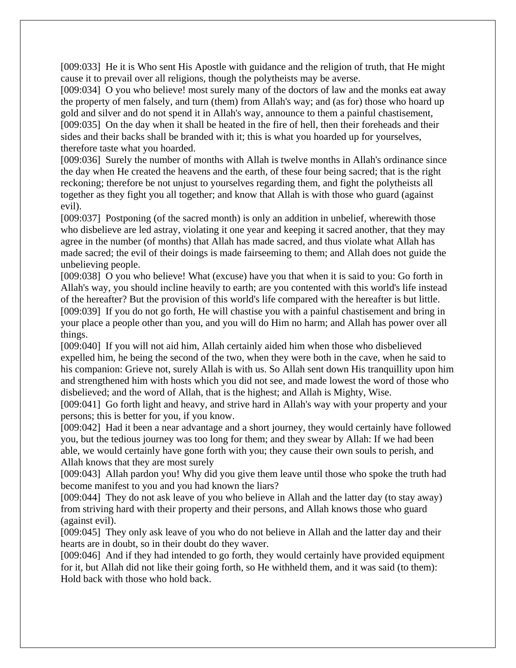[009:033] He it is Who sent His Apostle with guidance and the religion of truth, that He might cause it to prevail over all religions, though the polytheists may be averse.

[009:034] O you who believe! most surely many of the doctors of law and the monks eat away the property of men falsely, and turn (them) from Allah's way; and (as for) those who hoard up gold and silver and do not spend it in Allah's way, announce to them a painful chastisement, [009:035] On the day when it shall be heated in the fire of hell, then their foreheads and their sides and their backs shall be branded with it; this is what you hoarded up for yourselves, therefore taste what you hoarded.

[009:036] Surely the number of months with Allah is twelve months in Allah's ordinance since the day when He created the heavens and the earth, of these four being sacred; that is the right reckoning; therefore be not unjust to yourselves regarding them, and fight the polytheists all together as they fight you all together; and know that Allah is with those who guard (against evil).

[009:037] Postponing (of the sacred month) is only an addition in unbelief, wherewith those who disbelieve are led astray, violating it one year and keeping it sacred another, that they may agree in the number (of months) that Allah has made sacred, and thus violate what Allah has made sacred; the evil of their doings is made fairseeming to them; and Allah does not guide the unbelieving people.

[009:038] O you who believe! What (excuse) have you that when it is said to you: Go forth in Allah's way, you should incline heavily to earth; are you contented with this world's life instead of the hereafter? But the provision of this world's life compared with the hereafter is but little. [009:039] If you do not go forth, He will chastise you with a painful chastisement and bring in your place a people other than you, and you will do Him no harm; and Allah has power over all things.

[009:040] If you will not aid him, Allah certainly aided him when those who disbelieved expelled him, he being the second of the two, when they were both in the cave, when he said to his companion: Grieve not, surely Allah is with us. So Allah sent down His tranquillity upon him and strengthened him with hosts which you did not see, and made lowest the word of those who disbelieved; and the word of Allah, that is the highest; and Allah is Mighty, Wise.

[009:041] Go forth light and heavy, and strive hard in Allah's way with your property and your persons; this is better for you, if you know.

[009:042] Had it been a near advantage and a short journey, they would certainly have followed you, but the tedious journey was too long for them; and they swear by Allah: If we had been able, we would certainly have gone forth with you; they cause their own souls to perish, and Allah knows that they are most surely

[009:043] Allah pardon you! Why did you give them leave until those who spoke the truth had become manifest to you and you had known the liars?

[009:044] They do not ask leave of you who believe in Allah and the latter day (to stay away) from striving hard with their property and their persons, and Allah knows those who guard (against evil).

[009:045] They only ask leave of you who do not believe in Allah and the latter day and their hearts are in doubt, so in their doubt do they waver.

[009:046] And if they had intended to go forth, they would certainly have provided equipment for it, but Allah did not like their going forth, so He withheld them, and it was said (to them): Hold back with those who hold back.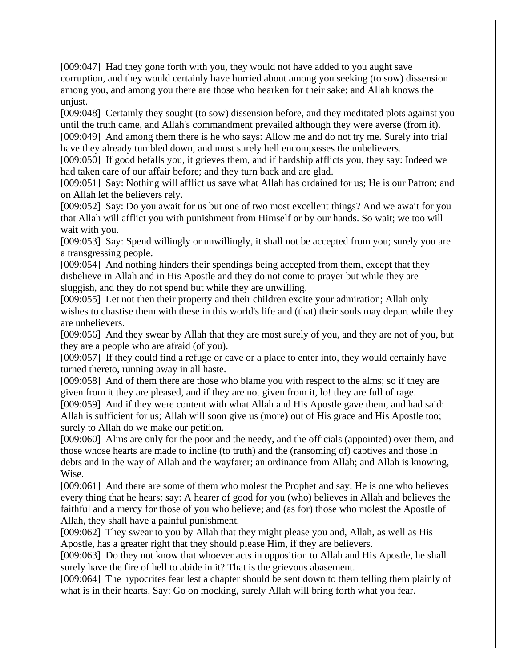[009:047] Had they gone forth with you, they would not have added to you aught save corruption, and they would certainly have hurried about among you seeking (to sow) dissension among you, and among you there are those who hearken for their sake; and Allah knows the unjust.

[009:048] Certainly they sought (to sow) dissension before, and they meditated plots against you until the truth came, and Allah's commandment prevailed although they were averse (from it). [009:049] And among them there is he who says: Allow me and do not try me. Surely into trial have they already tumbled down, and most surely hell encompasses the unbelievers.

[009:050] If good befalls you, it grieves them, and if hardship afflicts you, they say: Indeed we had taken care of our affair before; and they turn back and are glad.

[009:051] Say: Nothing will afflict us save what Allah has ordained for us; He is our Patron; and on Allah let the believers rely.

[009:052] Say: Do you await for us but one of two most excellent things? And we await for you that Allah will afflict you with punishment from Himself or by our hands. So wait; we too will wait with you.

[009:053] Say: Spend willingly or unwillingly, it shall not be accepted from you; surely you are a transgressing people.

[009:054] And nothing hinders their spendings being accepted from them, except that they disbelieve in Allah and in His Apostle and they do not come to prayer but while they are sluggish, and they do not spend but while they are unwilling.

[009:055] Let not then their property and their children excite your admiration; Allah only wishes to chastise them with these in this world's life and (that) their souls may depart while they are unbelievers.

[009:056] And they swear by Allah that they are most surely of you, and they are not of you, but they are a people who are afraid (of you).

[009:057] If they could find a refuge or cave or a place to enter into, they would certainly have turned thereto, running away in all haste.

[009:058] And of them there are those who blame you with respect to the alms; so if they are given from it they are pleased, and if they are not given from it, lo! they are full of rage.

[009:059] And if they were content with what Allah and His Apostle gave them, and had said: Allah is sufficient for us; Allah will soon give us (more) out of His grace and His Apostle too; surely to Allah do we make our petition.

[009:060] Alms are only for the poor and the needy, and the officials (appointed) over them, and those whose hearts are made to incline (to truth) and the (ransoming of) captives and those in debts and in the way of Allah and the wayfarer; an ordinance from Allah; and Allah is knowing, Wise.

[009:061] And there are some of them who molest the Prophet and say: He is one who believes every thing that he hears; say: A hearer of good for you (who) believes in Allah and believes the faithful and a mercy for those of you who believe; and (as for) those who molest the Apostle of Allah, they shall have a painful punishment.

[009:062] They swear to you by Allah that they might please you and, Allah, as well as His Apostle, has a greater right that they should please Him, if they are believers.

[009:063] Do they not know that whoever acts in opposition to Allah and His Apostle, he shall surely have the fire of hell to abide in it? That is the grievous abasement.

[009:064] The hypocrites fear lest a chapter should be sent down to them telling them plainly of what is in their hearts. Say: Go on mocking, surely Allah will bring forth what you fear.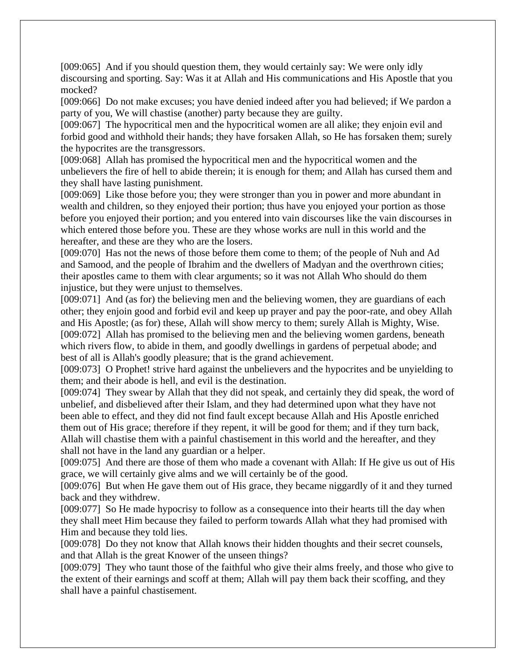[009:065] And if you should question them, they would certainly say: We were only idly discoursing and sporting. Say: Was it at Allah and His communications and His Apostle that you mocked?

[009:066] Do not make excuses; you have denied indeed after you had believed; if We pardon a party of you, We will chastise (another) party because they are guilty.

[009:067] The hypocritical men and the hypocritical women are all alike; they enjoin evil and forbid good and withhold their hands; they have forsaken Allah, so He has forsaken them; surely the hypocrites are the transgressors.

[009:068] Allah has promised the hypocritical men and the hypocritical women and the unbelievers the fire of hell to abide therein; it is enough for them; and Allah has cursed them and they shall have lasting punishment.

[009:069] Like those before you; they were stronger than you in power and more abundant in wealth and children, so they enjoyed their portion; thus have you enjoyed your portion as those before you enjoyed their portion; and you entered into vain discourses like the vain discourses in which entered those before you. These are they whose works are null in this world and the hereafter, and these are they who are the losers.

[009:070] Has not the news of those before them come to them; of the people of Nuh and Ad and Samood, and the people of Ibrahim and the dwellers of Madyan and the overthrown cities; their apostles came to them with clear arguments; so it was not Allah Who should do them injustice, but they were unjust to themselves.

[009:071] And (as for) the believing men and the believing women, they are guardians of each other; they enjoin good and forbid evil and keep up prayer and pay the poor-rate, and obey Allah and His Apostle; (as for) these, Allah will show mercy to them; surely Allah is Mighty, Wise. [009:072] Allah has promised to the believing men and the believing women gardens, beneath which rivers flow, to abide in them, and goodly dwellings in gardens of perpetual abode; and best of all is Allah's goodly pleasure; that is the grand achievement.

[009:073] O Prophet! strive hard against the unbelievers and the hypocrites and be unyielding to them; and their abode is hell, and evil is the destination.

[009:074] They swear by Allah that they did not speak, and certainly they did speak, the word of unbelief, and disbelieved after their Islam, and they had determined upon what they have not been able to effect, and they did not find fault except because Allah and His Apostle enriched them out of His grace; therefore if they repent, it will be good for them; and if they turn back, Allah will chastise them with a painful chastisement in this world and the hereafter, and they shall not have in the land any guardian or a helper.

[009:075] And there are those of them who made a covenant with Allah: If He give us out of His grace, we will certainly give alms and we will certainly be of the good.

[009:076] But when He gave them out of His grace, they became niggardly of it and they turned back and they withdrew.

[009:077] So He made hypocrisy to follow as a consequence into their hearts till the day when they shall meet Him because they failed to perform towards Allah what they had promised with Him and because they told lies.

[009:078] Do they not know that Allah knows their hidden thoughts and their secret counsels, and that Allah is the great Knower of the unseen things?

[009:079] They who taunt those of the faithful who give their alms freely, and those who give to the extent of their earnings and scoff at them; Allah will pay them back their scoffing, and they shall have a painful chastisement.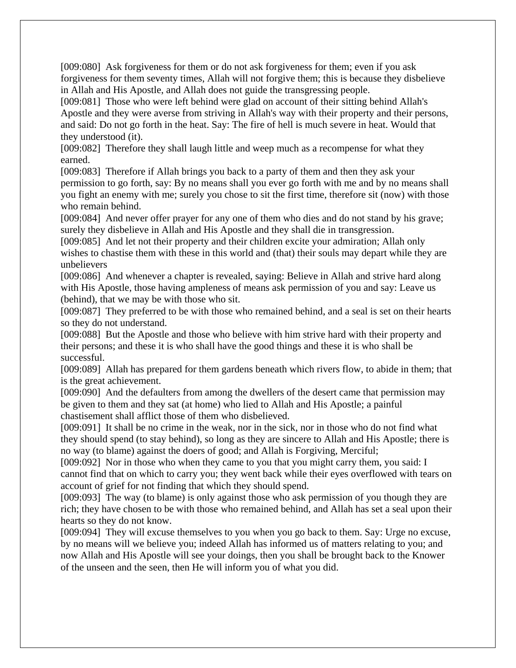[009:080] Ask forgiveness for them or do not ask forgiveness for them; even if you ask forgiveness for them seventy times, Allah will not forgive them; this is because they disbelieve in Allah and His Apostle, and Allah does not guide the transgressing people.

[009:081] Those who were left behind were glad on account of their sitting behind Allah's Apostle and they were averse from striving in Allah's way with their property and their persons, and said: Do not go forth in the heat. Say: The fire of hell is much severe in heat. Would that they understood (it).

[009:082] Therefore they shall laugh little and weep much as a recompense for what they earned.

[009:083] Therefore if Allah brings you back to a party of them and then they ask your permission to go forth, say: By no means shall you ever go forth with me and by no means shall you fight an enemy with me; surely you chose to sit the first time, therefore sit (now) with those who remain behind.

[009:084] And never offer prayer for any one of them who dies and do not stand by his grave; surely they disbelieve in Allah and His Apostle and they shall die in transgression.

[009:085] And let not their property and their children excite your admiration; Allah only wishes to chastise them with these in this world and (that) their souls may depart while they are unbelievers

[009:086] And whenever a chapter is revealed, saying: Believe in Allah and strive hard along with His Apostle, those having ampleness of means ask permission of you and say: Leave us (behind), that we may be with those who sit.

[009:087] They preferred to be with those who remained behind, and a seal is set on their hearts so they do not understand.

[009:088] But the Apostle and those who believe with him strive hard with their property and their persons; and these it is who shall have the good things and these it is who shall be successful.

[009:089] Allah has prepared for them gardens beneath which rivers flow, to abide in them; that is the great achievement.

[009:090] And the defaulters from among the dwellers of the desert came that permission may be given to them and they sat (at home) who lied to Allah and His Apostle; a painful chastisement shall afflict those of them who disbelieved.

[009:091] It shall be no crime in the weak, nor in the sick, nor in those who do not find what they should spend (to stay behind), so long as they are sincere to Allah and His Apostle; there is no way (to blame) against the doers of good; and Allah is Forgiving, Merciful;

[009:092] Nor in those who when they came to you that you might carry them, you said: I cannot find that on which to carry you; they went back while their eyes overflowed with tears on account of grief for not finding that which they should spend.

[009:093] The way (to blame) is only against those who ask permission of you though they are rich; they have chosen to be with those who remained behind, and Allah has set a seal upon their hearts so they do not know.

[009:094] They will excuse themselves to you when you go back to them. Say: Urge no excuse, by no means will we believe you; indeed Allah has informed us of matters relating to you; and now Allah and His Apostle will see your doings, then you shall be brought back to the Knower of the unseen and the seen, then He will inform you of what you did.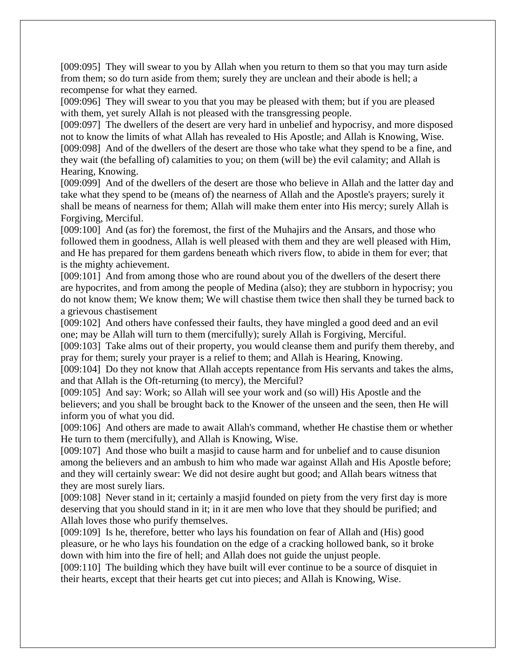[009:095] They will swear to you by Allah when you return to them so that you may turn aside from them; so do turn aside from them; surely they are unclean and their abode is hell; a recompense for what they earned.

[009:096] They will swear to you that you may be pleased with them; but if you are pleased with them, yet surely Allah is not pleased with the transgressing people.

[009:097] The dwellers of the desert are very hard in unbelief and hypocrisy, and more disposed not to know the limits of what Allah has revealed to His Apostle; and Allah is Knowing, Wise. [009:098] And of the dwellers of the desert are those who take what they spend to be a fine, and they wait (the befalling of) calamities to you; on them (will be) the evil calamity; and Allah is Hearing, Knowing.

[009:099] And of the dwellers of the desert are those who believe in Allah and the latter day and take what they spend to be (means of) the nearness of Allah and the Apostle's prayers; surely it shall be means of nearness for them; Allah will make them enter into His mercy; surely Allah is Forgiving, Merciful.

[009:100] And (as for) the foremost, the first of the Muhajirs and the Ansars, and those who followed them in goodness, Allah is well pleased with them and they are well pleased with Him, and He has prepared for them gardens beneath which rivers flow, to abide in them for ever; that is the mighty achievement.

[009:101] And from among those who are round about you of the dwellers of the desert there are hypocrites, and from among the people of Medina (also); they are stubborn in hypocrisy; you do not know them; We know them; We will chastise them twice then shall they be turned back to a grievous chastisement

[009:102] And others have confessed their faults, they have mingled a good deed and an evil one; may be Allah will turn to them (mercifully); surely Allah is Forgiving, Merciful.

[009:103] Take alms out of their property, you would cleanse them and purify them thereby, and pray for them; surely your prayer is a relief to them; and Allah is Hearing, Knowing.

[009:104] Do they not know that Allah accepts repentance from His servants and takes the alms, and that Allah is the Oft-returning (to mercy), the Merciful?

[009:105] And say: Work; so Allah will see your work and (so will) His Apostle and the believers; and you shall be brought back to the Knower of the unseen and the seen, then He will inform you of what you did.

[009:106] And others are made to await Allah's command, whether He chastise them or whether He turn to them (mercifully), and Allah is Knowing, Wise.

[009:107] And those who built a masjid to cause harm and for unbelief and to cause disunion among the believers and an ambush to him who made war against Allah and His Apostle before; and they will certainly swear: We did not desire aught but good; and Allah bears witness that they are most surely liars.

[009:108] Never stand in it; certainly a masjid founded on piety from the very first day is more deserving that you should stand in it; in it are men who love that they should be purified; and Allah loves those who purify themselves.

[009:109] Is he, therefore, better who lays his foundation on fear of Allah and (His) good pleasure, or he who lays his foundation on the edge of a cracking hollowed bank, so it broke down with him into the fire of hell; and Allah does not guide the unjust people.

[009:110] The building which they have built will ever continue to be a source of disquiet in their hearts, except that their hearts get cut into pieces; and Allah is Knowing, Wise.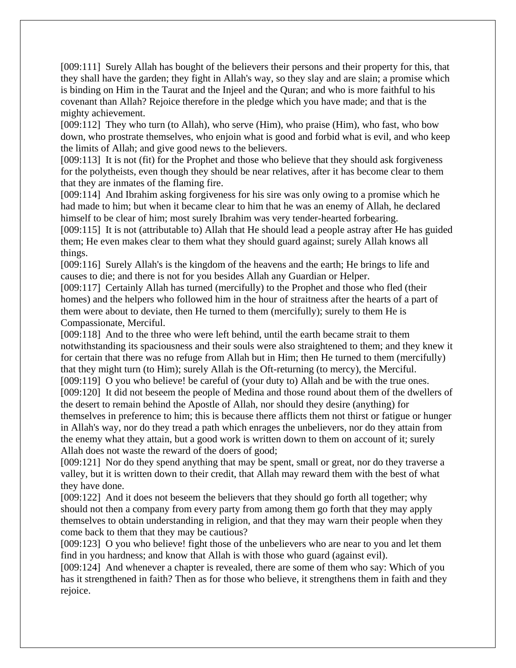[009:111] Surely Allah has bought of the believers their persons and their property for this, that they shall have the garden; they fight in Allah's way, so they slay and are slain; a promise which is binding on Him in the Taurat and the Injeel and the Quran; and who is more faithful to his covenant than Allah? Rejoice therefore in the pledge which you have made; and that is the mighty achievement.

[009:112] They who turn (to Allah), who serve (Him), who praise (Him), who fast, who bow down, who prostrate themselves, who enjoin what is good and forbid what is evil, and who keep the limits of Allah; and give good news to the believers.

[009:113] It is not (fit) for the Prophet and those who believe that they should ask forgiveness for the polytheists, even though they should be near relatives, after it has become clear to them that they are inmates of the flaming fire.

[009:114] And Ibrahim asking forgiveness for his sire was only owing to a promise which he had made to him; but when it became clear to him that he was an enemy of Allah, he declared himself to be clear of him; most surely Ibrahim was very tender-hearted forbearing.

[009:115] It is not (attributable to) Allah that He should lead a people astray after He has guided them; He even makes clear to them what they should guard against; surely Allah knows all things.

[009:116] Surely Allah's is the kingdom of the heavens and the earth; He brings to life and causes to die; and there is not for you besides Allah any Guardian or Helper.

[009:117] Certainly Allah has turned (mercifully) to the Prophet and those who fled (their homes) and the helpers who followed him in the hour of straitness after the hearts of a part of them were about to deviate, then He turned to them (mercifully); surely to them He is Compassionate, Merciful.

[009:118] And to the three who were left behind, until the earth became strait to them notwithstanding its spaciousness and their souls were also straightened to them; and they knew it for certain that there was no refuge from Allah but in Him; then He turned to them (mercifully) that they might turn (to Him); surely Allah is the Oft-returning (to mercy), the Merciful.

[009:119] O you who believe! be careful of (your duty to) Allah and be with the true ones. [009:120] It did not beseem the people of Medina and those round about them of the dwellers of the desert to remain behind the Apostle of Allah, nor should they desire (anything) for themselves in preference to him; this is because there afflicts them not thirst or fatigue or hunger in Allah's way, nor do they tread a path which enrages the unbelievers, nor do they attain from the enemy what they attain, but a good work is written down to them on account of it; surely

Allah does not waste the reward of the doers of good;

[009:121] Nor do they spend anything that may be spent, small or great, nor do they traverse a valley, but it is written down to their credit, that Allah may reward them with the best of what they have done.

[009:122] And it does not beseem the believers that they should go forth all together; why should not then a company from every party from among them go forth that they may apply themselves to obtain understanding in religion, and that they may warn their people when they come back to them that they may be cautious?

[009:123] O you who believe! fight those of the unbelievers who are near to you and let them find in you hardness; and know that Allah is with those who guard (against evil).

[009:124] And whenever a chapter is revealed, there are some of them who say: Which of you has it strengthened in faith? Then as for those who believe, it strengthens them in faith and they rejoice.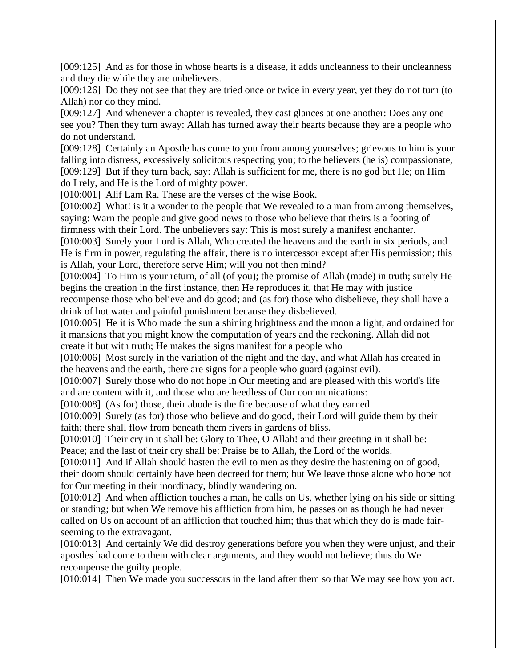[009:125] And as for those in whose hearts is a disease, it adds uncleanness to their uncleanness and they die while they are unbelievers.

[009:126] Do they not see that they are tried once or twice in every year, yet they do not turn (to Allah) nor do they mind.

[009:127] And whenever a chapter is revealed, they cast glances at one another: Does any one see you? Then they turn away: Allah has turned away their hearts because they are a people who do not understand.

[009:128] Certainly an Apostle has come to you from among yourselves; grievous to him is your falling into distress, excessively solicitous respecting you; to the believers (he is) compassionate, [009:129] But if they turn back, say: Allah is sufficient for me, there is no god but He; on Him do I rely, and He is the Lord of mighty power.

[010:001] Alif Lam Ra. These are the verses of the wise Book.

[010:002] What! is it a wonder to the people that We revealed to a man from among themselves, saying: Warn the people and give good news to those who believe that theirs is a footing of firmness with their Lord. The unbelievers say: This is most surely a manifest enchanter.

[010:003] Surely your Lord is Allah, Who created the heavens and the earth in six periods, and He is firm in power, regulating the affair, there is no intercessor except after His permission; this is Allah, your Lord, therefore serve Him; will you not then mind?

[010:004] To Him is your return, of all (of you); the promise of Allah (made) in truth; surely He begins the creation in the first instance, then He reproduces it, that He may with justice

recompense those who believe and do good; and (as for) those who disbelieve, they shall have a drink of hot water and painful punishment because they disbelieved.

[010:005] He it is Who made the sun a shining brightness and the moon a light, and ordained for it mansions that you might know the computation of years and the reckoning. Allah did not create it but with truth; He makes the signs manifest for a people who

[010:006] Most surely in the variation of the night and the day, and what Allah has created in the heavens and the earth, there are signs for a people who guard (against evil).

[010:007] Surely those who do not hope in Our meeting and are pleased with this world's life and are content with it, and those who are heedless of Our communications:

[010:008] (As for) those, their abode is the fire because of what they earned.

[010:009] Surely (as for) those who believe and do good, their Lord will guide them by their faith; there shall flow from beneath them rivers in gardens of bliss.

[010:010] Their cry in it shall be: Glory to Thee, O Allah! and their greeting in it shall be: Peace; and the last of their cry shall be: Praise be to Allah, the Lord of the worlds.

[010:011] And if Allah should hasten the evil to men as they desire the hastening on of good, their doom should certainly have been decreed for them; but We leave those alone who hope not for Our meeting in their inordinacy, blindly wandering on.

[010:012] And when affliction touches a man, he calls on Us, whether lying on his side or sitting or standing; but when We remove his affliction from him, he passes on as though he had never called on Us on account of an affliction that touched him; thus that which they do is made fairseeming to the extravagant.

[010:013] And certainly We did destroy generations before you when they were unjust, and their apostles had come to them with clear arguments, and they would not believe; thus do We recompense the guilty people.

[010:014] Then We made you successors in the land after them so that We may see how you act.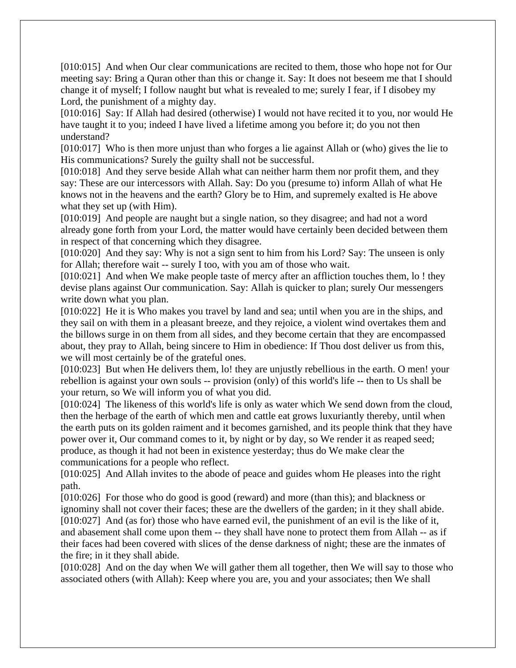[010:015] And when Our clear communications are recited to them, those who hope not for Our meeting say: Bring a Quran other than this or change it. Say: It does not beseem me that I should change it of myself; I follow naught but what is revealed to me; surely I fear, if I disobey my Lord, the punishment of a mighty day.

[010:016] Say: If Allah had desired (otherwise) I would not have recited it to you, nor would He have taught it to you; indeed I have lived a lifetime among you before it; do you not then understand?

[010:017] Who is then more unjust than who forges a lie against Allah or (who) gives the lie to His communications? Surely the guilty shall not be successful.

[010:018] And they serve beside Allah what can neither harm them nor profit them, and they say: These are our intercessors with Allah. Say: Do you (presume to) inform Allah of what He knows not in the heavens and the earth? Glory be to Him, and supremely exalted is He above what they set up (with Him).

[010:019] And people are naught but a single nation, so they disagree; and had not a word already gone forth from your Lord, the matter would have certainly been decided between them in respect of that concerning which they disagree.

[010:020] And they say: Why is not a sign sent to him from his Lord? Say: The unseen is only for Allah; therefore wait -- surely I too, with you am of those who wait.

[010:021] And when We make people taste of mercy after an affliction touches them, lo ! they devise plans against Our communication. Say: Allah is quicker to plan; surely Our messengers write down what you plan.

[010:022] He it is Who makes you travel by land and sea; until when you are in the ships, and they sail on with them in a pleasant breeze, and they rejoice, a violent wind overtakes them and the billows surge in on them from all sides, and they become certain that they are encompassed about, they pray to Allah, being sincere to Him in obedience: If Thou dost deliver us from this, we will most certainly be of the grateful ones.

[010:023] But when He delivers them, lo! they are unjustly rebellious in the earth. O men! your rebellion is against your own souls -- provision (only) of this world's life -- then to Us shall be your return, so We will inform you of what you did.

[010:024] The likeness of this world's life is only as water which We send down from the cloud, then the herbage of the earth of which men and cattle eat grows luxuriantly thereby, until when the earth puts on its golden raiment and it becomes garnished, and its people think that they have power over it, Our command comes to it, by night or by day, so We render it as reaped seed; produce, as though it had not been in existence yesterday; thus do We make clear the communications for a people who reflect.

[010:025] And Allah invites to the abode of peace and guides whom He pleases into the right path.

[010:026] For those who do good is good (reward) and more (than this); and blackness or ignominy shall not cover their faces; these are the dwellers of the garden; in it they shall abide. [010:027] And (as for) those who have earned evil, the punishment of an evil is the like of it, and abasement shall come upon them -- they shall have none to protect them from Allah -- as if their faces had been covered with slices of the dense darkness of night; these are the inmates of the fire; in it they shall abide.

[010:028] And on the day when We will gather them all together, then We will say to those who associated others (with Allah): Keep where you are, you and your associates; then We shall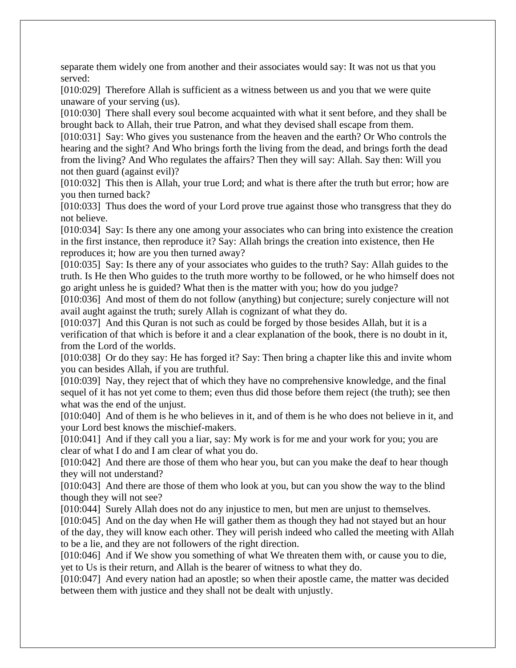separate them widely one from another and their associates would say: It was not us that you served:

[010:029] Therefore Allah is sufficient as a witness between us and you that we were quite unaware of your serving (us).

[010:030] There shall every soul become acquainted with what it sent before, and they shall be brought back to Allah, their true Patron, and what they devised shall escape from them.

[010:031] Say: Who gives you sustenance from the heaven and the earth? Or Who controls the hearing and the sight? And Who brings forth the living from the dead, and brings forth the dead from the living? And Who regulates the affairs? Then they will say: Allah. Say then: Will you not then guard (against evil)?

[010:032] This then is Allah, your true Lord; and what is there after the truth but error; how are you then turned back?

[010:033] Thus does the word of your Lord prove true against those who transgress that they do not believe.

[010:034] Say: Is there any one among your associates who can bring into existence the creation in the first instance, then reproduce it? Say: Allah brings the creation into existence, then He reproduces it; how are you then turned away?

[010:035] Say: Is there any of your associates who guides to the truth? Say: Allah guides to the truth. Is He then Who guides to the truth more worthy to be followed, or he who himself does not go aright unless he is guided? What then is the matter with you; how do you judge?

[010:036] And most of them do not follow (anything) but conjecture; surely conjecture will not avail aught against the truth; surely Allah is cognizant of what they do.

[010:037] And this Quran is not such as could be forged by those besides Allah, but it is a verification of that which is before it and a clear explanation of the book, there is no doubt in it, from the Lord of the worlds.

[010:038] Or do they say: He has forged it? Say: Then bring a chapter like this and invite whom you can besides Allah, if you are truthful.

[010:039] Nay, they reject that of which they have no comprehensive knowledge, and the final sequel of it has not yet come to them; even thus did those before them reject (the truth); see then what was the end of the unjust.

[010:040] And of them is he who believes in it, and of them is he who does not believe in it, and your Lord best knows the mischief-makers.

[010:041] And if they call you a liar, say: My work is for me and your work for you; you are clear of what I do and I am clear of what you do.

[010:042] And there are those of them who hear you, but can you make the deaf to hear though they will not understand?

[010:043] And there are those of them who look at you, but can you show the way to the blind though they will not see?

[010:044] Surely Allah does not do any injustice to men, but men are unjust to themselves.

[010:045] And on the day when He will gather them as though they had not stayed but an hour of the day, they will know each other. They will perish indeed who called the meeting with Allah to be a lie, and they are not followers of the right direction.

[010:046] And if We show you something of what We threaten them with, or cause you to die, yet to Us is their return, and Allah is the bearer of witness to what they do.

[010:047] And every nation had an apostle; so when their apostle came, the matter was decided between them with justice and they shall not be dealt with unjustly.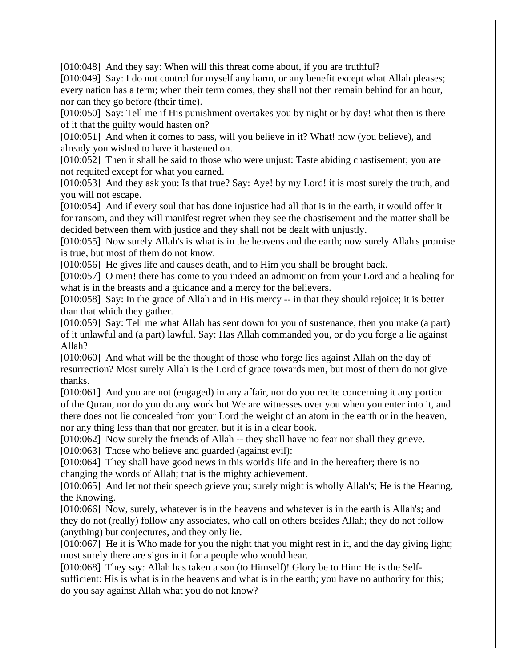[010:048] And they say: When will this threat come about, if you are truthful?

[010:049] Say: I do not control for myself any harm, or any benefit except what Allah pleases; every nation has a term; when their term comes, they shall not then remain behind for an hour, nor can they go before (their time).

[010:050] Say: Tell me if His punishment overtakes you by night or by day! what then is there of it that the guilty would hasten on?

[010:051] And when it comes to pass, will you believe in it? What! now (you believe), and already you wished to have it hastened on.

[010:052] Then it shall be said to those who were unjust: Taste abiding chastisement; you are not requited except for what you earned.

[010:053] And they ask you: Is that true? Say: Aye! by my Lord! it is most surely the truth, and you will not escape.

[010:054] And if every soul that has done injustice had all that is in the earth, it would offer it for ransom, and they will manifest regret when they see the chastisement and the matter shall be decided between them with justice and they shall not be dealt with unjustly.

[010:055] Now surely Allah's is what is in the heavens and the earth; now surely Allah's promise is true, but most of them do not know.

[010:056] He gives life and causes death, and to Him you shall be brought back.

[010:057] O men! there has come to you indeed an admonition from your Lord and a healing for what is in the breasts and a guidance and a mercy for the believers.

[010:058] Say: In the grace of Allah and in His mercy -- in that they should rejoice; it is better than that which they gather.

[010:059] Say: Tell me what Allah has sent down for you of sustenance, then you make (a part) of it unlawful and (a part) lawful. Say: Has Allah commanded you, or do you forge a lie against Allah?

[010:060] And what will be the thought of those who forge lies against Allah on the day of resurrection? Most surely Allah is the Lord of grace towards men, but most of them do not give thanks.

[010:061] And you are not (engaged) in any affair, nor do you recite concerning it any portion of the Quran, nor do you do any work but We are witnesses over you when you enter into it, and there does not lie concealed from your Lord the weight of an atom in the earth or in the heaven, nor any thing less than that nor greater, but it is in a clear book.

[010:062] Now surely the friends of Allah -- they shall have no fear nor shall they grieve.

[010:063] Those who believe and guarded (against evil):

[010:064] They shall have good news in this world's life and in the hereafter; there is no changing the words of Allah; that is the mighty achievement.

[010:065] And let not their speech grieve you; surely might is wholly Allah's; He is the Hearing, the Knowing.

[010:066] Now, surely, whatever is in the heavens and whatever is in the earth is Allah's; and they do not (really) follow any associates, who call on others besides Allah; they do not follow (anything) but conjectures, and they only lie.

[010:067] He it is Who made for you the night that you might rest in it, and the day giving light; most surely there are signs in it for a people who would hear.

[010:068] They say: Allah has taken a son (to Himself)! Glory be to Him: He is the Selfsufficient: His is what is in the heavens and what is in the earth; you have no authority for this; do you say against Allah what you do not know?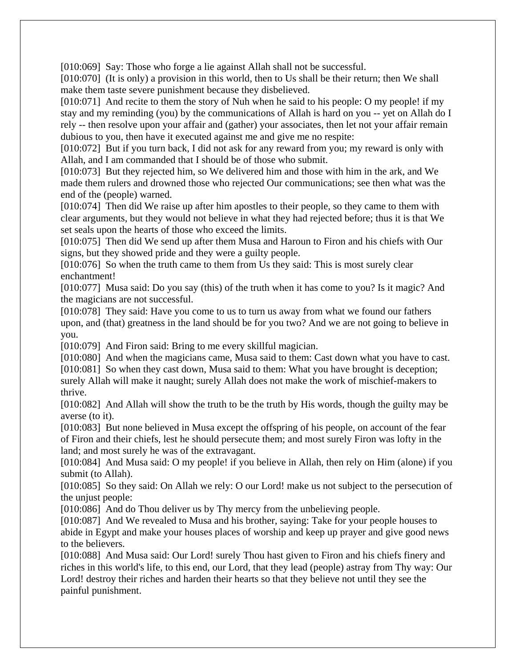[010:069] Say: Those who forge a lie against Allah shall not be successful.

[010:070] (It is only) a provision in this world, then to Us shall be their return; then We shall make them taste severe punishment because they disbelieved.

[010:071] And recite to them the story of Nuh when he said to his people: O my people! if my stay and my reminding (you) by the communications of Allah is hard on you -- yet on Allah do I rely -- then resolve upon your affair and (gather) your associates, then let not your affair remain dubious to you, then have it executed against me and give me no respite:

[010:072] But if you turn back, I did not ask for any reward from you; my reward is only with Allah, and I am commanded that I should be of those who submit.

[010:073] But they rejected him, so We delivered him and those with him in the ark, and We made them rulers and drowned those who rejected Our communications; see then what was the end of the (people) warned.

[010:074] Then did We raise up after him apostles to their people, so they came to them with clear arguments, but they would not believe in what they had rejected before; thus it is that We set seals upon the hearts of those who exceed the limits.

[010:075] Then did We send up after them Musa and Haroun to Firon and his chiefs with Our signs, but they showed pride and they were a guilty people.

[010:076] So when the truth came to them from Us they said: This is most surely clear enchantment!

[010:077] Musa said: Do you say (this) of the truth when it has come to you? Is it magic? And the magicians are not successful.

[010:078] They said: Have you come to us to turn us away from what we found our fathers upon, and (that) greatness in the land should be for you two? And we are not going to believe in you.

[010:079] And Firon said: Bring to me every skillful magician.

[010:080] And when the magicians came, Musa said to them: Cast down what you have to cast.

[010:081] So when they cast down, Musa said to them: What you have brought is deception; surely Allah will make it naught; surely Allah does not make the work of mischief-makers to thrive.

[010:082] And Allah will show the truth to be the truth by His words, though the guilty may be averse (to it).

[010:083] But none believed in Musa except the offspring of his people, on account of the fear of Firon and their chiefs, lest he should persecute them; and most surely Firon was lofty in the land; and most surely he was of the extravagant.

[010:084] And Musa said: O my people! if you believe in Allah, then rely on Him (alone) if you submit (to Allah).

[010:085] So they said: On Allah we rely: O our Lord! make us not subject to the persecution of the unjust people:

[010:086] And do Thou deliver us by Thy mercy from the unbelieving people.

[010:087] And We revealed to Musa and his brother, saying: Take for your people houses to abide in Egypt and make your houses places of worship and keep up prayer and give good news to the believers.

[010:088] And Musa said: Our Lord! surely Thou hast given to Firon and his chiefs finery and riches in this world's life, to this end, our Lord, that they lead (people) astray from Thy way: Our Lord! destroy their riches and harden their hearts so that they believe not until they see the painful punishment.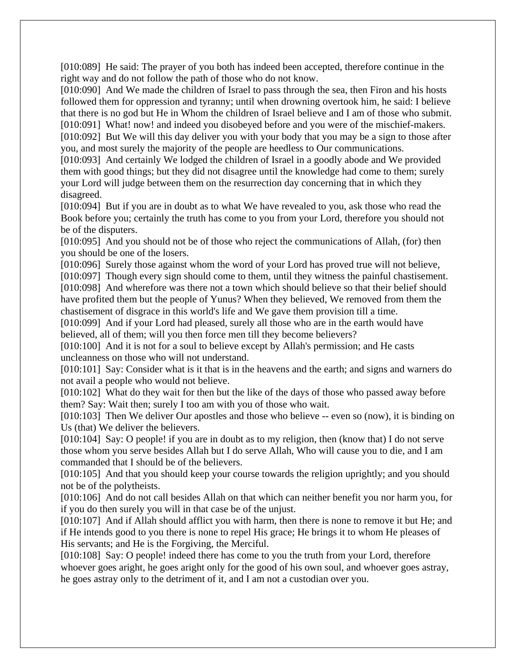[010:089] He said: The prayer of you both has indeed been accepted, therefore continue in the right way and do not follow the path of those who do not know.

[010:090] And We made the children of Israel to pass through the sea, then Firon and his hosts followed them for oppression and tyranny; until when drowning overtook him, he said: I believe that there is no god but He in Whom the children of Israel believe and I am of those who submit. [010:091] What! now! and indeed you disobeyed before and you were of the mischief-makers. [010:092] But We will this day deliver you with your body that you may be a sign to those after

you, and most surely the majority of the people are heedless to Our communications.

[010:093] And certainly We lodged the children of Israel in a goodly abode and We provided them with good things; but they did not disagree until the knowledge had come to them; surely your Lord will judge between them on the resurrection day concerning that in which they disagreed.

[010:094] But if you are in doubt as to what We have revealed to you, ask those who read the Book before you; certainly the truth has come to you from your Lord, therefore you should not be of the disputers.

[010:095] And you should not be of those who reject the communications of Allah, (for) then you should be one of the losers.

[010:096] Surely those against whom the word of your Lord has proved true will not believe,

[010:097] Though every sign should come to them, until they witness the painful chastisement.

[010:098] And wherefore was there not a town which should believe so that their belief should have profited them but the people of Yunus? When they believed, We removed from them the chastisement of disgrace in this world's life and We gave them provision till a time.

[010:099] And if your Lord had pleased, surely all those who are in the earth would have believed, all of them; will you then force men till they become believers?

[010:100] And it is not for a soul to believe except by Allah's permission; and He casts uncleanness on those who will not understand.

[010:101] Say: Consider what is it that is in the heavens and the earth; and signs and warners do not avail a people who would not believe.

[010:102] What do they wait for then but the like of the days of those who passed away before them? Say: Wait then; surely I too am with you of those who wait.

[010:103] Then We deliver Our apostles and those who believe -- even so (now), it is binding on Us (that) We deliver the believers.

[010:104] Say: O people! if you are in doubt as to my religion, then (know that) I do not serve those whom you serve besides Allah but I do serve Allah, Who will cause you to die, and I am commanded that I should be of the believers.

[010:105] And that you should keep your course towards the religion uprightly; and you should not be of the polytheists.

[010:106] And do not call besides Allah on that which can neither benefit you nor harm you, for if you do then surely you will in that case be of the unjust.

[010:107] And if Allah should afflict you with harm, then there is none to remove it but He; and if He intends good to you there is none to repel His grace; He brings it to whom He pleases of His servants; and He is the Forgiving, the Merciful.

[010:108] Say: O people! indeed there has come to you the truth from your Lord, therefore whoever goes aright, he goes aright only for the good of his own soul, and whoever goes astray, he goes astray only to the detriment of it, and I am not a custodian over you.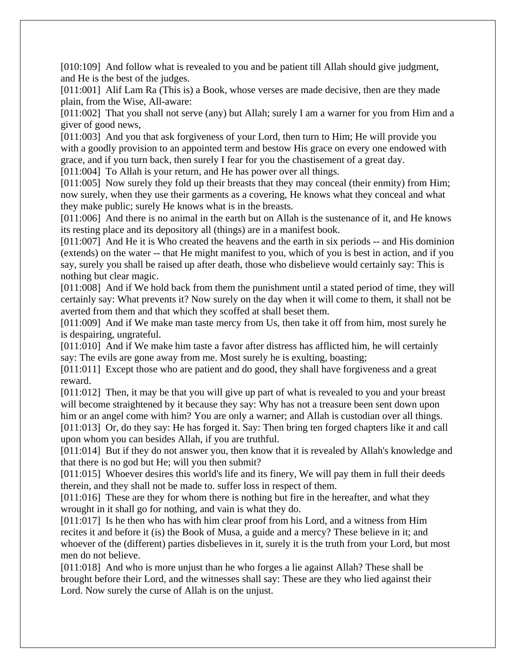[010:109] And follow what is revealed to you and be patient till Allah should give judgment, and He is the best of the judges.

[011:001] Alif Lam Ra (This is) a Book, whose verses are made decisive, then are they made plain, from the Wise, All-aware:

[011:002] That you shall not serve (any) but Allah; surely I am a warner for you from Him and a giver of good news,

[011:003] And you that ask forgiveness of your Lord, then turn to Him; He will provide you with a goodly provision to an appointed term and bestow His grace on every one endowed with grace, and if you turn back, then surely I fear for you the chastisement of a great day.

[011:004] To Allah is your return, and He has power over all things.

[011:005] Now surely they fold up their breasts that they may conceal (their enmity) from Him; now surely, when they use their garments as a covering, He knows what they conceal and what they make public; surely He knows what is in the breasts.

[011:006] And there is no animal in the earth but on Allah is the sustenance of it, and He knows its resting place and its depository all (things) are in a manifest book.

[011:007] And He it is Who created the heavens and the earth in six periods -- and His dominion (extends) on the water -- that He might manifest to you, which of you is best in action, and if you say, surely you shall be raised up after death, those who disbelieve would certainly say: This is nothing but clear magic.

[011:008] And if We hold back from them the punishment until a stated period of time, they will certainly say: What prevents it? Now surely on the day when it will come to them, it shall not be averted from them and that which they scoffed at shall beset them.

[011:009] And if We make man taste mercy from Us, then take it off from him, most surely he is despairing, ungrateful.

[011:010] And if We make him taste a favor after distress has afflicted him, he will certainly say: The evils are gone away from me. Most surely he is exulting, boasting;

[011:011] Except those who are patient and do good, they shall have forgiveness and a great reward.

[011:012] Then, it may be that you will give up part of what is revealed to you and your breast will become straightened by it because they say: Why has not a treasure been sent down upon him or an angel come with him? You are only a warner; and Allah is custodian over all things. [011:013] Or, do they say: He has forged it. Say: Then bring ten forged chapters like it and call upon whom you can besides Allah, if you are truthful.

[011:014] But if they do not answer you, then know that it is revealed by Allah's knowledge and that there is no god but He; will you then submit?

[011:015] Whoever desires this world's life and its finery, We will pay them in full their deeds therein, and they shall not be made to. suffer loss in respect of them.

[011:016] These are they for whom there is nothing but fire in the hereafter, and what they wrought in it shall go for nothing, and vain is what they do.

[011:017] Is he then who has with him clear proof from his Lord, and a witness from Him recites it and before it (is) the Book of Musa, a guide and a mercy? These believe in it; and whoever of the (different) parties disbelieves in it, surely it is the truth from your Lord, but most men do not believe.

[011:018] And who is more unjust than he who forges a lie against Allah? These shall be brought before their Lord, and the witnesses shall say: These are they who lied against their Lord. Now surely the curse of Allah is on the unjust.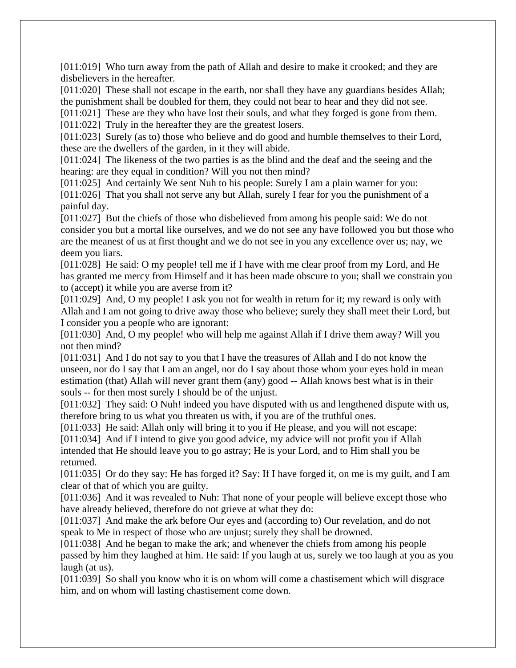[011:019] Who turn away from the path of Allah and desire to make it crooked; and they are disbelievers in the hereafter.

[011:020] These shall not escape in the earth, nor shall they have any guardians besides Allah; the punishment shall be doubled for them, they could not bear to hear and they did not see.

[011:021] These are they who have lost their souls, and what they forged is gone from them.

[011:022] Truly in the hereafter they are the greatest losers.

[011:023] Surely (as to) those who believe and do good and humble themselves to their Lord, these are the dwellers of the garden, in it they will abide.

[011:024] The likeness of the two parties is as the blind and the deaf and the seeing and the hearing: are they equal in condition? Will you not then mind?

[011:025] And certainly We sent Nuh to his people: Surely I am a plain warner for you: [011:026] That you shall not serve any but Allah, surely I fear for you the punishment of a painful day.

[011:027] But the chiefs of those who disbelieved from among his people said: We do not consider you but a mortal like ourselves, and we do not see any have followed you but those who are the meanest of us at first thought and we do not see in you any excellence over us; nay, we deem you liars.

[011:028] He said: O my people! tell me if I have with me clear proof from my Lord, and He has granted me mercy from Himself and it has been made obscure to you; shall we constrain you to (accept) it while you are averse from it?

[011:029] And, O my people! I ask you not for wealth in return for it; my reward is only with Allah and I am not going to drive away those who believe; surely they shall meet their Lord, but I consider you a people who are ignorant:

[011:030] And, O my people! who will help me against Allah if I drive them away? Will you not then mind?

[011:031] And I do not say to you that I have the treasures of Allah and I do not know the unseen, nor do I say that I am an angel, nor do I say about those whom your eyes hold in mean estimation (that) Allah will never grant them (any) good -- Allah knows best what is in their souls -- for then most surely I should be of the unjust.

[011:032] They said: O Nuh! indeed you have disputed with us and lengthened dispute with us, therefore bring to us what you threaten us with, if you are of the truthful ones.

[011:033] He said: Allah only will bring it to you if He please, and you will not escape:

[011:034] And if I intend to give you good advice, my advice will not profit you if Allah intended that He should leave you to go astray; He is your Lord, and to Him shall you be returned.

[011:035] Or do they say: He has forged it? Say: If I have forged it, on me is my guilt, and I am clear of that of which you are guilty.

[011:036] And it was revealed to Nuh: That none of your people will believe except those who have already believed, therefore do not grieve at what they do:

[011:037] And make the ark before Our eyes and (according to) Our revelation, and do not speak to Me in respect of those who are unjust; surely they shall be drowned.

[011:038] And he began to make the ark; and whenever the chiefs from among his people passed by him they laughed at him. He said: If you laugh at us, surely we too laugh at you as you laugh (at us).

[011:039] So shall you know who it is on whom will come a chastisement which will disgrace him, and on whom will lasting chastisement come down.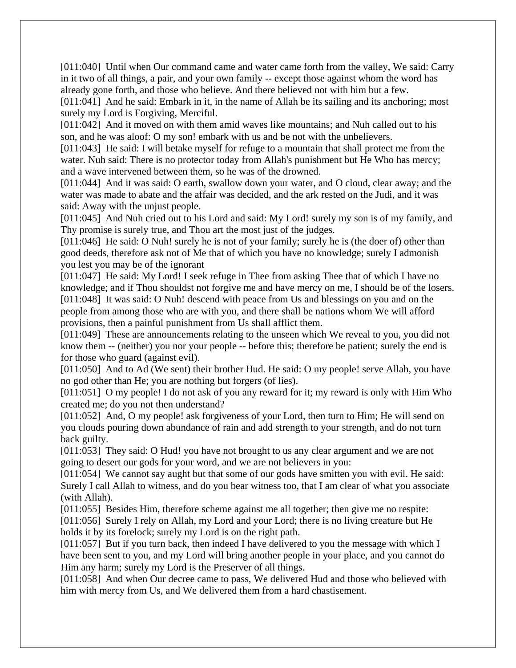[011:040] Until when Our command came and water came forth from the valley, We said: Carry in it two of all things, a pair, and your own family -- except those against whom the word has already gone forth, and those who believe. And there believed not with him but a few. [011:041] And he said: Embark in it, in the name of Allah be its sailing and its anchoring; most surely my Lord is Forgiving, Merciful.

[011:042] And it moved on with them amid waves like mountains; and Nuh called out to his son, and he was aloof: O my son! embark with us and be not with the unbelievers.

[011:043] He said: I will betake myself for refuge to a mountain that shall protect me from the water. Nuh said: There is no protector today from Allah's punishment but He Who has mercy; and a wave intervened between them, so he was of the drowned.

[011:044] And it was said: O earth, swallow down your water, and O cloud, clear away; and the water was made to abate and the affair was decided, and the ark rested on the Judi, and it was said: Away with the unjust people.

[011:045] And Nuh cried out to his Lord and said: My Lord! surely my son is of my family, and Thy promise is surely true, and Thou art the most just of the judges.

[011:046] He said: O Nuh! surely he is not of your family; surely he is (the doer of) other than good deeds, therefore ask not of Me that of which you have no knowledge; surely I admonish you lest you may be of the ignorant

[011:047] He said: My Lord! I seek refuge in Thee from asking Thee that of which I have no knowledge; and if Thou shouldst not forgive me and have mercy on me, I should be of the losers. [011:048] It was said: O Nuh! descend with peace from Us and blessings on you and on the people from among those who are with you, and there shall be nations whom We will afford provisions, then a painful punishment from Us shall afflict them.

[011:049] These are announcements relating to the unseen which We reveal to you, you did not know them -- (neither) you nor your people -- before this; therefore be patient; surely the end is for those who guard (against evil).

[011:050] And to Ad (We sent) their brother Hud. He said: O my people! serve Allah, you have no god other than He; you are nothing but forgers (of lies).

[011:051] O my people! I do not ask of you any reward for it; my reward is only with Him Who created me; do you not then understand?

[011:052] And, O my people! ask forgiveness of your Lord, then turn to Him; He will send on you clouds pouring down abundance of rain and add strength to your strength, and do not turn back guilty.

[011:053] They said: O Hud! you have not brought to us any clear argument and we are not going to desert our gods for your word, and we are not believers in you:

[011:054] We cannot say aught but that some of our gods have smitten you with evil. He said: Surely I call Allah to witness, and do you bear witness too, that I am clear of what you associate (with Allah).

[011:055] Besides Him, therefore scheme against me all together; then give me no respite: [011:056] Surely I rely on Allah, my Lord and your Lord; there is no living creature but He holds it by its forelock; surely my Lord is on the right path.

[011:057] But if you turn back, then indeed I have delivered to you the message with which I have been sent to you, and my Lord will bring another people in your place, and you cannot do Him any harm; surely my Lord is the Preserver of all things.

[011:058] And when Our decree came to pass, We delivered Hud and those who believed with him with mercy from Us, and We delivered them from a hard chastisement.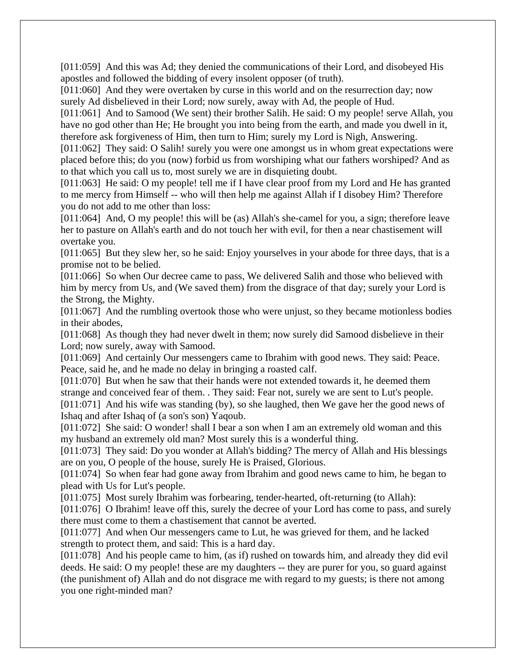[011:059] And this was Ad; they denied the communications of their Lord, and disobeyed His apostles and followed the bidding of every insolent opposer (of truth).

[011:060] And they were overtaken by curse in this world and on the resurrection day; now surely Ad disbelieved in their Lord; now surely, away with Ad, the people of Hud.

[011:061] And to Samood (We sent) their brother Salih. He said: O my people! serve Allah, you have no god other than He; He brought you into being from the earth, and made you dwell in it, therefore ask forgiveness of Him, then turn to Him; surely my Lord is Nigh, Answering.

[011:062] They said: O Salih! surely you were one amongst us in whom great expectations were placed before this; do you (now) forbid us from worshiping what our fathers worshiped? And as to that which you call us to, most surely we are in disquieting doubt.

[011:063] He said: O my people! tell me if I have clear proof from my Lord and He has granted to me mercy from Himself -- who will then help me against Allah if I disobey Him? Therefore you do not add to me other than loss:

[011:064] And, O my people! this will be (as) Allah's she-camel for you, a sign; therefore leave her to pasture on Allah's earth and do not touch her with evil, for then a near chastisement will overtake you.

[011:065] But they slew her, so he said: Enjoy yourselves in your abode for three days, that is a promise not to be belied.

[011:066] So when Our decree came to pass, We delivered Salih and those who believed with him by mercy from Us, and (We saved them) from the disgrace of that day; surely your Lord is the Strong, the Mighty.

[011:067] And the rumbling overtook those who were unjust, so they became motionless bodies in their abodes,

[011:068] As though they had never dwelt in them; now surely did Samood disbelieve in their Lord; now surely, away with Samood.

[011:069] And certainly Our messengers came to Ibrahim with good news. They said: Peace. Peace, said he, and he made no delay in bringing a roasted calf.

[011:070] But when he saw that their hands were not extended towards it, he deemed them strange and conceived fear of them. . They said: Fear not, surely we are sent to Lut's people. [011:071] And his wife was standing (by), so she laughed, then We gave her the good news of

Ishaq and after Ishaq of (a son's son) Yaqoub.

[011:072] She said: O wonder! shall I bear a son when I am an extremely old woman and this my husband an extremely old man? Most surely this is a wonderful thing.

[011:073] They said: Do you wonder at Allah's bidding? The mercy of Allah and His blessings are on you, O people of the house, surely He is Praised, Glorious.

[011:074] So when fear had gone away from Ibrahim and good news came to him, he began to plead with Us for Lut's people.

[011:075] Most surely Ibrahim was forbearing, tender-hearted, oft-returning (to Allah):

[011:076] O Ibrahim! leave off this, surely the decree of your Lord has come to pass, and surely there must come to them a chastisement that cannot be averted.

[011:077] And when Our messengers came to Lut, he was grieved for them, and he lacked strength to protect them, and said: This is a hard day.

[011:078] And his people came to him, (as if) rushed on towards him, and already they did evil deeds. He said: O my people! these are my daughters -- they are purer for you, so guard against (the punishment of) Allah and do not disgrace me with regard to my guests; is there not among you one right-minded man?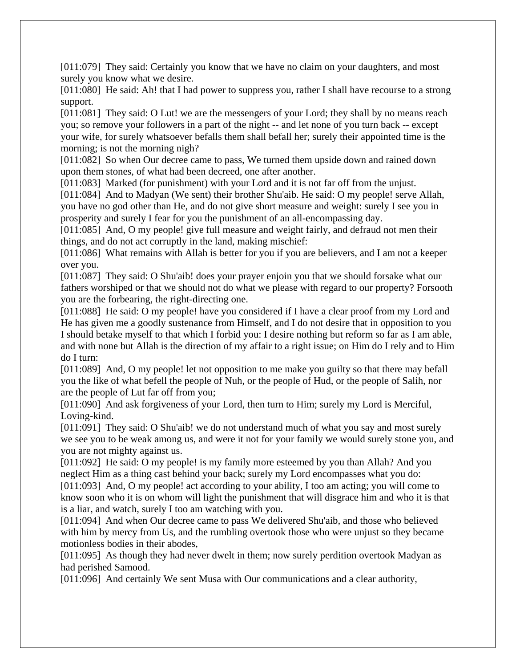[011:079] They said: Certainly you know that we have no claim on your daughters, and most surely you know what we desire.

[011:080] He said: Ah! that I had power to suppress you, rather I shall have recourse to a strong support.

[011:081] They said: O Lut! we are the messengers of your Lord; they shall by no means reach you; so remove your followers in a part of the night -- and let none of you turn back -- except your wife, for surely whatsoever befalls them shall befall her; surely their appointed time is the morning; is not the morning nigh?

[011:082] So when Our decree came to pass, We turned them upside down and rained down upon them stones, of what had been decreed, one after another.

[011:083] Marked (for punishment) with your Lord and it is not far off from the unjust.

[011:084] And to Madyan (We sent) their brother Shu'aib. He said: O my people! serve Allah, you have no god other than He, and do not give short measure and weight: surely I see you in prosperity and surely I fear for you the punishment of an all-encompassing day.

[011:085] And, O my people! give full measure and weight fairly, and defraud not men their things, and do not act corruptly in the land, making mischief:

[011:086] What remains with Allah is better for you if you are believers, and I am not a keeper over you.

[011:087] They said: O Shu'aib! does your prayer enjoin you that we should forsake what our fathers worshiped or that we should not do what we please with regard to our property? Forsooth you are the forbearing, the right-directing one.

[011:088] He said: O my people! have you considered if I have a clear proof from my Lord and He has given me a goodly sustenance from Himself, and I do not desire that in opposition to you I should betake myself to that which I forbid you: I desire nothing but reform so far as I am able, and with none but Allah is the direction of my affair to a right issue; on Him do I rely and to Him do I turn:

[011:089] And, O my people! let not opposition to me make you guilty so that there may befall you the like of what befell the people of Nuh, or the people of Hud, or the people of Salih, nor are the people of Lut far off from you;

[011:090] And ask forgiveness of your Lord, then turn to Him; surely my Lord is Merciful, Loving-kind.

[011:091] They said: O Shu'aib! we do not understand much of what you say and most surely we see you to be weak among us, and were it not for your family we would surely stone you, and you are not mighty against us.

[011:092] He said: O my people! is my family more esteemed by you than Allah? And you neglect Him as a thing cast behind your back; surely my Lord encompasses what you do: [011:093] And, O my people! act according to your ability, I too am acting; you will come to know soon who it is on whom will light the punishment that will disgrace him and who it is that is a liar, and watch, surely I too am watching with you.

[011:094] And when Our decree came to pass We delivered Shu'aib, and those who believed with him by mercy from Us, and the rumbling overtook those who were unjust so they became motionless bodies in their abodes,

[011:095] As though they had never dwelt in them; now surely perdition overtook Madyan as had perished Samood.

[011:096] And certainly We sent Musa with Our communications and a clear authority,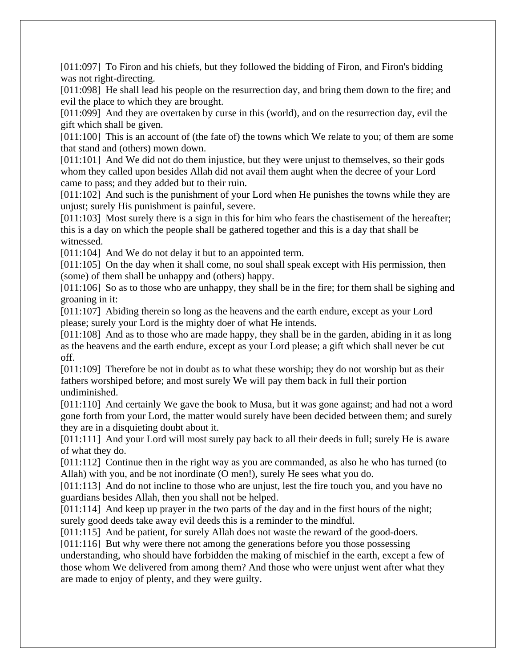[011:097] To Firon and his chiefs, but they followed the bidding of Firon, and Firon's bidding was not right-directing.

[011:098] He shall lead his people on the resurrection day, and bring them down to the fire; and evil the place to which they are brought.

[011:099] And they are overtaken by curse in this (world), and on the resurrection day, evil the gift which shall be given.

[011:100] This is an account of (the fate of) the towns which We relate to you; of them are some that stand and (others) mown down.

[011:101] And We did not do them injustice, but they were unjust to themselves, so their gods whom they called upon besides Allah did not avail them aught when the decree of your Lord came to pass; and they added but to their ruin.

[011:102] And such is the punishment of your Lord when He punishes the towns while they are unjust; surely His punishment is painful, severe.

[011:103] Most surely there is a sign in this for him who fears the chastisement of the hereafter; this is a day on which the people shall be gathered together and this is a day that shall be witnessed.

[011:104] And We do not delay it but to an appointed term.

[011:105] On the day when it shall come, no soul shall speak except with His permission, then (some) of them shall be unhappy and (others) happy.

[011:106] So as to those who are unhappy, they shall be in the fire; for them shall be sighing and groaning in it:

[011:107] Abiding therein so long as the heavens and the earth endure, except as your Lord please; surely your Lord is the mighty doer of what He intends.

[011:108] And as to those who are made happy, they shall be in the garden, abiding in it as long as the heavens and the earth endure, except as your Lord please; a gift which shall never be cut off.

[011:109] Therefore be not in doubt as to what these worship; they do not worship but as their fathers worshiped before; and most surely We will pay them back in full their portion undiminished.

[011:110] And certainly We gave the book to Musa, but it was gone against; and had not a word gone forth from your Lord, the matter would surely have been decided between them; and surely they are in a disquieting doubt about it.

[011:111] And your Lord will most surely pay back to all their deeds in full; surely He is aware of what they do.

[011:112] Continue then in the right way as you are commanded, as also he who has turned (to Allah) with you, and be not inordinate (O men!), surely He sees what you do.

[011:113] And do not incline to those who are unjust, lest the fire touch you, and you have no guardians besides Allah, then you shall not be helped.

[011:114] And keep up prayer in the two parts of the day and in the first hours of the night; surely good deeds take away evil deeds this is a reminder to the mindful.

[011:115] And be patient, for surely Allah does not waste the reward of the good-doers.

[011:116] But why were there not among the generations before you those possessing understanding, who should have forbidden the making of mischief in the earth, except a few of those whom We delivered from among them? And those who were unjust went after what they are made to enjoy of plenty, and they were guilty.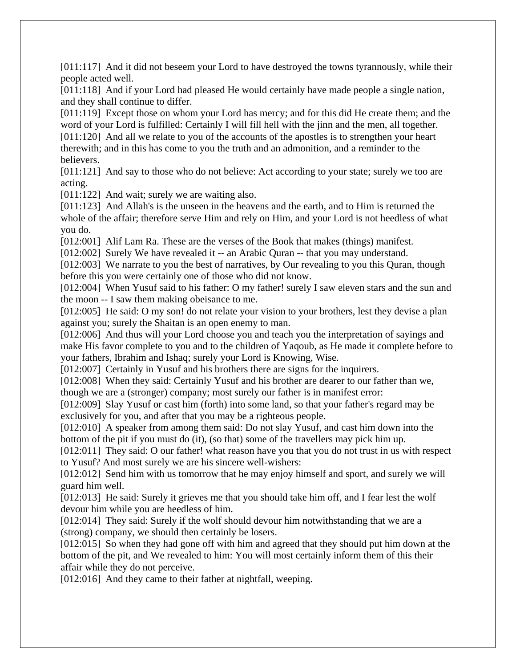[011:117] And it did not beseem your Lord to have destroyed the towns tyrannously, while their people acted well.

[011:118] And if your Lord had pleased He would certainly have made people a single nation, and they shall continue to differ.

[011:119] Except those on whom your Lord has mercy; and for this did He create them; and the word of your Lord is fulfilled: Certainly I will fill hell with the jinn and the men, all together. [011:120] And all we relate to you of the accounts of the apostles is to strengthen your heart therewith; and in this has come to you the truth and an admonition, and a reminder to the believers.

[011:121] And say to those who do not believe: Act according to your state; surely we too are acting.

[011:122] And wait; surely we are waiting also.

[011:123] And Allah's is the unseen in the heavens and the earth, and to Him is returned the whole of the affair; therefore serve Him and rely on Him, and your Lord is not heedless of what you do.

[012:001] Alif Lam Ra. These are the verses of the Book that makes (things) manifest.

[012:002] Surely We have revealed it -- an Arabic Quran -- that you may understand.

[012:003] We narrate to you the best of narratives, by Our revealing to you this Quran, though before this you were certainly one of those who did not know.

[012:004] When Yusuf said to his father: O my father! surely I saw eleven stars and the sun and the moon -- I saw them making obeisance to me.

[012:005] He said: O my son! do not relate your vision to your brothers, lest they devise a plan against you; surely the Shaitan is an open enemy to man.

[012:006] And thus will your Lord choose you and teach you the interpretation of sayings and make His favor complete to you and to the children of Yaqoub, as He made it complete before to your fathers, Ibrahim and Ishaq; surely your Lord is Knowing, Wise.

[012:007] Certainly in Yusuf and his brothers there are signs for the inquirers.

[012:008] When they said: Certainly Yusuf and his brother are dearer to our father than we, though we are a (stronger) company; most surely our father is in manifest error:

[012:009] Slay Yusuf or cast him (forth) into some land, so that your father's regard may be exclusively for you, and after that you may be a righteous people.

[012:010] A speaker from among them said: Do not slay Yusuf, and cast him down into the bottom of the pit if you must do (it), (so that) some of the travellers may pick him up.

[012:011] They said: O our father! what reason have you that you do not trust in us with respect to Yusuf? And most surely we are his sincere well-wishers:

[012:012] Send him with us tomorrow that he may enjoy himself and sport, and surely we will guard him well.

[012:013] He said: Surely it grieves me that you should take him off, and I fear lest the wolf devour him while you are heedless of him.

[012:014] They said: Surely if the wolf should devour him notwithstanding that we are a (strong) company, we should then certainly be losers.

[012:015] So when they had gone off with him and agreed that they should put him down at the bottom of the pit, and We revealed to him: You will most certainly inform them of this their affair while they do not perceive.

[012:016] And they came to their father at nightfall, weeping.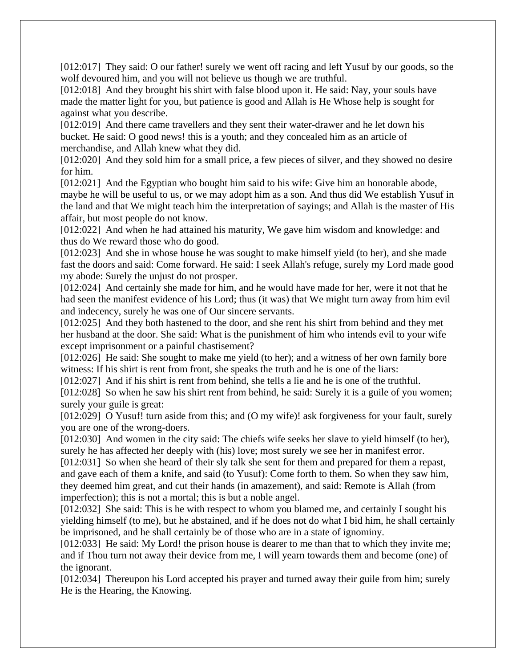[012:017] They said: O our father! surely we went off racing and left Yusuf by our goods, so the wolf devoured him, and you will not believe us though we are truthful.

[012:018] And they brought his shirt with false blood upon it. He said: Nay, your souls have made the matter light for you, but patience is good and Allah is He Whose help is sought for against what you describe.

[012:019] And there came travellers and they sent their water-drawer and he let down his bucket. He said: O good news! this is a youth; and they concealed him as an article of merchandise, and Allah knew what they did.

[012:020] And they sold him for a small price, a few pieces of silver, and they showed no desire for him.

[012:021] And the Egyptian who bought him said to his wife: Give him an honorable abode, maybe he will be useful to us, or we may adopt him as a son. And thus did We establish Yusuf in the land and that We might teach him the interpretation of sayings; and Allah is the master of His affair, but most people do not know.

[012:022] And when he had attained his maturity, We gave him wisdom and knowledge: and thus do We reward those who do good.

[012:023] And she in whose house he was sought to make himself yield (to her), and she made fast the doors and said: Come forward. He said: I seek Allah's refuge, surely my Lord made good my abode: Surely the unjust do not prosper.

[012:024] And certainly she made for him, and he would have made for her, were it not that he had seen the manifest evidence of his Lord; thus (it was) that We might turn away from him evil and indecency, surely he was one of Our sincere servants.

[012:025] And they both hastened to the door, and she rent his shirt from behind and they met her husband at the door. She said: What is the punishment of him who intends evil to your wife except imprisonment or a painful chastisement?

[012:026] He said: She sought to make me yield (to her); and a witness of her own family bore witness: If his shirt is rent from front, she speaks the truth and he is one of the liars:

[012:027] And if his shirt is rent from behind, she tells a lie and he is one of the truthful.

[012:028] So when he saw his shirt rent from behind, he said: Surely it is a guile of you women; surely your guile is great:

[012:029] O Yusuf! turn aside from this; and (O my wife)! ask forgiveness for your fault, surely you are one of the wrong-doers.

[012:030] And women in the city said: The chiefs wife seeks her slave to yield himself (to her), surely he has affected her deeply with (his) love; most surely we see her in manifest error.

[012:031] So when she heard of their sly talk she sent for them and prepared for them a repast, and gave each of them a knife, and said (to Yusuf): Come forth to them. So when they saw him, they deemed him great, and cut their hands (in amazement), and said: Remote is Allah (from imperfection); this is not a mortal; this is but a noble angel.

[012:032] She said: This is he with respect to whom you blamed me, and certainly I sought his yielding himself (to me), but he abstained, and if he does not do what I bid him, he shall certainly be imprisoned, and he shall certainly be of those who are in a state of ignominy.

[012:033] He said: My Lord! the prison house is dearer to me than that to which they invite me; and if Thou turn not away their device from me, I will yearn towards them and become (one) of the ignorant.

[012:034] Thereupon his Lord accepted his prayer and turned away their guile from him; surely He is the Hearing, the Knowing.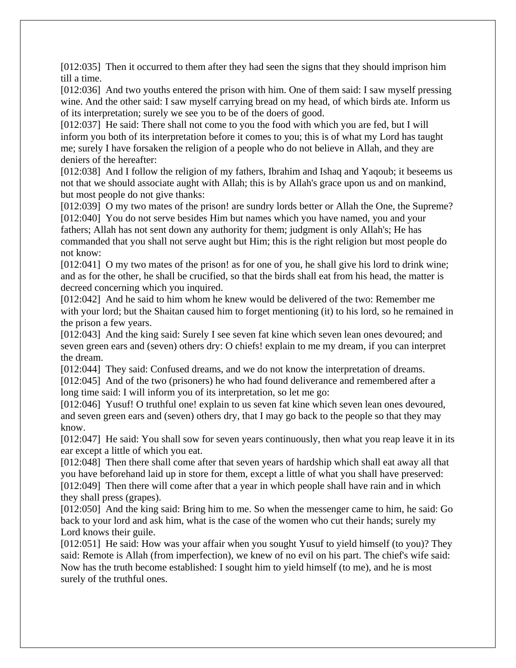[012:035] Then it occurred to them after they had seen the signs that they should imprison him till a time.

[012:036] And two youths entered the prison with him. One of them said: I saw myself pressing wine. And the other said: I saw myself carrying bread on my head, of which birds ate. Inform us of its interpretation; surely we see you to be of the doers of good.

[012:037] He said: There shall not come to you the food with which you are fed, but I will inform you both of its interpretation before it comes to you; this is of what my Lord has taught me; surely I have forsaken the religion of a people who do not believe in Allah, and they are deniers of the hereafter:

[012:038] And I follow the religion of my fathers, Ibrahim and Ishaq and Yaqoub; it beseems us not that we should associate aught with Allah; this is by Allah's grace upon us and on mankind, but most people do not give thanks:

[012:039] O my two mates of the prison! are sundry lords better or Allah the One, the Supreme? [012:040] You do not serve besides Him but names which you have named, you and your fathers; Allah has not sent down any authority for them; judgment is only Allah's; He has commanded that you shall not serve aught but Him; this is the right religion but most people do not know:

[012:041] O my two mates of the prison! as for one of you, he shall give his lord to drink wine; and as for the other, he shall be crucified, so that the birds shall eat from his head, the matter is decreed concerning which you inquired.

[012:042] And he said to him whom he knew would be delivered of the two: Remember me with your lord; but the Shaitan caused him to forget mentioning (it) to his lord, so he remained in the prison a few years.

[012:043] And the king said: Surely I see seven fat kine which seven lean ones devoured; and seven green ears and (seven) others dry: O chiefs! explain to me my dream, if you can interpret the dream.

[012:044] They said: Confused dreams, and we do not know the interpretation of dreams.

[012:045] And of the two (prisoners) he who had found deliverance and remembered after a long time said: I will inform you of its interpretation, so let me go:

[012:046] Yusuf! O truthful one! explain to us seven fat kine which seven lean ones devoured, and seven green ears and (seven) others dry, that I may go back to the people so that they may know.

[012:047] He said: You shall sow for seven years continuously, then what you reap leave it in its ear except a little of which you eat.

[012:048] Then there shall come after that seven years of hardship which shall eat away all that you have beforehand laid up in store for them, except a little of what you shall have preserved: [012:049] Then there will come after that a year in which people shall have rain and in which they shall press (grapes).

[012:050] And the king said: Bring him to me. So when the messenger came to him, he said: Go back to your lord and ask him, what is the case of the women who cut their hands; surely my Lord knows their guile.

[012:051] He said: How was your affair when you sought Yusuf to yield himself (to you)? They said: Remote is Allah (from imperfection), we knew of no evil on his part. The chief's wife said: Now has the truth become established: I sought him to yield himself (to me), and he is most surely of the truthful ones.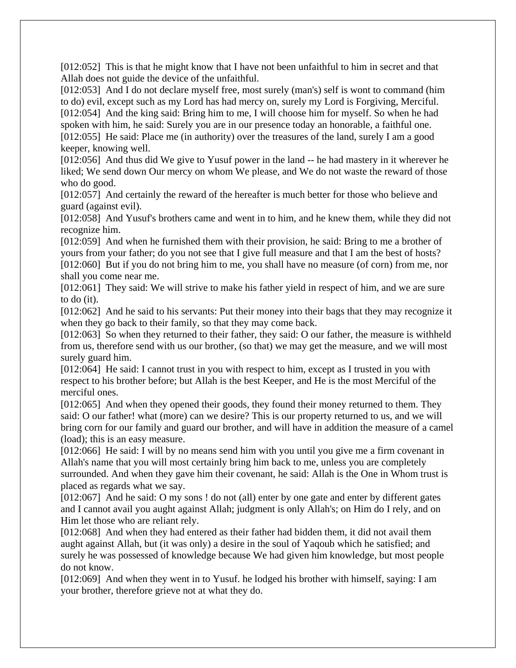[012:052] This is that he might know that I have not been unfaithful to him in secret and that Allah does not guide the device of the unfaithful.

[012:053] And I do not declare myself free, most surely (man's) self is wont to command (him to do) evil, except such as my Lord has had mercy on, surely my Lord is Forgiving, Merciful. [012:054] And the king said: Bring him to me, I will choose him for myself. So when he had spoken with him, he said: Surely you are in our presence today an honorable, a faithful one. [012:055] He said: Place me (in authority) over the treasures of the land, surely I am a good keeper, knowing well.

[012:056] And thus did We give to Yusuf power in the land -- he had mastery in it wherever he liked; We send down Our mercy on whom We please, and We do not waste the reward of those who do good.

[012:057] And certainly the reward of the hereafter is much better for those who believe and guard (against evil).

[012:058] And Yusuf's brothers came and went in to him, and he knew them, while they did not recognize him.

[012:059] And when he furnished them with their provision, he said: Bring to me a brother of yours from your father; do you not see that I give full measure and that I am the best of hosts? [012:060] But if you do not bring him to me, you shall have no measure (of corn) from me, nor shall you come near me.

[012:061] They said: We will strive to make his father yield in respect of him, and we are sure to do (it).

[012:062] And he said to his servants: Put their money into their bags that they may recognize it when they go back to their family, so that they may come back.

[012:063] So when they returned to their father, they said: O our father, the measure is withheld from us, therefore send with us our brother, (so that) we may get the measure, and we will most surely guard him.

[012:064] He said: I cannot trust in you with respect to him, except as I trusted in you with respect to his brother before; but Allah is the best Keeper, and He is the most Merciful of the merciful ones.

[012:065] And when they opened their goods, they found their money returned to them. They said: O our father! what (more) can we desire? This is our property returned to us, and we will bring corn for our family and guard our brother, and will have in addition the measure of a camel (load); this is an easy measure.

[012:066] He said: I will by no means send him with you until you give me a firm covenant in Allah's name that you will most certainly bring him back to me, unless you are completely surrounded. And when they gave him their covenant, he said: Allah is the One in Whom trust is placed as regards what we say.

[012:067] And he said: O my sons ! do not (all) enter by one gate and enter by different gates and I cannot avail you aught against Allah; judgment is only Allah's; on Him do I rely, and on Him let those who are reliant rely.

[012:068] And when they had entered as their father had bidden them, it did not avail them aught against Allah, but (it was only) a desire in the soul of Yaqoub which he satisfied; and surely he was possessed of knowledge because We had given him knowledge, but most people do not know.

[012:069] And when they went in to Yusuf. he lodged his brother with himself, saying: I am your brother, therefore grieve not at what they do.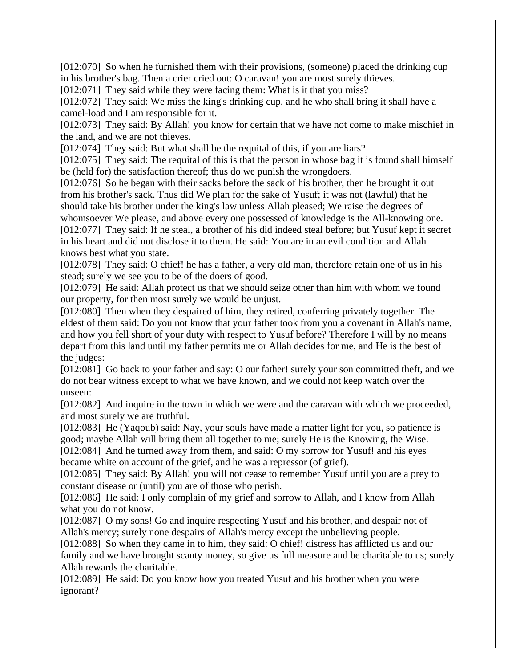[012:070] So when he furnished them with their provisions, (someone) placed the drinking cup in his brother's bag. Then a crier cried out: O caravan! you are most surely thieves.

[012:071] They said while they were facing them: What is it that you miss?

[012:072] They said: We miss the king's drinking cup, and he who shall bring it shall have a camel-load and I am responsible for it.

[012:073] They said: By Allah! you know for certain that we have not come to make mischief in the land, and we are not thieves.

[012:074] They said: But what shall be the requital of this, if you are liars?

[012:075] They said: The requital of this is that the person in whose bag it is found shall himself be (held for) the satisfaction thereof; thus do we punish the wrongdoers.

[012:076] So he began with their sacks before the sack of his brother, then he brought it out from his brother's sack. Thus did We plan for the sake of Yusuf; it was not (lawful) that he should take his brother under the king's law unless Allah pleased; We raise the degrees of whomsoever We please, and above every one possessed of knowledge is the All-knowing one. [012:077] They said: If he steal, a brother of his did indeed steal before; but Yusuf kept it secret in his heart and did not disclose it to them. He said: You are in an evil condition and Allah knows best what you state.

[012:078] They said: O chief! he has a father, a very old man, therefore retain one of us in his stead; surely we see you to be of the doers of good.

[012:079] He said: Allah protect us that we should seize other than him with whom we found our property, for then most surely we would be unjust.

[012:080] Then when they despaired of him, they retired, conferring privately together. The eldest of them said: Do you not know that your father took from you a covenant in Allah's name, and how you fell short of your duty with respect to Yusuf before? Therefore I will by no means depart from this land until my father permits me or Allah decides for me, and He is the best of the judges:

[012:081] Go back to your father and say: O our father! surely your son committed theft, and we do not bear witness except to what we have known, and we could not keep watch over the unseen:

[012:082] And inquire in the town in which we were and the caravan with which we proceeded, and most surely we are truthful.

[012:083] He (Yaqoub) said: Nay, your souls have made a matter light for you, so patience is good; maybe Allah will bring them all together to me; surely He is the Knowing, the Wise.

[012:084] And he turned away from them, and said: O my sorrow for Yusuf! and his eyes became white on account of the grief, and he was a repressor (of grief).

[012:085] They said: By Allah! you will not cease to remember Yusuf until you are a prey to constant disease or (until) you are of those who perish.

[012:086] He said: I only complain of my grief and sorrow to Allah, and I know from Allah what you do not know.

[012:087] O my sons! Go and inquire respecting Yusuf and his brother, and despair not of Allah's mercy; surely none despairs of Allah's mercy except the unbelieving people.

[012:088] So when they came in to him, they said: O chief! distress has afflicted us and our family and we have brought scanty money, so give us full measure and be charitable to us; surely Allah rewards the charitable.

[012:089] He said: Do you know how you treated Yusuf and his brother when you were ignorant?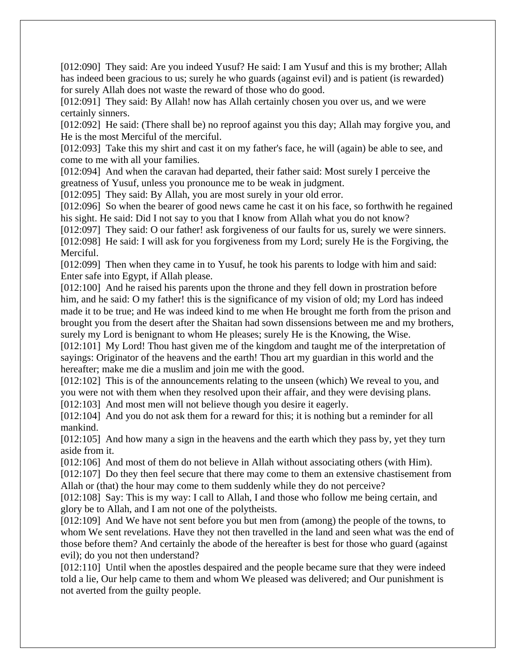[012:090] They said: Are you indeed Yusuf? He said: I am Yusuf and this is my brother; Allah has indeed been gracious to us; surely he who guards (against evil) and is patient (is rewarded) for surely Allah does not waste the reward of those who do good.

[012:091] They said: By Allah! now has Allah certainly chosen you over us, and we were certainly sinners.

[012:092] He said: (There shall be) no reproof against you this day; Allah may forgive you, and He is the most Merciful of the merciful.

[012:093] Take this my shirt and cast it on my father's face, he will (again) be able to see, and come to me with all your families.

[012:094] And when the caravan had departed, their father said: Most surely I perceive the greatness of Yusuf, unless you pronounce me to be weak in judgment.

[012:095] They said: By Allah, you are most surely in your old error.

[012:096] So when the bearer of good news came he cast it on his face, so forthwith he regained his sight. He said: Did I not say to you that I know from Allah what you do not know?

[012:097] They said: O our father! ask forgiveness of our faults for us, surely we were sinners. [012:098] He said: I will ask for you forgiveness from my Lord; surely He is the Forgiving, the

Merciful.

[012:099] Then when they came in to Yusuf, he took his parents to lodge with him and said: Enter safe into Egypt, if Allah please.

[012:100] And he raised his parents upon the throne and they fell down in prostration before him, and he said: O my father! this is the significance of my vision of old; my Lord has indeed made it to be true; and He was indeed kind to me when He brought me forth from the prison and brought you from the desert after the Shaitan had sown dissensions between me and my brothers, surely my Lord is benignant to whom He pleases; surely He is the Knowing, the Wise.

[012:101] My Lord! Thou hast given me of the kingdom and taught me of the interpretation of sayings: Originator of the heavens and the earth! Thou art my guardian in this world and the hereafter; make me die a muslim and join me with the good.

[012:102] This is of the announcements relating to the unseen (which) We reveal to you, and you were not with them when they resolved upon their affair, and they were devising plans. [012:103] And most men will not believe though you desire it eagerly.

[012:104] And you do not ask them for a reward for this; it is nothing but a reminder for all mankind.

[012:105] And how many a sign in the heavens and the earth which they pass by, yet they turn aside from it.

[012:106] And most of them do not believe in Allah without associating others (with Him). [012:107] Do they then feel secure that there may come to them an extensive chastisement from

Allah or (that) the hour may come to them suddenly while they do not perceive?

[012:108] Say: This is my way: I call to Allah, I and those who follow me being certain, and glory be to Allah, and I am not one of the polytheists.

[012:109] And We have not sent before you but men from (among) the people of the towns, to whom We sent revelations. Have they not then travelled in the land and seen what was the end of those before them? And certainly the abode of the hereafter is best for those who guard (against evil); do you not then understand?

[012:110] Until when the apostles despaired and the people became sure that they were indeed told a lie, Our help came to them and whom We pleased was delivered; and Our punishment is not averted from the guilty people.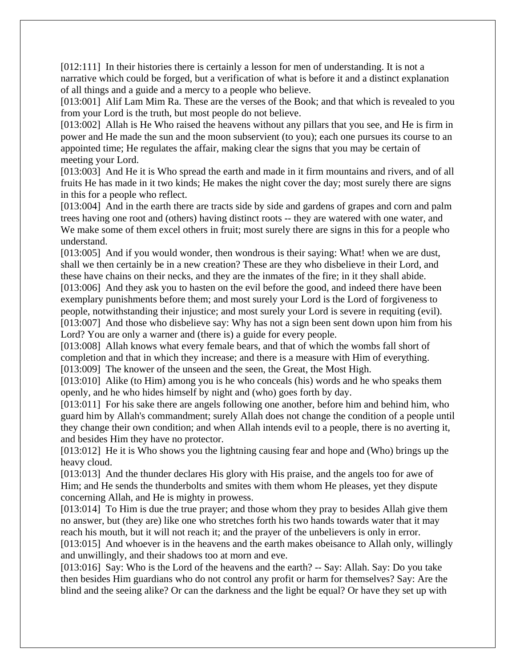[012:111] In their histories there is certainly a lesson for men of understanding. It is not a narrative which could be forged, but a verification of what is before it and a distinct explanation of all things and a guide and a mercy to a people who believe.

[013:001] Alif Lam Mim Ra. These are the verses of the Book; and that which is revealed to you from your Lord is the truth, but most people do not believe.

[013:002] Allah is He Who raised the heavens without any pillars that you see, and He is firm in power and He made the sun and the moon subservient (to you); each one pursues its course to an appointed time; He regulates the affair, making clear the signs that you may be certain of meeting your Lord.

[013:003] And He it is Who spread the earth and made in it firm mountains and rivers, and of all fruits He has made in it two kinds; He makes the night cover the day; most surely there are signs in this for a people who reflect.

[013:004] And in the earth there are tracts side by side and gardens of grapes and corn and palm trees having one root and (others) having distinct roots -- they are watered with one water, and We make some of them excel others in fruit; most surely there are signs in this for a people who understand.

[013:005] And if you would wonder, then wondrous is their saying: What! when we are dust, shall we then certainly be in a new creation? These are they who disbelieve in their Lord, and these have chains on their necks, and they are the inmates of the fire; in it they shall abide. [013:006] And they ask you to hasten on the evil before the good, and indeed there have been exemplary punishments before them; and most surely your Lord is the Lord of forgiveness to people, notwithstanding their injustice; and most surely your Lord is severe in requiting (evil). [013:007] And those who disbelieve say: Why has not a sign been sent down upon him from his

Lord? You are only a warner and (there is) a guide for every people.

[013:008] Allah knows what every female bears, and that of which the wombs fall short of completion and that in which they increase; and there is a measure with Him of everything.

[013:009] The knower of the unseen and the seen, the Great, the Most High.

[013:010] Alike (to Him) among you is he who conceals (his) words and he who speaks them openly, and he who hides himself by night and (who) goes forth by day.

[013:011] For his sake there are angels following one another, before him and behind him, who guard him by Allah's commandment; surely Allah does not change the condition of a people until they change their own condition; and when Allah intends evil to a people, there is no averting it, and besides Him they have no protector.

[013:012] He it is Who shows you the lightning causing fear and hope and (Who) brings up the heavy cloud.

[013:013] And the thunder declares His glory with His praise, and the angels too for awe of Him; and He sends the thunderbolts and smites with them whom He pleases, yet they dispute concerning Allah, and He is mighty in prowess.

[013:014] To Him is due the true prayer; and those whom they pray to besides Allah give them no answer, but (they are) like one who stretches forth his two hands towards water that it may reach his mouth, but it will not reach it; and the prayer of the unbelievers is only in error. [013:015] And whoever is in the heavens and the earth makes obeisance to Allah only, willingly and unwillingly, and their shadows too at morn and eve.

[013:016] Say: Who is the Lord of the heavens and the earth? -- Say: Allah. Say: Do you take then besides Him guardians who do not control any profit or harm for themselves? Say: Are the blind and the seeing alike? Or can the darkness and the light be equal? Or have they set up with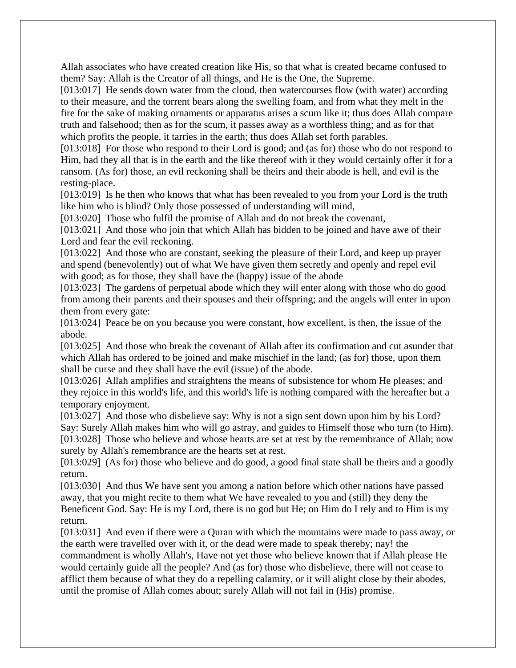Allah associates who have created creation like His, so that what is created became confused to them? Say: Allah is the Creator of all things, and He is the One, the Supreme.

[013:017] He sends down water from the cloud, then watercourses flow (with water) according to their measure, and the torrent bears along the swelling foam, and from what they melt in the fire for the sake of making ornaments or apparatus arises a scum like it; thus does Allah compare truth and falsehood; then as for the scum, it passes away as a worthless thing; and as for that which profits the people, it tarries in the earth; thus does Allah set forth parables.

[013:018] For those who respond to their Lord is good; and (as for) those who do not respond to Him, had they all that is in the earth and the like thereof with it they would certainly offer it for a ransom. (As for) those, an evil reckoning shall be theirs and their abode is hell, and evil is the resting-place.

[013:019] Is he then who knows that what has been revealed to you from your Lord is the truth like him who is blind? Only those possessed of understanding will mind,

[013:020] Those who fulfil the promise of Allah and do not break the covenant,

[013:021] And those who join that which Allah has bidden to be joined and have awe of their Lord and fear the evil reckoning.

[013:022] And those who are constant, seeking the pleasure of their Lord, and keep up prayer and spend (benevolently) out of what We have given them secretly and openly and repel evil with good; as for those, they shall have the (happy) issue of the abode

[013:023] The gardens of perpetual abode which they will enter along with those who do good from among their parents and their spouses and their offspring; and the angels will enter in upon them from every gate:

[013:024] Peace be on you because you were constant, how excellent, is then, the issue of the abode.

[013:025] And those who break the covenant of Allah after its confirmation and cut asunder that which Allah has ordered to be joined and make mischief in the land; (as for) those, upon them shall be curse and they shall have the evil (issue) of the abode.

[013:026] Allah amplifies and straightens the means of subsistence for whom He pleases; and they rejoice in this world's life, and this world's life is nothing compared with the hereafter but a temporary enjoyment.

[013:027] And those who disbelieve say: Why is not a sign sent down upon him by his Lord? Say: Surely Allah makes him who will go astray, and guides to Himself those who turn (to Him). [013:028] Those who believe and whose hearts are set at rest by the remembrance of Allah; now surely by Allah's remembrance are the hearts set at rest.

[013:029] (As for) those who believe and do good, a good final state shall be theirs and a goodly return.

[013:030] And thus We have sent you among a nation before which other nations have passed away, that you might recite to them what We have revealed to you and (still) they deny the Beneficent God. Say: He is my Lord, there is no god but He; on Him do I rely and to Him is my return.

[013:031] And even if there were a Quran with which the mountains were made to pass away, or the earth were travelled over with it, or the dead were made to speak thereby; nay! the commandment is wholly Allah's, Have not yet those who believe known that if Allah please He would certainly guide all the people? And (as for) those who disbelieve, there will not cease to afflict them because of what they do a repelling calamity, or it will alight close by their abodes, until the promise of Allah comes about; surely Allah will not fail in (His) promise.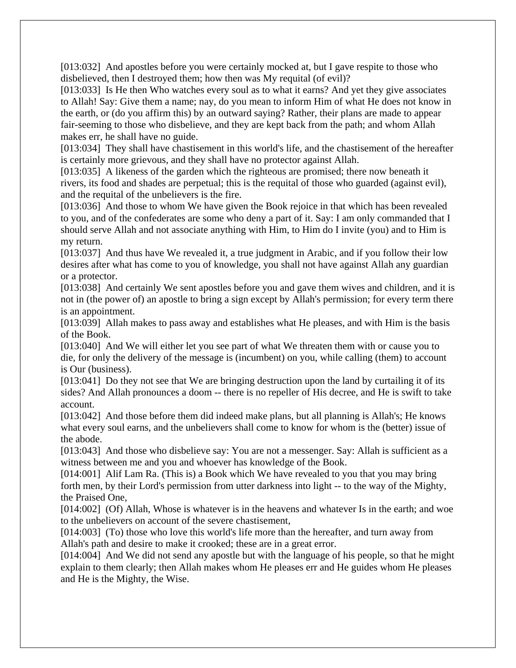[013:032] And apostles before you were certainly mocked at, but I gave respite to those who disbelieved, then I destroyed them; how then was My requital (of evil)?

[013:033] Is He then Who watches every soul as to what it earns? And yet they give associates to Allah! Say: Give them a name; nay, do you mean to inform Him of what He does not know in the earth, or (do you affirm this) by an outward saying? Rather, their plans are made to appear fair-seeming to those who disbelieve, and they are kept back from the path; and whom Allah makes err, he shall have no guide.

[013:034] They shall have chastisement in this world's life, and the chastisement of the hereafter is certainly more grievous, and they shall have no protector against Allah.

[013:035] A likeness of the garden which the righteous are promised; there now beneath it rivers, its food and shades are perpetual; this is the requital of those who guarded (against evil), and the requital of the unbelievers is the fire.

[013:036] And those to whom We have given the Book rejoice in that which has been revealed to you, and of the confederates are some who deny a part of it. Say: I am only commanded that I should serve Allah and not associate anything with Him, to Him do I invite (you) and to Him is my return.

[013:037] And thus have We revealed it, a true judgment in Arabic, and if you follow their low desires after what has come to you of knowledge, you shall not have against Allah any guardian or a protector.

[013:038] And certainly We sent apostles before you and gave them wives and children, and it is not in (the power of) an apostle to bring a sign except by Allah's permission; for every term there is an appointment.

[013:039] Allah makes to pass away and establishes what He pleases, and with Him is the basis of the Book.

[013:040] And We will either let you see part of what We threaten them with or cause you to die, for only the delivery of the message is (incumbent) on you, while calling (them) to account is Our (business).

[013:041] Do they not see that We are bringing destruction upon the land by curtailing it of its sides? And Allah pronounces a doom -- there is no repeller of His decree, and He is swift to take account.

[013:042] And those before them did indeed make plans, but all planning is Allah's; He knows what every soul earns, and the unbelievers shall come to know for whom is the (better) issue of the abode.

[013:043] And those who disbelieve say: You are not a messenger. Say: Allah is sufficient as a witness between me and you and whoever has knowledge of the Book.

[014:001] Alif Lam Ra. (This is) a Book which We have revealed to you that you may bring forth men, by their Lord's permission from utter darkness into light -- to the way of the Mighty, the Praised One,

[014:002] (Of) Allah, Whose is whatever is in the heavens and whatever Is in the earth; and woe to the unbelievers on account of the severe chastisement,

[014:003] (To) those who love this world's life more than the hereafter, and turn away from Allah's path and desire to make it crooked; these are in a great error.

[014:004] And We did not send any apostle but with the language of his people, so that he might explain to them clearly; then Allah makes whom He pleases err and He guides whom He pleases and He is the Mighty, the Wise.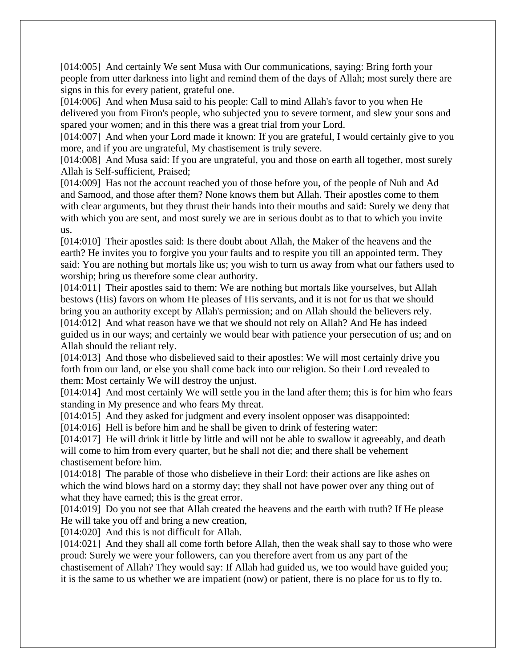[014:005] And certainly We sent Musa with Our communications, saying: Bring forth your people from utter darkness into light and remind them of the days of Allah; most surely there are signs in this for every patient, grateful one.

[014:006] And when Musa said to his people: Call to mind Allah's favor to you when He delivered you from Firon's people, who subjected you to severe torment, and slew your sons and spared your women; and in this there was a great trial from your Lord.

[014:007] And when your Lord made it known: If you are grateful, I would certainly give to you more, and if you are ungrateful, My chastisement is truly severe.

[014:008] And Musa said: If you are ungrateful, you and those on earth all together, most surely Allah is Self-sufficient, Praised;

[014:009] Has not the account reached you of those before you, of the people of Nuh and Ad and Samood, and those after them? None knows them but Allah. Their apostles come to them with clear arguments, but they thrust their hands into their mouths and said: Surely we deny that with which you are sent, and most surely we are in serious doubt as to that to which you invite us.

[014:010] Their apostles said: Is there doubt about Allah, the Maker of the heavens and the earth? He invites you to forgive you your faults and to respite you till an appointed term. They said: You are nothing but mortals like us; you wish to turn us away from what our fathers used to worship; bring us therefore some clear authority.

[014:011] Their apostles said to them: We are nothing but mortals like yourselves, but Allah bestows (His) favors on whom He pleases of His servants, and it is not for us that we should bring you an authority except by Allah's permission; and on Allah should the believers rely.

[014:012] And what reason have we that we should not rely on Allah? And He has indeed guided us in our ways; and certainly we would bear with patience your persecution of us; and on Allah should the reliant rely.

[014:013] And those who disbelieved said to their apostles: We will most certainly drive you forth from our land, or else you shall come back into our religion. So their Lord revealed to them: Most certainly We will destroy the unjust.

[014:014] And most certainly We will settle you in the land after them; this is for him who fears standing in My presence and who fears My threat.

[014:015] And they asked for judgment and every insolent opposer was disappointed:

[014:016] Hell is before him and he shall be given to drink of festering water:

[014:017] He will drink it little by little and will not be able to swallow it agreeably, and death will come to him from every quarter, but he shall not die; and there shall be vehement chastisement before him.

[014:018] The parable of those who disbelieve in their Lord: their actions are like ashes on which the wind blows hard on a stormy day; they shall not have power over any thing out of what they have earned; this is the great error.

[014:019] Do you not see that Allah created the heavens and the earth with truth? If He please He will take you off and bring a new creation,

[014:020] And this is not difficult for Allah.

[014:021] And they shall all come forth before Allah, then the weak shall say to those who were proud: Surely we were your followers, can you therefore avert from us any part of the chastisement of Allah? They would say: If Allah had guided us, we too would have guided you; it is the same to us whether we are impatient (now) or patient, there is no place for us to fly to.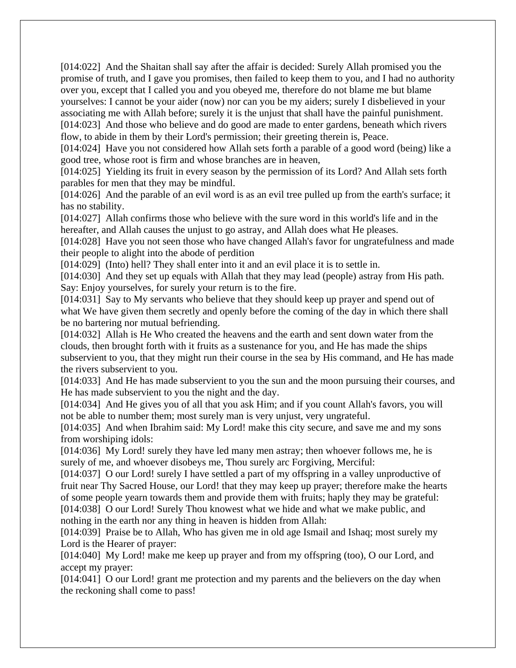[014:022] And the Shaitan shall say after the affair is decided: Surely Allah promised you the promise of truth, and I gave you promises, then failed to keep them to you, and I had no authority over you, except that I called you and you obeyed me, therefore do not blame me but blame yourselves: I cannot be your aider (now) nor can you be my aiders; surely I disbelieved in your associating me with Allah before; surely it is the unjust that shall have the painful punishment. [014:023] And those who believe and do good are made to enter gardens, beneath which rivers

flow, to abide in them by their Lord's permission; their greeting therein is, Peace.

[014:024] Have you not considered how Allah sets forth a parable of a good word (being) like a good tree, whose root is firm and whose branches are in heaven,

[014:025] Yielding its fruit in every season by the permission of its Lord? And Allah sets forth parables for men that they may be mindful.

[014:026] And the parable of an evil word is as an evil tree pulled up from the earth's surface; it has no stability.

[014:027] Allah confirms those who believe with the sure word in this world's life and in the hereafter, and Allah causes the unjust to go astray, and Allah does what He pleases.

[014:028] Have you not seen those who have changed Allah's favor for ungratefulness and made their people to alight into the abode of perdition

[014:029] (Into) hell? They shall enter into it and an evil place it is to settle in.

[014:030] And they set up equals with Allah that they may lead (people) astray from His path. Say: Enjoy yourselves, for surely your return is to the fire.

[014:031] Say to My servants who believe that they should keep up prayer and spend out of what We have given them secretly and openly before the coming of the day in which there shall be no bartering nor mutual befriending.

[014:032] Allah is He Who created the heavens and the earth and sent down water from the clouds, then brought forth with it fruits as a sustenance for you, and He has made the ships subservient to you, that they might run their course in the sea by His command, and He has made the rivers subservient to you.

[014:033] And He has made subservient to you the sun and the moon pursuing their courses, and He has made subservient to you the night and the day.

[014:034] And He gives you of all that you ask Him; and if you count Allah's favors, you will not be able to number them; most surely man is very unjust, very ungrateful.

[014:035] And when Ibrahim said: My Lord! make this city secure, and save me and my sons from worshiping idols:

[014:036] My Lord! surely they have led many men astray; then whoever follows me, he is surely of me, and whoever disobeys me, Thou surely arc Forgiving, Merciful:

[014:037] O our Lord! surely I have settled a part of my offspring in a valley unproductive of fruit near Thy Sacred House, our Lord! that they may keep up prayer; therefore make the hearts of some people yearn towards them and provide them with fruits; haply they may be grateful: [014:038] O our Lord! Surely Thou knowest what we hide and what we make public, and nothing in the earth nor any thing in heaven is hidden from Allah:

[014:039] Praise be to Allah, Who has given me in old age Ismail and Ishaq; most surely my Lord is the Hearer of prayer:

[014:040] My Lord! make me keep up prayer and from my offspring (too), O our Lord, and accept my prayer:

[014:041] O our Lord! grant me protection and my parents and the believers on the day when the reckoning shall come to pass!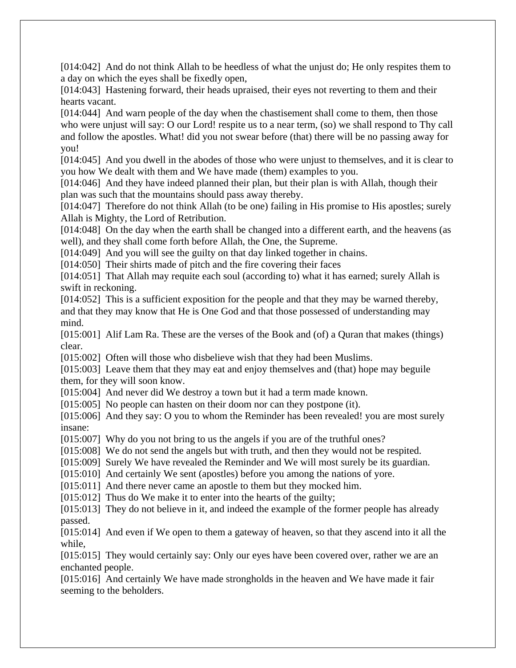[014:042] And do not think Allah to be heedless of what the unjust do; He only respites them to a day on which the eyes shall be fixedly open,

[014:043] Hastening forward, their heads upraised, their eyes not reverting to them and their hearts vacant.

[014:044] And warn people of the day when the chastisement shall come to them, then those who were unjust will say: O our Lord! respite us to a near term, (so) we shall respond to Thy call and follow the apostles. What! did you not swear before (that) there will be no passing away for you!

[014:045] And you dwell in the abodes of those who were unjust to themselves, and it is clear to you how We dealt with them and We have made (them) examples to you.

[014:046] And they have indeed planned their plan, but their plan is with Allah, though their plan was such that the mountains should pass away thereby.

[014:047] Therefore do not think Allah (to be one) failing in His promise to His apostles; surely Allah is Mighty, the Lord of Retribution.

[014:048] On the day when the earth shall be changed into a different earth, and the heavens (as well), and they shall come forth before Allah, the One, the Supreme.

[014:049] And you will see the guilty on that day linked together in chains.

[014:050] Their shirts made of pitch and the fire covering their faces

[014:051] That Allah may requite each soul (according to) what it has earned; surely Allah is swift in reckoning.

[014:052] This is a sufficient exposition for the people and that they may be warned thereby, and that they may know that He is One God and that those possessed of understanding may mind.

[015:001] Alif Lam Ra. These are the verses of the Book and (of) a Quran that makes (things) clear.

[015:002] Often will those who disbelieve wish that they had been Muslims.

[015:003] Leave them that they may eat and enjoy themselves and (that) hope may beguile them, for they will soon know.

[015:004] And never did We destroy a town but it had a term made known.

[015:005] No people can hasten on their doom nor can they postpone (it).

[015:006] And they say: O you to whom the Reminder has been revealed! you are most surely insane:

[015:007] Why do you not bring to us the angels if you are of the truthful ones?

[015:008] We do not send the angels but with truth, and then they would not be respited.

[015:009] Surely We have revealed the Reminder and We will most surely be its guardian.

[015:010] And certainly We sent (apostles) before you among the nations of yore.

[015:011] And there never came an apostle to them but they mocked him.

[015:012] Thus do We make it to enter into the hearts of the guilty;

[015:013] They do not believe in it, and indeed the example of the former people has already passed.

[015:014] And even if We open to them a gateway of heaven, so that they ascend into it all the while,

[015:015] They would certainly say: Only our eyes have been covered over, rather we are an enchanted people.

[015:016] And certainly We have made strongholds in the heaven and We have made it fair seeming to the beholders.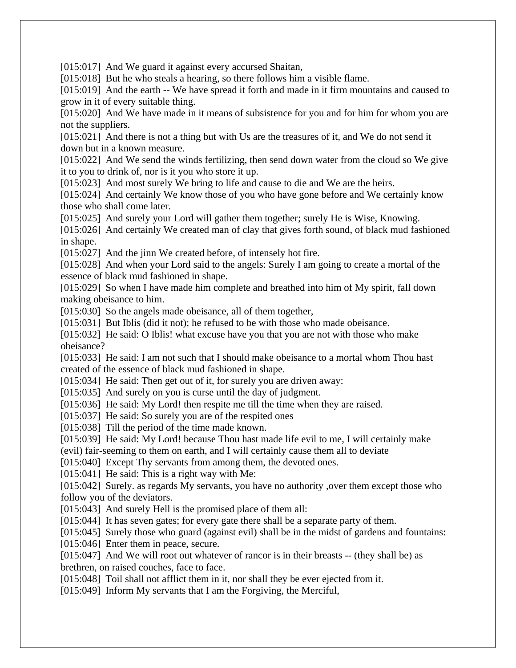[015:017] And We guard it against every accursed Shaitan,

[015:018] But he who steals a hearing, so there follows him a visible flame.

[015:019] And the earth -- We have spread it forth and made in it firm mountains and caused to grow in it of every suitable thing.

[015:020] And We have made in it means of subsistence for you and for him for whom you are not the suppliers.

[015:021] And there is not a thing but with Us are the treasures of it, and We do not send it down but in a known measure.

[015:022] And We send the winds fertilizing, then send down water from the cloud so We give it to you to drink of, nor is it you who store it up.

[015:023] And most surely We bring to life and cause to die and We are the heirs.

[015:024] And certainly We know those of you who have gone before and We certainly know those who shall come later.

[015:025] And surely your Lord will gather them together; surely He is Wise, Knowing.

[015:026] And certainly We created man of clay that gives forth sound, of black mud fashioned in shape.

[015:027] And the jinn We created before, of intensely hot fire.

[015:028] And when your Lord said to the angels: Surely I am going to create a mortal of the essence of black mud fashioned in shape.

[015:029] So when I have made him complete and breathed into him of My spirit, fall down making obeisance to him.

[015:030] So the angels made obeisance, all of them together,

[015:031] But Iblis (did it not); he refused to be with those who made obeisance.

[015:032] He said: O Iblis! what excuse have you that you are not with those who make obeisance?

[015:033] He said: I am not such that I should make obeisance to a mortal whom Thou hast created of the essence of black mud fashioned in shape.

[015:034] He said: Then get out of it, for surely you are driven away:

[015:035] And surely on you is curse until the day of judgment.

[015:036] He said: My Lord! then respite me till the time when they are raised.

[015:037] He said: So surely you are of the respited ones

[015:038] Till the period of the time made known.

[015:039] He said: My Lord! because Thou hast made life evil to me, I will certainly make

(evil) fair-seeming to them on earth, and I will certainly cause them all to deviate

[015:040] Except Thy servants from among them, the devoted ones.

[015:041] He said: This is a right way with Me:

[015:042] Surely. as regards My servants, you have no authority , over them except those who follow you of the deviators.

[015:043] And surely Hell is the promised place of them all:

[015:044] It has seven gates; for every gate there shall be a separate party of them.

[015:045] Surely those who guard (against evil) shall be in the midst of gardens and fountains:

[015:046] Enter them in peace, secure.

[015:047] And We will root out whatever of rancor is in their breasts -- (they shall be) as brethren, on raised couches, face to face.

[015:048] Toil shall not afflict them in it, nor shall they be ever ejected from it.

[015:049] Inform My servants that I am the Forgiving, the Merciful,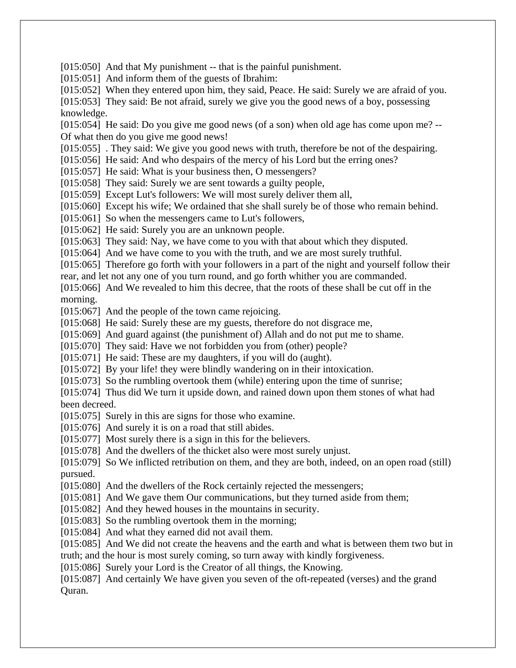[015:050] And that My punishment -- that is the painful punishment.

[015:051] And inform them of the guests of Ibrahim:

[015:052] When they entered upon him, they said, Peace. He said: Surely we are afraid of you.

[015:053] They said: Be not afraid, surely we give you the good news of a boy, possessing knowledge.

[015:054] He said: Do you give me good news (of a son) when old age has come upon me? --Of what then do you give me good news!

[015:055] . They said: We give you good news with truth, therefore be not of the despairing.

[015:056] He said: And who despairs of the mercy of his Lord but the erring ones?

[015:057] He said: What is your business then, O messengers?

[015:058] They said: Surely we are sent towards a guilty people,

[015:059] Except Lut's followers: We will most surely deliver them all,

[015:060] Except his wife; We ordained that she shall surely be of those who remain behind.

[015:061] So when the messengers came to Lut's followers,

[015:062] He said: Surely you are an unknown people.

[015:063] They said: Nay, we have come to you with that about which they disputed.

[015:064] And we have come to you with the truth, and we are most surely truthful.

[015:065] Therefore go forth with your followers in a part of the night and yourself follow their rear, and let not any one of you turn round, and go forth whither you are commanded.

[015:066] And We revealed to him this decree, that the roots of these shall be cut off in the

morning.

[015:067] And the people of the town came rejoicing.

[015:068] He said: Surely these are my guests, therefore do not disgrace me,

[015:069] And guard against (the punishment of) Allah and do not put me to shame.

[015:070] They said: Have we not forbidden you from (other) people?

[015:071] He said: These are my daughters, if you will do (aught).

[015:072] By your life! they were blindly wandering on in their intoxication.

[015:073] So the rumbling overtook them (while) entering upon the time of sunrise;

[015:074] Thus did We turn it upside down, and rained down upon them stones of what had been decreed.

[015:075] Surely in this are signs for those who examine.

[015:076] And surely it is on a road that still abides.

[015:077] Most surely there is a sign in this for the believers.

[015:078] And the dwellers of the thicket also were most surely unjust.

[015:079] So We inflicted retribution on them, and they are both, indeed, on an open road (still) pursued.

[015:080] And the dwellers of the Rock certainly rejected the messengers;

[015:081] And We gave them Our communications, but they turned aside from them;

[015:082] And they hewed houses in the mountains in security.

[015:083] So the rumbling overtook them in the morning;

[015:084] And what they earned did not avail them.

[015:085] And We did not create the heavens and the earth and what is between them two but in truth; and the hour is most surely coming, so turn away with kindly forgiveness.

[015:086] Surely your Lord is the Creator of all things, the Knowing.

[015:087] And certainly We have given you seven of the oft-repeated (verses) and the grand Quran.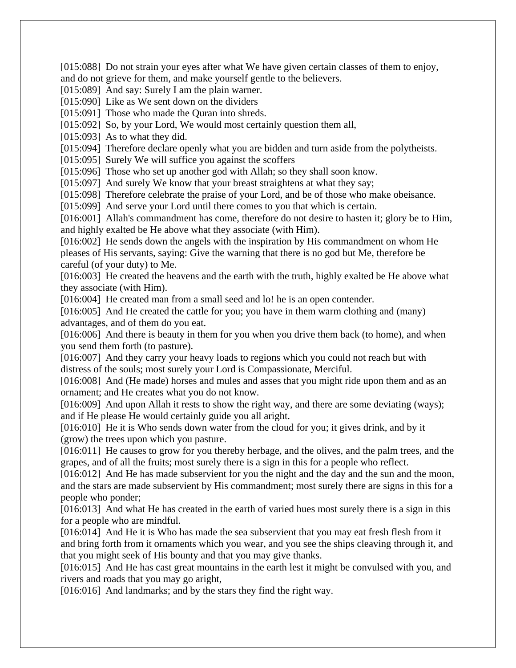[015:088] Do not strain your eyes after what We have given certain classes of them to enjoy, and do not grieve for them, and make yourself gentle to the believers.

[015:089] And say: Surely I am the plain warner.

[015:090] Like as We sent down on the dividers

[015:091] Those who made the Ouran into shreds.

[015:092] So, by your Lord, We would most certainly question them all,

[015:093] As to what they did.

[015:094] Therefore declare openly what you are bidden and turn aside from the polytheists.

[015:095] Surely We will suffice you against the scoffers

[015:096] Those who set up another god with Allah; so they shall soon know.

[015:097] And surely We know that your breast straightens at what they say;

[015:098] Therefore celebrate the praise of your Lord, and be of those who make obeisance.

[015:099] And serve your Lord until there comes to you that which is certain.

[016:001] Allah's commandment has come, therefore do not desire to hasten it; glory be to Him, and highly exalted be He above what they associate (with Him).

[016:002] He sends down the angels with the inspiration by His commandment on whom He pleases of His servants, saying: Give the warning that there is no god but Me, therefore be careful (of your duty) to Me.

[016:003] He created the heavens and the earth with the truth, highly exalted be He above what they associate (with Him).

[016:004] He created man from a small seed and lo! he is an open contender.

[016:005] And He created the cattle for you; you have in them warm clothing and (many) advantages, and of them do you eat.

[016:006] And there is beauty in them for you when you drive them back (to home), and when you send them forth (to pasture).

[016:007] And they carry your heavy loads to regions which you could not reach but with distress of the souls; most surely your Lord is Compassionate, Merciful.

[016:008] And (He made) horses and mules and asses that you might ride upon them and as an ornament; and He creates what you do not know.

[016:009] And upon Allah it rests to show the right way, and there are some deviating (ways); and if He please He would certainly guide you all aright.

[016:010] He it is Who sends down water from the cloud for you; it gives drink, and by it (grow) the trees upon which you pasture.

[016:011] He causes to grow for you thereby herbage, and the olives, and the palm trees, and the grapes, and of all the fruits; most surely there is a sign in this for a people who reflect.

[016:012] And He has made subservient for you the night and the day and the sun and the moon, and the stars are made subservient by His commandment; most surely there are signs in this for a people who ponder;

[016:013] And what He has created in the earth of varied hues most surely there is a sign in this for a people who are mindful.

[016:014] And He it is Who has made the sea subservient that you may eat fresh flesh from it and bring forth from it ornaments which you wear, and you see the ships cleaving through it, and that you might seek of His bounty and that you may give thanks.

[016:015] And He has cast great mountains in the earth lest it might be convulsed with you, and rivers and roads that you may go aright,

[016:016] And landmarks; and by the stars they find the right way.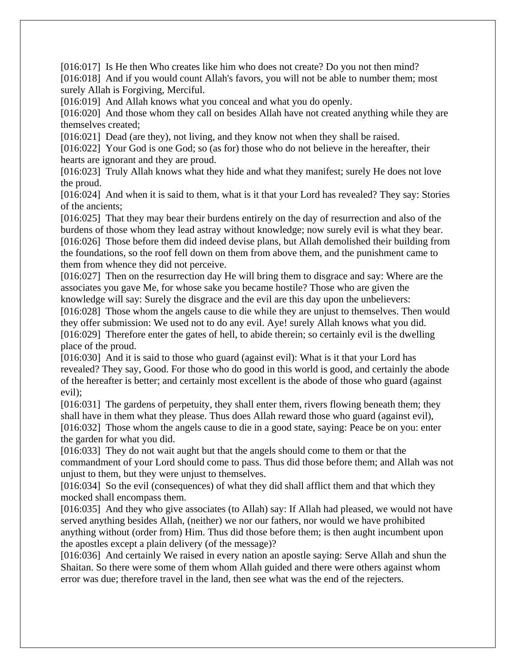[016:017] Is He then Who creates like him who does not create? Do you not then mind? [016:018] And if you would count Allah's favors, you will not be able to number them; most surely Allah is Forgiving, Merciful.

[016:019] And Allah knows what you conceal and what you do openly.

[016:020] And those whom they call on besides Allah have not created anything while they are themselves created;

[016:021] Dead (are they), not living, and they know not when they shall be raised.

[016:022] Your God is one God; so (as for) those who do not believe in the hereafter, their hearts are ignorant and they are proud.

[016:023] Truly Allah knows what they hide and what they manifest; surely He does not love the proud.

[016:024] And when it is said to them, what is it that your Lord has revealed? They say: Stories of the ancients;

[016:025] That they may bear their burdens entirely on the day of resurrection and also of the burdens of those whom they lead astray without knowledge; now surely evil is what they bear. [016:026] Those before them did indeed devise plans, but Allah demolished their building from the foundations, so the roof fell down on them from above them, and the punishment came to them from whence they did not perceive.

[016:027] Then on the resurrection day He will bring them to disgrace and say: Where are the associates you gave Me, for whose sake you became hostile? Those who are given the knowledge will say: Surely the disgrace and the evil are this day upon the unbelievers:

[016:028] Those whom the angels cause to die while they are unjust to themselves. Then would they offer submission: We used not to do any evil. Aye! surely Allah knows what you did. [016:029] Therefore enter the gates of hell, to abide therein; so certainly evil is the dwelling place of the proud.

[016:030] And it is said to those who guard (against evil): What is it that your Lord has revealed? They say, Good. For those who do good in this world is good, and certainly the abode of the hereafter is better; and certainly most excellent is the abode of those who guard (against evil);

[016:031] The gardens of perpetuity, they shall enter them, rivers flowing beneath them; they shall have in them what they please. Thus does Allah reward those who guard (against evil), [016:032] Those whom the angels cause to die in a good state, saying: Peace be on you: enter the garden for what you did.

[016:033] They do not wait aught but that the angels should come to them or that the commandment of your Lord should come to pass. Thus did those before them; and Allah was not unjust to them, but they were unjust to themselves.

[016:034] So the evil (consequences) of what they did shall afflict them and that which they mocked shall encompass them.

[016:035] And they who give associates (to Allah) say: If Allah had pleased, we would not have served anything besides Allah, (neither) we nor our fathers, nor would we have prohibited anything without (order from) Him. Thus did those before them; is then aught incumbent upon the apostles except a plain delivery (of the message)?

[016:036] And certainly We raised in every nation an apostle saying: Serve Allah and shun the Shaitan. So there were some of them whom Allah guided and there were others against whom error was due; therefore travel in the land, then see what was the end of the rejecters.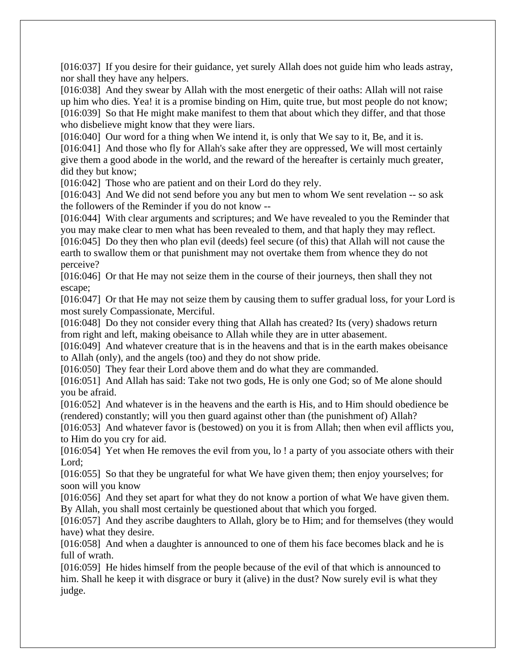[016:037] If you desire for their guidance, yet surely Allah does not guide him who leads astray, nor shall they have any helpers.

[016:038] And they swear by Allah with the most energetic of their oaths: Allah will not raise up him who dies. Yea! it is a promise binding on Him, quite true, but most people do not know; [016:039] So that He might make manifest to them that about which they differ, and that those who disbelieve might know that they were liars.

[016:040] Our word for a thing when We intend it, is only that We say to it, Be, and it is. [016:041] And those who fly for Allah's sake after they are oppressed, We will most certainly

give them a good abode in the world, and the reward of the hereafter is certainly much greater, did they but know;

[016:042] Those who are patient and on their Lord do they rely.

[016:043] And We did not send before you any but men to whom We sent revelation -- so ask the followers of the Reminder if you do not know --

[016:044] With clear arguments and scriptures; and We have revealed to you the Reminder that you may make clear to men what has been revealed to them, and that haply they may reflect.

[016:045] Do they then who plan evil (deeds) feel secure (of this) that Allah will not cause the earth to swallow them or that punishment may not overtake them from whence they do not perceive?

[016:046] Or that He may not seize them in the course of their journeys, then shall they not escape;

[016:047] Or that He may not seize them by causing them to suffer gradual loss, for your Lord is most surely Compassionate, Merciful.

[016:048] Do they not consider every thing that Allah has created? Its (very) shadows return from right and left, making obeisance to Allah while they are in utter abasement.

[016:049] And whatever creature that is in the heavens and that is in the earth makes obeisance to Allah (only), and the angels (too) and they do not show pride.

[016:050] They fear their Lord above them and do what they are commanded.

[016:051] And Allah has said: Take not two gods, He is only one God; so of Me alone should you be afraid.

[016:052] And whatever is in the heavens and the earth is His, and to Him should obedience be (rendered) constantly; will you then guard against other than (the punishment of) Allah?

[016:053] And whatever favor is (bestowed) on you it is from Allah; then when evil afflicts you, to Him do you cry for aid.

[016:054] Yet when He removes the evil from you, lo ! a party of you associate others with their Lord;

[016:055] So that they be ungrateful for what We have given them; then enjoy yourselves; for soon will you know

[016:056] And they set apart for what they do not know a portion of what We have given them. By Allah, you shall most certainly be questioned about that which you forged.

[016:057] And they ascribe daughters to Allah, glory be to Him; and for themselves (they would have) what they desire.

[016:058] And when a daughter is announced to one of them his face becomes black and he is full of wrath.

[016:059] He hides himself from the people because of the evil of that which is announced to him. Shall he keep it with disgrace or bury it (alive) in the dust? Now surely evil is what they judge.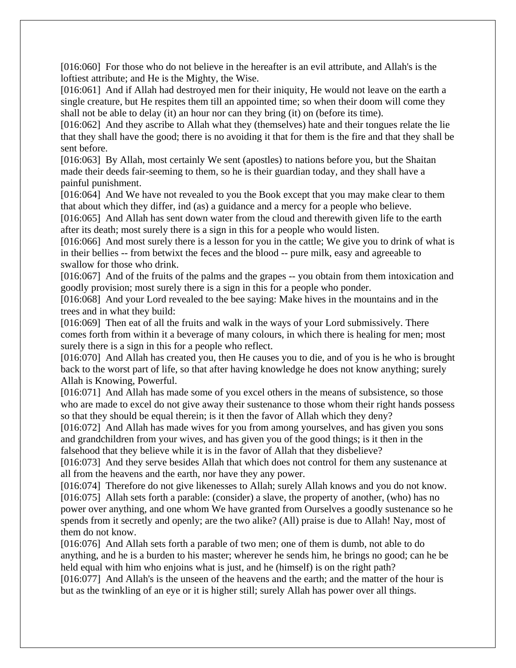[016:060] For those who do not believe in the hereafter is an evil attribute, and Allah's is the loftiest attribute; and He is the Mighty, the Wise.

[016:061] And if Allah had destroyed men for their iniquity, He would not leave on the earth a single creature, but He respites them till an appointed time; so when their doom will come they shall not be able to delay (it) an hour nor can they bring (it) on (before its time).

[016:062] And they ascribe to Allah what they (themselves) hate and their tongues relate the lie that they shall have the good; there is no avoiding it that for them is the fire and that they shall be sent before.

[016:063] By Allah, most certainly We sent (apostles) to nations before you, but the Shaitan made their deeds fair-seeming to them, so he is their guardian today, and they shall have a painful punishment.

[016:064] And We have not revealed to you the Book except that you may make clear to them that about which they differ, ind (as) a guidance and a mercy for a people who believe.

[016:065] And Allah has sent down water from the cloud and therewith given life to the earth after its death; most surely there is a sign in this for a people who would listen.

[016:066] And most surely there is a lesson for you in the cattle; We give you to drink of what is in their bellies -- from betwixt the feces and the blood -- pure milk, easy and agreeable to swallow for those who drink.

[016:067] And of the fruits of the palms and the grapes -- you obtain from them intoxication and goodly provision; most surely there is a sign in this for a people who ponder.

[016:068] And your Lord revealed to the bee saying: Make hives in the mountains and in the trees and in what they build:

[016:069] Then eat of all the fruits and walk in the ways of your Lord submissively. There comes forth from within it a beverage of many colours, in which there is healing for men; most surely there is a sign in this for a people who reflect.

[016:070] And Allah has created you, then He causes you to die, and of you is he who is brought back to the worst part of life, so that after having knowledge he does not know anything; surely Allah is Knowing, Powerful.

[016:071] And Allah has made some of you excel others in the means of subsistence, so those who are made to excel do not give away their sustenance to those whom their right hands possess so that they should be equal therein; is it then the favor of Allah which they deny?

[016:072] And Allah has made wives for you from among yourselves, and has given you sons and grandchildren from your wives, and has given you of the good things; is it then in the falsehood that they believe while it is in the favor of Allah that they disbelieve?

[016:073] And they serve besides Allah that which does not control for them any sustenance at all from the heavens and the earth, nor have they any power.

[016:074] Therefore do not give likenesses to Allah; surely Allah knows and you do not know. [016:075] Allah sets forth a parable: (consider) a slave, the property of another, (who) has no power over anything, and one whom We have granted from Ourselves a goodly sustenance so he spends from it secretly and openly; are the two alike? (All) praise is due to Allah! Nay, most of them do not know.

[016:076] And Allah sets forth a parable of two men; one of them is dumb, not able to do anything, and he is a burden to his master; wherever he sends him, he brings no good; can he be held equal with him who enjoins what is just, and he (himself) is on the right path?

[016:077] And Allah's is the unseen of the heavens and the earth; and the matter of the hour is but as the twinkling of an eye or it is higher still; surely Allah has power over all things.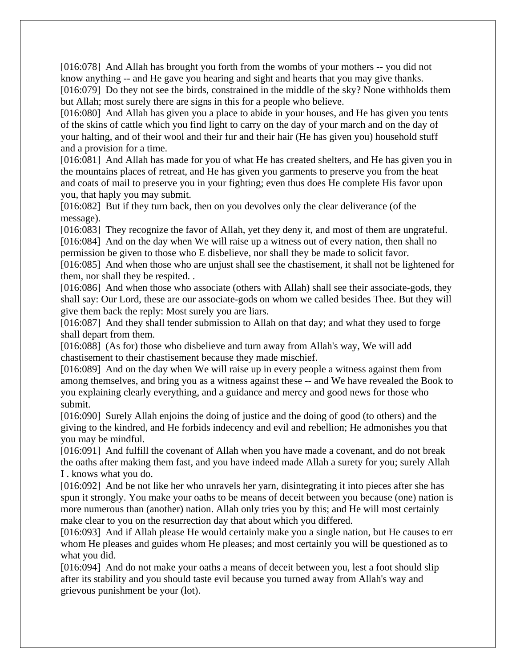[016:078] And Allah has brought you forth from the wombs of your mothers -- you did not know anything -- and He gave you hearing and sight and hearts that you may give thanks. [016:079] Do they not see the birds, constrained in the middle of the sky? None withholds them but Allah; most surely there are signs in this for a people who believe.

[016:080] And Allah has given you a place to abide in your houses, and He has given you tents of the skins of cattle which you find light to carry on the day of your march and on the day of your halting, and of their wool and their fur and their hair (He has given you) household stuff and a provision for a time.

[016:081] And Allah has made for you of what He has created shelters, and He has given you in the mountains places of retreat, and He has given you garments to preserve you from the heat and coats of mail to preserve you in your fighting; even thus does He complete His favor upon you, that haply you may submit.

[016:082] But if they turn back, then on you devolves only the clear deliverance (of the message).

[016:083] They recognize the favor of Allah, yet they deny it, and most of them are ungrateful. [016:084] And on the day when We will raise up a witness out of every nation, then shall no

permission be given to those who E disbelieve, nor shall they be made to solicit favor.

[016:085] And when those who are unjust shall see the chastisement, it shall not be lightened for them, nor shall they be respited. .

[016:086] And when those who associate (others with Allah) shall see their associate-gods, they shall say: Our Lord, these are our associate-gods on whom we called besides Thee. But they will give them back the reply: Most surely you are liars.

[016:087] And they shall tender submission to Allah on that day; and what they used to forge shall depart from them.

[016:088] (As for) those who disbelieve and turn away from Allah's way, We will add chastisement to their chastisement because they made mischief.

[016:089] And on the day when We will raise up in every people a witness against them from among themselves, and bring you as a witness against these -- and We have revealed the Book to you explaining clearly everything, and a guidance and mercy and good news for those who submit.

[016:090] Surely Allah enjoins the doing of justice and the doing of good (to others) and the giving to the kindred, and He forbids indecency and evil and rebellion; He admonishes you that you may be mindful.

[016:091] And fulfill the covenant of Allah when you have made a covenant, and do not break the oaths after making them fast, and you have indeed made Allah a surety for you; surely Allah I . knows what you do.

[016:092] And be not like her who unravels her yarn, disintegrating it into pieces after she has spun it strongly. You make your oaths to be means of deceit between you because (one) nation is more numerous than (another) nation. Allah only tries you by this; and He will most certainly make clear to you on the resurrection day that about which you differed.

[016:093] And if Allah please He would certainly make you a single nation, but He causes to err whom He pleases and guides whom He pleases; and most certainly you will be questioned as to what you did.

[016:094] And do not make your oaths a means of deceit between you, lest a foot should slip after its stability and you should taste evil because you turned away from Allah's way and grievous punishment be your (lot).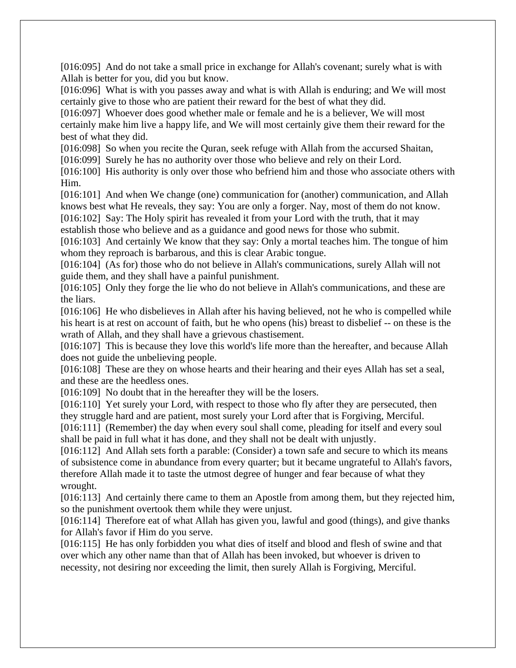[016:095] And do not take a small price in exchange for Allah's covenant; surely what is with Allah is better for you, did you but know.

[016:096] What is with you passes away and what is with Allah is enduring; and We will most certainly give to those who are patient their reward for the best of what they did.

[016:097] Whoever does good whether male or female and he is a believer, We will most certainly make him live a happy life, and We will most certainly give them their reward for the best of what they did.

[016:098] So when you recite the Quran, seek refuge with Allah from the accursed Shaitan,

[016:099] Surely he has no authority over those who believe and rely on their Lord.

[016:100] His authority is only over those who befriend him and those who associate others with Him.

[016:101] And when We change (one) communication for (another) communication, and Allah knows best what He reveals, they say: You are only a forger. Nay, most of them do not know. [016:102] Say: The Holy spirit has revealed it from your Lord with the truth, that it may

establish those who believe and as a guidance and good news for those who submit.

[016:103] And certainly We know that they say: Only a mortal teaches him. The tongue of him whom they reproach is barbarous, and this is clear Arabic tongue.

[016:104] (As for) those who do not believe in Allah's communications, surely Allah will not guide them, and they shall have a painful punishment.

[016:105] Only they forge the lie who do not believe in Allah's communications, and these are the liars.

[016:106] He who disbelieves in Allah after his having believed, not he who is compelled while his heart is at rest on account of faith, but he who opens (his) breast to disbelief -- on these is the wrath of Allah, and they shall have a grievous chastisement.

[016:107] This is because they love this world's life more than the hereafter, and because Allah does not guide the unbelieving people.

[016:108] These are they on whose hearts and their hearing and their eyes Allah has set a seal, and these are the heedless ones.

[016:109] No doubt that in the hereafter they will be the losers.

[016:110] Yet surely your Lord, with respect to those who fly after they are persecuted, then they struggle hard and are patient, most surely your Lord after that is Forgiving, Merciful.

[016:111] (Remember) the day when every soul shall come, pleading for itself and every soul shall be paid in full what it has done, and they shall not be dealt with unjustly.

[016:112] And Allah sets forth a parable: (Consider) a town safe and secure to which its means of subsistence come in abundance from every quarter; but it became ungrateful to Allah's favors, therefore Allah made it to taste the utmost degree of hunger and fear because of what they wrought.

[016:113] And certainly there came to them an Apostle from among them, but they rejected him, so the punishment overtook them while they were unjust.

[016:114] Therefore eat of what Allah has given you, lawful and good (things), and give thanks for Allah's favor if Him do you serve.

[016:115] He has only forbidden you what dies of itself and blood and flesh of swine and that over which any other name than that of Allah has been invoked, but whoever is driven to necessity, not desiring nor exceeding the limit, then surely Allah is Forgiving, Merciful.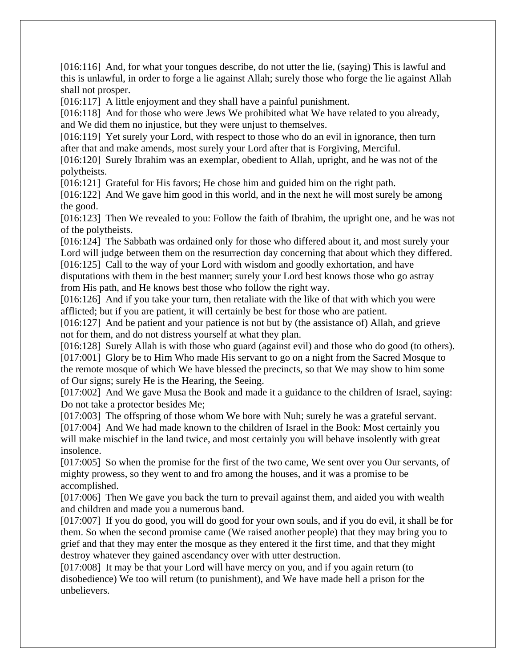[016:116] And, for what your tongues describe, do not utter the lie, (saying) This is lawful and this is unlawful, in order to forge a lie against Allah; surely those who forge the lie against Allah shall not prosper.

[016:117] A little enjoyment and they shall have a painful punishment.

[016:118] And for those who were Jews We prohibited what We have related to you already, and We did them no injustice, but they were unjust to themselves.

[016:119] Yet surely your Lord, with respect to those who do an evil in ignorance, then turn after that and make amends, most surely your Lord after that is Forgiving, Merciful.

[016:120] Surely Ibrahim was an exemplar, obedient to Allah, upright, and he was not of the polytheists.

[016:121] Grateful for His favors; He chose him and guided him on the right path.

[016:122] And We gave him good in this world, and in the next he will most surely be among the good.

[016:123] Then We revealed to you: Follow the faith of Ibrahim, the upright one, and he was not of the polytheists.

[016:124] The Sabbath was ordained only for those who differed about it, and most surely your Lord will judge between them on the resurrection day concerning that about which they differed. [016:125] Call to the way of your Lord with wisdom and goodly exhortation, and have

disputations with them in the best manner; surely your Lord best knows those who go astray from His path, and He knows best those who follow the right way.

[016:126] And if you take your turn, then retaliate with the like of that with which you were afflicted; but if you are patient, it will certainly be best for those who are patient.

[016:127] And be patient and your patience is not but by (the assistance of) Allah, and grieve not for them, and do not distress yourself at what they plan.

[016:128] Surely Allah is with those who guard (against evil) and those who do good (to others). [017:001] Glory be to Him Who made His servant to go on a night from the Sacred Mosque to the remote mosque of which We have blessed the precincts, so that We may show to him some

of Our signs; surely He is the Hearing, the Seeing.

[017:002] And We gave Musa the Book and made it a guidance to the children of Israel, saying: Do not take a protector besides Me;

[017:003] The offspring of those whom We bore with Nuh; surely he was a grateful servant. [017:004] And We had made known to the children of Israel in the Book: Most certainly you will make mischief in the land twice, and most certainly you will behave insolently with great insolence.

[017:005] So when the promise for the first of the two came, We sent over you Our servants, of mighty prowess, so they went to and fro among the houses, and it was a promise to be accomplished.

[017:006] Then We gave you back the turn to prevail against them, and aided you with wealth and children and made you a numerous band.

[017:007] If you do good, you will do good for your own souls, and if you do evil, it shall be for them. So when the second promise came (We raised another people) that they may bring you to grief and that they may enter the mosque as they entered it the first time, and that they might destroy whatever they gained ascendancy over with utter destruction.

[017:008] It may be that your Lord will have mercy on you, and if you again return (to disobedience) We too will return (to punishment), and We have made hell a prison for the unbelievers.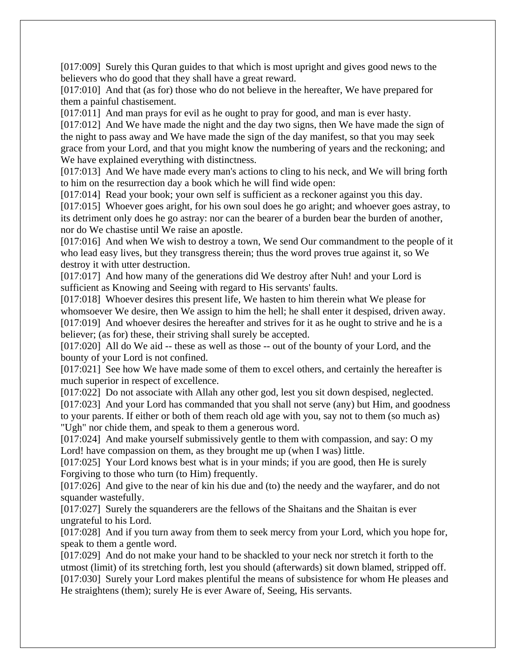[017:009] Surely this Quran guides to that which is most upright and gives good news to the believers who do good that they shall have a great reward.

[017:010] And that (as for) those who do not believe in the hereafter, We have prepared for them a painful chastisement.

[017:011] And man prays for evil as he ought to pray for good, and man is ever hasty.

[017:012] And We have made the night and the day two signs, then We have made the sign of the night to pass away and We have made the sign of the day manifest, so that you may seek grace from your Lord, and that you might know the numbering of years and the reckoning; and We have explained everything with distinctness.

[017:013] And We have made every man's actions to cling to his neck, and We will bring forth to him on the resurrection day a book which he will find wide open:

[017:014] Read your book; your own self is sufficient as a reckoner against you this day.

[017:015] Whoever goes aright, for his own soul does he go aright; and whoever goes astray, to its detriment only does he go astray: nor can the bearer of a burden bear the burden of another, nor do We chastise until We raise an apostle.

[017:016] And when We wish to destroy a town, We send Our commandment to the people of it who lead easy lives, but they transgress therein; thus the word proves true against it, so We destroy it with utter destruction.

[017:017] And how many of the generations did We destroy after Nuh! and your Lord is sufficient as Knowing and Seeing with regard to His servants' faults.

[017:018] Whoever desires this present life, We hasten to him therein what We please for whomsoever We desire, then We assign to him the hell; he shall enter it despised, driven away. [017:019] And whoever desires the hereafter and strives for it as he ought to strive and he is a believer; (as for) these, their striving shall surely be accepted.

[017:020] All do We aid -- these as well as those -- out of the bounty of your Lord, and the bounty of your Lord is not confined.

[017:021] See how We have made some of them to excel others, and certainly the hereafter is much superior in respect of excellence.

[017:022] Do not associate with Allah any other god, lest you sit down despised, neglected. [017:023] And your Lord has commanded that you shall not serve (any) but Him, and goodness to your parents. If either or both of them reach old age with you, say not to them (so much as) "Ugh" nor chide them, and speak to them a generous word.

[017:024] And make yourself submissively gentle to them with compassion, and say: O my Lord! have compassion on them, as they brought me up (when I was) little.

[017:025] Your Lord knows best what is in your minds; if you are good, then He is surely Forgiving to those who turn (to Him) frequently.

[017:026] And give to the near of kin his due and (to) the needy and the wayfarer, and do not squander wastefully.

[017:027] Surely the squanderers are the fellows of the Shaitans and the Shaitan is ever ungrateful to his Lord.

[017:028] And if you turn away from them to seek mercy from your Lord, which you hope for, speak to them a gentle word.

[017:029] And do not make your hand to be shackled to your neck nor stretch it forth to the utmost (limit) of its stretching forth, lest you should (afterwards) sit down blamed, stripped off. [017:030] Surely your Lord makes plentiful the means of subsistence for whom He pleases and He straightens (them); surely He is ever Aware of, Seeing, His servants.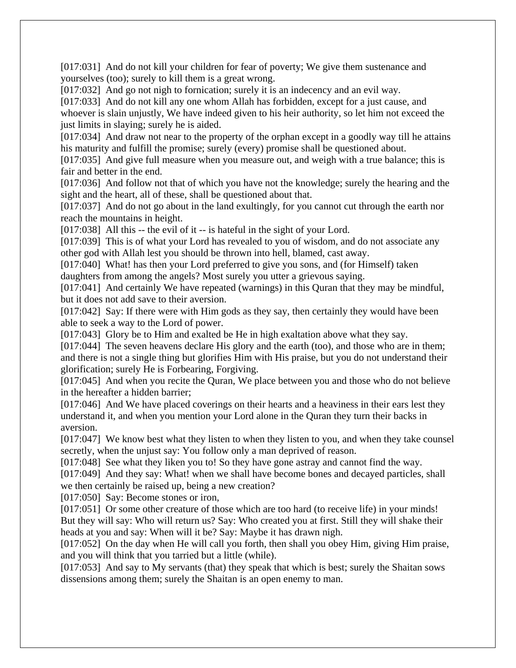[017:031] And do not kill your children for fear of poverty; We give them sustenance and yourselves (too); surely to kill them is a great wrong.

[017:032] And go not nigh to fornication; surely it is an indecency and an evil way.

[017:033] And do not kill any one whom Allah has forbidden, except for a just cause, and whoever is slain unjustly, We have indeed given to his heir authority, so let him not exceed the just limits in slaying; surely he is aided.

[017:034] And draw not near to the property of the orphan except in a goodly way till he attains his maturity and fulfill the promise; surely (every) promise shall be questioned about.

[017:035] And give full measure when you measure out, and weigh with a true balance; this is fair and better in the end.

[017:036] And follow not that of which you have not the knowledge; surely the hearing and the sight and the heart, all of these, shall be questioned about that.

[017:037] And do not go about in the land exultingly, for you cannot cut through the earth nor reach the mountains in height.

[017:038] All this -- the evil of it -- is hateful in the sight of your Lord.

[017:039] This is of what your Lord has revealed to you of wisdom, and do not associate any other god with Allah lest you should be thrown into hell, blamed, cast away.

[017:040] What! has then your Lord preferred to give you sons, and (for Himself) taken daughters from among the angels? Most surely you utter a grievous saying.

[017:041] And certainly We have repeated (warnings) in this Quran that they may be mindful, but it does not add save to their aversion.

[017:042] Say: If there were with Him gods as they say, then certainly they would have been able to seek a way to the Lord of power.

[017:043] Glory be to Him and exalted be He in high exaltation above what they say.

[017:044] The seven heavens declare His glory and the earth (too), and those who are in them; and there is not a single thing but glorifies Him with His praise, but you do not understand their glorification; surely He is Forbearing, Forgiving.

[017:045] And when you recite the Ouran, We place between you and those who do not believe in the hereafter a hidden barrier;

[017:046] And We have placed coverings on their hearts and a heaviness in their ears lest they understand it, and when you mention your Lord alone in the Quran they turn their backs in aversion.

[017:047] We know best what they listen to when they listen to you, and when they take counsel secretly, when the unjust say: You follow only a man deprived of reason.

[017:048] See what they liken you to! So they have gone astray and cannot find the way.

[017:049] And they say: What! when we shall have become bones and decayed particles, shall we then certainly be raised up, being a new creation?

[017:050] Say: Become stones or iron,

[017:051] Or some other creature of those which are too hard (to receive life) in your minds! But they will say: Who will return us? Say: Who created you at first. Still they will shake their heads at you and say: When will it be? Say: Maybe it has drawn nigh.

[017:052] On the day when He will call you forth, then shall you obey Him, giving Him praise, and you will think that you tarried but a little (while).

[017:053] And say to My servants (that) they speak that which is best; surely the Shaitan sows dissensions among them; surely the Shaitan is an open enemy to man.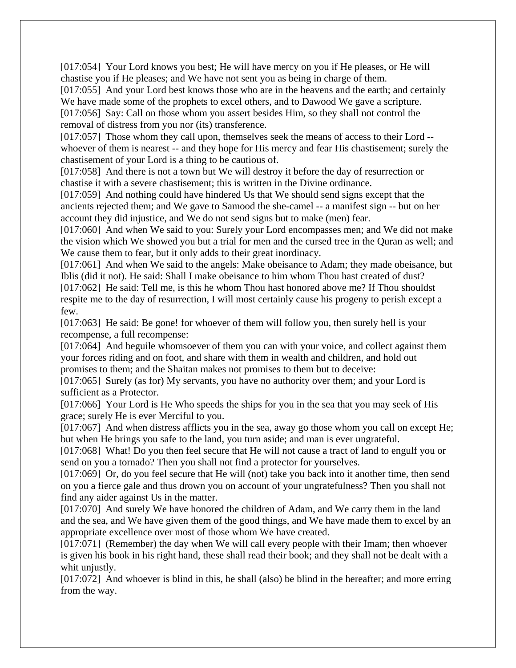[017:054] Your Lord knows you best; He will have mercy on you if He pleases, or He will chastise you if He pleases; and We have not sent you as being in charge of them.

[017:055] And your Lord best knows those who are in the heavens and the earth; and certainly We have made some of the prophets to excel others, and to Dawood We gave a scripture. [017:056] Say: Call on those whom you assert besides Him, so they shall not control the removal of distress from you nor (its) transference.

[017:057] Those whom they call upon, themselves seek the means of access to their Lord - whoever of them is nearest -- and they hope for His mercy and fear His chastisement; surely the chastisement of your Lord is a thing to be cautious of.

[017:058] And there is not a town but We will destroy it before the day of resurrection or chastise it with a severe chastisement; this is written in the Divine ordinance.

[017:059] And nothing could have hindered Us that We should send signs except that the ancients rejected them; and We gave to Samood the she-camel -- a manifest sign -- but on her account they did injustice, and We do not send signs but to make (men) fear.

[017:060] And when We said to you: Surely your Lord encompasses men; and We did not make the vision which We showed you but a trial for men and the cursed tree in the Quran as well; and We cause them to fear, but it only adds to their great inordinacy.

[017:061] And when We said to the angels: Make obeisance to Adam; they made obeisance, but Iblis (did it not). He said: Shall I make obeisance to him whom Thou hast created of dust? [017:062] He said: Tell me, is this he whom Thou hast honored above me? If Thou shouldst

respite me to the day of resurrection, I will most certainly cause his progeny to perish except a few.

[017:063] He said: Be gone! for whoever of them will follow you, then surely hell is your recompense, a full recompense:

[017:064] And beguile whomsoever of them you can with your voice, and collect against them your forces riding and on foot, and share with them in wealth and children, and hold out promises to them; and the Shaitan makes not promises to them but to deceive:

[017:065] Surely (as for) My servants, you have no authority over them; and your Lord is sufficient as a Protector.

[017:066] Your Lord is He Who speeds the ships for you in the sea that you may seek of His grace; surely He is ever Merciful to you.

[017:067] And when distress afflicts you in the sea, away go those whom you call on except He; but when He brings you safe to the land, you turn aside; and man is ever ungrateful.

[017:068] What! Do you then feel secure that He will not cause a tract of land to engulf you or send on you a tornado? Then you shall not find a protector for yourselves.

[017:069] Or, do you feel secure that He will (not) take you back into it another time, then send on you a fierce gale and thus drown you on account of your ungratefulness? Then you shall not find any aider against Us in the matter.

[017:070] And surely We have honored the children of Adam, and We carry them in the land and the sea, and We have given them of the good things, and We have made them to excel by an appropriate excellence over most of those whom We have created.

[017:071] (Remember) the day when We will call every people with their Imam; then whoever is given his book in his right hand, these shall read their book; and they shall not be dealt with a whit uniustly.

[017:072] And whoever is blind in this, he shall (also) be blind in the hereafter; and more erring from the way.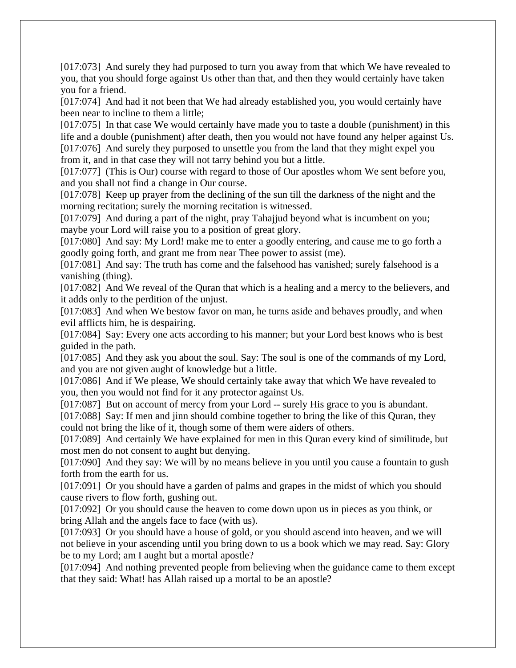[017:073] And surely they had purposed to turn you away from that which We have revealed to you, that you should forge against Us other than that, and then they would certainly have taken you for a friend.

[017:074] And had it not been that We had already established you, you would certainly have been near to incline to them a little;

[017:075] In that case We would certainly have made you to taste a double (punishment) in this life and a double (punishment) after death, then you would not have found any helper against Us. [017:076] And surely they purposed to unsettle you from the land that they might expel you from it, and in that case they will not tarry behind you but a little.

[017:077] (This is Our) course with regard to those of Our apostles whom We sent before you, and you shall not find a change in Our course.

[017:078] Keep up prayer from the declining of the sun till the darkness of the night and the morning recitation; surely the morning recitation is witnessed.

[017:079] And during a part of the night, pray Tahajjud beyond what is incumbent on you; maybe your Lord will raise you to a position of great glory.

[017:080] And say: My Lord! make me to enter a goodly entering, and cause me to go forth a goodly going forth, and grant me from near Thee power to assist (me).

[017:081] And say: The truth has come and the falsehood has vanished; surely falsehood is a vanishing (thing).

[017:082] And We reveal of the Quran that which is a healing and a mercy to the believers, and it adds only to the perdition of the unjust.

[017:083] And when We bestow favor on man, he turns aside and behaves proudly, and when evil afflicts him, he is despairing.

[017:084] Say: Every one acts according to his manner; but your Lord best knows who is best guided in the path.

[017:085] And they ask you about the soul. Say: The soul is one of the commands of my Lord, and you are not given aught of knowledge but a little.

[017:086] And if We please, We should certainly take away that which We have revealed to you, then you would not find for it any protector against Us.

[017:087] But on account of mercy from your Lord -- surely His grace to you is abundant.

[017:088] Say: If men and jinn should combine together to bring the like of this Quran, they could not bring the like of it, though some of them were aiders of others.

[017:089] And certainly We have explained for men in this Quran every kind of similitude, but most men do not consent to aught but denying.

[017:090] And they say: We will by no means believe in you until you cause a fountain to gush forth from the earth for us.

[017:091] Or you should have a garden of palms and grapes in the midst of which you should cause rivers to flow forth, gushing out.

[017:092] Or you should cause the heaven to come down upon us in pieces as you think, or bring Allah and the angels face to face (with us).

[017:093] Or you should have a house of gold, or you should ascend into heaven, and we will not believe in your ascending until you bring down to us a book which we may read. Say: Glory be to my Lord; am I aught but a mortal apostle?

[017:094] And nothing prevented people from believing when the guidance came to them except that they said: What! has Allah raised up a mortal to be an apostle?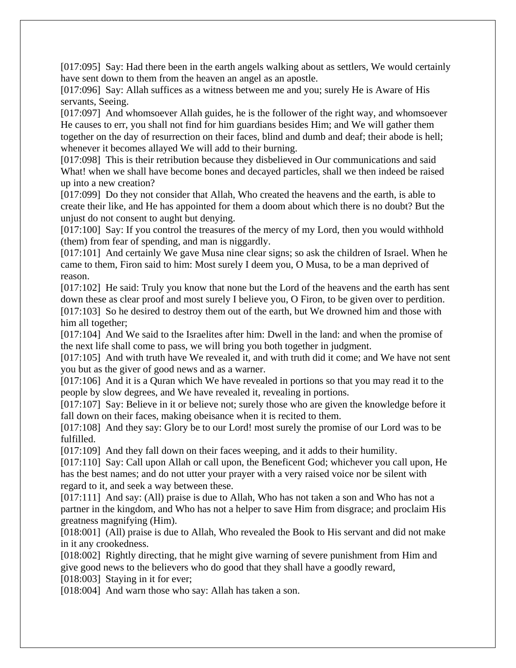[017:095] Say: Had there been in the earth angels walking about as settlers, We would certainly have sent down to them from the heaven an angel as an apostle.

[017:096] Say: Allah suffices as a witness between me and you; surely He is Aware of His servants, Seeing.

[017:097] And whomsoever Allah guides, he is the follower of the right way, and whomsoever He causes to err, you shall not find for him guardians besides Him; and We will gather them together on the day of resurrection on their faces, blind and dumb and deaf; their abode is hell; whenever it becomes allayed We will add to their burning.

[017:098] This is their retribution because they disbelieved in Our communications and said What! when we shall have become bones and decayed particles, shall we then indeed be raised up into a new creation?

[017:099] Do they not consider that Allah, Who created the heavens and the earth, is able to create their like, and He has appointed for them a doom about which there is no doubt? But the unjust do not consent to aught but denying.

[017:100] Say: If you control the treasures of the mercy of my Lord, then you would withhold (them) from fear of spending, and man is niggardly.

[017:101] And certainly We gave Musa nine clear signs; so ask the children of Israel. When he came to them, Firon said to him: Most surely I deem you, O Musa, to be a man deprived of reason.

[017:102] He said: Truly you know that none but the Lord of the heavens and the earth has sent down these as clear proof and most surely I believe you, O Firon, to be given over to perdition. [017:103] So he desired to destroy them out of the earth, but We drowned him and those with him all together;

[017:104] And We said to the Israelites after him: Dwell in the land: and when the promise of the next life shall come to pass, we will bring you both together in judgment.

[017:105] And with truth have We revealed it, and with truth did it come; and We have not sent you but as the giver of good news and as a warner.

[017:106] And it is a Quran which We have revealed in portions so that you may read it to the people by slow degrees, and We have revealed it, revealing in portions.

[017:107] Say: Believe in it or believe not; surely those who are given the knowledge before it fall down on their faces, making obeisance when it is recited to them.

[017:108] And they say: Glory be to our Lord! most surely the promise of our Lord was to be fulfilled.

[017:109] And they fall down on their faces weeping, and it adds to their humility.

[017:110] Say: Call upon Allah or call upon, the Beneficent God; whichever you call upon, He has the best names; and do not utter your prayer with a very raised voice nor be silent with regard to it, and seek a way between these.

[017:111] And say: (All) praise is due to Allah, Who has not taken a son and Who has not a partner in the kingdom, and Who has not a helper to save Him from disgrace; and proclaim His greatness magnifying (Him).

[018:001] (All) praise is due to Allah, Who revealed the Book to His servant and did not make in it any crookedness.

[018:002] Rightly directing, that he might give warning of severe punishment from Him and give good news to the believers who do good that they shall have a goodly reward,

[018:003] Staying in it for ever;

[018:004] And warn those who say: Allah has taken a son.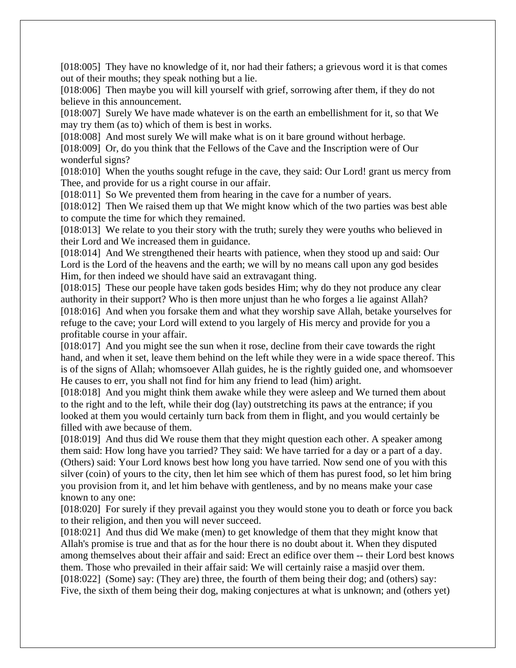[018:005] They have no knowledge of it, nor had their fathers; a grievous word it is that comes out of their mouths; they speak nothing but a lie.

[018:006] Then maybe you will kill yourself with grief, sorrowing after them, if they do not believe in this announcement.

[018:007] Surely We have made whatever is on the earth an embellishment for it, so that We may try them (as to) which of them is best in works.

[018:008] And most surely We will make what is on it bare ground without herbage.

[018:009] Or, do you think that the Fellows of the Cave and the Inscription were of Our wonderful signs?

[018:010] When the youths sought refuge in the cave, they said: Our Lord! grant us mercy from Thee, and provide for us a right course in our affair.

[018:011] So We prevented them from hearing in the cave for a number of years.

[018:012] Then We raised them up that We might know which of the two parties was best able to compute the time for which they remained.

[018:013] We relate to you their story with the truth; surely they were youths who believed in their Lord and We increased them in guidance.

[018:014] And We strengthened their hearts with patience, when they stood up and said: Our Lord is the Lord of the heavens and the earth; we will by no means call upon any god besides Him, for then indeed we should have said an extravagant thing.

[018:015] These our people have taken gods besides Him; why do they not produce any clear authority in their support? Who is then more unjust than he who forges a lie against Allah? [018:016] And when you forsake them and what they worship save Allah, betake yourselves for refuge to the cave; your Lord will extend to you largely of His mercy and provide for you a profitable course in your affair.

[018:017] And you might see the sun when it rose, decline from their cave towards the right hand, and when it set, leave them behind on the left while they were in a wide space thereof. This is of the signs of Allah; whomsoever Allah guides, he is the rightly guided one, and whomsoever He causes to err, you shall not find for him any friend to lead (him) aright.

[018:018] And you might think them awake while they were asleep and We turned them about to the right and to the left, while their dog (lay) outstretching its paws at the entrance; if you looked at them you would certainly turn back from them in flight, and you would certainly be filled with awe because of them.

[018:019] And thus did We rouse them that they might question each other. A speaker among them said: How long have you tarried? They said: We have tarried for a day or a part of a day. (Others) said: Your Lord knows best how long you have tarried. Now send one of you with this silver (coin) of yours to the city, then let him see which of them has purest food, so let him bring you provision from it, and let him behave with gentleness, and by no means make your case known to any one:

[018:020] For surely if they prevail against you they would stone you to death or force you back to their religion, and then you will never succeed.

[018:021] And thus did We make (men) to get knowledge of them that they might know that Allah's promise is true and that as for the hour there is no doubt about it. When they disputed among themselves about their affair and said: Erect an edifice over them -- their Lord best knows them. Those who prevailed in their affair said: We will certainly raise a masjid over them. [018:022] (Some) say: (They are) three, the fourth of them being their dog; and (others) say:

Five, the sixth of them being their dog, making conjectures at what is unknown; and (others yet)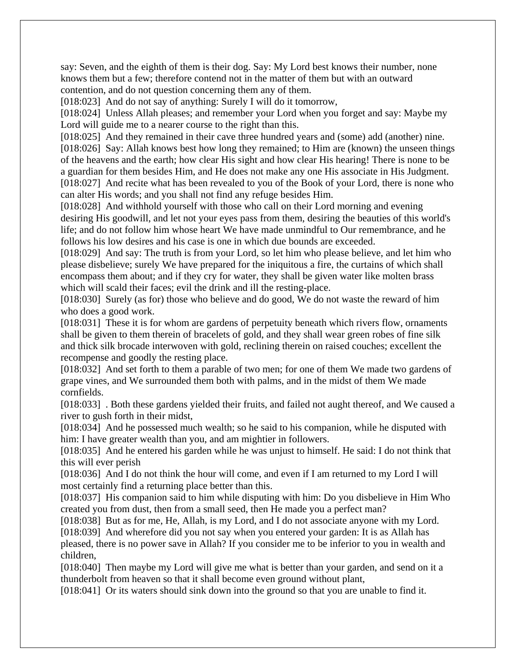say: Seven, and the eighth of them is their dog. Say: My Lord best knows their number, none knows them but a few; therefore contend not in the matter of them but with an outward contention, and do not question concerning them any of them.

[018:023] And do not say of anything: Surely I will do it tomorrow,

[018:024] Unless Allah pleases; and remember your Lord when you forget and say: Maybe my Lord will guide me to a nearer course to the right than this.

[018:025] And they remained in their cave three hundred years and (some) add (another) nine. [018:026] Say: Allah knows best how long they remained; to Him are (known) the unseen things of the heavens and the earth; how clear His sight and how clear His hearing! There is none to be a guardian for them besides Him, and He does not make any one His associate in His Judgment. [018:027] And recite what has been revealed to you of the Book of your Lord, there is none who can alter His words; and you shall not find any refuge besides Him.

[018:028] And withhold yourself with those who call on their Lord morning and evening desiring His goodwill, and let not your eyes pass from them, desiring the beauties of this world's life; and do not follow him whose heart We have made unmindful to Our remembrance, and he follows his low desires and his case is one in which due bounds are exceeded.

[018:029] And say: The truth is from your Lord, so let him who please believe, and let him who please disbelieve; surely We have prepared for the iniquitous a fire, the curtains of which shall encompass them about; and if they cry for water, they shall be given water like molten brass which will scald their faces; evil the drink and ill the resting-place.

[018:030] Surely (as for) those who believe and do good, We do not waste the reward of him who does a good work.

[018:031] These it is for whom are gardens of perpetuity beneath which rivers flow, ornaments shall be given to them therein of bracelets of gold, and they shall wear green robes of fine silk and thick silk brocade interwoven with gold, reclining therein on raised couches; excellent the recompense and goodly the resting place.

[018:032] And set forth to them a parable of two men; for one of them We made two gardens of grape vines, and We surrounded them both with palms, and in the midst of them We made cornfields.

[018:033] . Both these gardens yielded their fruits, and failed not aught thereof, and We caused a river to gush forth in their midst,

[018:034] And he possessed much wealth; so he said to his companion, while he disputed with him: I have greater wealth than you, and am mightier in followers.

[018:035] And he entered his garden while he was unjust to himself. He said: I do not think that this will ever perish

[018:036] And I do not think the hour will come, and even if I am returned to my Lord I will most certainly find a returning place better than this.

[018:037] His companion said to him while disputing with him: Do you disbelieve in Him Who created you from dust, then from a small seed, then He made you a perfect man?

[018:038] But as for me, He, Allah, is my Lord, and I do not associate anyone with my Lord.

[018:039] And wherefore did you not say when you entered your garden: It is as Allah has pleased, there is no power save in Allah? If you consider me to be inferior to you in wealth and children,

[018:040] Then maybe my Lord will give me what is better than your garden, and send on it a thunderbolt from heaven so that it shall become even ground without plant,

[018:041] Or its waters should sink down into the ground so that you are unable to find it.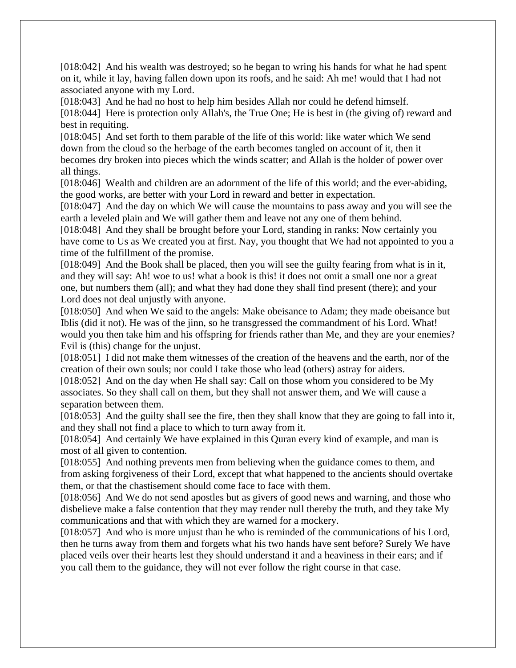[018:042] And his wealth was destroyed; so he began to wring his hands for what he had spent on it, while it lay, having fallen down upon its roofs, and he said: Ah me! would that I had not associated anyone with my Lord.

[018:043] And he had no host to help him besides Allah nor could he defend himself.

[018:044] Here is protection only Allah's, the True One; He is best in (the giving of) reward and best in requiting.

[018:045] And set forth to them parable of the life of this world: like water which We send down from the cloud so the herbage of the earth becomes tangled on account of it, then it becomes dry broken into pieces which the winds scatter; and Allah is the holder of power over all things.

[018:046] Wealth and children are an adornment of the life of this world; and the ever-abiding, the good works, are better with your Lord in reward and better in expectation.

[018:047] And the day on which We will cause the mountains to pass away and you will see the earth a leveled plain and We will gather them and leave not any one of them behind.

[018:048] And they shall be brought before your Lord, standing in ranks: Now certainly you have come to Us as We created you at first. Nay, you thought that We had not appointed to you a time of the fulfillment of the promise.

[018:049] And the Book shall be placed, then you will see the guilty fearing from what is in it, and they will say: Ah! woe to us! what a book is this! it does not omit a small one nor a great one, but numbers them (all); and what they had done they shall find present (there); and your Lord does not deal unjustly with anyone.

[018:050] And when We said to the angels: Make obeisance to Adam; they made obeisance but Iblis (did it not). He was of the jinn, so he transgressed the commandment of his Lord. What! would you then take him and his offspring for friends rather than Me, and they are your enemies? Evil is (this) change for the unjust.

[018:051] I did not make them witnesses of the creation of the heavens and the earth, nor of the creation of their own souls; nor could I take those who lead (others) astray for aiders.

[018:052] And on the day when He shall say: Call on those whom you considered to be My associates. So they shall call on them, but they shall not answer them, and We will cause a separation between them.

[018:053] And the guilty shall see the fire, then they shall know that they are going to fall into it, and they shall not find a place to which to turn away from it.

[018:054] And certainly We have explained in this Quran every kind of example, and man is most of all given to contention.

[018:055] And nothing prevents men from believing when the guidance comes to them, and from asking forgiveness of their Lord, except that what happened to the ancients should overtake them, or that the chastisement should come face to face with them.

[018:056] And We do not send apostles but as givers of good news and warning, and those who disbelieve make a false contention that they may render null thereby the truth, and they take My communications and that with which they are warned for a mockery.

[018:057] And who is more unjust than he who is reminded of the communications of his Lord, then he turns away from them and forgets what his two hands have sent before? Surely We have placed veils over their hearts lest they should understand it and a heaviness in their ears; and if you call them to the guidance, they will not ever follow the right course in that case.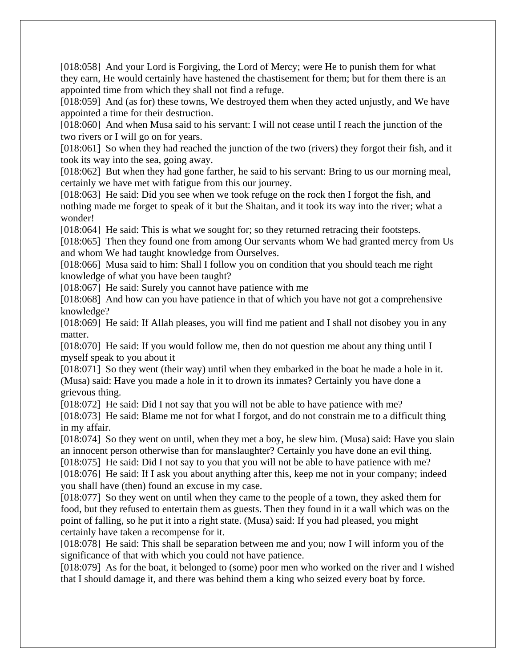[018:058] And your Lord is Forgiving, the Lord of Mercy; were He to punish them for what they earn, He would certainly have hastened the chastisement for them; but for them there is an appointed time from which they shall not find a refuge.

[018:059] And (as for) these towns, We destroyed them when they acted unjustly, and We have appointed a time for their destruction.

[018:060] And when Musa said to his servant: I will not cease until I reach the junction of the two rivers or I will go on for years.

[018:061] So when they had reached the junction of the two (rivers) they forgot their fish, and it took its way into the sea, going away.

[018:062] But when they had gone farther, he said to his servant: Bring to us our morning meal, certainly we have met with fatigue from this our journey.

[018:063] He said: Did you see when we took refuge on the rock then I forgot the fish, and nothing made me forget to speak of it but the Shaitan, and it took its way into the river; what a wonder!

[018:064] He said: This is what we sought for; so they returned retracing their footsteps.

[018:065] Then they found one from among Our servants whom We had granted mercy from Us and whom We had taught knowledge from Ourselves.

[018:066] Musa said to him: Shall I follow you on condition that you should teach me right knowledge of what you have been taught?

[018:067] He said: Surely you cannot have patience with me

[018:068] And how can you have patience in that of which you have not got a comprehensive knowledge?

[018:069] He said: If Allah pleases, you will find me patient and I shall not disobey you in any matter.

[018:070] He said: If you would follow me, then do not question me about any thing until I myself speak to you about it

[018:071] So they went (their way) until when they embarked in the boat he made a hole in it. (Musa) said: Have you made a hole in it to drown its inmates? Certainly you have done a grievous thing.

[018:072] He said: Did I not say that you will not be able to have patience with me?

[018:073] He said: Blame me not for what I forgot, and do not constrain me to a difficult thing in my affair.

[018:074] So they went on until, when they met a boy, he slew him. (Musa) said: Have you slain an innocent person otherwise than for manslaughter? Certainly you have done an evil thing.

[018:075] He said: Did I not say to you that you will not be able to have patience with me? [018:076] He said: If I ask you about anything after this, keep me not in your company; indeed you shall have (then) found an excuse in my case.

[018:077] So they went on until when they came to the people of a town, they asked them for food, but they refused to entertain them as guests. Then they found in it a wall which was on the point of falling, so he put it into a right state. (Musa) said: If you had pleased, you might certainly have taken a recompense for it.

[018:078] He said: This shall be separation between me and you; now I will inform you of the significance of that with which you could not have patience.

[018:079] As for the boat, it belonged to (some) poor men who worked on the river and I wished that I should damage it, and there was behind them a king who seized every boat by force.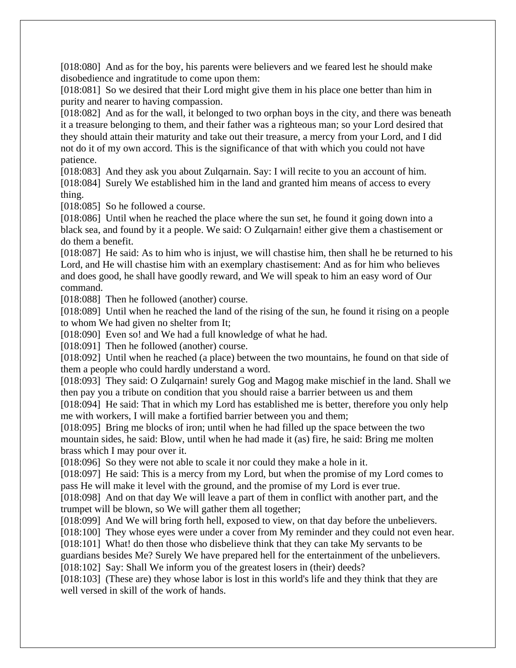[018:080] And as for the boy, his parents were believers and we feared lest he should make disobedience and ingratitude to come upon them:

[018:081] So we desired that their Lord might give them in his place one better than him in purity and nearer to having compassion.

[018:082] And as for the wall, it belonged to two orphan boys in the city, and there was beneath it a treasure belonging to them, and their father was a righteous man; so your Lord desired that they should attain their maturity and take out their treasure, a mercy from your Lord, and I did not do it of my own accord. This is the significance of that with which you could not have patience.

[018:083] And they ask you about Zulqarnain. Say: I will recite to you an account of him.

[018:084] Surely We established him in the land and granted him means of access to every thing.

[018:085] So he followed a course.

[018:086] Until when he reached the place where the sun set, he found it going down into a black sea, and found by it a people. We said: O Zulqarnain! either give them a chastisement or do them a benefit.

[018:087] He said: As to him who is injust, we will chastise him, then shall he be returned to his Lord, and He will chastise him with an exemplary chastisement: And as for him who believes and does good, he shall have goodly reward, and We will speak to him an easy word of Our command.

[018:088] Then he followed (another) course.

[018:089] Until when he reached the land of the rising of the sun, he found it rising on a people to whom We had given no shelter from It;

[018:090] Even so! and We had a full knowledge of what he had.

[018:091] Then he followed (another) course.

[018:092] Until when he reached (a place) between the two mountains, he found on that side of them a people who could hardly understand a word.

[018:093] They said: O Zulgarnain! surely Gog and Magog make mischief in the land. Shall we then pay you a tribute on condition that you should raise a barrier between us and them

[018:094] He said: That in which my Lord has established me is better, therefore you only help me with workers, I will make a fortified barrier between you and them;

[018:095] Bring me blocks of iron; until when he had filled up the space between the two mountain sides, he said: Blow, until when he had made it (as) fire, he said: Bring me molten brass which I may pour over it.

[018:096] So they were not able to scale it nor could they make a hole in it.

[018:097] He said: This is a mercy from my Lord, but when the promise of my Lord comes to pass He will make it level with the ground, and the promise of my Lord is ever true.

[018:098] And on that day We will leave a part of them in conflict with another part, and the trumpet will be blown, so We will gather them all together;

[018:099] And We will bring forth hell, exposed to view, on that day before the unbelievers.

[018:100] They whose eyes were under a cover from My reminder and they could not even hear.

[018:101] What! do then those who disbelieve think that they can take My servants to be guardians besides Me? Surely We have prepared hell for the entertainment of the unbelievers.

[018:102] Say: Shall We inform you of the greatest losers in (their) deeds?

[018:103] (These are) they whose labor is lost in this world's life and they think that they are well versed in skill of the work of hands.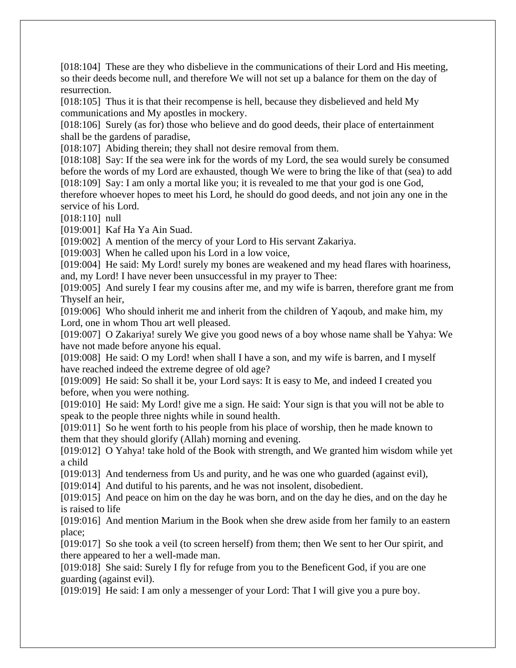[018:104] These are they who disbelieve in the communications of their Lord and His meeting, so their deeds become null, and therefore We will not set up a balance for them on the day of resurrection.

[018:105] Thus it is that their recompense is hell, because they disbelieved and held My communications and My apostles in mockery.

[018:106] Surely (as for) those who believe and do good deeds, their place of entertainment shall be the gardens of paradise,

[018:107] Abiding therein; they shall not desire removal from them.

[018:108] Say: If the sea were ink for the words of my Lord, the sea would surely be consumed before the words of my Lord are exhausted, though We were to bring the like of that (sea) to add [018:109] Say: I am only a mortal like you; it is revealed to me that your god is one God,

therefore whoever hopes to meet his Lord, he should do good deeds, and not join any one in the service of his Lord.

[018:110] null

[019:001] Kaf Ha Ya Ain Suad.

[019:002] A mention of the mercy of your Lord to His servant Zakariya.

[019:003] When he called upon his Lord in a low voice,

[019:004] He said: My Lord! surely my bones are weakened and my head flares with hoariness, and, my Lord! I have never been unsuccessful in my prayer to Thee:

[019:005] And surely I fear my cousins after me, and my wife is barren, therefore grant me from Thyself an heir,

[019:006] Who should inherit me and inherit from the children of Yaqoub, and make him, my Lord, one in whom Thou art well pleased.

[019:007] O Zakariya! surely We give you good news of a boy whose name shall be Yahya: We have not made before anyone his equal.

[019:008] He said: O my Lord! when shall I have a son, and my wife is barren, and I myself have reached indeed the extreme degree of old age?

[019:009] He said: So shall it be, your Lord says: It is easy to Me, and indeed I created you before, when you were nothing.

[019:010] He said: My Lord! give me a sign. He said: Your sign is that you will not be able to speak to the people three nights while in sound health.

[019:011] So he went forth to his people from his place of worship, then he made known to them that they should glorify (Allah) morning and evening.

[019:012] O Yahya! take hold of the Book with strength, and We granted him wisdom while yet a child

[019:013] And tenderness from Us and purity, and he was one who guarded (against evil),

[019:014] And dutiful to his parents, and he was not insolent, disobedient.

[019:015] And peace on him on the day he was born, and on the day he dies, and on the day he is raised to life

[019:016] And mention Marium in the Book when she drew aside from her family to an eastern place;

[019:017] So she took a veil (to screen herself) from them; then We sent to her Our spirit, and there appeared to her a well-made man.

[019:018] She said: Surely I fly for refuge from you to the Beneficent God, if you are one guarding (against evil).

[019:019] He said: I am only a messenger of your Lord: That I will give you a pure boy.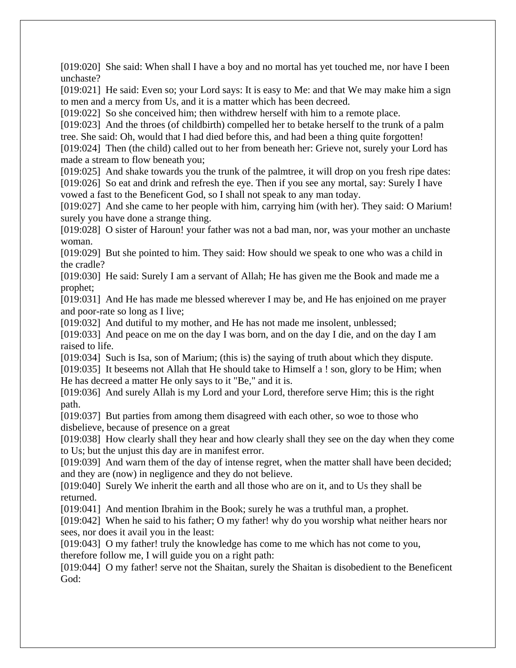[019:020] She said: When shall I have a boy and no mortal has yet touched me, nor have I been unchaste?

[019:021] He said: Even so; your Lord says: It is easy to Me: and that We may make him a sign to men and a mercy from Us, and it is a matter which has been decreed.

[019:022] So she conceived him; then withdrew herself with him to a remote place.

[019:023] And the throes (of childbirth) compelled her to betake herself to the trunk of a palm tree. She said: Oh, would that I had died before this, and had been a thing quite forgotten!

[019:024] Then (the child) called out to her from beneath her: Grieve not, surely your Lord has made a stream to flow beneath you;

[019:025] And shake towards you the trunk of the palmtree, it will drop on you fresh ripe dates: [019:026] So eat and drink and refresh the eye. Then if you see any mortal, say: Surely I have vowed a fast to the Beneficent God, so I shall not speak to any man today.

[019:027] And she came to her people with him, carrying him (with her). They said: O Marium! surely you have done a strange thing.

[019:028] O sister of Haroun! your father was not a bad man, nor, was your mother an unchaste woman.

[019:029] But she pointed to him. They said: How should we speak to one who was a child in the cradle?

[019:030] He said: Surely I am a servant of Allah; He has given me the Book and made me a prophet;

[019:031] And He has made me blessed wherever I may be, and He has enjoined on me prayer and poor-rate so long as I live;

[019:032] And dutiful to my mother, and He has not made me insolent, unblessed;

[019:033] And peace on me on the day I was born, and on the day I die, and on the day I am raised to life.

[019:034] Such is Isa, son of Marium; (this is) the saying of truth about which they dispute.

[019:035] It beseems not Allah that He should take to Himself a ! son, glory to be Him; when He has decreed a matter He only says to it "Be," and it is.

[019:036] And surely Allah is my Lord and your Lord, therefore serve Him; this is the right path.

[019:037] But parties from among them disagreed with each other, so woe to those who disbelieve, because of presence on a great

[019:038] How clearly shall they hear and how clearly shall they see on the day when they come to Us; but the unjust this day are in manifest error.

[019:039] And warn them of the day of intense regret, when the matter shall have been decided; and they are (now) in negligence and they do not believe.

[019:040] Surely We inherit the earth and all those who are on it, and to Us they shall be returned.

[019:041] And mention Ibrahim in the Book; surely he was a truthful man, a prophet.

[019:042] When he said to his father; O my father! why do you worship what neither hears nor sees, nor does it avail you in the least:

[019:043] O my father! truly the knowledge has come to me which has not come to you, therefore follow me, I will guide you on a right path:

[019:044] O my father! serve not the Shaitan, surely the Shaitan is disobedient to the Beneficent God: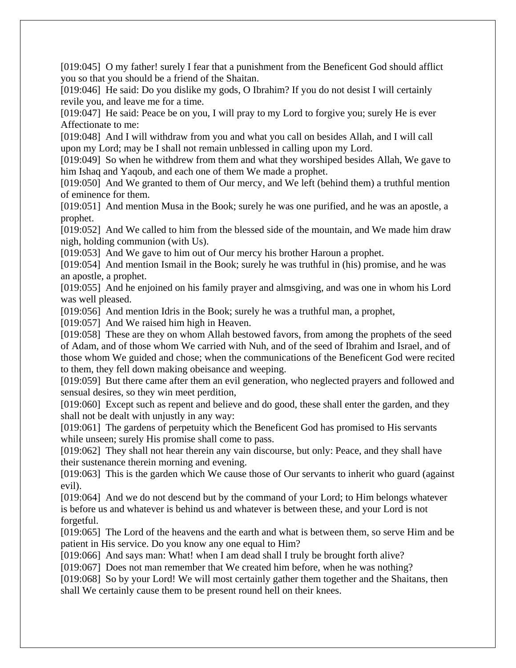[019:045] O my father! surely I fear that a punishment from the Beneficent God should afflict you so that you should be a friend of the Shaitan.

[019:046] He said: Do you dislike my gods, O Ibrahim? If you do not desist I will certainly revile you, and leave me for a time.

[019:047] He said: Peace be on you, I will pray to my Lord to forgive you; surely He is ever Affectionate to me:

[019:048] And I will withdraw from you and what you call on besides Allah, and I will call upon my Lord; may be I shall not remain unblessed in calling upon my Lord.

[019:049] So when he withdrew from them and what they worshiped besides Allah, We gave to him Ishaq and Yaqoub, and each one of them We made a prophet.

[019:050] And We granted to them of Our mercy, and We left (behind them) a truthful mention of eminence for them.

[019:051] And mention Musa in the Book; surely he was one purified, and he was an apostle, a prophet.

[019:052] And We called to him from the blessed side of the mountain, and We made him draw nigh, holding communion (with Us).

[019:053] And We gave to him out of Our mercy his brother Haroun a prophet.

[019:054] And mention Ismail in the Book; surely he was truthful in (his) promise, and he was an apostle, a prophet.

[019:055] And he enjoined on his family prayer and almsgiving, and was one in whom his Lord was well pleased.

[019:056] And mention Idris in the Book; surely he was a truthful man, a prophet,

[019:057] And We raised him high in Heaven.

[019:058] These are they on whom Allah bestowed favors, from among the prophets of the seed of Adam, and of those whom We carried with Nuh, and of the seed of Ibrahim and Israel, and of those whom We guided and chose; when the communications of the Beneficent God were recited to them, they fell down making obeisance and weeping.

[019:059] But there came after them an evil generation, who neglected prayers and followed and sensual desires, so they win meet perdition,

[019:060] Except such as repent and believe and do good, these shall enter the garden, and they shall not be dealt with unjustly in any way:

[019:061] The gardens of perpetuity which the Beneficent God has promised to His servants while unseen; surely His promise shall come to pass.

[019:062] They shall not hear therein any vain discourse, but only: Peace, and they shall have their sustenance therein morning and evening.

[019:063] This is the garden which We cause those of Our servants to inherit who guard (against evil).

[019:064] And we do not descend but by the command of your Lord; to Him belongs whatever is before us and whatever is behind us and whatever is between these, and your Lord is not forgetful.

[019:065] The Lord of the heavens and the earth and what is between them, so serve Him and be patient in His service. Do you know any one equal to Him?

[019:066] And says man: What! when I am dead shall I truly be brought forth alive?

[019:067] Does not man remember that We created him before, when he was nothing?

[019:068] So by your Lord! We will most certainly gather them together and the Shaitans, then shall We certainly cause them to be present round hell on their knees.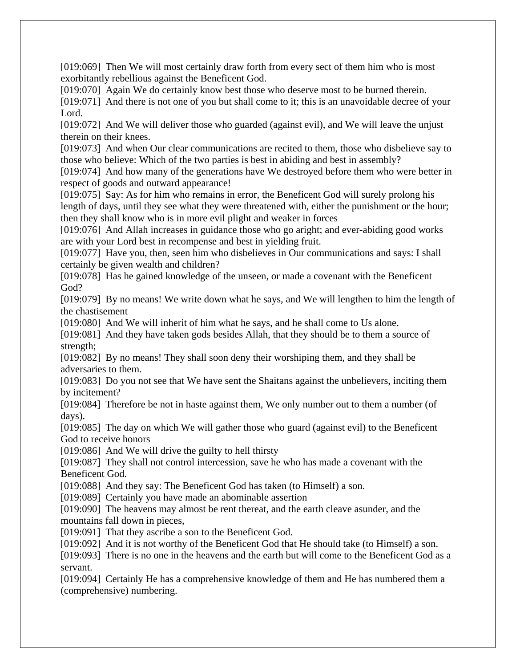[019:069] Then We will most certainly draw forth from every sect of them him who is most exorbitantly rebellious against the Beneficent God.

[019:070] Again We do certainly know best those who deserve most to be burned therein. [019:071] And there is not one of you but shall come to it; this is an unavoidable decree of your Lord.

[019:072] And We will deliver those who guarded (against evil), and We will leave the unjust therein on their knees.

[019:073] And when Our clear communications are recited to them, those who disbelieve say to those who believe: Which of the two parties is best in abiding and best in assembly?

[019:074] And how many of the generations have We destroved before them who were better in respect of goods and outward appearance!

[019:075] Say: As for him who remains in error, the Beneficent God will surely prolong his length of days, until they see what they were threatened with, either the punishment or the hour; then they shall know who is in more evil plight and weaker in forces

[019:076] And Allah increases in guidance those who go aright; and ever-abiding good works are with your Lord best in recompense and best in yielding fruit.

[019:077] Have you, then, seen him who disbelieves in Our communications and says: I shall certainly be given wealth and children?

[019:078] Has he gained knowledge of the unseen, or made a covenant with the Beneficent God?

[019:079] By no means! We write down what he says, and We will lengthen to him the length of the chastisement

[019:080] And We will inherit of him what he says, and he shall come to Us alone.

[019:081] And they have taken gods besides Allah, that they should be to them a source of strength;

[019:082] By no means! They shall soon deny their worshiping them, and they shall be adversaries to them.

[019:083] Do you not see that We have sent the Shaitans against the unbelievers, inciting them by incitement?

[019:084] Therefore be not in haste against them, We only number out to them a number (of days).

[019:085] The day on which We will gather those who guard (against evil) to the Beneficent God to receive honors

[019:086] And We will drive the guilty to hell thirsty

[019:087] They shall not control intercession, save he who has made a covenant with the Beneficent God.

[019:088] And they say: The Beneficent God has taken (to Himself) a son.

[019:089] Certainly you have made an abominable assertion

[019:090] The heavens may almost be rent thereat, and the earth cleave asunder, and the mountains fall down in pieces,

[019:091] That they ascribe a son to the Beneficent God.

[019:092] And it is not worthy of the Beneficent God that He should take (to Himself) a son.

[019:093] There is no one in the heavens and the earth but will come to the Beneficent God as a servant.

[019:094] Certainly He has a comprehensive knowledge of them and He has numbered them a (comprehensive) numbering.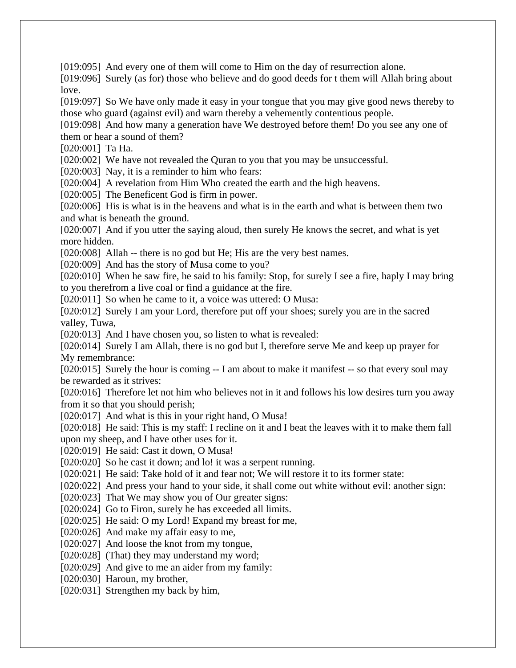[019:095] And every one of them will come to Him on the day of resurrection alone.

[019:096] Surely (as for) those who believe and do good deeds for t them will Allah bring about love.

[019:097] So We have only made it easy in your tongue that you may give good news thereby to those who guard (against evil) and warn thereby a vehemently contentious people.

[019:098] And how many a generation have We destroyed before them! Do you see any one of them or hear a sound of them?

[020:001] Ta Ha.

[020:002] We have not revealed the Quran to you that you may be unsuccessful.

[020:003] Nay, it is a reminder to him who fears:

[020:004] A revelation from Him Who created the earth and the high heavens.

[020:005] The Beneficent God is firm in power.

[020:006] His is what is in the heavens and what is in the earth and what is between them two and what is beneath the ground.

[020:007] And if you utter the saying aloud, then surely He knows the secret, and what is yet more hidden.

[020:008] Allah -- there is no god but He; His are the very best names.

[020:009] And has the story of Musa come to you?

[020:010] When he saw fire, he said to his family: Stop, for surely I see a fire, haply I may bring to you therefrom a live coal or find a guidance at the fire.

[020:011] So when he came to it, a voice was uttered: O Musa:

[020:012] Surely I am your Lord, therefore put off your shoes; surely you are in the sacred valley, Tuwa,

[020:013] And I have chosen you, so listen to what is revealed:

[020:014] Surely I am Allah, there is no god but I, therefore serve Me and keep up prayer for My remembrance:

[020:015] Surely the hour is coming -- I am about to make it manifest -- so that every soul may be rewarded as it strives:

[020:016] Therefore let not him who believes not in it and follows his low desires turn you away from it so that you should perish;

[020:017] And what is this in your right hand, O Musa!

[020:018] He said: This is my staff: I recline on it and I beat the leaves with it to make them fall upon my sheep, and I have other uses for it.

[020:019] He said: Cast it down, O Musa!

[020:020] So he cast it down; and lo! it was a serpent running.

[020:021] He said: Take hold of it and fear not; We will restore it to its former state:

[020:022] And press your hand to your side, it shall come out white without evil: another sign:

[020:023] That We may show you of Our greater signs:

[020:024] Go to Firon, surely he has exceeded all limits.

[020:025] He said: O my Lord! Expand my breast for me,

[020:026] And make my affair easy to me,

[020:027] And loose the knot from my tongue,

[020:028] (That) they may understand my word;

[020:029] And give to me an aider from my family:

[020:030] Haroun, my brother,

[020:031] Strengthen my back by him,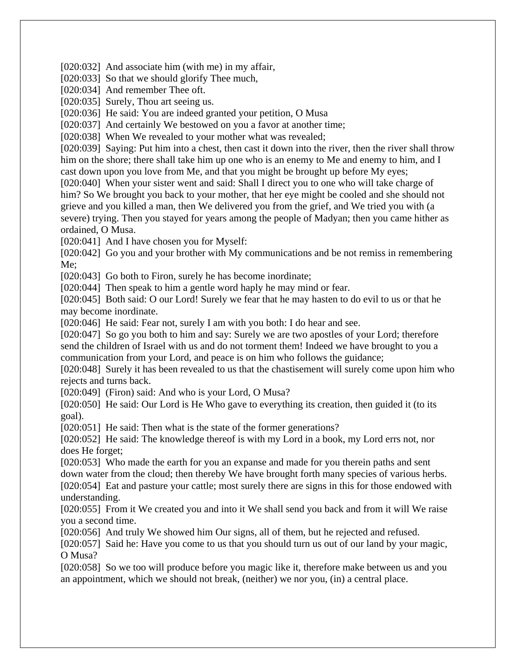[020:032] And associate him (with me) in my affair,

[020:033] So that we should glorify Thee much,

[020:034] And remember Thee oft.

[020:035] Surely, Thou art seeing us.

[020:036] He said: You are indeed granted your petition, O Musa

[020:037] And certainly We bestowed on you a favor at another time;

[020:038] When We revealed to your mother what was revealed;

[020:039] Saying: Put him into a chest, then cast it down into the river, then the river shall throw him on the shore; there shall take him up one who is an enemy to Me and enemy to him, and I cast down upon you love from Me, and that you might be brought up before My eyes;

[020:040] When your sister went and said: Shall I direct you to one who will take charge of him? So We brought you back to your mother, that her eye might be cooled and she should not grieve and you killed a man, then We delivered you from the grief, and We tried you with (a severe) trying. Then you stayed for years among the people of Madyan; then you came hither as ordained, O Musa.

[020:041] And I have chosen you for Myself:

[020:042] Go you and your brother with My communications and be not remiss in remembering Me;

[020:043] Go both to Firon, surely he has become inordinate;

[020:044] Then speak to him a gentle word haply he may mind or fear.

[020:045] Both said: O our Lord! Surely we fear that he may hasten to do evil to us or that he may become inordinate.

[020:046] He said: Fear not, surely I am with you both: I do hear and see.

[020:047] So go you both to him and say: Surely we are two apostles of your Lord; therefore send the children of Israel with us and do not torment them! Indeed we have brought to you a communication from your Lord, and peace is on him who follows the guidance;

[020:048] Surely it has been revealed to us that the chastisement will surely come upon him who rejects and turns back.

[020:049] (Firon) said: And who is your Lord, O Musa?

[020:050] He said: Our Lord is He Who gave to everything its creation, then guided it (to its goal).

[020:051] He said: Then what is the state of the former generations?

[020:052] He said: The knowledge thereof is with my Lord in a book, my Lord errs not, nor does He forget;

[020:053] Who made the earth for you an expanse and made for you therein paths and sent down water from the cloud; then thereby We have brought forth many species of various herbs. [020:054] Eat and pasture your cattle; most surely there are signs in this for those endowed with understanding.

[020:055] From it We created you and into it We shall send you back and from it will We raise you a second time.

[020:056] And truly We showed him Our signs, all of them, but he rejected and refused.

[020:057] Said he: Have you come to us that you should turn us out of our land by your magic, O Musa?

[020:058] So we too will produce before you magic like it, therefore make between us and you an appointment, which we should not break, (neither) we nor you, (in) a central place.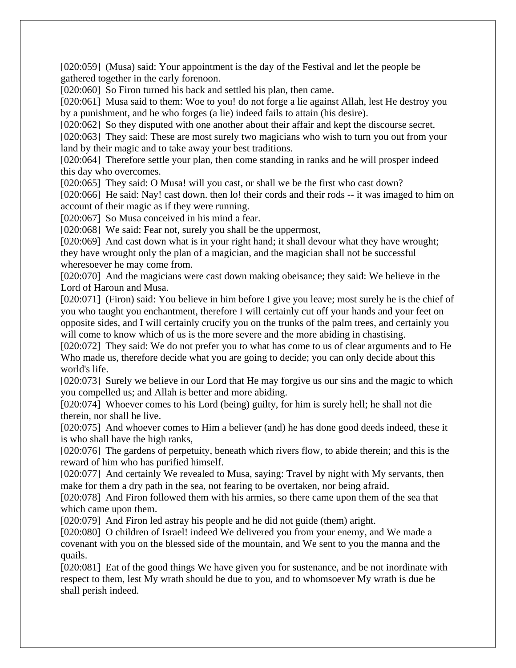[020:059] (Musa) said: Your appointment is the day of the Festival and let the people be gathered together in the early forenoon.

[020:060] So Firon turned his back and settled his plan, then came.

[020:061] Musa said to them: Woe to you! do not forge a lie against Allah, lest He destroy you by a punishment, and he who forges (a lie) indeed fails to attain (his desire).

[020:062] So they disputed with one another about their affair and kept the discourse secret.

[020:063] They said: These are most surely two magicians who wish to turn you out from your land by their magic and to take away your best traditions.

[020:064] Therefore settle your plan, then come standing in ranks and he will prosper indeed this day who overcomes.

[020:065] They said: O Musa! will you cast, or shall we be the first who cast down?

[020:066] He said: Nay! cast down. then lo! their cords and their rods -- it was imaged to him on account of their magic as if they were running.

[020:067] So Musa conceived in his mind a fear.

[020:068] We said: Fear not, surely you shall be the uppermost,

[020:069] And cast down what is in your right hand; it shall devour what they have wrought; they have wrought only the plan of a magician, and the magician shall not be successful wheresoever he may come from.

[020:070] And the magicians were cast down making obeisance; they said: We believe in the Lord of Haroun and Musa.

[020:071] (Firon) said: You believe in him before I give you leave; most surely he is the chief of you who taught you enchantment, therefore I will certainly cut off your hands and your feet on opposite sides, and I will certainly crucify you on the trunks of the palm trees, and certainly you will come to know which of us is the more severe and the more abiding in chastising.

[020:072] They said: We do not prefer you to what has come to us of clear arguments and to He Who made us, therefore decide what you are going to decide; you can only decide about this world's life.

[020:073] Surely we believe in our Lord that He may forgive us our sins and the magic to which you compelled us; and Allah is better and more abiding.

[020:074] Whoever comes to his Lord (being) guilty, for him is surely hell; he shall not die therein, nor shall he live.

[020:075] And whoever comes to Him a believer (and) he has done good deeds indeed, these it is who shall have the high ranks,

[020:076] The gardens of perpetuity, beneath which rivers flow, to abide therein; and this is the reward of him who has purified himself.

[020:077] And certainly We revealed to Musa, saying: Travel by night with My servants, then make for them a dry path in the sea, not fearing to be overtaken, nor being afraid.

[020:078] And Firon followed them with his armies, so there came upon them of the sea that which came upon them.

[020:079] And Firon led astray his people and he did not guide (them) aright.

[020:080] O children of Israel! indeed We delivered you from your enemy, and We made a covenant with you on the blessed side of the mountain, and We sent to you the manna and the quails.

[020:081] Eat of the good things We have given you for sustenance, and be not inordinate with respect to them, lest My wrath should be due to you, and to whomsoever My wrath is due be shall perish indeed.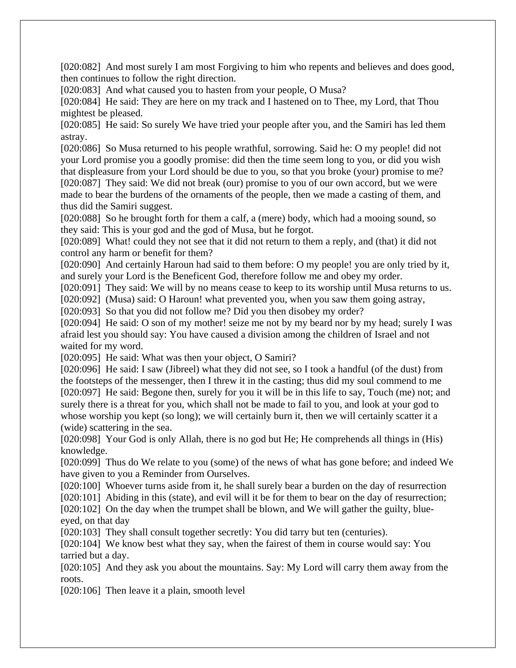[020:082] And most surely I am most Forgiving to him who repents and believes and does good, then continues to follow the right direction.

[020:083] And what caused you to hasten from your people, O Musa?

[020:084] He said: They are here on my track and I hastened on to Thee, my Lord, that Thou mightest be pleased.

[020:085] He said: So surely We have tried your people after you, and the Samiri has led them astray.

[020:086] So Musa returned to his people wrathful, sorrowing. Said he: O my people! did not your Lord promise you a goodly promise: did then the time seem long to you, or did you wish that displeasure from your Lord should be due to you, so that you broke (your) promise to me? [020:087] They said: We did not break (our) promise to you of our own accord, but we were made to bear the burdens of the ornaments of the people, then we made a casting of them, and thus did the Samiri suggest.

[020:088] So he brought forth for them a calf, a (mere) body, which had a mooing sound, so they said: This is your god and the god of Musa, but he forgot.

[020:089] What! could they not see that it did not return to them a reply, and (that) it did not control any harm or benefit for them?

[020:090] And certainly Haroun had said to them before: O my people! you are only tried by it, and surely your Lord is the Beneficent God, therefore follow me and obey my order.

[020:091] They said: We will by no means cease to keep to its worship until Musa returns to us.

[020:092] (Musa) said: O Haroun! what prevented you, when you saw them going astray,

[020:093] So that you did not follow me? Did you then disobey my order?

[020:094] He said: O son of my mother! seize me not by my beard nor by my head; surely I was afraid lest you should say: You have caused a division among the children of Israel and not waited for my word.

[020:095] He said: What was then your object, O Samiri?

[020:096] He said: I saw (Jibreel) what they did not see, so I took a handful (of the dust) from the footsteps of the messenger, then I threw it in the casting; thus did my soul commend to me [020:097] He said: Begone then, surely for you it will be in this life to say, Touch (me) not; and surely there is a threat for you, which shall not be made to fail to you, and look at your god to whose worship you kept (so long); we will certainly burn it, then we will certainly scatter it a (wide) scattering in the sea.

[020:098] Your God is only Allah, there is no god but He; He comprehends all things in (His) knowledge.

[020:099] Thus do We relate to you (some) of the news of what has gone before; and indeed We have given to you a Reminder from Ourselves.

[020:100] Whoever turns aside from it, he shall surely bear a burden on the day of resurrection [020:101] Abiding in this (state), and evil will it be for them to bear on the day of resurrection;

[020:102] On the day when the trumpet shall be blown, and We will gather the guilty, blueeyed, on that day

[020:103] They shall consult together secretly: You did tarry but ten (centuries).

[020:104] We know best what they say, when the fairest of them in course would say: You tarried but a day.

[020:105] And they ask you about the mountains. Say: My Lord will carry them away from the roots.

[020:106] Then leave it a plain, smooth level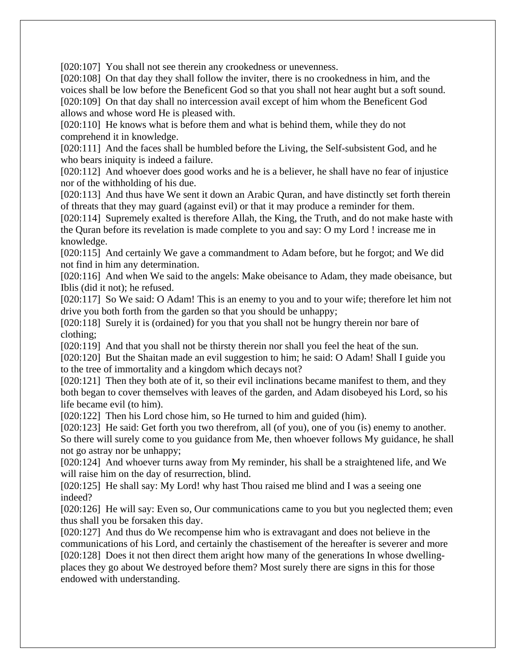[020:107] You shall not see therein any crookedness or unevenness.

[020:108] On that day they shall follow the inviter, there is no crookedness in him, and the voices shall be low before the Beneficent God so that you shall not hear aught but a soft sound. [020:109] On that day shall no intercession avail except of him whom the Beneficent God allows and whose word He is pleased with.

[020:110] He knows what is before them and what is behind them, while they do not comprehend it in knowledge.

[020:111] And the faces shall be humbled before the Living, the Self-subsistent God, and he who bears iniquity is indeed a failure.

[020:112] And whoever does good works and he is a believer, he shall have no fear of injustice nor of the withholding of his due.

[020:113] And thus have We sent it down an Arabic Quran, and have distinctly set forth therein of threats that they may guard (against evil) or that it may produce a reminder for them.

[020:114] Supremely exalted is therefore Allah, the King, the Truth, and do not make haste with the Quran before its revelation is made complete to you and say: O my Lord ! increase me in knowledge.

[020:115] And certainly We gave a commandment to Adam before, but he forgot; and We did not find in him any determination.

[020:116] And when We said to the angels: Make obeisance to Adam, they made obeisance, but Iblis (did it not); he refused.

[020:117] So We said: O Adam! This is an enemy to you and to your wife; therefore let him not drive you both forth from the garden so that you should be unhappy;

[020:118] Surely it is (ordained) for you that you shall not be hungry therein nor bare of clothing;

[020:119] And that you shall not be thirsty therein nor shall you feel the heat of the sun.

[020:120] But the Shaitan made an evil suggestion to him; he said: O Adam! Shall I guide you to the tree of immortality and a kingdom which decays not?

[020:121] Then they both ate of it, so their evil inclinations became manifest to them, and they both began to cover themselves with leaves of the garden, and Adam disobeyed his Lord, so his life became evil (to him).

[020:122] Then his Lord chose him, so He turned to him and guided (him).

[020:123] He said: Get forth you two therefrom, all (of you), one of you (is) enemy to another. So there will surely come to you guidance from Me, then whoever follows My guidance, he shall not go astray nor be unhappy;

[020:124] And whoever turns away from My reminder, his shall be a straightened life, and We will raise him on the day of resurrection, blind.

[020:125] He shall say: My Lord! why hast Thou raised me blind and I was a seeing one indeed?

[020:126] He will say: Even so, Our communications came to you but you neglected them; even thus shall you be forsaken this day.

[020:127] And thus do We recompense him who is extravagant and does not believe in the communications of his Lord, and certainly the chastisement of the hereafter is severer and more [020:128] Does it not then direct them aright how many of the generations In whose dwellingplaces they go about We destroyed before them? Most surely there are signs in this for those endowed with understanding.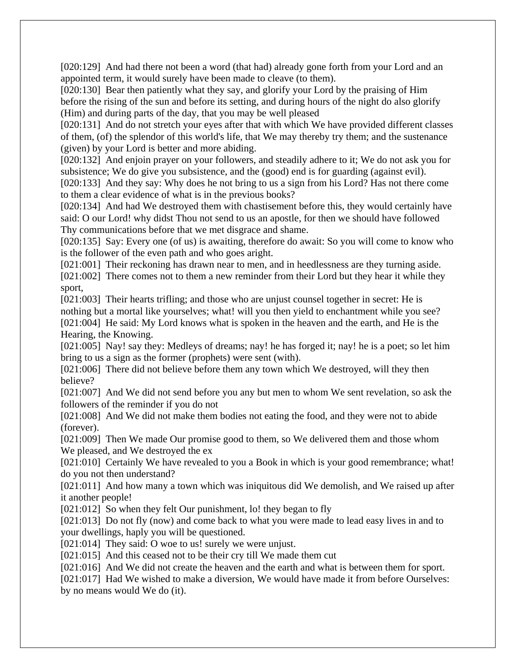[020:129] And had there not been a word (that had) already gone forth from your Lord and an appointed term, it would surely have been made to cleave (to them).

[020:130] Bear then patiently what they say, and glorify your Lord by the praising of Him before the rising of the sun and before its setting, and during hours of the night do also glorify (Him) and during parts of the day, that you may be well pleased

[020:131] And do not stretch your eyes after that with which We have provided different classes of them, (of) the splendor of this world's life, that We may thereby try them; and the sustenance (given) by your Lord is better and more abiding.

[020:132] And enjoin prayer on your followers, and steadily adhere to it; We do not ask you for subsistence; We do give you subsistence, and the (good) end is for guarding (against evil).

[020:133] And they say: Why does he not bring to us a sign from his Lord? Has not there come to them a clear evidence of what is in the previous books?

[020:134] And had We destroyed them with chastisement before this, they would certainly have said: O our Lord! why didst Thou not send to us an apostle, for then we should have followed Thy communications before that we met disgrace and shame.

[020:135] Say: Every one (of us) is awaiting, therefore do await: So you will come to know who is the follower of the even path and who goes aright.

[021:001] Their reckoning has drawn near to men, and in heedlessness are they turning aside.

[021:002] There comes not to them a new reminder from their Lord but they hear it while they sport,

[021:003] Their hearts trifling; and those who are unjust counsel together in secret: He is nothing but a mortal like yourselves; what! will you then yield to enchantment while you see? [021:004] He said: My Lord knows what is spoken in the heaven and the earth, and He is the Hearing, the Knowing.

[021:005] Nay! say they: Medleys of dreams; nay! he has forged it; nay! he is a poet; so let him bring to us a sign as the former (prophets) were sent (with).

[021:006] There did not believe before them any town which We destroyed, will they then believe?

[021:007] And We did not send before you any but men to whom We sent revelation, so ask the followers of the reminder if you do not

[021:008] And We did not make them bodies not eating the food, and they were not to abide (forever).

[021:009] Then We made Our promise good to them, so We delivered them and those whom We pleased, and We destroyed the ex

[021:010] Certainly We have revealed to you a Book in which is your good remembrance; what! do you not then understand?

[021:011] And how many a town which was iniquitous did We demolish, and We raised up after it another people!

[021:012] So when they felt Our punishment, lo! they began to fly

[021:013] Do not fly (now) and come back to what you were made to lead easy lives in and to your dwellings, haply you will be questioned.

[021:014] They said: O woe to us! surely we were unjust.

[021:015] And this ceased not to be their cry till We made them cut

[021:016] And We did not create the heaven and the earth and what is between them for sport.

[021:017] Had We wished to make a diversion, We would have made it from before Ourselves: by no means would We do (it).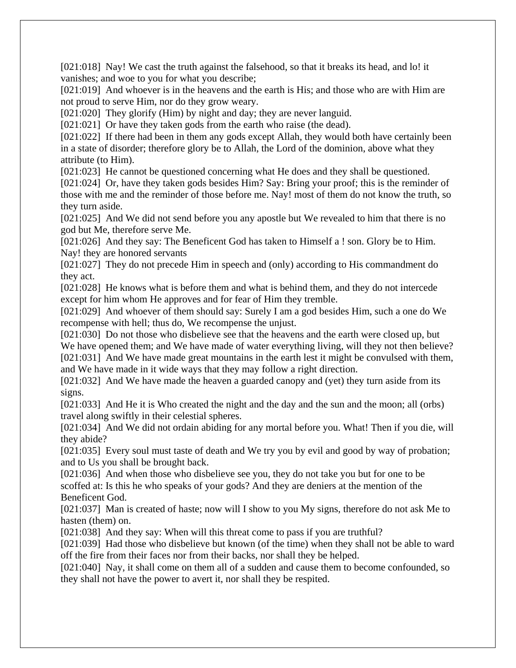[021:018] Nay! We cast the truth against the falsehood, so that it breaks its head, and lo! it vanishes; and woe to you for what you describe;

[021:019] And whoever is in the heavens and the earth is His; and those who are with Him are not proud to serve Him, nor do they grow weary.

[021:020] They glorify (Him) by night and day; they are never languid.

[021:021] Or have they taken gods from the earth who raise (the dead).

[021:022] If there had been in them any gods except Allah, they would both have certainly been in a state of disorder; therefore glory be to Allah, the Lord of the dominion, above what they attribute (to Him).

[021:023] He cannot be questioned concerning what He does and they shall be questioned.

[021:024] Or, have they taken gods besides Him? Say: Bring your proof; this is the reminder of those with me and the reminder of those before me. Nay! most of them do not know the truth, so they turn aside.

[021:025] And We did not send before you any apostle but We revealed to him that there is no god but Me, therefore serve Me.

[021:026] And they say: The Beneficent God has taken to Himself a ! son. Glory be to Him. Nay! they are honored servants

[021:027] They do not precede Him in speech and (only) according to His commandment do they act.

[021:028] He knows what is before them and what is behind them, and they do not intercede except for him whom He approves and for fear of Him they tremble.

[021:029] And whoever of them should say: Surely I am a god besides Him, such a one do We recompense with hell; thus do, We recompense the unjust.

[021:030] Do not those who disbelieve see that the heavens and the earth were closed up, but We have opened them; and We have made of water everything living, will they not then believe? [021:031] And We have made great mountains in the earth lest it might be convulsed with them, and We have made in it wide ways that they may follow a right direction.

[021:032] And We have made the heaven a guarded canopy and (yet) they turn aside from its signs.

[021:033] And He it is Who created the night and the day and the sun and the moon; all (orbs) travel along swiftly in their celestial spheres.

[021:034] And We did not ordain abiding for any mortal before you. What! Then if you die, will they abide?

[021:035] Every soul must taste of death and We try you by evil and good by way of probation; and to Us you shall be brought back.

[021:036] And when those who disbelieve see you, they do not take you but for one to be scoffed at: Is this he who speaks of your gods? And they are deniers at the mention of the Beneficent God.

[021:037] Man is created of haste; now will I show to you My signs, therefore do not ask Me to hasten (them) on.

[021:038] And they say: When will this threat come to pass if you are truthful?

[021:039] Had those who disbelieve but known (of the time) when they shall not be able to ward off the fire from their faces nor from their backs, nor shall they be helped.

[021:040] Nay, it shall come on them all of a sudden and cause them to become confounded, so they shall not have the power to avert it, nor shall they be respited.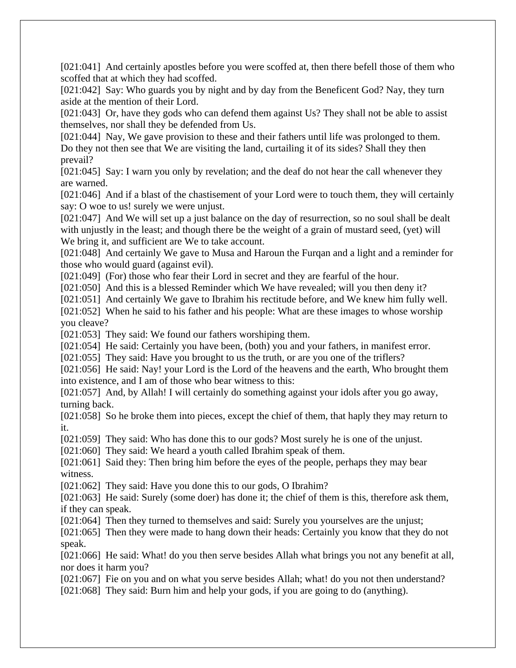[021:041] And certainly apostles before you were scoffed at, then there befell those of them who scoffed that at which they had scoffed.

[021:042] Say: Who guards you by night and by day from the Beneficent God? Nay, they turn aside at the mention of their Lord.

[021:043] Or, have they gods who can defend them against Us? They shall not be able to assist themselves, nor shall they be defended from Us.

[021:044] Nay, We gave provision to these and their fathers until life was prolonged to them. Do they not then see that We are visiting the land, curtailing it of its sides? Shall they then prevail?

[021:045] Say: I warn you only by revelation; and the deaf do not hear the call whenever they are warned.

[021:046] And if a blast of the chastisement of your Lord were to touch them, they will certainly say: O woe to us! surely we were unjust.

[021:047] And We will set up a just balance on the day of resurrection, so no soul shall be dealt with unjustly in the least; and though there be the weight of a grain of mustard seed, (yet) will We bring it, and sufficient are We to take account.

[021:048] And certainly We gave to Musa and Haroun the Furqan and a light and a reminder for those who would guard (against evil).

[021:049] (For) those who fear their Lord in secret and they are fearful of the hour.

[021:050] And this is a blessed Reminder which We have revealed; will you then deny it?

[021:051] And certainly We gave to Ibrahim his rectitude before, and We knew him fully well.

[021:052] When he said to his father and his people: What are these images to whose worship you cleave?

[021:053] They said: We found our fathers worshiping them.

[021:054] He said: Certainly you have been, (both) you and your fathers, in manifest error.

[021:055] They said: Have you brought to us the truth, or are you one of the triflers?

[021:056] He said: Nay! your Lord is the Lord of the heavens and the earth, Who brought them into existence, and I am of those who bear witness to this:

[021:057] And, by Allah! I will certainly do something against your idols after you go away, turning back.

[021:058] So he broke them into pieces, except the chief of them, that haply they may return to it.

[021:059] They said: Who has done this to our gods? Most surely he is one of the unjust.

[021:060] They said: We heard a youth called Ibrahim speak of them.

[021:061] Said they: Then bring him before the eyes of the people, perhaps they may bear witness.

[021:062] They said: Have you done this to our gods, O Ibrahim?

[021:063] He said: Surely (some doer) has done it; the chief of them is this, therefore ask them, if they can speak.

[021:064] Then they turned to themselves and said: Surely you yourselves are the unjust;

[021:065] Then they were made to hang down their heads: Certainly you know that they do not speak.

[021:066] He said: What! do you then serve besides Allah what brings you not any benefit at all, nor does it harm you?

[021:067] Fie on you and on what you serve besides Allah; what! do you not then understand?

[021:068] They said: Burn him and help your gods, if you are going to do (anything).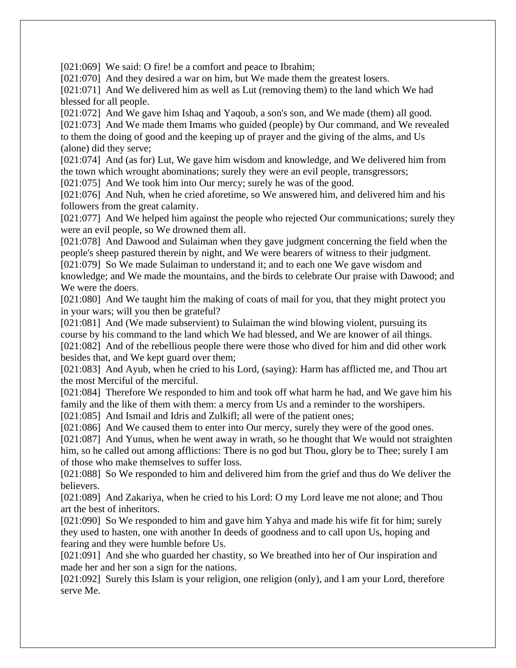[021:069] We said: O fire! be a comfort and peace to Ibrahim;

[021:070] And they desired a war on him, but We made them the greatest losers.

[021:071] And We delivered him as well as Lut (removing them) to the land which We had blessed for all people.

[021:072] And We gave him Ishaq and Yaqoub, a son's son, and We made (them) all good. [021:073] And We made them Imams who guided (people) by Our command, and We revealed to them the doing of good and the keeping up of prayer and the giving of the alms, and Us (alone) did they serve;

[021:074] And (as for) Lut, We gave him wisdom and knowledge, and We delivered him from the town which wrought abominations; surely they were an evil people, transgressors;

[021:075] And We took him into Our mercy; surely he was of the good.

[021:076] And Nuh, when he cried aforetime, so We answered him, and delivered him and his followers from the great calamity.

[021:077] And We helped him against the people who rejected Our communications; surely they were an evil people, so We drowned them all.

[021:078] And Dawood and Sulaiman when they gave judgment concerning the field when the people's sheep pastured therein by night, and We were bearers of witness to their judgment.

[021:079] So We made Sulaiman to understand it; and to each one We gave wisdom and knowledge; and We made the mountains, and the birds to celebrate Our praise with Dawood; and We were the doers.

[021:080] And We taught him the making of coats of mail for you, that they might protect you in your wars; will you then be grateful?

[021:081] And (We made subservient) to Sulaiman the wind blowing violent, pursuing its course by his command to the land which We had blessed, and We are knower of ail things. [021:082] And of the rebellious people there were those who dived for him and did other work besides that, and We kept guard over them;

[021:083] And Ayub, when he cried to his Lord, (saying): Harm has afflicted me, and Thou art the most Merciful of the merciful.

[021:084] Therefore We responded to him and took off what harm he had, and We gave him his family and the like of them with them: a mercy from Us and a reminder to the worshipers.

[021:085] And Ismail and Idris and Zulkifl; all were of the patient ones;

[021:086] And We caused them to enter into Our mercy, surely they were of the good ones.

[021:087] And Yunus, when he went away in wrath, so he thought that We would not straighten him, so he called out among afflictions: There is no god but Thou, glory be to Thee; surely I am of those who make themselves to suffer loss.

[021:088] So We responded to him and delivered him from the grief and thus do We deliver the believers.

[021:089] And Zakariya, when he cried to his Lord: O my Lord leave me not alone; and Thou art the best of inheritors.

[021:090] So We responded to him and gave him Yahya and made his wife fit for him; surely they used to hasten, one with another In deeds of goodness and to call upon Us, hoping and fearing and they were humble before Us.

[021:091] And she who guarded her chastity, so We breathed into her of Our inspiration and made her and her son a sign for the nations.

[021:092] Surely this Islam is your religion, one religion (only), and I am your Lord, therefore serve Me.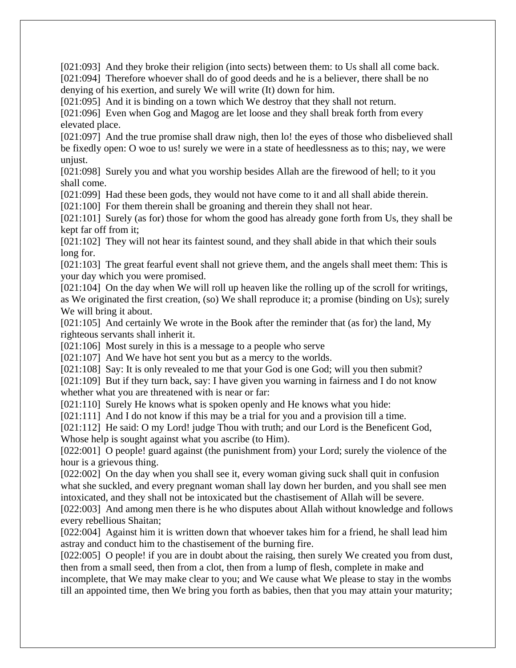[021:093] And they broke their religion (into sects) between them: to Us shall all come back.

[021:094] Therefore whoever shall do of good deeds and he is a believer, there shall be no denying of his exertion, and surely We will write (It) down for him.

[021:095] And it is binding on a town which We destroy that they shall not return.

[021:096] Even when Gog and Magog are let loose and they shall break forth from every elevated place.

[021:097] And the true promise shall draw nigh, then lo! the eyes of those who disbelieved shall be fixedly open: O woe to us! surely we were in a state of heedlessness as to this; nay, we were unjust.

[021:098] Surely you and what you worship besides Allah are the firewood of hell; to it you shall come.

[021:099] Had these been gods, they would not have come to it and all shall abide therein.

[021:100] For them therein shall be groaning and therein they shall not hear.

[021:101] Surely (as for) those for whom the good has already gone forth from Us, they shall be kept far off from it;

[021:102] They will not hear its faintest sound, and they shall abide in that which their souls long for.

[021:103] The great fearful event shall not grieve them, and the angels shall meet them: This is your day which you were promised.

[021:104] On the day when We will roll up heaven like the rolling up of the scroll for writings, as We originated the first creation, (so) We shall reproduce it; a promise (binding on Us); surely We will bring it about.

[021:105] And certainly We wrote in the Book after the reminder that (as for) the land, My righteous servants shall inherit it.

[021:106] Most surely in this is a message to a people who serve

[021:107] And We have hot sent you but as a mercy to the worlds.

[021:108] Say: It is only revealed to me that your God is one God; will you then submit?

[021:109] But if they turn back, say: I have given you warning in fairness and I do not know whether what you are threatened with is near or far:

[021:110] Surely He knows what is spoken openly and He knows what you hide:

[021:111] And I do not know if this may be a trial for you and a provision till a time.

[021:112] He said: O my Lord! judge Thou with truth; and our Lord is the Beneficent God, Whose help is sought against what you ascribe (to Him).

[022:001] O people! guard against (the punishment from) your Lord; surely the violence of the hour is a grievous thing.

[022:002] On the day when you shall see it, every woman giving suck shall quit in confusion what she suckled, and every pregnant woman shall lay down her burden, and you shall see men intoxicated, and they shall not be intoxicated but the chastisement of Allah will be severe.

[022:003] And among men there is he who disputes about Allah without knowledge and follows every rebellious Shaitan;

[022:004] Against him it is written down that whoever takes him for a friend, he shall lead him astray and conduct him to the chastisement of the burning fire.

[022:005] O people! if you are in doubt about the raising, then surely We created you from dust, then from a small seed, then from a clot, then from a lump of flesh, complete in make and incomplete, that We may make clear to you; and We cause what We please to stay in the wombs till an appointed time, then We bring you forth as babies, then that you may attain your maturity;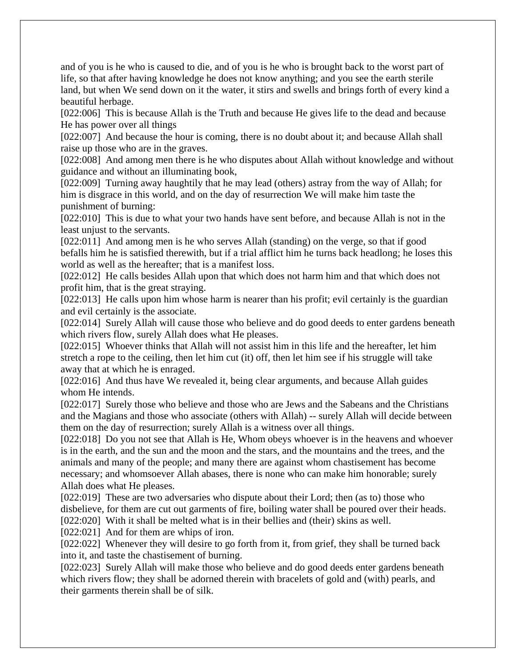and of you is he who is caused to die, and of you is he who is brought back to the worst part of life, so that after having knowledge he does not know anything; and you see the earth sterile land, but when We send down on it the water, it stirs and swells and brings forth of every kind a beautiful herbage.

[022:006] This is because Allah is the Truth and because He gives life to the dead and because He has power over all things

[022:007] And because the hour is coming, there is no doubt about it; and because Allah shall raise up those who are in the graves.

[022:008] And among men there is he who disputes about Allah without knowledge and without guidance and without an illuminating book,

[022:009] Turning away haughtily that he may lead (others) astray from the way of Allah; for him is disgrace in this world, and on the day of resurrection We will make him taste the punishment of burning:

[022:010] This is due to what your two hands have sent before, and because Allah is not in the least unjust to the servants.

[022:011] And among men is he who serves Allah (standing) on the verge, so that if good befalls him he is satisfied therewith, but if a trial afflict him he turns back headlong; he loses this world as well as the hereafter; that is a manifest loss.

[022:012] He calls besides Allah upon that which does not harm him and that which does not profit him, that is the great straying.

[022:013] He calls upon him whose harm is nearer than his profit; evil certainly is the guardian and evil certainly is the associate.

[022:014] Surely Allah will cause those who believe and do good deeds to enter gardens beneath which rivers flow, surely Allah does what He pleases.

[022:015] Whoever thinks that Allah will not assist him in this life and the hereafter, let him stretch a rope to the ceiling, then let him cut (it) off, then let him see if his struggle will take away that at which he is enraged.

[022:016] And thus have We revealed it, being clear arguments, and because Allah guides whom He intends.

[022:017] Surely those who believe and those who are Jews and the Sabeans and the Christians and the Magians and those who associate (others with Allah) -- surely Allah will decide between them on the day of resurrection; surely Allah is a witness over all things.

[022:018] Do you not see that Allah is He, Whom obeys whoever is in the heavens and whoever is in the earth, and the sun and the moon and the stars, and the mountains and the trees, and the animals and many of the people; and many there are against whom chastisement has become necessary; and whomsoever Allah abases, there is none who can make him honorable; surely Allah does what He pleases.

[022:019] These are two adversaries who dispute about their Lord; then (as to) those who disbelieve, for them are cut out garments of fire, boiling water shall be poured over their heads. [022:020] With it shall be melted what is in their bellies and (their) skins as well.

[022:021] And for them are whips of iron.

[022:022] Whenever they will desire to go forth from it, from grief, they shall be turned back into it, and taste the chastisement of burning.

[022:023] Surely Allah will make those who believe and do good deeds enter gardens beneath which rivers flow; they shall be adorned therein with bracelets of gold and (with) pearls, and their garments therein shall be of silk.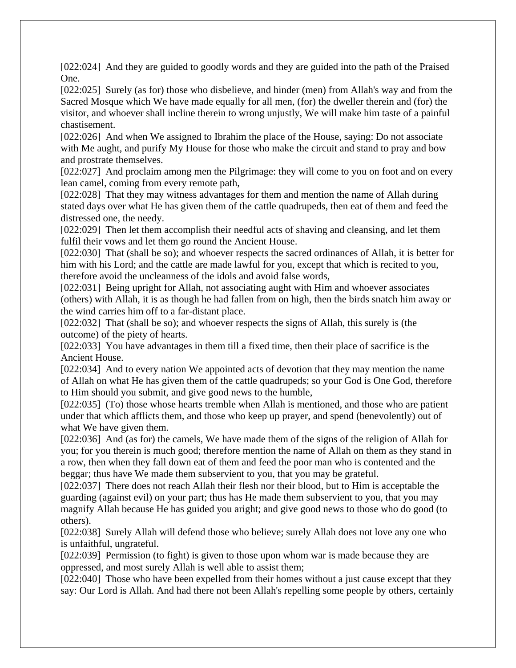[022:024] And they are guided to goodly words and they are guided into the path of the Praised One.

[022:025] Surely (as for) those who disbelieve, and hinder (men) from Allah's way and from the Sacred Mosque which We have made equally for all men, (for) the dweller therein and (for) the visitor, and whoever shall incline therein to wrong unjustly, We will make him taste of a painful chastisement.

[022:026] And when We assigned to Ibrahim the place of the House, saying: Do not associate with Me aught, and purify My House for those who make the circuit and stand to pray and bow and prostrate themselves.

[022:027] And proclaim among men the Pilgrimage: they will come to you on foot and on every lean camel, coming from every remote path,

[022:028] That they may witness advantages for them and mention the name of Allah during stated days over what He has given them of the cattle quadrupeds, then eat of them and feed the distressed one, the needy.

[022:029] Then let them accomplish their needful acts of shaving and cleansing, and let them fulfil their vows and let them go round the Ancient House.

[022:030] That (shall be so); and whoever respects the sacred ordinances of Allah, it is better for him with his Lord; and the cattle are made lawful for you, except that which is recited to you, therefore avoid the uncleanness of the idols and avoid false words,

[022:031] Being upright for Allah, not associating aught with Him and whoever associates (others) with Allah, it is as though he had fallen from on high, then the birds snatch him away or the wind carries him off to a far-distant place.

[022:032] That (shall be so); and whoever respects the signs of Allah, this surely is (the outcome) of the piety of hearts.

[022:033] You have advantages in them till a fixed time, then their place of sacrifice is the Ancient House.

[022:034] And to every nation We appointed acts of devotion that they may mention the name of Allah on what He has given them of the cattle quadrupeds; so your God is One God, therefore to Him should you submit, and give good news to the humble,

[022:035] (To) those whose hearts tremble when Allah is mentioned, and those who are patient under that which afflicts them, and those who keep up prayer, and spend (benevolently) out of what We have given them.

[022:036] And (as for) the camels, We have made them of the signs of the religion of Allah for you; for you therein is much good; therefore mention the name of Allah on them as they stand in a row, then when they fall down eat of them and feed the poor man who is contented and the beggar; thus have We made them subservient to you, that you may be grateful.

[022:037] There does not reach Allah their flesh nor their blood, but to Him is acceptable the guarding (against evil) on your part; thus has He made them subservient to you, that you may magnify Allah because He has guided you aright; and give good news to those who do good (to others).

[022:038] Surely Allah will defend those who believe; surely Allah does not love any one who is unfaithful, ungrateful.

[022:039] Permission (to fight) is given to those upon whom war is made because they are oppressed, and most surely Allah is well able to assist them;

[022:040] Those who have been expelled from their homes without a just cause except that they say: Our Lord is Allah. And had there not been Allah's repelling some people by others, certainly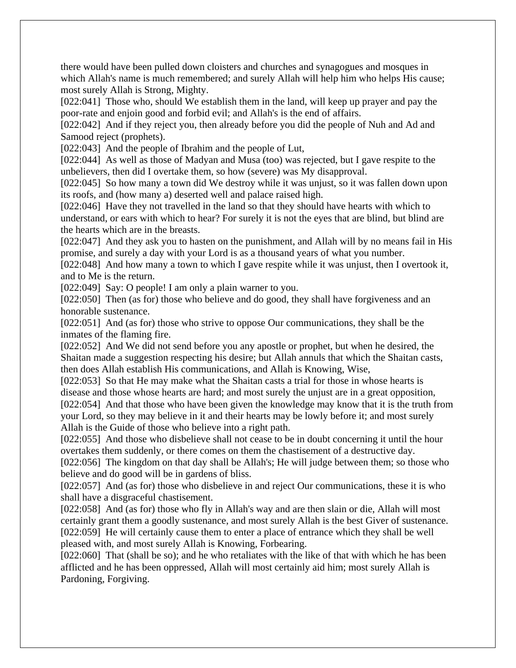there would have been pulled down cloisters and churches and synagogues and mosques in which Allah's name is much remembered; and surely Allah will help him who helps His cause; most surely Allah is Strong, Mighty.

[022:041] Those who, should We establish them in the land, will keep up prayer and pay the poor-rate and enjoin good and forbid evil; and Allah's is the end of affairs.

[022:042] And if they reject you, then already before you did the people of Nuh and Ad and Samood reject (prophets).

[022:043] And the people of Ibrahim and the people of Lut,

[022:044] As well as those of Madyan and Musa (too) was rejected, but I gave respite to the unbelievers, then did I overtake them, so how (severe) was My disapproval.

[022:045] So how many a town did We destroy while it was unjust, so it was fallen down upon its roofs, and (how many a) deserted well and palace raised high.

[022:046] Have they not travelled in the land so that they should have hearts with which to understand, or ears with which to hear? For surely it is not the eyes that are blind, but blind are the hearts which are in the breasts.

[022:047] And they ask you to hasten on the punishment, and Allah will by no means fail in His promise, and surely a day with your Lord is as a thousand years of what you number.

[022:048] And how many a town to which I gave respite while it was unjust, then I overtook it, and to Me is the return.

[022:049] Say: O people! I am only a plain warner to you.

[022:050] Then (as for) those who believe and do good, they shall have forgiveness and an honorable sustenance.

[022:051] And (as for) those who strive to oppose Our communications, they shall be the inmates of the flaming fire.

[022:052] And We did not send before you any apostle or prophet, but when he desired, the Shaitan made a suggestion respecting his desire; but Allah annuls that which the Shaitan casts, then does Allah establish His communications, and Allah is Knowing, Wise,

[022:053] So that He may make what the Shaitan casts a trial for those in whose hearts is disease and those whose hearts are hard; and most surely the unjust are in a great opposition, [022:054] And that those who have been given the knowledge may know that it is the truth from your Lord, so they may believe in it and their hearts may be lowly before it; and most surely Allah is the Guide of those who believe into a right path.

[022:055] And those who disbelieve shall not cease to be in doubt concerning it until the hour overtakes them suddenly, or there comes on them the chastisement of a destructive day.

[022:056] The kingdom on that day shall be Allah's; He will judge between them; so those who believe and do good will be in gardens of bliss.

[022:057] And (as for) those who disbelieve in and reject Our communications, these it is who shall have a disgraceful chastisement.

[022:058] And (as for) those who fly in Allah's way and are then slain or die, Allah will most certainly grant them a goodly sustenance, and most surely Allah is the best Giver of sustenance. [022:059] He will certainly cause them to enter a place of entrance which they shall be well pleased with, and most surely Allah is Knowing, Forbearing.

[022:060] That (shall be so); and he who retaliates with the like of that with which he has been afflicted and he has been oppressed, Allah will most certainly aid him; most surely Allah is Pardoning, Forgiving.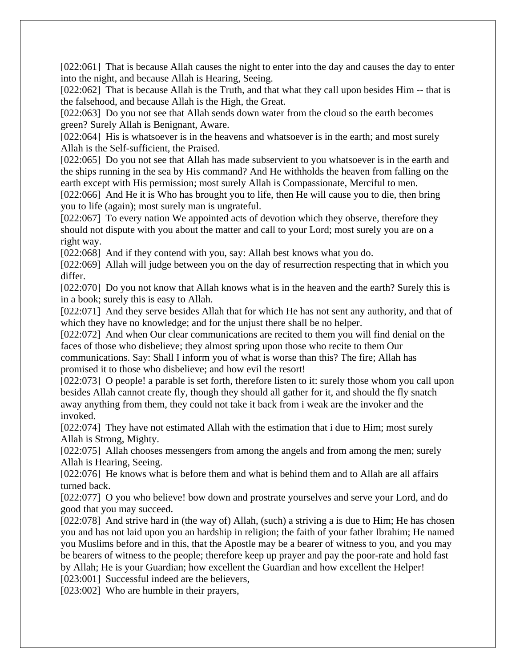[022:061] That is because Allah causes the night to enter into the day and causes the day to enter into the night, and because Allah is Hearing, Seeing.

[022:062] That is because Allah is the Truth, and that what they call upon besides Him -- that is the falsehood, and because Allah is the High, the Great.

[022:063] Do you not see that Allah sends down water from the cloud so the earth becomes green? Surely Allah is Benignant, Aware.

[022:064] His is whatsoever is in the heavens and whatsoever is in the earth; and most surely Allah is the Self-sufficient, the Praised.

[022:065] Do you not see that Allah has made subservient to you whatsoever is in the earth and the ships running in the sea by His command? And He withholds the heaven from falling on the earth except with His permission; most surely Allah is Compassionate, Merciful to men.

[022:066] And He it is Who has brought you to life, then He will cause you to die, then bring you to life (again); most surely man is ungrateful.

[022:067] To every nation We appointed acts of devotion which they observe, therefore they should not dispute with you about the matter and call to your Lord; most surely you are on a right way.

[022:068] And if they contend with you, say: Allah best knows what you do.

[022:069] Allah will judge between you on the day of resurrection respecting that in which you differ.

[022:070] Do you not know that Allah knows what is in the heaven and the earth? Surely this is in a book; surely this is easy to Allah.

[022:071] And they serve besides Allah that for which He has not sent any authority, and that of which they have no knowledge; and for the unjust there shall be no helper.

[022:072] And when Our clear communications are recited to them you will find denial on the faces of those who disbelieve; they almost spring upon those who recite to them Our

communications. Say: Shall I inform you of what is worse than this? The fire; Allah has promised it to those who disbelieve; and how evil the resort!

[022:073] O people! a parable is set forth, therefore listen to it: surely those whom you call upon besides Allah cannot create fly, though they should all gather for it, and should the fly snatch away anything from them, they could not take it back from i weak are the invoker and the invoked.

[022:074] They have not estimated Allah with the estimation that i due to Him; most surely Allah is Strong, Mighty.

[022:075] Allah chooses messengers from among the angels and from among the men; surely Allah is Hearing, Seeing.

[022:076] He knows what is before them and what is behind them and to Allah are all affairs turned back.

[022:077] O you who believe! bow down and prostrate yourselves and serve your Lord, and do good that you may succeed.

[022:078] And strive hard in (the way of) Allah, (such) a striving a is due to Him; He has chosen you and has not laid upon you an hardship in religion; the faith of your father Ibrahim; He named you Muslims before and in this, that the Apostle may be a bearer of witness to you, and you may be bearers of witness to the people; therefore keep up prayer and pay the poor-rate and hold fast by Allah; He is your Guardian; how excellent the Guardian and how excellent the Helper!

[023:001] Successful indeed are the believers,

[023:002] Who are humble in their prayers,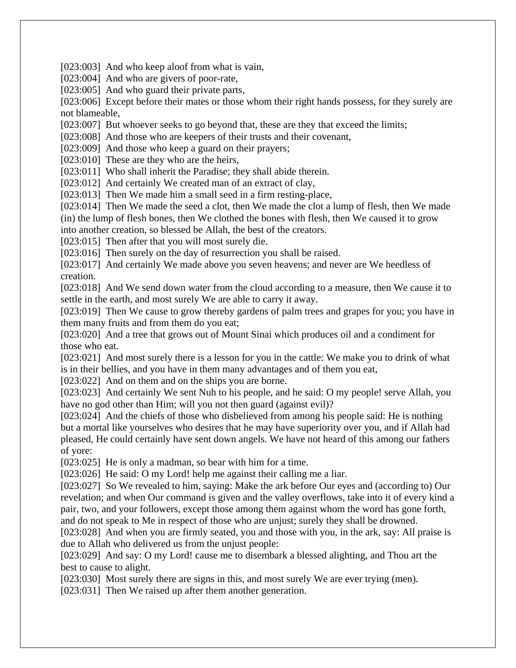[023:003] And who keep aloof from what is vain,

[023:004] And who are givers of poor-rate,

[023:005] And who guard their private parts,

[023:006] Except before their mates or those whom their right hands possess, for they surely are not blameable,

[023:007] But whoever seeks to go beyond that, these are they that exceed the limits;

[023:008] And those who are keepers of their trusts and their covenant,

[023:009] And those who keep a guard on their prayers;

[023:010] These are they who are the heirs,

[023:011] Who shall inherit the Paradise; they shall abide therein.

[023:012] And certainly We created man of an extract of clay,

[023:013] Then We made him a small seed in a firm resting-place,

[023:014] Then We made the seed a clot, then We made the clot a lump of flesh, then We made (in) the lump of flesh bones, then We clothed the bones with flesh, then We caused it to grow into another creation, so blessed be Allah, the best of the creators.

[023:015] Then after that you will most surely die.

[023:016] Then surely on the day of resurrection you shall be raised.

[023:017] And certainly We made above you seven heavens; and never are We heedless of creation.

[023:018] And We send down water from the cloud according to a measure, then We cause it to settle in the earth, and most surely We are able to carry it away.

[023:019] Then We cause to grow thereby gardens of palm trees and grapes for you; you have in them many fruits and from them do you eat;

[023:020] And a tree that grows out of Mount Sinai which produces oil and a condiment for those who eat.

[023:021] And most surely there is a lesson for you in the cattle: We make you to drink of what is in their bellies, and you have in them many advantages and of them you eat,

[023:022] And on them and on the ships you are borne.

[023:023] And certainly We sent Nuh to his people, and he said: O my people! serve Allah, you have no god other than Him; will you not then guard (against evil)?

[023:024] And the chiefs of those who disbelieved from among his people said: He is nothing but a mortal like yourselves who desires that he may have superiority over you, and if Allah had pleased, He could certainly have sent down angels. We have not heard of this among our fathers of yore:

[023:025] He is only a madman, so bear with him for a time.

[023:026] He said: O my Lord! help me against their calling me a liar.

[023:027] So We revealed to him, saying: Make the ark before Our eyes and (according to) Our revelation; and when Our command is given and the valley overflows, take into it of every kind a pair, two, and your followers, except those among them against whom the word has gone forth, and do not speak to Me in respect of those who are unjust; surely they shall be drowned.

[023:028] And when you are firmly seated, you and those with you, in the ark, say: All praise is due to Allah who delivered us from the unjust people:

[023:029] And say: O my Lord! cause me to disembark a blessed alighting, and Thou art the best to cause to alight.

[023:030] Most surely there are signs in this, and most surely We are ever trying (men).

[023:031] Then We raised up after them another generation.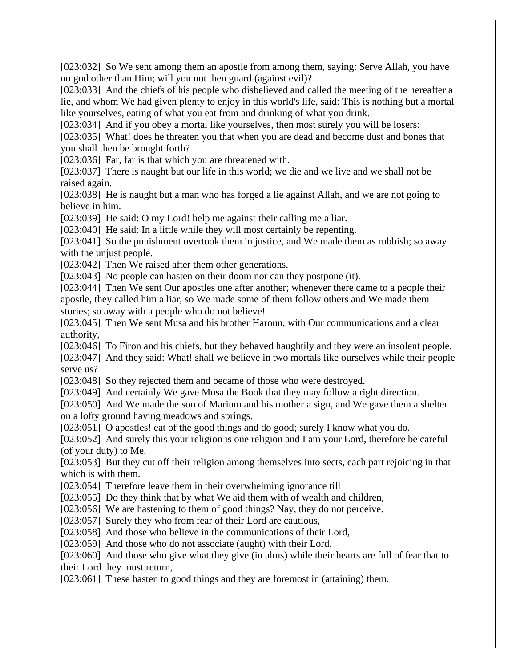[023:032] So We sent among them an apostle from among them, saying: Serve Allah, you have no god other than Him; will you not then guard (against evil)?

[023:033] And the chiefs of his people who disbelieved and called the meeting of the hereafter a lie, and whom We had given plenty to enjoy in this world's life, said: This is nothing but a mortal like yourselves, eating of what you eat from and drinking of what you drink.

[023:034] And if you obey a mortal like yourselves, then most surely you will be losers:

[023:035] What! does he threaten you that when you are dead and become dust and bones that you shall then be brought forth?

[023:036] Far, far is that which you are threatened with.

[023:037] There is naught but our life in this world; we die and we live and we shall not be raised again.

[023:038] He is naught but a man who has forged a lie against Allah, and we are not going to believe in him.

[023:039] He said: O my Lord! help me against their calling me a liar.

[023:040] He said: In a little while they will most certainly be repenting.

[023:041] So the punishment overtook them in justice, and We made them as rubbish; so away with the unjust people.

[023:042] Then We raised after them other generations.

[023:043] No people can hasten on their doom nor can they postpone (it).

[023:044] Then We sent Our apostles one after another; whenever there came to a people their apostle, they called him a liar, so We made some of them follow others and We made them stories; so away with a people who do not believe!

[023:045] Then We sent Musa and his brother Haroun, with Our communications and a clear authority,

[023:046] To Firon and his chiefs, but they behaved haughtily and they were an insolent people.

[023:047] And they said: What! shall we believe in two mortals like ourselves while their people serve us?

[023:048] So they rejected them and became of those who were destroyed.

[023:049] And certainly We gave Musa the Book that they may follow a right direction.

[023:050] And We made the son of Marium and his mother a sign, and We gave them a shelter on a lofty ground having meadows and springs.

[023:051] O apostles! eat of the good things and do good; surely I know what you do.

[023:052] And surely this your religion is one religion and I am your Lord, therefore be careful (of your duty) to Me.

[023:053] But they cut off their religion among themselves into sects, each part rejoicing in that which is with them.

[023:054] Therefore leave them in their overwhelming ignorance till

[023:055] Do they think that by what We aid them with of wealth and children,

[023:056] We are hastening to them of good things? Nay, they do not perceive.

[023:057] Surely they who from fear of their Lord are cautious,

[023:058] And those who believe in the communications of their Lord,

[023:059] And those who do not associate (aught) with their Lord,

[023:060] And those who give what they give. (in alms) while their hearts are full of fear that to their Lord they must return,

[023:061] These hasten to good things and they are foremost in (attaining) them.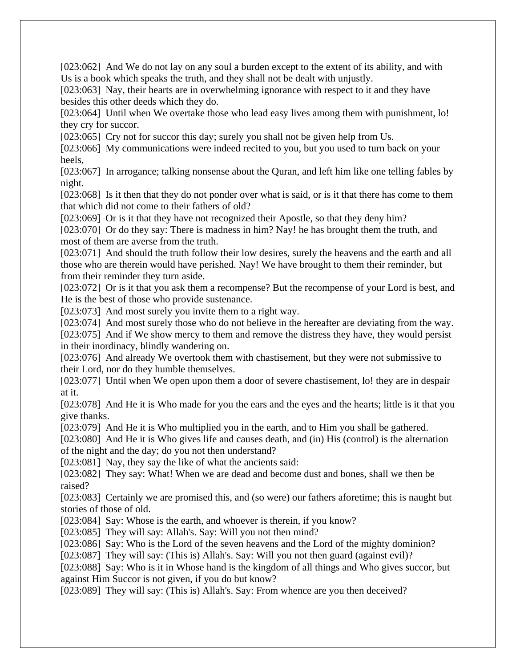[023:062] And We do not lay on any soul a burden except to the extent of its ability, and with Us is a book which speaks the truth, and they shall not be dealt with unjustly.

[023:063] Nay, their hearts are in overwhelming ignorance with respect to it and they have besides this other deeds which they do.

[023:064] Until when We overtake those who lead easy lives among them with punishment, lo! they cry for succor.

[023:065] Cry not for succor this day; surely you shall not be given help from Us.

[023:066] My communications were indeed recited to you, but you used to turn back on your heels,

[023:067] In arrogance; talking nonsense about the Quran, and left him like one telling fables by night.

[023:068] Is it then that they do not ponder over what is said, or is it that there has come to them that which did not come to their fathers of old?

[023:069] Or is it that they have not recognized their Apostle, so that they deny him? [023:070] Or do they say: There is madness in him? Nay! he has brought them the truth, and

most of them are averse from the truth.

[023:071] And should the truth follow their low desires, surely the heavens and the earth and all those who are therein would have perished. Nay! We have brought to them their reminder, but from their reminder they turn aside.

[023:072] Or is it that you ask them a recompense? But the recompense of your Lord is best, and He is the best of those who provide sustenance.

[023:073] And most surely you invite them to a right way.

[023:074] And most surely those who do not believe in the hereafter are deviating from the way.

[023:075] And if We show mercy to them and remove the distress they have, they would persist in their inordinacy, blindly wandering on.

[023:076] And already We overtook them with chastisement, but they were not submissive to their Lord, nor do they humble themselves.

[023:077] Until when We open upon them a door of severe chastisement, lo! they are in despair at it.

[023:078] And He it is Who made for you the ears and the eyes and the hearts; little is it that you give thanks.

[023:079] And He it is Who multiplied you in the earth, and to Him you shall be gathered.

[023:080] And He it is Who gives life and causes death, and (in) His (control) is the alternation of the night and the day; do you not then understand?

[023:081] Nay, they say the like of what the ancients said:

[023:082] They say: What! When we are dead and become dust and bones, shall we then be raised?

[023:083] Certainly we are promised this, and (so were) our fathers aforetime; this is naught but stories of those of old.

[023:084] Say: Whose is the earth, and whoever is therein, if you know?

[023:085] They will say: Allah's. Say: Will you not then mind?

[023:086] Say: Who is the Lord of the seven heavens and the Lord of the mighty dominion?

[023:087] They will say: (This is) Allah's. Say: Will you not then guard (against evil)?

[023:088] Say: Who is it in Whose hand is the kingdom of all things and Who gives succor, but against Him Succor is not given, if you do but know?

[023:089] They will say: (This is) Allah's. Say: From whence are you then deceived?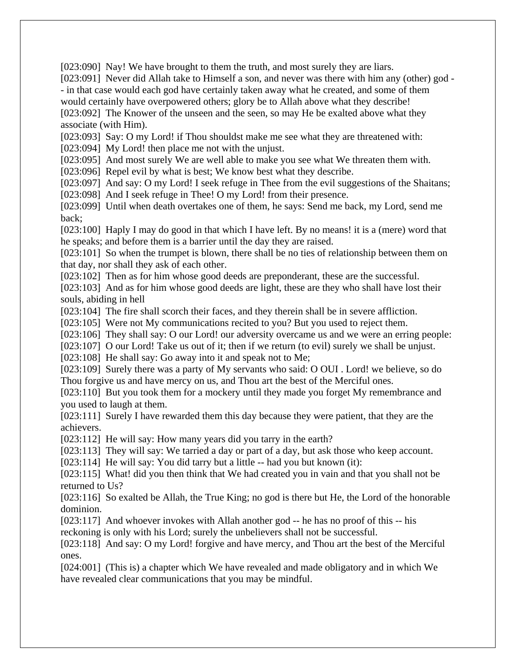[023:090] Nay! We have brought to them the truth, and most surely they are liars.

[023:091] Never did Allah take to Himself a son, and never was there with him any (other) god -- in that case would each god have certainly taken away what he created, and some of them would certainly have overpowered others; glory be to Allah above what they describe!

[023:092] The Knower of the unseen and the seen, so may He be exalted above what they associate (with Him).

[023:093] Say: O my Lord! if Thou shouldst make me see what they are threatened with:

[023:094] My Lord! then place me not with the unjust.

[023:095] And most surely We are well able to make you see what We threaten them with.

[023:096] Repel evil by what is best; We know best what they describe.

[023:097] And say: O my Lord! I seek refuge in Thee from the evil suggestions of the Shaitans; [023:098] And I seek refuge in Thee! O my Lord! from their presence.

[023:099] Until when death overtakes one of them, he says: Send me back, my Lord, send me back;

[023:100] Haply I may do good in that which I have left. By no means! it is a (mere) word that he speaks; and before them is a barrier until the day they are raised.

[023:101] So when the trumpet is blown, there shall be no ties of relationship between them on that day, nor shall they ask of each other.

[023:102] Then as for him whose good deeds are preponderant, these are the successful.

[023:103] And as for him whose good deeds are light, these are they who shall have lost their souls, abiding in hell

[023:104] The fire shall scorch their faces, and they therein shall be in severe affliction.

[023:105] Were not My communications recited to you? But you used to reject them.

[023:106] They shall say: O our Lord! our adversity overcame us and we were an erring people:

[023:107] O our Lord! Take us out of it; then if we return (to evil) surely we shall be unjust.

[023:108] He shall say: Go away into it and speak not to Me;

[023:109] Surely there was a party of My servants who said: O OUI . Lord! we believe, so do Thou forgive us and have mercy on us, and Thou art the best of the Merciful ones.

[023:110] But you took them for a mockery until they made you forget My remembrance and you used to laugh at them.

[023:111] Surely I have rewarded them this day because they were patient, that they are the achievers.

[023:112] He will say: How many years did you tarry in the earth?

[023:113] They will say: We tarried a day or part of a day, but ask those who keep account.

[023:114] He will say: You did tarry but a little -- had you but known (it):

[023:115] What! did you then think that We had created you in vain and that you shall not be returned to Us?

[023:116] So exalted be Allah, the True King; no god is there but He, the Lord of the honorable dominion.

[023:117] And whoever invokes with Allah another god -- he has no proof of this -- his reckoning is only with his Lord; surely the unbelievers shall not be successful.

[023:118] And say: O my Lord! forgive and have mercy, and Thou art the best of the Merciful ones.

[024:001] (This is) a chapter which We have revealed and made obligatory and in which We have revealed clear communications that you may be mindful.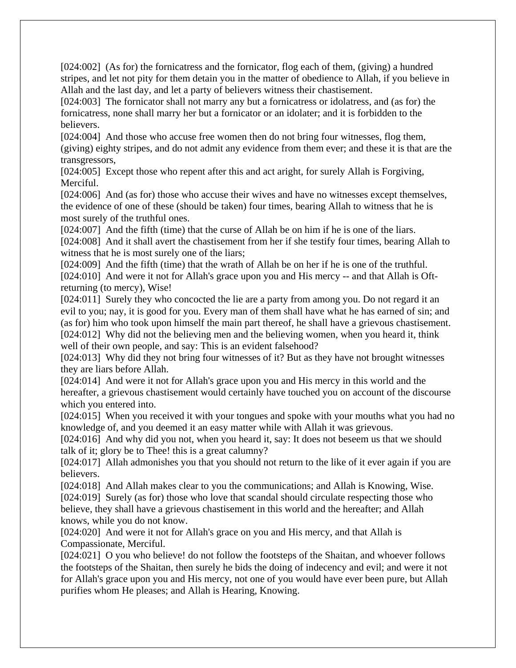[024:002] (As for) the fornicatress and the fornicator, flog each of them, (giving) a hundred stripes, and let not pity for them detain you in the matter of obedience to Allah, if you believe in Allah and the last day, and let a party of believers witness their chastisement.

[024:003] The fornicator shall not marry any but a fornicatress or idolatress, and (as for) the fornicatress, none shall marry her but a fornicator or an idolater; and it is forbidden to the believers.

[024:004] And those who accuse free women then do not bring four witnesses, flog them, (giving) eighty stripes, and do not admit any evidence from them ever; and these it is that are the transgressors,

[024:005] Except those who repent after this and act aright, for surely Allah is Forgiving, Merciful.

[024:006] And (as for) those who accuse their wives and have no witnesses except themselves, the evidence of one of these (should be taken) four times, bearing Allah to witness that he is most surely of the truthful ones.

[024:007] And the fifth (time) that the curse of Allah be on him if he is one of the liars. [024:008] And it shall avert the chastisement from her if she testify four times, bearing Allah to witness that he is most surely one of the liars;

[024:009] And the fifth (time) that the wrath of Allah be on her if he is one of the truthful. [024:010] And were it not for Allah's grace upon you and His mercy -- and that Allah is Oftreturning (to mercy), Wise!

[024:011] Surely they who concocted the lie are a party from among you. Do not regard it an evil to you; nay, it is good for you. Every man of them shall have what he has earned of sin; and (as for) him who took upon himself the main part thereof, he shall have a grievous chastisement. [024:012] Why did not the believing men and the believing women, when you heard it, think well of their own people, and say: This is an evident falsehood?

[024:013] Why did they not bring four witnesses of it? But as they have not brought witnesses they are liars before Allah.

[024:014] And were it not for Allah's grace upon you and His mercy in this world and the hereafter, a grievous chastisement would certainly have touched you on account of the discourse which you entered into.

[024:015] When you received it with your tongues and spoke with your mouths what you had no knowledge of, and you deemed it an easy matter while with Allah it was grievous.

[024:016] And why did you not, when you heard it, say: It does not beseem us that we should talk of it; glory be to Thee! this is a great calumny?

[024:017] Allah admonishes you that you should not return to the like of it ever again if you are believers.

[024:018] And Allah makes clear to you the communications; and Allah is Knowing, Wise. [024:019] Surely (as for) those who love that scandal should circulate respecting those who believe, they shall have a grievous chastisement in this world and the hereafter; and Allah knows, while you do not know.

[024:020] And were it not for Allah's grace on you and His mercy, and that Allah is Compassionate, Merciful.

[024:021] O you who believe! do not follow the footsteps of the Shaitan, and whoever follows the footsteps of the Shaitan, then surely he bids the doing of indecency and evil; and were it not for Allah's grace upon you and His mercy, not one of you would have ever been pure, but Allah purifies whom He pleases; and Allah is Hearing, Knowing.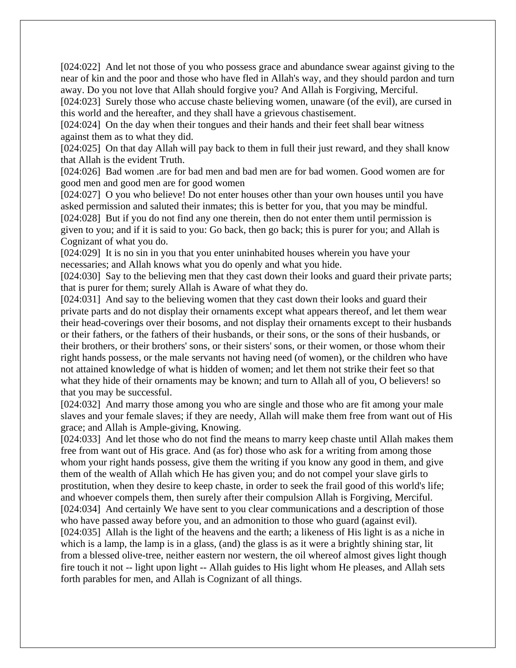[024:022] And let not those of you who possess grace and abundance swear against giving to the near of kin and the poor and those who have fled in Allah's way, and they should pardon and turn away. Do you not love that Allah should forgive you? And Allah is Forgiving, Merciful.

[024:023] Surely those who accuse chaste believing women, unaware (of the evil), are cursed in this world and the hereafter, and they shall have a grievous chastisement.

[024:024] On the day when their tongues and their hands and their feet shall bear witness against them as to what they did.

[024:025] On that day Allah will pay back to them in full their just reward, and they shall know that Allah is the evident Truth.

[024:026] Bad women .are for bad men and bad men are for bad women. Good women are for good men and good men are for good women

[024:027] O you who believe! Do not enter houses other than your own houses until you have asked permission and saluted their inmates; this is better for you, that you may be mindful. [024:028] But if you do not find any one therein, then do not enter them until permission is given to you; and if it is said to you: Go back, then go back; this is purer for you; and Allah is Cognizant of what you do.

[024:029] It is no sin in you that you enter uninhabited houses wherein you have your necessaries; and Allah knows what you do openly and what you hide.

[024:030] Say to the believing men that they cast down their looks and guard their private parts; that is purer for them; surely Allah is Aware of what they do.

[024:031] And say to the believing women that they cast down their looks and guard their private parts and do not display their ornaments except what appears thereof, and let them wear their head-coverings over their bosoms, and not display their ornaments except to their husbands or their fathers, or the fathers of their husbands, or their sons, or the sons of their husbands, or their brothers, or their brothers' sons, or their sisters' sons, or their women, or those whom their right hands possess, or the male servants not having need (of women), or the children who have not attained knowledge of what is hidden of women; and let them not strike their feet so that what they hide of their ornaments may be known; and turn to Allah all of you, O believers! so that you may be successful.

[024:032] And marry those among you who are single and those who are fit among your male slaves and your female slaves; if they are needy, Allah will make them free from want out of His grace; and Allah is Ample-giving, Knowing.

[024:033] And let those who do not find the means to marry keep chaste until Allah makes them free from want out of His grace. And (as for) those who ask for a writing from among those whom your right hands possess, give them the writing if you know any good in them, and give them of the wealth of Allah which He has given you; and do not compel your slave girls to prostitution, when they desire to keep chaste, in order to seek the frail good of this world's life; and whoever compels them, then surely after their compulsion Allah is Forgiving, Merciful. [024:034] And certainly We have sent to you clear communications and a description of those who have passed away before you, and an admonition to those who guard (against evil). [024:035] Allah is the light of the heavens and the earth; a likeness of His light is as a niche in which is a lamp, the lamp is in a glass, (and) the glass is as it were a brightly shining star, lit from a blessed olive-tree, neither eastern nor western, the oil whereof almost gives light though fire touch it not -- light upon light -- Allah guides to His light whom He pleases, and Allah sets forth parables for men, and Allah is Cognizant of all things.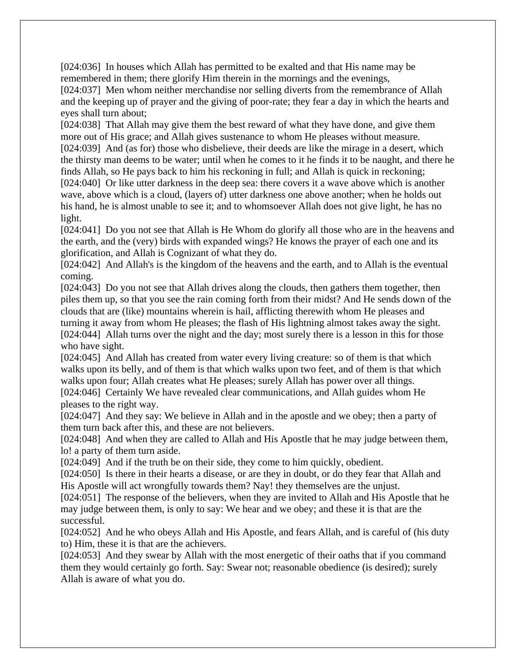[024:036] In houses which Allah has permitted to be exalted and that His name may be remembered in them; there glorify Him therein in the mornings and the evenings,

[024:037] Men whom neither merchandise nor selling diverts from the remembrance of Allah and the keeping up of prayer and the giving of poor-rate; they fear a day in which the hearts and eyes shall turn about;

[024:038] That Allah may give them the best reward of what they have done, and give them more out of His grace; and Allah gives sustenance to whom He pleases without measure. [024:039] And (as for) those who disbelieve, their deeds are like the mirage in a desert, which the thirsty man deems to be water; until when he comes to it he finds it to be naught, and there he finds Allah, so He pays back to him his reckoning in full; and Allah is quick in reckoning; [024:040] Or like utter darkness in the deep sea: there covers it a wave above which is another wave, above which is a cloud, (layers of) utter darkness one above another; when he holds out his hand, he is almost unable to see it; and to whomsoever Allah does not give light, he has no light.

[024:041] Do you not see that Allah is He Whom do glorify all those who are in the heavens and the earth, and the (very) birds with expanded wings? He knows the prayer of each one and its glorification, and Allah is Cognizant of what they do.

[024:042] And Allah's is the kingdom of the heavens and the earth, and to Allah is the eventual coming.

[024:043] Do you not see that Allah drives along the clouds, then gathers them together, then piles them up, so that you see the rain coming forth from their midst? And He sends down of the clouds that are (like) mountains wherein is hail, afflicting therewith whom He pleases and turning it away from whom He pleases; the flash of His lightning almost takes away the sight. [024:044] Allah turns over the night and the day; most surely there is a lesson in this for those who have sight.

[024:045] And Allah has created from water every living creature: so of them is that which walks upon its belly, and of them is that which walks upon two feet, and of them is that which walks upon four; Allah creates what He pleases; surely Allah has power over all things.

[024:046] Certainly We have revealed clear communications, and Allah guides whom He pleases to the right way.

[024:047] And they say: We believe in Allah and in the apostle and we obey; then a party of them turn back after this, and these are not believers.

[024:048] And when they are called to Allah and His Apostle that he may judge between them, lo! a party of them turn aside.

[024:049] And if the truth be on their side, they come to him quickly, obedient.

[024:050] Is there in their hearts a disease, or are they in doubt, or do they fear that Allah and His Apostle will act wrongfully towards them? Nay! they themselves are the unjust.

[024:051] The response of the believers, when they are invited to Allah and His Apostle that he may judge between them, is only to say: We hear and we obey; and these it is that are the successful.

[024:052] And he who obeys Allah and His Apostle, and fears Allah, and is careful of (his duty to) Him, these it is that are the achievers.

[024:053] And they swear by Allah with the most energetic of their oaths that if you command them they would certainly go forth. Say: Swear not; reasonable obedience (is desired); surely Allah is aware of what you do.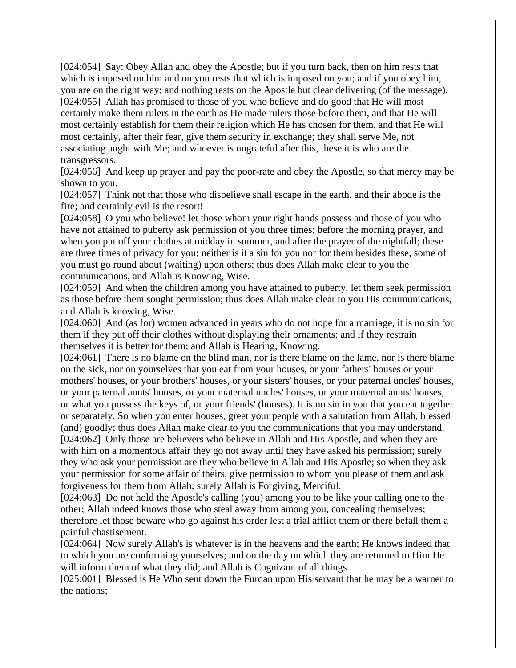[024:054] Say: Obey Allah and obey the Apostle; but if you turn back, then on him rests that which is imposed on him and on you rests that which is imposed on you; and if you obey him, you are on the right way; and nothing rests on the Apostle but clear delivering (of the message). [024:055] Allah has promised to those of you who believe and do good that He will most certainly make them rulers in the earth as He made rulers those before them, and that He will most certainly establish for them their religion which He has chosen for them, and that He will most certainly, after their fear, give them security in exchange; they shall serve Me, not associating aught with Me; and whoever is ungrateful after this, these it is who are the. transgressors.

[024:056] And keep up prayer and pay the poor-rate and obey the Apostle, so that mercy may be shown to you.

[024:057] Think not that those who disbelieve shall escape in the earth, and their abode is the fire; and certainly evil is the resort!

[024:058] O you who believe! let those whom your right hands possess and those of you who have not attained to puberty ask permission of you three times; before the morning prayer, and when you put off your clothes at midday in summer, and after the prayer of the nightfall; these are three times of privacy for you; neither is it a sin for you nor for them besides these, some of you must go round about (waiting) upon others; thus does Allah make clear to you the communications, and Allah is Knowing, Wise.

[024:059] And when the children among you have attained to puberty, let them seek permission as those before them sought permission; thus does Allah make clear to you His communications, and Allah is knowing, Wise.

[024:060] And (as for) women advanced in years who do not hope for a marriage, it is no sin for them if they put off their clothes without displaying their ornaments; and if they restrain themselves it is better for them; and Allah is Hearing, Knowing.

[024:061] There is no blame on the blind man, nor is there blame on the lame, nor is there blame on the sick, nor on yourselves that you eat from your houses, or your fathers' houses or your mothers' houses, or your brothers' houses, or your sisters' houses, or your paternal uncles' houses, or your paternal aunts' houses, or your maternal uncles' houses, or your maternal aunts' houses, or what you possess the keys of, or your friends' (houses). It is no sin in you that you eat together or separately. So when you enter houses, greet your people with a salutation from Allah, blessed (and) goodly; thus does Allah make clear to you the communications that you may understand. [024:062] Only those are believers who believe in Allah and His Apostle, and when they are with him on a momentous affair they go not away until they have asked his permission; surely they who ask your permission are they who believe in Allah and His Apostle; so when they ask your permission for some affair of theirs, give permission to whom you please of them and ask forgiveness for them from Allah; surely Allah is Forgiving, Merciful.

[024:063] Do not hold the Apostle's calling (you) among you to be like your calling one to the other; Allah indeed knows those who steal away from among you, concealing themselves; therefore let those beware who go against his order lest a trial afflict them or there befall them a painful chastisement.

[024:064] Now surely Allah's is whatever is in the heavens and the earth; He knows indeed that to which you are conforming yourselves; and on the day on which they are returned to Him He will inform them of what they did; and Allah is Cognizant of all things.

[025:001] Blessed is He Who sent down the Furqan upon His servant that he may be a warner to the nations;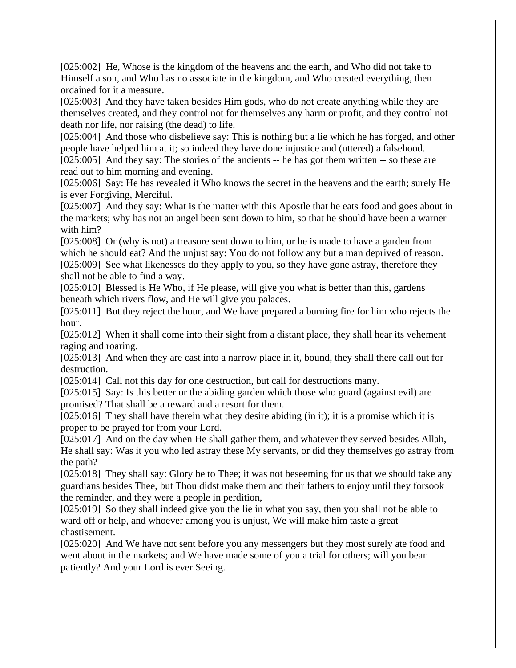[025:002] He, Whose is the kingdom of the heavens and the earth, and Who did not take to Himself a son, and Who has no associate in the kingdom, and Who created everything, then ordained for it a measure.

[025:003] And they have taken besides Him gods, who do not create anything while they are themselves created, and they control not for themselves any harm or profit, and they control not death nor life, nor raising (the dead) to life.

[025:004] And those who disbelieve say: This is nothing but a lie which he has forged, and other people have helped him at it; so indeed they have done injustice and (uttered) a falsehood.

[025:005] And they say: The stories of the ancients -- he has got them written -- so these are read out to him morning and evening.

[025:006] Say: He has revealed it Who knows the secret in the heavens and the earth; surely He is ever Forgiving, Merciful.

[025:007] And they say: What is the matter with this Apostle that he eats food and goes about in the markets; why has not an angel been sent down to him, so that he should have been a warner with him?

[025:008] Or (why is not) a treasure sent down to him, or he is made to have a garden from which he should eat? And the unjust say: You do not follow any but a man deprived of reason. [025:009] See what likenesses do they apply to you, so they have gone astray, therefore they shall not be able to find a way.

[025:010] Blessed is He Who, if He please, will give you what is better than this, gardens beneath which rivers flow, and He will give you palaces.

[025:011] But they reject the hour, and We have prepared a burning fire for him who rejects the hour.

[025:012] When it shall come into their sight from a distant place, they shall hear its vehement raging and roaring.

[025:013] And when they are cast into a narrow place in it, bound, they shall there call out for destruction.

[025:014] Call not this day for one destruction, but call for destructions many.

[025:015] Say: Is this better or the abiding garden which those who guard (against evil) are promised? That shall be a reward and a resort for them.

[025:016] They shall have therein what they desire abiding (in it); it is a promise which it is proper to be prayed for from your Lord.

[025:017] And on the day when He shall gather them, and whatever they served besides Allah, He shall say: Was it you who led astray these My servants, or did they themselves go astray from the path?

[025:018] They shall say: Glory be to Thee; it was not beseeming for us that we should take any guardians besides Thee, but Thou didst make them and their fathers to enjoy until they forsook the reminder, and they were a people in perdition,

[025:019] So they shall indeed give you the lie in what you say, then you shall not be able to ward off or help, and whoever among you is unjust, We will make him taste a great chastisement.

[025:020] And We have not sent before you any messengers but they most surely ate food and went about in the markets; and We have made some of you a trial for others; will you bear patiently? And your Lord is ever Seeing.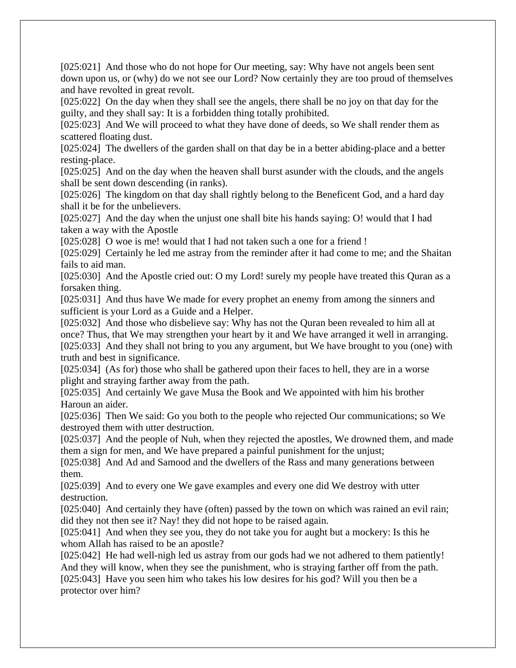[025:021] And those who do not hope for Our meeting, say: Why have not angels been sent down upon us, or (why) do we not see our Lord? Now certainly they are too proud of themselves and have revolted in great revolt.

[025:022] On the day when they shall see the angels, there shall be no joy on that day for the guilty, and they shall say: It is a forbidden thing totally prohibited.

[025:023] And We will proceed to what they have done of deeds, so We shall render them as scattered floating dust.

[025:024] The dwellers of the garden shall on that day be in a better abiding-place and a better resting-place.

[025:025] And on the day when the heaven shall burst asunder with the clouds, and the angels shall be sent down descending (in ranks).

[025:026] The kingdom on that day shall rightly belong to the Beneficent God, and a hard day shall it be for the unbelievers.

[025:027] And the day when the unjust one shall bite his hands saying: O! would that I had taken a way with the Apostle

[025:028] O woe is me! would that I had not taken such a one for a friend !

[025:029] Certainly he led me astray from the reminder after it had come to me; and the Shaitan fails to aid man.

[025:030] And the Apostle cried out: O my Lord! surely my people have treated this Quran as a forsaken thing.

[025:031] And thus have We made for every prophet an enemy from among the sinners and sufficient is your Lord as a Guide and a Helper.

[025:032] And those who disbelieve say: Why has not the Quran been revealed to him all at once? Thus, that We may strengthen your heart by it and We have arranged it well in arranging. [025:033] And they shall not bring to you any argument, but We have brought to you (one) with truth and best in significance.

[025:034] (As for) those who shall be gathered upon their faces to hell, they are in a worse plight and straying farther away from the path.

[025:035] And certainly We gave Musa the Book and We appointed with him his brother Haroun an aider.

[025:036] Then We said: Go you both to the people who rejected Our communications; so We destroyed them with utter destruction.

[025:037] And the people of Nuh, when they rejected the apostles, We drowned them, and made them a sign for men, and We have prepared a painful punishment for the unjust;

[025:038] And Ad and Samood and the dwellers of the Rass and many generations between them.

[025:039] And to every one We gave examples and every one did We destroy with utter destruction.

[025:040] And certainly they have (often) passed by the town on which was rained an evil rain; did they not then see it? Nay! they did not hope to be raised again.

[025:041] And when they see you, they do not take you for aught but a mockery: Is this he whom Allah has raised to be an apostle?

[025:042] He had well-nigh led us astray from our gods had we not adhered to them patiently! And they will know, when they see the punishment, who is straying farther off from the path. [025:043] Have you seen him who takes his low desires for his god? Will you then be a protector over him?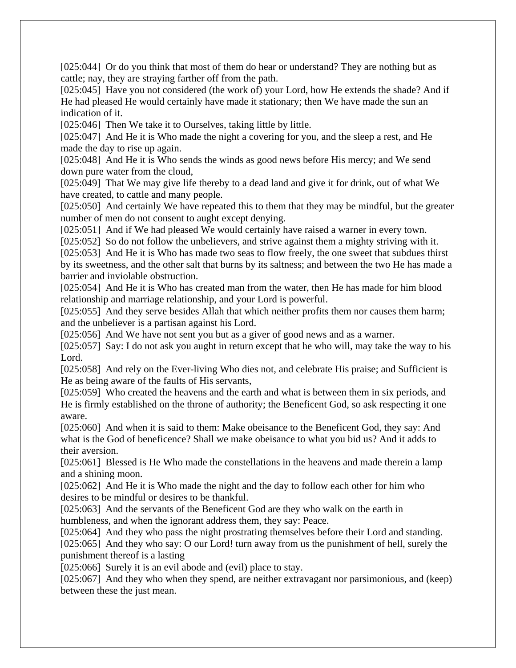[025:044] Or do you think that most of them do hear or understand? They are nothing but as cattle; nay, they are straying farther off from the path.

[025:045] Have you not considered (the work of) your Lord, how He extends the shade? And if He had pleased He would certainly have made it stationary; then We have made the sun an indication of it.

[025:046] Then We take it to Ourselves, taking little by little.

[025:047] And He it is Who made the night a covering for you, and the sleep a rest, and He made the day to rise up again.

[025:048] And He it is Who sends the winds as good news before His mercy; and We send down pure water from the cloud,

[025:049] That We may give life thereby to a dead land and give it for drink, out of what We have created, to cattle and many people.

[025:050] And certainly We have repeated this to them that they may be mindful, but the greater number of men do not consent to aught except denying.

[025:051] And if We had pleased We would certainly have raised a warner in every town.

[025:052] So do not follow the unbelievers, and strive against them a mighty striving with it.

[025:053] And He it is Who has made two seas to flow freely, the one sweet that subdues thirst by its sweetness, and the other salt that burns by its saltness; and between the two He has made a barrier and inviolable obstruction.

[025:054] And He it is Who has created man from the water, then He has made for him blood relationship and marriage relationship, and your Lord is powerful.

[025:055] And they serve besides Allah that which neither profits them nor causes them harm; and the unbeliever is a partisan against his Lord.

[025:056] And We have not sent you but as a giver of good news and as a warner.

[025:057] Say: I do not ask you aught in return except that he who will, may take the way to his Lord.

[025:058] And rely on the Ever-living Who dies not, and celebrate His praise; and Sufficient is He as being aware of the faults of His servants,

[025:059] Who created the heavens and the earth and what is between them in six periods, and He is firmly established on the throne of authority; the Beneficent God, so ask respecting it one aware.

[025:060] And when it is said to them: Make obeisance to the Beneficent God, they say: And what is the God of beneficence? Shall we make obeisance to what you bid us? And it adds to their aversion.

[025:061] Blessed is He Who made the constellations in the heavens and made therein a lamp and a shining moon.

[025:062] And He it is Who made the night and the day to follow each other for him who desires to be mindful or desires to be thankful.

[025:063] And the servants of the Beneficent God are they who walk on the earth in humbleness, and when the ignorant address them, they say: Peace.

[025:064] And they who pass the night prostrating themselves before their Lord and standing. [025:065] And they who say: O our Lord! turn away from us the punishment of hell, surely the punishment thereof is a lasting

[025:066] Surely it is an evil abode and (evil) place to stay.

[025:067] And they who when they spend, are neither extravagant nor parsimonious, and (keep) between these the just mean.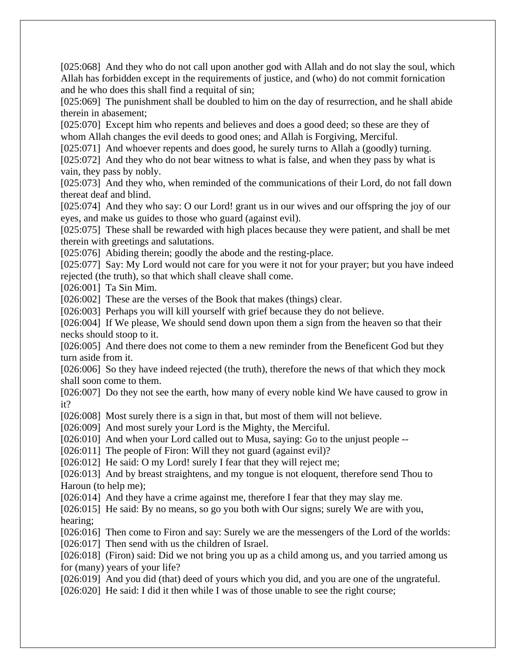[025:068] And they who do not call upon another god with Allah and do not slay the soul, which Allah has forbidden except in the requirements of justice, and (who) do not commit fornication and he who does this shall find a requital of sin;

[025:069] The punishment shall be doubled to him on the day of resurrection, and he shall abide therein in abasement;

[025:070] Except him who repents and believes and does a good deed; so these are they of whom Allah changes the evil deeds to good ones; and Allah is Forgiving, Merciful.

[025:071] And whoever repents and does good, he surely turns to Allah a (goodly) turning. [025:072] And they who do not bear witness to what is false, and when they pass by what is vain, they pass by nobly.

[025:073] And they who, when reminded of the communications of their Lord, do not fall down thereat deaf and blind.

[025:074] And they who say: O our Lord! grant us in our wives and our offspring the joy of our eyes, and make us guides to those who guard (against evil).

[025:075] These shall be rewarded with high places because they were patient, and shall be met therein with greetings and salutations.

[025:076] Abiding therein; goodly the abode and the resting-place.

[025:077] Say: My Lord would not care for you were it not for your prayer; but you have indeed rejected (the truth), so that which shall cleave shall come.

[026:001] Ta Sin Mim.

[026:002] These are the verses of the Book that makes (things) clear.

[026:003] Perhaps you will kill yourself with grief because they do not believe.

[026:004] If We please, We should send down upon them a sign from the heaven so that their necks should stoop to it.

[026:005] And there does not come to them a new reminder from the Beneficent God but they turn aside from it.

[026:006] So they have indeed rejected (the truth), therefore the news of that which they mock shall soon come to them.

[026:007] Do they not see the earth, how many of every noble kind We have caused to grow in it?

[026:008] Most surely there is a sign in that, but most of them will not believe.

[026:009] And most surely your Lord is the Mighty, the Merciful.

[026:010] And when your Lord called out to Musa, saying: Go to the unjust people --

[026:011] The people of Firon: Will they not guard (against evil)?

[026:012] He said: O my Lord! surely I fear that they will reject me;

[026:013] And by breast straightens, and my tongue is not eloquent, therefore send Thou to Haroun (to help me);

[026:014] And they have a crime against me, therefore I fear that they may slay me.

[026:015] He said: By no means, so go you both with Our signs; surely We are with you, hearing;

[026:016] Then come to Firon and say: Surely we are the messengers of the Lord of the worlds: [026:017] Then send with us the children of Israel.

[026:018] (Firon) said: Did we not bring you up as a child among us, and you tarried among us for (many) years of your life?

[026:019] And you did (that) deed of yours which you did, and you are one of the ungrateful.

[026:020] He said: I did it then while I was of those unable to see the right course;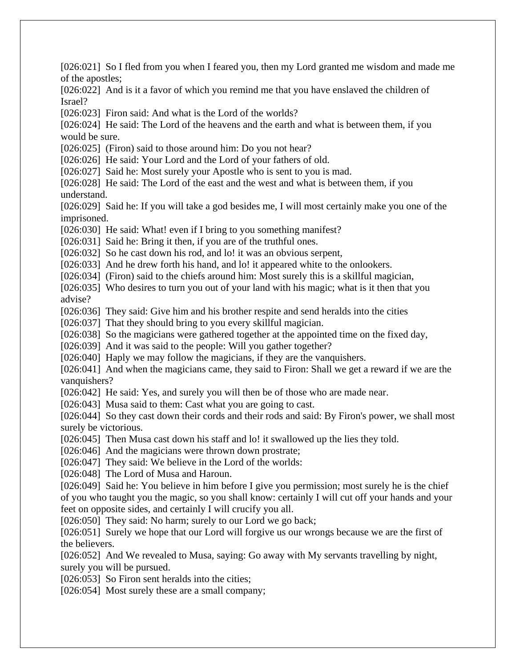[026:021] So I fled from you when I feared you, then my Lord granted me wisdom and made me of the apostles; [026:022] And is it a favor of which you remind me that you have enslaved the children of Israel? [026:023] Firon said: And what is the Lord of the worlds? [026:024] He said: The Lord of the heavens and the earth and what is between them, if you would be sure. [026:025] (Firon) said to those around him: Do you not hear? [026:026] He said: Your Lord and the Lord of your fathers of old. [026:027] Said he: Most surely your Apostle who is sent to you is mad. [026:028] He said: The Lord of the east and the west and what is between them, if you understand. [026:029] Said he: If you will take a god besides me, I will most certainly make you one of the imprisoned. [026:030] He said: What! even if I bring to you something manifest? [026:031] Said he: Bring it then, if you are of the truthful ones. [026:032] So he cast down his rod, and lo! it was an obvious serpent, [026:033] And he drew forth his hand, and lo! it appeared white to the onlookers. [026:034] (Firon) said to the chiefs around him: Most surely this is a skillful magician, [026:035] Who desires to turn you out of your land with his magic; what is it then that you advise? [026:036] They said: Give him and his brother respite and send heralds into the cities [026:037] That they should bring to you every skillful magician. [026:038] So the magicians were gathered together at the appointed time on the fixed day, [026:039] And it was said to the people: Will you gather together? [026:040] Haply we may follow the magicians, if they are the vanquishers. [026:041] And when the magicians came, they said to Firon: Shall we get a reward if we are the vanquishers? [026:042] He said: Yes, and surely you will then be of those who are made near. [026:043] Musa said to them: Cast what you are going to cast. [026:044] So they cast down their cords and their rods and said: By Firon's power, we shall most surely be victorious. [026:045] Then Musa cast down his staff and lo! it swallowed up the lies they told. [026:046] And the magicians were thrown down prostrate; [026:047] They said: We believe in the Lord of the worlds: [026:048] The Lord of Musa and Haroun. [026:049] Said he: You believe in him before I give you permission; most surely he is the chief of you who taught you the magic, so you shall know: certainly I will cut off your hands and your feet on opposite sides, and certainly I will crucify you all. [026:050] They said: No harm; surely to our Lord we go back; [026:051] Surely we hope that our Lord will forgive us our wrongs because we are the first of the believers. [026:052] And We revealed to Musa, saying: Go away with My servants travelling by night, surely you will be pursued. [026:053] So Firon sent heralds into the cities; [026:054] Most surely these are a small company;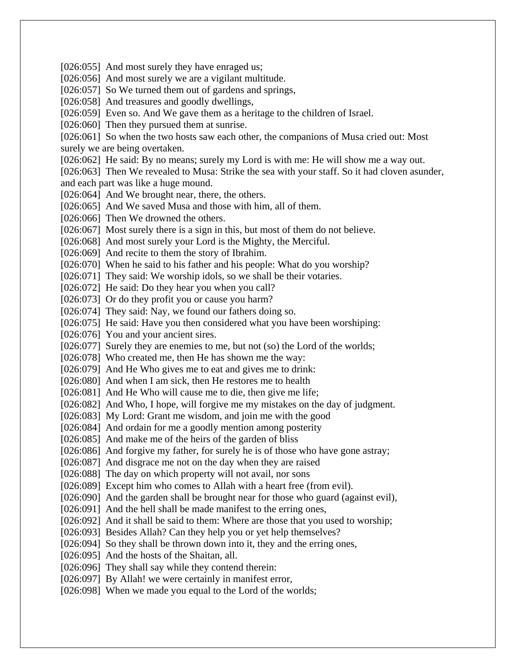[026:055] And most surely they have enraged us; [026:056] And most surely we are a vigilant multitude. [026:057] So We turned them out of gardens and springs, [026:058] And treasures and goodly dwellings, [026:059] Even so. And We gave them as a heritage to the children of Israel. [026:060] Then they pursued them at sunrise. [026:061] So when the two hosts saw each other, the companions of Musa cried out: Most surely we are being overtaken. [026:062] He said: By no means; surely my Lord is with me: He will show me a way out. [026:063] Then We revealed to Musa: Strike the sea with your staff. So it had cloven asunder, and each part was like a huge mound. [026:064] And We brought near, there, the others. [026:065] And We saved Musa and those with him, all of them. [026:066] Then We drowned the others. [026:067] Most surely there is a sign in this, but most of them do not believe. [026:068] And most surely your Lord is the Mighty, the Merciful. [026:069] And recite to them the story of Ibrahim. [026:070] When he said to his father and his people: What do you worship? [026:071] They said: We worship idols, so we shall be their votaries. [026:072] He said: Do they hear you when you call? [026:073] Or do they profit you or cause you harm? [026:074] They said: Nay, we found our fathers doing so. [026:075] He said: Have you then considered what you have been worshiping: [026:076] You and your ancient sires. [026:077] Surely they are enemies to me, but not (so) the Lord of the worlds; [026:078] Who created me, then He has shown me the way: [026:079] And He Who gives me to eat and gives me to drink: [026:080] And when I am sick, then He restores me to health [026:081] And He Who will cause me to die, then give me life; [026:082] And Who, I hope, will forgive me my mistakes on the day of judgment. [026:083] My Lord: Grant me wisdom, and join me with the good [026:084] And ordain for me a goodly mention among posterity [026:085] And make me of the heirs of the garden of bliss [026:086] And forgive my father, for surely he is of those who have gone astray; [026:087] And disgrace me not on the day when they are raised [026:088] The day on which property will not avail, nor sons [026:089] Except him who comes to Allah with a heart free (from evil). [026:090] And the garden shall be brought near for those who guard (against evil), [026:091] And the hell shall be made manifest to the erring ones, [026:092] And it shall be said to them: Where are those that you used to worship; [026:093] Besides Allah? Can they help you or yet help themselves? [026:094] So they shall be thrown down into it, they and the erring ones, [026:095] And the hosts of the Shaitan, all. [026:096] They shall say while they contend therein: [026:097] By Allah! we were certainly in manifest error, [026:098] When we made you equal to the Lord of the worlds;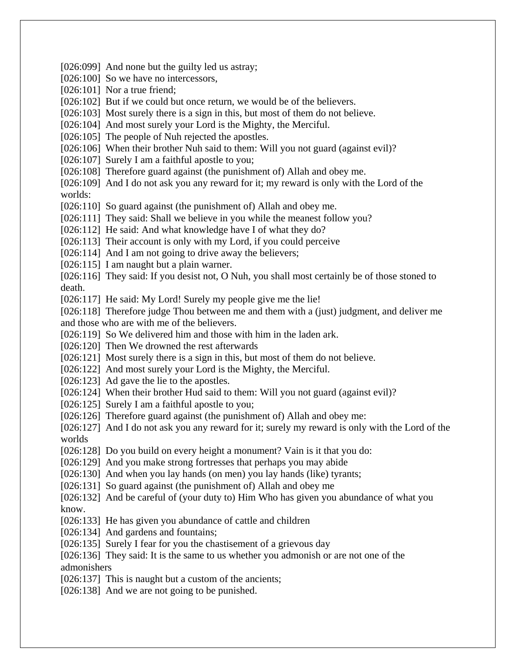[026:099] And none but the guilty led us astray; [026:100] So we have no intercessors, [026:101] Nor a true friend; [026:102] But if we could but once return, we would be of the believers. [026:103] Most surely there is a sign in this, but most of them do not believe. [026:104] And most surely your Lord is the Mighty, the Merciful. [026:105] The people of Nuh rejected the apostles. [026:106] When their brother Nuh said to them: Will you not guard (against evil)? [026:107] Surely I am a faithful apostle to you; [026:108] Therefore guard against (the punishment of) Allah and obey me. [026:109] And I do not ask you any reward for it; my reward is only with the Lord of the worlds: [026:110] So guard against (the punishment of) Allah and obey me. [026:111] They said: Shall we believe in you while the meanest follow you? [026:112] He said: And what knowledge have I of what they do? [026:113] Their account is only with my Lord, if you could perceive [026:114] And I am not going to drive away the believers; [026:115] I am naught but a plain warner. [026:116] They said: If you desist not, O Nuh, you shall most certainly be of those stoned to death. [026:117] He said: My Lord! Surely my people give me the lie! [026:118] Therefore judge Thou between me and them with a (just) judgment, and deliver me and those who are with me of the believers. [026:119] So We delivered him and those with him in the laden ark. [026:120] Then We drowned the rest afterwards [026:121] Most surely there is a sign in this, but most of them do not believe. [026:122] And most surely your Lord is the Mighty, the Merciful. [026:123] Ad gave the lie to the apostles. [026:124] When their brother Hud said to them: Will you not guard (against evil)? [026:125] Surely I am a faithful apostle to you; [026:126] Therefore guard against (the punishment of) Allah and obey me: [026:127] And I do not ask you any reward for it; surely my reward is only with the Lord of the worlds [026:128] Do you build on every height a monument? Vain is it that you do: [026:129] And you make strong fortresses that perhaps you may abide [026:130] And when you lay hands (on men) you lay hands (like) tyrants; [026:131] So guard against (the punishment of) Allah and obey me [026:132] And be careful of (your duty to) Him Who has given you abundance of what you know. [026:133] He has given you abundance of cattle and children [026:134] And gardens and fountains; [026:135] Surely I fear for you the chastisement of a grievous day [026:136] They said: It is the same to us whether you admonish or are not one of the admonishers [026:137] This is naught but a custom of the ancients; [026:138] And we are not going to be punished.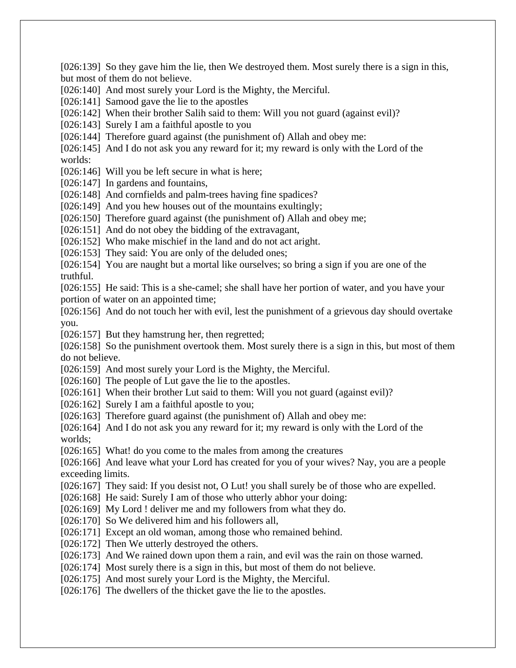but most of them do not believe. [026:140] And most surely your Lord is the Mighty, the Merciful. [026:141] Samood gave the lie to the apostles [026:142] When their brother Salih said to them: Will you not guard (against evil)? [026:143] Surely I am a faithful apostle to you [026:144] Therefore guard against (the punishment of) Allah and obey me: [026:145] And I do not ask you any reward for it; my reward is only with the Lord of the worlds: [026:146] Will you be left secure in what is here; [026:147] In gardens and fountains, [026:148] And cornfields and palm-trees having fine spadices? [026:149] And you hew houses out of the mountains exultingly; [026:150] Therefore guard against (the punishment of) Allah and obey me; [026:151] And do not obey the bidding of the extravagant, [026:152] Who make mischief in the land and do not act aright. [026:153] They said: You are only of the deluded ones; [026:154] You are naught but a mortal like ourselves; so bring a sign if you are one of the truthful. [026:155] He said: This is a she-camel; she shall have her portion of water, and you have your portion of water on an appointed time; [026:156] And do not touch her with evil, lest the punishment of a grievous day should overtake you. [026:157] But they hamstrung her, then regretted; [026:158] So the punishment overtook them. Most surely there is a sign in this, but most of them do not believe. [026:159] And most surely your Lord is the Mighty, the Merciful. [026:160] The people of Lut gave the lie to the apostles. [026:161] When their brother Lut said to them: Will you not guard (against evil)? [026:162] Surely I am a faithful apostle to you; [026:163] Therefore guard against (the punishment of) Allah and obey me: [026:164] And I do not ask you any reward for it; my reward is only with the Lord of the worlds; [026:165] What! do you come to the males from among the creatures [026:166] And leave what your Lord has created for you of your wives? Nay, you are a people exceeding limits. [026:167] They said: If you desist not, O Lut! you shall surely be of those who are expelled. [026:168] He said: Surely I am of those who utterly abhor your doing: [026:169] My Lord ! deliver me and my followers from what they do. [026:170] So We delivered him and his followers all, [026:171] Except an old woman, among those who remained behind. [026:172] Then We utterly destroyed the others. [026:173] And We rained down upon them a rain, and evil was the rain on those warned. [026:174] Most surely there is a sign in this, but most of them do not believe. [026:175] And most surely your Lord is the Mighty, the Merciful. [026:176] The dwellers of the thicket gave the lie to the apostles.

[026:139] So they gave him the lie, then We destroyed them. Most surely there is a sign in this,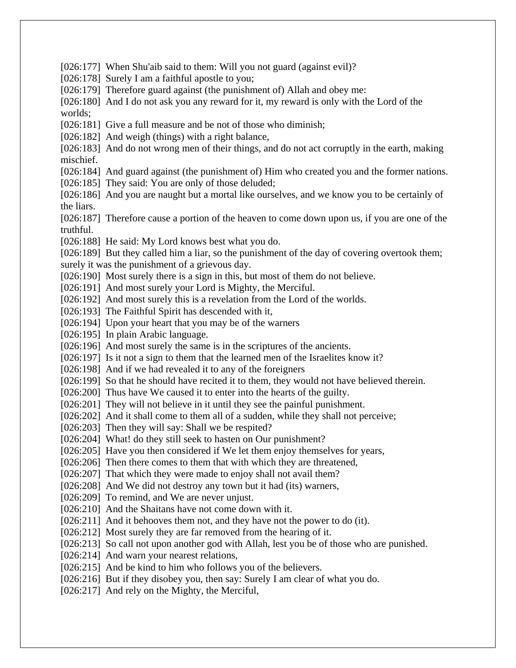[026:177] When Shu'aib said to them: Will you not guard (against evil)? [026:178] Surely I am a faithful apostle to you; [026:179] Therefore guard against (the punishment of) Allah and obey me: [026:180] And I do not ask you any reward for it, my reward is only with the Lord of the worlds; [026:181] Give a full measure and be not of those who diminish; [026:182] And weigh (things) with a right balance, [026:183] And do not wrong men of their things, and do not act corruptly in the earth, making mischief. [026:184] And guard against (the punishment of) Him who created you and the former nations. [026:185] They said: You are only of those deluded; [026:186] And you are naught but a mortal like ourselves, and we know you to be certainly of the liars. [026:187] Therefore cause a portion of the heaven to come down upon us, if you are one of the truthful. [026:188] He said: My Lord knows best what you do. [026:189] But they called him a liar, so the punishment of the day of covering overtook them; surely it was the punishment of a grievous day. [026:190] Most surely there is a sign in this, but most of them do not believe. [026:191] And most surely your Lord is Mighty, the Merciful. [026:192] And most surely this is a revelation from the Lord of the worlds. [026:193] The Faithful Spirit has descended with it, [026:194] Upon your heart that you may be of the warners [026:195] In plain Arabic language. [026:196] And most surely the same is in the scriptures of the ancients. [026:197] Is it not a sign to them that the learned men of the Israelites know it? [026:198] And if we had revealed it to any of the foreigners [026:199] So that he should have recited it to them, they would not have believed therein. [026:200] Thus have We caused it to enter into the hearts of the guilty. [026:201] They will not believe in it until they see the painful punishment. [026:202] And it shall come to them all of a sudden, while they shall not perceive; [026:203] Then they will say: Shall we be respited? [026:204] What! do they still seek to hasten on Our punishment? [026:205] Have you then considered if We let them enjoy themselves for years, [026:206] Then there comes to them that with which they are threatened, [026:207] That which they were made to enjoy shall not avail them? [026:208] And We did not destroy any town but it had (its) warners, [026:209] To remind, and We are never unjust. [026:210] And the Shaitans have not come down with it. [026:211] And it behooves them not, and they have not the power to do (it). [026:212] Most surely they are far removed from the hearing of it. [026:213] So call not upon another god with Allah, lest you be of those who are punished. [026:214] And warn your nearest relations, [026:215] And be kind to him who follows you of the believers. [026:216] But if they disobey you, then say: Surely I am clear of what you do. [026:217] And rely on the Mighty, the Merciful,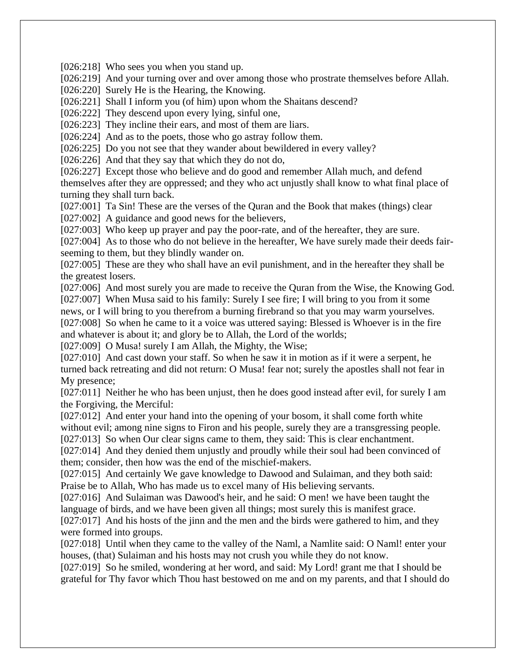[026:218] Who sees you when you stand up.

[026:219] And your turning over and over among those who prostrate themselves before Allah.

[026:220] Surely He is the Hearing, the Knowing.

[026:221] Shall I inform you (of him) upon whom the Shaitans descend?

[026:222] They descend upon every lying, sinful one,

[026:223] They incline their ears, and most of them are liars.

[026:224] And as to the poets, those who go astray follow them.

[026:225] Do you not see that they wander about bewildered in every valley?

[026:226] And that they say that which they do not do,

[026:227] Except those who believe and do good and remember Allah much, and defend themselves after they are oppressed; and they who act unjustly shall know to what final place of turning they shall turn back.

[027:001] Ta Sin! These are the verses of the Quran and the Book that makes (things) clear [027:002] A guidance and good news for the believers,

[027:003] Who keep up prayer and pay the poor-rate, and of the hereafter, they are sure.

[027:004] As to those who do not believe in the hereafter, We have surely made their deeds fairseeming to them, but they blindly wander on.

[027:005] These are they who shall have an evil punishment, and in the hereafter they shall be the greatest losers.

[027:006] And most surely you are made to receive the Quran from the Wise, the Knowing God. [027:007] When Musa said to his family: Surely I see fire; I will bring to you from it some

news, or I will bring to you therefrom a burning firebrand so that you may warm yourselves.

[027:008] So when he came to it a voice was uttered saying: Blessed is Whoever is in the fire and whatever is about it; and glory be to Allah, the Lord of the worlds;

[027:009] O Musa! surely I am Allah, the Mighty, the Wise;

[027:010] And cast down your staff. So when he saw it in motion as if it were a serpent, he turned back retreating and did not return: O Musa! fear not; surely the apostles shall not fear in My presence;

[027:011] Neither he who has been unjust, then he does good instead after evil, for surely I am the Forgiving, the Merciful:

[027:012] And enter your hand into the opening of your bosom, it shall come forth white without evil; among nine signs to Firon and his people, surely they are a transgressing people. [027:013] So when Our clear signs came to them, they said: This is clear enchantment.

[027:014] And they denied them unjustly and proudly while their soul had been convinced of them; consider, then how was the end of the mischief-makers.

[027:015] And certainly We gave knowledge to Dawood and Sulaiman, and they both said: Praise be to Allah, Who has made us to excel many of His believing servants.

[027:016] And Sulaiman was Dawood's heir, and he said: O men! we have been taught the language of birds, and we have been given all things; most surely this is manifest grace.

[027:017] And his hosts of the jinn and the men and the birds were gathered to him, and they were formed into groups.

[027:018] Until when they came to the valley of the Naml, a Namlite said: O Naml! enter your houses, (that) Sulaiman and his hosts may not crush you while they do not know.

[027:019] So he smiled, wondering at her word, and said: My Lord! grant me that I should be grateful for Thy favor which Thou hast bestowed on me and on my parents, and that I should do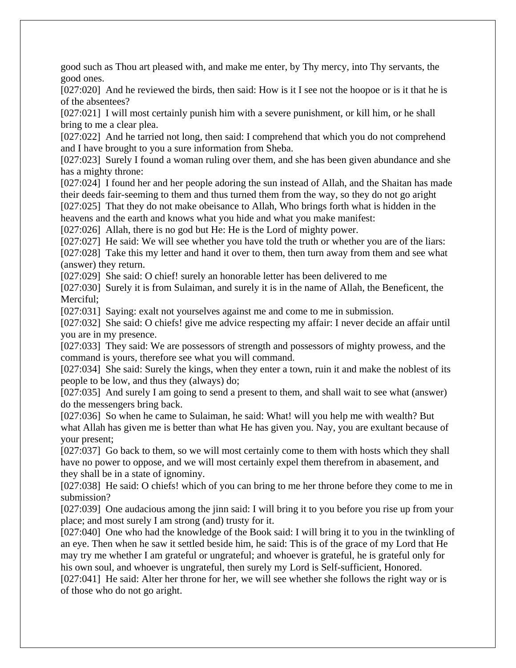good such as Thou art pleased with, and make me enter, by Thy mercy, into Thy servants, the good ones.

[027:020] And he reviewed the birds, then said: How is it I see not the hoopoe or is it that he is of the absentees?

[027:021] I will most certainly punish him with a severe punishment, or kill him, or he shall bring to me a clear plea.

[027:022] And he tarried not long, then said: I comprehend that which you do not comprehend and I have brought to you a sure information from Sheba.

[027:023] Surely I found a woman ruling over them, and she has been given abundance and she has a mighty throne:

[027:024] I found her and her people adoring the sun instead of Allah, and the Shaitan has made their deeds fair-seeming to them and thus turned them from the way, so they do not go aright [027:025] That they do not make obeisance to Allah, Who brings forth what is hidden in the heavens and the earth and knows what you hide and what you make manifest:

[027:026] Allah, there is no god but He: He is the Lord of mighty power.

[027:027] He said: We will see whether you have told the truth or whether you are of the liars: [027:028] Take this my letter and hand it over to them, then turn away from them and see what (answer) they return.

[027:029] She said: O chief! surely an honorable letter has been delivered to me

[027:030] Surely it is from Sulaiman, and surely it is in the name of Allah, the Beneficent, the Merciful;

[027:031] Saying: exalt not yourselves against me and come to me in submission.

[027:032] She said: O chiefs! give me advice respecting my affair: I never decide an affair until you are in my presence.

[027:033] They said: We are possessors of strength and possessors of mighty prowess, and the command is yours, therefore see what you will command.

[027:034] She said: Surely the kings, when they enter a town, ruin it and make the noblest of its people to be low, and thus they (always) do;

[027:035] And surely I am going to send a present to them, and shall wait to see what (answer) do the messengers bring back.

[027:036] So when he came to Sulaiman, he said: What! will you help me with wealth? But what Allah has given me is better than what He has given you. Nay, you are exultant because of your present;

[027:037] Go back to them, so we will most certainly come to them with hosts which they shall have no power to oppose, and we will most certainly expel them therefrom in abasement, and they shall be in a state of ignominy.

[027:038] He said: O chiefs! which of you can bring to me her throne before they come to me in submission?

[027:039] One audacious among the jinn said: I will bring it to you before you rise up from your place; and most surely I am strong (and) trusty for it.

[027:040] One who had the knowledge of the Book said: I will bring it to you in the twinkling of an eye. Then when he saw it settled beside him, he said: This is of the grace of my Lord that He may try me whether I am grateful or ungrateful; and whoever is grateful, he is grateful only for his own soul, and whoever is ungrateful, then surely my Lord is Self-sufficient, Honored.

[027:041] He said: Alter her throne for her, we will see whether she follows the right way or is of those who do not go aright.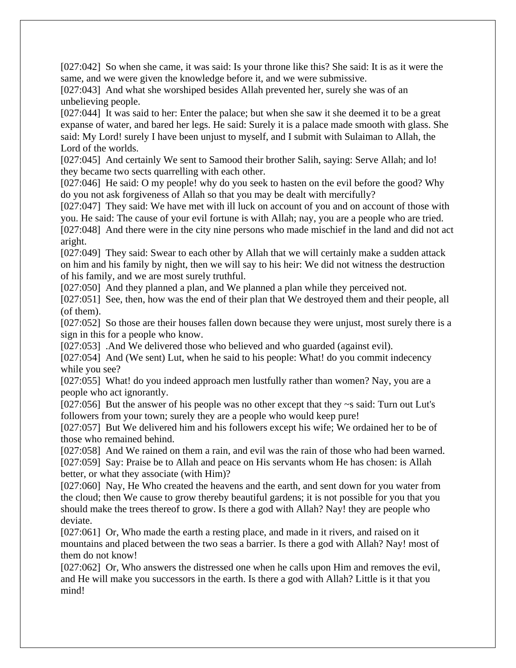[027:042] So when she came, it was said: Is your throne like this? She said: It is as it were the same, and we were given the knowledge before it, and we were submissive.

[027:043] And what she worshiped besides Allah prevented her, surely she was of an unbelieving people.

[027:044] It was said to her: Enter the palace; but when she saw it she deemed it to be a great expanse of water, and bared her legs. He said: Surely it is a palace made smooth with glass. She said: My Lord! surely I have been unjust to myself, and I submit with Sulaiman to Allah, the Lord of the worlds.

[027:045] And certainly We sent to Samood their brother Salih, saying: Serve Allah; and lo! they became two sects quarrelling with each other.

[027:046] He said: O my people! why do you seek to hasten on the evil before the good? Why do you not ask forgiveness of Allah so that you may be dealt with mercifully?

[027:047] They said: We have met with ill luck on account of you and on account of those with you. He said: The cause of your evil fortune is with Allah; nay, you are a people who are tried. [027:048] And there were in the city nine persons who made mischief in the land and did not act aright.

[027:049] They said: Swear to each other by Allah that we will certainly make a sudden attack on him and his family by night, then we will say to his heir: We did not witness the destruction of his family, and we are most surely truthful.

[027:050] And they planned a plan, and We planned a plan while they perceived not.

[027:051] See, then, how was the end of their plan that We destroyed them and their people, all (of them).

[027:052] So those are their houses fallen down because they were unjust, most surely there is a sign in this for a people who know.

[027:053] .And We delivered those who believed and who guarded (against evil).

[027:054] And (We sent) Lut, when he said to his people: What! do you commit indecency while you see?

[027:055] What! do you indeed approach men lustfully rather than women? Nay, you are a people who act ignorantly.

[027:056] But the answer of his people was no other except that they  $\sim$ s said: Turn out Lut's followers from your town; surely they are a people who would keep pure!

[027:057] But We delivered him and his followers except his wife; We ordained her to be of those who remained behind.

[027:058] And We rained on them a rain, and evil was the rain of those who had been warned. [027:059] Say: Praise be to Allah and peace on His servants whom He has chosen: is Allah better, or what they associate (with Him)?

[027:060] Nay, He Who created the heavens and the earth, and sent down for you water from the cloud; then We cause to grow thereby beautiful gardens; it is not possible for you that you should make the trees thereof to grow. Is there a god with Allah? Nay! they are people who deviate.

[027:061] Or, Who made the earth a resting place, and made in it rivers, and raised on it mountains and placed between the two seas a barrier. Is there a god with Allah? Nay! most of them do not know!

[027:062] Or, Who answers the distressed one when he calls upon Him and removes the evil, and He will make you successors in the earth. Is there a god with Allah? Little is it that you mind!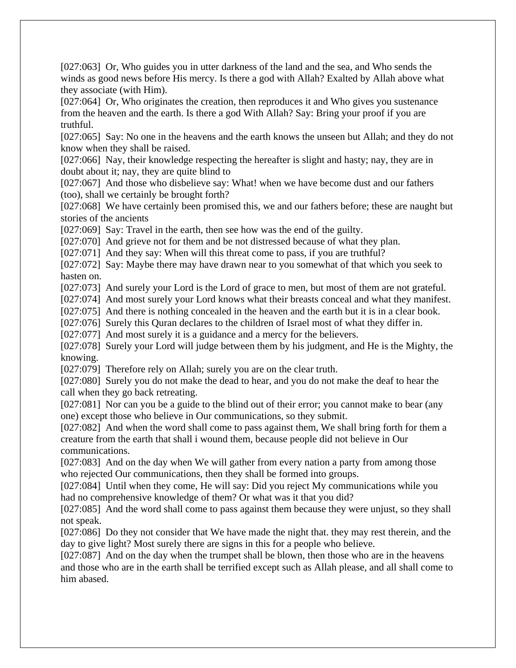[027:063] Or, Who guides you in utter darkness of the land and the sea, and Who sends the winds as good news before His mercy. Is there a god with Allah? Exalted by Allah above what they associate (with Him).

[027:064] Or, Who originates the creation, then reproduces it and Who gives you sustenance from the heaven and the earth. Is there a god With Allah? Say: Bring your proof if you are truthful.

[027:065] Say: No one in the heavens and the earth knows the unseen but Allah; and they do not know when they shall be raised.

[027:066] Nay, their knowledge respecting the hereafter is slight and hasty; nay, they are in doubt about it; nay, they are quite blind to

[027:067] And those who disbelieve say: What! when we have become dust and our fathers (too), shall we certainly be brought forth?

[027:068] We have certainly been promised this, we and our fathers before; these are naught but stories of the ancients

[027:069] Say: Travel in the earth, then see how was the end of the guilty.

[027:070] And grieve not for them and be not distressed because of what they plan.

[027:071] And they say: When will this threat come to pass, if you are truthful?

[027:072] Say: Maybe there may have drawn near to you somewhat of that which you seek to hasten on.

[027:073] And surely your Lord is the Lord of grace to men, but most of them are not grateful.

[027:074] And most surely your Lord knows what their breasts conceal and what they manifest.

[027:075] And there is nothing concealed in the heaven and the earth but it is in a clear book.

[027:076] Surely this Quran declares to the children of Israel most of what they differ in.

[027:077] And most surely it is a guidance and a mercy for the believers.

[027:078] Surely your Lord will judge between them by his judgment, and He is the Mighty, the knowing.

[027:079] Therefore rely on Allah; surely you are on the clear truth.

[027:080] Surely you do not make the dead to hear, and you do not make the deaf to hear the call when they go back retreating.

[027:081] Nor can you be a guide to the blind out of their error; you cannot make to bear (any one) except those who believe in Our communications, so they submit.

[027:082] And when the word shall come to pass against them, We shall bring forth for them a creature from the earth that shall i wound them, because people did not believe in Our communications.

[027:083] And on the day when We will gather from every nation a party from among those who rejected Our communications, then they shall be formed into groups.

[027:084] Until when they come, He will say: Did you reject My communications while you had no comprehensive knowledge of them? Or what was it that you did?

[027:085] And the word shall come to pass against them because they were unjust, so they shall not speak.

[027:086] Do they not consider that We have made the night that. they may rest therein, and the day to give light? Most surely there are signs in this for a people who believe.

[027:087] And on the day when the trumpet shall be blown, then those who are in the heavens and those who are in the earth shall be terrified except such as Allah please, and all shall come to him abased.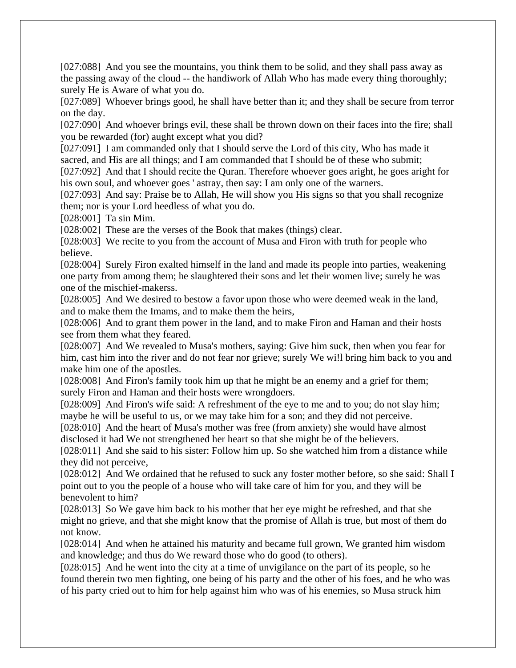[027:088] And you see the mountains, you think them to be solid, and they shall pass away as the passing away of the cloud -- the handiwork of Allah Who has made every thing thoroughly; surely He is Aware of what you do.

[027:089] Whoever brings good, he shall have better than it; and they shall be secure from terror on the day.

[027:090] And whoever brings evil, these shall be thrown down on their faces into the fire; shall you be rewarded (for) aught except what you did?

[027:091] I am commanded only that I should serve the Lord of this city, Who has made it sacred, and His are all things; and I am commanded that I should be of these who submit;

[027:092] And that I should recite the Quran. Therefore whoever goes aright, he goes aright for his own soul, and whoever goes ' astray, then say: I am only one of the warners.

[027:093] And say: Praise be to Allah, He will show you His signs so that you shall recognize them; nor is your Lord heedless of what you do.

[028:001] Ta sin Mim.

[028:002] These are the verses of the Book that makes (things) clear.

[028:003] We recite to you from the account of Musa and Firon with truth for people who believe.

[028:004] Surely Firon exalted himself in the land and made its people into parties, weakening one party from among them; he slaughtered their sons and let their women live; surely he was one of the mischief-makerss.

[028:005] And We desired to bestow a favor upon those who were deemed weak in the land, and to make them the Imams, and to make them the heirs,

[028:006] And to grant them power in the land, and to make Firon and Haman and their hosts see from them what they feared.

[028:007] And We revealed to Musa's mothers, saying: Give him suck, then when you fear for him, cast him into the river and do not fear nor grieve; surely We wi!l bring him back to you and make him one of the apostles.

[028:008] And Firon's family took him up that he might be an enemy and a grief for them; surely Firon and Haman and their hosts were wrongdoers.

[028:009] And Firon's wife said: A refreshment of the eye to me and to you; do not slay him; maybe he will be useful to us, or we may take him for a son; and they did not perceive.

[028:010] And the heart of Musa's mother was free (from anxiety) she would have almost disclosed it had We not strengthened her heart so that she might be of the believers.

[028:011] And she said to his sister: Follow him up. So she watched him from a distance while they did not perceive,

[028:012] And We ordained that he refused to suck any foster mother before, so she said: Shall I point out to you the people of a house who will take care of him for you, and they will be benevolent to him?

[028:013] So We gave him back to his mother that her eye might be refreshed, and that she might no grieve, and that she might know that the promise of Allah is true, but most of them do not know.

[028:014] And when he attained his maturity and became full grown, We granted him wisdom and knowledge; and thus do We reward those who do good (to others).

[028:015] And he went into the city at a time of unvigilance on the part of its people, so he found therein two men fighting, one being of his party and the other of his foes, and he who was of his party cried out to him for help against him who was of his enemies, so Musa struck him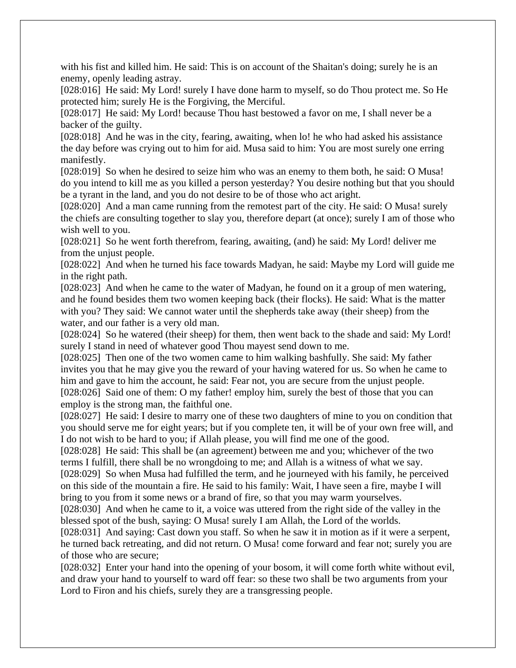with his fist and killed him. He said: This is on account of the Shaitan's doing; surely he is an enemy, openly leading astray.

[028:016] He said: My Lord! surely I have done harm to myself, so do Thou protect me. So He protected him; surely He is the Forgiving, the Merciful.

[028:017] He said: My Lord! because Thou hast bestowed a favor on me, I shall never be a backer of the guilty.

[028:018] And he was in the city, fearing, awaiting, when lo! he who had asked his assistance the day before was crying out to him for aid. Musa said to him: You are most surely one erring manifestly.

[028:019] So when he desired to seize him who was an enemy to them both, he said: O Musa! do you intend to kill me as you killed a person yesterday? You desire nothing but that you should be a tyrant in the land, and you do not desire to be of those who act aright.

[028:020] And a man came running from the remotest part of the city. He said: O Musa! surely the chiefs are consulting together to slay you, therefore depart (at once); surely I am of those who wish well to you.

[028:021] So he went forth therefrom, fearing, awaiting, (and) he said: My Lord! deliver me from the unjust people.

[028:022] And when he turned his face towards Madyan, he said: Maybe my Lord will guide me in the right path.

[028:023] And when he came to the water of Madyan, he found on it a group of men watering, and he found besides them two women keeping back (their flocks). He said: What is the matter with you? They said: We cannot water until the shepherds take away (their sheep) from the water, and our father is a very old man.

[028:024] So he watered (their sheep) for them, then went back to the shade and said: My Lord! surely I stand in need of whatever good Thou mayest send down to me.

[028:025] Then one of the two women came to him walking bashfully. She said: My father invites you that he may give you the reward of your having watered for us. So when he came to him and gave to him the account, he said: Fear not, you are secure from the unjust people. [028:026] Said one of them: O my father! employ him, surely the best of those that you can employ is the strong man, the faithful one.

[028:027] He said: I desire to marry one of these two daughters of mine to you on condition that you should serve me for eight years; but if you complete ten, it will be of your own free will, and I do not wish to be hard to you; if Allah please, you will find me one of the good.

[028:028] He said: This shall be (an agreement) between me and you; whichever of the two terms I fulfill, there shall be no wrongdoing to me; and Allah is a witness of what we say.

[028:029] So when Musa had fulfilled the term, and he journeyed with his family, he perceived on this side of the mountain a fire. He said to his family: Wait, I have seen a fire, maybe I will bring to you from it some news or a brand of fire, so that you may warm yourselves.

[028:030] And when he came to it, a voice was uttered from the right side of the valley in the blessed spot of the bush, saying: O Musa! surely I am Allah, the Lord of the worlds.

[028:031] And saying: Cast down you staff. So when he saw it in motion as if it were a serpent, he turned back retreating, and did not return. O Musa! come forward and fear not; surely you are of those who are secure;

[028:032] Enter your hand into the opening of your bosom, it will come forth white without evil, and draw your hand to yourself to ward off fear: so these two shall be two arguments from your Lord to Firon and his chiefs, surely they are a transgressing people.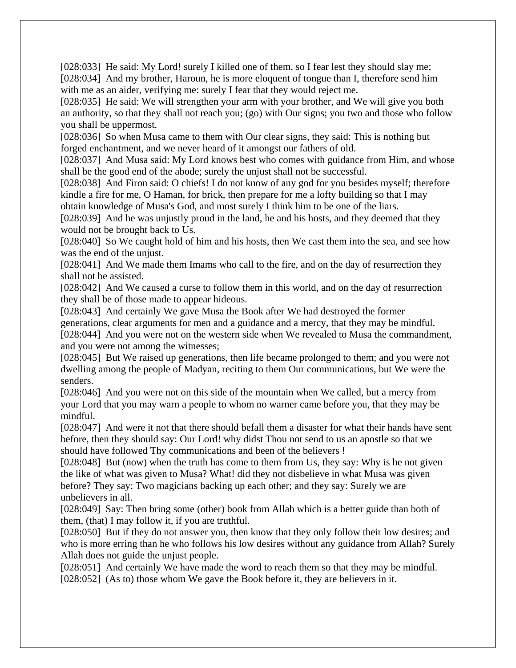[028:033] He said: My Lord! surely I killed one of them, so I fear lest they should slay me; [028:034] And my brother, Haroun, he is more eloquent of tongue than I, therefore send him with me as an aider, verifying me: surely I fear that they would reject me.

[028:035] He said: We will strengthen your arm with your brother, and We will give you both an authority, so that they shall not reach you; (go) with Our signs; you two and those who follow you shall be uppermost.

[028:036] So when Musa came to them with Our clear signs, they said: This is nothing but forged enchantment, and we never heard of it amongst our fathers of old.

[028:037] And Musa said: My Lord knows best who comes with guidance from Him, and whose shall be the good end of the abode; surely the unjust shall not be successful.

[028:038] And Firon said: O chiefs! I do not know of any god for you besides myself; therefore kindle a fire for me, O Haman, for brick, then prepare for me a lofty building so that I may obtain knowledge of Musa's God, and most surely I think him to be one of the liars.

[028:039] And he was unjustly proud in the land, he and his hosts, and they deemed that they would not be brought back to Us.

[028:040] So We caught hold of him and his hosts, then We cast them into the sea, and see how was the end of the unjust.

[028:041] And We made them Imams who call to the fire, and on the day of resurrection they shall not be assisted.

[028:042] And We caused a curse to follow them in this world, and on the day of resurrection they shall be of those made to appear hideous.

[028:043] And certainly We gave Musa the Book after We had destroyed the former generations, clear arguments for men and a guidance and a mercy, that they may be mindful. [028:044] And you were not on the western side when We revealed to Musa the commandment, and you were not among the witnesses;

[028:045] But We raised up generations, then life became prolonged to them; and you were not dwelling among the people of Madyan, reciting to them Our communications, but We were the senders.

[028:046] And you were not on this side of the mountain when We called, but a mercy from your Lord that you may warn a people to whom no warner came before you, that they may be mindful.

[028:047] And were it not that there should befall them a disaster for what their hands have sent before, then they should say: Our Lord! why didst Thou not send to us an apostle so that we should have followed Thy communications and been of the believers !

[028:048] But (now) when the truth has come to them from Us, they say: Why is he not given the like of what was given to Musa? What! did they not disbelieve in what Musa was given before? They say: Two magicians backing up each other; and they say: Surely we are unbelievers in all.

[028:049] Say: Then bring some (other) book from Allah which is a better guide than both of them, (that) I may follow it, if you are truthful.

[028:050] But if they do not answer you, then know that they only follow their low desires; and who is more erring than he who follows his low desires without any guidance from Allah? Surely Allah does not guide the unjust people.

[028:051] And certainly We have made the word to reach them so that they may be mindful. [028:052] (As to) those whom We gave the Book before it, they are believers in it.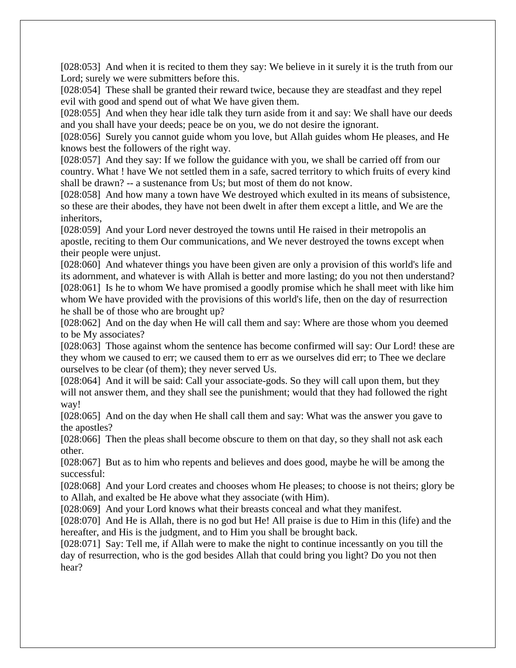[028:053] And when it is recited to them they say: We believe in it surely it is the truth from our Lord; surely we were submitters before this.

[028:054] These shall be granted their reward twice, because they are steadfast and they repel evil with good and spend out of what We have given them.

[028:055] And when they hear idle talk they turn aside from it and say: We shall have our deeds and you shall have your deeds; peace be on you, we do not desire the ignorant.

[028:056] Surely you cannot guide whom you love, but Allah guides whom He pleases, and He knows best the followers of the right way.

[028:057] And they say: If we follow the guidance with you, we shall be carried off from our country. What ! have We not settled them in a safe, sacred territory to which fruits of every kind shall be drawn? -- a sustenance from Us; but most of them do not know.

[028:058] And how many a town have We destroyed which exulted in its means of subsistence, so these are their abodes, they have not been dwelt in after them except a little, and We are the inheritors,

[028:059] And your Lord never destroyed the towns until He raised in their metropolis an apostle, reciting to them Our communications, and We never destroyed the towns except when their people were unjust.

[028:060] And whatever things you have been given are only a provision of this world's life and its adornment, and whatever is with Allah is better and more lasting; do you not then understand? [028:061] Is he to whom We have promised a goodly promise which he shall meet with like him whom We have provided with the provisions of this world's life, then on the day of resurrection he shall be of those who are brought up?

[028:062] And on the day when He will call them and say: Where are those whom you deemed to be My associates?

[028:063] Those against whom the sentence has become confirmed will say: Our Lord! these are they whom we caused to err; we caused them to err as we ourselves did err; to Thee we declare ourselves to be clear (of them); they never served Us.

[028:064] And it will be said: Call your associate-gods. So they will call upon them, but they will not answer them, and they shall see the punishment; would that they had followed the right way!

[028:065] And on the day when He shall call them and say: What was the answer you gave to the apostles?

[028:066] Then the pleas shall become obscure to them on that day, so they shall not ask each other.

[028:067] But as to him who repents and believes and does good, maybe he will be among the successful:

[028:068] And your Lord creates and chooses whom He pleases; to choose is not theirs; glory be to Allah, and exalted be He above what they associate (with Him).

[028:069] And your Lord knows what their breasts conceal and what they manifest.

[028:070] And He is Allah, there is no god but He! All praise is due to Him in this (life) and the hereafter, and His is the judgment, and to Him you shall be brought back.

[028:071] Say: Tell me, if Allah were to make the night to continue incessantly on you till the day of resurrection, who is the god besides Allah that could bring you light? Do you not then hear?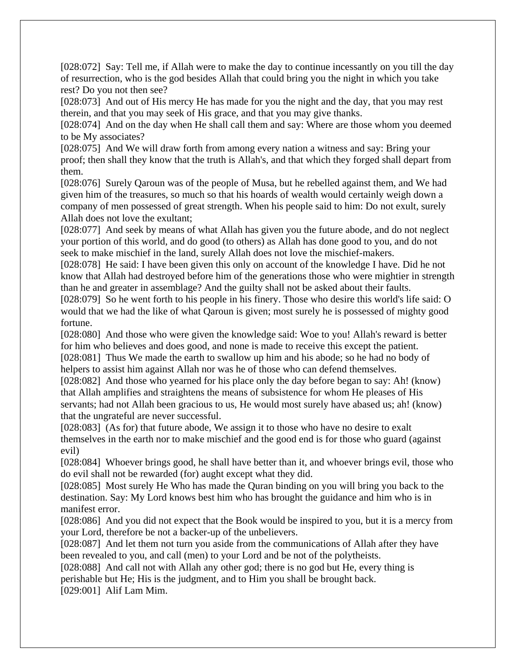[028:072] Say: Tell me, if Allah were to make the day to continue incessantly on you till the day of resurrection, who is the god besides Allah that could bring you the night in which you take rest? Do you not then see?

[028:073] And out of His mercy He has made for you the night and the day, that you may rest therein, and that you may seek of His grace, and that you may give thanks.

[028:074] And on the day when He shall call them and say: Where are those whom you deemed to be My associates?

[028:075] And We will draw forth from among every nation a witness and say: Bring your proof; then shall they know that the truth is Allah's, and that which they forged shall depart from them.

[028:076] Surely Qaroun was of the people of Musa, but he rebelled against them, and We had given him of the treasures, so much so that his hoards of wealth would certainly weigh down a company of men possessed of great strength. When his people said to him: Do not exult, surely Allah does not love the exultant;

[028:077] And seek by means of what Allah has given you the future abode, and do not neglect your portion of this world, and do good (to others) as Allah has done good to you, and do not seek to make mischief in the land, surely Allah does not love the mischief-makers.

[028:078] He said: I have been given this only on account of the knowledge I have. Did he not know that Allah had destroyed before him of the generations those who were mightier in strength than he and greater in assemblage? And the guilty shall not be asked about their faults.

[028:079] So he went forth to his people in his finery. Those who desire this world's life said: O would that we had the like of what Qaroun is given; most surely he is possessed of mighty good fortune.

[028:080] And those who were given the knowledge said: Woe to you! Allah's reward is better for him who believes and does good, and none is made to receive this except the patient. [028:081] Thus We made the earth to swallow up him and his abode; so he had no body of helpers to assist him against Allah nor was he of those who can defend themselves.

[028:082] And those who yearned for his place only the day before began to say: Ah! (know) that Allah amplifies and straightens the means of subsistence for whom He pleases of His servants; had not Allah been gracious to us, He would most surely have abased us; ah! (know) that the ungrateful are never successful.

[028:083] (As for) that future abode, We assign it to those who have no desire to exalt themselves in the earth nor to make mischief and the good end is for those who guard (against evil)

[028:084] Whoever brings good, he shall have better than it, and whoever brings evil, those who do evil shall not be rewarded (for) aught except what they did.

[028:085] Most surely He Who has made the Quran binding on you will bring you back to the destination. Say: My Lord knows best him who has brought the guidance and him who is in manifest error.

[028:086] And you did not expect that the Book would be inspired to you, but it is a mercy from your Lord, therefore be not a backer-up of the unbelievers.

[028:087] And let them not turn you aside from the communications of Allah after they have been revealed to you, and call (men) to your Lord and be not of the polytheists.

[028:088] And call not with Allah any other god; there is no god but He, every thing is perishable but He; His is the judgment, and to Him you shall be brought back.

[029:001] Alif Lam Mim.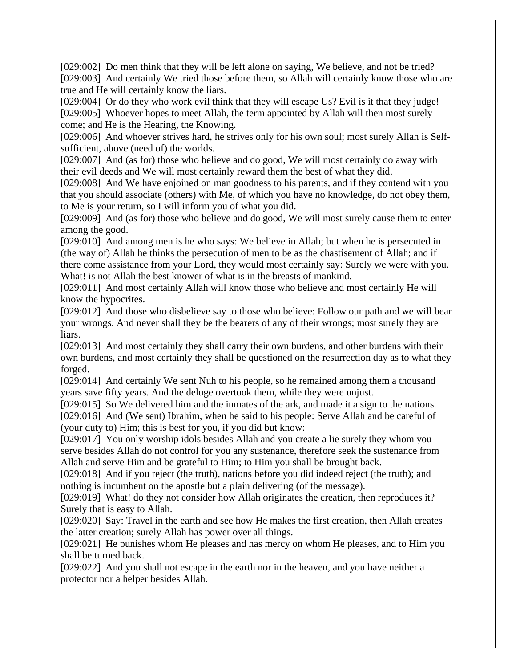[029:002] Do men think that they will be left alone on saying, We believe, and not be tried? [029:003] And certainly We tried those before them, so Allah will certainly know those who are true and He will certainly know the liars.

[029:004] Or do they who work evil think that they will escape Us? Evil is it that they judge! [029:005] Whoever hopes to meet Allah, the term appointed by Allah will then most surely come; and He is the Hearing, the Knowing.

[029:006] And whoever strives hard, he strives only for his own soul; most surely Allah is Selfsufficient, above (need of) the worlds.

[029:007] And (as for) those who believe and do good, We will most certainly do away with their evil deeds and We will most certainly reward them the best of what they did.

[029:008] And We have enjoined on man goodness to his parents, and if they contend with you that you should associate (others) with Me, of which you have no knowledge, do not obey them, to Me is your return, so I will inform you of what you did.

[029:009] And (as for) those who believe and do good, We will most surely cause them to enter among the good.

[029:010] And among men is he who says: We believe in Allah; but when he is persecuted in (the way of) Allah he thinks the persecution of men to be as the chastisement of Allah; and if there come assistance from your Lord, they would most certainly say: Surely we were with you. What! is not Allah the best knower of what is in the breasts of mankind.

[029:011] And most certainly Allah will know those who believe and most certainly He will know the hypocrites.

[029:012] And those who disbelieve say to those who believe: Follow our path and we will bear your wrongs. And never shall they be the bearers of any of their wrongs; most surely they are liars.

[029:013] And most certainly they shall carry their own burdens, and other burdens with their own burdens, and most certainly they shall be questioned on the resurrection day as to what they forged.

[029:014] And certainly We sent Nuh to his people, so he remained among them a thousand years save fifty years. And the deluge overtook them, while they were unjust.

[029:015] So We delivered him and the inmates of the ark, and made it a sign to the nations.

[029:016] And (We sent) Ibrahim, when he said to his people: Serve Allah and be careful of (your duty to) Him; this is best for you, if you did but know:

[029:017] You only worship idols besides Allah and you create a lie surely they whom you serve besides Allah do not control for you any sustenance, therefore seek the sustenance from Allah and serve Him and be grateful to Him; to Him you shall be brought back.

[029:018] And if you reject (the truth), nations before you did indeed reject (the truth); and nothing is incumbent on the apostle but a plain delivering (of the message).

[029:019] What! do they not consider how Allah originates the creation, then reproduces it? Surely that is easy to Allah.

[029:020] Say: Travel in the earth and see how He makes the first creation, then Allah creates the latter creation; surely Allah has power over all things.

[029:021] He punishes whom He pleases and has mercy on whom He pleases, and to Him you shall be turned back.

[029:022] And you shall not escape in the earth nor in the heaven, and you have neither a protector nor a helper besides Allah.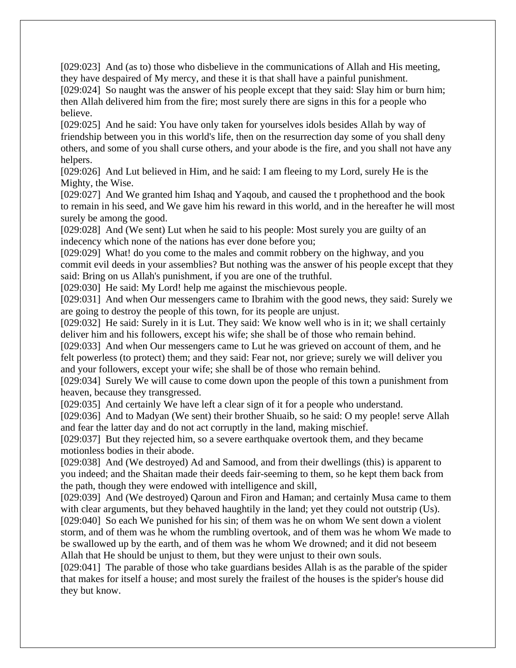[029:023] And (as to) those who disbelieve in the communications of Allah and His meeting, they have despaired of My mercy, and these it is that shall have a painful punishment. [029:024] So naught was the answer of his people except that they said: Slay him or burn him;

then Allah delivered him from the fire; most surely there are signs in this for a people who believe.

[029:025] And he said: You have only taken for yourselves idols besides Allah by way of friendship between you in this world's life, then on the resurrection day some of you shall deny others, and some of you shall curse others, and your abode is the fire, and you shall not have any helpers.

[029:026] And Lut believed in Him, and he said: I am fleeing to my Lord, surely He is the Mighty, the Wise.

[029:027] And We granted him Ishaq and Yaqoub, and caused the t prophethood and the book to remain in his seed, and We gave him his reward in this world, and in the hereafter he will most surely be among the good.

[029:028] And (We sent) Lut when he said to his people: Most surely you are guilty of an indecency which none of the nations has ever done before you;

[029:029] What! do you come to the males and commit robbery on the highway, and you commit evil deeds in your assemblies? But nothing was the answer of his people except that they said: Bring on us Allah's punishment, if you are one of the truthful.

[029:030] He said: My Lord! help me against the mischievous people.

[029:031] And when Our messengers came to Ibrahim with the good news, they said: Surely we are going to destroy the people of this town, for its people are unjust.

[029:032] He said: Surely in it is Lut. They said: We know well who is in it; we shall certainly deliver him and his followers, except his wife; she shall be of those who remain behind.

[029:033] And when Our messengers came to Lut he was grieved on account of them, and he felt powerless (to protect) them; and they said: Fear not, nor grieve; surely we will deliver you and your followers, except your wife; she shall be of those who remain behind.

[029:034] Surely We will cause to come down upon the people of this town a punishment from heaven, because they transgressed.

[029:035] And certainly We have left a clear sign of it for a people who understand.

[029:036] And to Madyan (We sent) their brother Shuaib, so he said: O my people! serve Allah and fear the latter day and do not act corruptly in the land, making mischief.

[029:037] But they rejected him, so a severe earthquake overtook them, and they became motionless bodies in their abode.

[029:038] And (We destroyed) Ad and Samood, and from their dwellings (this) is apparent to you indeed; and the Shaitan made their deeds fair-seeming to them, so he kept them back from the path, though they were endowed with intelligence and skill,

[029:039] And (We destroyed) Qaroun and Firon and Haman; and certainly Musa came to them with clear arguments, but they behaved haughtily in the land; yet they could not outstrip (Us). [029:040] So each We punished for his sin; of them was he on whom We sent down a violent storm, and of them was he whom the rumbling overtook, and of them was he whom We made to be swallowed up by the earth, and of them was he whom We drowned; and it did not beseem

Allah that He should be unjust to them, but they were unjust to their own souls.

[029:041] The parable of those who take guardians besides Allah is as the parable of the spider that makes for itself a house; and most surely the frailest of the houses is the spider's house did they but know.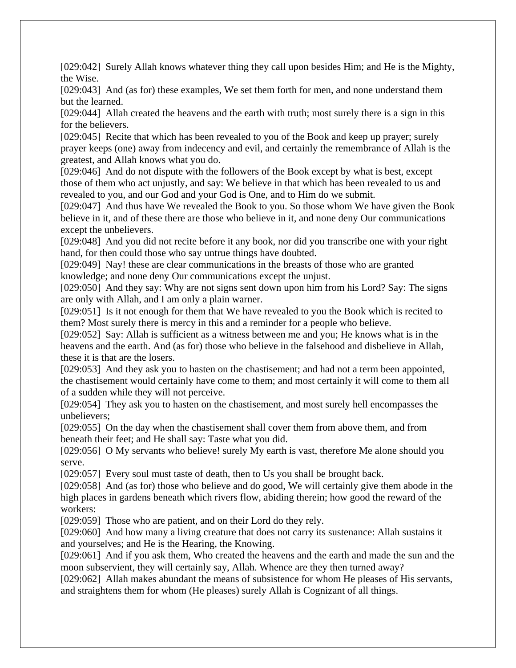[029:042] Surely Allah knows whatever thing they call upon besides Him; and He is the Mighty, the Wise.

[029:043] And (as for) these examples, We set them forth for men, and none understand them but the learned.

[029:044] Allah created the heavens and the earth with truth; most surely there is a sign in this for the believers.

[029:045] Recite that which has been revealed to you of the Book and keep up prayer; surely prayer keeps (one) away from indecency and evil, and certainly the remembrance of Allah is the greatest, and Allah knows what you do.

[029:046] And do not dispute with the followers of the Book except by what is best, except those of them who act unjustly, and say: We believe in that which has been revealed to us and revealed to you, and our God and your God is One, and to Him do we submit.

[029:047] And thus have We revealed the Book to you. So those whom We have given the Book believe in it, and of these there are those who believe in it, and none deny Our communications except the unbelievers.

[029:048] And you did not recite before it any book, nor did you transcribe one with your right hand, for then could those who say untrue things have doubted.

[029:049] Nay! these are clear communications in the breasts of those who are granted knowledge; and none deny Our communications except the unjust.

[029:050] And they say: Why are not signs sent down upon him from his Lord? Say: The signs are only with Allah, and I am only a plain warner.

[029:051] Is it not enough for them that We have revealed to you the Book which is recited to them? Most surely there is mercy in this and a reminder for a people who believe.

[029:052] Say: Allah is sufficient as a witness between me and you; He knows what is in the heavens and the earth. And (as for) those who believe in the falsehood and disbelieve in Allah, these it is that are the losers.

[029:053] And they ask you to hasten on the chastisement; and had not a term been appointed, the chastisement would certainly have come to them; and most certainly it will come to them all of a sudden while they will not perceive.

[029:054] They ask you to hasten on the chastisement, and most surely hell encompasses the unbelievers;

[029:055] On the day when the chastisement shall cover them from above them, and from beneath their feet; and He shall say: Taste what you did.

[029:056] O My servants who believe! surely My earth is vast, therefore Me alone should you serve.

[029:057] Every soul must taste of death, then to Us you shall be brought back.

[029:058] And (as for) those who believe and do good, We will certainly give them abode in the high places in gardens beneath which rivers flow, abiding therein; how good the reward of the workers:

[029:059] Those who are patient, and on their Lord do they rely.

[029:060] And how many a living creature that does not carry its sustenance: Allah sustains it and yourselves; and He is the Hearing, the Knowing.

[029:061] And if you ask them, Who created the heavens and the earth and made the sun and the moon subservient, they will certainly say, Allah. Whence are they then turned away?

[029:062] Allah makes abundant the means of subsistence for whom He pleases of His servants, and straightens them for whom (He pleases) surely Allah is Cognizant of all things.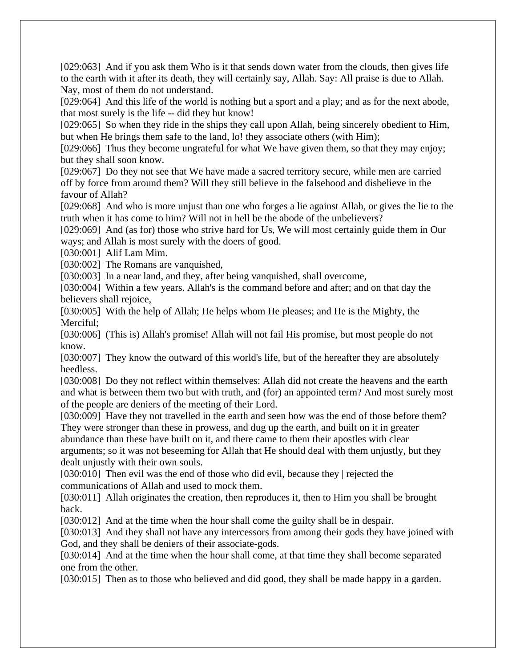[029:063] And if you ask them Who is it that sends down water from the clouds, then gives life to the earth with it after its death, they will certainly say, Allah. Say: All praise is due to Allah. Nay, most of them do not understand.

[029:064] And this life of the world is nothing but a sport and a play; and as for the next abode, that most surely is the life -- did they but know!

[029:065] So when they ride in the ships they call upon Allah, being sincerely obedient to Him, but when He brings them safe to the land, lo! they associate others (with Him);

[029:066] Thus they become ungrateful for what We have given them, so that they may enjoy; but they shall soon know.

[029:067] Do they not see that We have made a sacred territory secure, while men are carried off by force from around them? Will they still believe in the falsehood and disbelieve in the favour of Allah?

[029:068] And who is more unjust than one who forges a lie against Allah, or gives the lie to the truth when it has come to him? Will not in hell be the abode of the unbelievers?

[029:069] And (as for) those who strive hard for Us, We will most certainly guide them in Our ways; and Allah is most surely with the doers of good.

[030:001] Alif Lam Mim.

[030:002] The Romans are vanquished,

[030:003] In a near land, and they, after being vanquished, shall overcome,

[030:004] Within a few years. Allah's is the command before and after; and on that day the believers shall rejoice,

[030:005] With the help of Allah; He helps whom He pleases; and He is the Mighty, the Merciful;

[030:006] (This is) Allah's promise! Allah will not fail His promise, but most people do not know.

[030:007] They know the outward of this world's life, but of the hereafter they are absolutely heedless.

[030:008] Do they not reflect within themselves: Allah did not create the heavens and the earth and what is between them two but with truth, and (for) an appointed term? And most surely most of the people are deniers of the meeting of their Lord.

[030:009] Have they not travelled in the earth and seen how was the end of those before them? They were stronger than these in prowess, and dug up the earth, and built on it in greater

abundance than these have built on it, and there came to them their apostles with clear arguments; so it was not beseeming for Allah that He should deal with them unjustly, but they dealt unjustly with their own souls.

[030:010] Then evil was the end of those who did evil, because they | rejected the communications of Allah and used to mock them.

[030:011] Allah originates the creation, then reproduces it, then to Him you shall be brought back.

[030:012] And at the time when the hour shall come the guilty shall be in despair.

[030:013] And they shall not have any intercessors from among their gods they have joined with God, and they shall be deniers of their associate-gods.

[030:014] And at the time when the hour shall come, at that time they shall become separated one from the other.

[030:015] Then as to those who believed and did good, they shall be made happy in a garden.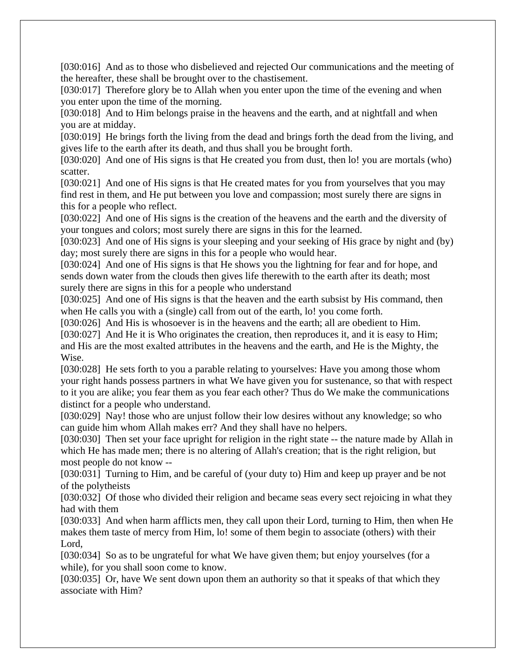[030:016] And as to those who disbelieved and rejected Our communications and the meeting of the hereafter, these shall be brought over to the chastisement.

[030:017] Therefore glory be to Allah when you enter upon the time of the evening and when you enter upon the time of the morning.

[030:018] And to Him belongs praise in the heavens and the earth, and at nightfall and when you are at midday.

[030:019] He brings forth the living from the dead and brings forth the dead from the living, and gives life to the earth after its death, and thus shall you be brought forth.

[030:020] And one of His signs is that He created you from dust, then lo! you are mortals (who) scatter.

[030:021] And one of His signs is that He created mates for you from yourselves that you may find rest in them, and He put between you love and compassion; most surely there are signs in this for a people who reflect.

[030:022] And one of His signs is the creation of the heavens and the earth and the diversity of your tongues and colors; most surely there are signs in this for the learned.

[030:023] And one of His signs is your sleeping and your seeking of His grace by night and (by) day; most surely there are signs in this for a people who would hear.

[030:024] And one of His signs is that He shows you the lightning for fear and for hope, and sends down water from the clouds then gives life therewith to the earth after its death; most surely there are signs in this for a people who understand

[030:025] And one of His signs is that the heaven and the earth subsist by His command, then when He calls you with a (single) call from out of the earth, lo! you come forth.

[030:026] And His is whosoever is in the heavens and the earth; all are obedient to Him. [030:027] And He it is Who originates the creation, then reproduces it, and it is easy to Him; and His are the most exalted attributes in the heavens and the earth, and He is the Mighty, the Wise.

[030:028] He sets forth to you a parable relating to yourselves: Have you among those whom your right hands possess partners in what We have given you for sustenance, so that with respect to it you are alike; you fear them as you fear each other? Thus do We make the communications distinct for a people who understand.

[030:029] Nay! those who are unjust follow their low desires without any knowledge; so who can guide him whom Allah makes err? And they shall have no helpers.

[030:030] Then set your face upright for religion in the right state -- the nature made by Allah in which He has made men; there is no altering of Allah's creation; that is the right religion, but most people do not know --

[030:031] Turning to Him, and be careful of (your duty to) Him and keep up prayer and be not of the polytheists

[030:032] Of those who divided their religion and became seas every sect rejoicing in what they had with them

[030:033] And when harm afflicts men, they call upon their Lord, turning to Him, then when He makes them taste of mercy from Him, lo! some of them begin to associate (others) with their Lord,

[030:034] So as to be ungrateful for what We have given them; but enjoy yourselves (for a while), for you shall soon come to know.

[030:035] Or, have We sent down upon them an authority so that it speaks of that which they associate with Him?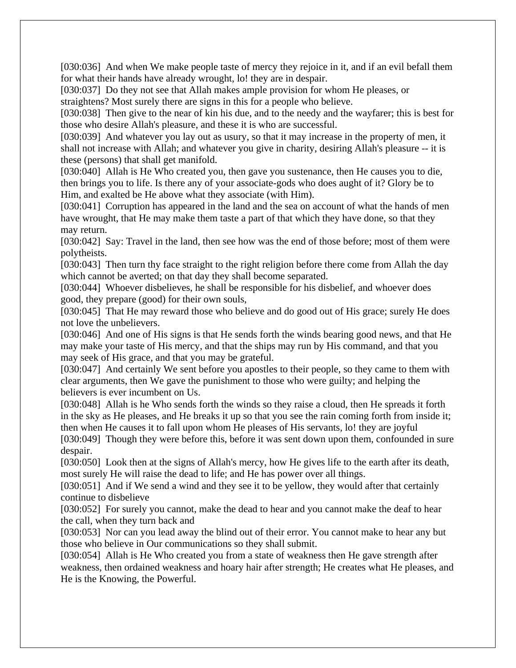[030:036] And when We make people taste of mercy they rejoice in it, and if an evil befall them for what their hands have already wrought, lo! they are in despair.

[030:037] Do they not see that Allah makes ample provision for whom He pleases, or straightens? Most surely there are signs in this for a people who believe.

[030:038] Then give to the near of kin his due, and to the needy and the wayfarer; this is best for those who desire Allah's pleasure, and these it is who are successful.

[030:039] And whatever you lay out as usury, so that it may increase in the property of men, it shall not increase with Allah; and whatever you give in charity, desiring Allah's pleasure -- it is these (persons) that shall get manifold.

[030:040] Allah is He Who created you, then gave you sustenance, then He causes you to die, then brings you to life. Is there any of your associate-gods who does aught of it? Glory be to Him, and exalted be He above what they associate (with Him).

[030:041] Corruption has appeared in the land and the sea on account of what the hands of men have wrought, that He may make them taste a part of that which they have done, so that they may return.

[030:042] Say: Travel in the land, then see how was the end of those before; most of them were polytheists.

[030:043] Then turn thy face straight to the right religion before there come from Allah the day which cannot be averted; on that day they shall become separated.

[030:044] Whoever disbelieves, he shall be responsible for his disbelief, and whoever does good, they prepare (good) for their own souls,

[030:045] That He may reward those who believe and do good out of His grace; surely He does not love the unbelievers.

[030:046] And one of His signs is that He sends forth the winds bearing good news, and that He may make your taste of His mercy, and that the ships may run by His command, and that you may seek of His grace, and that you may be grateful.

[030:047] And certainly We sent before you apostles to their people, so they came to them with clear arguments, then We gave the punishment to those who were guilty; and helping the believers is ever incumbent on Us.

[030:048] Allah is he Who sends forth the winds so they raise a cloud, then He spreads it forth in the sky as He pleases, and He breaks it up so that you see the rain coming forth from inside it; then when He causes it to fall upon whom He pleases of His servants, lo! they are joyful

[030:049] Though they were before this, before it was sent down upon them, confounded in sure despair.

[030:050] Look then at the signs of Allah's mercy, how He gives life to the earth after its death, most surely He will raise the dead to life; and He has power over all things.

[030:051] And if We send a wind and they see it to be yellow, they would after that certainly continue to disbelieve

[030:052] For surely you cannot, make the dead to hear and you cannot make the deaf to hear the call, when they turn back and

[030:053] Nor can you lead away the blind out of their error. You cannot make to hear any but those who believe in Our communications so they shall submit.

[030:054] Allah is He Who created you from a state of weakness then He gave strength after weakness, then ordained weakness and hoary hair after strength; He creates what He pleases, and He is the Knowing, the Powerful.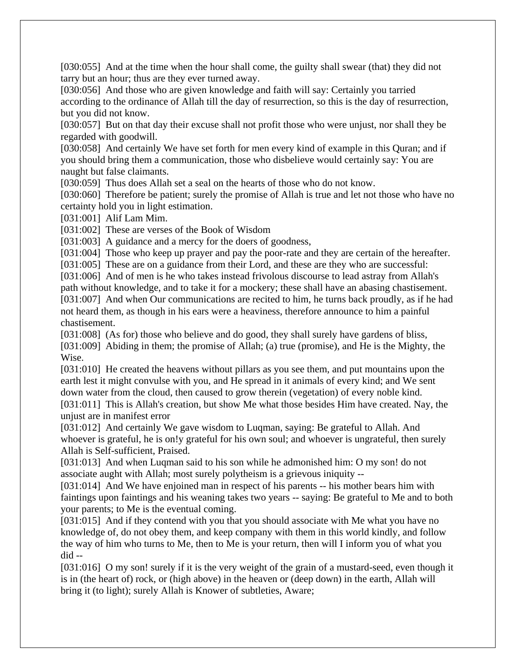[030:055] And at the time when the hour shall come, the guilty shall swear (that) they did not tarry but an hour; thus are they ever turned away.

[030:056] And those who are given knowledge and faith will say: Certainly you tarried according to the ordinance of Allah till the day of resurrection, so this is the day of resurrection, but you did not know.

[030:057] But on that day their excuse shall not profit those who were unjust, nor shall they be regarded with goodwill.

[030:058] And certainly We have set forth for men every kind of example in this Quran; and if you should bring them a communication, those who disbelieve would certainly say: You are naught but false claimants.

[030:059] Thus does Allah set a seal on the hearts of those who do not know.

[030:060] Therefore be patient; surely the promise of Allah is true and let not those who have no certainty hold you in light estimation.

[031:001] Alif Lam Mim.

[031:002] These are verses of the Book of Wisdom

[031:003] A guidance and a mercy for the doers of goodness,

[031:004] Those who keep up prayer and pay the poor-rate and they are certain of the hereafter.

[031:005] These are on a guidance from their Lord, and these are they who are successful:

[031:006] And of men is he who takes instead frivolous discourse to lead astray from Allah's path without knowledge, and to take it for a mockery; these shall have an abasing chastisement. [031:007] And when Our communications are recited to him, he turns back proudly, as if he had not heard them, as though in his ears were a heaviness, therefore announce to him a painful chastisement.

[031:008] (As for) those who believe and do good, they shall surely have gardens of bliss, [031:009] Abiding in them; the promise of Allah; (a) true (promise), and He is the Mighty, the Wise.

[031:010] He created the heavens without pillars as you see them, and put mountains upon the earth lest it might convulse with you, and He spread in it animals of every kind; and We sent down water from the cloud, then caused to grow therein (vegetation) of every noble kind.

[031:011] This is Allah's creation, but show Me what those besides Him have created. Nay, the unjust are in manifest error

[031:012] And certainly We gave wisdom to Luqman, saying: Be grateful to Allah. And whoever is grateful, he is on!y grateful for his own soul; and whoever is ungrateful, then surely Allah is Self-sufficient, Praised.

[031:013] And when Luqman said to his son while he admonished him: O my son! do not associate aught with Allah; most surely polytheism is a grievous iniquity --

[031:014] And We have enjoined man in respect of his parents -- his mother bears him with faintings upon faintings and his weaning takes two years -- saying: Be grateful to Me and to both your parents; to Me is the eventual coming.

[031:015] And if they contend with you that you should associate with Me what you have no knowledge of, do not obey them, and keep company with them in this world kindly, and follow the way of him who turns to Me, then to Me is your return, then will I inform you of what you did --

[031:016] O my son! surely if it is the very weight of the grain of a mustard-seed, even though it is in (the heart of) rock, or (high above) in the heaven or (deep down) in the earth, Allah will bring it (to light); surely Allah is Knower of subtleties, Aware;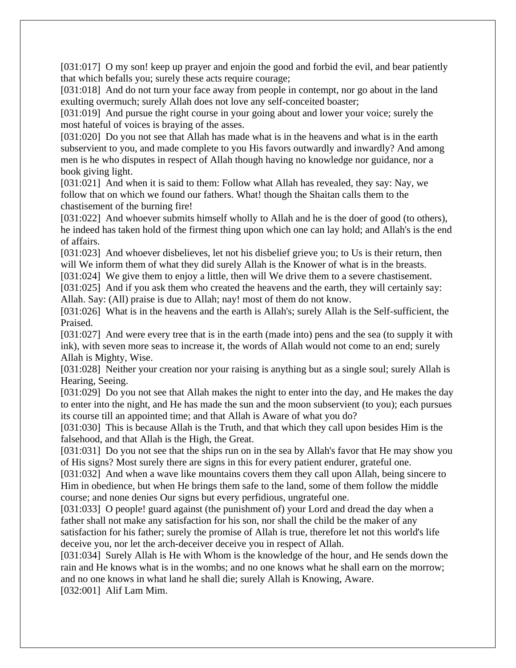[031:017] O my son! keep up prayer and enjoin the good and forbid the evil, and bear patiently that which befalls you; surely these acts require courage;

[031:018] And do not turn your face away from people in contempt, nor go about in the land exulting overmuch; surely Allah does not love any self-conceited boaster;

[031:019] And pursue the right course in your going about and lower your voice; surely the most hateful of voices is braying of the asses.

[031:020] Do you not see that Allah has made what is in the heavens and what is in the earth subservient to you, and made complete to you His favors outwardly and inwardly? And among men is he who disputes in respect of Allah though having no knowledge nor guidance, nor a book giving light.

[031:021] And when it is said to them: Follow what Allah has revealed, they say: Nay, we follow that on which we found our fathers. What! though the Shaitan calls them to the chastisement of the burning fire!

[031:022] And whoever submits himself wholly to Allah and he is the doer of good (to others), he indeed has taken hold of the firmest thing upon which one can lay hold; and Allah's is the end of affairs.

[031:023] And whoever disbelieves, let not his disbelief grieve you; to Us is their return, then will We inform them of what they did surely Allah is the Knower of what is in the breasts.

[031:024] We give them to enjoy a little, then will We drive them to a severe chastisement.

[031:025] And if you ask them who created the heavens and the earth, they will certainly say: Allah. Say: (All) praise is due to Allah; nay! most of them do not know.

[031:026] What is in the heavens and the earth is Allah's; surely Allah is the Self-sufficient, the Praised.

[031:027] And were every tree that is in the earth (made into) pens and the sea (to supply it with ink), with seven more seas to increase it, the words of Allah would not come to an end; surely Allah is Mighty, Wise.

[031:028] Neither your creation nor your raising is anything but as a single soul; surely Allah is Hearing, Seeing.

[031:029] Do you not see that Allah makes the night to enter into the day, and He makes the day to enter into the night, and He has made the sun and the moon subservient (to you); each pursues its course till an appointed time; and that Allah is Aware of what you do?

[031:030] This is because Allah is the Truth, and that which they call upon besides Him is the falsehood, and that Allah is the High, the Great.

[031:031] Do you not see that the ships run on in the sea by Allah's favor that He may show you of His signs? Most surely there are signs in this for every patient endurer, grateful one.

[031:032] And when a wave like mountains covers them they call upon Allah, being sincere to Him in obedience, but when He brings them safe to the land, some of them follow the middle course; and none denies Our signs but every perfidious, ungrateful one.

[031:033] O people! guard against (the punishment of) your Lord and dread the day when a father shall not make any satisfaction for his son, nor shall the child be the maker of any satisfaction for his father; surely the promise of Allah is true, therefore let not this world's life deceive you, nor let the arch-deceiver deceive you in respect of Allah.

[031:034] Surely Allah is He with Whom is the knowledge of the hour, and He sends down the rain and He knows what is in the wombs; and no one knows what he shall earn on the morrow; and no one knows in what land he shall die; surely Allah is Knowing, Aware.

[032:001] Alif Lam Mim.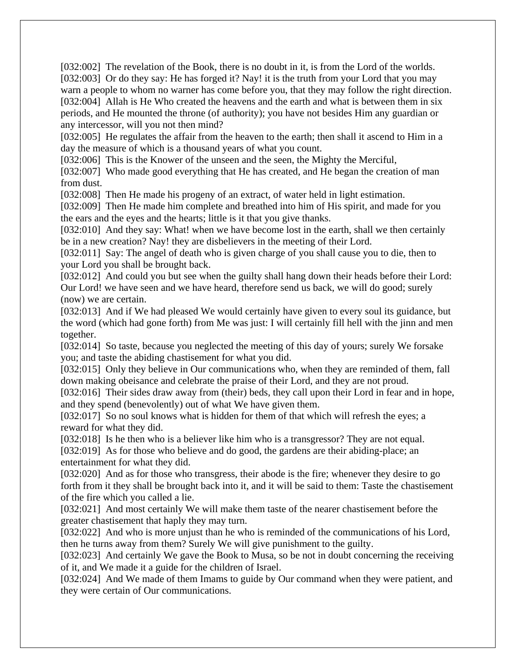[032:002] The revelation of the Book, there is no doubt in it, is from the Lord of the worlds. [032:003] Or do they say: He has forged it? Nay! it is the truth from your Lord that you may warn a people to whom no warner has come before you, that they may follow the right direction. [032:004] Allah is He Who created the heavens and the earth and what is between them in six periods, and He mounted the throne (of authority); you have not besides Him any guardian or any intercessor, will you not then mind?

[032:005] He regulates the affair from the heaven to the earth; then shall it ascend to Him in a day the measure of which is a thousand years of what you count.

[032:006] This is the Knower of the unseen and the seen, the Mighty the Merciful,

[032:007] Who made good everything that He has created, and He began the creation of man from dust.

[032:008] Then He made his progeny of an extract, of water held in light estimation.

[032:009] Then He made him complete and breathed into him of His spirit, and made for you the ears and the eyes and the hearts; little is it that you give thanks.

[032:010] And they say: What! when we have become lost in the earth, shall we then certainly be in a new creation? Nay! they are disbelievers in the meeting of their Lord.

[032:011] Say: The angel of death who is given charge of you shall cause you to die, then to your Lord you shall be brought back.

[032:012] And could you but see when the guilty shall hang down their heads before their Lord: Our Lord! we have seen and we have heard, therefore send us back, we will do good; surely (now) we are certain.

[032:013] And if We had pleased We would certainly have given to every soul its guidance, but the word (which had gone forth) from Me was just: I will certainly fill hell with the jinn and men together.

[032:014] So taste, because you neglected the meeting of this day of yours; surely We forsake you; and taste the abiding chastisement for what you did.

[032:015] Only they believe in Our communications who, when they are reminded of them, fall down making obeisance and celebrate the praise of their Lord, and they are not proud.

[032:016] Their sides draw away from (their) beds, they call upon their Lord in fear and in hope, and they spend (benevolently) out of what We have given them.

[032:017] So no soul knows what is hidden for them of that which will refresh the eyes; a reward for what they did.

[032:018] Is he then who is a believer like him who is a transgressor? They are not equal.

[032:019] As for those who believe and do good, the gardens are their abiding-place; an entertainment for what they did.

[032:020] And as for those who transgress, their abode is the fire; whenever they desire to go forth from it they shall be brought back into it, and it will be said to them: Taste the chastisement of the fire which you called a lie.

[032:021] And most certainly We will make them taste of the nearer chastisement before the greater chastisement that haply they may turn.

[032:022] And who is more unjust than he who is reminded of the communications of his Lord, then he turns away from them? Surely We will give punishment to the guilty.

[032:023] And certainly We gave the Book to Musa, so be not in doubt concerning the receiving of it, and We made it a guide for the children of Israel.

[032:024] And We made of them Imams to guide by Our command when they were patient, and they were certain of Our communications.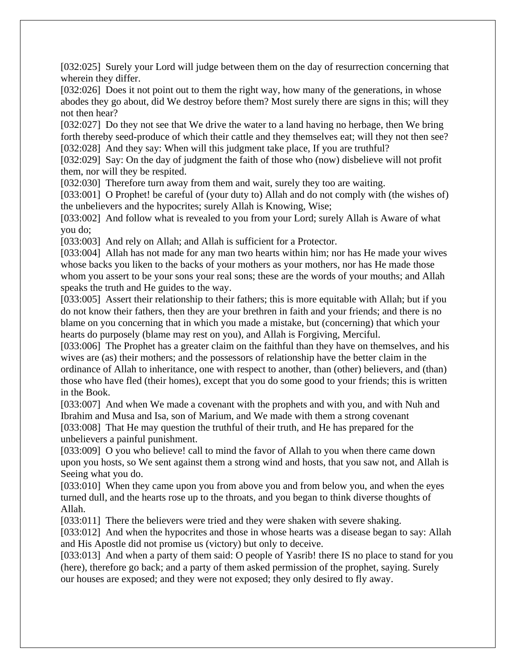[032:025] Surely your Lord will judge between them on the day of resurrection concerning that wherein they differ.

[032:026] Does it not point out to them the right way, how many of the generations, in whose abodes they go about, did We destroy before them? Most surely there are signs in this; will they not then hear?

[032:027] Do they not see that We drive the water to a land having no herbage, then We bring forth thereby seed-produce of which their cattle and they themselves eat; will they not then see? [032:028] And they say: When will this judgment take place, If you are truthful?

[032:029] Say: On the day of judgment the faith of those who (now) disbelieve will not profit them, nor will they be respited.

[032:030] Therefore turn away from them and wait, surely they too are waiting.

[033:001] O Prophet! be careful of (your duty to) Allah and do not comply with (the wishes of) the unbelievers and the hypocrites; surely Allah is Knowing, Wise;

[033:002] And follow what is revealed to you from your Lord; surely Allah is Aware of what you do;

[033:003] And rely on Allah; and Allah is sufficient for a Protector.

[033:004] Allah has not made for any man two hearts within him; nor has He made your wives whose backs you liken to the backs of your mothers as your mothers, nor has He made those whom you assert to be your sons your real sons; these are the words of your mouths; and Allah speaks the truth and He guides to the way.

[033:005] Assert their relationship to their fathers; this is more equitable with Allah; but if you do not know their fathers, then they are your brethren in faith and your friends; and there is no blame on you concerning that in which you made a mistake, but (concerning) that which your hearts do purposely (blame may rest on you), and Allah is Forgiving, Merciful.

[033:006] The Prophet has a greater claim on the faithful than they have on themselves, and his wives are (as) their mothers; and the possessors of relationship have the better claim in the ordinance of Allah to inheritance, one with respect to another, than (other) believers, and (than) those who have fled (their homes), except that you do some good to your friends; this is written in the Book.

[033:007] And when We made a covenant with the prophets and with you, and with Nuh and Ibrahim and Musa and Isa, son of Marium, and We made with them a strong covenant [033:008] That He may question the truthful of their truth, and He has prepared for the unbelievers a painful punishment.

[033:009] O you who believe! call to mind the favor of Allah to you when there came down upon you hosts, so We sent against them a strong wind and hosts, that you saw not, and Allah is Seeing what you do.

[033:010] When they came upon you from above you and from below you, and when the eyes turned dull, and the hearts rose up to the throats, and you began to think diverse thoughts of Allah.

[033:011] There the believers were tried and they were shaken with severe shaking.

[033:012] And when the hypocrites and those in whose hearts was a disease began to say: Allah and His Apostle did not promise us (victory) but only to deceive.

[033:013] And when a party of them said: O people of Yasrib! there IS no place to stand for you (here), therefore go back; and a party of them asked permission of the prophet, saying. Surely our houses are exposed; and they were not exposed; they only desired to fly away.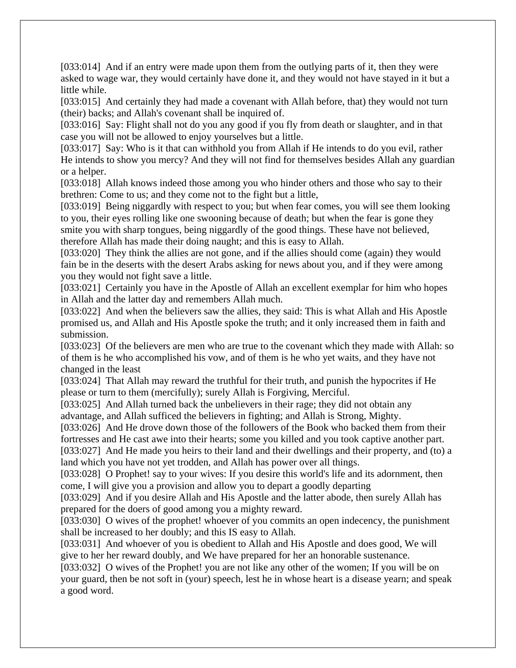[033:014] And if an entry were made upon them from the outlying parts of it, then they were asked to wage war, they would certainly have done it, and they would not have stayed in it but a little while.

[033:015] And certainly they had made a covenant with Allah before, that) they would not turn (their) backs; and Allah's covenant shall be inquired of.

[033:016] Say: Flight shall not do you any good if you fly from death or slaughter, and in that case you will not be allowed to enjoy yourselves but a little.

[033:017] Say: Who is it that can withhold you from Allah if He intends to do you evil, rather He intends to show you mercy? And they will not find for themselves besides Allah any guardian or a helper.

[033:018] Allah knows indeed those among you who hinder others and those who say to their brethren: Come to us; and they come not to the fight but a little,

[033:019] Being niggardly with respect to you; but when fear comes, you will see them looking to you, their eyes rolling like one swooning because of death; but when the fear is gone they smite you with sharp tongues, being niggardly of the good things. These have not believed, therefore Allah has made their doing naught; and this is easy to Allah.

[033:020] They think the allies are not gone, and if the allies should come (again) they would fain be in the deserts with the desert Arabs asking for news about you, and if they were among you they would not fight save a little.

[033:021] Certainly you have in the Apostle of Allah an excellent exemplar for him who hopes in Allah and the latter day and remembers Allah much.

[033:022] And when the believers saw the allies, they said: This is what Allah and His Apostle promised us, and Allah and His Apostle spoke the truth; and it only increased them in faith and submission.

[033:023] Of the believers are men who are true to the covenant which they made with Allah: so of them is he who accomplished his vow, and of them is he who yet waits, and they have not changed in the least

[033:024] That Allah may reward the truthful for their truth, and punish the hypocrites if He please or turn to them (mercifully); surely Allah is Forgiving, Merciful.

[033:025] And Allah turned back the unbelievers in their rage; they did not obtain any advantage, and Allah sufficed the believers in fighting; and Allah is Strong, Mighty.

[033:026] And He drove down those of the followers of the Book who backed them from their fortresses and He cast awe into their hearts; some you killed and you took captive another part.

[033:027] And He made you heirs to their land and their dwellings and their property, and (to) a land which you have not yet trodden, and Allah has power over all things.

[033:028] O Prophet! say to your wives: If you desire this world's life and its adornment, then come, I will give you a provision and allow you to depart a goodly departing

[033:029] And if you desire Allah and His Apostle and the latter abode, then surely Allah has prepared for the doers of good among you a mighty reward.

[033:030] O wives of the prophet! whoever of you commits an open indecency, the punishment shall be increased to her doubly; and this IS easy to Allah.

[033:031] And whoever of you is obedient to Allah and His Apostle and does good, We will give to her her reward doubly, and We have prepared for her an honorable sustenance.

[033:032] O wives of the Prophet! you are not like any other of the women; If you will be on your guard, then be not soft in (your) speech, lest he in whose heart is a disease yearn; and speak a good word.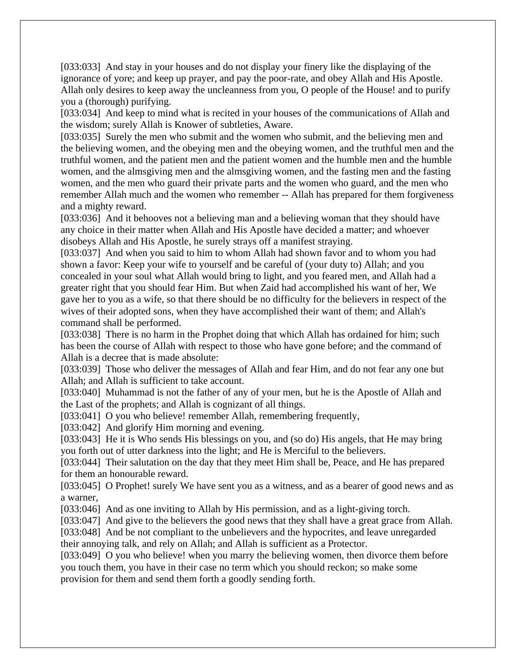[033:033] And stay in your houses and do not display your finery like the displaying of the ignorance of yore; and keep up prayer, and pay the poor-rate, and obey Allah and His Apostle. Allah only desires to keep away the uncleanness from you, O people of the House! and to purify you a (thorough) purifying.

[033:034] And keep to mind what is recited in your houses of the communications of Allah and the wisdom; surely Allah is Knower of subtleties, Aware.

[033:035] Surely the men who submit and the women who submit, and the believing men and the believing women, and the obeying men and the obeying women, and the truthful men and the truthful women, and the patient men and the patient women and the humble men and the humble women, and the almsgiving men and the almsgiving women, and the fasting men and the fasting women, and the men who guard their private parts and the women who guard, and the men who remember Allah much and the women who remember -- Allah has prepared for them forgiveness and a mighty reward.

[033:036] And it behooves not a believing man and a believing woman that they should have any choice in their matter when Allah and His Apostle have decided a matter; and whoever disobeys Allah and His Apostle, he surely strays off a manifest straying.

[033:037] And when you said to him to whom Allah had shown favor and to whom you had shown a favor: Keep your wife to yourself and be careful of (your duty to) Allah; and you concealed in your soul what Allah would bring to light, and you feared men, and Allah had a greater right that you should fear Him. But when Zaid had accomplished his want of her, We gave her to you as a wife, so that there should be no difficulty for the believers in respect of the wives of their adopted sons, when they have accomplished their want of them; and Allah's command shall be performed.

[033:038] There is no harm in the Prophet doing that which Allah has ordained for him; such has been the course of Allah with respect to those who have gone before; and the command of Allah is a decree that is made absolute:

[033:039] Those who deliver the messages of Allah and fear Him, and do not fear any one but Allah; and Allah is sufficient to take account.

[033:040] Muhammad is not the father of any of your men, but he is the Apostle of Allah and the Last of the prophets; and Allah is cognizant of all things.

[033:041] O you who believe! remember Allah, remembering frequently,

[033:042] And glorify Him morning and evening.

[033:043] He it is Who sends His blessings on you, and (so do) His angels, that He may bring you forth out of utter darkness into the light; and He is Merciful to the believers.

[033:044] Their salutation on the day that they meet Him shall be, Peace, and He has prepared for them an honourable reward.

[033:045] O Prophet! surely We have sent you as a witness, and as a bearer of good news and as a warner,

[033:046] And as one inviting to Allah by His permission, and as a light-giving torch.

[033:047] And give to the believers the good news that they shall have a great grace from Allah.

[033:048] And be not compliant to the unbelievers and the hypocrites, and leave unregarded their annoying talk, and rely on Allah; and Allah is sufficient as a Protector.

[033:049] O you who believe! when you marry the believing women, then divorce them before you touch them, you have in their case no term which you should reckon; so make some provision for them and send them forth a goodly sending forth.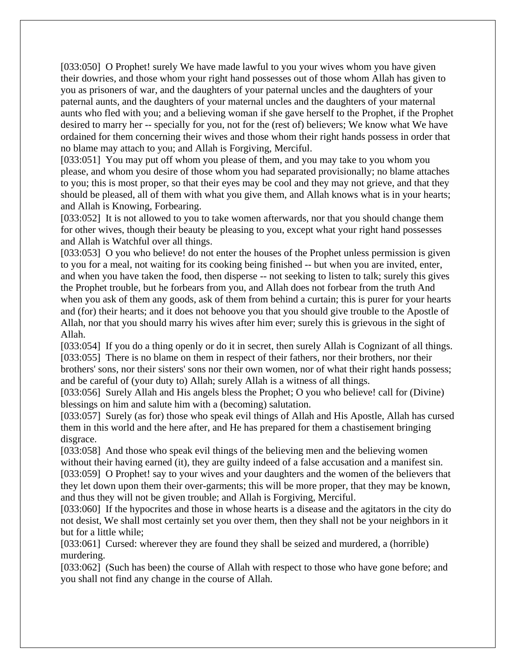[033:050] O Prophet! surely We have made lawful to you your wives whom you have given their dowries, and those whom your right hand possesses out of those whom Allah has given to you as prisoners of war, and the daughters of your paternal uncles and the daughters of your paternal aunts, and the daughters of your maternal uncles and the daughters of your maternal aunts who fled with you; and a believing woman if she gave herself to the Prophet, if the Prophet desired to marry her -- specially for you, not for the (rest of) believers; We know what We have ordained for them concerning their wives and those whom their right hands possess in order that no blame may attach to you; and Allah is Forgiving, Merciful.

[033:051] You may put off whom you please of them, and you may take to you whom you please, and whom you desire of those whom you had separated provisionally; no blame attaches to you; this is most proper, so that their eyes may be cool and they may not grieve, and that they should be pleased, all of them with what you give them, and Allah knows what is in your hearts; and Allah is Knowing, Forbearing.

[033:052] It is not allowed to you to take women afterwards, nor that you should change them for other wives, though their beauty be pleasing to you, except what your right hand possesses and Allah is Watchful over all things.

[033:053] O you who believe! do not enter the houses of the Prophet unless permission is given to you for a meal, not waiting for its cooking being finished -- but when you are invited, enter, and when you have taken the food, then disperse -- not seeking to listen to talk; surely this gives the Prophet trouble, but he forbears from you, and Allah does not forbear from the truth And when you ask of them any goods, ask of them from behind a curtain; this is purer for your hearts and (for) their hearts; and it does not behoove you that you should give trouble to the Apostle of Allah, nor that you should marry his wives after him ever; surely this is grievous in the sight of Allah.

[033:054] If you do a thing openly or do it in secret, then surely Allah is Cognizant of all things. [033:055] There is no blame on them in respect of their fathers, nor their brothers, nor their brothers' sons, nor their sisters' sons nor their own women, nor of what their right hands possess; and be careful of (your duty to) Allah; surely Allah is a witness of all things.

[033:056] Surely Allah and His angels bless the Prophet; O you who believe! call for (Divine) blessings on him and salute him with a (becoming) salutation.

[033:057] Surely (as for) those who speak evil things of Allah and His Apostle, Allah has cursed them in this world and the here after, and He has prepared for them a chastisement bringing disgrace.

[033:058] And those who speak evil things of the believing men and the believing women without their having earned (it), they are guilty indeed of a false accusation and a manifest sin. [033:059] O Prophet! say to your wives and your daughters and the women of the believers that they let down upon them their over-garments; this will be more proper, that they may be known, and thus they will not be given trouble; and Allah is Forgiving, Merciful.

[033:060] If the hypocrites and those in whose hearts is a disease and the agitators in the city do not desist, We shall most certainly set you over them, then they shall not be your neighbors in it but for a little while;

[033:061] Cursed: wherever they are found they shall be seized and murdered, a (horrible) murdering.

[033:062] (Such has been) the course of Allah with respect to those who have gone before; and you shall not find any change in the course of Allah.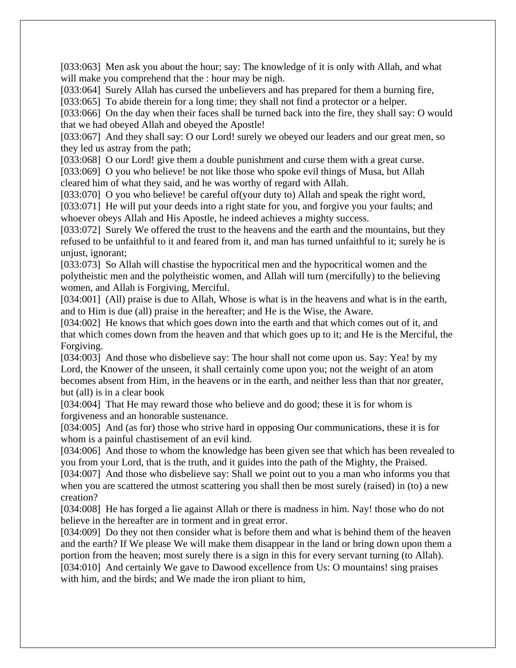[033:063] Men ask you about the hour; say: The knowledge of it is only with Allah, and what will make you comprehend that the : hour may be nigh.

[033:064] Surely Allah has cursed the unbelievers and has prepared for them a burning fire,

[033:065] To abide therein for a long time; they shall not find a protector or a helper.

[033:066] On the day when their faces shall be turned back into the fire, they shall say: O would that we had obeyed Allah and obeyed the Apostle!

[033:067] And they shall say: O our Lord! surely we obeyed our leaders and our great men, so they led us astray from the path;

[033:068] O our Lord! give them a double punishment and curse them with a great curse.

[033:069] O you who believe! be not like those who spoke evil things of Musa, but Allah cleared him of what they said, and he was worthy of regard with Allah.

[033:070] O you who believe! be careful of (your duty to) Allah and speak the right word, [033:071] He will put your deeds into a right state for you, and forgive you your faults; and

whoever obeys Allah and His Apostle, he indeed achieves a mighty success.

[033:072] Surely We offered the trust to the heavens and the earth and the mountains, but they refused to be unfaithful to it and feared from it, and man has turned unfaithful to it; surely he is unjust, ignorant;

[033:073] So Allah will chastise the hypocritical men and the hypocritical women and the polytheistic men and the polytheistic women, and Allah will turn (mercifully) to the believing women, and Allah is Forgiving, Merciful.

[034:001] (All) praise is due to Allah, Whose is what is in the heavens and what is in the earth, and to Him is due (all) praise in the hereafter; and He is the Wise, the Aware.

[034:002] He knows that which goes down into the earth and that which comes out of it, and that which comes down from the heaven and that which goes up to it; and He is the Merciful, the Forgiving.

[034:003] And those who disbelieve say: The hour shall not come upon us. Say: Yea! by my Lord, the Knower of the unseen, it shall certainly come upon you; not the weight of an atom becomes absent from Him, in the heavens or in the earth, and neither less than that nor greater, but (all) is in a clear book

[034:004] That He may reward those who believe and do good; these it is for whom is forgiveness and an honorable sustenance.

[034:005] And (as for) those who strive hard in opposing Our communications, these it is for whom is a painful chastisement of an evil kind.

[034:006] And those to whom the knowledge has been given see that which has been revealed to you from your Lord, that is the truth, and it guides into the path of the Mighty, the Praised.

[034:007] And those who disbelieve say: Shall we point out to you a man who informs you that when you are scattered the utmost scattering you shall then be most surely (raised) in (to) a new creation?

[034:008] He has forged a lie against Allah or there is madness in him. Nay! those who do not believe in the hereafter are in torment and in great error.

[034:009] Do they not then consider what is before them and what is behind them of the heaven and the earth? If We please We will make them disappear in the land or bring down upon them a portion from the heaven; most surely there is a sign in this for every servant turning (to Allah). [034:010] And certainly We gave to Dawood excellence from Us: O mountains! sing praises with him, and the birds; and We made the iron pliant to him,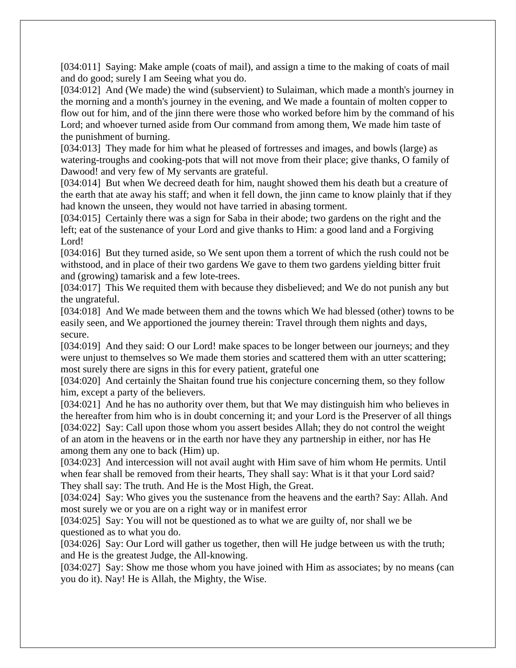[034:011] Saying: Make ample (coats of mail), and assign a time to the making of coats of mail and do good; surely I am Seeing what you do.

[034:012] And (We made) the wind (subservient) to Sulaiman, which made a month's journey in the morning and a month's journey in the evening, and We made a fountain of molten copper to flow out for him, and of the jinn there were those who worked before him by the command of his Lord; and whoever turned aside from Our command from among them, We made him taste of the punishment of burning.

[034:013] They made for him what he pleased of fortresses and images, and bowls (large) as watering-troughs and cooking-pots that will not move from their place; give thanks, O family of Dawood! and very few of My servants are grateful.

[034:014] But when We decreed death for him, naught showed them his death but a creature of the earth that ate away his staff; and when it fell down, the jinn came to know plainly that if they had known the unseen, they would not have tarried in abasing torment.

[034:015] Certainly there was a sign for Saba in their abode; two gardens on the right and the left; eat of the sustenance of your Lord and give thanks to Him: a good land and a Forgiving Lord!

[034:016] But they turned aside, so We sent upon them a torrent of which the rush could not be withstood, and in place of their two gardens We gave to them two gardens yielding bitter fruit and (growing) tamarisk and a few lote-trees.

[034:017] This We requited them with because they disbelieved; and We do not punish any but the ungrateful.

[034:018] And We made between them and the towns which We had blessed (other) towns to be easily seen, and We apportioned the journey therein: Travel through them nights and days, secure.

[034:019] And they said: O our Lord! make spaces to be longer between our journeys; and they were unjust to themselves so We made them stories and scattered them with an utter scattering; most surely there are signs in this for every patient, grateful one

[034:020] And certainly the Shaitan found true his conjecture concerning them, so they follow him, except a party of the believers.

[034:021] And he has no authority over them, but that We may distinguish him who believes in the hereafter from him who is in doubt concerning it; and your Lord is the Preserver of all things [034:022] Say: Call upon those whom you assert besides Allah; they do not control the weight of an atom in the heavens or in the earth nor have they any partnership in either, nor has He among them any one to back (Him) up.

[034:023] And intercession will not avail aught with Him save of him whom He permits. Until when fear shall be removed from their hearts, They shall say: What is it that your Lord said? They shall say: The truth. And He is the Most High, the Great.

[034:024] Say: Who gives you the sustenance from the heavens and the earth? Say: Allah. And most surely we or you are on a right way or in manifest error

[034:025] Say: You will not be questioned as to what we are guilty of, nor shall we be questioned as to what you do.

[034:026] Say: Our Lord will gather us together, then will He judge between us with the truth; and He is the greatest Judge, the All-knowing.

[034:027] Say: Show me those whom you have joined with Him as associates; by no means (can you do it). Nay! He is Allah, the Mighty, the Wise.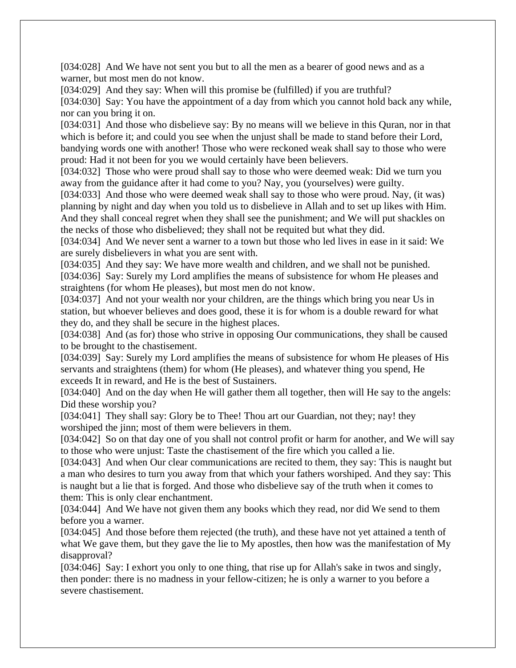[034:028] And We have not sent you but to all the men as a bearer of good news and as a warner, but most men do not know.

[034:029] And they say: When will this promise be (fulfilled) if you are truthful?

[034:030] Say: You have the appointment of a day from which you cannot hold back any while, nor can you bring it on.

[034:031] And those who disbelieve say: By no means will we believe in this Quran, nor in that which is before it; and could you see when the unjust shall be made to stand before their Lord, bandying words one with another! Those who were reckoned weak shall say to those who were proud: Had it not been for you we would certainly have been believers.

[034:032] Those who were proud shall say to those who were deemed weak: Did we turn you away from the guidance after it had come to you? Nay, you (yourselves) were guilty.

[034:033] And those who were deemed weak shall say to those who were proud. Nay, (it was) planning by night and day when you told us to disbelieve in Allah and to set up likes with Him. And they shall conceal regret when they shall see the punishment; and We will put shackles on the necks of those who disbelieved; they shall not be requited but what they did.

[034:034] And We never sent a warner to a town but those who led lives in ease in it said: We are surely disbelievers in what you are sent with.

[034:035] And they say: We have more wealth and children, and we shall not be punished. [034:036] Say: Surely my Lord amplifies the means of subsistence for whom He pleases and straightens (for whom He pleases), but most men do not know.

[034:037] And not your wealth nor your children, are the things which bring you near Us in station, but whoever believes and does good, these it is for whom is a double reward for what they do, and they shall be secure in the highest places.

[034:038] And (as for) those who strive in opposing Our communications, they shall be caused to be brought to the chastisement.

[034:039] Say: Surely my Lord amplifies the means of subsistence for whom He pleases of His servants and straightens (them) for whom (He pleases), and whatever thing you spend, He exceeds It in reward, and He is the best of Sustainers.

[034:040] And on the day when He will gather them all together, then will He say to the angels: Did these worship you?

[034:041] They shall say: Glory be to Thee! Thou art our Guardian, not they; nay! they worshiped the jinn; most of them were believers in them.

[034:042] So on that day one of you shall not control profit or harm for another, and We will say to those who were unjust: Taste the chastisement of the fire which you called a lie.

[034:043] And when Our clear communications are recited to them, they say: This is naught but a man who desires to turn you away from that which your fathers worshiped. And they say: This is naught but a lie that is forged. And those who disbelieve say of the truth when it comes to them: This is only clear enchantment.

[034:044] And We have not given them any books which they read, nor did We send to them before you a warner.

[034:045] And those before them rejected (the truth), and these have not yet attained a tenth of what We gave them, but they gave the lie to My apostles, then how was the manifestation of My disapproval?

[034:046] Say: I exhort you only to one thing, that rise up for Allah's sake in twos and singly, then ponder: there is no madness in your fellow-citizen; he is only a warner to you before a severe chastisement.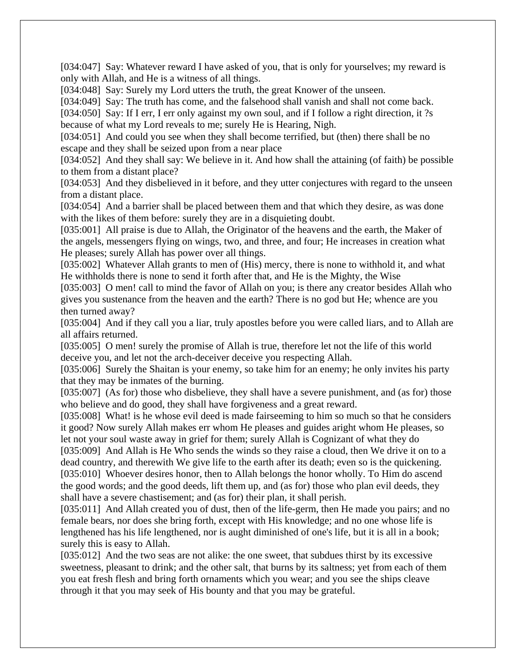[034:047] Say: Whatever reward I have asked of you, that is only for yourselves; my reward is only with Allah, and He is a witness of all things.

[034:048] Say: Surely my Lord utters the truth, the great Knower of the unseen.

[034:049] Say: The truth has come, and the falsehood shall vanish and shall not come back.

[034:050] Say: If I err, I err only against my own soul, and if I follow a right direction, it ?s because of what my Lord reveals to me; surely He is Hearing, Nigh.

[034:051] And could you see when they shall become terrified, but (then) there shall be no escape and they shall be seized upon from a near place

[034:052] And they shall say: We believe in it. And how shall the attaining (of faith) be possible to them from a distant place?

[034:053] And they disbelieved in it before, and they utter conjectures with regard to the unseen from a distant place.

[034:054] And a barrier shall be placed between them and that which they desire, as was done with the likes of them before: surely they are in a disquieting doubt.

[035:001] All praise is due to Allah, the Originator of the heavens and the earth, the Maker of the angels, messengers flying on wings, two, and three, and four; He increases in creation what He pleases; surely Allah has power over all things.

[035:002] Whatever Allah grants to men of (His) mercy, there is none to withhold it, and what He withholds there is none to send it forth after that, and He is the Mighty, the Wise

[035:003] O men! call to mind the favor of Allah on you; is there any creator besides Allah who gives you sustenance from the heaven and the earth? There is no god but He; whence are you then turned away?

[035:004] And if they call you a liar, truly apostles before you were called liars, and to Allah are all affairs returned.

[035:005] O men! surely the promise of Allah is true, therefore let not the life of this world deceive you, and let not the arch-deceiver deceive you respecting Allah.

[035:006] Surely the Shaitan is your enemy, so take him for an enemy; he only invites his party that they may be inmates of the burning.

[035:007] (As for) those who disbelieve, they shall have a severe punishment, and (as for) those who believe and do good, they shall have forgiveness and a great reward.

[035:008] What! is he whose evil deed is made fairseeming to him so much so that he considers it good? Now surely Allah makes err whom He pleases and guides aright whom He pleases, so let not your soul waste away in grief for them; surely Allah is Cognizant of what they do

[035:009] And Allah is He Who sends the winds so they raise a cloud, then We drive it on to a dead country, and therewith We give life to the earth after its death; even so is the quickening. [035:010] Whoever desires honor, then to Allah belongs the honor wholly. To Him do ascend the good words; and the good deeds, lift them up, and (as for) those who plan evil deeds, they shall have a severe chastisement; and (as for) their plan, it shall perish.

[035:011] And Allah created you of dust, then of the life-germ, then He made you pairs; and no female bears, nor does she bring forth, except with His knowledge; and no one whose life is lengthened has his life lengthened, nor is aught diminished of one's life, but it is all in a book; surely this is easy to Allah.

[035:012] And the two seas are not alike: the one sweet, that subdues thirst by its excessive sweetness, pleasant to drink; and the other salt, that burns by its saltness; yet from each of them you eat fresh flesh and bring forth ornaments which you wear; and you see the ships cleave through it that you may seek of His bounty and that you may be grateful.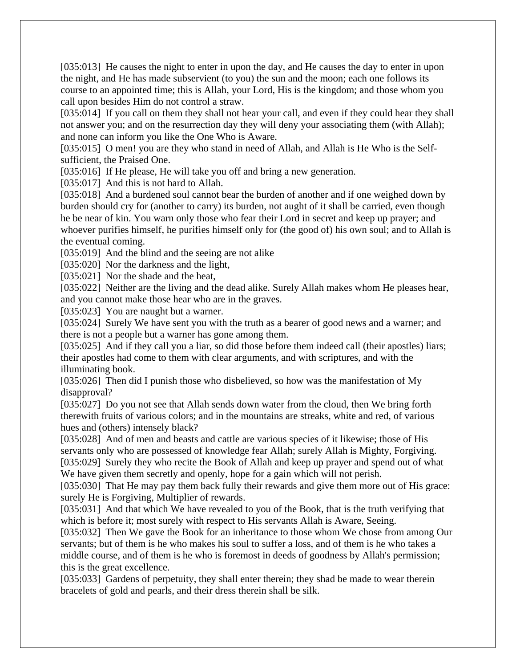[035:013] He causes the night to enter in upon the day, and He causes the day to enter in upon the night, and He has made subservient (to you) the sun and the moon; each one follows its course to an appointed time; this is Allah, your Lord, His is the kingdom; and those whom you call upon besides Him do not control a straw.

[035:014] If you call on them they shall not hear your call, and even if they could hear they shall not answer you; and on the resurrection day they will deny your associating them (with Allah); and none can inform you like the One Who is Aware.

[035:015] O men! you are they who stand in need of Allah, and Allah is He Who is the Selfsufficient, the Praised One.

[035:016] If He please, He will take you off and bring a new generation.

[035:017] And this is not hard to Allah.

[035:018] And a burdened soul cannot bear the burden of another and if one weighed down by burden should cry for (another to carry) its burden, not aught of it shall be carried, even though he be near of kin. You warn only those who fear their Lord in secret and keep up prayer; and whoever purifies himself, he purifies himself only for (the good of) his own soul; and to Allah is the eventual coming.

[035:019] And the blind and the seeing are not alike

[035:020] Nor the darkness and the light,

[035:021] Nor the shade and the heat,

[035:022] Neither are the living and the dead alike. Surely Allah makes whom He pleases hear, and you cannot make those hear who are in the graves.

[035:023] You are naught but a warner.

[035:024] Surely We have sent you with the truth as a bearer of good news and a warner; and there is not a people but a warner has gone among them.

[035:025] And if they call you a liar, so did those before them indeed call (their apostles) liars; their apostles had come to them with clear arguments, and with scriptures, and with the illuminating book.

[035:026] Then did I punish those who disbelieved, so how was the manifestation of  $Mv$ disapproval?

[035:027] Do you not see that Allah sends down water from the cloud, then We bring forth therewith fruits of various colors; and in the mountains are streaks, white and red, of various hues and (others) intensely black?

[035:028] And of men and beasts and cattle are various species of it likewise; those of His servants only who are possessed of knowledge fear Allah; surely Allah is Mighty, Forgiving. [035:029] Surely they who recite the Book of Allah and keep up prayer and spend out of what We have given them secretly and openly, hope for a gain which will not perish.

[035:030] That He may pay them back fully their rewards and give them more out of His grace: surely He is Forgiving, Multiplier of rewards.

[035:031] And that which We have revealed to you of the Book, that is the truth verifying that which is before it; most surely with respect to His servants Allah is Aware, Seeing.

[035:032] Then We gave the Book for an inheritance to those whom We chose from among Our servants; but of them is he who makes his soul to suffer a loss, and of them is he who takes a middle course, and of them is he who is foremost in deeds of goodness by Allah's permission; this is the great excellence.

[035:033] Gardens of perpetuity, they shall enter therein; they shad be made to wear therein bracelets of gold and pearls, and their dress therein shall be silk.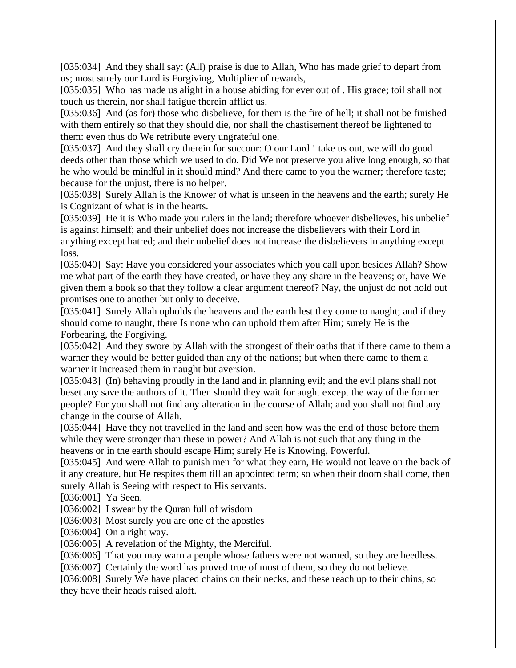[035:034] And they shall say: (All) praise is due to Allah, Who has made grief to depart from us; most surely our Lord is Forgiving, Multiplier of rewards,

[035:035] Who has made us alight in a house abiding for ever out of. His grace; toil shall not touch us therein, nor shall fatigue therein afflict us.

[035:036] And (as for) those who disbelieve, for them is the fire of hell; it shall not be finished with them entirely so that they should die, nor shall the chastisement thereof be lightened to them: even thus do We retribute every ungrateful one.

[035:037] And they shall cry therein for succour: O our Lord ! take us out, we will do good deeds other than those which we used to do. Did We not preserve you alive long enough, so that he who would be mindful in it should mind? And there came to you the warner; therefore taste; because for the unjust, there is no helper.

[035:038] Surely Allah is the Knower of what is unseen in the heavens and the earth; surely He is Cognizant of what is in the hearts.

[035:039] He it is Who made you rulers in the land; therefore whoever disbelieves, his unbelief is against himself; and their unbelief does not increase the disbelievers with their Lord in anything except hatred; and their unbelief does not increase the disbelievers in anything except loss.

[035:040] Say: Have you considered your associates which you call upon besides Allah? Show me what part of the earth they have created, or have they any share in the heavens; or, have We given them a book so that they follow a clear argument thereof? Nay, the unjust do not hold out promises one to another but only to deceive.

[035:041] Surely Allah upholds the heavens and the earth lest they come to naught; and if they should come to naught, there Is none who can uphold them after Him; surely He is the Forbearing, the Forgiving.

[035:042] And they swore by Allah with the strongest of their oaths that if there came to them a warner they would be better guided than any of the nations; but when there came to them a warner it increased them in naught but aversion.

[035:043] (In) behaving proudly in the land and in planning evil; and the evil plans shall not beset any save the authors of it. Then should they wait for aught except the way of the former people? For you shall not find any alteration in the course of Allah; and you shall not find any change in the course of Allah.

[035:044] Have they not travelled in the land and seen how was the end of those before them while they were stronger than these in power? And Allah is not such that any thing in the heavens or in the earth should escape Him; surely He is Knowing, Powerful.

[035:045] And were Allah to punish men for what they earn, He would not leave on the back of it any creature, but He respites them till an appointed term; so when their doom shall come, then surely Allah is Seeing with respect to His servants.

[036:001] Ya Seen.

[036:002] I swear by the Quran full of wisdom

[036:003] Most surely you are one of the apostles

[036:004] On a right way.

[036:005] A revelation of the Mighty, the Merciful.

[036:006] That you may warn a people whose fathers were not warned, so they are heedless.

[036:007] Certainly the word has proved true of most of them, so they do not believe.

[036:008] Surely We have placed chains on their necks, and these reach up to their chins, so they have their heads raised aloft.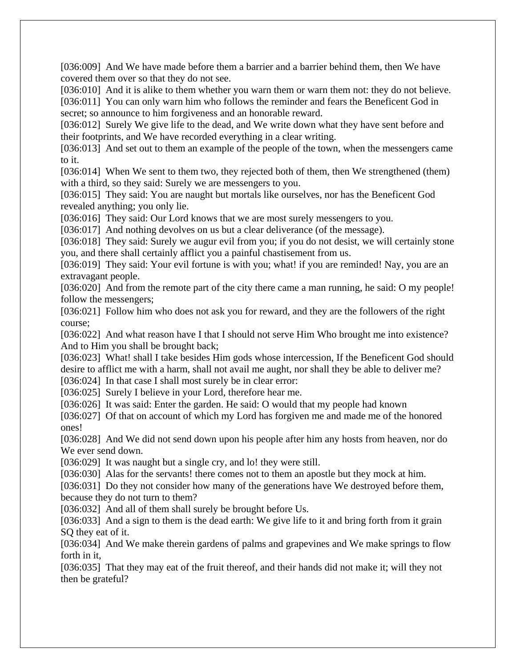[036:009] And We have made before them a barrier and a barrier behind them, then We have covered them over so that they do not see.

[036:010] And it is alike to them whether you warn them or warn them not: they do not believe. [036:011] You can only warn him who follows the reminder and fears the Beneficent God in secret; so announce to him forgiveness and an honorable reward.

[036:012] Surely We give life to the dead, and We write down what they have sent before and their footprints, and We have recorded everything in a clear writing.

[036:013] And set out to them an example of the people of the town, when the messengers came to it.

[036:014] When We sent to them two, they rejected both of them, then We strengthened (them) with a third, so they said: Surely we are messengers to you.

[036:015] They said: You are naught but mortals like ourselves, nor has the Beneficent God revealed anything; you only lie.

[036:016] They said: Our Lord knows that we are most surely messengers to you.

[036:017] And nothing devolves on us but a clear deliverance (of the message).

[036:018] They said: Surely we augur evil from you; if you do not desist, we will certainly stone you, and there shall certainly afflict you a painful chastisement from us.

[036:019] They said: Your evil fortune is with you; what! if you are reminded! Nay, you are an extravagant people.

[036:020] And from the remote part of the city there came a man running, he said: O my people! follow the messengers;

[036:021] Follow him who does not ask you for reward, and they are the followers of the right course;

[036:022] And what reason have I that I should not serve Him Who brought me into existence? And to Him you shall be brought back;

[036:023] What! shall I take besides Him gods whose intercession, If the Beneficent God should desire to afflict me with a harm, shall not avail me aught, nor shall they be able to deliver me?

[036:024] In that case I shall most surely be in clear error:

[036:025] Surely I believe in your Lord, therefore hear me.

[036:026] It was said: Enter the garden. He said: O would that my people had known

[036:027] Of that on account of which my Lord has forgiven me and made me of the honored ones!

[036:028] And We did not send down upon his people after him any hosts from heaven, nor do We ever send down.

[036:029] It was naught but a single cry, and lo! they were still.

[036:030] Alas for the servants! there comes not to them an apostle but they mock at him.

[036:031] Do they not consider how many of the generations have We destroyed before them, because they do not turn to them?

[036:032] And all of them shall surely be brought before Us.

[036:033] And a sign to them is the dead earth: We give life to it and bring forth from it grain SQ they eat of it.

[036:034] And We make therein gardens of palms and grapevines and We make springs to flow forth in it,

[036:035] That they may eat of the fruit thereof, and their hands did not make it; will they not then be grateful?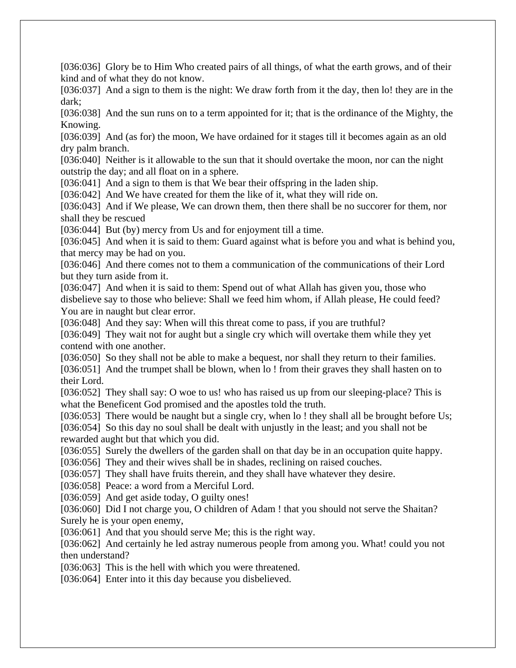[036:036] Glory be to Him Who created pairs of all things, of what the earth grows, and of their kind and of what they do not know.

[036:037] And a sign to them is the night: We draw forth from it the day, then lo! they are in the dark;

[036:038] And the sun runs on to a term appointed for it; that is the ordinance of the Mighty, the Knowing.

[036:039] And (as for) the moon, We have ordained for it stages till it becomes again as an old dry palm branch.

[036:040] Neither is it allowable to the sun that it should overtake the moon, nor can the night outstrip the day; and all float on in a sphere.

[036:041] And a sign to them is that We bear their offspring in the laden ship.

[036:042] And We have created for them the like of it, what they will ride on.

[036:043] And if We please, We can drown them, then there shall be no succorer for them, nor shall they be rescued

[036:044] But (by) mercy from Us and for enjoyment till a time.

[036:045] And when it is said to them: Guard against what is before you and what is behind you, that mercy may be had on you.

[036:046] And there comes not to them a communication of the communications of their Lord but they turn aside from it.

[036:047] And when it is said to them: Spend out of what Allah has given you, those who disbelieve say to those who believe: Shall we feed him whom, if Allah please, He could feed? You are in naught but clear error.

[036:048] And they say: When will this threat come to pass, if you are truthful?

[036:049] They wait not for aught but a single cry which will overtake them while they yet contend with one another.

[036:050] So they shall not be able to make a bequest, nor shall they return to their families. [036:051] And the trumpet shall be blown, when lo! from their graves they shall hasten on to their Lord.

[036:052] They shall say: O woe to us! who has raised us up from our sleeping-place? This is what the Beneficent God promised and the apostles told the truth.

[036:053] There would be naught but a single cry, when lo! they shall all be brought before Us; [036:054] So this day no soul shall be dealt with unjustly in the least; and you shall not be rewarded aught but that which you did.

[036:055] Surely the dwellers of the garden shall on that day be in an occupation quite happy.

[036:056] They and their wives shall be in shades, reclining on raised couches.

[036:057] They shall have fruits therein, and they shall have whatever they desire.

[036:058] Peace: a word from a Merciful Lord.

[036:059] And get aside today, O guilty ones!

[036:060] Did I not charge you, O children of Adam ! that you should not serve the Shaitan? Surely he is your open enemy,

[036:061] And that you should serve Me; this is the right way.

[036:062] And certainly he led astray numerous people from among you. What! could you not then understand?

[036:063] This is the hell with which you were threatened.

[036:064] Enter into it this day because you disbelieved.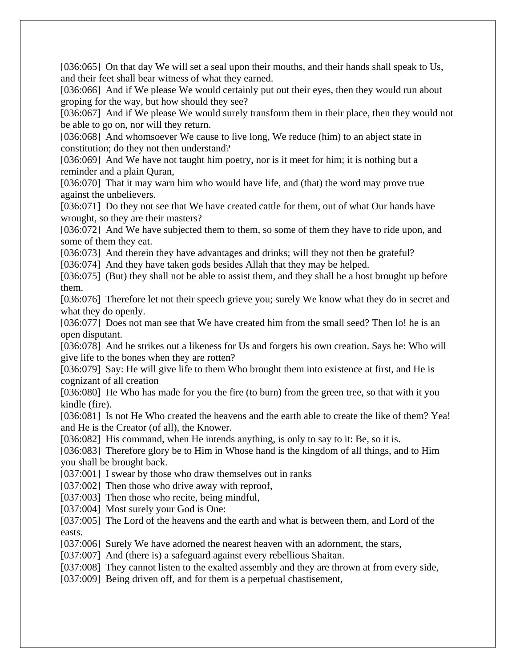[036:065] On that day We will set a seal upon their mouths, and their hands shall speak to Us, and their feet shall bear witness of what they earned.

[036:066] And if We please We would certainly put out their eyes, then they would run about groping for the way, but how should they see?

[036:067] And if We please We would surely transform them in their place, then they would not be able to go on, nor will they return.

[036:068] And whomsoever We cause to live long, We reduce (him) to an abject state in constitution; do they not then understand?

[036:069] And We have not taught him poetry, nor is it meet for him; it is nothing but a reminder and a plain Quran,

[036:070] That it may warn him who would have life, and (that) the word may prove true against the unbelievers.

[036:071] Do they not see that We have created cattle for them, out of what Our hands have wrought, so they are their masters?

[036:072] And We have subjected them to them, so some of them they have to ride upon, and some of them they eat.

[036:073] And therein they have advantages and drinks; will they not then be grateful?

[036:074] And they have taken gods besides Allah that they may be helped.

[036:075] (But) they shall not be able to assist them, and they shall be a host brought up before them.

[036:076] Therefore let not their speech grieve you; surely We know what they do in secret and what they do openly.

[036:077] Does not man see that We have created him from the small seed? Then lo! he is an open disputant.

[036:078] And he strikes out a likeness for Us and forgets his own creation. Says he: Who will give life to the bones when they are rotten?

[036:079] Say: He will give life to them Who brought them into existence at first, and He is cognizant of all creation

[036:080] He Who has made for you the fire (to burn) from the green tree, so that with it you kindle (fire).

[036:081] Is not He Who created the heavens and the earth able to create the like of them? Yea! and He is the Creator (of all), the Knower.

[036:082] His command, when He intends anything, is only to say to it: Be, so it is.

[036:083] Therefore glory be to Him in Whose hand is the kingdom of all things, and to Him you shall be brought back.

[037:001] I swear by those who draw themselves out in ranks

[037:002] Then those who drive away with reproof,

[037:003] Then those who recite, being mindful,

[037:004] Most surely your God is One:

[037:005] The Lord of the heavens and the earth and what is between them, and Lord of the easts.

[037:006] Surely We have adorned the nearest heaven with an adornment, the stars,

[037:007] And (there is) a safeguard against every rebellious Shaitan.

[037:008] They cannot listen to the exalted assembly and they are thrown at from every side,

[037:009] Being driven off, and for them is a perpetual chastisement,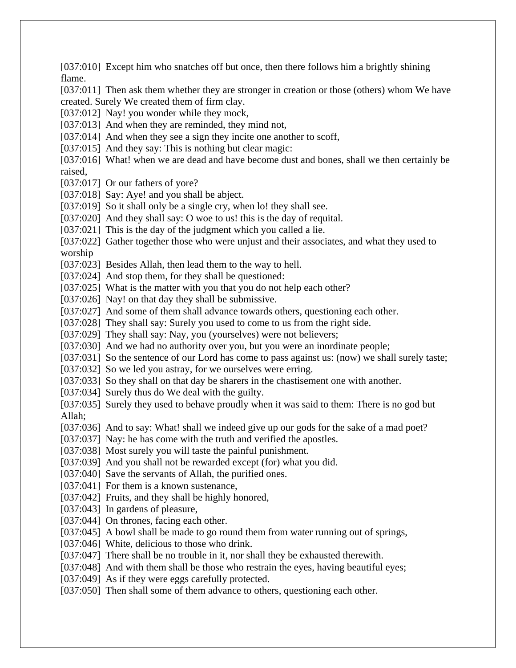[037:010] Except him who snatches off but once, then there follows him a brightly shining flame. [037:011] Then ask them whether they are stronger in creation or those (others) whom We have created. Surely We created them of firm clay. [037:012] Nay! you wonder while they mock, [037:013] And when they are reminded, they mind not, [037:014] And when they see a sign they incite one another to scoff, [037:015] And they say: This is nothing but clear magic: [037:016] What! when we are dead and have become dust and bones, shall we then certainly be raised, [037:017] Or our fathers of yore? [037:018] Say: Aye! and you shall be abject. [037:019] So it shall only be a single cry, when lo! they shall see. [037:020] And they shall say: O woe to us! this is the day of requital. [037:021] This is the day of the judgment which you called a lie. [037:022] Gather together those who were unjust and their associates, and what they used to worship [037:023] Besides Allah, then lead them to the way to hell. [037:024] And stop them, for they shall be questioned: [037:025] What is the matter with you that you do not help each other? [037:026] Nay! on that day they shall be submissive. [037:027] And some of them shall advance towards others, questioning each other. [037:028] They shall say: Surely you used to come to us from the right side. [037:029] They shall say: Nay, you (yourselves) were not believers; [037:030] And we had no authority over you, but you were an inordinate people; [037:031] So the sentence of our Lord has come to pass against us: (now) we shall surely taste; [037:032] So we led you astray, for we ourselves were erring. [037:033] So they shall on that day be sharers in the chastisement one with another. [037:034] Surely thus do We deal with the guilty. [037:035] Surely they used to behave proudly when it was said to them: There is no god but Allah; [037:036] And to say: What! shall we indeed give up our gods for the sake of a mad poet? [037:037] Nay: he has come with the truth and verified the apostles. [037:038] Most surely you will taste the painful punishment. [037:039] And you shall not be rewarded except (for) what you did. [037:040] Save the servants of Allah, the purified ones. [037:041] For them is a known sustenance, [037:042] Fruits, and they shall be highly honored, [037:043] In gardens of pleasure, [037:044] On thrones, facing each other. [037:045] A bowl shall be made to go round them from water running out of springs, [037:046] White, delicious to those who drink. [037:047] There shall be no trouble in it, nor shall they be exhausted therewith. [037:048] And with them shall be those who restrain the eyes, having beautiful eyes; [037:049] As if they were eggs carefully protected. [037:050] Then shall some of them advance to others, questioning each other.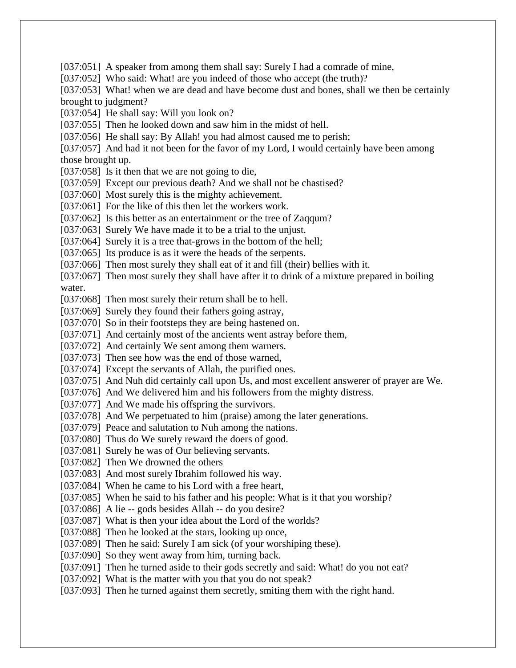[037:051] A speaker from among them shall say: Surely I had a comrade of mine, [037:052] Who said: What! are you indeed of those who accept (the truth)? [037:053] What! when we are dead and have become dust and bones, shall we then be certainly brought to judgment? [037:054] He shall say: Will you look on? [037:055] Then he looked down and saw him in the midst of hell. [037:056] He shall say: By Allah! you had almost caused me to perish; [037:057] And had it not been for the favor of my Lord, I would certainly have been among those brought up. [037:058] Is it then that we are not going to die, [037:059] Except our previous death? And we shall not be chastised? [037:060] Most surely this is the mighty achievement. [037:061] For the like of this then let the workers work. [037:062] Is this better as an entertainment or the tree of Zaqqum? [037:063] Surely We have made it to be a trial to the unjust. [037:064] Surely it is a tree that-grows in the bottom of the hell; [037:065] Its produce is as it were the heads of the serpents. [037:066] Then most surely they shall eat of it and fill (their) bellies with it. [037:067] Then most surely they shall have after it to drink of a mixture prepared in boiling water. [037:068] Then most surely their return shall be to hell. [037:069] Surely they found their fathers going astray, [037:070] So in their footsteps they are being hastened on. [037:071] And certainly most of the ancients went astray before them, [037:072] And certainly We sent among them warners. [037:073] Then see how was the end of those warned, [037:074] Except the servants of Allah, the purified ones. [037:075] And Nuh did certainly call upon Us, and most excellent answerer of prayer are We. [037:076] And We delivered him and his followers from the mighty distress. [037:077] And We made his offspring the survivors. [037:078] And We perpetuated to him (praise) among the later generations. [037:079] Peace and salutation to Nuh among the nations. [037:080] Thus do We surely reward the doers of good. [037:081] Surely he was of Our believing servants. [037:082] Then We drowned the others [037:083] And most surely Ibrahim followed his way. [037:084] When he came to his Lord with a free heart, [037:085] When he said to his father and his people: What is it that you worship? [037:086] A lie -- gods besides Allah -- do you desire? [037:087] What is then your idea about the Lord of the worlds? [037:088] Then he looked at the stars, looking up once, [037:089] Then he said: Surely I am sick (of your worshiping these). [037:090] So they went away from him, turning back. [037:091] Then he turned aside to their gods secretly and said: What! do you not eat? [037:092] What is the matter with you that you do not speak? [037:093] Then he turned against them secretly, smiting them with the right hand.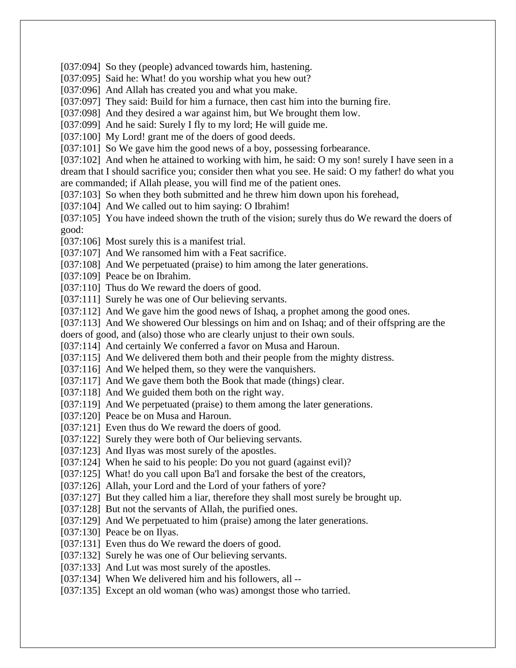[037:094] So they (people) advanced towards him, hastening.

[037:095] Said he: What! do you worship what you hew out?

[037:096] And Allah has created you and what you make.

[037:097] They said: Build for him a furnace, then cast him into the burning fire.

[037:098] And they desired a war against him, but We brought them low.

[037:099] And he said: Surely I fly to my lord; He will guide me.

[037:100] My Lord! grant me of the doers of good deeds.

[037:101] So We gave him the good news of a boy, possessing forbearance.

[037:102] And when he attained to working with him, he said: O my son! surely I have seen in a dream that I should sacrifice you; consider then what you see. He said: O my father! do what you are commanded; if Allah please, you will find me of the patient ones.

[037:103] So when they both submitted and he threw him down upon his forehead,

[037:104] And We called out to him saying: O Ibrahim!

[037:105] You have indeed shown the truth of the vision; surely thus do We reward the doers of good:

[037:106] Most surely this is a manifest trial.

[037:107] And We ransomed him with a Feat sacrifice.

[037:108] And We perpetuated (praise) to him among the later generations.

[037:109] Peace be on Ibrahim.

[037:110] Thus do We reward the doers of good.

[037:111] Surely he was one of Our believing servants.

[037:112] And We gave him the good news of Ishaq, a prophet among the good ones.

[037:113] And We showered Our blessings on him and on Ishaq; and of their offspring are the

doers of good, and (also) those who are clearly unjust to their own souls.

[037:114] And certainly We conferred a favor on Musa and Haroun.

[037:115] And We delivered them both and their people from the mighty distress.

[037:116] And We helped them, so they were the vanquishers.

[037:117] And We gave them both the Book that made (things) clear.

[037:118] And We guided them both on the right way.

[037:119] And We perpetuated (praise) to them among the later generations.

[037:120] Peace be on Musa and Haroun.

[037:121] Even thus do We reward the doers of good.

[037:122] Surely they were both of Our believing servants.

[037:123] And Ilyas was most surely of the apostles.

[037:124] When he said to his people: Do you not guard (against evil)?

[037:125] What! do you call upon Ba'l and forsake the best of the creators,

[037:126] Allah, your Lord and the Lord of your fathers of yore?

[037:127] But they called him a liar, therefore they shall most surely be brought up.

[037:128] But not the servants of Allah, the purified ones.

[037:129] And We perpetuated to him (praise) among the later generations.

[037:130] Peace be on Ilyas.

[037:131] Even thus do We reward the doers of good.

[037:132] Surely he was one of Our believing servants.

[037:133] And Lut was most surely of the apostles.

[037:134] When We delivered him and his followers, all --

[037:135] Except an old woman (who was) amongst those who tarried.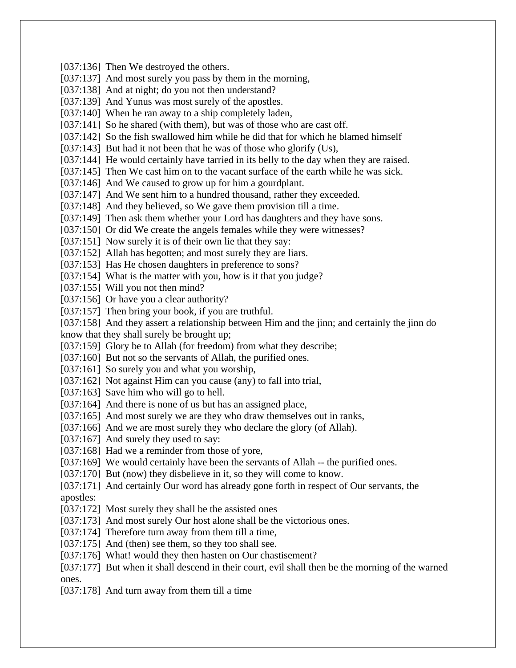[037:136] Then We destroyed the others. [037:137] And most surely you pass by them in the morning, [037:138] And at night; do you not then understand? [037:139] And Yunus was most surely of the apostles. [037:140] When he ran away to a ship completely laden, [037:141] So he shared (with them), but was of those who are cast off. [037:142] So the fish swallowed him while he did that for which he blamed himself [037:143] But had it not been that he was of those who glorify (Us), [037:144] He would certainly have tarried in its belly to the day when they are raised. [037:145] Then We cast him on to the vacant surface of the earth while he was sick. [037:146] And We caused to grow up for him a gourdplant. [037:147] And We sent him to a hundred thousand, rather they exceeded. [037:148] And they believed, so We gave them provision till a time. [037:149] Then ask them whether your Lord has daughters and they have sons. [037:150] Or did We create the angels females while they were witnesses? [037:151] Now surely it is of their own lie that they say: [037:152] Allah has begotten; and most surely they are liars. [037:153] Has He chosen daughters in preference to sons? [037:154] What is the matter with you, how is it that you judge? [037:155] Will you not then mind? [037:156] Or have you a clear authority? [037:157] Then bring your book, if you are truthful. [037:158] And they assert a relationship between Him and the jinn; and certainly the jinn do know that they shall surely be brought up; [037:159] Glory be to Allah (for freedom) from what they describe; [037:160] But not so the servants of Allah, the purified ones. [037:161] So surely you and what you worship, [037:162] Not against Him can you cause (any) to fall into trial, [037:163] Save him who will go to hell. [037:164] And there is none of us but has an assigned place, [037:165] And most surely we are they who draw themselves out in ranks, [037:166] And we are most surely they who declare the glory (of Allah). [037:167] And surely they used to say: [037:168] Had we a reminder from those of vore, [037:169] We would certainly have been the servants of Allah -- the purified ones. [037:170] But (now) they disbelieve in it, so they will come to know. [037:171] And certainly Our word has already gone forth in respect of Our servants, the apostles: [037:172] Most surely they shall be the assisted ones [037:173] And most surely Our host alone shall be the victorious ones. [037:174] Therefore turn away from them till a time, [037:175] And (then) see them, so they too shall see. [037:176] What! would they then hasten on Our chastisement? [037:177] But when it shall descend in their court, evil shall then be the morning of the warned ones. [037:178] And turn away from them till a time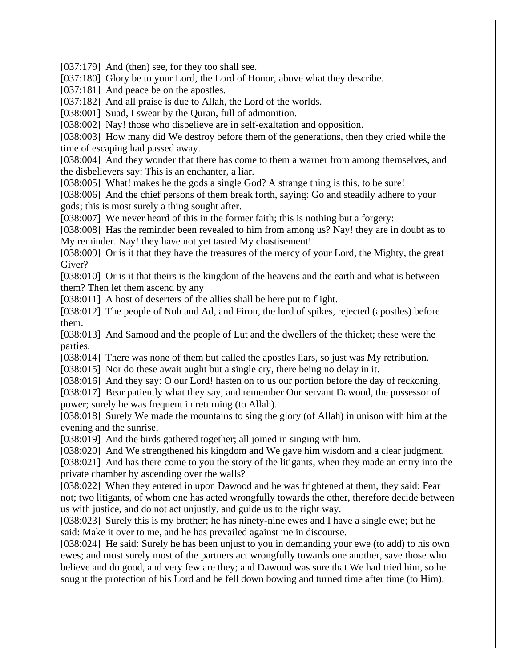[037:179] And (then) see, for they too shall see.

[037:180] Glory be to your Lord, the Lord of Honor, above what they describe.

[037:181] And peace be on the apostles.

[037:182] And all praise is due to Allah, the Lord of the worlds.

[038:001] Suad, I swear by the Ouran, full of admonition.

[038:002] Nay! those who disbelieve are in self-exaltation and opposition.

[038:003] How many did We destroy before them of the generations, then they cried while the time of escaping had passed away.

[038:004] And they wonder that there has come to them a warner from among themselves, and the disbelievers say: This is an enchanter, a liar.

[038:005] What! makes he the gods a single God? A strange thing is this, to be sure!

[038:006] And the chief persons of them break forth, saying: Go and steadily adhere to your gods; this is most surely a thing sought after.

[038:007] We never heard of this in the former faith; this is nothing but a forgery:

[038:008] Has the reminder been revealed to him from among us? Nay! they are in doubt as to My reminder. Nay! they have not yet tasted My chastisement!

[038:009] Or is it that they have the treasures of the mercy of your Lord, the Mighty, the great Giver?

[038:010] Or is it that theirs is the kingdom of the heavens and the earth and what is between them? Then let them ascend by any

[038:011] A host of deserters of the allies shall be here put to flight.

[038:012] The people of Nuh and Ad, and Firon, the lord of spikes, rejected (apostles) before them.

[038:013] And Samood and the people of Lut and the dwellers of the thicket; these were the parties.

[038:014] There was none of them but called the apostles liars, so just was My retribution.

[038:015] Nor do these await aught but a single cry, there being no delay in it.

[038:016] And they say: O our Lord! hasten on to us our portion before the day of reckoning.

[038:017] Bear patiently what they say, and remember Our servant Dawood, the possessor of power; surely he was frequent in returning (to Allah).

[038:018] Surely We made the mountains to sing the glory (of Allah) in unison with him at the evening and the sunrise,

[038:019] And the birds gathered together; all joined in singing with him.

[038:020] And We strengthened his kingdom and We gave him wisdom and a clear judgment.

[038:021] And has there come to you the story of the litigants, when they made an entry into the private chamber by ascending over the walls?

[038:022] When they entered in upon Dawood and he was frightened at them, they said: Fear not; two litigants, of whom one has acted wrongfully towards the other, therefore decide between us with justice, and do not act unjustly, and guide us to the right way.

[038:023] Surely this is my brother; he has ninety-nine ewes and I have a single ewe; but he said: Make it over to me, and he has prevailed against me in discourse.

[038:024] He said: Surely he has been unjust to you in demanding your ewe (to add) to his own ewes; and most surely most of the partners act wrongfully towards one another, save those who believe and do good, and very few are they; and Dawood was sure that We had tried him, so he sought the protection of his Lord and he fell down bowing and turned time after time (to Him).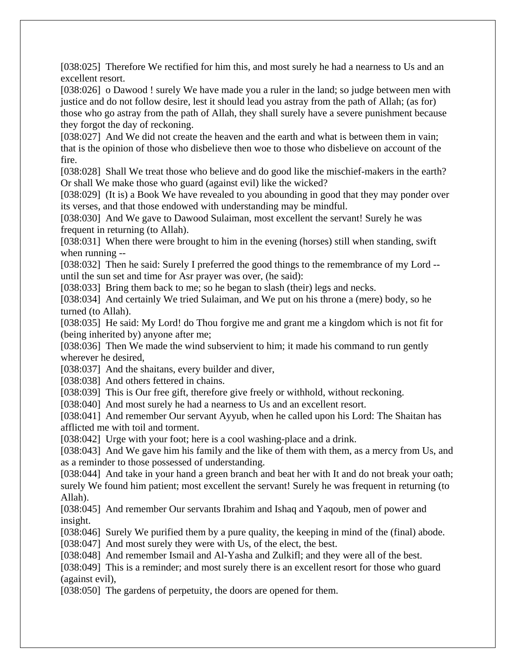[038:025] Therefore We rectified for him this, and most surely he had a nearness to Us and an excellent resort.

[038:026] o Dawood ! surely We have made you a ruler in the land; so judge between men with justice and do not follow desire, lest it should lead you astray from the path of Allah; (as for) those who go astray from the path of Allah, they shall surely have a severe punishment because they forgot the day of reckoning.

[038:027] And We did not create the heaven and the earth and what is between them in vain; that is the opinion of those who disbelieve then woe to those who disbelieve on account of the fire.

[038:028] Shall We treat those who believe and do good like the mischief-makers in the earth? Or shall We make those who guard (against evil) like the wicked?

[038:029] (It is) a Book We have revealed to you abounding in good that they may ponder over its verses, and that those endowed with understanding may be mindful.

[038:030] And We gave to Dawood Sulaiman, most excellent the servant! Surely he was frequent in returning (to Allah).

[038:031] When there were brought to him in the evening (horses) still when standing, swift when running --

[038:032] Then he said: Surely I preferred the good things to the remembrance of my Lord - until the sun set and time for Asr prayer was over, (he said):

[038:033] Bring them back to me; so he began to slash (their) legs and necks.

[038:034] And certainly We tried Sulaiman, and We put on his throne a (mere) body, so he turned (to Allah).

[038:035] He said: My Lord! do Thou forgive me and grant me a kingdom which is not fit for (being inherited by) anyone after me;

[038:036] Then We made the wind subservient to him; it made his command to run gently wherever he desired,

[038:037] And the shaitans, every builder and diver,

[038:038] And others fettered in chains.

[038:039] This is Our free gift, therefore give freely or withhold, without reckoning.

[038:040] And most surely he had a nearness to Us and an excellent resort.

[038:041] And remember Our servant Ayyub, when he called upon his Lord: The Shaitan has afflicted me with toil and torment.

[038:042] Urge with your foot; here is a cool washing-place and a drink.

[038:043] And We gave him his family and the like of them with them, as a mercy from Us, and as a reminder to those possessed of understanding.

[038:044] And take in your hand a green branch and beat her with It and do not break your oath; surely We found him patient; most excellent the servant! Surely he was frequent in returning (to Allah).

[038:045] And remember Our servants Ibrahim and Ishaq and Yaqoub, men of power and insight.

[038:046] Surely We purified them by a pure quality, the keeping in mind of the (final) abode. [038:047] And most surely they were with Us, of the elect, the best.

[038:048] And remember Ismail and Al-Yasha and Zulkifl; and they were all of the best.

[038:049] This is a reminder; and most surely there is an excellent resort for those who guard (against evil),

[038:050] The gardens of perpetuity, the doors are opened for them.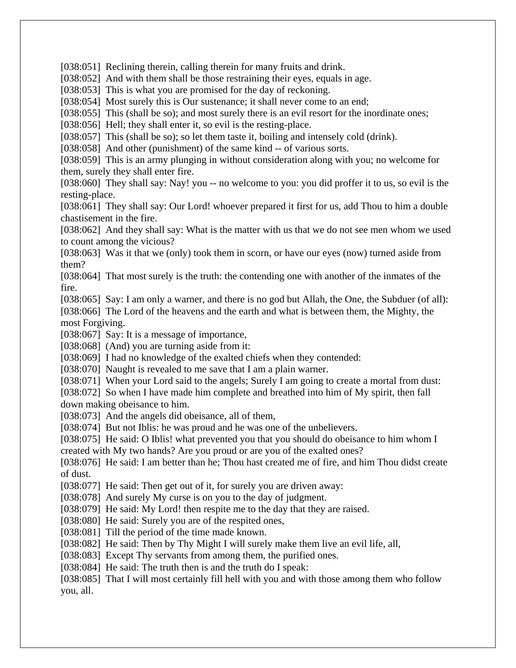[038:051] Reclining therein, calling therein for many fruits and drink.

[038:052] And with them shall be those restraining their eyes, equals in age.

[038:053] This is what you are promised for the day of reckoning.

[038:054] Most surely this is Our sustenance; it shall never come to an end;

[038:055] This (shall be so); and most surely there is an evil resort for the inordinate ones;

[038:056] Hell; they shall enter it, so evil is the resting-place.

[038:057] This (shall be so); so let them taste it, boiling and intensely cold (drink).

[038:058] And other (punishment) of the same kind -- of various sorts.

[038:059] This is an army plunging in without consideration along with you; no welcome for them, surely they shall enter fire.

[038:060] They shall say: Nay! you -- no welcome to you: you did proffer it to us, so evil is the resting-place.

[038:061] They shall say: Our Lord! whoever prepared it first for us, add Thou to him a double chastisement in the fire.

[038:062] And they shall say: What is the matter with us that we do not see men whom we used to count among the vicious?

[038:063] Was it that we (only) took them in scorn, or have our eyes (now) turned aside from them?

[038:064] That most surely is the truth: the contending one with another of the inmates of the fire.

[038:065] Say: I am only a warner, and there is no god but Allah, the One, the Subduer (of all):

[038:066] The Lord of the heavens and the earth and what is between them, the Mighty, the most Forgiving.

[038:067] Say: It is a message of importance,

[038:068] (And) you are turning aside from it:

[038:069] I had no knowledge of the exalted chiefs when they contended:

[038:070] Naught is revealed to me save that I am a plain warner.

[038:071] When your Lord said to the angels; Surely I am going to create a mortal from dust:

[038:072] So when I have made him complete and breathed into him of My spirit, then fall down making obeisance to him.

[038:073] And the angels did obeisance, all of them,

[038:074] But not Iblis: he was proud and he was one of the unbelievers.

[038:075] He said: O Iblis! what prevented you that you should do obeisance to him whom I created with My two hands? Are you proud or are you of the exalted ones?

[038:076] He said: I am better than he; Thou hast created me of fire, and him Thou didst create of dust.

[038:077] He said: Then get out of it, for surely you are driven away:

[038:078] And surely My curse is on you to the day of judgment.

[038:079] He said: My Lord! then respite me to the day that they are raised.

[038:080] He said: Surely you are of the respited ones,

[038:081] Till the period of the time made known.

[038:082] He said: Then by Thy Might I will surely make them live an evil life, all,

[038:083] Except Thy servants from among them, the purified ones.

[038:084] He said: The truth then is and the truth do I speak:

[038:085] That I will most certainly fill hell with you and with those among them who follow you, all.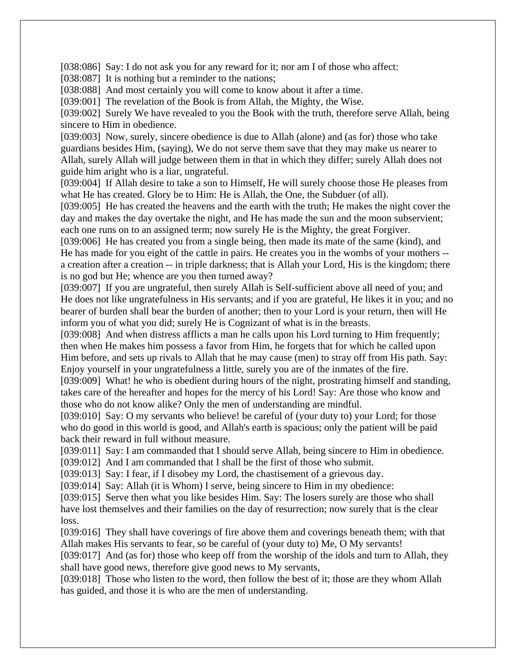[038:086] Say: I do not ask you for any reward for it; nor am I of those who affect:

[038:087] It is nothing but a reminder to the nations;

[038:088] And most certainly you will come to know about it after a time.

[039:001] The revelation of the Book is from Allah, the Mighty, the Wise.

[039:002] Surely We have revealed to you the Book with the truth, therefore serve Allah, being sincere to Him in obedience.

[039:003] Now, surely, sincere obedience is due to Allah (alone) and (as for) those who take guardians besides Him, (saying), We do not serve them save that they may make us nearer to Allah, surely Allah will judge between them in that in which they differ; surely Allah does not guide him aright who is a liar, ungrateful.

[039:004] If Allah desire to take a son to Himself, He will surely choose those He pleases from what He has created. Glory be to Him: He is Allah, the One, the Subduer (of all).

[039:005] He has created the heavens and the earth with the truth; He makes the night cover the day and makes the day overtake the night, and He has made the sun and the moon subservient; each one runs on to an assigned term; now surely He is the Mighty, the great Forgiver.

[039:006] He has created you from a single being, then made its mate of the same (kind), and He has made for you eight of the cattle in pairs. He creates you in the wombs of your mothers - a creation after a creation -- in triple darkness; that is Allah your Lord, His is the kingdom; there is no god but He; whence are you then turned away?

[039:007] If you are ungrateful, then surely Allah is Self-sufficient above all need of you; and He does not like ungratefulness in His servants; and if you are grateful, He likes it in you; and no bearer of burden shall bear the burden of another; then to your Lord is your return, then will He inform you of what you did; surely He is Cognizant of what is in the breasts.

[039:008] And when distress afflicts a man he calls upon his Lord turning to Him frequently; then when He makes him possess a favor from Him, he forgets that for which he called upon Him before, and sets up rivals to Allah that he may cause (men) to stray off from His path. Say: Enjoy yourself in your ungratefulness a little, surely you are of the inmates of the fire.

[039:009] What! he who is obedient during hours of the night, prostrating himself and standing, takes care of the hereafter and hopes for the mercy of his Lord! Say: Are those who know and those who do not know alike? Only the men of understanding are mindful.

[039:010] Say: O my servants who believe! be careful of (your duty to) your Lord; for those who do good in this world is good, and Allah's earth is spacious; only the patient will be paid back their reward in full without measure.

[039:011] Say: I am commanded that I should serve Allah, being sincere to Him in obedience.

[039:012] And I am commanded that I shall be the first of those who submit.

[039:013] Say: I fear, if I disobey my Lord, the chastisement of a grievous day.

[039:014] Say: Allah (it is Whom) I serve, being sincere to Him in my obedience:

[039:015] Serve then what you like besides Him. Say: The losers surely are those who shall have lost themselves and their families on the day of resurrection; now surely that is the clear loss.

[039:016] They shall have coverings of fire above them and coverings beneath them; with that Allah makes His servants to fear, so be careful of (your duty to) Me, O My servants!

[039:017] And (as for) those who keep off from the worship of the idols and turn to Allah, they shall have good news, therefore give good news to My servants,

[039:018] Those who listen to the word, then follow the best of it; those are they whom Allah has guided, and those it is who are the men of understanding.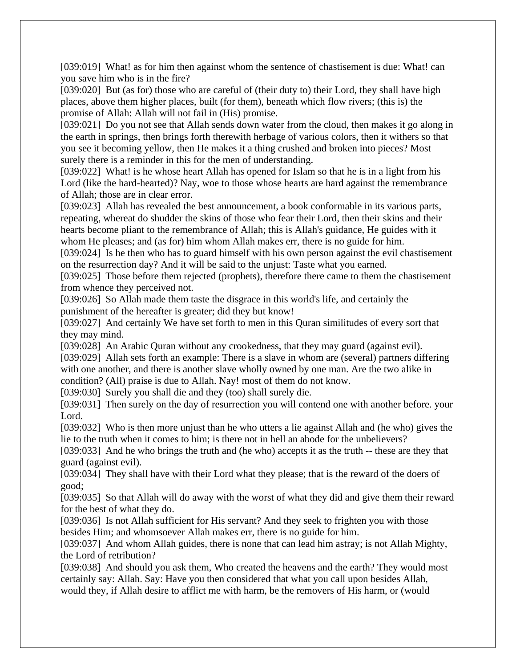[039:019] What! as for him then against whom the sentence of chastisement is due: What! can you save him who is in the fire?

[039:020] But (as for) those who are careful of (their duty to) their Lord, they shall have high places, above them higher places, built (for them), beneath which flow rivers; (this is) the promise of Allah: Allah will not fail in (His) promise.

[039:021] Do you not see that Allah sends down water from the cloud, then makes it go along in the earth in springs, then brings forth therewith herbage of various colors, then it withers so that you see it becoming yellow, then He makes it a thing crushed and broken into pieces? Most surely there is a reminder in this for the men of understanding.

[039:022] What! is he whose heart Allah has opened for Islam so that he is in a light from his Lord (like the hard-hearted)? Nay, woe to those whose hearts are hard against the remembrance of Allah; those are in clear error.

[039:023] Allah has revealed the best announcement, a book conformable in its various parts, repeating, whereat do shudder the skins of those who fear their Lord, then their skins and their hearts become pliant to the remembrance of Allah; this is Allah's guidance, He guides with it whom He pleases; and (as for) him whom Allah makes err, there is no guide for him.

[039:024] Is he then who has to guard himself with his own person against the evil chastisement on the resurrection day? And it will be said to the unjust: Taste what you earned.

[039:025] Those before them rejected (prophets), therefore there came to them the chastisement from whence they perceived not.

[039:026] So Allah made them taste the disgrace in this world's life, and certainly the punishment of the hereafter is greater; did they but know!

[039:027] And certainly We have set forth to men in this Quran similitudes of every sort that they may mind.

[039:028] An Arabic Quran without any crookedness, that they may guard (against evil).

[039:029] Allah sets forth an example: There is a slave in whom are (several) partners differing with one another, and there is another slave wholly owned by one man. Are the two alike in condition? (All) praise is due to Allah. Nay! most of them do not know.

[039:030] Surely you shall die and they (too) shall surely die.

[039:031] Then surely on the day of resurrection you will contend one with another before. your Lord.

[039:032] Who is then more unjust than he who utters a lie against Allah and (he who) gives the lie to the truth when it comes to him; is there not in hell an abode for the unbelievers?

[039:033] And he who brings the truth and (he who) accepts it as the truth -- these are they that guard (against evil).

[039:034] They shall have with their Lord what they please; that is the reward of the doers of good;

[039:035] So that Allah will do away with the worst of what they did and give them their reward for the best of what they do.

[039:036] Is not Allah sufficient for His servant? And they seek to frighten you with those besides Him; and whomsoever Allah makes err, there is no guide for him.

[039:037] And whom Allah guides, there is none that can lead him astray; is not Allah Mighty, the Lord of retribution?

[039:038] And should you ask them, Who created the heavens and the earth? They would most certainly say: Allah. Say: Have you then considered that what you call upon besides Allah, would they, if Allah desire to afflict me with harm, be the removers of His harm, or (would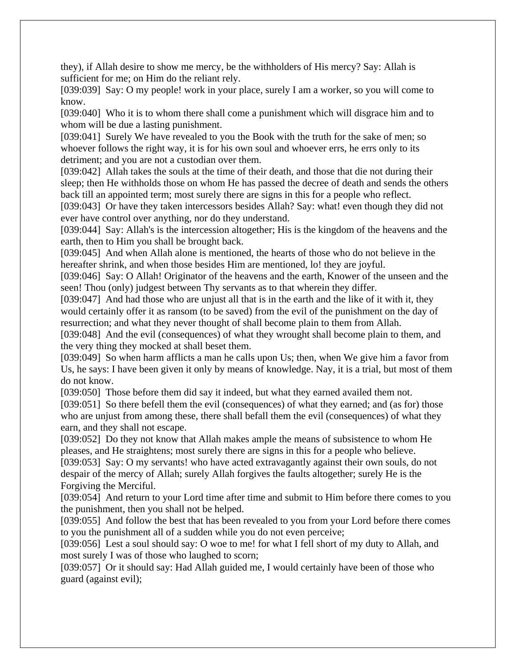they), if Allah desire to show me mercy, be the withholders of His mercy? Say: Allah is sufficient for me; on Him do the reliant rely.

[039:039] Say: O my people! work in your place, surely I am a worker, so you will come to know.

[039:040] Who it is to whom there shall come a punishment which will disgrace him and to whom will be due a lasting punishment.

[039:041] Surely We have revealed to you the Book with the truth for the sake of men; so whoever follows the right way, it is for his own soul and whoever errs, he errs only to its detriment; and you are not a custodian over them.

[039:042] Allah takes the souls at the time of their death, and those that die not during their sleep; then He withholds those on whom He has passed the decree of death and sends the others back till an appointed term; most surely there are signs in this for a people who reflect.

[039:043] Or have they taken intercessors besides Allah? Say: what! even though they did not ever have control over anything, nor do they understand.

[039:044] Say: Allah's is the intercession altogether; His is the kingdom of the heavens and the earth, then to Him you shall be brought back.

[039:045] And when Allah alone is mentioned, the hearts of those who do not believe in the hereafter shrink, and when those besides Him are mentioned, lo! they are joyful.

[039:046] Say: O Allah! Originator of the heavens and the earth, Knower of the unseen and the seen! Thou (only) judgest between Thy servants as to that wherein they differ.

[039:047] And had those who are unjust all that is in the earth and the like of it with it, they would certainly offer it as ransom (to be saved) from the evil of the punishment on the day of resurrection; and what they never thought of shall become plain to them from Allah.

[039:048] And the evil (consequences) of what they wrought shall become plain to them, and the very thing they mocked at shall beset them.

[039:049] So when harm afflicts a man he calls upon Us; then, when We give him a favor from Us, he says: I have been given it only by means of knowledge. Nay, it is a trial, but most of them do not know.

[039:050] Those before them did say it indeed, but what they earned availed them not.

[039:051] So there befell them the evil (consequences) of what they earned; and (as for) those who are unjust from among these, there shall befall them the evil (consequences) of what they earn, and they shall not escape.

[039:052] Do they not know that Allah makes ample the means of subsistence to whom He pleases, and He straightens; most surely there are signs in this for a people who believe.

[039:053] Say: O my servants! who have acted extravagantly against their own souls, do not despair of the mercy of Allah; surely Allah forgives the faults altogether; surely He is the Forgiving the Merciful.

[039:054] And return to your Lord time after time and submit to Him before there comes to you the punishment, then you shall not be helped.

[039:055] And follow the best that has been revealed to you from your Lord before there comes to you the punishment all of a sudden while you do not even perceive;

[039:056] Lest a soul should say: O woe to me! for what I fell short of my duty to Allah, and most surely I was of those who laughed to scorn;

[039:057] Or it should say: Had Allah guided me, I would certainly have been of those who guard (against evil);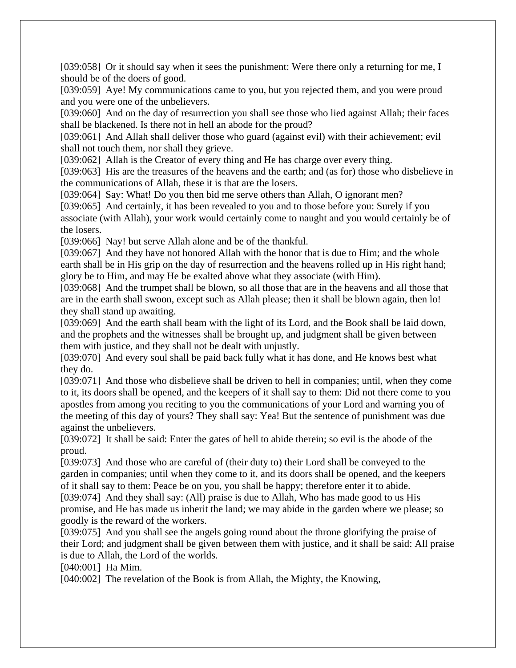[039:058] Or it should say when it sees the punishment: Were there only a returning for me, I should be of the doers of good.

[039:059] Aye! My communications came to you, but you rejected them, and you were proud and you were one of the unbelievers.

[039:060] And on the day of resurrection you shall see those who lied against Allah; their faces shall be blackened. Is there not in hell an abode for the proud?

[039:061] And Allah shall deliver those who guard (against evil) with their achievement; evil shall not touch them, nor shall they grieve.

[039:062] Allah is the Creator of every thing and He has charge over every thing.

[039:063] His are the treasures of the heavens and the earth; and (as for) those who disbelieve in the communications of Allah, these it is that are the losers.

[039:064] Say: What! Do you then bid me serve others than Allah, O ignorant men?

[039:065] And certainly, it has been revealed to you and to those before you: Surely if you associate (with Allah), your work would certainly come to naught and you would certainly be of the losers.

[039:066] Nay! but serve Allah alone and be of the thankful.

[039:067] And they have not honored Allah with the honor that is due to Him; and the whole earth shall be in His grip on the day of resurrection and the heavens rolled up in His right hand; glory be to Him, and may He be exalted above what they associate (with Him).

[039:068] And the trumpet shall be blown, so all those that are in the heavens and all those that are in the earth shall swoon, except such as Allah please; then it shall be blown again, then lo! they shall stand up awaiting.

[039:069] And the earth shall beam with the light of its Lord, and the Book shall be laid down, and the prophets and the witnesses shall be brought up, and judgment shall be given between them with justice, and they shall not be dealt with unjustly.

[039:070] And every soul shall be paid back fully what it has done, and He knows best what they do.

[039:071] And those who disbelieve shall be driven to hell in companies; until, when they come to it, its doors shall be opened, and the keepers of it shall say to them: Did not there come to you apostles from among you reciting to you the communications of your Lord and warning you of the meeting of this day of yours? They shall say: Yea! But the sentence of punishment was due against the unbelievers.

[039:072] It shall be said: Enter the gates of hell to abide therein; so evil is the abode of the proud.

[039:073] And those who are careful of (their duty to) their Lord shall be conveyed to the garden in companies; until when they come to it, and its doors shall be opened, and the keepers of it shall say to them: Peace be on you, you shall be happy; therefore enter it to abide. [039:074] And they shall say: (All) praise is due to Allah, Who has made good to us His promise, and He has made us inherit the land; we may abide in the garden where we please; so goodly is the reward of the workers.

[039:075] And you shall see the angels going round about the throne glorifying the praise of their Lord; and judgment shall be given between them with justice, and it shall be said: All praise is due to Allah, the Lord of the worlds.

[040:001] Ha Mim.

[040:002] The revelation of the Book is from Allah, the Mighty, the Knowing,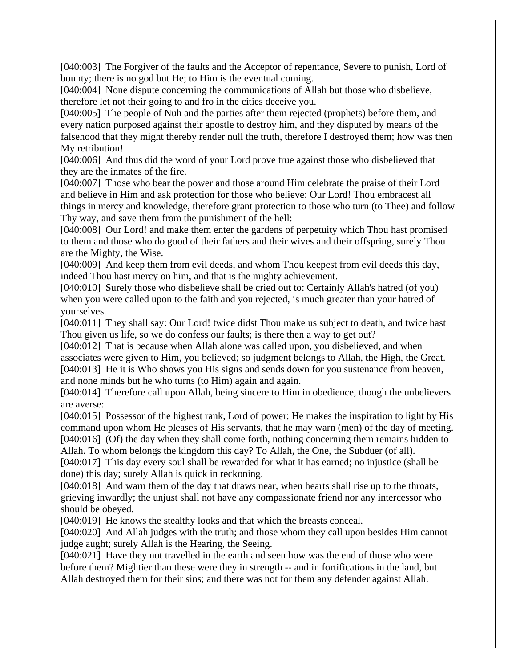[040:003] The Forgiver of the faults and the Acceptor of repentance, Severe to punish, Lord of bounty; there is no god but He; to Him is the eventual coming.

[040:004] None dispute concerning the communications of Allah but those who disbelieve, therefore let not their going to and fro in the cities deceive you.

[040:005] The people of Nuh and the parties after them rejected (prophets) before them, and every nation purposed against their apostle to destroy him, and they disputed by means of the falsehood that they might thereby render null the truth, therefore I destroyed them; how was then My retribution!

[040:006] And thus did the word of your Lord prove true against those who disbelieved that they are the inmates of the fire.

[040:007] Those who bear the power and those around Him celebrate the praise of their Lord and believe in Him and ask protection for those who believe: Our Lord! Thou embracest all things in mercy and knowledge, therefore grant protection to those who turn (to Thee) and follow Thy way, and save them from the punishment of the hell:

[040:008] Our Lord! and make them enter the gardens of perpetuity which Thou hast promised to them and those who do good of their fathers and their wives and their offspring, surely Thou are the Mighty, the Wise.

[040:009] And keep them from evil deeds, and whom Thou keepest from evil deeds this day, indeed Thou hast mercy on him, and that is the mighty achievement.

[040:010] Surely those who disbelieve shall be cried out to: Certainly Allah's hatred (of you) when you were called upon to the faith and you rejected, is much greater than your hatred of yourselves.

[040:011] They shall say: Our Lord! twice didst Thou make us subject to death, and twice hast Thou given us life, so we do confess our faults; is there then a way to get out?

[040:012] That is because when Allah alone was called upon, you disbelieved, and when associates were given to Him, you believed; so judgment belongs to Allah, the High, the Great. [040:013] He it is Who shows you His signs and sends down for you sustenance from heaven, and none minds but he who turns (to Him) again and again.

[040:014] Therefore call upon Allah, being sincere to Him in obedience, though the unbelievers are averse:

[040:015] Possessor of the highest rank, Lord of power: He makes the inspiration to light by His command upon whom He pleases of His servants, that he may warn (men) of the day of meeting. [040:016] (Of) the day when they shall come forth, nothing concerning them remains hidden to Allah. To whom belongs the kingdom this day? To Allah, the One, the Subduer (of all).

[040:017] This day every soul shall be rewarded for what it has earned; no injustice (shall be done) this day; surely Allah is quick in reckoning.

[040:018] And warn them of the day that draws near, when hearts shall rise up to the throats, grieving inwardly; the unjust shall not have any compassionate friend nor any intercessor who should be obeyed.

[040:019] He knows the stealthy looks and that which the breasts conceal.

[040:020] And Allah judges with the truth; and those whom they call upon besides Him cannot judge aught; surely Allah is the Hearing, the Seeing.

[040:021] Have they not travelled in the earth and seen how was the end of those who were before them? Mightier than these were they in strength -- and in fortifications in the land, but Allah destroyed them for their sins; and there was not for them any defender against Allah.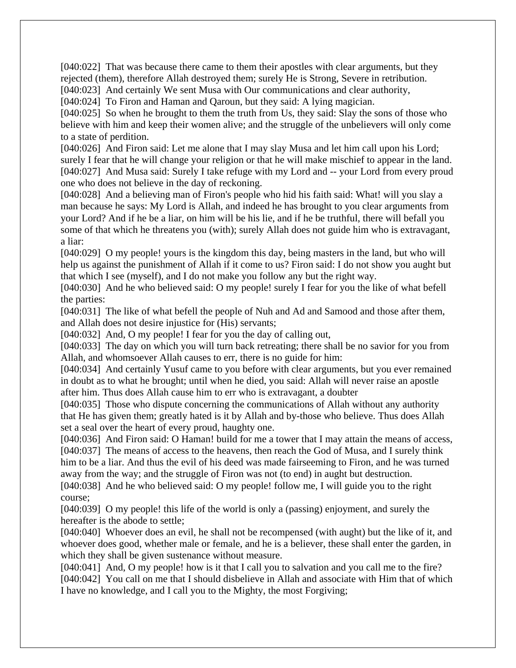[040:022] That was because there came to them their apostles with clear arguments, but they rejected (them), therefore Allah destroyed them; surely He is Strong, Severe in retribution.

[040:023] And certainly We sent Musa with Our communications and clear authority,

[040:024] To Firon and Haman and Qaroun, but they said: A lying magician.

[040:025] So when he brought to them the truth from Us, they said: Slay the sons of those who believe with him and keep their women alive; and the struggle of the unbelievers will only come to a state of perdition.

[040:026] And Firon said: Let me alone that I may slay Musa and let him call upon his Lord; surely I fear that he will change your religion or that he will make mischief to appear in the land. [040:027] And Musa said: Surely I take refuge with my Lord and -- your Lord from every proud one who does not believe in the day of reckoning.

[040:028] And a believing man of Firon's people who hid his faith said: What! will you slay a man because he says: My Lord is Allah, and indeed he has brought to you clear arguments from your Lord? And if he be a liar, on him will be his lie, and if he be truthful, there will befall you some of that which he threatens you (with); surely Allah does not guide him who is extravagant, a liar:

[040:029] O my people! yours is the kingdom this day, being masters in the land, but who will help us against the punishment of Allah if it come to us? Firon said: I do not show you aught but that which I see (myself), and I do not make you follow any but the right way.

[040:030] And he who believed said: O my people! surely I fear for you the like of what befell the parties:

[040:031] The like of what befell the people of Nuh and Ad and Samood and those after them, and Allah does not desire injustice for (His) servants;

[040:032] And, O my people! I fear for you the day of calling out,

[040:033] The day on which you will turn back retreating; there shall be no savior for you from Allah, and whomsoever Allah causes to err, there is no guide for him:

[040:034] And certainly Yusuf came to you before with clear arguments, but you ever remained in doubt as to what he brought; until when he died, you said: Allah will never raise an apostle after him. Thus does Allah cause him to err who is extravagant, a doubter

[040:035] Those who dispute concerning the communications of Allah without any authority that He has given them; greatly hated is it by Allah and by-those who believe. Thus does Allah set a seal over the heart of every proud, haughty one.

[040:036] And Firon said: O Haman! build for me a tower that I may attain the means of access, [040:037] The means of access to the heavens, then reach the God of Musa, and I surely think him to be a liar. And thus the evil of his deed was made fairseeming to Firon, and he was turned away from the way; and the struggle of Firon was not (to end) in aught but destruction.

[040:038] And he who believed said: O my people! follow me, I will guide you to the right course;

[040:039] O my people! this life of the world is only a (passing) enjoyment, and surely the hereafter is the abode to settle;

[040:040] Whoever does an evil, he shall not be recompensed (with aught) but the like of it, and whoever does good, whether male or female, and he is a believer, these shall enter the garden, in which they shall be given sustenance without measure.

[040:041] And, O my people! how is it that I call you to salvation and you call me to the fire? [040:042] You call on me that I should disbelieve in Allah and associate with Him that of which I have no knowledge, and I call you to the Mighty, the most Forgiving;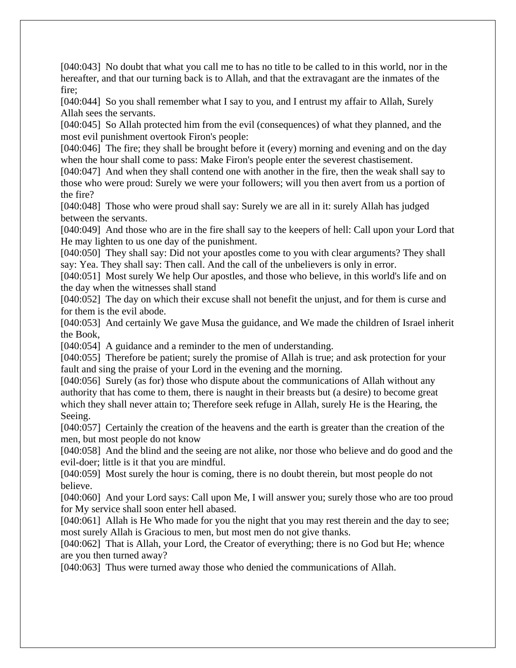[040:043] No doubt that what you call me to has no title to be called to in this world, nor in the hereafter, and that our turning back is to Allah, and that the extravagant are the inmates of the fire;

[040:044] So you shall remember what I say to you, and I entrust my affair to Allah, Surely Allah sees the servants.

[040:045] So Allah protected him from the evil (consequences) of what they planned, and the most evil punishment overtook Firon's people:

[040:046] The fire; they shall be brought before it (every) morning and evening and on the day when the hour shall come to pass: Make Firon's people enter the severest chastisement.

[040:047] And when they shall contend one with another in the fire, then the weak shall say to those who were proud: Surely we were your followers; will you then avert from us a portion of the fire?

[040:048] Those who were proud shall say: Surely we are all in it: surely Allah has judged between the servants.

[040:049] And those who are in the fire shall say to the keepers of hell: Call upon your Lord that He may lighten to us one day of the punishment.

[040:050] They shall say: Did not your apostles come to you with clear arguments? They shall say: Yea. They shall say: Then call. And the call of the unbelievers is only in error.

[040:051] Most surely We help Our apostles, and those who believe, in this world's life and on the day when the witnesses shall stand

[040:052] The day on which their excuse shall not benefit the unjust, and for them is curse and for them is the evil abode.

[040:053] And certainly We gave Musa the guidance, and We made the children of Israel inherit the Book,

[040:054] A guidance and a reminder to the men of understanding.

[040:055] Therefore be patient; surely the promise of Allah is true; and ask protection for your fault and sing the praise of your Lord in the evening and the morning.

[040:056] Surely (as for) those who dispute about the communications of Allah without any authority that has come to them, there is naught in their breasts but (a desire) to become great which they shall never attain to; Therefore seek refuge in Allah, surely He is the Hearing, the Seeing.

[040:057] Certainly the creation of the heavens and the earth is greater than the creation of the men, but most people do not know

[040:058] And the blind and the seeing are not alike, nor those who believe and do good and the evil-doer; little is it that you are mindful.

[040:059] Most surely the hour is coming, there is no doubt therein, but most people do not believe.

[040:060] And your Lord says: Call upon Me, I will answer you; surely those who are too proud for My service shall soon enter hell abased.

[040:061] Allah is He Who made for you the night that you may rest therein and the day to see; most surely Allah is Gracious to men, but most men do not give thanks.

[040:062] That is Allah, your Lord, the Creator of everything; there is no God but He; whence are you then turned away?

[040:063] Thus were turned away those who denied the communications of Allah.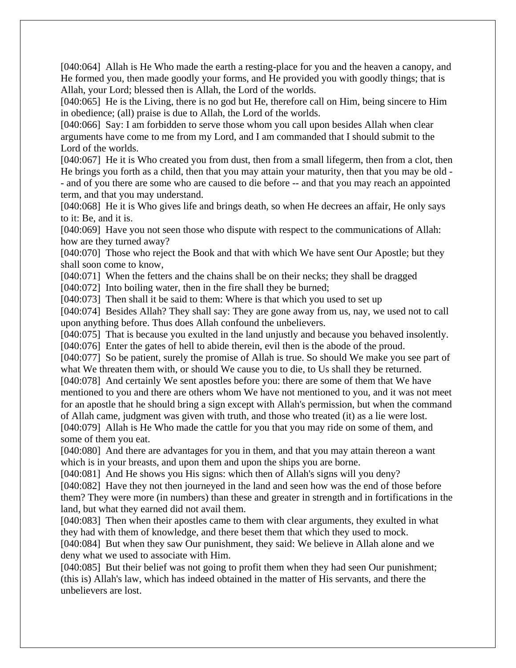[040:064] Allah is He Who made the earth a resting-place for you and the heaven a canopy, and He formed you, then made goodly your forms, and He provided you with goodly things; that is Allah, your Lord; blessed then is Allah, the Lord of the worlds.

[040:065] He is the Living, there is no god but He, therefore call on Him, being sincere to Him in obedience; (all) praise is due to Allah, the Lord of the worlds.

[040:066] Say: I am forbidden to serve those whom you call upon besides Allah when clear arguments have come to me from my Lord, and I am commanded that I should submit to the Lord of the worlds.

[040:067] He it is Who created you from dust, then from a small lifegerm, then from a clot, then He brings you forth as a child, then that you may attain your maturity, then that you may be old - - and of you there are some who are caused to die before -- and that you may reach an appointed term, and that you may understand.

[040:068] He it is Who gives life and brings death, so when He decrees an affair, He only says to it: Be, and it is.

[040:069] Have you not seen those who dispute with respect to the communications of Allah: how are they turned away?

[040:070] Those who reject the Book and that with which We have sent Our Apostle; but they shall soon come to know,

[040:071] When the fetters and the chains shall be on their necks; they shall be dragged

[040:072] Into boiling water, then in the fire shall they be burned;

[040:073] Then shall it be said to them: Where is that which you used to set up

[040:074] Besides Allah? They shall say: They are gone away from us, nay, we used not to call upon anything before. Thus does Allah confound the unbelievers.

[040:075] That is because you exulted in the land unjustly and because you behaved insolently. [040:076] Enter the gates of hell to abide therein, evil then is the abode of the proud.

[040:077] So be patient, surely the promise of Allah is true. So should We make you see part of what We threaten them with, or should We cause you to die, to Us shall they be returned.

[040:078] And certainly We sent apostles before you: there are some of them that We have mentioned to you and there are others whom We have not mentioned to you, and it was not meet for an apostle that he should bring a sign except with Allah's permission, but when the command of Allah came, judgment was given with truth, and those who treated (it) as a lie were lost.

[040:079] Allah is He Who made the cattle for you that you may ride on some of them, and some of them you eat.

[040:080] And there are advantages for you in them, and that you may attain thereon a want which is in your breasts, and upon them and upon the ships you are borne.

[040:081] And He shows you His signs: which then of Allah's signs will you deny?

[040:082] Have they not then journeyed in the land and seen how was the end of those before them? They were more (in numbers) than these and greater in strength and in fortifications in the land, but what they earned did not avail them.

[040:083] Then when their apostles came to them with clear arguments, they exulted in what they had with them of knowledge, and there beset them that which they used to mock.

[040:084] But when they saw Our punishment, they said: We believe in Allah alone and we deny what we used to associate with Him.

[040:085] But their belief was not going to profit them when they had seen Our punishment; (this is) Allah's law, which has indeed obtained in the matter of His servants, and there the unbelievers are lost.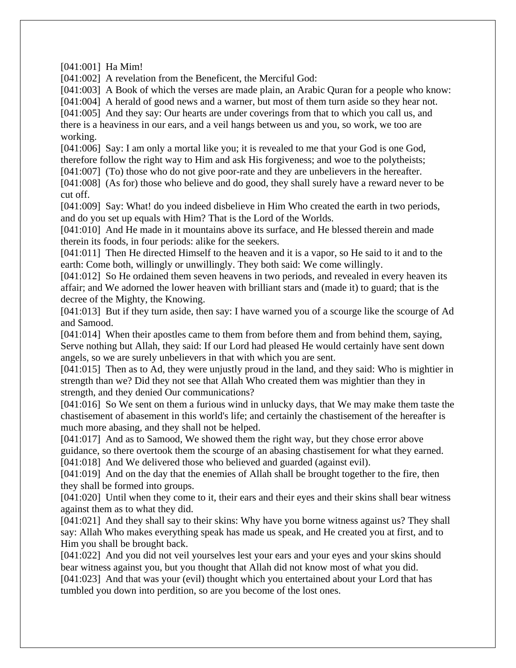[041:001] Ha Mim!

[041:002] A revelation from the Beneficent, the Merciful God:

[041:003] A Book of which the verses are made plain, an Arabic Quran for a people who know:

[041:004] A herald of good news and a warner, but most of them turn aside so they hear not.

[041:005] And they say: Our hearts are under coverings from that to which you call us, and there is a heaviness in our ears, and a veil hangs between us and you, so work, we too are working.

[041:006] Say: I am only a mortal like you; it is revealed to me that your God is one God, therefore follow the right way to Him and ask His forgiveness; and woe to the polytheists;

[041:007] (To) those who do not give poor-rate and they are unbelievers in the hereafter.

[041:008] (As for) those who believe and do good, they shall surely have a reward never to be cut off.

[041:009] Say: What! do you indeed disbelieve in Him Who created the earth in two periods, and do you set up equals with Him? That is the Lord of the Worlds.

[041:010] And He made in it mountains above its surface, and He blessed therein and made therein its foods, in four periods: alike for the seekers.

[041:011] Then He directed Himself to the heaven and it is a vapor, so He said to it and to the earth: Come both, willingly or unwillingly. They both said: We come willingly.

[041:012] So He ordained them seven heavens in two periods, and revealed in every heaven its affair; and We adorned the lower heaven with brilliant stars and (made it) to guard; that is the decree of the Mighty, the Knowing.

[041:013] But if they turn aside, then say: I have warned you of a scourge like the scourge of Ad and Samood.

[041:014] When their apostles came to them from before them and from behind them, saying, Serve nothing but Allah, they said: If our Lord had pleased He would certainly have sent down angels, so we are surely unbelievers in that with which you are sent.

[041:015] Then as to Ad, they were unjustly proud in the land, and they said: Who is mightier in strength than we? Did they not see that Allah Who created them was mightier than they in strength, and they denied Our communications?

[041:016] So We sent on them a furious wind in unlucky days, that We may make them taste the chastisement of abasement in this world's life; and certainly the chastisement of the hereafter is much more abasing, and they shall not be helped.

[041:017] And as to Samood, We showed them the right way, but they chose error above guidance, so there overtook them the scourge of an abasing chastisement for what they earned. [041:018] And We delivered those who believed and guarded (against evil).

[041:019] And on the day that the enemies of Allah shall be brought together to the fire, then they shall be formed into groups.

[041:020] Until when they come to it, their ears and their eyes and their skins shall bear witness against them as to what they did.

[041:021] And they shall say to their skins: Why have you borne witness against us? They shall say: Allah Who makes everything speak has made us speak, and He created you at first, and to Him you shall be brought back.

[041:022] And you did not veil yourselves lest your ears and your eyes and your skins should bear witness against you, but you thought that Allah did not know most of what you did. [041:023] And that was your (evil) thought which you entertained about your Lord that has tumbled you down into perdition, so are you become of the lost ones.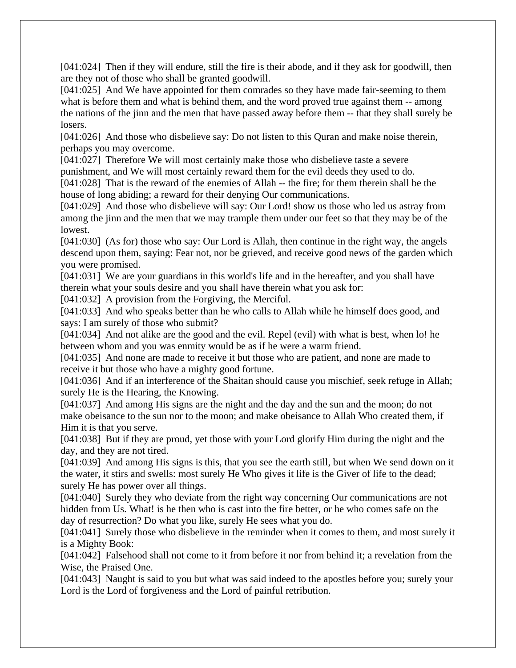[041:024] Then if they will endure, still the fire is their abode, and if they ask for goodwill, then are they not of those who shall be granted goodwill.

[041:025] And We have appointed for them comrades so they have made fair-seeming to them what is before them and what is behind them, and the word proved true against them -- among the nations of the jinn and the men that have passed away before them -- that they shall surely be losers.

[041:026] And those who disbelieve say: Do not listen to this Quran and make noise therein, perhaps you may overcome.

[041:027] Therefore We will most certainly make those who disbelieve taste a severe punishment, and We will most certainly reward them for the evil deeds they used to do.

[041:028] That is the reward of the enemies of Allah -- the fire; for them therein shall be the house of long abiding; a reward for their denying Our communications.

[041:029] And those who disbelieve will say: Our Lord! show us those who led us astray from among the jinn and the men that we may trample them under our feet so that they may be of the lowest.

[041:030] (As for) those who say: Our Lord is Allah, then continue in the right way, the angels descend upon them, saying: Fear not, nor be grieved, and receive good news of the garden which you were promised.

[041:031] We are your guardians in this world's life and in the hereafter, and you shall have therein what your souls desire and you shall have therein what you ask for:

[041:032] A provision from the Forgiving, the Merciful.

[041:033] And who speaks better than he who calls to Allah while he himself does good, and says: I am surely of those who submit?

[041:034] And not alike are the good and the evil. Repel (evil) with what is best, when lo! he between whom and you was enmity would be as if he were a warm friend.

[041:035] And none are made to receive it but those who are patient, and none are made to receive it but those who have a mighty good fortune.

[041:036] And if an interference of the Shaitan should cause you mischief, seek refuge in Allah; surely He is the Hearing, the Knowing.

[041:037] And among His signs are the night and the day and the sun and the moon; do not make obeisance to the sun nor to the moon; and make obeisance to Allah Who created them, if Him it is that you serve.

[041:038] But if they are proud, yet those with your Lord glorify Him during the night and the day, and they are not tired.

[041:039] And among His signs is this, that you see the earth still, but when We send down on it the water, it stirs and swells: most surely He Who gives it life is the Giver of life to the dead; surely He has power over all things.

[041:040] Surely they who deviate from the right way concerning Our communications are not hidden from Us. What! is he then who is cast into the fire better, or he who comes safe on the day of resurrection? Do what you like, surely He sees what you do.

[041:041] Surely those who disbelieve in the reminder when it comes to them, and most surely it is a Mighty Book:

[041:042] Falsehood shall not come to it from before it nor from behind it; a revelation from the Wise, the Praised One.

[041:043] Naught is said to you but what was said indeed to the apostles before you; surely your Lord is the Lord of forgiveness and the Lord of painful retribution.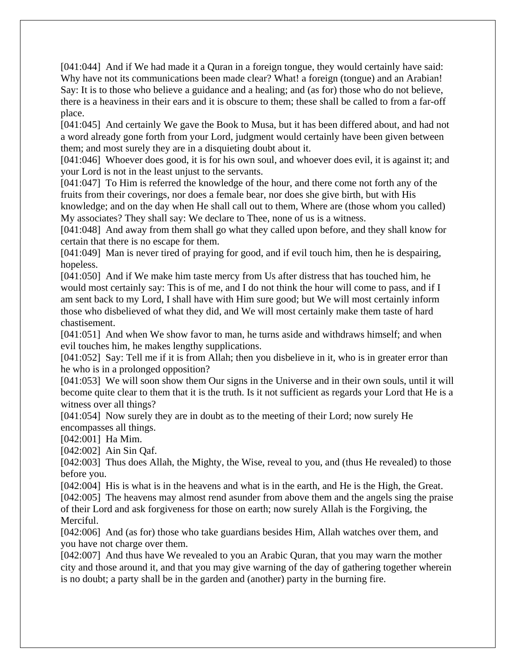[041:044] And if We had made it a Quran in a foreign tongue, they would certainly have said: Why have not its communications been made clear? What! a foreign (tongue) and an Arabian! Say: It is to those who believe a guidance and a healing; and (as for) those who do not believe, there is a heaviness in their ears and it is obscure to them; these shall be called to from a far-off place.

[041:045] And certainly We gave the Book to Musa, but it has been differed about, and had not a word already gone forth from your Lord, judgment would certainly have been given between them; and most surely they are in a disquieting doubt about it.

[041:046] Whoever does good, it is for his own soul, and whoever does evil, it is against it; and your Lord is not in the least unjust to the servants.

[041:047] To Him is referred the knowledge of the hour, and there come not forth any of the fruits from their coverings, nor does a female bear, nor does she give birth, but with His knowledge; and on the day when He shall call out to them, Where are (those whom you called) My associates? They shall say: We declare to Thee, none of us is a witness.

[041:048] And away from them shall go what they called upon before, and they shall know for certain that there is no escape for them.

[041:049] Man is never tired of praying for good, and if evil touch him, then he is despairing, hopeless.

[041:050] And if We make him taste mercy from Us after distress that has touched him, he would most certainly say: This is of me, and I do not think the hour will come to pass, and if I am sent back to my Lord, I shall have with Him sure good; but We will most certainly inform those who disbelieved of what they did, and We will most certainly make them taste of hard chastisement.

[041:051] And when We show favor to man, he turns aside and withdraws himself; and when evil touches him, he makes lengthy supplications.

[041:052] Say: Tell me if it is from Allah; then you disbelieve in it, who is in greater error than he who is in a prolonged opposition?

[041:053] We will soon show them Our signs in the Universe and in their own souls, until it will become quite clear to them that it is the truth. Is it not sufficient as regards your Lord that He is a witness over all things?

[041:054] Now surely they are in doubt as to the meeting of their Lord; now surely He encompasses all things.

[042:001] Ha Mim.

[042:002] Ain Sin Qaf.

[042:003] Thus does Allah, the Mighty, the Wise, reveal to you, and (thus He revealed) to those before you.

[042:004] His is what is in the heavens and what is in the earth, and He is the High, the Great.

[042:005] The heavens may almost rend asunder from above them and the angels sing the praise of their Lord and ask forgiveness for those on earth; now surely Allah is the Forgiving, the Merciful.

[042:006] And (as for) those who take guardians besides Him, Allah watches over them, and you have not charge over them.

[042:007] And thus have We revealed to you an Arabic Quran, that you may warn the mother city and those around it, and that you may give warning of the day of gathering together wherein is no doubt; a party shall be in the garden and (another) party in the burning fire.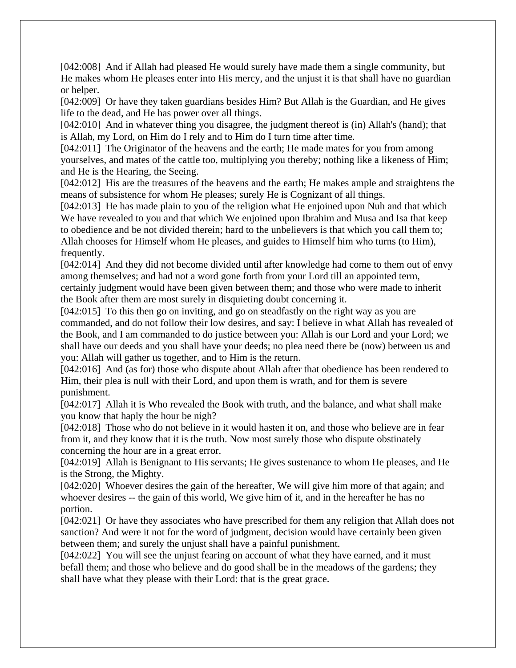[042:008] And if Allah had pleased He would surely have made them a single community, but He makes whom He pleases enter into His mercy, and the unjust it is that shall have no guardian or helper.

[042:009] Or have they taken guardians besides Him? But Allah is the Guardian, and He gives life to the dead, and He has power over all things.

[042:010] And in whatever thing you disagree, the judgment thereof is (in) Allah's (hand); that is Allah, my Lord, on Him do I rely and to Him do I turn time after time.

[042:011] The Originator of the heavens and the earth; He made mates for you from among yourselves, and mates of the cattle too, multiplying you thereby; nothing like a likeness of Him; and He is the Hearing, the Seeing.

[042:012] His are the treasures of the heavens and the earth; He makes ample and straightens the means of subsistence for whom He pleases; surely He is Cognizant of all things.

[042:013] He has made plain to you of the religion what He enjoined upon Nuh and that which We have revealed to you and that which We enjoined upon Ibrahim and Musa and Isa that keep to obedience and be not divided therein; hard to the unbelievers is that which you call them to; Allah chooses for Himself whom He pleases, and guides to Himself him who turns (to Him), frequently.

[042:014] And they did not become divided until after knowledge had come to them out of envy among themselves; and had not a word gone forth from your Lord till an appointed term, certainly judgment would have been given between them; and those who were made to inherit the Book after them are most surely in disquieting doubt concerning it.

[042:015] To this then go on inviting, and go on steadfastly on the right way as you are commanded, and do not follow their low desires, and say: I believe in what Allah has revealed of the Book, and I am commanded to do justice between you: Allah is our Lord and your Lord; we shall have our deeds and you shall have your deeds; no plea need there be (now) between us and you: Allah will gather us together, and to Him is the return.

[042:016] And (as for) those who dispute about Allah after that obedience has been rendered to Him, their plea is null with their Lord, and upon them is wrath, and for them is severe punishment.

[042:017] Allah it is Who revealed the Book with truth, and the balance, and what shall make you know that haply the hour be nigh?

[042:018] Those who do not believe in it would hasten it on, and those who believe are in fear from it, and they know that it is the truth. Now most surely those who dispute obstinately concerning the hour are in a great error.

[042:019] Allah is Benignant to His servants; He gives sustenance to whom He pleases, and He is the Strong, the Mighty.

[042:020] Whoever desires the gain of the hereafter, We will give him more of that again; and whoever desires -- the gain of this world, We give him of it, and in the hereafter he has no portion.

[042:021] Or have they associates who have prescribed for them any religion that Allah does not sanction? And were it not for the word of judgment, decision would have certainly been given between them; and surely the unjust shall have a painful punishment.

[042:022] You will see the unjust fearing on account of what they have earned, and it must befall them; and those who believe and do good shall be in the meadows of the gardens; they shall have what they please with their Lord: that is the great grace.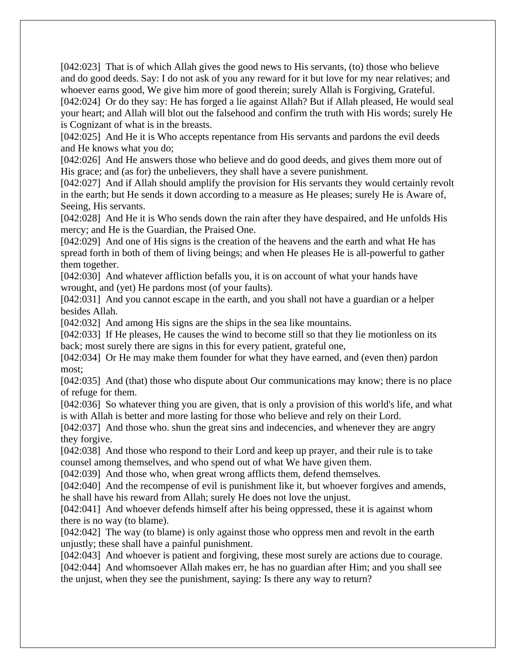[042:023] That is of which Allah gives the good news to His servants, (to) those who believe and do good deeds. Say: I do not ask of you any reward for it but love for my near relatives; and whoever earns good, We give him more of good therein; surely Allah is Forgiving, Grateful. [042:024] Or do they say: He has forged a lie against Allah? But if Allah pleased, He would seal your heart; and Allah will blot out the falsehood and confirm the truth with His words; surely He is Cognizant of what is in the breasts.

[042:025] And He it is Who accepts repentance from His servants and pardons the evil deeds and He knows what you do;

[042:026] And He answers those who believe and do good deeds, and gives them more out of His grace; and (as for) the unbelievers, they shall have a severe punishment.

[042:027] And if Allah should amplify the provision for His servants they would certainly revolt in the earth; but He sends it down according to a measure as He pleases; surely He is Aware of, Seeing, His servants.

[042:028] And He it is Who sends down the rain after they have despaired, and He unfolds His mercy; and He is the Guardian, the Praised One.

[042:029] And one of His signs is the creation of the heavens and the earth and what He has spread forth in both of them of living beings; and when He pleases He is all-powerful to gather them together.

[042:030] And whatever affliction befalls you, it is on account of what your hands have wrought, and (yet) He pardons most (of your faults).

[042:031] And you cannot escape in the earth, and you shall not have a guardian or a helper besides Allah.

[042:032] And among His signs are the ships in the sea like mountains.

[042:033] If He pleases, He causes the wind to become still so that they lie motionless on its back; most surely there are signs in this for every patient, grateful one,

[042:034] Or He may make them founder for what they have earned, and (even then) pardon most;

[042:035] And (that) those who dispute about Our communications may know; there is no place of refuge for them.

[042:036] So whatever thing you are given, that is only a provision of this world's life, and what is with Allah is better and more lasting for those who believe and rely on their Lord.

[042:037] And those who, shun the great sins and indecencies, and whenever they are angry they forgive.

[042:038] And those who respond to their Lord and keep up prayer, and their rule is to take counsel among themselves, and who spend out of what We have given them.

[042:039] And those who, when great wrong afflicts them, defend themselves.

[042:040] And the recompense of evil is punishment like it, but whoever forgives and amends, he shall have his reward from Allah; surely He does not love the unjust.

[042:041] And whoever defends himself after his being oppressed, these it is against whom there is no way (to blame).

[042:042] The way (to blame) is only against those who oppress men and revolt in the earth unjustly; these shall have a painful punishment.

[042:043] And whoever is patient and forgiving, these most surely are actions due to courage.

[042:044] And whomsoever Allah makes err, he has no guardian after Him; and you shall see the unjust, when they see the punishment, saying: Is there any way to return?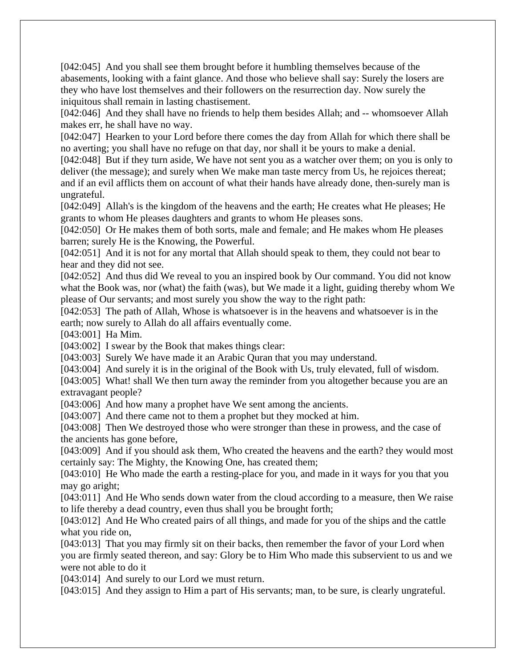[042:045] And you shall see them brought before it humbling themselves because of the abasements, looking with a faint glance. And those who believe shall say: Surely the losers are they who have lost themselves and their followers on the resurrection day. Now surely the iniquitous shall remain in lasting chastisement.

[042:046] And they shall have no friends to help them besides Allah; and -- whomsoever Allah makes err, he shall have no way.

[042:047] Hearken to your Lord before there comes the day from Allah for which there shall be no averting; you shall have no refuge on that day, nor shall it be yours to make a denial.

[042:048] But if they turn aside, We have not sent you as a watcher over them; on you is only to deliver (the message); and surely when We make man taste mercy from Us, he rejoices thereat; and if an evil afflicts them on account of what their hands have already done, then-surely man is ungrateful.

[042:049] Allah's is the kingdom of the heavens and the earth; He creates what He pleases; He grants to whom He pleases daughters and grants to whom He pleases sons.

[042:050] Or He makes them of both sorts, male and female; and He makes whom He pleases barren; surely He is the Knowing, the Powerful.

[042:051] And it is not for any mortal that Allah should speak to them, they could not bear to hear and they did not see.

[042:052] And thus did We reveal to you an inspired book by Our command. You did not know what the Book was, nor (what) the faith (was), but We made it a light, guiding thereby whom We please of Our servants; and most surely you show the way to the right path:

[042:053] The path of Allah, Whose is whatsoever is in the heavens and whatsoever is in the earth; now surely to Allah do all affairs eventually come.

[043:001] Ha Mim.

[043:002] I swear by the Book that makes things clear:

[043:003] Surely We have made it an Arabic Quran that you may understand.

[043:004] And surely it is in the original of the Book with Us, truly elevated, full of wisdom.

[043:005] What! shall We then turn away the reminder from you altogether because you are an extravagant people?

[043:006] And how many a prophet have We sent among the ancients.

[043:007] And there came not to them a prophet but they mocked at him.

[043:008] Then We destroyed those who were stronger than these in prowess, and the case of the ancients has gone before,

[043:009] And if you should ask them, Who created the heavens and the earth? they would most certainly say: The Mighty, the Knowing One, has created them;

[043:010] He Who made the earth a resting-place for you, and made in it ways for you that you may go aright;

[043:011] And He Who sends down water from the cloud according to a measure, then We raise to life thereby a dead country, even thus shall you be brought forth;

[043:012] And He Who created pairs of all things, and made for you of the ships and the cattle what you ride on,

[043:013] That you may firmly sit on their backs, then remember the favor of your Lord when you are firmly seated thereon, and say: Glory be to Him Who made this subservient to us and we were not able to do it

[043:014] And surely to our Lord we must return.

[043:015] And they assign to Him a part of His servants; man, to be sure, is clearly ungrateful.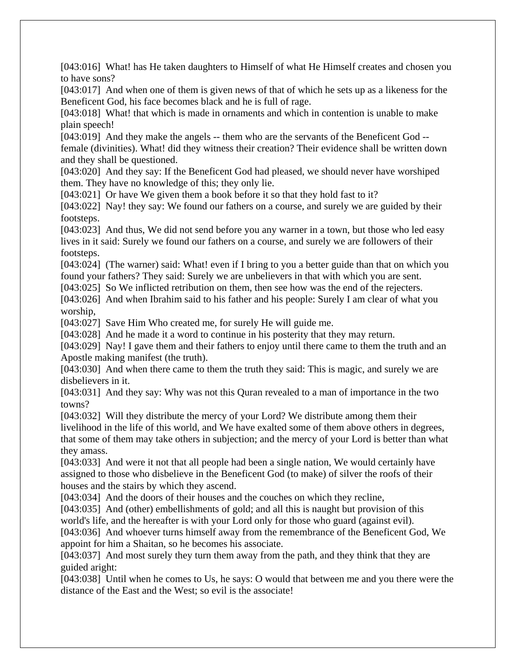[043:016] What! has He taken daughters to Himself of what He Himself creates and chosen you to have sons?

[043:017] And when one of them is given news of that of which he sets up as a likeness for the Beneficent God, his face becomes black and he is full of rage.

[043:018] What! that which is made in ornaments and which in contention is unable to make plain speech!

[043:019] And they make the angels -- them who are the servants of the Beneficent God - female (divinities). What! did they witness their creation? Their evidence shall be written down and they shall be questioned.

[043:020] And they say: If the Beneficent God had pleased, we should never have worshiped them. They have no knowledge of this; they only lie.

[043:021] Or have We given them a book before it so that they hold fast to it?

[043:022] Nay! they say: We found our fathers on a course, and surely we are guided by their footsteps.

[043:023] And thus, We did not send before you any warner in a town, but those who led easy lives in it said: Surely we found our fathers on a course, and surely we are followers of their footsteps.

[043:024] (The warner) said: What! even if I bring to you a better guide than that on which you found your fathers? They said: Surely we are unbelievers in that with which you are sent.

[043:025] So We inflicted retribution on them, then see how was the end of the rejecters.

[043:026] And when Ibrahim said to his father and his people: Surely I am clear of what you worship,

[043:027] Save Him Who created me, for surely He will guide me.

[043:028] And he made it a word to continue in his posterity that they may return.

[043:029] Nay! I gave them and their fathers to enjoy until there came to them the truth and an Apostle making manifest (the truth).

[043:030] And when there came to them the truth they said: This is magic, and surely we are disbelievers in it.

[043:031] And they say: Why was not this Quran revealed to a man of importance in the two towns?

[043:032] Will they distribute the mercy of your Lord? We distribute among them their livelihood in the life of this world, and We have exalted some of them above others in degrees, that some of them may take others in subjection; and the mercy of your Lord is better than what they amass.

[043:033] And were it not that all people had been a single nation, We would certainly have assigned to those who disbelieve in the Beneficent God (to make) of silver the roofs of their houses and the stairs by which they ascend.

[043:034] And the doors of their houses and the couches on which they recline,

[043:035] And (other) embellishments of gold; and all this is naught but provision of this world's life, and the hereafter is with your Lord only for those who guard (against evil).

[043:036] And whoever turns himself away from the remembrance of the Beneficent God, We appoint for him a Shaitan, so he becomes his associate.

[043:037] And most surely they turn them away from the path, and they think that they are guided aright:

[043:038] Until when he comes to Us, he says: O would that between me and you there were the distance of the East and the West; so evil is the associate!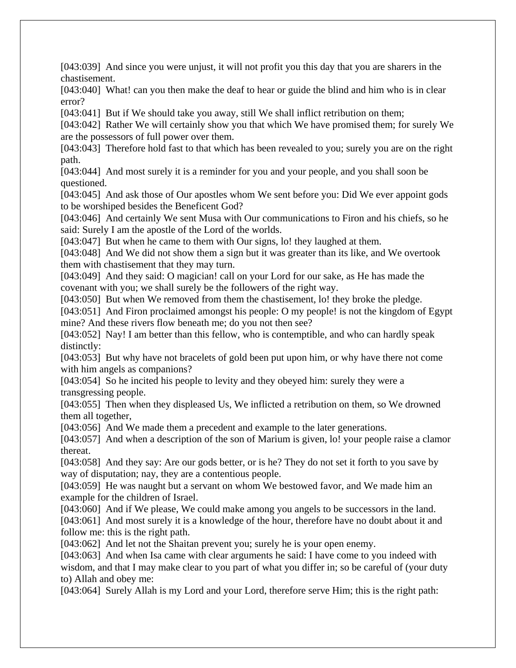[043:039] And since you were unjust, it will not profit you this day that you are sharers in the chastisement.

[043:040] What! can you then make the deaf to hear or guide the blind and him who is in clear error?

[043:041] But if We should take you away, still We shall inflict retribution on them;

[043:042] Rather We will certainly show you that which We have promised them; for surely We are the possessors of full power over them.

[043:043] Therefore hold fast to that which has been revealed to you; surely you are on the right path.

[043:044] And most surely it is a reminder for you and your people, and you shall soon be questioned.

[043:045] And ask those of Our apostles whom We sent before you: Did We ever appoint gods to be worshiped besides the Beneficent God?

[043:046] And certainly We sent Musa with Our communications to Firon and his chiefs, so he said: Surely I am the apostle of the Lord of the worlds.

[043:047] But when he came to them with Our signs, lo! they laughed at them.

[043:048] And We did not show them a sign but it was greater than its like, and We overtook them with chastisement that they may turn.

[043:049] And they said: O magician! call on your Lord for our sake, as He has made the covenant with you; we shall surely be the followers of the right way.

[043:050] But when We removed from them the chastisement, lo! they broke the pledge.

[043:051] And Firon proclaimed amongst his people: O my people! is not the kingdom of Egypt mine? And these rivers flow beneath me; do you not then see?

[043:052] Nay! I am better than this fellow, who is contemptible, and who can hardly speak distinctly:

[043:053] But why have not bracelets of gold been put upon him, or why have there not come with him angels as companions?

[043:054] So he incited his people to levity and they obeyed him: surely they were a transgressing people.

[043:055] Then when they displeased Us, We inflicted a retribution on them, so We drowned them all together,

[043:056] And We made them a precedent and example to the later generations.

[043:057] And when a description of the son of Marium is given, lo! your people raise a clamor thereat.

[043:058] And they say: Are our gods better, or is he? They do not set it forth to you save by way of disputation; nay, they are a contentious people.

[043:059] He was naught but a servant on whom We bestowed favor, and We made him an example for the children of Israel.

[043:060] And if We please, We could make among you angels to be successors in the land. [043:061] And most surely it is a knowledge of the hour, therefore have no doubt about it and follow me: this is the right path.

[043:062] And let not the Shaitan prevent you; surely he is your open enemy.

[043:063] And when Isa came with clear arguments he said: I have come to you indeed with wisdom, and that I may make clear to you part of what you differ in; so be careful of (your duty to) Allah and obey me:

[043:064] Surely Allah is my Lord and your Lord, therefore serve Him; this is the right path: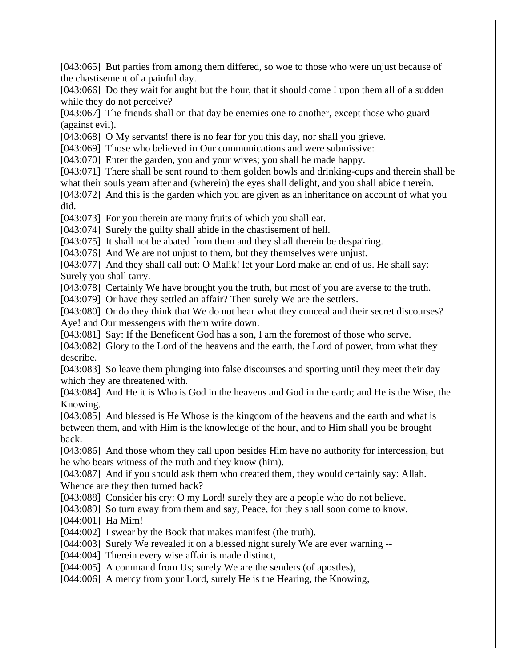[043:065] But parties from among them differed, so woe to those who were unjust because of the chastisement of a painful day.

[043:066] Do they wait for aught but the hour, that it should come ! upon them all of a sudden while they do not perceive?

[043:067] The friends shall on that day be enemies one to another, except those who guard (against evil).

[043:068] O My servants! there is no fear for you this day, nor shall you grieve.

[043:069] Those who believed in Our communications and were submissive:

[043:070] Enter the garden, you and your wives; you shall be made happy.

[043:071] There shall be sent round to them golden bowls and drinking-cups and therein shall be what their souls yearn after and (wherein) the eyes shall delight, and you shall abide therein.

[043:072] And this is the garden which you are given as an inheritance on account of what you did.

[043:073] For you therein are many fruits of which you shall eat.

[043:074] Surely the guilty shall abide in the chastisement of hell.

[043:075] It shall not be abated from them and they shall therein be despairing.

[043:076] And We are not unjust to them, but they themselves were unjust.

[043:077] And they shall call out: O Malik! let your Lord make an end of us. He shall say: Surely you shall tarry.

[043:078] Certainly We have brought you the truth, but most of you are averse to the truth.

[043:079] Or have they settled an affair? Then surely We are the settlers.

[043:080] Or do they think that We do not hear what they conceal and their secret discourses? Aye! and Our messengers with them write down.

[043:081] Say: If the Beneficent God has a son, I am the foremost of those who serve.

[043:082] Glory to the Lord of the heavens and the earth, the Lord of power, from what they describe.

[043:083] So leave them plunging into false discourses and sporting until they meet their day which they are threatened with.

[043:084] And He it is Who is God in the heavens and God in the earth; and He is the Wise, the Knowing.

[043:085] And blessed is He Whose is the kingdom of the heavens and the earth and what is between them, and with Him is the knowledge of the hour, and to Him shall you be brought back.

[043:086] And those whom they call upon besides Him have no authority for intercession, but he who bears witness of the truth and they know (him).

[043:087] And if you should ask them who created them, they would certainly say: Allah. Whence are they then turned back?

[043:088] Consider his cry: O my Lord! surely they are a people who do not believe.

[043:089] So turn away from them and say, Peace, for they shall soon come to know.

[044:001] Ha Mim!

[044:002] I swear by the Book that makes manifest (the truth).

[044:003] Surely We revealed it on a blessed night surely We are ever warning --

[044:004] Therein every wise affair is made distinct,

[044:005] A command from Us; surely We are the senders (of apostles),

[044:006] A mercy from your Lord, surely He is the Hearing, the Knowing,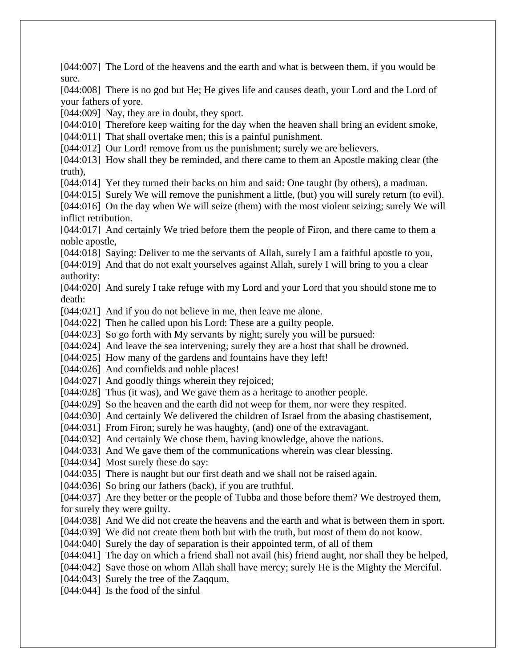[044:007] The Lord of the heavens and the earth and what is between them, if you would be sure. [044:008] There is no god but He; He gives life and causes death, your Lord and the Lord of your fathers of yore. [044:009] Nay, they are in doubt, they sport. [044:010] Therefore keep waiting for the day when the heaven shall bring an evident smoke, [044:011] That shall overtake men; this is a painful punishment. [044:012] Our Lord! remove from us the punishment; surely we are believers. [044:013] How shall they be reminded, and there came to them an Apostle making clear (the truth), [044:014] Yet they turned their backs on him and said: One taught (by others), a madman. [044:015] Surely We will remove the punishment a little, (but) you will surely return (to evil). [044:016] On the day when We will seize (them) with the most violent seizing; surely We will inflict retribution. [044:017] And certainly We tried before them the people of Firon, and there came to them a noble apostle, [044:018] Saying: Deliver to me the servants of Allah, surely I am a faithful apostle to you, [044:019] And that do not exalt yourselves against Allah, surely I will bring to you a clear authority: [044:020] And surely I take refuge with my Lord and your Lord that you should stone me to death: [044:021] And if you do not believe in me, then leave me alone. [044:022] Then he called upon his Lord: These are a guilty people. [044:023] So go forth with My servants by night; surely you will be pursued: [044:024] And leave the sea intervening; surely they are a host that shall be drowned. [044:025] How many of the gardens and fountains have they left! [044:026] And cornfields and noble places! [044:027] And goodly things wherein they rejoiced; [044:028] Thus (it was), and We gave them as a heritage to another people. [044:029] So the heaven and the earth did not weep for them, nor were they respited. [044:030] And certainly We delivered the children of Israel from the abasing chastisement, [044:031] From Firon; surely he was haughty, (and) one of the extravagant. [044:032] And certainly We chose them, having knowledge, above the nations. [044:033] And We gave them of the communications wherein was clear blessing. [044:034] Most surely these do say: [044:035] There is naught but our first death and we shall not be raised again. [044:036] So bring our fathers (back), if you are truthful. [044:037] Are they better or the people of Tubba and those before them? We destroyed them, for surely they were guilty. [044:038] And We did not create the heavens and the earth and what is between them in sport. [044:039] We did not create them both but with the truth, but most of them do not know. [044:040] Surely the day of separation is their appointed term, of all of them [044:041] The day on which a friend shall not avail (his) friend aught, nor shall they be helped, [044:042] Save those on whom Allah shall have mercy; surely He is the Mighty the Merciful. [044:043] Surely the tree of the Zaqqum, [044:044] Is the food of the sinful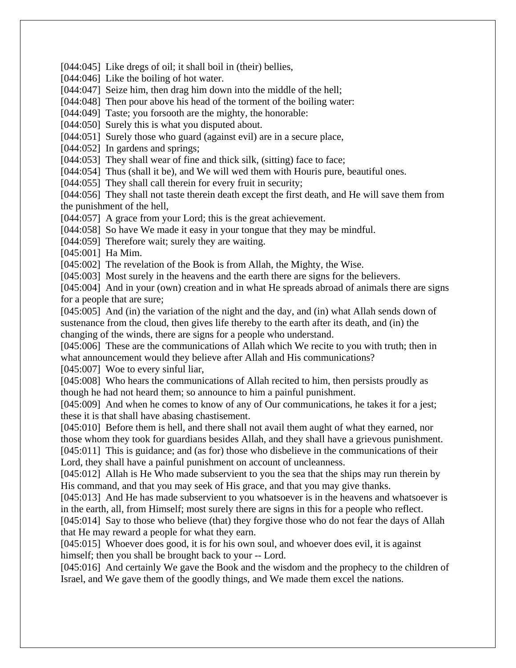[044:045] Like dregs of oil; it shall boil in (their) bellies,

[044:046] Like the boiling of hot water.

[044:047] Seize him, then drag him down into the middle of the hell;

[044:048] Then pour above his head of the torment of the boiling water:

[044:049] Taste; you forsooth are the mighty, the honorable:

[044:050] Surely this is what you disputed about.

[044:051] Surely those who guard (against evil) are in a secure place,

[044:052] In gardens and springs;

[044:053] They shall wear of fine and thick silk, (sitting) face to face;

[044:054] Thus (shall it be), and We will wed them with Houris pure, beautiful ones.

[044:055] They shall call therein for every fruit in security;

[044:056] They shall not taste therein death except the first death, and He will save them from the punishment of the hell,

[044:057] A grace from your Lord; this is the great achievement.

[044:058] So have We made it easy in your tongue that they may be mindful.

[044:059] Therefore wait; surely they are waiting.

[045:001] Ha Mim.

[045:002] The revelation of the Book is from Allah, the Mighty, the Wise.

[045:003] Most surely in the heavens and the earth there are signs for the believers.

[045:004] And in your (own) creation and in what He spreads abroad of animals there are signs for a people that are sure;

[045:005] And (in) the variation of the night and the day, and (in) what Allah sends down of sustenance from the cloud, then gives life thereby to the earth after its death, and (in) the changing of the winds, there are signs for a people who understand.

[045:006] These are the communications of Allah which We recite to you with truth; then in what announcement would they believe after Allah and His communications?

[045:007] Woe to every sinful liar,

[045:008] Who hears the communications of Allah recited to him, then persists proudly as though he had not heard them; so announce to him a painful punishment.

[045:009] And when he comes to know of any of Our communications, he takes it for a jest; these it is that shall have abasing chastisement.

[045:010] Before them is hell, and there shall not avail them aught of what they earned, nor those whom they took for guardians besides Allah, and they shall have a grievous punishment. [045:011] This is guidance; and (as for) those who disbelieve in the communications of their

Lord, they shall have a painful punishment on account of uncleanness.

[045:012] Allah is He Who made subservient to you the sea that the ships may run therein by His command, and that you may seek of His grace, and that you may give thanks.

[045:013] And He has made subservient to you whatsoever is in the heavens and whatsoever is in the earth, all, from Himself; most surely there are signs in this for a people who reflect.

[045:014] Say to those who believe (that) they forgive those who do not fear the days of Allah that He may reward a people for what they earn.

[045:015] Whoever does good, it is for his own soul, and whoever does evil, it is against himself; then you shall be brought back to your -- Lord.

[045:016] And certainly We gave the Book and the wisdom and the prophecy to the children of Israel, and We gave them of the goodly things, and We made them excel the nations.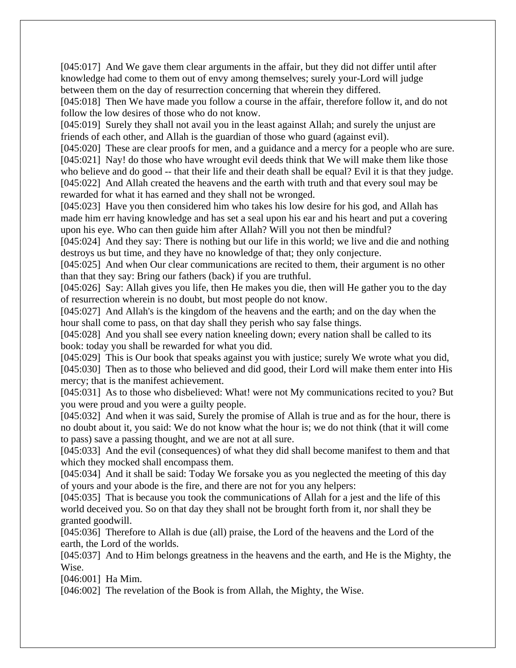[045:017] And We gave them clear arguments in the affair, but they did not differ until after knowledge had come to them out of envy among themselves; surely your-Lord will judge between them on the day of resurrection concerning that wherein they differed.

[045:018] Then We have made you follow a course in the affair, therefore follow it, and do not follow the low desires of those who do not know.

[045:019] Surely they shall not avail you in the least against Allah; and surely the unjust are friends of each other, and Allah is the guardian of those who guard (against evil).

[045:020] These are clear proofs for men, and a guidance and a mercy for a people who are sure. [045:021] Nay! do those who have wrought evil deeds think that We will make them like those who believe and do good -- that their life and their death shall be equal? Evil it is that they judge. [045:022] And Allah created the heavens and the earth with truth and that every soul may be rewarded for what it has earned and they shall not be wronged.

[045:023] Have you then considered him who takes his low desire for his god, and Allah has made him err having knowledge and has set a seal upon his ear and his heart and put a covering upon his eye. Who can then guide him after Allah? Will you not then be mindful?

[045:024] And they say: There is nothing but our life in this world; we live and die and nothing destroys us but time, and they have no knowledge of that; they only conjecture.

[045:025] And when Our clear communications are recited to them, their argument is no other than that they say: Bring our fathers (back) if you are truthful.

[045:026] Say: Allah gives you life, then He makes you die, then will He gather you to the day of resurrection wherein is no doubt, but most people do not know.

[045:027] And Allah's is the kingdom of the heavens and the earth; and on the day when the hour shall come to pass, on that day shall they perish who say false things.

[045:028] And you shall see every nation kneeling down; every nation shall be called to its book: today you shall be rewarded for what you did.

[045:029] This is Our book that speaks against you with justice; surely We wrote what you did, [045:030] Then as to those who believed and did good, their Lord will make them enter into His mercy; that is the manifest achievement.

[045:031] As to those who disbelieved: What! were not My communications recited to you? But you were proud and you were a guilty people.

[045:032] And when it was said, Surely the promise of Allah is true and as for the hour, there is no doubt about it, you said: We do not know what the hour is; we do not think (that it will come to pass) save a passing thought, and we are not at all sure.

[045:033] And the evil (consequences) of what they did shall become manifest to them and that which they mocked shall encompass them.

[045:034] And it shall be said: Today We forsake you as you neglected the meeting of this day of yours and your abode is the fire, and there are not for you any helpers:

[045:035] That is because you took the communications of Allah for a jest and the life of this world deceived you. So on that day they shall not be brought forth from it, nor shall they be granted goodwill.

[045:036] Therefore to Allah is due (all) praise, the Lord of the heavens and the Lord of the earth, the Lord of the worlds.

[045:037] And to Him belongs greatness in the heavens and the earth, and He is the Mighty, the Wise.

[046:001] Ha Mim.

[046:002] The revelation of the Book is from Allah, the Mighty, the Wise.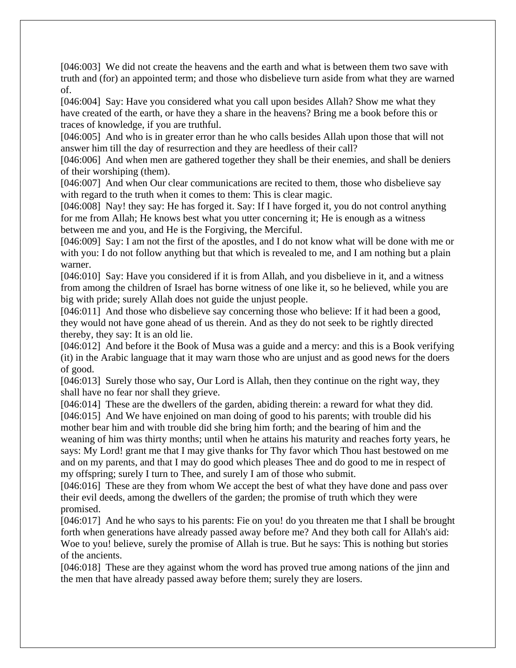[046:003] We did not create the heavens and the earth and what is between them two save with truth and (for) an appointed term; and those who disbelieve turn aside from what they are warned of.

[046:004] Say: Have you considered what you call upon besides Allah? Show me what they have created of the earth, or have they a share in the heavens? Bring me a book before this or traces of knowledge, if you are truthful.

[046:005] And who is in greater error than he who calls besides Allah upon those that will not answer him till the day of resurrection and they are heedless of their call?

[046:006] And when men are gathered together they shall be their enemies, and shall be deniers of their worshiping (them).

[046:007] And when Our clear communications are recited to them, those who disbelieve say with regard to the truth when it comes to them: This is clear magic.

[046:008] Nay! they say: He has forged it. Say: If I have forged it, you do not control anything for me from Allah; He knows best what you utter concerning it; He is enough as a witness between me and you, and He is the Forgiving, the Merciful.

[046:009] Say: I am not the first of the apostles, and I do not know what will be done with me or with you: I do not follow anything but that which is revealed to me, and I am nothing but a plain warner.

[046:010] Say: Have you considered if it is from Allah, and you disbelieve in it, and a witness from among the children of Israel has borne witness of one like it, so he believed, while you are big with pride; surely Allah does not guide the unjust people.

[046:011] And those who disbelieve say concerning those who believe: If it had been a good, they would not have gone ahead of us therein. And as they do not seek to be rightly directed thereby, they say: It is an old lie.

[046:012] And before it the Book of Musa was a guide and a mercy: and this is a Book verifying (it) in the Arabic language that it may warn those who are unjust and as good news for the doers of good.

[046:013] Surely those who say, Our Lord is Allah, then they continue on the right way, they shall have no fear nor shall they grieve.

[046:014] These are the dwellers of the garden, abiding therein: a reward for what they did. [046:015] And We have enjoined on man doing of good to his parents; with trouble did his mother bear him and with trouble did she bring him forth; and the bearing of him and the weaning of him was thirty months; until when he attains his maturity and reaches forty years, he says: My Lord! grant me that I may give thanks for Thy favor which Thou hast bestowed on me and on my parents, and that I may do good which pleases Thee and do good to me in respect of my offspring; surely I turn to Thee, and surely I am of those who submit.

[046:016] These are they from whom We accept the best of what they have done and pass over their evil deeds, among the dwellers of the garden; the promise of truth which they were promised.

[046:017] And he who says to his parents: Fie on you! do you threaten me that I shall be brought forth when generations have already passed away before me? And they both call for Allah's aid: Woe to you! believe, surely the promise of Allah is true. But he says: This is nothing but stories of the ancients.

[046:018] These are they against whom the word has proved true among nations of the jinn and the men that have already passed away before them; surely they are losers.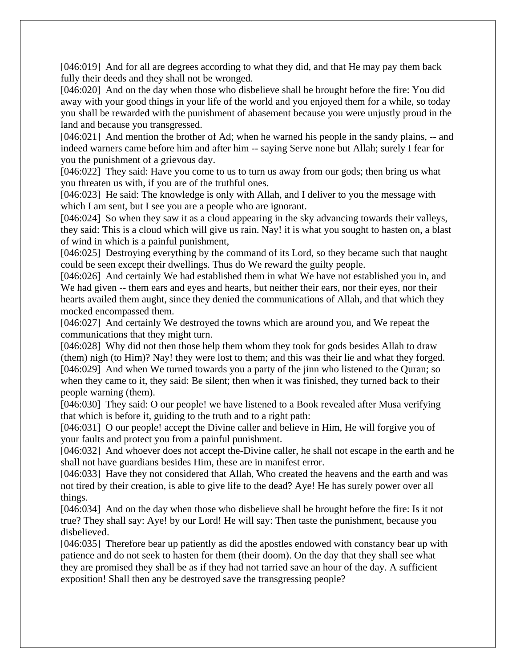[046:019] And for all are degrees according to what they did, and that He may pay them back fully their deeds and they shall not be wronged.

[046:020] And on the day when those who disbelieve shall be brought before the fire: You did away with your good things in your life of the world and you enjoyed them for a while, so today you shall be rewarded with the punishment of abasement because you were unjustly proud in the land and because you transgressed.

[046:021] And mention the brother of Ad; when he warned his people in the sandy plains, -- and indeed warners came before him and after him -- saying Serve none but Allah; surely I fear for you the punishment of a grievous day.

[046:022] They said: Have you come to us to turn us away from our gods; then bring us what you threaten us with, if you are of the truthful ones.

[046:023] He said: The knowledge is only with Allah, and I deliver to you the message with which I am sent, but I see you are a people who are ignorant.

[046:024] So when they saw it as a cloud appearing in the sky advancing towards their valleys, they said: This is a cloud which will give us rain. Nay! it is what you sought to hasten on, a blast of wind in which is a painful punishment,

[046:025] Destroying everything by the command of its Lord, so they became such that naught could be seen except their dwellings. Thus do We reward the guilty people.

[046:026] And certainly We had established them in what We have not established you in, and We had given -- them ears and eyes and hearts, but neither their ears, nor their eyes, nor their hearts availed them aught, since they denied the communications of Allah, and that which they mocked encompassed them.

[046:027] And certainly We destroyed the towns which are around you, and We repeat the communications that they might turn.

[046:028] Why did not then those help them whom they took for gods besides Allah to draw (them) nigh (to Him)? Nay! they were lost to them; and this was their lie and what they forged. [046:029] And when We turned towards you a party of the jinn who listened to the Quran; so when they came to it, they said: Be silent; then when it was finished, they turned back to their people warning (them).

[046:030] They said: O our people! we have listened to a Book revealed after Musa verifying that which is before it, guiding to the truth and to a right path:

[046:031] O our people! accept the Divine caller and believe in Him, He will forgive you of your faults and protect you from a painful punishment.

[046:032] And whoever does not accept the-Divine caller, he shall not escape in the earth and he shall not have guardians besides Him, these are in manifest error.

[046:033] Have they not considered that Allah, Who created the heavens and the earth and was not tired by their creation, is able to give life to the dead? Aye! He has surely power over all things.

[046:034] And on the day when those who disbelieve shall be brought before the fire: Is it not true? They shall say: Aye! by our Lord! He will say: Then taste the punishment, because you disbelieved.

[046:035] Therefore bear up patiently as did the apostles endowed with constancy bear up with patience and do not seek to hasten for them (their doom). On the day that they shall see what they are promised they shall be as if they had not tarried save an hour of the day. A sufficient exposition! Shall then any be destroyed save the transgressing people?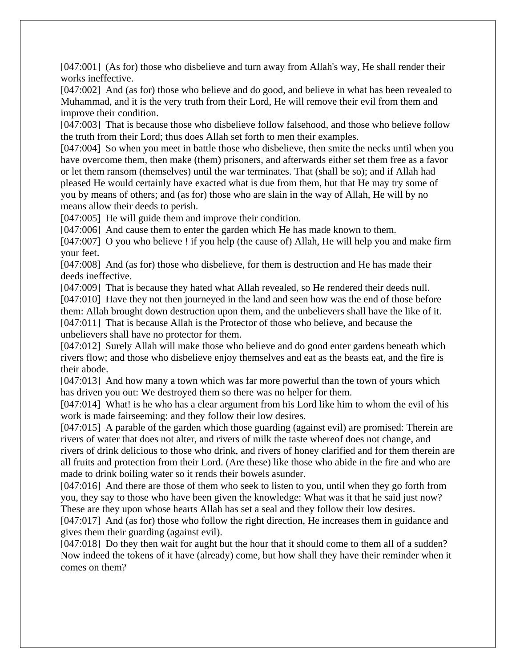[047:001] (As for) those who disbelieve and turn away from Allah's way, He shall render their works ineffective.

[047:002] And (as for) those who believe and do good, and believe in what has been revealed to Muhammad, and it is the very truth from their Lord, He will remove their evil from them and improve their condition.

[047:003] That is because those who disbelieve follow falsehood, and those who believe follow the truth from their Lord; thus does Allah set forth to men their examples.

[047:004] So when you meet in battle those who disbelieve, then smite the necks until when you have overcome them, then make (them) prisoners, and afterwards either set them free as a favor or let them ransom (themselves) until the war terminates. That (shall be so); and if Allah had pleased He would certainly have exacted what is due from them, but that He may try some of you by means of others; and (as for) those who are slain in the way of Allah, He will by no means allow their deeds to perish.

[047:005] He will guide them and improve their condition.

[047:006] And cause them to enter the garden which He has made known to them.

[047:007] O you who believe ! if you help (the cause of) Allah, He will help you and make firm your feet.

[047:008] And (as for) those who disbelieve, for them is destruction and He has made their deeds ineffective.

[047:009] That is because they hated what Allah revealed, so He rendered their deeds null. [047:010] Have they not then journeyed in the land and seen how was the end of those before them: Allah brought down destruction upon them, and the unbelievers shall have the like of it. [047:011] That is because Allah is the Protector of those who believe, and because the unbelievers shall have no protector for them.

[047:012] Surely Allah will make those who believe and do good enter gardens beneath which rivers flow; and those who disbelieve enjoy themselves and eat as the beasts eat, and the fire is their abode.

[047:013] And how many a town which was far more powerful than the town of yours which has driven you out: We destroyed them so there was no helper for them.

[047:014] What! is he who has a clear argument from his Lord like him to whom the evil of his work is made fairseeming: and they follow their low desires.

[047:015] A parable of the garden which those guarding (against evil) are promised: Therein are rivers of water that does not alter, and rivers of milk the taste whereof does not change, and

rivers of drink delicious to those who drink, and rivers of honey clarified and for them therein are all fruits and protection from their Lord. (Are these) like those who abide in the fire and who are made to drink boiling water so it rends their bowels asunder.

[047:016] And there are those of them who seek to listen to you, until when they go forth from you, they say to those who have been given the knowledge: What was it that he said just now? These are they upon whose hearts Allah has set a seal and they follow their low desires.

[047:017] And (as for) those who follow the right direction, He increases them in guidance and gives them their guarding (against evil).

[047:018] Do they then wait for aught but the hour that it should come to them all of a sudden? Now indeed the tokens of it have (already) come, but how shall they have their reminder when it comes on them?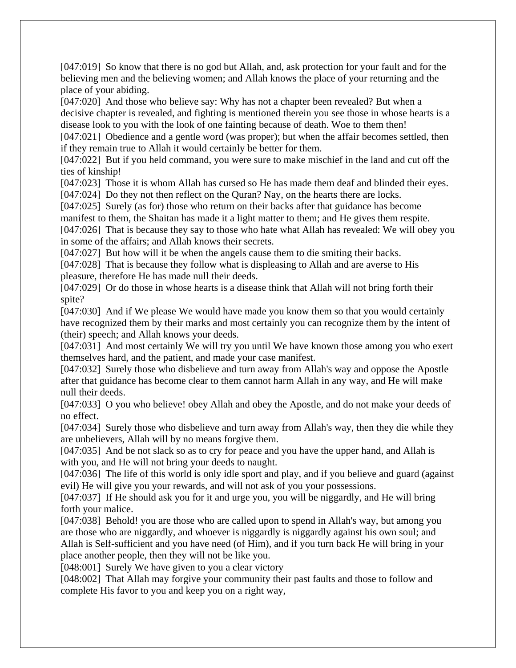[047:019] So know that there is no god but Allah, and, ask protection for your fault and for the believing men and the believing women; and Allah knows the place of your returning and the place of your abiding.

[047:020] And those who believe say: Why has not a chapter been revealed? But when a decisive chapter is revealed, and fighting is mentioned therein you see those in whose hearts is a disease look to you with the look of one fainting because of death. Woe to them then!

[047:021] Obedience and a gentle word (was proper); but when the affair becomes settled, then if they remain true to Allah it would certainly be better for them.

[047:022] But if you held command, you were sure to make mischief in the land and cut off the ties of kinship!

[047:023] Those it is whom Allah has cursed so He has made them deaf and blinded their eyes.

[047:024] Do they not then reflect on the Quran? Nay, on the hearts there are locks.

[047:025] Surely (as for) those who return on their backs after that guidance has become manifest to them, the Shaitan has made it a light matter to them; and He gives them respite.

[047:026] That is because they say to those who hate what Allah has revealed: We will obey you in some of the affairs; and Allah knows their secrets.

[047:027] But how will it be when the angels cause them to die smiting their backs.

[047:028] That is because they follow what is displeasing to Allah and are averse to His pleasure, therefore He has made null their deeds.

[047:029] Or do those in whose hearts is a disease think that Allah will not bring forth their spite?

[047:030] And if We please We would have made you know them so that you would certainly have recognized them by their marks and most certainly you can recognize them by the intent of (their) speech; and Allah knows your deeds.

[047:031] And most certainly We will try you until We have known those among you who exert themselves hard, and the patient, and made your case manifest.

[047:032] Surely those who disbelieve and turn away from Allah's way and oppose the Apostle after that guidance has become clear to them cannot harm Allah in any way, and He will make null their deeds.

[047:033] O you who believe! obey Allah and obey the Apostle, and do not make your deeds of no effect.

[047:034] Surely those who disbelieve and turn away from Allah's way, then they die while they are unbelievers, Allah will by no means forgive them.

[047:035] And be not slack so as to cry for peace and you have the upper hand, and Allah is with you, and He will not bring your deeds to naught.

[047:036] The life of this world is only idle sport and play, and if you believe and guard (against evil) He will give you your rewards, and will not ask of you your possessions.

[047:037] If He should ask you for it and urge you, you will be niggardly, and He will bring forth your malice.

[047:038] Behold! you are those who are called upon to spend in Allah's way, but among you are those who are niggardly, and whoever is niggardly is niggardly against his own soul; and Allah is Self-sufficient and you have need (of Him), and if you turn back He will bring in your place another people, then they will not be like you.

[048:001] Surely We have given to you a clear victory

[048:002] That Allah may forgive your community their past faults and those to follow and complete His favor to you and keep you on a right way,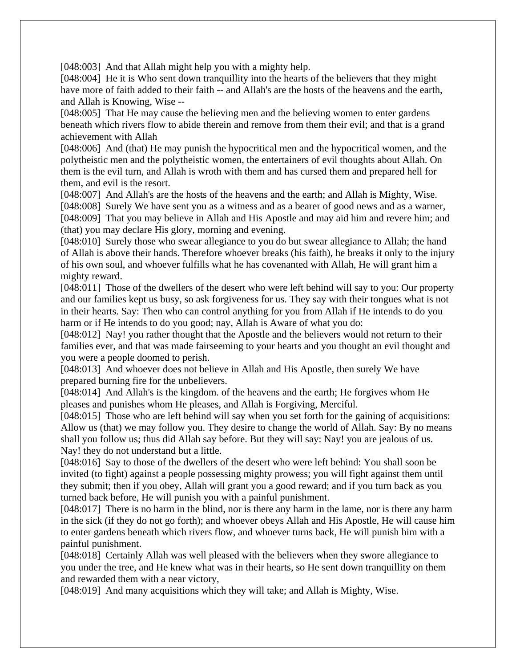[048:003] And that Allah might help you with a mighty help.

[048:004] He it is Who sent down tranquillity into the hearts of the believers that they might have more of faith added to their faith -- and Allah's are the hosts of the heavens and the earth, and Allah is Knowing, Wise --

[048:005] That He may cause the believing men and the believing women to enter gardens beneath which rivers flow to abide therein and remove from them their evil; and that is a grand achievement with Allah

[048:006] And (that) He may punish the hypocritical men and the hypocritical women, and the polytheistic men and the polytheistic women, the entertainers of evil thoughts about Allah. On them is the evil turn, and Allah is wroth with them and has cursed them and prepared hell for them, and evil is the resort.

[048:007] And Allah's are the hosts of the heavens and the earth; and Allah is Mighty, Wise. [048:008] Surely We have sent you as a witness and as a bearer of good news and as a warner, [048:009] That you may believe in Allah and His Apostle and may aid him and revere him; and (that) you may declare His glory, morning and evening.

[048:010] Surely those who swear allegiance to you do but swear allegiance to Allah; the hand of Allah is above their hands. Therefore whoever breaks (his faith), he breaks it only to the injury of his own soul, and whoever fulfills what he has covenanted with Allah, He will grant him a mighty reward.

[048:011] Those of the dwellers of the desert who were left behind will say to you: Our property and our families kept us busy, so ask forgiveness for us. They say with their tongues what is not in their hearts. Say: Then who can control anything for you from Allah if He intends to do you harm or if He intends to do you good; nay, Allah is Aware of what you do:

[048:012] Nay! you rather thought that the Apostle and the believers would not return to their families ever, and that was made fairseeming to your hearts and you thought an evil thought and you were a people doomed to perish.

[048:013] And whoever does not believe in Allah and His Apostle, then surely We have prepared burning fire for the unbelievers.

[048:014] And Allah's is the kingdom. of the heavens and the earth; He forgives whom He pleases and punishes whom He pleases, and Allah is Forgiving, Merciful.

[048:015] Those who are left behind will say when you set forth for the gaining of acquisitions: Allow us (that) we may follow you. They desire to change the world of Allah. Say: By no means shall you follow us; thus did Allah say before. But they will say: Nay! you are jealous of us. Nay! they do not understand but a little.

[048:016] Say to those of the dwellers of the desert who were left behind: You shall soon be invited (to fight) against a people possessing mighty prowess; you will fight against them until they submit; then if you obey, Allah will grant you a good reward; and if you turn back as you turned back before, He will punish you with a painful punishment.

[048:017] There is no harm in the blind, nor is there any harm in the lame, nor is there any harm in the sick (if they do not go forth); and whoever obeys Allah and His Apostle, He will cause him to enter gardens beneath which rivers flow, and whoever turns back, He will punish him with a painful punishment.

[048:018] Certainly Allah was well pleased with the believers when they swore allegiance to you under the tree, and He knew what was in their hearts, so He sent down tranquillity on them and rewarded them with a near victory,

[048:019] And many acquisitions which they will take; and Allah is Mighty, Wise.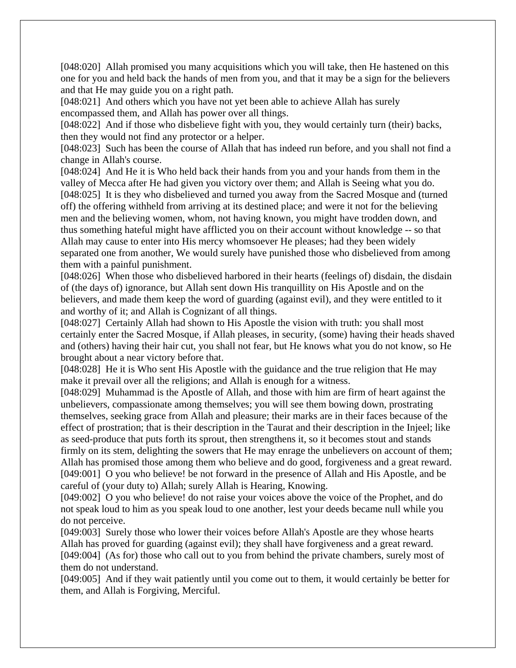[048:020] Allah promised you many acquisitions which you will take, then He hastened on this one for you and held back the hands of men from you, and that it may be a sign for the believers and that He may guide you on a right path.

[048:021] And others which you have not yet been able to achieve Allah has surely encompassed them, and Allah has power over all things.

[048:022] And if those who disbelieve fight with you, they would certainly turn (their) backs, then they would not find any protector or a helper.

[048:023] Such has been the course of Allah that has indeed run before, and you shall not find a change in Allah's course.

[048:024] And He it is Who held back their hands from you and your hands from them in the valley of Mecca after He had given you victory over them; and Allah is Seeing what you do. [048:025] It is they who disbelieved and turned you away from the Sacred Mosque and (turned off) the offering withheld from arriving at its destined place; and were it not for the believing men and the believing women, whom, not having known, you might have trodden down, and thus something hateful might have afflicted you on their account without knowledge -- so that Allah may cause to enter into His mercy whomsoever He pleases; had they been widely separated one from another, We would surely have punished those who disbelieved from among them with a painful punishment.

[048:026] When those who disbelieved harbored in their hearts (feelings of) disdain, the disdain of (the days of) ignorance, but Allah sent down His tranquillity on His Apostle and on the believers, and made them keep the word of guarding (against evil), and they were entitled to it and worthy of it; and Allah is Cognizant of all things.

[048:027] Certainly Allah had shown to His Apostle the vision with truth: you shall most certainly enter the Sacred Mosque, if Allah pleases, in security, (some) having their heads shaved and (others) having their hair cut, you shall not fear, but He knows what you do not know, so He brought about a near victory before that.

[048:028] He it is Who sent His Apostle with the guidance and the true religion that He may make it prevail over all the religions; and Allah is enough for a witness.

[048:029] Muhammad is the Apostle of Allah, and those with him are firm of heart against the unbelievers, compassionate among themselves; you will see them bowing down, prostrating themselves, seeking grace from Allah and pleasure; their marks are in their faces because of the effect of prostration; that is their description in the Taurat and their description in the Injeel; like as seed-produce that puts forth its sprout, then strengthens it, so it becomes stout and stands firmly on its stem, delighting the sowers that He may enrage the unbelievers on account of them; Allah has promised those among them who believe and do good, forgiveness and a great reward. [049:001] O you who believe! be not forward in the presence of Allah and His Apostle, and be careful of (your duty to) Allah; surely Allah is Hearing, Knowing.

[049:002] O you who believe! do not raise your voices above the voice of the Prophet, and do not speak loud to him as you speak loud to one another, lest your deeds became null while you do not perceive.

[049:003] Surely those who lower their voices before Allah's Apostle are they whose hearts Allah has proved for guarding (against evil); they shall have forgiveness and a great reward. [049:004] (As for) those who call out to you from behind the private chambers, surely most of them do not understand.

[049:005] And if they wait patiently until you come out to them, it would certainly be better for them, and Allah is Forgiving, Merciful.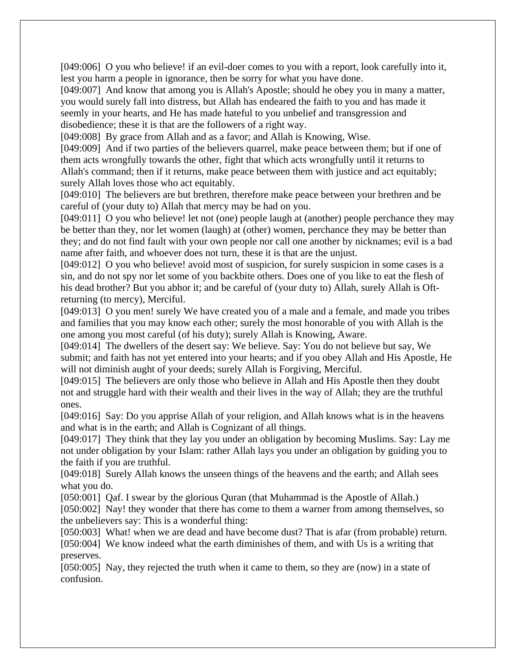[049:006] O you who believe! if an evil-doer comes to you with a report, look carefully into it, lest you harm a people in ignorance, then be sorry for what you have done.

[049:007] And know that among you is Allah's Apostle; should he obey you in many a matter, you would surely fall into distress, but Allah has endeared the faith to you and has made it seemly in your hearts, and He has made hateful to you unbelief and transgression and disobedience; these it is that are the followers of a right way.

[049:008] By grace from Allah and as a favor; and Allah is Knowing, Wise.

[049:009] And if two parties of the believers quarrel, make peace between them; but if one of them acts wrongfully towards the other, fight that which acts wrongfully until it returns to Allah's command; then if it returns, make peace between them with justice and act equitably; surely Allah loves those who act equitably.

[049:010] The believers are but brethren, therefore make peace between your brethren and be careful of (your duty to) Allah that mercy may be had on you.

[049:011] O you who believe! let not (one) people laugh at (another) people perchance they may be better than they, nor let women (laugh) at (other) women, perchance they may be better than they; and do not find fault with your own people nor call one another by nicknames; evil is a bad name after faith, and whoever does not turn, these it is that are the unjust.

[049:012] O you who believe! avoid most of suspicion, for surely suspicion in some cases is a sin, and do not spy nor let some of you backbite others. Does one of you like to eat the flesh of his dead brother? But you abhor it; and be careful of (your duty to) Allah, surely Allah is Oftreturning (to mercy), Merciful.

[049:013] O you men! surely We have created you of a male and a female, and made you tribes and families that you may know each other; surely the most honorable of you with Allah is the one among you most careful (of his duty); surely Allah is Knowing, Aware.

[049:014] The dwellers of the desert say: We believe. Say: You do not believe but say, We submit; and faith has not yet entered into your hearts; and if you obey Allah and His Apostle, He will not diminish aught of your deeds; surely Allah is Forgiving, Merciful.

[049:015] The believers are only those who believe in Allah and His Apostle then they doubt not and struggle hard with their wealth and their lives in the way of Allah; they are the truthful ones.

[049:016] Say: Do you apprise Allah of your religion, and Allah knows what is in the heavens and what is in the earth; and Allah is Cognizant of all things.

[049:017] They think that they lay you under an obligation by becoming Muslims. Say: Lay me not under obligation by your Islam: rather Allah lays you under an obligation by guiding you to the faith if you are truthful.

[049:018] Surely Allah knows the unseen things of the heavens and the earth; and Allah sees what you do.

[050:001] Oaf. I swear by the glorious Ouran (that Muhammad is the Apostle of Allah.)

[050:002] Nay! they wonder that there has come to them a warner from among themselves, so the unbelievers say: This is a wonderful thing:

[050:003] What! when we are dead and have become dust? That is afar (from probable) return. [050:004] We know indeed what the earth diminishes of them, and with Us is a writing that preserves.

[050:005] Nay, they rejected the truth when it came to them, so they are (now) in a state of confusion.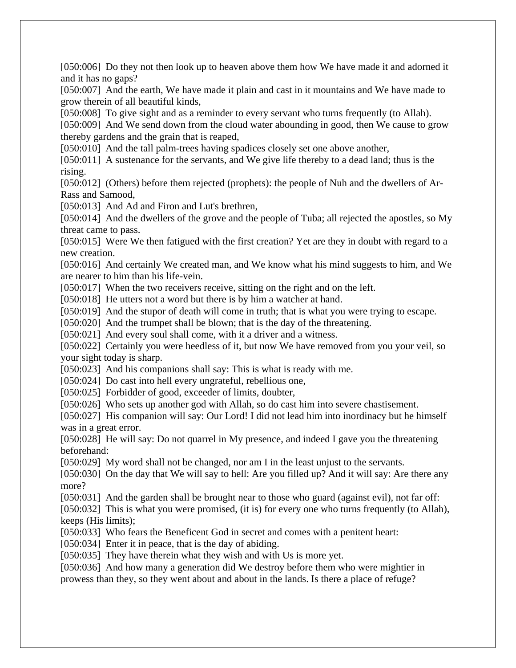[050:006] Do they not then look up to heaven above them how We have made it and adorned it and it has no gaps?

[050:007] And the earth, We have made it plain and cast in it mountains and We have made to grow therein of all beautiful kinds,

[050:008] To give sight and as a reminder to every servant who turns frequently (to Allah).

[050:009] And We send down from the cloud water abounding in good, then We cause to grow thereby gardens and the grain that is reaped,

[050:010] And the tall palm-trees having spadices closely set one above another,

[050:011] A sustenance for the servants, and We give life thereby to a dead land; thus is the rising.

[050:012] (Others) before them rejected (prophets): the people of Nuh and the dwellers of Ar-Rass and Samood,

[050:013] And Ad and Firon and Lut's brethren,

[050:014] And the dwellers of the grove and the people of Tuba; all rejected the apostles, so My threat came to pass.

[050:015] Were We then fatigued with the first creation? Yet are they in doubt with regard to a new creation.

[050:016] And certainly We created man, and We know what his mind suggests to him, and We are nearer to him than his life-vein.

[050:017] When the two receivers receive, sitting on the right and on the left.

[050:018] He utters not a word but there is by him a watcher at hand.

[050:019] And the stupor of death will come in truth; that is what you were trying to escape.

[050:020] And the trumpet shall be blown; that is the day of the threatening.

[050:021] And every soul shall come, with it a driver and a witness.

[050:022] Certainly you were heedless of it, but now We have removed from you your veil, so your sight today is sharp.

[050:023] And his companions shall say: This is what is ready with me.

[050:024] Do cast into hell every ungrateful, rebellious one,

[050:025] Forbidder of good, exceeder of limits, doubter,

[050:026] Who sets up another god with Allah, so do cast him into severe chastisement.

[050:027] His companion will say: Our Lord! I did not lead him into inordinacy but he himself was in a great error.

[050:028] He will say: Do not quarrel in My presence, and indeed I gave you the threatening beforehand:

[050:029] My word shall not be changed, nor am I in the least unjust to the servants.

[050:030] On the day that We will say to hell: Are you filled up? And it will say: Are there any more?

[050:031] And the garden shall be brought near to those who guard (against evil), not far off:

[050:032] This is what you were promised, (it is) for every one who turns frequently (to Allah), keeps (His limits);

[050:033] Who fears the Beneficent God in secret and comes with a penitent heart:

[050:034] Enter it in peace, that is the day of abiding.

[050:035] They have therein what they wish and with Us is more yet.

[050:036] And how many a generation did We destroy before them who were mightier in prowess than they, so they went about and about in the lands. Is there a place of refuge?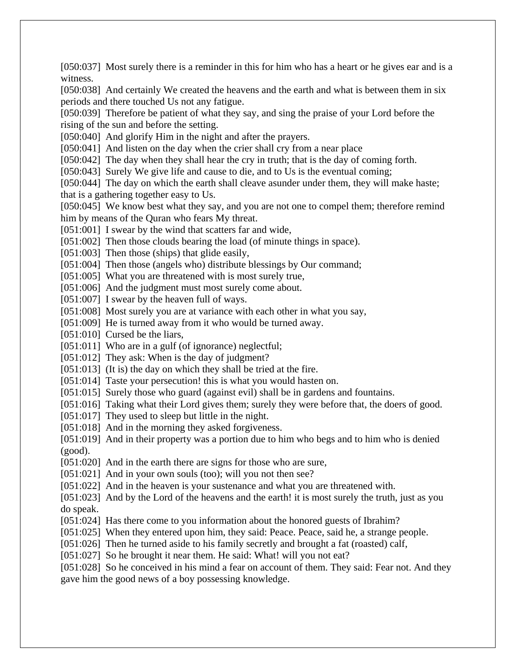[050:037] Most surely there is a reminder in this for him who has a heart or he gives ear and is a witness.

[050:038] And certainly We created the heavens and the earth and what is between them in six periods and there touched Us not any fatigue.

[050:039] Therefore be patient of what they say, and sing the praise of your Lord before the rising of the sun and before the setting.

[050:040] And glorify Him in the night and after the prayers.

[050:041] And listen on the day when the crier shall cry from a near place

[050:042] The day when they shall hear the cry in truth; that is the day of coming forth.

[050:043] Surely We give life and cause to die, and to Us is the eventual coming;

[050:044] The day on which the earth shall cleave asunder under them, they will make haste; that is a gathering together easy to Us.

[050:045] We know best what they say, and you are not one to compel them; therefore remind him by means of the Quran who fears My threat.

[051:001] I swear by the wind that scatters far and wide,

[051:002] Then those clouds bearing the load (of minute things in space).

[051:003] Then those (ships) that glide easily,

[051:004] Then those (angels who) distribute blessings by Our command;

[051:005] What you are threatened with is most surely true,

[051:006] And the judgment must most surely come about.

[051:007] I swear by the heaven full of ways.

[051:008] Most surely you are at variance with each other in what you say,

[051:009] He is turned away from it who would be turned away.

[051:010] Cursed be the liars,

[051:011] Who are in a gulf (of ignorance) neglectful;

[051:012] They ask: When is the day of judgment?

[051:013] (It is) the day on which they shall be tried at the fire.

[051:014] Taste your persecution! this is what you would hasten on.

[051:015] Surely those who guard (against evil) shall be in gardens and fountains.

[051:016] Taking what their Lord gives them; surely they were before that, the doers of good.

[051:017] They used to sleep but little in the night.

[051:018] And in the morning they asked forgiveness.

[051:019] And in their property was a portion due to him who begs and to him who is denied (good).

[051:020] And in the earth there are signs for those who are sure,

[051:021] And in your own souls (too); will you not then see?

[051:022] And in the heaven is your sustenance and what you are threatened with.

[051:023] And by the Lord of the heavens and the earth! it is most surely the truth, just as you do speak.

[051:024] Has there come to you information about the honored guests of Ibrahim?

[051:025] When they entered upon him, they said: Peace. Peace, said he, a strange people.

[051:026] Then he turned aside to his family secretly and brought a fat (roasted) calf,

[051:027] So he brought it near them. He said: What! will you not eat?

[051:028] So he conceived in his mind a fear on account of them. They said: Fear not. And they gave him the good news of a boy possessing knowledge.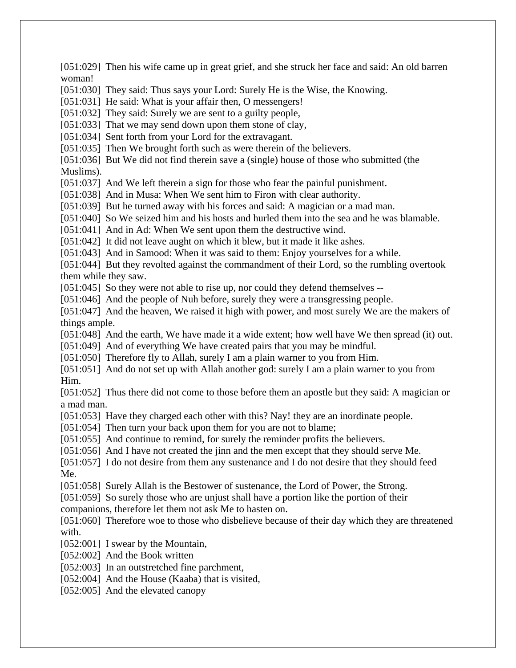[051:029] Then his wife came up in great grief, and she struck her face and said: An old barren woman! [051:030] They said: Thus says your Lord: Surely He is the Wise, the Knowing. [051:031] He said: What is your affair then, O messengers! [051:032] They said: Surely we are sent to a guilty people, [051:033] That we may send down upon them stone of clay, [051:034] Sent forth from your Lord for the extravagant. [051:035] Then We brought forth such as were therein of the believers. [051:036] But We did not find therein save a (single) house of those who submitted (the Muslims). [051:037] And We left therein a sign for those who fear the painful punishment. [051:038] And in Musa: When We sent him to Firon with clear authority. [051:039] But he turned away with his forces and said: A magician or a mad man. [051:040] So We seized him and his hosts and hurled them into the sea and he was blamable. [051:041] And in Ad: When We sent upon them the destructive wind. [051:042] It did not leave aught on which it blew, but it made it like ashes. [051:043] And in Samood: When it was said to them: Enjoy yourselves for a while. [051:044] But they revolted against the commandment of their Lord, so the rumbling overtook them while they saw. [051:045] So they were not able to rise up, nor could they defend themselves --[051:046] And the people of Nuh before, surely they were a transgressing people. [051:047] And the heaven, We raised it high with power, and most surely We are the makers of things ample. [051:048] And the earth, We have made it a wide extent; how well have We then spread (it) out. [051:049] And of everything We have created pairs that you may be mindful. [051:050] Therefore fly to Allah, surely I am a plain warner to you from Him. [051:051] And do not set up with Allah another god: surely I am a plain warner to you from Him. [051:052] Thus there did not come to those before them an apostle but they said: A magician or a mad man. [051:053] Have they charged each other with this? Nay! they are an inordinate people. [051:054] Then turn your back upon them for you are not to blame; [051:055] And continue to remind, for surely the reminder profits the believers. [051:056] And I have not created the jinn and the men except that they should serve Me. [051:057] I do not desire from them any sustenance and I do not desire that they should feed Me. [051:058] Surely Allah is the Bestower of sustenance, the Lord of Power, the Strong. [051:059] So surely those who are unjust shall have a portion like the portion of their companions, therefore let them not ask Me to hasten on. [051:060] Therefore woe to those who disbelieve because of their day which they are threatened with. [052:001] I swear by the Mountain, [052:002] And the Book written [052:003] In an outstretched fine parchment, [052:004] And the House (Kaaba) that is visited, [052:005] And the elevated canopy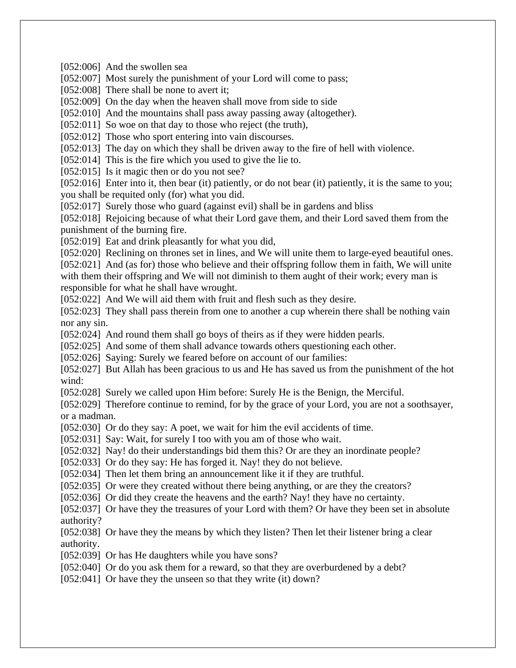[052:006] And the swollen sea

[052:007] Most surely the punishment of your Lord will come to pass;

[052:008] There shall be none to avert it;

[052:009] On the day when the heaven shall move from side to side

[052:010] And the mountains shall pass away passing away (altogether).

[052:011] So woe on that day to those who reject (the truth),

[052:012] Those who sport entering into vain discourses.

[052:013] The day on which they shall be driven away to the fire of hell with violence.

[052:014] This is the fire which you used to give the lie to.

[052:015] Is it magic then or do you not see?

[052:016] Enter into it, then bear (it) patiently, or do not bear (it) patiently, it is the same to you; you shall be requited only (for) what you did.

[052:017] Surely those who guard (against evil) shall be in gardens and bliss

[052:018] Rejoicing because of what their Lord gave them, and their Lord saved them from the punishment of the burning fire.

[052:019] Eat and drink pleasantly for what you did,

[052:020] Reclining on thrones set in lines, and We will unite them to large-eyed beautiful ones. [052:021] And (as for) those who believe and their offspring follow them in faith, We will unite with them their offspring and We will not diminish to them aught of their work; every man is responsible for what he shall have wrought.

[052:022] And We will aid them with fruit and flesh such as they desire.

[052:023] They shall pass therein from one to another a cup wherein there shall be nothing vain nor any sin.

[052:024] And round them shall go boys of theirs as if they were hidden pearls.

[052:025] And some of them shall advance towards others questioning each other.

[052:026] Saying: Surely we feared before on account of our families:

[052:027] But Allah has been gracious to us and He has saved us from the punishment of the hot wind:

[052:028] Surely we called upon Him before: Surely He is the Benign, the Merciful.

[052:029] Therefore continue to remind, for by the grace of your Lord, you are not a soothsayer, or a madman.

[052:030] Or do they say: A poet, we wait for him the evil accidents of time.

[052:031] Say: Wait, for surely I too with you am of those who wait.

[052:032] Nay! do their understandings bid them this? Or are they an inordinate people?

[052:033] Or do they say: He has forged it. Nay! they do not believe.

[052:034] Then let them bring an announcement like it if they are truthful.

[052:035] Or were they created without there being anything, or are they the creators?

[052:036] Or did they create the heavens and the earth? Nay! they have no certainty.

[052:037] Or have they the treasures of your Lord with them? Or have they been set in absolute authority?

[052:038] Or have they the means by which they listen? Then let their listener bring a clear authority.

[052:039] Or has He daughters while you have sons?

[052:040] Or do you ask them for a reward, so that they are overburdened by a debt?

[052:041] Or have they the unseen so that they write (it) down?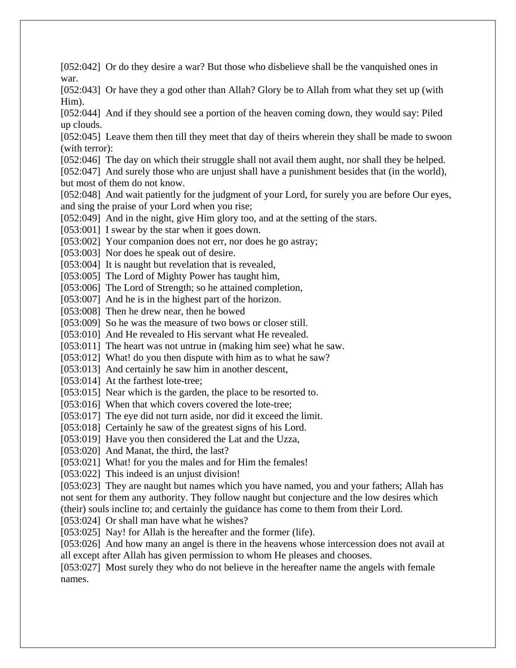[052:042] Or do they desire a war? But those who disbelieve shall be the vanquished ones in war.

[052:043] Or have they a god other than Allah? Glory be to Allah from what they set up (with Him).

[052:044] And if they should see a portion of the heaven coming down, they would say: Piled up clouds.

[052:045] Leave them then till they meet that day of theirs wherein they shall be made to swoon (with terror):

[052:046] The day on which their struggle shall not avail them aught, nor shall they be helped.

[052:047] And surely those who are unjust shall have a punishment besides that (in the world), but most of them do not know.

[052:048] And wait patiently for the judgment of your Lord, for surely you are before Our eyes, and sing the praise of your Lord when you rise;

[052:049] And in the night, give Him glory too, and at the setting of the stars.

[053:001] I swear by the star when it goes down.

[053:002] Your companion does not err, nor does he go astray;

[053:003] Nor does he speak out of desire.

[053:004] It is naught but revelation that is revealed,

[053:005] The Lord of Mighty Power has taught him,

[053:006] The Lord of Strength; so he attained completion,

[053:007] And he is in the highest part of the horizon.

[053:008] Then he drew near, then he bowed

[053:009] So he was the measure of two bows or closer still.

[053:010] And He revealed to His servant what He revealed.

[053:011] The heart was not untrue in (making him see) what he saw.

[053:012] What! do you then dispute with him as to what he saw?

[053:013] And certainly he saw him in another descent,

[053:014] At the farthest lote-tree:

[053:015] Near which is the garden, the place to be resorted to.

[053:016] When that which covers covered the lote-tree;

[053:017] The eye did not turn aside, nor did it exceed the limit.

[053:018] Certainly he saw of the greatest signs of his Lord.

[053:019] Have you then considered the Lat and the Uzza,

[053:020] And Manat, the third, the last?

[053:021] What! for you the males and for Him the females!

[053:022] This indeed is an unjust division!

[053:023] They are naught but names which you have named, you and your fathers; Allah has not sent for them any authority. They follow naught but conjecture and the low desires which (their) souls incline to; and certainly the guidance has come to them from their Lord.

[053:024] Or shall man have what he wishes?

[053:025] Nay! for Allah is the hereafter and the former (life).

[053:026] And how many an angel is there in the heavens whose intercession does not avail at all except after Allah has given permission to whom He pleases and chooses.

[053:027] Most surely they who do not believe in the hereafter name the angels with female names.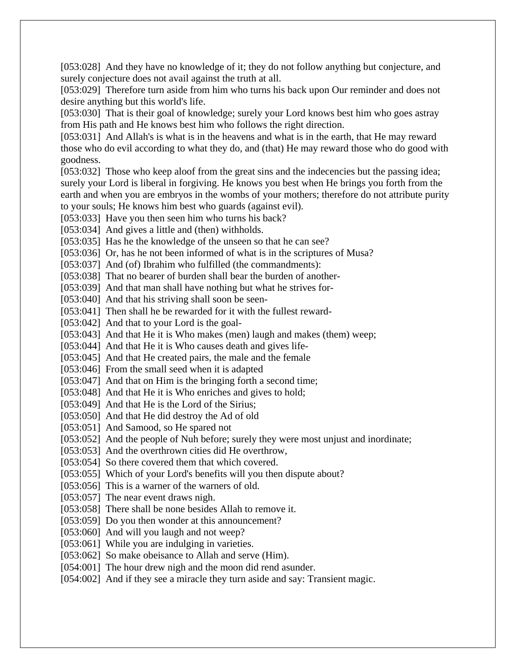[053:028] And they have no knowledge of it; they do not follow anything but conjecture, and surely conjecture does not avail against the truth at all.

[053:029] Therefore turn aside from him who turns his back upon Our reminder and does not desire anything but this world's life.

[053:030] That is their goal of knowledge; surely your Lord knows best him who goes astray from His path and He knows best him who follows the right direction.

[053:031] And Allah's is what is in the heavens and what is in the earth, that He may reward those who do evil according to what they do, and (that) He may reward those who do good with goodness.

[053:032] Those who keep aloof from the great sins and the indecencies but the passing idea; surely your Lord is liberal in forgiving. He knows you best when He brings you forth from the earth and when you are embryos in the wombs of your mothers; therefore do not attribute purity to your souls; He knows him best who guards (against evil).

[053:033] Have you then seen him who turns his back?

[053:034] And gives a little and (then) withholds.

[053:035] Has he the knowledge of the unseen so that he can see?

[053:036] Or, has he not been informed of what is in the scriptures of Musa?

[053:037] And (of) Ibrahim who fulfilled (the commandments):

[053:038] That no bearer of burden shall bear the burden of another-

[053:039] And that man shall have nothing but what he strives for-

[053:040] And that his striving shall soon be seen-

[053:041] Then shall he be rewarded for it with the fullest reward-

[053:042] And that to your Lord is the goal-

[053:043] And that He it is Who makes (men) laugh and makes (them) weep;

[053:044] And that He it is Who causes death and gives life-

[053:045] And that He created pairs, the male and the female

[053:046] From the small seed when it is adapted

[053:047] And that on Him is the bringing forth a second time;

[053:048] And that He it is Who enriches and gives to hold;

[053:049] And that He is the Lord of the Sirius;

[053:050] And that He did destroy the Ad of old

[053:051] And Samood, so He spared not

[053:052] And the people of Nuh before; surely they were most unjust and inordinate;

[053:053] And the overthrown cities did He overthrow,

[053:054] So there covered them that which covered.

[053:055] Which of your Lord's benefits will you then dispute about?

[053:056] This is a warner of the warners of old.

[053:057] The near event draws nigh.

[053:058] There shall be none besides Allah to remove it.

[053:059] Do you then wonder at this announcement?

[053:060] And will you laugh and not weep?

[053:061] While you are indulging in varieties.

[053:062] So make obeisance to Allah and serve (Him).

[054:001] The hour drew nigh and the moon did rend asunder.

[054:002] And if they see a miracle they turn aside and say: Transient magic.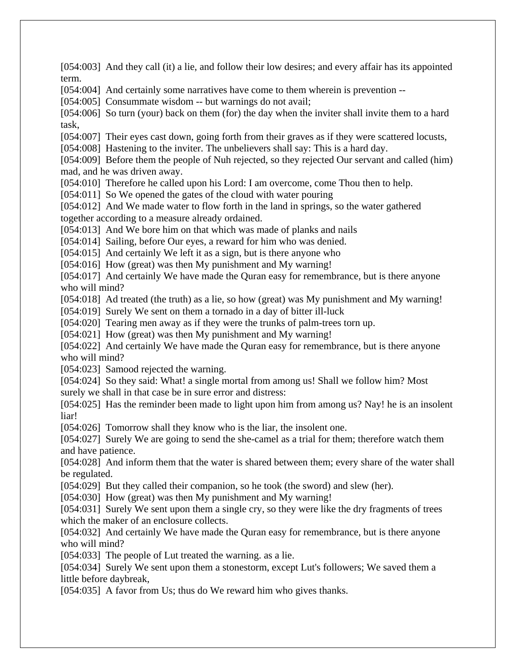[054:003] And they call (it) a lie, and follow their low desires; and every affair has its appointed term. [054:004] And certainly some narratives have come to them wherein is prevention -- [054:005] Consummate wisdom -- but warnings do not avail; [054:006] So turn (your) back on them (for) the day when the inviter shall invite them to a hard task, [054:007] Their eyes cast down, going forth from their graves as if they were scattered locusts, [054:008] Hastening to the inviter. The unbelievers shall say: This is a hard day. [054:009] Before them the people of Nuh rejected, so they rejected Our servant and called (him) mad, and he was driven away. [054:010] Therefore he called upon his Lord: I am overcome, come Thou then to help. [054:011] So We opened the gates of the cloud with water pouring [054:012] And We made water to flow forth in the land in springs, so the water gathered together according to a measure already ordained. [054:013] And We bore him on that which was made of planks and nails [054:014] Sailing, before Our eyes, a reward for him who was denied. [054:015] And certainly We left it as a sign, but is there anyone who [054:016] How (great) was then My punishment and My warning! [054:017] And certainly We have made the Quran easy for remembrance, but is there anyone who will mind? [054:018] Ad treated (the truth) as a lie, so how (great) was My punishment and My warning! [054:019] Surely We sent on them a tornado in a day of bitter ill-luck [054:020] Tearing men away as if they were the trunks of palm-trees torn up. [054:021] How (great) was then My punishment and My warning! [054:022] And certainly We have made the Quran easy for remembrance, but is there anyone who will mind? [054:023] Samood rejected the warning. [054:024] So they said: What! a single mortal from among us! Shall we follow him? Most surely we shall in that case be in sure error and distress: [054:025] Has the reminder been made to light upon him from among us? Nay! he is an insolent liar! [054:026] Tomorrow shall they know who is the liar, the insolent one. [054:027] Surely We are going to send the she-camel as a trial for them; therefore watch them and have patience. [054:028] And inform them that the water is shared between them; every share of the water shall be regulated. [054:029] But they called their companion, so he took (the sword) and slew (her). [054:030] How (great) was then My punishment and My warning! [054:031] Surely We sent upon them a single cry, so they were like the dry fragments of trees which the maker of an enclosure collects. [054:032] And certainly We have made the Quran easy for remembrance, but is there anyone who will mind? [054:033] The people of Lut treated the warning. as a lie.

[054:034] Surely We sent upon them a stonestorm, except Lut's followers; We saved them a little before daybreak,

[054:035] A favor from Us; thus do We reward him who gives thanks.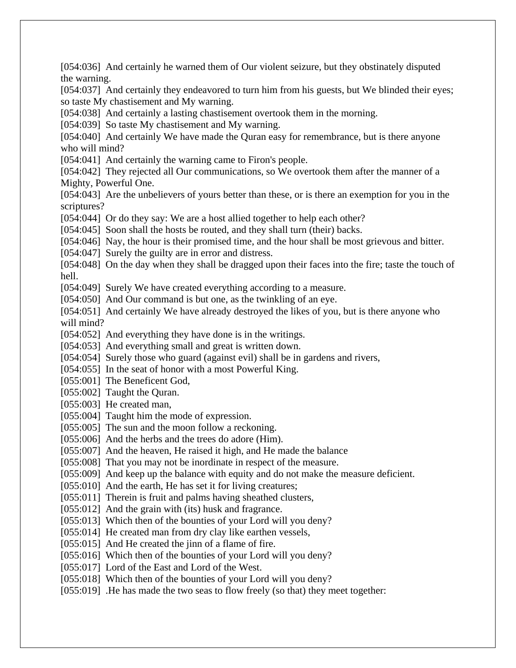[054:036] And certainly he warned them of Our violent seizure, but they obstinately disputed the warning. [054:037] And certainly they endeavored to turn him from his guests, but We blinded their eyes; so taste My chastisement and My warning. [054:038] And certainly a lasting chastisement overtook them in the morning. [054:039] So taste My chastisement and My warning. [054:040] And certainly We have made the Quran easy for remembrance, but is there anyone who will mind? [054:041] And certainly the warning came to Firon's people. [054:042] They rejected all Our communications, so We overtook them after the manner of a Mighty, Powerful One. [054:043] Are the unbelievers of yours better than these, or is there an exemption for you in the scriptures? [054:044] Or do they say: We are a host allied together to help each other? [054:045] Soon shall the hosts be routed, and they shall turn (their) backs. [054:046] Nay, the hour is their promised time, and the hour shall be most grievous and bitter. [054:047] Surely the guilty are in error and distress. [054:048] On the day when they shall be dragged upon their faces into the fire; taste the touch of hell. [054:049] Surely We have created everything according to a measure. [054:050] And Our command is but one, as the twinkling of an eye. [054:051] And certainly We have already destroyed the likes of you, but is there anyone who will mind? [054:052] And everything they have done is in the writings. [054:053] And everything small and great is written down. [054:054] Surely those who guard (against evil) shall be in gardens and rivers, [054:055] In the seat of honor with a most Powerful King. [055:001] The Beneficent God, [055:002] Taught the Quran. [055:003] He created man, [055:004] Taught him the mode of expression. [055:005] The sun and the moon follow a reckoning. [055:006] And the herbs and the trees do adore (Him). [055:007] And the heaven, He raised it high, and He made the balance [055:008] That you may not be inordinate in respect of the measure. [055:009] And keep up the balance with equity and do not make the measure deficient. [055:010] And the earth, He has set it for living creatures; [055:011] Therein is fruit and palms having sheathed clusters, [055:012] And the grain with (its) husk and fragrance. [055:013] Which then of the bounties of your Lord will you deny? [055:014] He created man from dry clay like earthen vessels, [055:015] And He created the jinn of a flame of fire. [055:016] Which then of the bounties of your Lord will you deny? [055:017] Lord of the East and Lord of the West. [055:018] Which then of the bounties of your Lord will you deny? [055:019] . He has made the two seas to flow freely (so that) they meet together: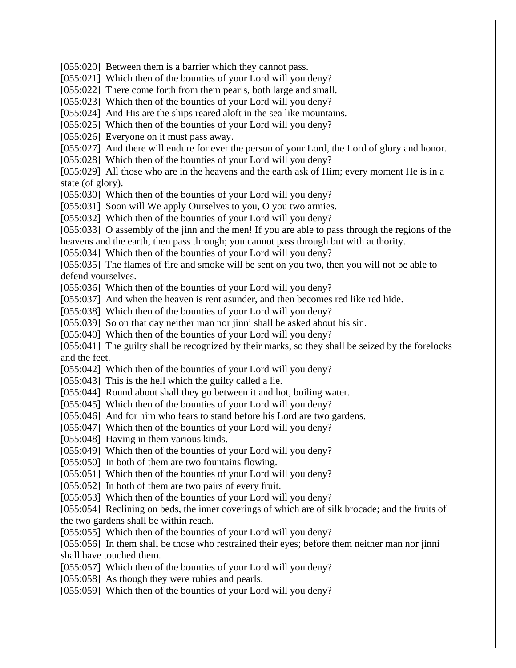[055:020] Between them is a barrier which they cannot pass.

[055:021] Which then of the bounties of your Lord will you deny?

[055:022] There come forth from them pearls, both large and small.

[055:023] Which then of the bounties of your Lord will you deny?

[055:024] And His are the ships reared aloft in the sea like mountains.

[055:025] Which then of the bounties of your Lord will you deny?

[055:026] Everyone on it must pass away.

[055:027] And there will endure for ever the person of your Lord, the Lord of glory and honor.

[055:028] Which then of the bounties of your Lord will you deny?

[055:029] All those who are in the heavens and the earth ask of Him; every moment He is in a state (of glory).

[055:030] Which then of the bounties of your Lord will you deny?

[055:031] Soon will We apply Ourselves to you, O you two armies.

[055:032] Which then of the bounties of your Lord will you deny?

[055:033] O assembly of the jinn and the men! If you are able to pass through the regions of the heavens and the earth, then pass through; you cannot pass through but with authority.

[055:034] Which then of the bounties of your Lord will you deny?

[055:035] The flames of fire and smoke will be sent on you two, then you will not be able to defend yourselves.

[055:036] Which then of the bounties of your Lord will you deny?

[055:037] And when the heaven is rent asunder, and then becomes red like red hide.

[055:038] Which then of the bounties of your Lord will you deny?

[055:039] So on that day neither man nor jinni shall be asked about his sin.

[055:040] Which then of the bounties of your Lord will you deny?

[055:041] The guilty shall be recognized by their marks, so they shall be seized by the forelocks and the feet.

[055:042] Which then of the bounties of your Lord will you deny?

[055:043] This is the hell which the guilty called a lie.

[055:044] Round about shall they go between it and hot, boiling water.

[055:045] Which then of the bounties of your Lord will you deny?

[055:046] And for him who fears to stand before his Lord are two gardens.

[055:047] Which then of the bounties of your Lord will you deny?

[055:048] Having in them various kinds.

[055:049] Which then of the bounties of your Lord will you deny?

[055:050] In both of them are two fountains flowing.

[055:051] Which then of the bounties of your Lord will you deny?

[055:052] In both of them are two pairs of every fruit.

[055:053] Which then of the bounties of your Lord will you deny?

[055:054] Reclining on beds, the inner coverings of which are of silk brocade; and the fruits of the two gardens shall be within reach.

[055:055] Which then of the bounties of your Lord will you deny?

[055:056] In them shall be those who restrained their eyes; before them neither man nor jinni shall have touched them.

[055:057] Which then of the bounties of your Lord will you deny?

[055:058] As though they were rubies and pearls.

[055:059] Which then of the bounties of your Lord will you deny?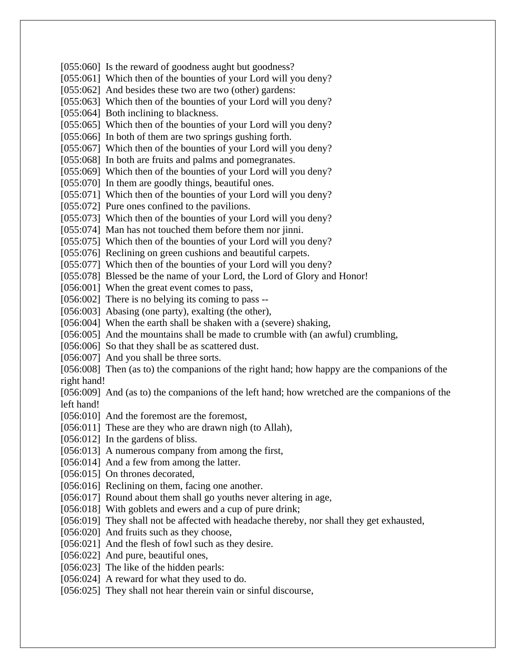[055:060] Is the reward of goodness aught but goodness? [055:061] Which then of the bounties of your Lord will you deny? [055:062] And besides these two are two (other) gardens: [055:063] Which then of the bounties of your Lord will you deny? [055:064] Both inclining to blackness. [055:065] Which then of the bounties of your Lord will you deny? [055:066] In both of them are two springs gushing forth. [055:067] Which then of the bounties of your Lord will you deny? [055:068] In both are fruits and palms and pomegranates. [055:069] Which then of the bounties of your Lord will you deny? [055:070] In them are goodly things, beautiful ones. [055:071] Which then of the bounties of your Lord will you deny? [055:072] Pure ones confined to the pavilions. [055:073] Which then of the bounties of your Lord will you deny? [055:074] Man has not touched them before them nor jinni. [055:075] Which then of the bounties of your Lord will you deny? [055:076] Reclining on green cushions and beautiful carpets. [055:077] Which then of the bounties of your Lord will you deny? [055:078] Blessed be the name of your Lord, the Lord of Glory and Honor! [056:001] When the great event comes to pass, [056:002] There is no belying its coming to pass --[056:003] Abasing (one party), exalting (the other), [056:004] When the earth shall be shaken with a (severe) shaking, [056:005] And the mountains shall be made to crumble with (an awful) crumbling, [056:006] So that they shall be as scattered dust. [056:007] And you shall be three sorts. [056:008] Then (as to) the companions of the right hand; how happy are the companions of the right hand! [056:009] And (as to) the companions of the left hand; how wretched are the companions of the left hand! [056:010] And the foremost are the foremost, [056:011] These are they who are drawn nigh (to Allah), [056:012] In the gardens of bliss. [056:013] A numerous company from among the first, [056:014] And a few from among the latter. [056:015] On thrones decorated, [056:016] Reclining on them, facing one another. [056:017] Round about them shall go youths never altering in age, [056:018] With goblets and ewers and a cup of pure drink; [056:019] They shall not be affected with headache thereby, nor shall they get exhausted, [056:020] And fruits such as they choose, [056:021] And the flesh of fowl such as they desire. [056:022] And pure, beautiful ones, [056:023] The like of the hidden pearls: [056:024] A reward for what they used to do. [056:025] They shall not hear therein vain or sinful discourse,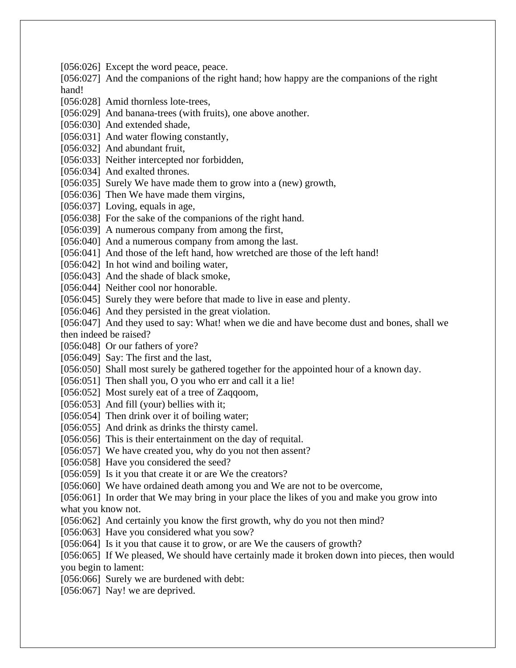[056:026] Except the word peace, peace.

[056:027] And the companions of the right hand; how happy are the companions of the right hand!

[056:028] Amid thornless lote-trees,

[056:029] And banana-trees (with fruits), one above another.

[056:030] And extended shade,

[056:031] And water flowing constantly,

[056:032] And abundant fruit,

[056:033] Neither intercepted nor forbidden,

[056:034] And exalted thrones.

[056:035] Surely We have made them to grow into a (new) growth,

[056:036] Then We have made them virgins,

[056:037] Loving, equals in age,

[056:038] For the sake of the companions of the right hand.

[056:039] A numerous company from among the first,

[056:040] And a numerous company from among the last.

[056:041] And those of the left hand, how wretched are those of the left hand!

[056:042] In hot wind and boiling water,

[056:043] And the shade of black smoke,

[056:044] Neither cool nor honorable.

[056:045] Surely they were before that made to live in ease and plenty.

[056:046] And they persisted in the great violation.

[056:047] And they used to say: What! when we die and have become dust and bones, shall we then indeed be raised?

[056:048] Or our fathers of yore?

[056:049] Say: The first and the last,

[056:050] Shall most surely be gathered together for the appointed hour of a known day.

[056:051] Then shall you, O you who err and call it a lie!

[056:052] Most surely eat of a tree of Zaqqoom,

[056:053] And fill (your) bellies with it;

[056:054] Then drink over it of boiling water;

[056:055] And drink as drinks the thirsty camel.

[056:056] This is their entertainment on the day of requital.

[056:057] We have created you, why do you not then assent?

[056:058] Have you considered the seed?

[056:059] Is it you that create it or are We the creators?

[056:060] We have ordained death among you and We are not to be overcome,

[056:061] In order that We may bring in your place the likes of you and make you grow into what you know not.

[056:062] And certainly you know the first growth, why do you not then mind?

[056:063] Have you considered what you sow?

[056:064] Is it you that cause it to grow, or are We the causers of growth?

[056:065] If We pleased, We should have certainly made it broken down into pieces, then would you begin to lament:

[056:066] Surely we are burdened with debt:

[056:067] Nay! we are deprived.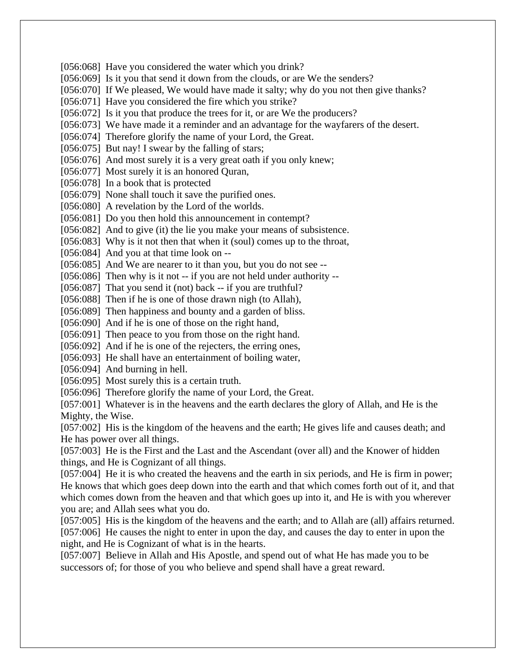[056:068] Have you considered the water which you drink? [056:069] Is it you that send it down from the clouds, or are We the senders? [056:070] If We pleased, We would have made it salty; why do you not then give thanks? [056:071] Have you considered the fire which you strike? [056:072] Is it you that produce the trees for it, or are We the producers? [056:073] We have made it a reminder and an advantage for the wayfarers of the desert. [056:074] Therefore glorify the name of your Lord, the Great. [056:075] But nay! I swear by the falling of stars; [056:076] And most surely it is a very great oath if you only knew; [056:077] Most surely it is an honored Quran, [056:078] In a book that is protected [056:079] None shall touch it save the purified ones. [056:080] A revelation by the Lord of the worlds. [056:081] Do you then hold this announcement in contempt? [056:082] And to give (it) the lie you make your means of subsistence. [056:083] Why is it not then that when it (soul) comes up to the throat, [056:084] And you at that time look on --[056:085] And We are nearer to it than you, but you do not see --[056:086] Then why is it not -- if you are not held under authority --[056:087] That you send it (not) back -- if you are truthful? [056:088] Then if he is one of those drawn nigh (to Allah), [056:089] Then happiness and bounty and a garden of bliss. [056:090] And if he is one of those on the right hand, [056:091] Then peace to you from those on the right hand. [056:092] And if he is one of the rejecters, the erring ones, [056:093] He shall have an entertainment of boiling water, [056:094] And burning in hell. [056:095] Most surely this is a certain truth. [056:096] Therefore glorify the name of your Lord, the Great. [057:001] Whatever is in the heavens and the earth declares the glory of Allah, and He is the Mighty, the Wise. [057:002] His is the kingdom of the heavens and the earth; He gives life and causes death; and He has power over all things.

[057:003] He is the First and the Last and the Ascendant (over all) and the Knower of hidden things, and He is Cognizant of all things.

[057:004] He it is who created the heavens and the earth in six periods, and He is firm in power; He knows that which goes deep down into the earth and that which comes forth out of it, and that which comes down from the heaven and that which goes up into it, and He is with you wherever you are; and Allah sees what you do.

[057:005] His is the kingdom of the heavens and the earth; and to Allah are (all) affairs returned. [057:006] He causes the night to enter in upon the day, and causes the day to enter in upon the night, and He is Cognizant of what is in the hearts.

[057:007] Believe in Allah and His Apostle, and spend out of what He has made you to be successors of; for those of you who believe and spend shall have a great reward.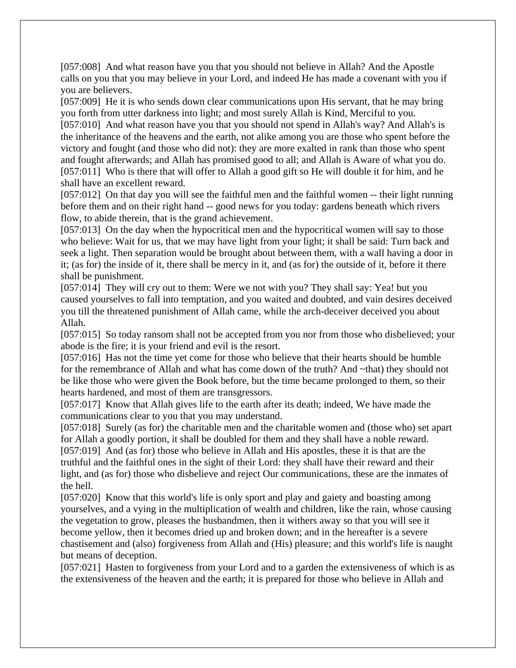[057:008] And what reason have you that you should not believe in Allah? And the Apostle calls on you that you may believe in your Lord, and indeed He has made a covenant with you if you are believers.

[057:009] He it is who sends down clear communications upon His servant, that he may bring you forth from utter darkness into light; and most surely Allah is Kind, Merciful to you.

[057:010] And what reason have you that you should not spend in Allah's way? And Allah's is the inheritance of the heavens and the earth, not alike among you are those who spent before the victory and fought (and those who did not): they are more exalted in rank than those who spent and fought afterwards; and Allah has promised good to all; and Allah is Aware of what you do. [057:011] Who is there that will offer to Allah a good gift so He will double it for him, and he shall have an excellent reward.

[057:012] On that day you will see the faithful men and the faithful women -- their light running before them and on their right hand -- good news for you today: gardens beneath which rivers flow, to abide therein, that is the grand achievement.

[057:013] On the day when the hypocritical men and the hypocritical women will say to those who believe: Wait for us, that we may have light from your light; it shall be said: Turn back and seek a light. Then separation would be brought about between them, with a wall having a door in it; (as for) the inside of it, there shall be mercy in it, and (as for) the outside of it, before it there shall be punishment.

[057:014] They will cry out to them: Were we not with you? They shall say: Yea! but you caused yourselves to fall into temptation, and you waited and doubted, and vain desires deceived you till the threatened punishment of Allah came, while the arch-deceiver deceived you about Allah.

[057:015] So today ransom shall not be accepted from you nor from those who disbelieved; your abode is the fire; it is your friend and evil is the resort.

[057:016] Has not the time yet come for those who believe that their hearts should be humble for the remembrance of Allah and what has come down of the truth? And ~that) they should not be like those who were given the Book before, but the time became prolonged to them, so their hearts hardened, and most of them are transgressors.

[057:017] Know that Allah gives life to the earth after its death; indeed, We have made the communications clear to you that you may understand.

[057:018] Surely (as for) the charitable men and the charitable women and (those who) set apart for Allah a goodly portion, it shall be doubled for them and they shall have a noble reward.

[057:019] And (as for) those who believe in Allah and His apostles, these it is that are the truthful and the faithful ones in the sight of their Lord: they shall have their reward and their light, and (as for) those who disbelieve and reject Our communications, these are the inmates of the hell.

[057:020] Know that this world's life is only sport and play and gaiety and boasting among yourselves, and a vying in the multiplication of wealth and children, like the rain, whose causing the vegetation to grow, pleases the husbandmen, then it withers away so that you will see it become yellow, then it becomes dried up and broken down; and in the hereafter is a severe chastisement and (also) forgiveness from Allah and (His) pleasure; and this world's life is naught but means of deception.

[057:021] Hasten to forgiveness from your Lord and to a garden the extensiveness of which is as the extensiveness of the heaven and the earth; it is prepared for those who believe in Allah and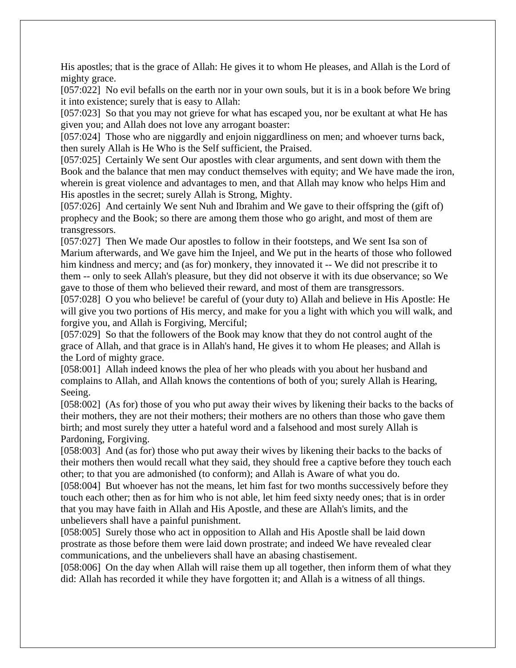His apostles; that is the grace of Allah: He gives it to whom He pleases, and Allah is the Lord of mighty grace.

[057:022] No evil befalls on the earth nor in your own souls, but it is in a book before We bring it into existence; surely that is easy to Allah:

[057:023] So that you may not grieve for what has escaped you, nor be exultant at what He has given you; and Allah does not love any arrogant boaster:

[057:024] Those who are niggardly and enjoin niggardliness on men; and whoever turns back, then surely Allah is He Who is the Self sufficient, the Praised.

[057:025] Certainly We sent Our apostles with clear arguments, and sent down with them the Book and the balance that men may conduct themselves with equity; and We have made the iron, wherein is great violence and advantages to men, and that Allah may know who helps Him and His apostles in the secret; surely Allah is Strong, Mighty.

[057:026] And certainly We sent Nuh and Ibrahim and We gave to their offspring the (gift of) prophecy and the Book; so there are among them those who go aright, and most of them are transgressors.

[057:027] Then We made Our apostles to follow in their footsteps, and We sent Isa son of Marium afterwards, and We gave him the Injeel, and We put in the hearts of those who followed him kindness and mercy; and (as for) monkery, they innovated it -- We did not prescribe it to them -- only to seek Allah's pleasure, but they did not observe it with its due observance; so We gave to those of them who believed their reward, and most of them are transgressors.

[057:028] O you who believe! be careful of (your duty to) Allah and believe in His Apostle: He will give you two portions of His mercy, and make for you a light with which you will walk, and forgive you, and Allah is Forgiving, Merciful;

[057:029] So that the followers of the Book may know that they do not control aught of the grace of Allah, and that grace is in Allah's hand, He gives it to whom He pleases; and Allah is the Lord of mighty grace.

[058:001] Allah indeed knows the plea of her who pleads with you about her husband and complains to Allah, and Allah knows the contentions of both of you; surely Allah is Hearing, Seeing.

[058:002] (As for) those of you who put away their wives by likening their backs to the backs of their mothers, they are not their mothers; their mothers are no others than those who gave them birth; and most surely they utter a hateful word and a falsehood and most surely Allah is Pardoning, Forgiving.

[058:003] And (as for) those who put away their wives by likening their backs to the backs of their mothers then would recall what they said, they should free a captive before they touch each other; to that you are admonished (to conform); and Allah is Aware of what you do.

[058:004] But whoever has not the means, let him fast for two months successively before they touch each other; then as for him who is not able, let him feed sixty needy ones; that is in order that you may have faith in Allah and His Apostle, and these are Allah's limits, and the unbelievers shall have a painful punishment.

[058:005] Surely those who act in opposition to Allah and His Apostle shall be laid down prostrate as those before them were laid down prostrate; and indeed We have revealed clear communications, and the unbelievers shall have an abasing chastisement.

[058:006] On the day when Allah will raise them up all together, then inform them of what they did: Allah has recorded it while they have forgotten it; and Allah is a witness of all things.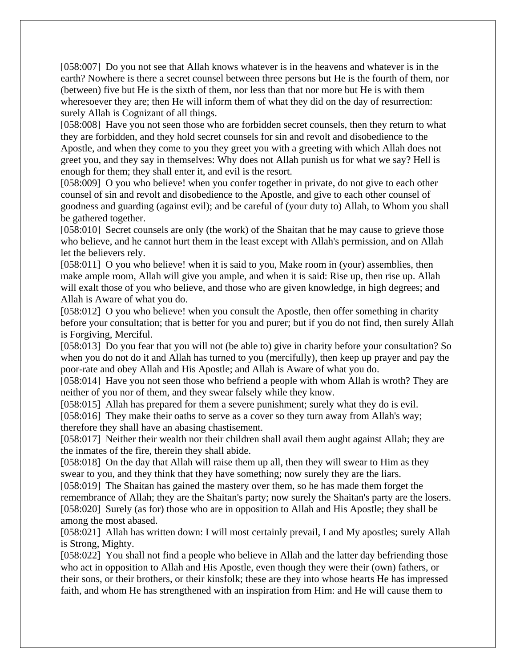[058:007] Do you not see that Allah knows whatever is in the heavens and whatever is in the earth? Nowhere is there a secret counsel between three persons but He is the fourth of them, nor (between) five but He is the sixth of them, nor less than that nor more but He is with them wheresoever they are; then He will inform them of what they did on the day of resurrection: surely Allah is Cognizant of all things.

[058:008] Have you not seen those who are forbidden secret counsels, then they return to what they are forbidden, and they hold secret counsels for sin and revolt and disobedience to the Apostle, and when they come to you they greet you with a greeting with which Allah does not greet you, and they say in themselves: Why does not Allah punish us for what we say? Hell is enough for them; they shall enter it, and evil is the resort.

[058:009] O you who believe! when you confer together in private, do not give to each other counsel of sin and revolt and disobedience to the Apostle, and give to each other counsel of goodness and guarding (against evil); and be careful of (your duty to) Allah, to Whom you shall be gathered together.

[058:010] Secret counsels are only (the work) of the Shaitan that he may cause to grieve those who believe, and he cannot hurt them in the least except with Allah's permission, and on Allah let the believers rely.

[058:011] O you who believe! when it is said to you, Make room in (your) assemblies, then make ample room, Allah will give you ample, and when it is said: Rise up, then rise up. Allah will exalt those of you who believe, and those who are given knowledge, in high degrees; and Allah is Aware of what you do.

[058:012] O you who believe! when you consult the Apostle, then offer something in charity before your consultation; that is better for you and purer; but if you do not find, then surely Allah is Forgiving, Merciful.

[058:013] Do you fear that you will not (be able to) give in charity before your consultation? So when you do not do it and Allah has turned to you (mercifully), then keep up prayer and pay the poor-rate and obey Allah and His Apostle; and Allah is Aware of what you do.

[058:014] Have you not seen those who befriend a people with whom Allah is wroth? They are neither of you nor of them, and they swear falsely while they know.

[058:015] Allah has prepared for them a severe punishment; surely what they do is evil.

[058:016] They make their oaths to serve as a cover so they turn away from Allah's way; therefore they shall have an abasing chastisement.

[058:017] Neither their wealth nor their children shall avail them aught against Allah; they are the inmates of the fire, therein they shall abide.

[058:018] On the day that Allah will raise them up all, then they will swear to Him as they swear to you, and they think that they have something; now surely they are the liars.

[058:019] The Shaitan has gained the mastery over them, so he has made them forget the remembrance of Allah; they are the Shaitan's party; now surely the Shaitan's party are the losers. [058:020] Surely (as for) those who are in opposition to Allah and His Apostle; they shall be among the most abased.

[058:021] Allah has written down: I will most certainly prevail, I and My apostles; surely Allah is Strong, Mighty.

[058:022] You shall not find a people who believe in Allah and the latter day befriending those who act in opposition to Allah and His Apostle, even though they were their (own) fathers, or their sons, or their brothers, or their kinsfolk; these are they into whose hearts He has impressed faith, and whom He has strengthened with an inspiration from Him: and He will cause them to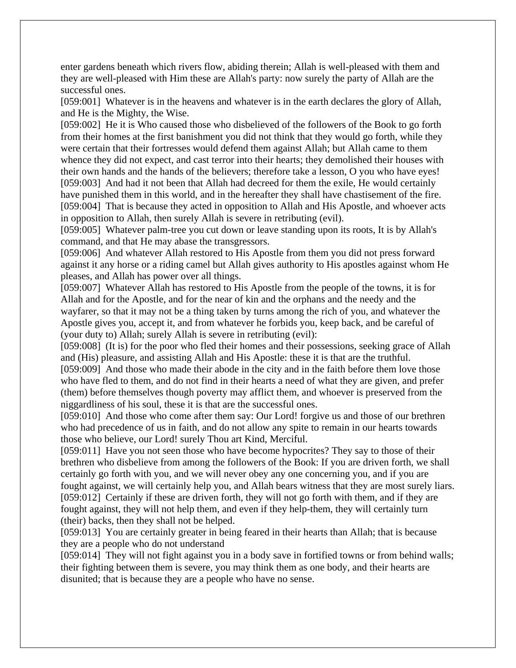enter gardens beneath which rivers flow, abiding therein; Allah is well-pleased with them and they are well-pleased with Him these are Allah's party: now surely the party of Allah are the successful ones.

[059:001] Whatever is in the heavens and whatever is in the earth declares the glory of Allah, and He is the Mighty, the Wise.

[059:002] He it is Who caused those who disbelieved of the followers of the Book to go forth from their homes at the first banishment you did not think that they would go forth, while they were certain that their fortresses would defend them against Allah; but Allah came to them whence they did not expect, and cast terror into their hearts; they demolished their houses with their own hands and the hands of the believers; therefore take a lesson, O you who have eyes! [059:003] And had it not been that Allah had decreed for them the exile, He would certainly have punished them in this world, and in the hereafter they shall have chastisement of the fire. [059:004] That is because they acted in opposition to Allah and His Apostle, and whoever acts in opposition to Allah, then surely Allah is severe in retributing (evil).

[059:005] Whatever palm-tree you cut down or leave standing upon its roots, It is by Allah's command, and that He may abase the transgressors.

[059:006] And whatever Allah restored to His Apostle from them you did not press forward against it any horse or a riding camel but Allah gives authority to His apostles against whom He pleases, and Allah has power over all things.

[059:007] Whatever Allah has restored to His Apostle from the people of the towns, it is for Allah and for the Apostle, and for the near of kin and the orphans and the needy and the wayfarer, so that it may not be a thing taken by turns among the rich of you, and whatever the Apostle gives you, accept it, and from whatever he forbids you, keep back, and be careful of (your duty to) Allah; surely Allah is severe in retributing (evil):

[059:008] (It is) for the poor who fled their homes and their possessions, seeking grace of Allah and (His) pleasure, and assisting Allah and His Apostle: these it is that are the truthful.

[059:009] And those who made their abode in the city and in the faith before them love those who have fled to them, and do not find in their hearts a need of what they are given, and prefer (them) before themselves though poverty may afflict them, and whoever is preserved from the niggardliness of his soul, these it is that are the successful ones.

[059:010] And those who come after them say: Our Lord! forgive us and those of our brethren who had precedence of us in faith, and do not allow any spite to remain in our hearts towards those who believe, our Lord! surely Thou art Kind, Merciful.

[059:011] Have you not seen those who have become hypocrites? They say to those of their brethren who disbelieve from among the followers of the Book: If you are driven forth, we shall certainly go forth with you, and we will never obey any one concerning you, and if you are fought against, we will certainly help you, and Allah bears witness that they are most surely liars. [059:012] Certainly if these are driven forth, they will not go forth with them, and if they are fought against, they will not help them, and even if they help-them, they will certainly turn (their) backs, then they shall not be helped.

[059:013] You are certainly greater in being feared in their hearts than Allah; that is because they are a people who do not understand

[059:014] They will not fight against you in a body save in fortified towns or from behind walls; their fighting between them is severe, you may think them as one body, and their hearts are disunited; that is because they are a people who have no sense.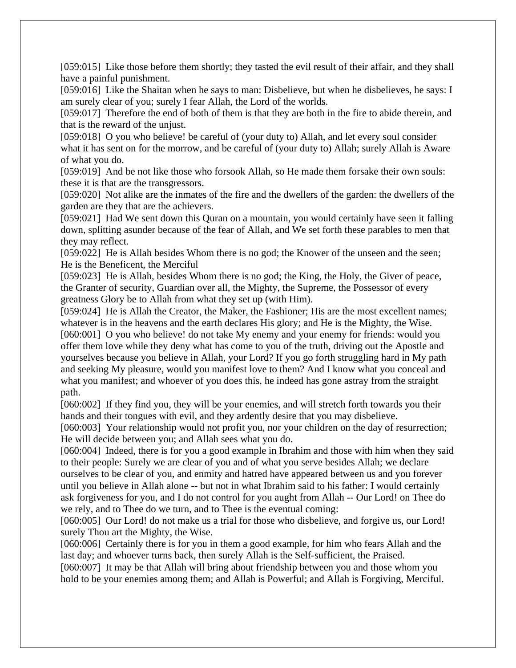[059:015] Like those before them shortly; they tasted the evil result of their affair, and they shall have a painful punishment.

[059:016] Like the Shaitan when he says to man: Disbelieve, but when he disbelieves, he says: I am surely clear of you; surely I fear Allah, the Lord of the worlds.

[059:017] Therefore the end of both of them is that they are both in the fire to abide therein, and that is the reward of the unjust.

[059:018] O you who believe! be careful of (your duty to) Allah, and let every soul consider what it has sent on for the morrow, and be careful of (your duty to) Allah; surely Allah is Aware of what you do.

[059:019] And be not like those who forsook Allah, so He made them forsake their own souls: these it is that are the transgressors.

[059:020] Not alike are the inmates of the fire and the dwellers of the garden: the dwellers of the garden are they that are the achievers.

[059:021] Had We sent down this Quran on a mountain, you would certainly have seen it falling down, splitting asunder because of the fear of Allah, and We set forth these parables to men that they may reflect.

[059:022] He is Allah besides Whom there is no god; the Knower of the unseen and the seen; He is the Beneficent, the Merciful

[059:023] He is Allah, besides Whom there is no god; the King, the Holy, the Giver of peace, the Granter of security, Guardian over all, the Mighty, the Supreme, the Possessor of every greatness Glory be to Allah from what they set up (with Him).

[059:024] He is Allah the Creator, the Maker, the Fashioner; His are the most excellent names; whatever is in the heavens and the earth declares His glory; and He is the Mighty, the Wise. [060:001] O you who believe! do not take My enemy and your enemy for friends: would you offer them love while they deny what has come to you of the truth, driving out the Apostle and yourselves because you believe in Allah, your Lord? If you go forth struggling hard in My path and seeking My pleasure, would you manifest love to them? And I know what you conceal and what you manifest; and whoever of you does this, he indeed has gone astray from the straight path.

[060:002] If they find you, they will be your enemies, and will stretch forth towards you their hands and their tongues with evil, and they ardently desire that you may disbelieve.

[060:003] Your relationship would not profit you, nor your children on the day of resurrection; He will decide between you; and Allah sees what you do.

[060:004] Indeed, there is for you a good example in Ibrahim and those with him when they said to their people: Surely we are clear of you and of what you serve besides Allah; we declare ourselves to be clear of you, and enmity and hatred have appeared between us and you forever until you believe in Allah alone -- but not in what Ibrahim said to his father: I would certainly ask forgiveness for you, and I do not control for you aught from Allah -- Our Lord! on Thee do we rely, and to Thee do we turn, and to Thee is the eventual coming:

[060:005] Our Lord! do not make us a trial for those who disbelieve, and forgive us, our Lord! surely Thou art the Mighty, the Wise.

[060:006] Certainly there is for you in them a good example, for him who fears Allah and the last day; and whoever turns back, then surely Allah is the Self-sufficient, the Praised.

[060:007] It may be that Allah will bring about friendship between you and those whom you hold to be your enemies among them; and Allah is Powerful; and Allah is Forgiving, Merciful.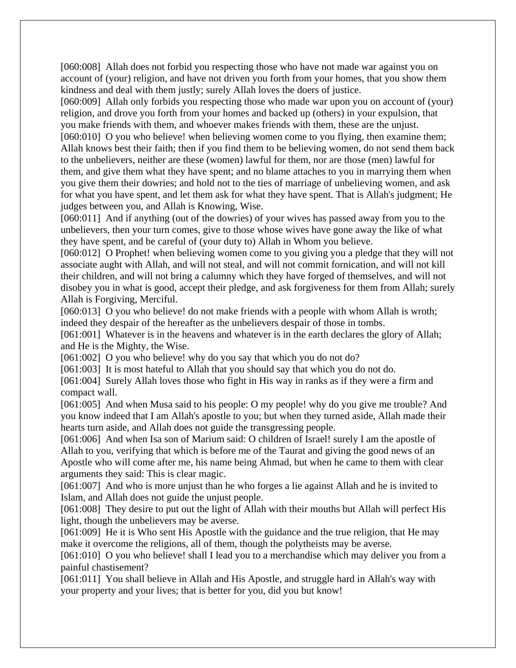[060:008] Allah does not forbid you respecting those who have not made war against you on account of (your) religion, and have not driven you forth from your homes, that you show them kindness and deal with them justly; surely Allah loves the doers of justice.

[060:009] Allah only forbids you respecting those who made war upon you on account of (your) religion, and drove you forth from your homes and backed up (others) in your expulsion, that you make friends with them, and whoever makes friends with them, these are the unjust.

[060:010] O you who believe! when believing women come to you flying, then examine them; Allah knows best their faith; then if you find them to be believing women, do not send them back to the unbelievers, neither are these (women) lawful for them, nor are those (men) lawful for them, and give them what they have spent; and no blame attaches to you in marrying them when you give them their dowries; and hold not to the ties of marriage of unbelieving women, and ask for what you have spent, and let them ask for what they have spent. That is Allah's judgment; He judges between you, and Allah is Knowing, Wise.

[060:011] And if anything (out of the dowries) of your wives has passed away from you to the unbelievers, then your turn comes, give to those whose wives have gone away the like of what they have spent, and be careful of (your duty to) Allah in Whom you believe.

[060:012] O Prophet! when believing women come to you giving you a pledge that they will not associate aught with Allah, and will not steal, and will not commit fornication, and will not kill their children, and will not bring a calumny which they have forged of themselves, and will not disobey you in what is good, accept their pledge, and ask forgiveness for them from Allah; surely Allah is Forgiving, Merciful.

[060:013] O you who believe! do not make friends with a people with whom Allah is wroth; indeed they despair of the hereafter as the unbelievers despair of those in tombs.

[061:001] Whatever is in the heavens and whatever is in the earth declares the glory of Allah; and He is the Mighty, the Wise.

[061:002] O you who believe! why do you say that which you do not do?

[061:003] It is most hateful to Allah that you should say that which you do not do.

[061:004] Surely Allah loves those who fight in His way in ranks as if they were a firm and compact wall.

[061:005] And when Musa said to his people: O my people! why do you give me trouble? And you know indeed that I am Allah's apostle to you; but when they turned aside, Allah made their hearts turn aside, and Allah does not guide the transgressing people.

[061:006] And when Isa son of Marium said: O children of Israel! surely I am the apostle of Allah to you, verifying that which is before me of the Taurat and giving the good news of an Apostle who will come after me, his name being Ahmad, but when he came to them with clear arguments they said: This is clear magic.

[061:007] And who is more unjust than he who forges a lie against Allah and he is invited to Islam, and Allah does not guide the unjust people.

[061:008] They desire to put out the light of Allah with their mouths but Allah will perfect His light, though the unbelievers may be averse.

[061:009] He it is Who sent His Apostle with the guidance and the true religion, that He may make it overcome the religions, all of them, though the polytheists may be averse.

[061:010] O you who believe! shall I lead you to a merchandise which may deliver you from a painful chastisement?

[061:011] You shall believe in Allah and His Apostle, and struggle hard in Allah's way with your property and your lives; that is better for you, did you but know!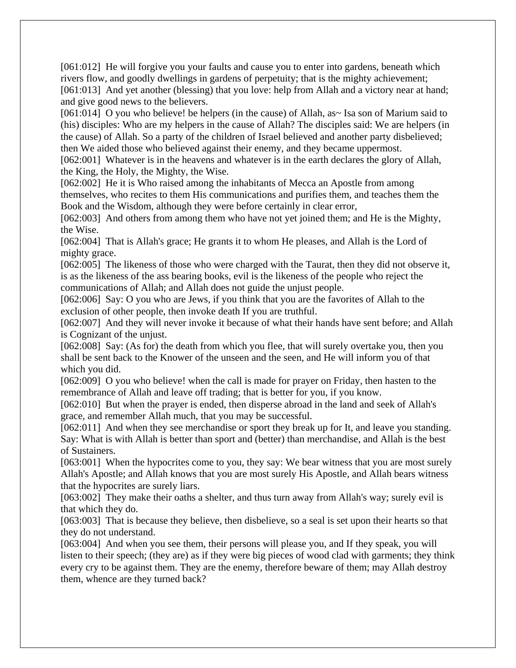[061:012] He will forgive you your faults and cause you to enter into gardens, beneath which rivers flow, and goodly dwellings in gardens of perpetuity; that is the mighty achievement; [061:013] And yet another (blessing) that you love: help from Allah and a victory near at hand; and give good news to the believers.

[061:014] O you who believe! be helpers (in the cause) of Allah, as~ Isa son of Marium said to (his) disciples: Who are my helpers in the cause of Allah? The disciples said: We are helpers (in the cause) of Allah. So a party of the children of Israel believed and another party disbelieved; then We aided those who believed against their enemy, and they became uppermost.

[062:001] Whatever is in the heavens and whatever is in the earth declares the glory of Allah, the King, the Holy, the Mighty, the Wise.

[062:002] He it is Who raised among the inhabitants of Mecca an Apostle from among themselves, who recites to them His communications and purifies them, and teaches them the Book and the Wisdom, although they were before certainly in clear error,

[062:003] And others from among them who have not yet joined them; and He is the Mighty, the Wise.

[062:004] That is Allah's grace; He grants it to whom He pleases, and Allah is the Lord of mighty grace.

[062:005] The likeness of those who were charged with the Taurat, then they did not observe it, is as the likeness of the ass bearing books, evil is the likeness of the people who reject the communications of Allah; and Allah does not guide the unjust people.

[062:006] Say: O you who are Jews, if you think that you are the favorites of Allah to the exclusion of other people, then invoke death If you are truthful.

[062:007] And they will never invoke it because of what their hands have sent before; and Allah is Cognizant of the unjust.

[062:008] Say: (As for) the death from which you flee, that will surely overtake you, then you shall be sent back to the Knower of the unseen and the seen, and He will inform you of that which you did.

[062:009] O you who believe! when the call is made for prayer on Friday, then hasten to the remembrance of Allah and leave off trading; that is better for you, if you know.

[062:010] But when the prayer is ended, then disperse abroad in the land and seek of Allah's grace, and remember Allah much, that you may be successful.

[062:011] And when they see merchandise or sport they break up for It, and leave you standing. Say: What is with Allah is better than sport and (better) than merchandise, and Allah is the best of Sustainers.

[063:001] When the hypocrites come to you, they say: We bear witness that you are most surely Allah's Apostle; and Allah knows that you are most surely His Apostle, and Allah bears witness that the hypocrites are surely liars.

[063:002] They make their oaths a shelter, and thus turn away from Allah's way; surely evil is that which they do.

[063:003] That is because they believe, then disbelieve, so a seal is set upon their hearts so that they do not understand.

[063:004] And when you see them, their persons will please you, and If they speak, you will listen to their speech; (they are) as if they were big pieces of wood clad with garments; they think every cry to be against them. They are the enemy, therefore beware of them; may Allah destroy them, whence are they turned back?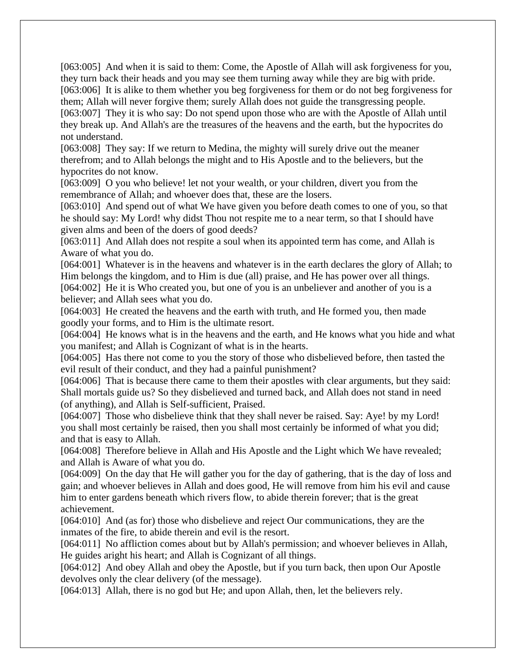[063:005] And when it is said to them: Come, the Apostle of Allah will ask forgiveness for you, they turn back their heads and you may see them turning away while they are big with pride. [063:006] It is alike to them whether you beg forgiveness for them or do not beg forgiveness for them; Allah will never forgive them; surely Allah does not guide the transgressing people. [063:007] They it is who say: Do not spend upon those who are with the Apostle of Allah until they break up. And Allah's are the treasures of the heavens and the earth, but the hypocrites do

not understand.

[063:008] They say: If we return to Medina, the mighty will surely drive out the meaner therefrom; and to Allah belongs the might and to His Apostle and to the believers, but the hypocrites do not know.

[063:009] O you who believe! let not your wealth, or your children, divert you from the remembrance of Allah; and whoever does that, these are the losers.

[063:010] And spend out of what We have given you before death comes to one of you, so that he should say: My Lord! why didst Thou not respite me to a near term, so that I should have given alms and been of the doers of good deeds?

[063:011] And Allah does not respite a soul when its appointed term has come, and Allah is Aware of what you do.

[064:001] Whatever is in the heavens and whatever is in the earth declares the glory of Allah; to Him belongs the kingdom, and to Him is due (all) praise, and He has power over all things. [064:002] He it is Who created you, but one of you is an unbeliever and another of you is a believer; and Allah sees what you do.

[064:003] He created the heavens and the earth with truth, and He formed you, then made goodly your forms, and to Him is the ultimate resort.

[064:004] He knows what is in the heavens and the earth, and He knows what you hide and what you manifest; and Allah is Cognizant of what is in the hearts.

[064:005] Has there not come to you the story of those who disbelieved before, then tasted the evil result of their conduct, and they had a painful punishment?

[064:006] That is because there came to them their apostles with clear arguments, but they said: Shall mortals guide us? So they disbelieved and turned back, and Allah does not stand in need (of anything), and Allah is Self-sufficient, Praised.

[064:007] Those who disbelieve think that they shall never be raised. Say: Aye! by my Lord! you shall most certainly be raised, then you shall most certainly be informed of what you did; and that is easy to Allah.

[064:008] Therefore believe in Allah and His Apostle and the Light which We have revealed; and Allah is Aware of what you do.

[064:009] On the day that He will gather you for the day of gathering, that is the day of loss and gain; and whoever believes in Allah and does good, He will remove from him his evil and cause him to enter gardens beneath which rivers flow, to abide therein forever; that is the great achievement.

[064:010] And (as for) those who disbelieve and reject Our communications, they are the inmates of the fire, to abide therein and evil is the resort.

[064:011] No affliction comes about but by Allah's permission; and whoever believes in Allah, He guides aright his heart; and Allah is Cognizant of all things.

[064:012] And obey Allah and obey the Apostle, but if you turn back, then upon Our Apostle devolves only the clear delivery (of the message).

[064:013] Allah, there is no god but He; and upon Allah, then, let the believers rely.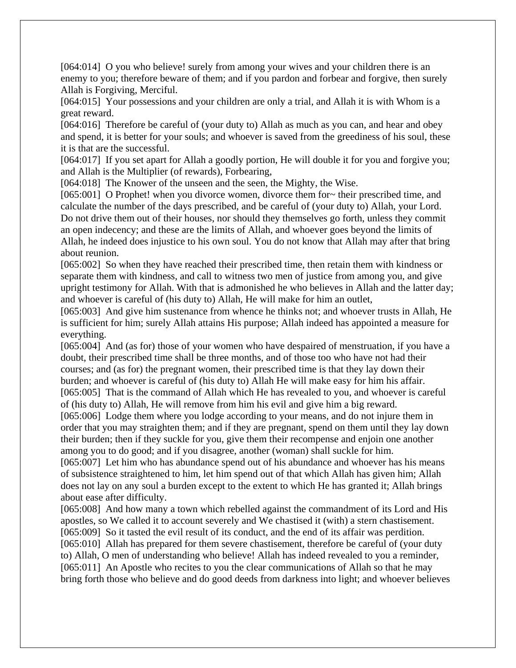[064:014] O you who believe! surely from among your wives and your children there is an enemy to you; therefore beware of them; and if you pardon and forbear and forgive, then surely Allah is Forgiving, Merciful.

[064:015] Your possessions and your children are only a trial, and Allah it is with Whom is a great reward.

[064:016] Therefore be careful of (your duty to) Allah as much as you can, and hear and obey and spend, it is better for your souls; and whoever is saved from the greediness of his soul, these it is that are the successful.

[064:017] If you set apart for Allah a goodly portion, He will double it for you and forgive you; and Allah is the Multiplier (of rewards), Forbearing,

[064:018] The Knower of the unseen and the seen, the Mighty, the Wise.

[065:001] O Prophet! when you divorce women, divorce them for~ their prescribed time, and calculate the number of the days prescribed, and be careful of (your duty to) Allah, your Lord. Do not drive them out of their houses, nor should they themselves go forth, unless they commit an open indecency; and these are the limits of Allah, and whoever goes beyond the limits of Allah, he indeed does injustice to his own soul. You do not know that Allah may after that bring about reunion.

[065:002] So when they have reached their prescribed time, then retain them with kindness or separate them with kindness, and call to witness two men of justice from among you, and give upright testimony for Allah. With that is admonished he who believes in Allah and the latter day; and whoever is careful of (his duty to) Allah, He will make for him an outlet,

[065:003] And give him sustenance from whence he thinks not; and whoever trusts in Allah, He is sufficient for him; surely Allah attains His purpose; Allah indeed has appointed a measure for everything.

[065:004] And (as for) those of your women who have despaired of menstruation, if you have a doubt, their prescribed time shall be three months, and of those too who have not had their courses; and (as for) the pregnant women, their prescribed time is that they lay down their burden; and whoever is careful of (his duty to) Allah He will make easy for him his affair. [065:005] That is the command of Allah which He has revealed to you, and whoever is careful

of (his duty to) Allah, He will remove from him his evil and give him a big reward.

[065:006] Lodge them where you lodge according to your means, and do not injure them in order that you may straighten them; and if they are pregnant, spend on them until they lay down their burden; then if they suckle for you, give them their recompense and enjoin one another among you to do good; and if you disagree, another (woman) shall suckle for him.

[065:007] Let him who has abundance spend out of his abundance and whoever has his means of subsistence straightened to him, let him spend out of that which Allah has given him; Allah does not lay on any soul a burden except to the extent to which He has granted it; Allah brings about ease after difficulty.

[065:008] And how many a town which rebelled against the commandment of its Lord and His apostles, so We called it to account severely and We chastised it (with) a stern chastisement. [065:009] So it tasted the evil result of its conduct, and the end of its affair was perdition. [065:010] Allah has prepared for them severe chastisement, therefore be careful of (your duty to) Allah, O men of understanding who believe! Allah has indeed revealed to you a reminder, [065:011] An Apostle who recites to you the clear communications of Allah so that he may bring forth those who believe and do good deeds from darkness into light; and whoever believes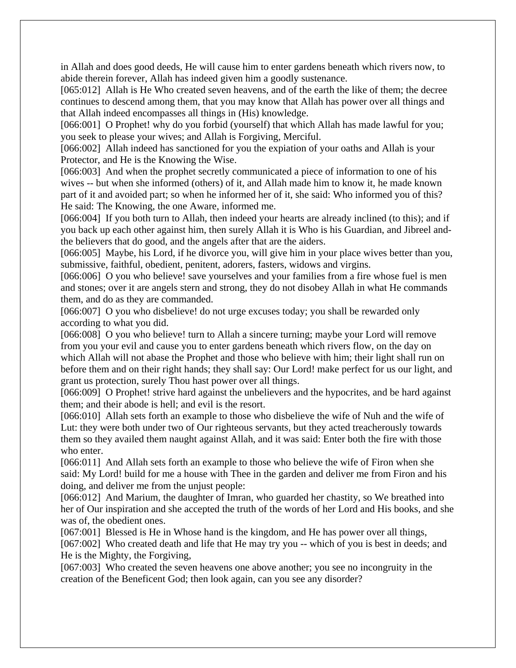in Allah and does good deeds, He will cause him to enter gardens beneath which rivers now, to abide therein forever, Allah has indeed given him a goodly sustenance.

[065:012] Allah is He Who created seven heavens, and of the earth the like of them; the decree continues to descend among them, that you may know that Allah has power over all things and that Allah indeed encompasses all things in (His) knowledge.

[066:001] O Prophet! why do you forbid (yourself) that which Allah has made lawful for you; you seek to please your wives; and Allah is Forgiving, Merciful.

[066:002] Allah indeed has sanctioned for you the expiation of your oaths and Allah is your Protector, and He is the Knowing the Wise.

[066:003] And when the prophet secretly communicated a piece of information to one of his wives -- but when she informed (others) of it, and Allah made him to know it, he made known part of it and avoided part; so when he informed her of it, she said: Who informed you of this? He said: The Knowing, the one Aware, informed me.

[066:004] If you both turn to Allah, then indeed your hearts are already inclined (to this); and if you back up each other against him, then surely Allah it is Who is his Guardian, and Jibreel andthe believers that do good, and the angels after that are the aiders.

[066:005] Maybe, his Lord, if he divorce you, will give him in your place wives better than you, submissive, faithful, obedient, penitent, adorers, fasters, widows and virgins.

[066:006] O you who believe! save yourselves and your families from a fire whose fuel is men and stones; over it are angels stern and strong, they do not disobey Allah in what He commands them, and do as they are commanded.

[066:007] O you who disbelieve! do not urge excuses today; you shall be rewarded only according to what you did.

[066:008] O you who believe! turn to Allah a sincere turning; maybe your Lord will remove from you your evil and cause you to enter gardens beneath which rivers flow, on the day on which Allah will not abase the Prophet and those who believe with him; their light shall run on before them and on their right hands; they shall say: Our Lord! make perfect for us our light, and grant us protection, surely Thou hast power over all things.

[066:009] O Prophet! strive hard against the unbelievers and the hypocrites, and be hard against them; and their abode is hell; and evil is the resort.

[066:010] Allah sets forth an example to those who disbelieve the wife of Nuh and the wife of Lut: they were both under two of Our righteous servants, but they acted treacherously towards them so they availed them naught against Allah, and it was said: Enter both the fire with those who enter.

[066:011] And Allah sets forth an example to those who believe the wife of Firon when she said: My Lord! build for me a house with Thee in the garden and deliver me from Firon and his doing, and deliver me from the unjust people:

[066:012] And Marium, the daughter of Imran, who guarded her chastity, so We breathed into her of Our inspiration and she accepted the truth of the words of her Lord and His books, and she was of, the obedient ones.

[067:001] Blessed is He in Whose hand is the kingdom, and He has power over all things, [067:002] Who created death and life that He may try you -- which of you is best in deeds; and He is the Mighty, the Forgiving,

[067:003] Who created the seven heavens one above another; you see no incongruity in the creation of the Beneficent God; then look again, can you see any disorder?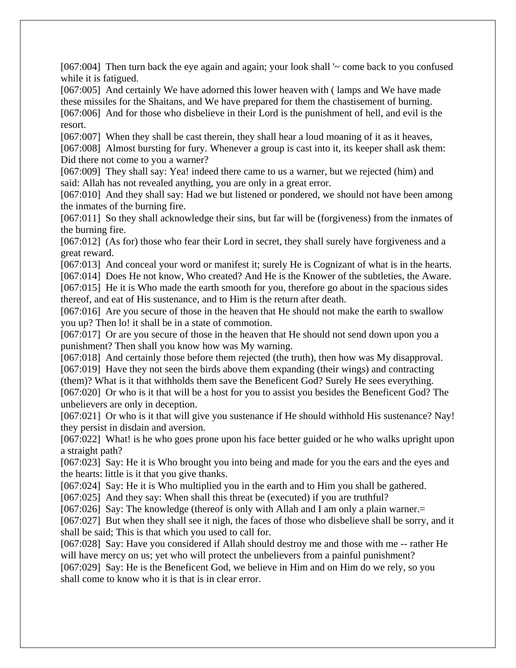[067:004] Then turn back the eye again and again; your look shall '~ come back to you confused while it is fatigued.

[067:005] And certainly We have adorned this lower heaven with ( lamps and We have made these missiles for the Shaitans, and We have prepared for them the chastisement of burning. [067:006] And for those who disbelieve in their Lord is the punishment of hell, and evil is the resort.

[067:007] When they shall be cast therein, they shall hear a loud moaning of it as it heaves, [067:008] Almost bursting for fury. Whenever a group is cast into it, its keeper shall ask them: Did there not come to you a warner?

[067:009] They shall say: Yea! indeed there came to us a warner, but we rejected (him) and said: Allah has not revealed anything, you are only in a great error.

[067:010] And they shall say: Had we but listened or pondered, we should not have been among the inmates of the burning fire.

[067:011] So they shall acknowledge their sins, but far will be (forgiveness) from the inmates of the burning fire.

[067:012] (As for) those who fear their Lord in secret, they shall surely have forgiveness and a great reward.

[067:013] And conceal your word or manifest it; surely He is Cognizant of what is in the hearts. [067:014] Does He not know, Who created? And He is the Knower of the subtleties, the Aware. [067:015] He it is Who made the earth smooth for you, therefore go about in the spacious sides

thereof, and eat of His sustenance, and to Him is the return after death.

[067:016] Are you secure of those in the heaven that He should not make the earth to swallow you up? Then lo! it shall be in a state of commotion.

[067:017] Or are you secure of those in the heaven that He should not send down upon you a punishment? Then shall you know how was My warning.

[067:018] And certainly those before them rejected (the truth), then how was My disapproval. [067:019] Have they not seen the birds above them expanding (their wings) and contracting

(them)? What is it that withholds them save the Beneficent God? Surely He sees everything.

[067:020] Or who is it that will be a host for you to assist you besides the Beneficent God? The unbelievers are only in deception.

[067:021] Or who is it that will give you sustenance if He should withhold His sustenance? Nay! they persist in disdain and aversion.

[067:022] What! is he who goes prone upon his face better guided or he who walks upright upon a straight path?

[067:023] Say: He it is Who brought you into being and made for you the ears and the eyes and the hearts: little is it that you give thanks.

[067:024] Say: He it is Who multiplied you in the earth and to Him you shall be gathered.

[067:025] And they say: When shall this threat be (executed) if you are truthful?

[067:026] Say: The knowledge (thereof is only with Allah and I am only a plain warner.=

[067:027] But when they shall see it nigh, the faces of those who disbelieve shall be sorry, and it shall be said; This is that which you used to call for.

[067:028] Say: Have you considered if Allah should destroy me and those with me -- rather He will have mercy on us; yet who will protect the unbelievers from a painful punishment?

[067:029] Say: He is the Beneficent God, we believe in Him and on Him do we rely, so you shall come to know who it is that is in clear error.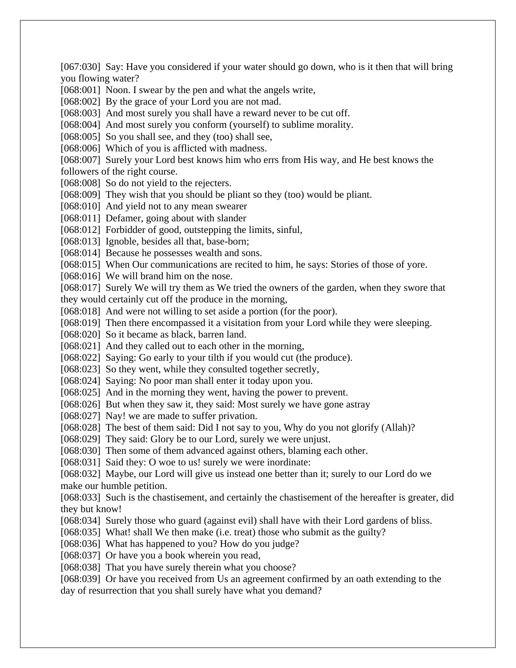[067:030] Say: Have you considered if your water should go down, who is it then that will bring you flowing water?

[068:001] Noon. I swear by the pen and what the angels write,

[068:002] By the grace of your Lord you are not mad.

[068:003] And most surely you shall have a reward never to be cut off.

[068:004] And most surely you conform (yourself) to sublime morality.

[068:005] So you shall see, and they (too) shall see,

[068:006] Which of you is afflicted with madness.

[068:007] Surely your Lord best knows him who errs from His way, and He best knows the followers of the right course.

[068:008] So do not yield to the rejecters.

[068:009] They wish that you should be pliant so they (too) would be pliant.

[068:010] And yield not to any mean swearer

[068:011] Defamer, going about with slander

[068:012] Forbidder of good, outstepping the limits, sinful,

[068:013] Ignoble, besides all that, base-born;

[068:014] Because he possesses wealth and sons.

[068:015] When Our communications are recited to him, he says: Stories of those of yore.

[068:016] We will brand him on the nose.

[068:017] Surely We will try them as We tried the owners of the garden, when they swore that they would certainly cut off the produce in the morning,

[068:018] And were not willing to set aside a portion (for the poor).

[068:019] Then there encompassed it a visitation from your Lord while they were sleeping.

[068:020] So it became as black, barren land.

[068:021] And they called out to each other in the morning,

[068:022] Saying: Go early to your tilth if you would cut (the produce).

[068:023] So they went, while they consulted together secretly,

[068:024] Saying: No poor man shall enter it today upon you.

[068:025] And in the morning they went, having the power to prevent.

[068:026] But when they saw it, they said: Most surely we have gone astray

[068:027] Nay! we are made to suffer privation.

[068:028] The best of them said: Did I not say to you, Why do you not glorify (Allah)?

[068:029] They said: Glory be to our Lord, surely we were unjust.

[068:030] Then some of them advanced against others, blaming each other.

[068:031] Said they: O woe to us! surely we were inordinate:

[068:032] Maybe, our Lord will give us instead one better than it; surely to our Lord do we make our humble petition.

[068:033] Such is the chastisement, and certainly the chastisement of the hereafter is greater, did they but know!

[068:034] Surely those who guard (against evil) shall have with their Lord gardens of bliss.

[068:035] What! shall We then make (i.e. treat) those who submit as the guilty?

[068:036] What has happened to you? How do you judge?

[068:037] Or have you a book wherein you read,

[068:038] That you have surely therein what you choose?

[068:039] Or have you received from Us an agreement confirmed by an oath extending to the day of resurrection that you shall surely have what you demand?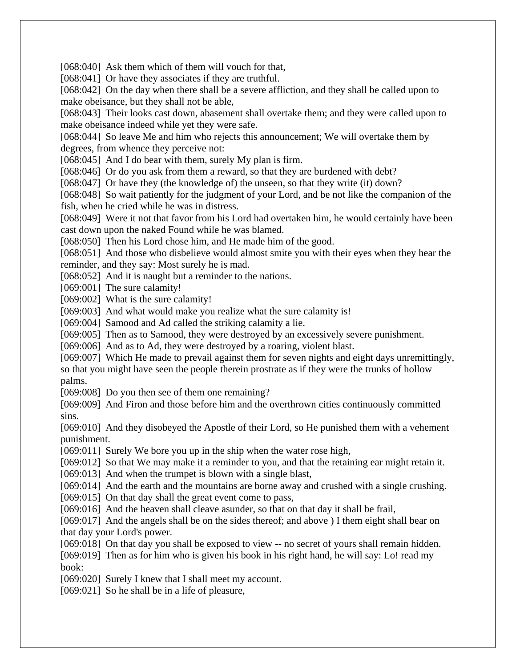[068:040] Ask them which of them will vouch for that,

[068:041] Or have they associates if they are truthful.

[068:042] On the day when there shall be a severe affliction, and they shall be called upon to make obeisance, but they shall not be able,

[068:043] Their looks cast down, abasement shall overtake them; and they were called upon to make obeisance indeed while yet they were safe.

[068:044] So leave Me and him who rejects this announcement; We will overtake them by degrees, from whence they perceive not:

[068:045] And I do bear with them, surely My plan is firm.

[068:046] Or do you ask from them a reward, so that they are burdened with debt?

[068:047] Or have they (the knowledge of) the unseen, so that they write (it) down?

[068:048] So wait patiently for the judgment of your Lord, and be not like the companion of the fish, when he cried while he was in distress.

[068:049] Were it not that favor from his Lord had overtaken him, he would certainly have been cast down upon the naked Found while he was blamed.

[068:050] Then his Lord chose him, and He made him of the good.

[068:051] And those who disbelieve would almost smite you with their eyes when they hear the reminder, and they say: Most surely he is mad.

[068:052] And it is naught but a reminder to the nations.

[069:001] The sure calamity!

[069:002] What is the sure calamity!

[069:003] And what would make you realize what the sure calamity is!

[069:004] Samood and Ad called the striking calamity a lie.

[069:005] Then as to Samood, they were destroyed by an excessively severe punishment.

[069:006] And as to Ad, they were destroyed by a roaring, violent blast.

[069:007] Which He made to prevail against them for seven nights and eight days unremittingly, so that you might have seen the people therein prostrate as if they were the trunks of hollow palms.

[069:008] Do you then see of them one remaining?

[069:009] And Firon and those before him and the overthrown cities continuously committed sins.

[069:010] And they disobeyed the Apostle of their Lord, so He punished them with a vehement punishment.

[069:011] Surely We bore you up in the ship when the water rose high,

[069:012] So that We may make it a reminder to you, and that the retaining ear might retain it.

[069:013] And when the trumpet is blown with a single blast,

[069:014] And the earth and the mountains are borne away and crushed with a single crushing.

[069:015] On that day shall the great event come to pass,

[069:016] And the heaven shall cleave asunder, so that on that day it shall be frail,

[069:017] And the angels shall be on the sides thereof; and above ) I them eight shall bear on that day your Lord's power.

[069:018] On that day you shall be exposed to view -- no secret of yours shall remain hidden.

[069:019] Then as for him who is given his book in his right hand, he will say: Lo! read my book:

[069:020] Surely I knew that I shall meet my account.

[069:021] So he shall be in a life of pleasure,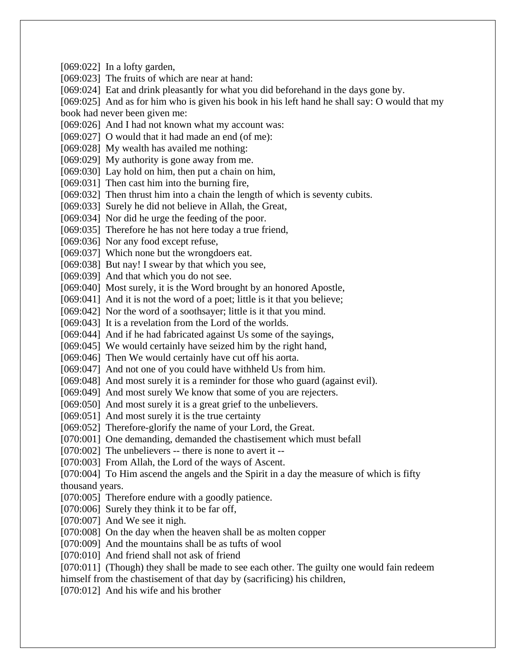[069:022] In a lofty garden, [069:023] The fruits of which are near at hand: [069:024] Eat and drink pleasantly for what you did beforehand in the days gone by. [069:025] And as for him who is given his book in his left hand he shall say: O would that my book had never been given me: [069:026] And I had not known what my account was: [069:027] O would that it had made an end (of me): [069:028] My wealth has availed me nothing: [069:029] My authority is gone away from me. [069:030] Lay hold on him, then put a chain on him, [069:031] Then cast him into the burning fire, [069:032] Then thrust him into a chain the length of which is seventy cubits. [069:033] Surely he did not believe in Allah, the Great, [069:034] Nor did he urge the feeding of the poor. [069:035] Therefore he has not here today a true friend, [069:036] Nor any food except refuse, [069:037] Which none but the wrongdoers eat. [069:038] But nay! I swear by that which you see, [069:039] And that which you do not see. [069:040] Most surely, it is the Word brought by an honored Apostle, [069:041] And it is not the word of a poet; little is it that you believe; [069:042] Nor the word of a soothsayer; little is it that you mind. [069:043] It is a revelation from the Lord of the worlds. [069:044] And if he had fabricated against Us some of the sayings, [069:045] We would certainly have seized him by the right hand, [069:046] Then We would certainly have cut off his aorta. [069:047] And not one of you could have withheld Us from him. [069:048] And most surely it is a reminder for those who guard (against evil). [069:049] And most surely We know that some of you are rejecters. [069:050] And most surely it is a great grief to the unbelievers. [069:051] And most surely it is the true certainty [069:052] Therefore-glorify the name of your Lord, the Great. [070:001] One demanding, demanded the chastisement which must befall [070:002] The unbelievers -- there is none to avert it --[070:003] From Allah, the Lord of the ways of Ascent. [070:004] To Him ascend the angels and the Spirit in a day the measure of which is fifty thousand years. [070:005] Therefore endure with a goodly patience. [070:006] Surely they think it to be far off, [070:007] And We see it nigh. [070:008] On the day when the heaven shall be as molten copper [070:009] And the mountains shall be as tufts of wool [070:010] And friend shall not ask of friend [070:011] (Though) they shall be made to see each other. The guilty one would fain redeem himself from the chastisement of that day by (sacrificing) his children, [070:012] And his wife and his brother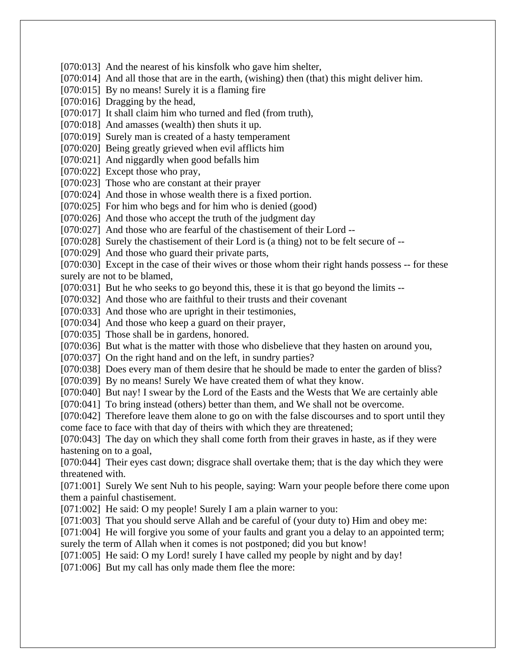[070:013] And the nearest of his kinsfolk who gave him shelter, [070:014] And all those that are in the earth, (wishing) then (that) this might deliver him. [070:015] By no means! Surely it is a flaming fire [070:016] Dragging by the head, [070:017] It shall claim him who turned and fled (from truth), [070:018] And amasses (wealth) then shuts it up. [070:019] Surely man is created of a hasty temperament [070:020] Being greatly grieved when evil afflicts him [070:021] And niggardly when good befalls him [070:022] Except those who pray, [070:023] Those who are constant at their prayer [070:024] And those in whose wealth there is a fixed portion. [070:025] For him who begs and for him who is denied (good) [070:026] And those who accept the truth of the judgment day [070:027] And those who are fearful of the chastisement of their Lord --[070:028] Surely the chastisement of their Lord is (a thing) not to be felt secure of --[070:029] And those who guard their private parts, [070:030] Except in the case of their wives or those whom their right hands possess -- for these surely are not to be blamed, [070:031] But he who seeks to go beyond this, these it is that go beyond the limits --[070:032] And those who are faithful to their trusts and their covenant [070:033] And those who are upright in their testimonies, [070:034] And those who keep a guard on their prayer, [070:035] Those shall be in gardens, honored. [070:036] But what is the matter with those who disbelieve that they hasten on around you, [070:037] On the right hand and on the left, in sundry parties? [070:038] Does every man of them desire that he should be made to enter the garden of bliss? [070:039] By no means! Surely We have created them of what they know. [070:040] But nay! I swear by the Lord of the Easts and the Wests that We are certainly able [070:041] To bring instead (others) better than them, and We shall not be overcome. [070:042] Therefore leave them alone to go on with the false discourses and to sport until they come face to face with that day of theirs with which they are threatened; [070:043] The day on which they shall come forth from their graves in haste, as if they were hastening on to a goal, [070:044] Their eyes cast down; disgrace shall overtake them; that is the day which they were threatened with. [071:001] Surely We sent Nuh to his people, saying: Warn your people before there come upon them a painful chastisement. [071:002] He said: O my people! Surely I am a plain warner to you: [071:003] That you should serve Allah and be careful of (your duty to) Him and obey me: [071:004] He will forgive you some of your faults and grant you a delay to an appointed term; surely the term of Allah when it comes is not postponed; did you but know! [071:005] He said: O my Lord! surely I have called my people by night and by day!

[071:006] But my call has only made them flee the more: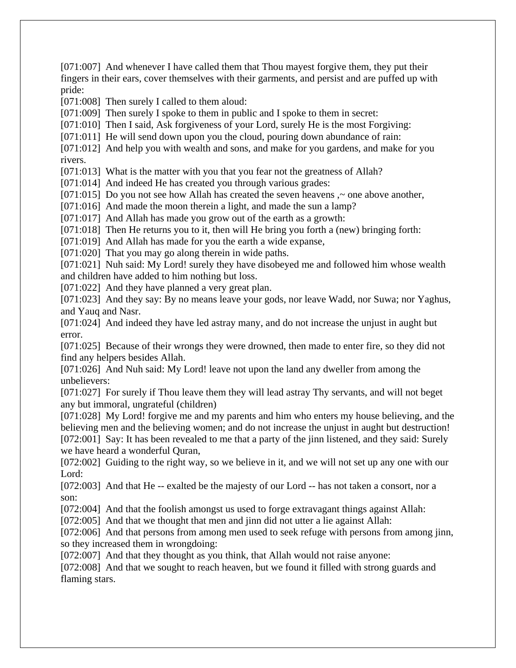[071:007] And whenever I have called them that Thou mayest forgive them, they put their fingers in their ears, cover themselves with their garments, and persist and are puffed up with pride:

[071:008] Then surely I called to them aloud:

[071:009] Then surely I spoke to them in public and I spoke to them in secret:

[071:010] Then I said, Ask forgiveness of your Lord, surely He is the most Forgiving:

[071:011] He will send down upon you the cloud, pouring down abundance of rain:

[071:012] And help you with wealth and sons, and make for you gardens, and make for you rivers.

[071:013] What is the matter with you that you fear not the greatness of Allah?

[071:014] And indeed He has created you through various grades:

[071:015] Do you not see how Allah has created the seven heavens,  $\sim$  one above another,

[071:016] And made the moon therein a light, and made the sun a lamp?

[071:017] And Allah has made you grow out of the earth as a growth:

[071:018] Then He returns you to it, then will He bring you forth a (new) bringing forth:

[071:019] And Allah has made for you the earth a wide expanse,

[071:020] That you may go along therein in wide paths.

[071:021] Nuh said: My Lord! surely they have disobeyed me and followed him whose wealth and children have added to him nothing but loss.

[071:022] And they have planned a very great plan.

[071:023] And they say: By no means leave your gods, nor leave Wadd, nor Suwa; nor Yaghus, and Yauq and Nasr.

[071:024] And indeed they have led astray many, and do not increase the unjust in aught but error.

[071:025] Because of their wrongs they were drowned, then made to enter fire, so they did not find any helpers besides Allah.

[071:026] And Nuh said: My Lord! leave not upon the land any dweller from among the unbelievers:

[071:027] For surely if Thou leave them they will lead astray Thy servants, and will not beget any but immoral, ungrateful (children)

[071:028] My Lord! forgive me and my parents and him who enters my house believing, and the believing men and the believing women; and do not increase the unjust in aught but destruction! [072:001] Say: It has been revealed to me that a party of the jinn listened, and they said: Surely we have heard a wonderful Quran,

[072:002] Guiding to the right way, so we believe in it, and we will not set up any one with our Lord:

[072:003] And that He -- exalted be the majesty of our Lord -- has not taken a consort, nor a son:

[072:004] And that the foolish amongst us used to forge extravagant things against Allah:

[072:005] And that we thought that men and jinn did not utter a lie against Allah:

[072:006] And that persons from among men used to seek refuge with persons from among jinn, so they increased them in wrongdoing:

[072:007] And that they thought as you think, that Allah would not raise anyone:

[072:008] And that we sought to reach heaven, but we found it filled with strong guards and flaming stars.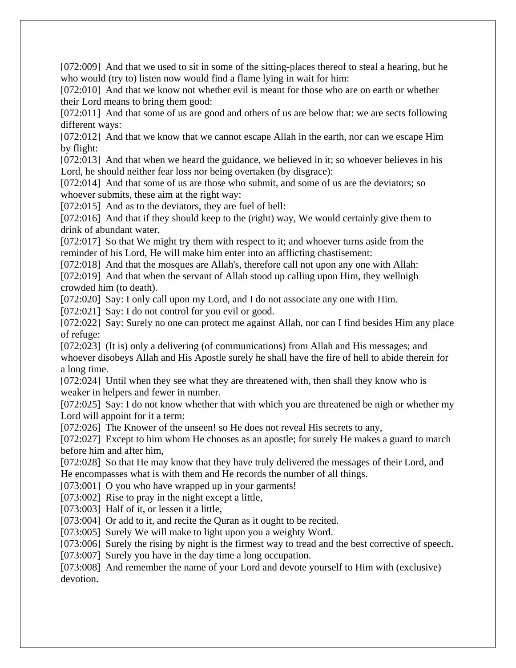[072:009] And that we used to sit in some of the sitting-places thereof to steal a hearing, but he who would (try to) listen now would find a flame lying in wait for him:

[072:010] And that we know not whether evil is meant for those who are on earth or whether their Lord means to bring them good:

[072:011] And that some of us are good and others of us are below that: we are sects following different ways:

[072:012] And that we know that we cannot escape Allah in the earth, nor can we escape Him by flight:

[072:013] And that when we heard the guidance, we believed in it; so whoever believes in his Lord, he should neither fear loss nor being overtaken (by disgrace):

[072:014] And that some of us are those who submit, and some of us are the deviators; so whoever submits, these aim at the right way:

[072:015] And as to the deviators, they are fuel of hell:

[072:016] And that if they should keep to the (right) way, We would certainly give them to drink of abundant water,

[072:017] So that We might try them with respect to it; and whoever turns aside from the reminder of his Lord, He will make him enter into an afflicting chastisement:

[072:018] And that the mosques are Allah's, therefore call not upon any one with Allah: [072:019] And that when the servant of Allah stood up calling upon Him, they wellnigh crowded him (to death).

[072:020] Say: I only call upon my Lord, and I do not associate any one with Him.

[072:021] Say: I do not control for you evil or good.

[072:022] Say: Surely no one can protect me against Allah, nor can I find besides Him any place of refuge:

[072:023] (It is) only a delivering (of communications) from Allah and His messages; and whoever disobeys Allah and His Apostle surely he shall have the fire of hell to abide therein for a long time.

[072:024] Until when they see what they are threatened with, then shall they know who is weaker in helpers and fewer in number.

[072:025] Say: I do not know whether that with which you are threatened be nigh or whether my Lord will appoint for it a term:

[072:026] The Knower of the unseen! so He does not reveal His secrets to any,

[072:027] Except to him whom He chooses as an apostle; for surely He makes a guard to march before him and after him,

[072:028] So that He may know that they have truly delivered the messages of their Lord, and He encompasses what is with them and He records the number of all things.

[073:001] O you who have wrapped up in your garments!

[073:002] Rise to pray in the night except a little,

[073:003] Half of it, or lessen it a little,

[073:004] Or add to it, and recite the Quran as it ought to be recited.

[073:005] Surely We will make to light upon you a weighty Word.

[073:006] Surely the rising by night is the firmest way to tread and the best corrective of speech.

[073:007] Surely you have in the day time a long occupation.

[073:008] And remember the name of your Lord and devote yourself to Him with (exclusive) devotion.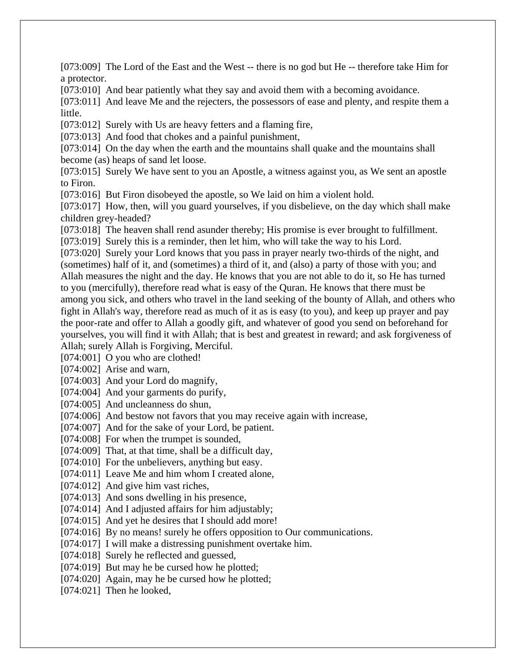[073:009] The Lord of the East and the West -- there is no god but He -- therefore take Him for a protector.

[073:010] And bear patiently what they say and avoid them with a becoming avoidance.

[073:011] And leave Me and the rejecters, the possessors of ease and plenty, and respite them a little.

[073:012] Surely with Us are heavy fetters and a flaming fire,

[073:013] And food that chokes and a painful punishment,

[073:014] On the day when the earth and the mountains shall quake and the mountains shall become (as) heaps of sand let loose.

[073:015] Surely We have sent to you an Apostle, a witness against you, as We sent an apostle to Firon.

[073:016] But Firon disobeyed the apostle, so We laid on him a violent hold.

[073:017] How, then, will you guard yourselves, if you disbelieve, on the day which shall make children grey-headed?

[073:018] The heaven shall rend asunder thereby; His promise is ever brought to fulfillment.

[073:019] Surely this is a reminder, then let him, who will take the way to his Lord.

[073:020] Surely your Lord knows that you pass in prayer nearly two-thirds of the night, and (sometimes) half of it, and (sometimes) a third of it, and (also) a party of those with you; and Allah measures the night and the day. He knows that you are not able to do it, so He has turned to you (mercifully), therefore read what is easy of the Quran. He knows that there must be among you sick, and others who travel in the land seeking of the bounty of Allah, and others who fight in Allah's way, therefore read as much of it as is easy (to you), and keep up prayer and pay the poor-rate and offer to Allah a goodly gift, and whatever of good you send on beforehand for yourselves, you will find it with Allah; that is best and greatest in reward; and ask forgiveness of Allah; surely Allah is Forgiving, Merciful.

[074:001] O you who are clothed!

[074:002] Arise and warn,

[074:003] And your Lord do magnify,

[074:004] And your garments do purify,

[074:005] And uncleanness do shun,

[074:006] And bestow not favors that you may receive again with increase,

[074:007] And for the sake of your Lord, be patient.

[074:008] For when the trumpet is sounded,

[074:009] That, at that time, shall be a difficult day,

[074:010] For the unbelievers, anything but easy.

[074:011] Leave Me and him whom I created alone,

[074:012] And give him vast riches,

[074:013] And sons dwelling in his presence,

[074:014] And I adjusted affairs for him adjustably;

[074:015] And yet he desires that I should add more!

[074:016] By no means! surely he offers opposition to Our communications.

[074:017] I will make a distressing punishment overtake him.

[074:018] Surely he reflected and guessed,

[074:019] But may he be cursed how he plotted;

[074:020] Again, may he be cursed how he plotted;

[074:021] Then he looked,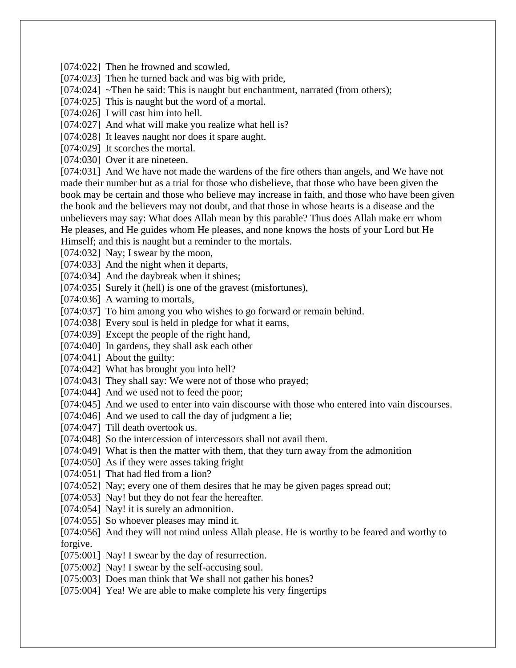[074:022] Then he frowned and scowled,

[074:023] Then he turned back and was big with pride,

[074:024] ~Then he said: This is naught but enchantment, narrated (from others);

[074:025] This is naught but the word of a mortal.

[074:026] I will cast him into hell.

[074:027] And what will make you realize what hell is?

[074:028] It leaves naught nor does it spare aught.

[074:029] It scorches the mortal.

[074:030] Over it are nineteen.

[074:031] And We have not made the wardens of the fire others than angels, and We have not made their number but as a trial for those who disbelieve, that those who have been given the book may be certain and those who believe may increase in faith, and those who have been given the book and the believers may not doubt, and that those in whose hearts is a disease and the unbelievers may say: What does Allah mean by this parable? Thus does Allah make err whom He pleases, and He guides whom He pleases, and none knows the hosts of your Lord but He Himself; and this is naught but a reminder to the mortals.

[074:032] Nay; I swear by the moon,

[074:033] And the night when it departs,

[074:034] And the daybreak when it shines;

[074:035] Surely it (hell) is one of the gravest (misfortunes),

[074:036] A warning to mortals,

[074:037] To him among you who wishes to go forward or remain behind.

[074:038] Every soul is held in pledge for what it earns,

[074:039] Except the people of the right hand,

[074:040] In gardens, they shall ask each other

[074:041] About the guilty:

[074:042] What has brought you into hell?

[074:043] They shall say: We were not of those who prayed;

[074:044] And we used not to feed the poor;

[074:045] And we used to enter into vain discourse with those who entered into vain discourses.

[074:046] And we used to call the day of judgment a lie;

[074:047] Till death overtook us.

[074:048] So the intercession of intercessors shall not avail them.

[074:049] What is then the matter with them, that they turn away from the admonition

[074:050] As if they were asses taking fright

[074:051] That had fled from a lion?

[074:052] Nay; every one of them desires that he may be given pages spread out;

[074:053] Nay! but they do not fear the hereafter.

[074:054] Nay! it is surely an admonition.

[074:055] So whoever pleases may mind it.

[074:056] And they will not mind unless Allah please. He is worthy to be feared and worthy to forgive.

[075:001] Nay! I swear by the day of resurrection.

[075:002] Nay! I swear by the self-accusing soul.

[075:003] Does man think that We shall not gather his bones?

[075:004] Yea! We are able to make complete his very fingertips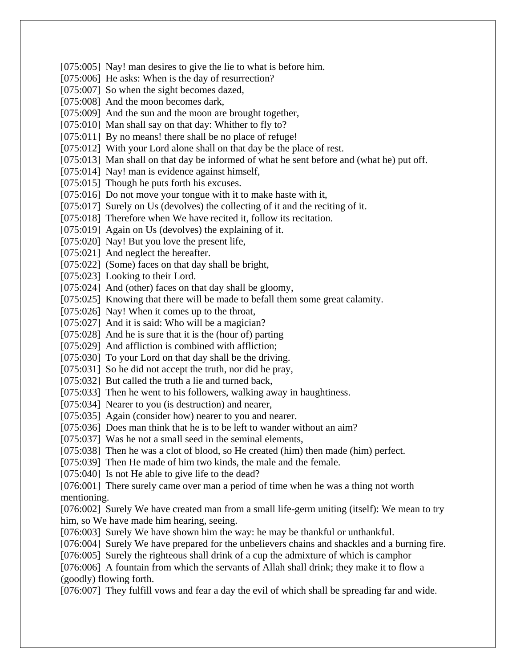[075:005] Nay! man desires to give the lie to what is before him. [075:006] He asks: When is the day of resurrection? [075:007] So when the sight becomes dazed, [075:008] And the moon becomes dark, [075:009] And the sun and the moon are brought together, [075:010] Man shall say on that day: Whither to fly to? [075:011] By no means! there shall be no place of refuge! [075:012] With your Lord alone shall on that day be the place of rest. [075:013] Man shall on that day be informed of what he sent before and (what he) put off. [075:014] Nay! man is evidence against himself, [075:015] Though he puts forth his excuses. [075:016] Do not move your tongue with it to make haste with it, [075:017] Surely on Us (devolves) the collecting of it and the reciting of it. [075:018] Therefore when We have recited it, follow its recitation. [075:019] Again on Us (devolves) the explaining of it. [075:020] Nay! But you love the present life, [075:021] And neglect the hereafter. [075:022] (Some) faces on that day shall be bright, [075:023] Looking to their Lord. [075:024] And (other) faces on that day shall be gloomy, [075:025] Knowing that there will be made to befall them some great calamity. [075:026] Nay! When it comes up to the throat, [075:027] And it is said: Who will be a magician? [075:028] And he is sure that it is the (hour of) parting [075:029] And affliction is combined with affliction; [075:030] To your Lord on that day shall be the driving. [075:031] So he did not accept the truth, nor did he pray, [075:032] But called the truth a lie and turned back, [075:033] Then he went to his followers, walking away in haughtiness. [075:034] Nearer to you (is destruction) and nearer, [075:035] Again (consider how) nearer to you and nearer. [075:036] Does man think that he is to be left to wander without an aim? [075:037] Was he not a small seed in the seminal elements, [075:038] Then he was a clot of blood, so He created (him) then made (him) perfect. [075:039] Then He made of him two kinds, the male and the female. [075:040] Is not He able to give life to the dead? [076:001] There surely came over man a period of time when he was a thing not worth mentioning. [076:002] Surely We have created man from a small life-germ uniting (itself): We mean to try him, so We have made him hearing, seeing. [076:003] Surely We have shown him the way: he may be thankful or unthankful. [076:004] Surely We have prepared for the unbelievers chains and shackles and a burning fire. [076:005] Surely the righteous shall drink of a cup the admixture of which is camphor [076:006] A fountain from which the servants of Allah shall drink; they make it to flow a (goodly) flowing forth. [076:007] They fulfill vows and fear a day the evil of which shall be spreading far and wide.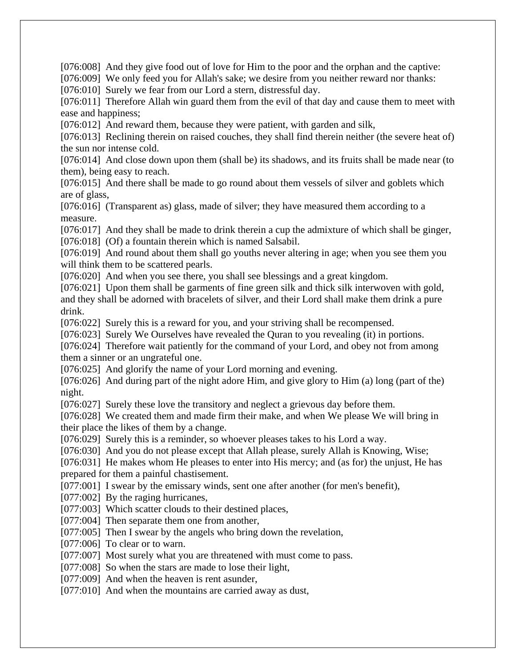[076:008] And they give food out of love for Him to the poor and the orphan and the captive:

[076:009] We only feed you for Allah's sake; we desire from you neither reward nor thanks:

[076:010] Surely we fear from our Lord a stern, distressful day.

[076:011] Therefore Allah win guard them from the evil of that day and cause them to meet with ease and happiness;

[076:012] And reward them, because they were patient, with garden and silk,

[076:013] Reclining therein on raised couches, they shall find therein neither (the severe heat of) the sun nor intense cold.

[076:014] And close down upon them (shall be) its shadows, and its fruits shall be made near (to them), being easy to reach.

[076:015] And there shall be made to go round about them vessels of silver and goblets which are of glass,

[076:016] (Transparent as) glass, made of silver; they have measured them according to a measure.

[076:017] And they shall be made to drink therein a cup the admixture of which shall be ginger, [076:018] (Of) a fountain therein which is named Salsabil.

[076:019] And round about them shall go youths never altering in age; when you see them you will think them to be scattered pearls.

[076:020] And when you see there, you shall see blessings and a great kingdom.

[076:021] Upon them shall be garments of fine green silk and thick silk interwoven with gold, and they shall be adorned with bracelets of silver, and their Lord shall make them drink a pure drink.

[076:022] Surely this is a reward for you, and your striving shall be recompensed.

[076:023] Surely We Ourselves have revealed the Quran to you revealing (it) in portions.

[076:024] Therefore wait patiently for the command of your Lord, and obey not from among them a sinner or an ungrateful one.

[076:025] And glorify the name of your Lord morning and evening.

[076:026] And during part of the night adore Him, and give glory to Him (a) long (part of the) night.

[076:027] Surely these love the transitory and neglect a grievous day before them.

[076:028] We created them and made firm their make, and when We please We will bring in their place the likes of them by a change.

[076:029] Surely this is a reminder, so whoever pleases takes to his Lord a way.

[076:030] And you do not please except that Allah please, surely Allah is Knowing, Wise;

[076:031] He makes whom He pleases to enter into His mercy; and (as for) the unjust, He has prepared for them a painful chastisement.

[077:001] I swear by the emissary winds, sent one after another (for men's benefit),

[077:002] By the raging hurricanes,

[077:003] Which scatter clouds to their destined places,

[077:004] Then separate them one from another,

[077:005] Then I swear by the angels who bring down the revelation,

[077:006] To clear or to warn.

[077:007] Most surely what you are threatened with must come to pass.

[077:008] So when the stars are made to lose their light,

[077:009] And when the heaven is rent asunder,

[077:010] And when the mountains are carried away as dust,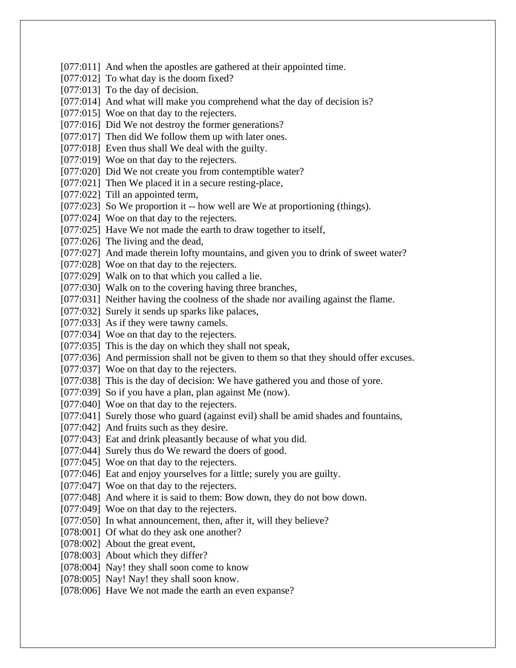[077:011] And when the apostles are gathered at their appointed time. [077:012] To what day is the doom fixed? [077:013] To the day of decision. [077:014] And what will make you comprehend what the day of decision is? [077:015] Woe on that day to the rejecters. [077:016] Did We not destroy the former generations? [077:017] Then did We follow them up with later ones. [077:018] Even thus shall We deal with the guilty. [077:019] Woe on that day to the rejecters. [077:020] Did We not create you from contemptible water? [077:021] Then We placed it in a secure resting-place, [077:022] Till an appointed term, [077:023] So We proportion it -- how well are We at proportioning (things). [077:024] Woe on that day to the rejecters. [077:025] Have We not made the earth to draw together to itself, [077:026] The living and the dead, [077:027] And made therein lofty mountains, and given you to drink of sweet water? [077:028] Woe on that day to the rejecters. [077:029] Walk on to that which you called a lie. [077:030] Walk on to the covering having three branches, [077:031] Neither having the coolness of the shade nor availing against the flame. [077:032] Surely it sends up sparks like palaces, [077:033] As if they were tawny camels. [077:034] Woe on that day to the rejecters. [077:035] This is the day on which they shall not speak, [077:036] And permission shall not be given to them so that they should offer excuses. [077:037] Woe on that day to the rejecters. [077:038] This is the day of decision: We have gathered you and those of yore. [077:039] So if you have a plan, plan against Me (now). [077:040] Woe on that day to the rejecters. [077:041] Surely those who guard (against evil) shall be amid shades and fountains, [077:042] And fruits such as they desire. [077:043] Eat and drink pleasantly because of what you did. [077:044] Surely thus do We reward the doers of good. [077:045] Woe on that day to the rejecters. [077:046] Eat and enjoy yourselves for a little; surely you are guilty. [077:047] Woe on that day to the rejecters. [077:048] And where it is said to them: Bow down, they do not bow down. [077:049] Woe on that day to the rejecters. [077:050] In what announcement, then, after it, will they believe? [078:001] Of what do they ask one another? [078:002] About the great event, [078:003] About which they differ? [078:004] Nay! they shall soon come to know [078:005] Nay! Nay! they shall soon know. [078:006] Have We not made the earth an even expanse?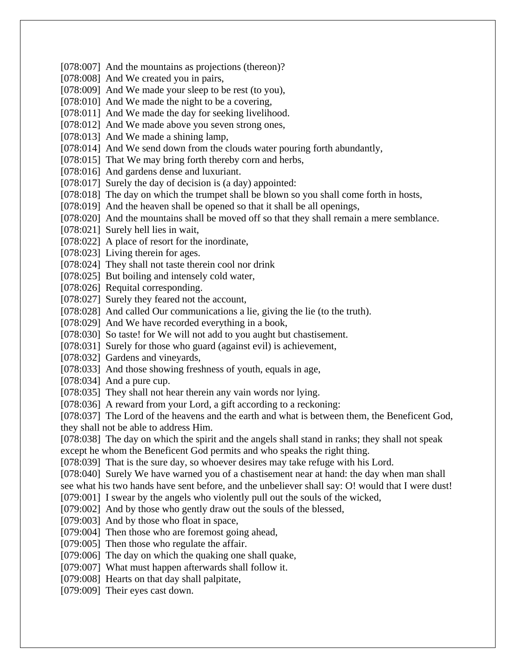[078:007] And the mountains as projections (thereon)? [078:008] And We created you in pairs, [078:009] And We made your sleep to be rest (to you), [078:010] And We made the night to be a covering, [078:011] And We made the day for seeking livelihood. [078:012] And We made above you seven strong ones, [078:013] And We made a shining lamp, [078:014] And We send down from the clouds water pouring forth abundantly, [078:015] That We may bring forth thereby corn and herbs, [078:016] And gardens dense and luxuriant. [078:017] Surely the day of decision is (a day) appointed: [078:018] The day on which the trumpet shall be blown so you shall come forth in hosts, [078:019] And the heaven shall be opened so that it shall be all openings, [078:020] And the mountains shall be moved off so that they shall remain a mere semblance. [078:021] Surely hell lies in wait, [078:022] A place of resort for the inordinate, [078:023] Living therein for ages. [078:024] They shall not taste therein cool nor drink [078:025] But boiling and intensely cold water, [078:026] Requital corresponding. [078:027] Surely they feared not the account, [078:028] And called Our communications a lie, giving the lie (to the truth). [078:029] And We have recorded everything in a book, [078:030] So taste! for We will not add to you aught but chastisement. [078:031] Surely for those who guard (against evil) is achievement, [078:032] Gardens and vineyards, [078:033] And those showing freshness of youth, equals in age,  $[078:034]$  And a pure cup. [078:035] They shall not hear therein any vain words nor lying. [078:036] A reward from your Lord, a gift according to a reckoning: [078:037] The Lord of the heavens and the earth and what is between them, the Beneficent God, they shall not be able to address Him. [078:038] The day on which the spirit and the angels shall stand in ranks; they shall not speak except he whom the Beneficent God permits and who speaks the right thing. [078:039] That is the sure day, so whoever desires may take refuge with his Lord. [078:040] Surely We have warned you of a chastisement near at hand: the day when man shall see what his two hands have sent before, and the unbeliever shall say: O! would that I were dust! [079:001] I swear by the angels who violently pull out the souls of the wicked, [079:002] And by those who gently draw out the souls of the blessed, [079:003] And by those who float in space, [079:004] Then those who are foremost going ahead, [079:005] Then those who regulate the affair. [079:006] The day on which the quaking one shall quake, [079:007] What must happen afterwards shall follow it. [079:008] Hearts on that day shall palpitate, [079:009] Their eyes cast down.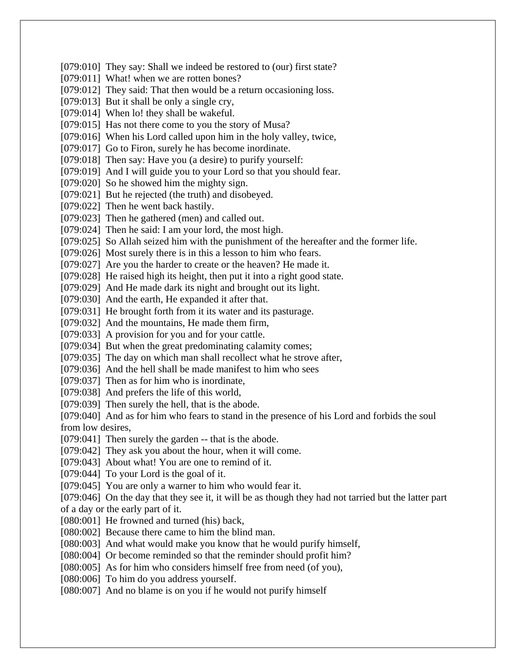[079:010] They say: Shall we indeed be restored to (our) first state? [079:011] What! when we are rotten bones? [079:012] They said: That then would be a return occasioning loss. [079:013] But it shall be only a single cry, [079:014] When lo! they shall be wakeful. [079:015] Has not there come to you the story of Musa? [079:016] When his Lord called upon him in the holy valley, twice, [079:017] Go to Firon, surely he has become inordinate. [079:018] Then say: Have you (a desire) to purify yourself: [079:019] And I will guide you to your Lord so that you should fear. [079:020] So he showed him the mighty sign. [079:021] But he rejected (the truth) and disobeyed. [079:022] Then he went back hastily. [079:023] Then he gathered (men) and called out. [079:024] Then he said: I am your lord, the most high. [079:025] So Allah seized him with the punishment of the hereafter and the former life. [079:026] Most surely there is in this a lesson to him who fears. [079:027] Are you the harder to create or the heaven? He made it. [079:028] He raised high its height, then put it into a right good state. [079:029] And He made dark its night and brought out its light. [079:030] And the earth, He expanded it after that. [079:031] He brought forth from it its water and its pasturage. [079:032] And the mountains, He made them firm, [079:033] A provision for you and for your cattle. [079:034] But when the great predominating calamity comes; [079:035] The day on which man shall recollect what he strove after, [079:036] And the hell shall be made manifest to him who sees [079:037] Then as for him who is inordinate, [079:038] And prefers the life of this world, [079:039] Then surely the hell, that is the abode. [079:040] And as for him who fears to stand in the presence of his Lord and forbids the soul from low desires, [079:041] Then surely the garden -- that is the abode. [079:042] They ask you about the hour, when it will come. [079:043] About what! You are one to remind of it. [079:044] To your Lord is the goal of it. [079:045] You are only a warner to him who would fear it. [079:046] On the day that they see it, it will be as though they had not tarried but the latter part of a day or the early part of it. [080:001] He frowned and turned (his) back, [080:002] Because there came to him the blind man. [080:003] And what would make you know that he would purify himself, [080:004] Or become reminded so that the reminder should profit him? [080:005] As for him who considers himself free from need (of you), [080:006] To him do you address yourself. [080:007] And no blame is on you if he would not purify himself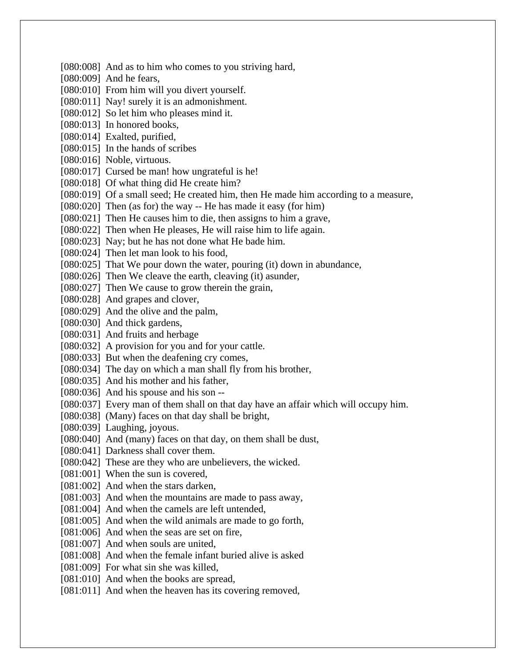[080:008] And as to him who comes to you striving hard, [080:009] And he fears, [080:010] From him will you divert yourself. [080:011] Nay! surely it is an admonishment. [080:012] So let him who pleases mind it. [080:013] In honored books, [080:014] Exalted, purified, [080:015] In the hands of scribes [080:016] Noble, virtuous. [080:017] Cursed be man! how ungrateful is he! [080:018] Of what thing did He create him? [080:019] Of a small seed; He created him, then He made him according to a measure,  $[080:020]$  Then (as for) the way -- He has made it easy (for him) [080:021] Then He causes him to die, then assigns to him a grave, [080:022] Then when He pleases, He will raise him to life again. [080:023] Nay; but he has not done what He bade him. [080:024] Then let man look to his food, [080:025] That We pour down the water, pouring (it) down in abundance, [080:026] Then We cleave the earth, cleaving (it) asunder, [080:027] Then We cause to grow therein the grain, [080:028] And grapes and clover, [080:029] And the olive and the palm, [080:030] And thick gardens, [080:031] And fruits and herbage [080:032] A provision for you and for your cattle. [080:033] But when the deafening cry comes, [080:034] The day on which a man shall fly from his brother, [080:035] And his mother and his father, [080:036] And his spouse and his son --[080:037] Every man of them shall on that day have an affair which will occupy him. [080:038] (Many) faces on that day shall be bright, [080:039] Laughing, joyous. [080:040] And (many) faces on that day, on them shall be dust, [080:041] Darkness shall cover them. [080:042] These are they who are unbelievers, the wicked. [081:001] When the sun is covered, [081:002] And when the stars darken, [081:003] And when the mountains are made to pass away, [081:004] And when the camels are left untended, [081:005] And when the wild animals are made to go forth, [081:006] And when the seas are set on fire, [081:007] And when souls are united, [081:008] And when the female infant buried alive is asked [081:009] For what sin she was killed, [081:010] And when the books are spread, [081:011] And when the heaven has its covering removed,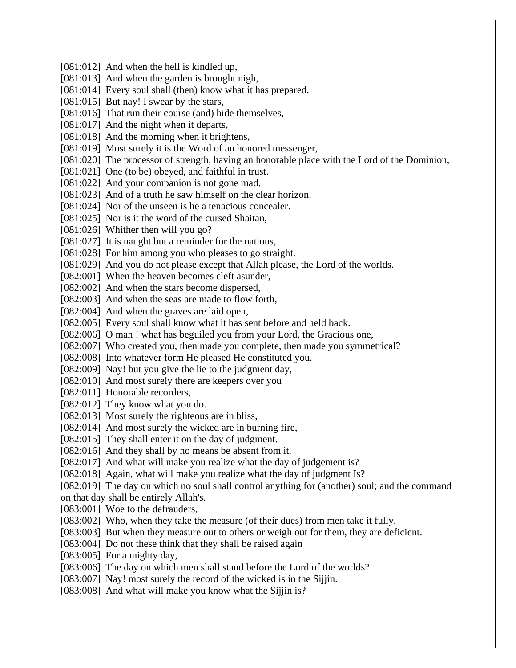[081:012] And when the hell is kindled up, [081:013] And when the garden is brought nigh, [081:014] Every soul shall (then) know what it has prepared. [081:015] But nay! I swear by the stars, [081:016] That run their course (and) hide themselves, [081:017] And the night when it departs, [081:018] And the morning when it brightens, [081:019] Most surely it is the Word of an honored messenger, [081:020] The processor of strength, having an honorable place with the Lord of the Dominion, [081:021] One (to be) obeyed, and faithful in trust. [081:022] And your companion is not gone mad. [081:023] And of a truth he saw himself on the clear horizon. [081:024] Nor of the unseen is he a tenacious concealer. [081:025] Nor is it the word of the cursed Shaitan, [081:026] Whither then will you go? [081:027] It is naught but a reminder for the nations, [081:028] For him among you who pleases to go straight. [081:029] And you do not please except that Allah please, the Lord of the worlds. [082:001] When the heaven becomes cleft asunder, [082:002] And when the stars become dispersed, [082:003] And when the seas are made to flow forth, [082:004] And when the graves are laid open, [082:005] Every soul shall know what it has sent before and held back. [082:006] O man ! what has beguiled you from your Lord, the Gracious one, [082:007] Who created you, then made you complete, then made you symmetrical? [082:008] Into whatever form He pleased He constituted you. [082:009] Nay! but you give the lie to the judgment day, [082:010] And most surely there are keepers over you [082:011] Honorable recorders, [082:012] They know what you do. [082:013] Most surely the righteous are in bliss, [082:014] And most surely the wicked are in burning fire, [082:015] They shall enter it on the day of judgment. [082:016] And they shall by no means be absent from it. [082:017] And what will make you realize what the day of judgement is? [082:018] Again, what will make you realize what the day of judgment Is? [082:019] The day on which no soul shall control anything for (another) soul; and the command on that day shall be entirely Allah's. [083:001] Woe to the defrauders, [083:002] Who, when they take the measure (of their dues) from men take it fully, [083:003] But when they measure out to others or weigh out for them, they are deficient. [083:004] Do not these think that they shall be raised again [083:005] For a mighty day, [083:006] The day on which men shall stand before the Lord of the worlds? [083:007] Nay! most surely the record of the wicked is in the Sijjin. [083:008] And what will make you know what the Sijjin is?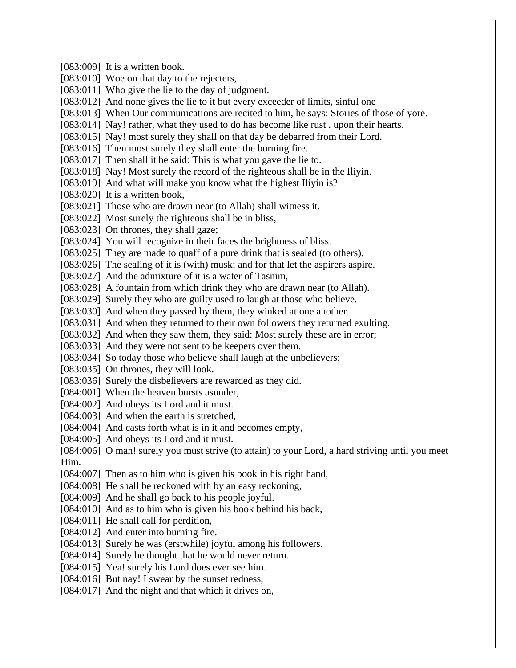[083:009] It is a written book. [083:010] Woe on that day to the rejecters, [083:011] Who give the lie to the day of judgment. [083:012] And none gives the lie to it but every exceeder of limits, sinful one [083:013] When Our communications are recited to him, he says: Stories of those of yore. [083:014] Nay! rather, what they used to do has become like rust . upon their hearts. [083:015] Nay! most surely they shall on that day be debarred from their Lord. [083:016] Then most surely they shall enter the burning fire. [083:017] Then shall it be said: This is what you gave the lie to. [083:018] Nay! Most surely the record of the righteous shall be in the Iliyin. [083:019] And what will make you know what the highest Iliyin is? [083:020] It is a written book, [083:021] Those who are drawn near (to Allah) shall witness it. [083:022] Most surely the righteous shall be in bliss, [083:023] On thrones, they shall gaze; [083:024] You will recognize in their faces the brightness of bliss. [083:025] They are made to quaff of a pure drink that is sealed (to others). [083:026] The sealing of it is (with) musk; and for that let the aspirers aspire. [083:027] And the admixture of it is a water of Tasnim, [083:028] A fountain from which drink they who are drawn near (to Allah). [083:029] Surely they who are guilty used to laugh at those who believe. [083:030] And when they passed by them, they winked at one another. [083:031] And when they returned to their own followers they returned exulting. [083:032] And when they saw them, they said: Most surely these are in error; [083:033] And they were not sent to be keepers over them. [083:034] So today those who believe shall laugh at the unbelievers; [083:035] On thrones, they will look. [083:036] Surely the disbelievers are rewarded as they did. [084:001] When the heaven bursts asunder, [084:002] And obeys its Lord and it must. [084:003] And when the earth is stretched, [084:004] And casts forth what is in it and becomes empty, [084:005] And obeys its Lord and it must. [084:006] O man! surely you must strive (to attain) to your Lord, a hard striving until you meet Him. [084:007] Then as to him who is given his book in his right hand, [084:008] He shall be reckoned with by an easy reckoning, [084:009] And he shall go back to his people joyful. [084:010] And as to him who is given his book behind his back, [084:011] He shall call for perdition, [084:012] And enter into burning fire. [084:013] Surely he was (erstwhile) joyful among his followers. [084:014] Surely he thought that he would never return. [084:015] Yea! surely his Lord does ever see him. [084:016] But nay! I swear by the sunset redness, [084:017] And the night and that which it drives on,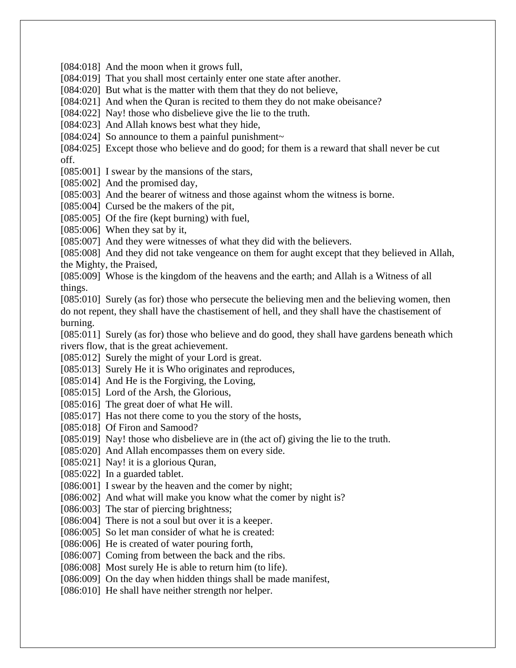[084:018] And the moon when it grows full,

[084:019] That you shall most certainly enter one state after another.

[084:020] But what is the matter with them that they do not believe,

[084:021] And when the Quran is recited to them they do not make obeisance?

[084:022] Nay! those who disbelieve give the lie to the truth.

[084:023] And Allah knows best what they hide,

[084:024] So announce to them a painful punishment $\sim$ 

[084:025] Except those who believe and do good; for them is a reward that shall never be cut off.

[085:001] I swear by the mansions of the stars,

[085:002] And the promised day,

[085:003] And the bearer of witness and those against whom the witness is borne.

[085:004] Cursed be the makers of the pit,

[085:005] Of the fire (kept burning) with fuel,

[085:006] When they sat by it,

[085:007] And they were witnesses of what they did with the believers.

[085:008] And they did not take vengeance on them for aught except that they believed in Allah, the Mighty, the Praised,

[085:009] Whose is the kingdom of the heavens and the earth; and Allah is a Witness of all things.

[085:010] Surely (as for) those who persecute the believing men and the believing women, then do not repent, they shall have the chastisement of hell, and they shall have the chastisement of burning.

[085:011] Surely (as for) those who believe and do good, they shall have gardens beneath which rivers flow, that is the great achievement.

[085:012] Surely the might of your Lord is great.

[085:013] Surely He it is Who originates and reproduces,

[085:014] And He is the Forgiving, the Loving,

[085:015] Lord of the Arsh, the Glorious,

[085:016] The great doer of what He will.

[085:017] Has not there come to you the story of the hosts,

[085:018] Of Firon and Samood?

[085:019] Nay! those who disbelieve are in (the act of) giving the lie to the truth.

[085:020] And Allah encompasses them on every side.

[085:021] Nay! it is a glorious Quran,

[085:022] In a guarded tablet.

[086:001] I swear by the heaven and the comer by night;

[086:002] And what will make you know what the comer by night is?

[086:003] The star of piercing brightness;

[086:004] There is not a soul but over it is a keeper.

[086:005] So let man consider of what he is created:

[086:006] He is created of water pouring forth,

[086:007] Coming from between the back and the ribs.

[086:008] Most surely He is able to return him (to life).

[086:009] On the day when hidden things shall be made manifest,

[086:010] He shall have neither strength nor helper.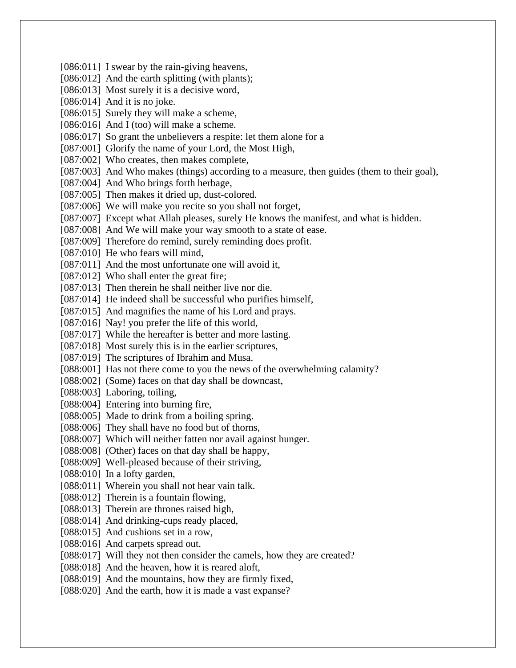[086:011] I swear by the rain-giving heavens, [086:012] And the earth splitting (with plants); [086:013] Most surely it is a decisive word, [086:014] And it is no joke. [086:015] Surely they will make a scheme, [086:016] And I (too) will make a scheme. [086:017] So grant the unbelievers a respite: let them alone for a [087:001] Glorify the name of your Lord, the Most High, [087:002] Who creates, then makes complete, [087:003] And Who makes (things) according to a measure, then guides (them to their goal), [087:004] And Who brings forth herbage, [087:005] Then makes it dried up, dust-colored. [087:006] We will make you recite so you shall not forget, [087:007] Except what Allah pleases, surely He knows the manifest, and what is hidden. [087:008] And We will make your way smooth to a state of ease. [087:009] Therefore do remind, surely reminding does profit. [087:010] He who fears will mind, [087:011] And the most unfortunate one will avoid it, [087:012] Who shall enter the great fire; [087:013] Then therein he shall neither live nor die. [087:014] He indeed shall be successful who purifies himself, [087:015] And magnifies the name of his Lord and prays. [087:016] Nay! you prefer the life of this world, [087:017] While the hereafter is better and more lasting. [087:018] Most surely this is in the earlier scriptures, [087:019] The scriptures of Ibrahim and Musa. [088:001] Has not there come to you the news of the overwhelming calamity? [088:002] (Some) faces on that day shall be downcast, [088:003] Laboring, toiling, [088:004] Entering into burning fire, [088:005] Made to drink from a boiling spring. [088:006] They shall have no food but of thorns, [088:007] Which will neither fatten nor avail against hunger. [088:008] (Other) faces on that day shall be happy, [088:009] Well-pleased because of their striving, [088:010] In a lofty garden, [088:011] Wherein you shall not hear vain talk. [088:012] Therein is a fountain flowing, [088:013] Therein are thrones raised high, [088:014] And drinking-cups ready placed, [088:015] And cushions set in a row, [088:016] And carpets spread out. [088:017] Will they not then consider the camels, how they are created? [088:018] And the heaven, how it is reared aloft. [088:019] And the mountains, how they are firmly fixed, [088:020] And the earth, how it is made a vast expanse?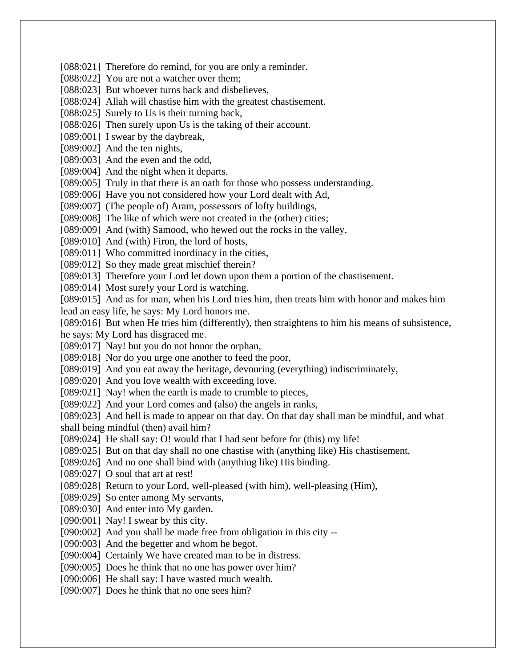[088:021] Therefore do remind, for you are only a reminder.

[088:022] You are not a watcher over them;

[088:023] But whoever turns back and disbelieves,

[088:024] Allah will chastise him with the greatest chastisement.

[088:025] Surely to Us is their turning back,

[088:026] Then surely upon Us is the taking of their account.

[089:001] I swear by the daybreak,

[089:002] And the ten nights,

[089:003] And the even and the odd,

[089:004] And the night when it departs.

[089:005] Truly in that there is an oath for those who possess understanding.

[089:006] Have you not considered how your Lord dealt with Ad,

[089:007] (The people of) Aram, possessors of lofty buildings,

[089:008] The like of which were not created in the (other) cities;

[089:009] And (with) Samood, who hewed out the rocks in the valley,

[089:010] And (with) Firon, the lord of hosts,

[089:011] Who committed inordinacy in the cities,

[089:012] So they made great mischief therein?

[089:013] Therefore your Lord let down upon them a portion of the chastisement.

[089:014] Most sure!y your Lord is watching.

[089:015] And as for man, when his Lord tries him, then treats him with honor and makes him lead an easy life, he says: My Lord honors me.

[089:016] But when He tries him (differently), then straightens to him his means of subsistence, he says: My Lord has disgraced me.

[089:017] Nay! but you do not honor the orphan,

[089:018] Nor do you urge one another to feed the poor,

[089:019] And you eat away the heritage, devouring (everything) indiscriminately,

[089:020] And you love wealth with exceeding love.

[089:021] Nay! when the earth is made to crumble to pieces,

[089:022] And your Lord comes and (also) the angels in ranks,

[089:023] And hell is made to appear on that day. On that day shall man be mindful, and what shall being mindful (then) avail him?

[089:024] He shall say: O! would that I had sent before for (this) my life!

[089:025] But on that day shall no one chastise with (anything like) His chastisement,

[089:026] And no one shall bind with (anything like) His binding.

[089:027] O soul that art at rest!

[089:028] Return to your Lord, well-pleased (with him), well-pleasing (Him),

[089:029] So enter among My servants,

[089:030] And enter into My garden.

[090:001] Nay! I swear by this city.

[090:002] And you shall be made free from obligation in this city --

[090:003] And the begetter and whom he begot.

[090:004] Certainly We have created man to be in distress.

[090:005] Does he think that no one has power over him?

[090:006] He shall say: I have wasted much wealth.

[090:007] Does he think that no one sees him?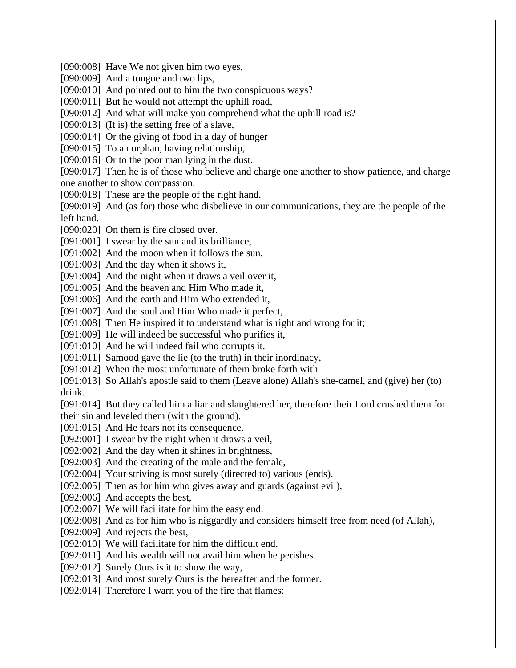[090:008] Have We not given him two eyes,

[090:009] And a tongue and two lips,

[090:010] And pointed out to him the two conspicuous ways?

[090:011] But he would not attempt the uphill road,

[090:012] And what will make you comprehend what the uphill road is?

[090:013] (It is) the setting free of a slave,

[090:014] Or the giving of food in a day of hunger

[090:015] To an orphan, having relationship,

[090:016] Or to the poor man lying in the dust.

[090:017] Then he is of those who believe and charge one another to show patience, and charge one another to show compassion.

[090:018] These are the people of the right hand.

[090:019] And (as for) those who disbelieve in our communications, they are the people of the left hand.

[090:020] On them is fire closed over.

[091:001] I swear by the sun and its brilliance,

[091:002] And the moon when it follows the sun,

[091:003] And the day when it shows it,

[091:004] And the night when it draws a veil over it,

[091:005] And the heaven and Him Who made it,

[091:006] And the earth and Him Who extended it,

[091:007] And the soul and Him Who made it perfect,

[091:008] Then He inspired it to understand what is right and wrong for it;

[091:009] He will indeed be successful who purifies it,

[091:010] And he will indeed fail who corrupts it.

[091:011] Samood gave the lie (to the truth) in their inordinacy,

[091:012] When the most unfortunate of them broke forth with

[091:013] So Allah's apostle said to them (Leave alone) Allah's she-camel, and (give) her (to) drink.

[091:014] But they called him a liar and slaughtered her, therefore their Lord crushed them for their sin and leveled them (with the ground).

[091:015] And He fears not its consequence.

[092:001] I swear by the night when it draws a veil,

[092:002] And the day when it shines in brightness,

[092:003] And the creating of the male and the female,

[092:004] Your striving is most surely (directed to) various (ends).

[092:005] Then as for him who gives away and guards (against evil),

[092:006] And accepts the best,

[092:007] We will facilitate for him the easy end.

[092:008] And as for him who is niggardly and considers himself free from need (of Allah),

[092:009] And rejects the best,

[092:010] We will facilitate for him the difficult end.

[092:011] And his wealth will not avail him when he perishes.

[092:012] Surely Ours is it to show the way,

[092:013] And most surely Ours is the hereafter and the former.

[092:014] Therefore I warn you of the fire that flames: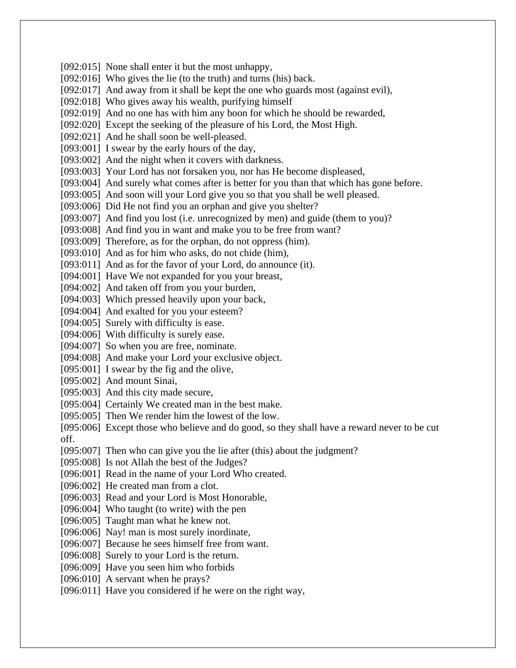[092:015] None shall enter it but the most unhappy, [092:016] Who gives the lie (to the truth) and turns (his) back. [092:017] And away from it shall be kept the one who guards most (against evil), [092:018] Who gives away his wealth, purifying himself [092:019] And no one has with him any boon for which he should be rewarded, [092:020] Except the seeking of the pleasure of his Lord, the Most High. [092:021] And he shall soon be well-pleased. [093:001] I swear by the early hours of the day, [093:002] And the night when it covers with darkness. [093:003] Your Lord has not forsaken you, nor has He become displeased, [093:004] And surely what comes after is better for you than that which has gone before. [093:005] And soon will your Lord give you so that you shall be well pleased. [093:006] Did He not find you an orphan and give you shelter? [093:007] And find you lost (i.e. unrecognized by men) and guide (them to you)? [093:008] And find you in want and make you to be free from want? [093:009] Therefore, as for the orphan, do not oppress (him). [093:010] And as for him who asks, do not chide (him), [093:011] And as for the favor of your Lord, do announce (it). [094:001] Have We not expanded for you your breast, [094:002] And taken off from you your burden, [094:003] Which pressed heavily upon your back, [094:004] And exalted for you your esteem? [094:005] Surely with difficulty is ease. [094:006] With difficulty is surely ease. [094:007] So when you are free, nominate. [094:008] And make your Lord your exclusive object. [095:001] I swear by the fig and the olive, [095:002] And mount Sinai, [095:003] And this city made secure, [095:004] Certainly We created man in the best make. [095:005] Then We render him the lowest of the low. [095:006] Except those who believe and do good, so they shall have a reward never to be cut off. [095:007] Then who can give you the lie after (this) about the judgment? [095:008] Is not Allah the best of the Judges? [096:001] Read in the name of your Lord Who created. [096:002] He created man from a clot. [096:003] Read and your Lord is Most Honorable, [096:004] Who taught (to write) with the pen [096:005] Taught man what he knew not. [096:006] Nay! man is most surely inordinate, [096:007] Because he sees himself free from want. [096:008] Surely to your Lord is the return. [096:009] Have you seen him who forbids [096:010] A servant when he prays? [096:011] Have you considered if he were on the right way,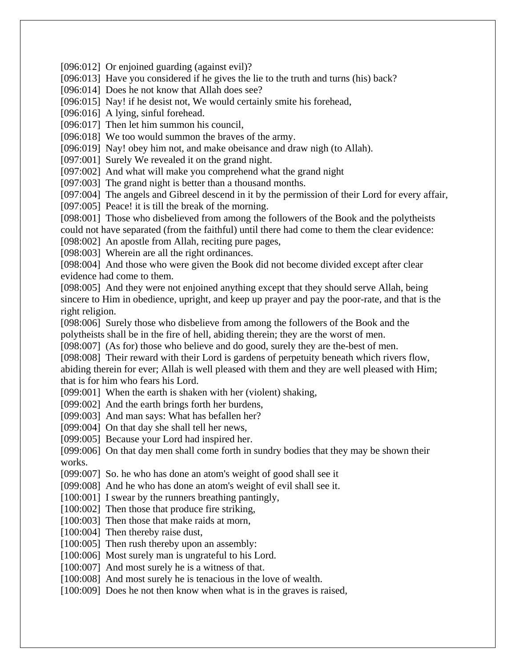[096:012] Or enjoined guarding (against evil)?

[096:013] Have you considered if he gives the lie to the truth and turns (his) back?

[096:014] Does he not know that Allah does see?

[096:015] Nay! if he desist not, We would certainly smite his forehead,

[096:016] A lying, sinful forehead.

[096:017] Then let him summon his council,

[096:018] We too would summon the braves of the army.

[096:019] Nay! obey him not, and make obeisance and draw nigh (to Allah).

[097:001] Surely We revealed it on the grand night.

[097:002] And what will make you comprehend what the grand night

[097:003] The grand night is better than a thousand months.

[097:004] The angels and Gibreel descend in it by the permission of their Lord for every affair,

[097:005] Peace! it is till the break of the morning.

[098:001] Those who disbelieved from among the followers of the Book and the polytheists could not have separated (from the faithful) until there had come to them the clear evidence:

[098:002] An apostle from Allah, reciting pure pages,

[098:003] Wherein are all the right ordinances.

[098:004] And those who were given the Book did not become divided except after clear evidence had come to them.

[098:005] And they were not enjoined anything except that they should serve Allah, being sincere to Him in obedience, upright, and keep up prayer and pay the poor-rate, and that is the right religion.

[098:006] Surely those who disbelieve from among the followers of the Book and the polytheists shall be in the fire of hell, abiding therein; they are the worst of men.

[098:007] (As for) those who believe and do good, surely they are the-best of men.

[098:008] Their reward with their Lord is gardens of perpetuity beneath which rivers flow, abiding therein for ever; Allah is well pleased with them and they are well pleased with Him; that is for him who fears his Lord.

[099:001] When the earth is shaken with her (violent) shaking,

[099:002] And the earth brings forth her burdens,

[099:003] And man says: What has befallen her?

[099:004] On that day she shall tell her news,

[099:005] Because your Lord had inspired her.

[099:006] On that day men shall come forth in sundry bodies that they may be shown their works.

[099:007] So. he who has done an atom's weight of good shall see it

[099:008] And he who has done an atom's weight of evil shall see it.

[100:001] I swear by the runners breathing pantingly,

[100:002] Then those that produce fire striking,

[100:003] Then those that make raids at morn,

[100:004] Then thereby raise dust,

[100:005] Then rush thereby upon an assembly:

[100:006] Most surely man is ungrateful to his Lord.

[100:007] And most surely he is a witness of that.

[100:008] And most surely he is tenacious in the love of wealth.

[100:009] Does he not then know when what is in the graves is raised,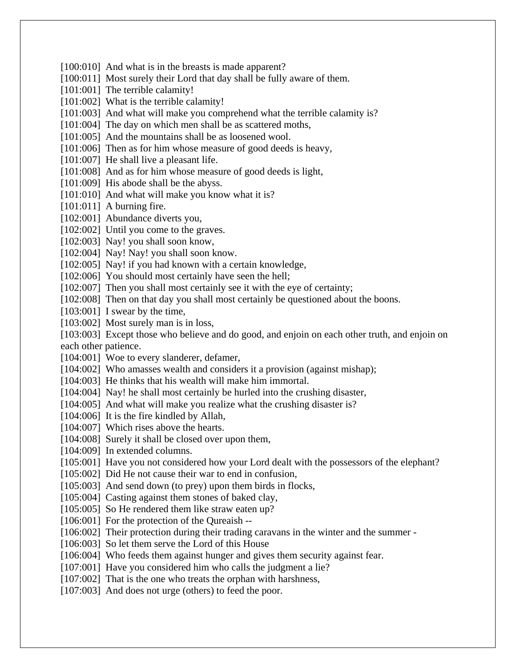[100:010] And what is in the breasts is made apparent? [100:011] Most surely their Lord that day shall be fully aware of them. [101:001] The terrible calamity! [101:002] What is the terrible calamity! [101:003] And what will make you comprehend what the terrible calamity is? [101:004] The day on which men shall be as scattered moths, [101:005] And the mountains shall be as loosened wool. [101:006] Then as for him whose measure of good deeds is heavy, [101:007] He shall live a pleasant life. [101:008] And as for him whose measure of good deeds is light, [101:009] His abode shall be the abyss. [101:010] And what will make you know what it is?  $[101:011]$  A burning fire. [102:001] Abundance diverts you, [102:002] Until you come to the graves. [102:003] Nay! you shall soon know, [102:004] Nay! Nay! you shall soon know. [102:005] Nay! if you had known with a certain knowledge, [102:006] You should most certainly have seen the hell; [102:007] Then you shall most certainly see it with the eye of certainty; [102:008] Then on that day you shall most certainly be questioned about the boons. [103:001] I swear by the time, [103:002] Most surely man is in loss, [103:003] Except those who believe and do good, and enjoin on each other truth, and enjoin on each other patience. [104:001] Woe to every slanderer, defamer, [104:002] Who amasses wealth and considers it a provision (against mishap); [104:003] He thinks that his wealth will make him immortal. [104:004] Nay! he shall most certainly be hurled into the crushing disaster, [104:005] And what will make you realize what the crushing disaster is? [104:006] It is the fire kindled by Allah, [104:007] Which rises above the hearts. [104:008] Surely it shall be closed over upon them, [104:009] In extended columns. [105:001] Have you not considered how your Lord dealt with the possessors of the elephant? [105:002] Did He not cause their war to end in confusion, [105:003] And send down (to prey) upon them birds in flocks, [105:004] Casting against them stones of baked clay, [105:005] So He rendered them like straw eaten up? [106:001] For the protection of the Qureaish --[106:002] Their protection during their trading caravans in the winter and the summer -[106:003] So let them serve the Lord of this House [106:004] Who feeds them against hunger and gives them security against fear. [107:001] Have you considered him who calls the judgment a lie? [107:002] That is the one who treats the orphan with harshness, [107:003] And does not urge (others) to feed the poor.